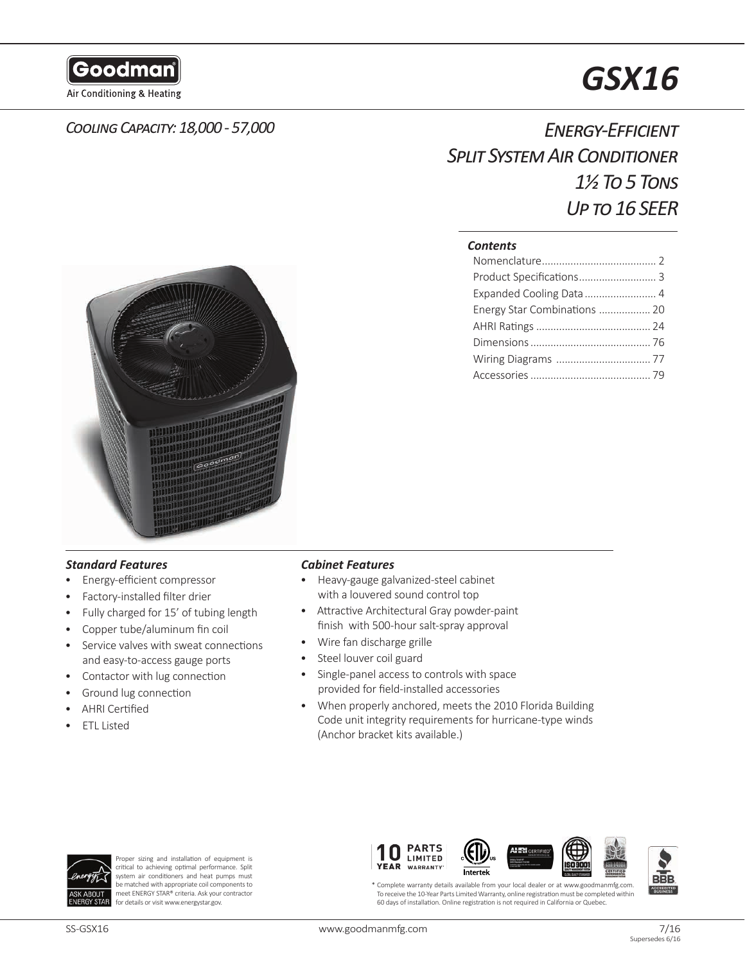

Air Conditioning & Heating

# *GSX16*

## *Cooling Capacity: 18,000 - 57,000*

## *Energy-Efficient Split System Air Conditioner 1½ To 5 Tons Up to 16 SEER*

### *Contents*

| Product Specifications 3     |  |
|------------------------------|--|
| Expanded Cooling Data  4     |  |
| Energy Star Combinations  20 |  |
|                              |  |
|                              |  |
|                              |  |
|                              |  |



### *Standard Features*

- Energy-efficient compressor
- Factory-installed filter drier
- Fully charged for 15' of tubing length
- Copper tube/aluminum fin coil
- Service valves with sweat connections and easy-to-access gauge ports
- Contactor with lug connection
- Ground lug connection
- AHRI Certified
- ETL Listed

### *Cabinet Features*

- Heavy-gauge galvanized-steel cabinet with a louvered sound control top
- Attractive Architectural Gray powder-paint finish with 500-hour salt-spray approval
- Wire fan discharge grille
- Steel louver coil guard
- Single-panel access to controls with space provided for field-installed accessories
- When properly anchored, meets the 2010 Florida Building Code unit integrity requirements for hurricane-type winds (Anchor bracket kits available.)



Proper sizing and installation of equipment is critical to achieving optimal performance. Split system air conditioners and heat pumps must be matched with appropriate coil components to meet ENERGY STAR® criteria. Ask your contractor for details or visit www.energystar.gov.

**PARTS** П LIMITED YEAR WARRANTY' Intertek



\* Complete warranty details available from your local dealer or at www.goodmanmfg.com. To receive the 10-Year Parts Limited Warranty, online registration must be completed within 60 days of installation. Online registration is not required in California or Quebec.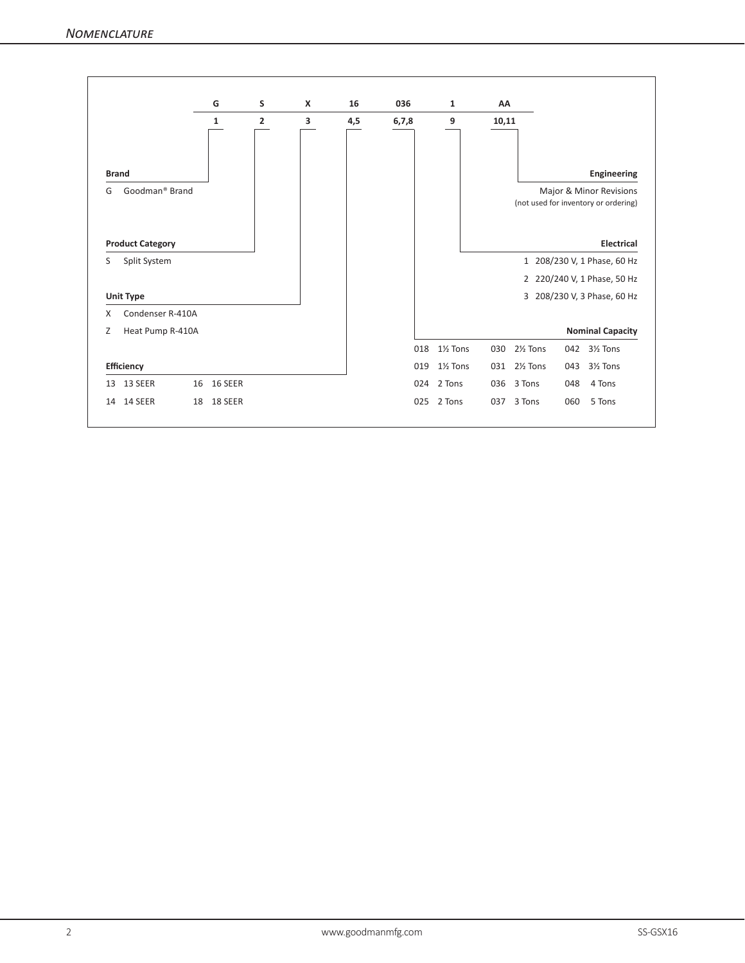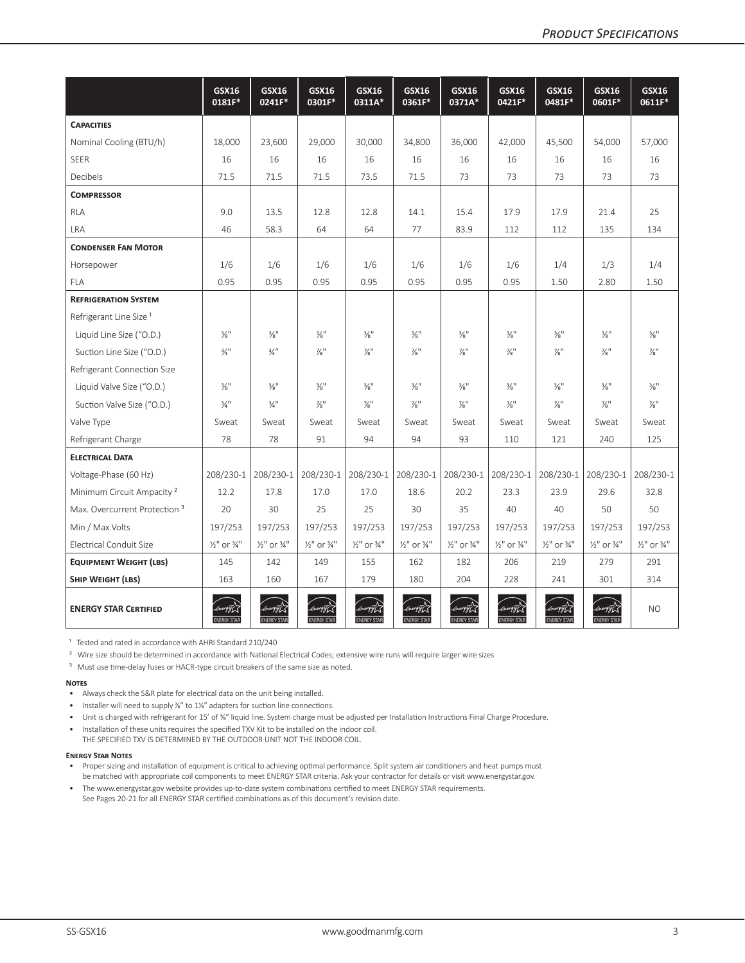|                                          | <b>GSX16</b><br>0181F*             | <b>GSX16</b><br>0241F*             | GSX16<br>0301F*                    | <b>GSX16</b><br>0311A*             | <b>GSX16</b><br>0361F*             | <b>GSX16</b><br>0371A*             | GSX16<br>0421F*                    | <b>GSX16</b><br>0481F*             | <b>GSX16</b><br>0601F*             | <b>GSX16</b><br>0611F*             |
|------------------------------------------|------------------------------------|------------------------------------|------------------------------------|------------------------------------|------------------------------------|------------------------------------|------------------------------------|------------------------------------|------------------------------------|------------------------------------|
| <b>CAPACITIES</b>                        |                                    |                                    |                                    |                                    |                                    |                                    |                                    |                                    |                                    |                                    |
| Nominal Cooling (BTU/h)                  | 18,000                             | 23,600                             | 29,000                             | 30,000                             | 34,800                             | 36.000                             | 42,000                             | 45,500                             | 54,000                             | 57.000                             |
| <b>SEER</b>                              | 16                                 | 16                                 | 16                                 | 16                                 | 16                                 | 16                                 | 16                                 | 16                                 | 16                                 | 16                                 |
| <b>Decibels</b>                          | 71.5                               | 71.5                               | 71.5                               | 73.5                               | 71.5                               | 73                                 | 73                                 | 73                                 | 73                                 | 73                                 |
| <b>COMPRESSOR</b>                        |                                    |                                    |                                    |                                    |                                    |                                    |                                    |                                    |                                    |                                    |
| <b>RLA</b>                               | 9.0                                | 13.5                               | 12.8                               | 12.8                               | 14.1                               | 15.4                               | 17.9                               | 17.9                               | 21.4                               | 25                                 |
| <b>LRA</b>                               | 46                                 | 58.3                               | 64                                 | 64                                 | 77                                 | 83.9                               | 112                                | 112                                | 135                                | 134                                |
| <b>CONDENSER FAN MOTOR</b>               |                                    |                                    |                                    |                                    |                                    |                                    |                                    |                                    |                                    |                                    |
| Horsepower                               | 1/6                                | 1/6                                | 1/6                                | 1/6                                | 1/6                                | 1/6                                | 1/6                                | 1/4                                | 1/3                                | 1/4                                |
| <b>FLA</b>                               | 0.95                               | 0.95                               | 0.95                               | 0.95                               | 0.95                               | 0.95                               | 0.95                               | 1.50                               | 2.80                               | 1.50                               |
| <b>REFRIGERATION SYSTEM</b>              |                                    |                                    |                                    |                                    |                                    |                                    |                                    |                                    |                                    |                                    |
| Refrigerant Line Size <sup>1</sup>       |                                    |                                    |                                    |                                    |                                    |                                    |                                    |                                    |                                    |                                    |
| Liquid Line Size ("O.D.)                 | $\frac{3}{8}$ <sup>11</sup>        | $\frac{3}{8}$ <sup>11</sup>        | $\frac{3}{8}$ <sup>11</sup>        | $\frac{3}{8}$ <sup>11</sup>        | $\frac{3}{8}$ <sup>11</sup>        | $\frac{3}{8}$ <sup>11</sup>        | $\frac{3}{8}$ <sup>11</sup>        | $\frac{3}{8}$ <sup>11</sup>        | $\frac{3}{8}$ <sup>11</sup>        | $\frac{3}{8}$ <sup>11</sup>        |
| Suction Line Size ("O.D.)                | $\frac{3}{4}$ <sup>11</sup>        | $\frac{3}{4}$ "                    | $\frac{7}{8}$ <sup>11</sup>        | $\frac{7}{8}$ "                    | $\frac{7}{8}$ "                    | $\frac{7}{8}$ "                    | $\frac{7}{8}$ <sup>11</sup>        | $\frac{7}{8}$ "                    | $\frac{7}{8}$ <sup>11</sup>        | $\frac{7}{8}$ <sup>11</sup>        |
| Refrigerant Connection Size              |                                    |                                    |                                    |                                    |                                    |                                    |                                    |                                    |                                    |                                    |
| Liquid Valve Size ("O.D.)                | $\frac{3}{8}$ <sup>11</sup>        | $\frac{3}{8}$ <sup>11</sup>        | $\frac{3}{8}$ <sup>11</sup>        | $\frac{3}{8}$ <sup>11</sup>        | $\frac{3}{8}$ <sup>11</sup>        | $\frac{3}{8}$ <sup>11</sup>        | $\frac{3}{8}$ <sup>11</sup>        | $\frac{3}{8}$ <sup>11</sup>        | $\frac{3}{8}$ <sup>11</sup>        | $\frac{3}{8}$ <sup>11</sup>        |
| Suction Valve Size ("O.D.)               | $\frac{3}{4}$ <sup>11</sup>        | $\frac{3}{4}$ <sup>11</sup>        | $\frac{7}{8}$ <sup>11</sup>        | $\frac{7}{8}$ <sup>11</sup>        | $\frac{7}{8}$ "                    | $\frac{7}{8}$ "                    | $\frac{7}{8}$ "                    | $\frac{7}{8}$ <sup>11</sup>        | $\frac{7}{8}$ <sup>11</sup>        | $\frac{7}{8}$ "                    |
| Valve Type                               | Sweat                              | Sweat                              | Sweat                              | Sweat                              | Sweat                              | Sweat                              | Sweat                              | Sweat                              | Sweat                              | Sweat                              |
| Refrigerant Charge                       | 78                                 | 78                                 | 91                                 | 94                                 | 94                                 | 93                                 | 110                                | 121                                | 240                                | 125                                |
| <b>ELECTRICAL DATA</b>                   |                                    |                                    |                                    |                                    |                                    |                                    |                                    |                                    |                                    |                                    |
| Voltage-Phase (60 Hz)                    | 208/230-1                          | 208/230-1                          | 208/230-1                          | 208/230-1                          | 208/230-1                          | 208/230-1 208/230-1                |                                    | 208/230-1                          | 208/230-1                          | 208/230-1                          |
| Minimum Circuit Ampacity <sup>2</sup>    | 12.2                               | 17.8                               | 17.0                               | 17.0                               | 18.6                               | 20.2                               | 23.3                               | 23.9                               | 29.6                               | 32.8                               |
| Max. Overcurrent Protection <sup>3</sup> | 20                                 | 30                                 | 25                                 | 25                                 | 30                                 | 35                                 | 40                                 | 40                                 | 50                                 | 50                                 |
| Min / Max Volts                          | 197/253                            | 197/253                            | 197/253                            | 197/253                            | 197/253                            | 197/253                            | 197/253                            | 197/253                            | 197/253                            | 197/253                            |
| <b>Electrical Conduit Size</b>           | $\frac{1}{2}$ " or $\frac{3}{4}$ " | $\frac{1}{2}$ " or $\frac{3}{4}$ " | $\frac{1}{2}$ " or $\frac{3}{4}$ " | $\frac{1}{2}$ " or $\frac{3}{4}$ " | $\frac{1}{2}$ " or $\frac{3}{4}$ " | $\frac{1}{2}$ " or $\frac{3}{4}$ " | $\frac{1}{2}$ " or $\frac{3}{4}$ " | $\frac{1}{2}$ " or $\frac{3}{4}$ " | $\frac{1}{2}$ " or $\frac{3}{4}$ " | $\frac{1}{2}$ " or $\frac{3}{4}$ " |
| <b>EQUIPMENT WEIGHT (LBS)</b>            | 145                                | 142                                | 149                                | 155                                | 162                                | 182                                | 206                                | 219                                | 279                                | 291                                |
| SHIP WEIGHT (LBS)                        | 163                                | 160                                | 167                                | 179                                | 180                                | 204                                | 228                                | 241                                | 301                                | 314                                |
| <b>ENERGY STAR CERTIFIED</b>             | <b>ENERGY STAL</b>                 | <b>ENFRGY STAR</b>                 | <b>ENERGY STAR</b>                 | <b>ENERGY STAR</b>                 | <b>ENERGY STA</b>                  | ENERGY STA                         | <b>ENERGY STAR</b>                 | <b>ENERGY STAR</b>                 | <b>ENERGY STAR</b>                 | <b>NO</b>                          |

<sup>1</sup> Tested and rated in accordance with AHRI Standard 210/240

<sup>2</sup> Wire size should be determined in accordance with National Electrical Codes; extensive wire runs will require larger wire sizes

<sup>3</sup> Must use time-delay fuses or HACR-type circuit breakers of the same size as noted.

#### **Notes**

- Always check the S&R plate for electrical data on the unit being installed.
- Installer will need to supply %" to 1%" adapters for suction line connections.
- Unit is charged with refrigerant for 15' of ⅜" liquid line. System charge must be adjusted per Installation Instructions Final Charge Procedure.
- Installation of these units requires the specified TXV Kit to be installed on the indoor coil. THE SPECIFIED TXV IS DETERMINED BY THE OUTDOOR UNIT NOT THE INDOOR COIL.

#### **Energy Star Notes**

- Proper sizing and installation of equipment is critical to achieving optimal performance. Split system air conditioners and heat pumps must be matched with appropriate coil components to meet ENERGY STAR criteria. Ask your contractor for details or visit www.energystar.gov.
- The www.energystar.gov website provides up-to-date system combinations certified to meet ENERGY STAR requirements. See Pages 20-21 for all ENERGY STAR certified combinations as of this document's revision date.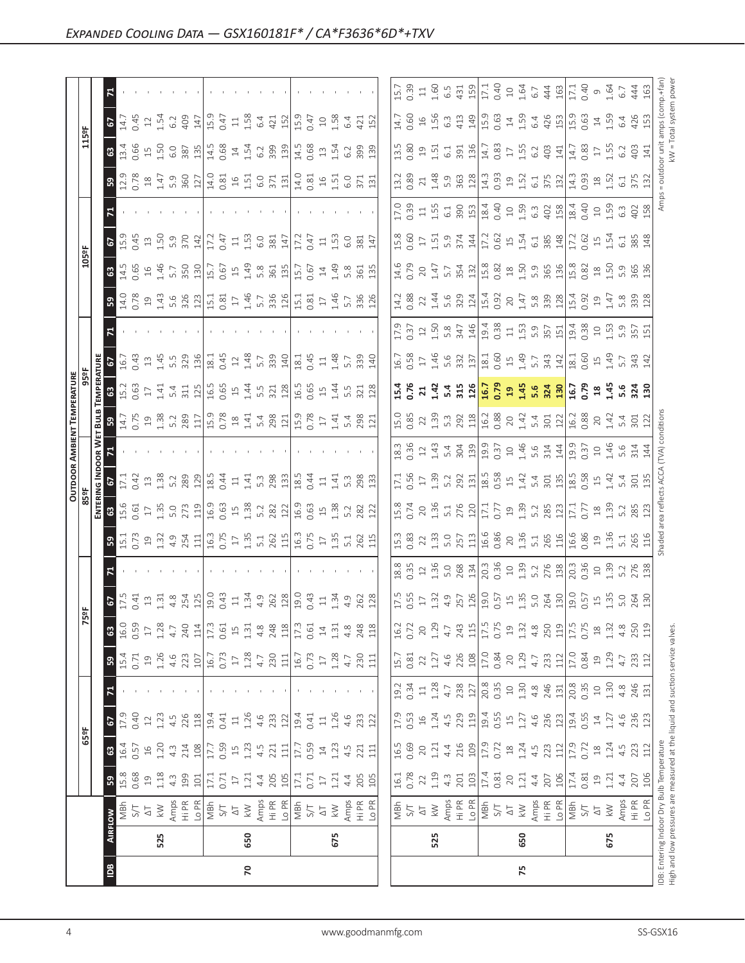|    | 6             |                                                                                                                                                                                                                                                                                                                                                                                                                                                |                                                                                                  | $\begin{bmatrix} 1 & 1 & 1 & 1 & 1 \\ 1 & 1 & 1 & 1 & 1 \\ 1 & 1 & 1 & 1 & 1 \\ 1 & 1 & 1 & 1 & 1 \\ 1 & 1 & 1 & 1 & 1 \\ 1 & 1 & 1 & 1 & 1 \\ 1 & 1 & 1 & 1 & 1 \\ 1 & 1 & 1 & 1 & 1 \\ 1 & 1 & 1 & 1 & 1 \\ 1 & 1 & 1 & 1 & 1 \\ 1 & 1 & 1 & 1 & 1 \\ 1 & 1 & 1 & 1 & 1 \\ 1 & 1 & 1 & 1 & 1 \\ 1 & 1 & 1 & 1 & 1 \\ 1 & $                                        |                                                                                                                                                                                                                                |                                                                                                                                    |
|----|---------------|------------------------------------------------------------------------------------------------------------------------------------------------------------------------------------------------------------------------------------------------------------------------------------------------------------------------------------------------------------------------------------------------------------------------------------------------|--------------------------------------------------------------------------------------------------|---------------------------------------------------------------------------------------------------------------------------------------------------------------------------------------------------------------------------------------------------------------------------------------------------------------------------------------------------------------------|--------------------------------------------------------------------------------------------------------------------------------------------------------------------------------------------------------------------------------|------------------------------------------------------------------------------------------------------------------------------------|
|    | 63            |                                                                                                                                                                                                                                                                                                                                                                                                                                                |                                                                                                  |                                                                                                                                                                                                                                                                                                                                                                     |                                                                                                                                                                                                                                |                                                                                                                                    |
|    | 59            |                                                                                                                                                                                                                                                                                                                                                                                                                                                |                                                                                                  | $\left  \begin{array}{ccc} \Xi & \Xi & \Xi & \Xi \\ \Xi & \Xi & \Xi & \Xi \\ \Xi & \Xi & \Xi & \Xi \end{array} \right  \left  \begin{array}{ccc} \Xi & \Xi & \Xi & \Xi \\ \Xi & \Xi & \Xi & \Xi \\ \Xi & \Xi & \Xi & \Xi \end{array} \right  \left  \begin{array}{ccc} \Xi & \Xi & \Xi & \Xi \\ \Xi & \Xi & \Xi & \Xi \\ \Xi & \Xi & \Xi & \Xi \end{array} \right $ |                                                                                                                                                                                                                                |                                                                                                                                    |
|    |               |                                                                                                                                                                                                                                                                                                                                                                                                                                                |                                                                                                  |                                                                                                                                                                                                                                                                                                                                                                     |                                                                                                                                                                                                                                |                                                                                                                                    |
|    | 5             | $\begin{bmatrix} 15 & 25 & 35 & 25 \\ 15 & 15 & 35 & 25 \\ 15 & 15 & 25 & 25 \\ 15 & 15 & 25 & 25 \\ 15 & 15 & 25 & 25 \\ 15 & 15 & 25 & 25 \\ 15 & 15 & 25 & 25 \\ 15 & 15 & 25 & 25 \\ 15 & 15 & 25 & 25 \\ 15 & 15 & 25 & 25 \\ 15 & 15 & 25 & 25 \\ 15 & 15 & 25 & 25 \\ 15 & 15 & 25 & 25 \\ 15 & 1$                                                                                                                                      |                                                                                                  |                                                                                                                                                                                                                                                                                                                                                                     |                                                                                                                                                                                                                                |                                                                                                                                    |
|    | <b>8</b>      | $\frac{1}{4}$ $\frac{2}{5}$ $\frac{2}{5}$ $\frac{2}{5}$ $\frac{2}{5}$ $\frac{2}{5}$ $\frac{2}{5}$ $\frac{2}{5}$ $\frac{2}{5}$ $\frac{2}{5}$ $\frac{2}{5}$ $\frac{2}{5}$ $\frac{2}{5}$ $\frac{2}{5}$ $\frac{2}{5}$ $\frac{2}{5}$ $\frac{2}{5}$ $\frac{2}{5}$ $\frac{2}{5}$ $\frac{2}{5}$ $\frac{2}{5}$ $\frac{2}{5}$                                                                                                                            |                                                                                                  |                                                                                                                                                                                                                                                                                                                                                                     |                                                                                                                                                                                                                                |                                                                                                                                    |
|    | ြို့          |                                                                                                                                                                                                                                                                                                                                                                                                                                                |                                                                                                  |                                                                                                                                                                                                                                                                                                                                                                     |                                                                                                                                                                                                                                |                                                                                                                                    |
|    |               |                                                                                                                                                                                                                                                                                                                                                                                                                                                |                                                                                                  |                                                                                                                                                                                                                                                                                                                                                                     |                                                                                                                                                                                                                                |                                                                                                                                    |
|    | 릴 이           | $\begin{bmatrix} 16 & 2 & 3 & 3 & 3 & 4 \\ 16 & 12 & 14 & 15 & 3 & 3 & 4 \\ 16 & 12 & 15 & 18 & 18 & 18 \\ 16 & 16 & 18 & 18 & 18 & 18 \\ 16 & 16 & 12 & 15 & 18 & 18 \\ 16 & 16 & 15 & 18 & 18 & 18 \\ 16 & 16 & 18 & 15 & 18 & 18 \\ 17 & 18 & 15 & 18 & 18 & 18 \\ 18 & 18 & 18 & 18 & 18 & 18 \\ 1$                                                                                                                                        |                                                                                                  |                                                                                                                                                                                                                                                                                                                                                                     |                                                                                                                                                                                                                                |                                                                                                                                    |
|    |               |                                                                                                                                                                                                                                                                                                                                                                                                                                                |                                                                                                  | ភ្នំ 2 ដូ ដូ ដូ ដូ <mark>ដូ ខ្ងៃ ដូ ដូ ដូ ងូ ងូ ម</mark> ភ្នំ ខ្ងួ ដូ ដូ ងូ ងូ ងូ មី                                                                                                                                                                                                                                                                                |                                                                                                                                                                                                                                |                                                                                                                                    |
|    |               | $\frac{1}{10}$ s $\frac{1}{2}$ $\frac{1}{5}$ $\frac{1}{5}$ $\frac{1}{2}$ $\frac{1}{2}$ $\frac{1}{2}$ $\frac{1}{2}$ $\frac{1}{2}$ $\frac{1}{2}$ $\frac{1}{2}$ $\frac{1}{2}$ $\frac{1}{2}$ $\frac{1}{2}$ $\frac{1}{2}$ $\frac{1}{2}$ $\frac{1}{2}$ $\frac{1}{2}$ $\frac{1}{2}$ $\frac{1}{2}$ $\frac{1}{2}$ $\frac{1}{2}$                                                                                                                         |                                                                                                  |                                                                                                                                                                                                                                                                                                                                                                     |                                                                                                                                                                                                                                |                                                                                                                                    |
|    |               |                                                                                                                                                                                                                                                                                                                                                                                                                                                |                                                                                                  |                                                                                                                                                                                                                                                                                                                                                                     |                                                                                                                                                                                                                                |                                                                                                                                    |
|    | $\frac{2}{5}$ |                                                                                                                                                                                                                                                                                                                                                                                                                                                |                                                                                                  |                                                                                                                                                                                                                                                                                                                                                                     |                                                                                                                                                                                                                                |                                                                                                                                    |
|    |               | $\frac{1}{2}$ $\frac{1}{2}$ $\frac{1}{2}$ $\frac{1}{2}$ $\frac{1}{2}$ $\frac{1}{2}$ $\frac{1}{2}$ $\frac{1}{2}$ $\frac{1}{2}$ $\frac{1}{2}$ $\frac{1}{2}$ $\frac{1}{2}$ $\frac{1}{2}$ $\frac{1}{2}$ $\frac{1}{2}$ $\frac{1}{2}$ $\frac{1}{2}$ $\frac{1}{2}$ $\frac{1}{2}$ $\frac{1}{2}$ $\frac{1}{2}$ $\frac{1}{2}$                                                                                                                            |                                                                                                  |                                                                                                                                                                                                                                                                                                                                                                     |                                                                                                                                                                                                                                |                                                                                                                                    |
|    |               |                                                                                                                                                                                                                                                                                                                                                                                                                                                |                                                                                                  |                                                                                                                                                                                                                                                                                                                                                                     |                                                                                                                                                                                                                                |                                                                                                                                    |
|    | B             | E 2 2 3 3 4 5 5 6 7 5 6 7 6 7 6 7 7 7 8 7 8 7                                                                                                                                                                                                                                                                                                                                                                                                  |                                                                                                  | $\begin{bmatrix} 11 & 13 & 13 & 14 & 15 & 16 \\ 1 & 1 & 1 & 1 & 16 & 16 \\ 1 & 1 & 1 & 1 & 16 & 18 \\ 1 & 1 & 1 & 1 & 16 & 18 \\ 1 & 1 & 1 & 1 & 16 & 18 \\ 1 & 1 & 1 & 1 & 16 & 18 \\ 1 & 1 & 1 & 1 & 16 & 18 \\ 1 & 1 & 1 & 1 & 16 & 18 \\ 1 & 1 & 1 & 1 & 16 & 18 \\ 1 & 1 & 1 & 1 & 16 & 18 \\ 1 & 1 & 1 & $                                                    |                                                                                                                                                                                                                                |                                                                                                                                    |
|    |               |                                                                                                                                                                                                                                                                                                                                                                                                                                                |                                                                                                  |                                                                                                                                                                                                                                                                                                                                                                     |                                                                                                                                                                                                                                |                                                                                                                                    |
|    |               |                                                                                                                                                                                                                                                                                                                                                                                                                                                |                                                                                                  |                                                                                                                                                                                                                                                                                                                                                                     |                                                                                                                                                                                                                                |                                                                                                                                    |
|    | 3             |                                                                                                                                                                                                                                                                                                                                                                                                                                                |                                                                                                  |                                                                                                                                                                                                                                                                                                                                                                     |                                                                                                                                                                                                                                |                                                                                                                                    |
|    | ြို့          | $\begin{array}{l} \text{I} \ddot{1} \ddot{1} \ddot{1} \ddot{1} \\ \text{I} \ddot{2} \dot{1} \ddot{1} \ddot{2} \\ \text{I} \ddot{3} \dot{1} \ddot{2} \dot{1} \ddot{3} \\ \text{I} \ddot{4} \dot{1} \ddot{3} \dot{1} \ddot{2} \\ \text{I} \dddot{1} \dddot{1} \ddot{1} \ddot{1} \dddot{1} \dddot{1} \dddot{1} \dddot{1} \dddot{1} \dddot{1} \dddot{1} \dddot{1} \dddot{1} \dddot$                                                                | 230<br>111                                                                                       | $\begin{array}{ l } \hline 15.7 \\ 0.81 \\ 0.2 \\ 1.27 \\ 4.6 \\ 8 \\ \hline \end{array}$                                                                                                                                                                                                                                                                           | 17.0<br>0.84<br>$\overline{5}$                                                                                                                                                                                                 | $1.29$<br>$4.7$<br>$2.33$<br>$1.2$<br>$1.2$<br>$1.29$<br>$1.29$<br>$4.7$<br>$2.33$                                                 |
|    | E             |                                                                                                                                                                                                                                                                                                                                                                                                                                                |                                                                                                  |                                                                                                                                                                                                                                                                                                                                                                     |                                                                                                                                                                                                                                |                                                                                                                                    |
| မိ | 5             |                                                                                                                                                                                                                                                                                                                                                                                                                                                |                                                                                                  | $\begin{bmatrix} 12 & 13 & 14 & 14 & 13 & 14 \\ 13 & 13 & 14 & 14 & 13 & 14 \\ 14 & 14 & 14 & 14 & 14 & 15 \\ 15 & 15 & 14 & 14 & 14 & 14 \\ 16 & 16 & 14 & 14 & 14 & 14 \\ 17 & 14 & 14 & 14 & 14 & 14 \\ 18 & 15 & 14 & 14 & 14 & 14 \\ 19 & 16 & 14 & 14 & 14 & 14 \\ 19 & 16 & 14 & 14 & 14 & 1$                                                                |                                                                                                                                                                                                                                |                                                                                                                                    |
|    | 63            | $\begin{array}{l} \mathbf{\ddot{a}}\ \mathbf{\ddot{c}}\ \mathbf{\ddot{c}}\ \mathbf{c} \\ \mathbf{\ddot{c}}\ \mathbf{\ddot{c}}\ \mathbf{c} \\ \mathbf{\ddot{a}}\ \mathbf{\ddot{c}}\ \mathbf{c} \\ \mathbf{\ddot{a}}\ \mathbf{\ddot{c}}\ \mathbf{c} \\ \mathbf{\ddot{c}}\ \mathbf{\ddot{c}}\ \mathbf{c} \\ \mathbf{\ddot{c}}\ \mathbf{\ddot{c}}\ \mathbf{c} \\ \mathbf{\ddot{c}}\ \mathbf{\ddot{c}}\ \mathbf{\ddot{c}}\ \mathbf{c} \\ \mathbf{\$ |                                                                                                  |                                                                                                                                                                                                                                                                                                                                                                     |                                                                                                                                                                                                                                |                                                                                                                                    |
|    | 59            | $\begin{array}{c c} 15.8 & 0.68 & 0.68 \\ 0.68 & 1.3 & 0.9 \\ 1.4 & 1.9 & 1.7 \\ 1.7 & 1.7 & 1.7 \\ 1.7 & 1.7 & 1.7 \\ 1.7 & 1.7 & 1.7 \\ 1.7 & 1.7 & 1.7 \\ 1.7 & 1.7 & 1.7 \\ 1.7 & 1.7 & 1.7 \\ 1.7 & 1.7 & 1.7 \\ 1.7 & 1.7 & 1.7 \\ 1.7 & 1.7 & 1.7 \\ 1.7 & 1.7 & 1.7 \\ 1.7 & 1.7 & 1$                                                                                                                                                  | $\begin{array}{c} 205 \\ 205 \\ 17.1 \\ 0.71 \\ 1.21 \\ 4.4 \\ 205 \\ 101 \\ \hline \end{array}$ | $\begin{array}{ l } \hline 16.1 \\ 0.78 \\ 0.2 \\ 1.9 \\ 4.3 \\ 0.01 \\ \hline \end{array}$                                                                                                                                                                                                                                                                         | $17.4$<br>0.81<br>20<br>1.21<br>4.4                                                                                                                                                                                            | 8<br>$\frac{15}{20}$ $\frac{15}{20}$ $\frac{3}{20}$ $\frac{3}{20}$ $\frac{3}{20}$ $\frac{3}{20}$ $\frac{3}{20}$<br>20 <sup>7</sup> |
|    |               |                                                                                                                                                                                                                                                                                                                                                                                                                                                |                                                                                                  | ST<br>ST<br>Amps<br>Amps<br>HiPR<br>Lo PK                                                                                                                                                                                                                                                                                                                           | AST A SAMPLE REACT THE REACT THE REACT THE REACT THE REACT THE REACT THE REACT THE REACT THE REACT THE REACT THE REACT THE REACT THE REACT THE REACT THE REACT THE REACT THE REACT THE REACT THE REACT THE REACT THE REACT THE |                                                                                                                                    |
|    | 525           | 650                                                                                                                                                                                                                                                                                                                                                                                                                                            | 675                                                                                              | 525                                                                                                                                                                                                                                                                                                                                                                 | 650                                                                                                                                                                                                                            | 675                                                                                                                                |
|    | $\frac{8}{9}$ | $\mathbf{r}$                                                                                                                                                                                                                                                                                                                                                                                                                                   |                                                                                                  |                                                                                                                                                                                                                                                                                                                                                                     | 75                                                                                                                                                                                                                             |                                                                                                                                    |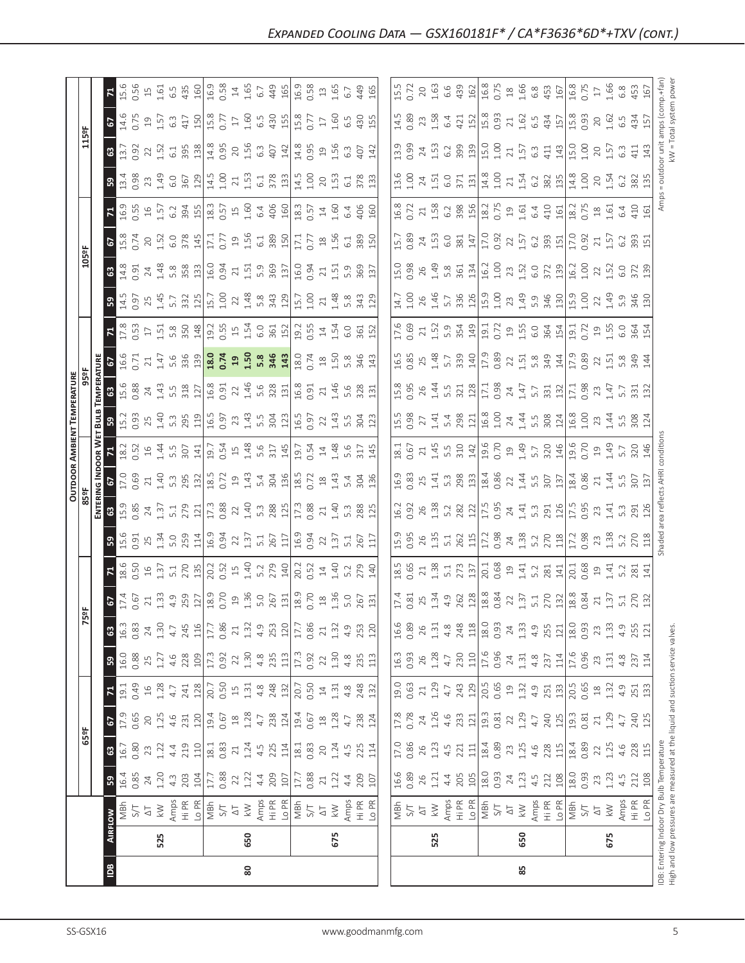|                            | $\frac{8}{2}$                                                                                                                                                                                                                                                                                                                                                                                                                                                 | 80  |                                                                                                                                                                                                                                                                                                                                                                                                                                                                             |                                                                                                                                                                                                                                                                                                                                                                                                                                                                                                                 | 85  |     |
|----------------------------|---------------------------------------------------------------------------------------------------------------------------------------------------------------------------------------------------------------------------------------------------------------------------------------------------------------------------------------------------------------------------------------------------------------------------------------------------------------|-----|-----------------------------------------------------------------------------------------------------------------------------------------------------------------------------------------------------------------------------------------------------------------------------------------------------------------------------------------------------------------------------------------------------------------------------------------------------------------------------|-----------------------------------------------------------------------------------------------------------------------------------------------------------------------------------------------------------------------------------------------------------------------------------------------------------------------------------------------------------------------------------------------------------------------------------------------------------------------------------------------------------------|-----|-----|
|                            | 525                                                                                                                                                                                                                                                                                                                                                                                                                                                           | 650 | 675                                                                                                                                                                                                                                                                                                                                                                                                                                                                         | 525                                                                                                                                                                                                                                                                                                                                                                                                                                                                                                             | 650 | 675 |
|                            | $\begin{array}{l} \text{SFR} \\ \text{SFR} \\ \text{SFR} \\ \text{SFR} \\ \text{SFR} \\ \text{SFR} \\ \text{SFR} \\ \text{SFR} \\ \text{SFR} \\ \text{SFR} \\ \text{SFR} \\ \text{SFR} \\ \text{SFR} \\ \text{SFR} \\ \text{SFR} \\ \text{SFR} \\ \text{SFR} \\ \text{SFR} \\ \text{SFR} \\ \text{SFR} \\ \text{SFR} \\ \text{SFR} \\ \text{SFR} \\ \text{SFR} \\ \text{SFR} \\ \text{SFR} \\ \text{SFR} \\ \text{SFR} \\ \text{SFR} \\ \text{SFR} \\ \text{$ |     |                                                                                                                                                                                                                                                                                                                                                                                                                                                                             | $\begin{array}{ l l l l }\hline \frac{1}{2} & \frac{1}{2} & \frac{1}{2} & \frac{1}{2} & \frac{1}{2} & \frac{1}{2} & \frac{1}{2} & \frac{1}{2} & \frac{1}{2} & \frac{1}{2} & \frac{1}{2} & \frac{1}{2} & \frac{1}{2} & \frac{1}{2} & \frac{1}{2} & \frac{1}{2} & \frac{1}{2} & \frac{1}{2} & \frac{1}{2} & \frac{1}{2} & \frac{1}{2} & \frac{1}{2} & \frac{1}{2} & \frac{1}{2} & \frac{1}{2} & \frac{$                                                                                                           |     |     |
| 5 <sup>o</sup>             |                                                                                                                                                                                                                                                                                                                                                                                                                                                               |     | $\begin{array}{cccccccccc} \Xi & \Xi & \Xi & \Xi & \Xi & \Xi & \Xi \\ \Xi & \Xi & \Xi & \Xi & \Xi & \Xi & \Xi \\ \Xi & \Xi & \Xi & \Xi & \Xi & \Xi & \Xi \\ \Xi & \Xi & \Xi & \Xi & \Xi & \Xi & \Xi \\ \Xi & \Xi & \Xi & \Xi & \Xi & \Xi & \Xi \\ \Xi & \Xi & \Xi & \Xi & \Xi & \Xi & \Xi \\ \Xi & \Xi & \Xi & \Xi & \Xi & \Xi & \Xi \\ \Xi & \Xi & \Xi & \Xi & \Xi & \Xi & \Xi \\ \Xi & \Xi & \Xi & \Xi & \Xi & \Xi & \Xi \\ \Xi & \Xi & \Xi & \Xi & \Xi & \Xi & \Xi \\ \$ |                                                                                                                                                                                                                                                                                                                                                                                                                                                                                                                 |     |     |
|                            |                                                                                                                                                                                                                                                                                                                                                                                                                                                               |     |                                                                                                                                                                                                                                                                                                                                                                                                                                                                             |                                                                                                                                                                                                                                                                                                                                                                                                                                                                                                                 |     |     |
| 67<br>$\frac{1}{2}$        |                                                                                                                                                                                                                                                                                                                                                                                                                                                               |     |                                                                                                                                                                                                                                                                                                                                                                                                                                                                             |                                                                                                                                                                                                                                                                                                                                                                                                                                                                                                                 |     |     |
| $\mathbf{E}$               |                                                                                                                                                                                                                                                                                                                                                                                                                                                               |     | 19 3 4 5 4 5 5 5 5 5 5 5 6 7 6 7 6 7 7 7 8 7 8                                                                                                                                                                                                                                                                                                                                                                                                                              |                                                                                                                                                                                                                                                                                                                                                                                                                                                                                                                 |     |     |
|                            |                                                                                                                                                                                                                                                                                                                                                                                                                                                               |     |                                                                                                                                                                                                                                                                                                                                                                                                                                                                             |                                                                                                                                                                                                                                                                                                                                                                                                                                                                                                                 |     |     |
|                            |                                                                                                                                                                                                                                                                                                                                                                                                                                                               |     |                                                                                                                                                                                                                                                                                                                                                                                                                                                                             |                                                                                                                                                                                                                                                                                                                                                                                                                                                                                                                 |     |     |
|                            |                                                                                                                                                                                                                                                                                                                                                                                                                                                               |     |                                                                                                                                                                                                                                                                                                                                                                                                                                                                             |                                                                                                                                                                                                                                                                                                                                                                                                                                                                                                                 |     |     |
|                            |                                                                                                                                                                                                                                                                                                                                                                                                                                                               |     |                                                                                                                                                                                                                                                                                                                                                                                                                                                                             | si 9 c 1 m 3 l 3 l 3 l 3 g 9 q 4 c 3 a 4 c 3 g 9 q 4 c 3 a 4 c 3 a 4 c 3 a 4 c 3 a 4 c 3 a 4 c 3 a 4 c 3 a 4                                                                                                                                                                                                                                                                                                                                                                                                    |     |     |
|                            | $\frac{35}{2}$ $\frac{35}{2}$ $\frac{35}{2}$ $\frac{35}{2}$ $\frac{35}{2}$ $\frac{11}{2}$ $\frac{103}{2}$ $\frac{35}{2}$ $\frac{35}{2}$ $\frac{35}{2}$ $\frac{35}{2}$ $\frac{35}{2}$ $\frac{35}{2}$ $\frac{35}{2}$ $\frac{35}{2}$ $\frac{35}{2}$ $\frac{35}{2}$ $\frac{35}{2}$ $\frac{35}{2}$ $\frac{35}{2}$                                                                                                                                                  |     |                                                                                                                                                                                                                                                                                                                                                                                                                                                                             |                                                                                                                                                                                                                                                                                                                                                                                                                                                                                                                 |     |     |
|                            | <mark>E ឲ</mark> ជំនិង ដូ ដូ ង <u>ដ្ឋាដៃ</u> និង ដូ ង នូ ង ដូ នេ និង ដូ ង និង ដូ<br><b>E ទ</b> ដូ និង ដូ ដូ ង ដូ ដូ និង ដូ ង និង ដូ និង ដូ ង និង ដូ                                                                                                                                                                                                                                                                                                           |     |                                                                                                                                                                                                                                                                                                                                                                                                                                                                             | $\left  \begin{array}{ccc} \Xi & \Xi & \Xi & \Xi \\ \Xi & \Xi & \Xi & \Xi \\ \Xi & \Xi & \Xi & \Xi \end{array} \right  \left  \begin{array}{ccc} \Xi & \Xi & \Xi & \Xi \\ \Xi & \Xi & \Xi & \Xi \\ \Xi & \Xi & \Xi & \Xi \end{array} \right  \left  \begin{array}{ccc} \Xi & \Xi & \Xi & \Xi \\ \Xi & \Xi & \Xi & \Xi \\ \Xi & \Xi & \Xi & \Xi \end{array} \right  \left  \begin{array}{ccc} \Xi & \Xi & \Xi & \Xi \\ \Xi & \Xi & \Xi & \Xi \\ \Xi & \Xi & \Xi & \Xi \end{array} \right  \left  \begin{array}{$ |     |     |
| OUTDOOR                    |                                                                                                                                                                                                                                                                                                                                                                                                                                                               |     |                                                                                                                                                                                                                                                                                                                                                                                                                                                                             |                                                                                                                                                                                                                                                                                                                                                                                                                                                                                                                 |     |     |
|                            | $\frac{1}{8}$ $\frac{1}{8}$ $\frac{1}{8}$ $\frac{3}{8}$ $\frac{3}{8}$ $\frac{4}{8}$ $\frac{1}{8}$ $\frac{1}{8}$ $\frac{3}{8}$ $\frac{4}{8}$ $\frac{4}{8}$ $\frac{4}{8}$ $\frac{4}{8}$ $\frac{4}{8}$ $\frac{4}{8}$ $\frac{4}{8}$ $\frac{4}{8}$ $\frac{4}{8}$ $\frac{4}{8}$ $\frac{4}{8}$ $\frac{4}{8}$ $\frac{4}{8}$                                                                                                                                           |     |                                                                                                                                                                                                                                                                                                                                                                                                                                                                             |                                                                                                                                                                                                                                                                                                                                                                                                                                                                                                                 |     |     |
|                            | $\frac{1}{2}$ $\frac{1}{2}$ $\frac{1}{2}$ $\frac{1}{3}$ $\frac{1}{3}$ $\frac{1}{2}$ $\frac{1}{3}$ $\frac{1}{2}$ $\frac{1}{3}$ $\frac{1}{2}$ $\frac{1}{3}$ $\frac{1}{2}$ $\frac{1}{3}$ $\frac{1}{2}$ $\frac{1}{3}$ $\frac{1}{2}$ $\frac{1}{3}$ $\frac{1}{2}$ $\frac{1}{3}$ $\frac{1}{2}$ $\frac{1}{3}$ $\frac{1}{2}$                                                                                                                                           |     |                                                                                                                                                                                                                                                                                                                                                                                                                                                                             |                                                                                                                                                                                                                                                                                                                                                                                                                                                                                                                 |     |     |
| ERATURE<br>95º             | $\frac{1}{100}$ $\frac{1}{100}$ $\frac{1}{100}$ $\frac{1}{100}$ $\frac{1}{100}$ $\frac{1}{100}$ $\frac{1}{100}$ $\frac{1}{100}$ $\frac{1}{100}$ $\frac{1}{100}$ $\frac{1}{100}$ $\frac{1}{100}$ $\frac{1}{100}$ $\frac{1}{100}$ $\frac{1}{100}$ $\frac{1}{100}$ $\frac{1}{100}$ $\frac{1}{100}$ $\frac{1$                                                                                                                                                     |     |                                                                                                                                                                                                                                                                                                                                                                                                                                                                             | $\begin{array}{ l l } \hline \vec{u} & \vec{u} & \vec{u} & \vec{u} \\ \hline \vec{u} & \vec{u} & \vec{u} & \vec{u} \\ \hline \vec{u} & \vec{u} & \vec{u} & \vec{u} \\ \hline \vec{u} & \vec{u} & \vec{u} & \vec{u} \\ \hline \vec{u} & \vec{u} & \vec{u} & \vec{u} \\ \hline \vec{u} & \vec{u} & \vec{u} & \vec{u} \\ \hline \vec{u} & \vec{u} & \vec{u} & \vec{u} \\ \hline \vec{u} & \vec{u} & \vec{u}$                                                                                                       |     |     |
|                            | $\frac{16}{5}$ $\frac{6}{5}$ $\frac{6}{5}$ $\frac{7}{7}$ $\frac{1}{1}$ $\frac{1}{2}$ $\frac{6}{5}$ $\frac{8}{3}$ $\frac{8}{12}$ $\frac{1}{2}$ $\frac{1}{2}$ $\frac{1}{2}$ $\frac{1}{2}$ $\frac{1}{2}$ $\frac{1}{2}$ $\frac{1}{2}$ $\frac{1}{2}$ $\frac{1}{2}$ $\frac{1}{2}$ $\frac{1}{2}$ $\frac{1}{2}$ $\frac{1}{2}$                                                                                                                                         |     |                                                                                                                                                                                                                                                                                                                                                                                                                                                                             | $\begin{bmatrix} 6 & 6 & 6 & 6 & 6 \\ 6 & 6 & 6 & 6 & 6 & 6 \\ 6 & 6 & 6 & 6 & 6 & 6 \\ 6 & 6 & 6 & 6 & 6 & 6 \\ 6 & 6 & 6 & 6 & 6 & 6 \\ 6 & 6 & 6 & 6 & 6 & 6 \\ 6 & 6 & 6 & 6 & 6 & 6 \\ 7 & 8 & 6 & 6 & 6 & 6 \\ 8 & 9 & 10 & 10 & 10 & 10 \\ 10 & 10 & 10 & 10 & 10 & 10 \\ 11 & 11 & 11 & 11 & 11 & 10 \\ 12$                                                                                                                                                                                             |     |     |
|                            |                                                                                                                                                                                                                                                                                                                                                                                                                                                               |     |                                                                                                                                                                                                                                                                                                                                                                                                                                                                             |                                                                                                                                                                                                                                                                                                                                                                                                                                                                                                                 |     |     |
|                            | $3.5$ $\frac{3}{2}$ $\frac{3}{2}$ $\frac{3}{2}$ $\frac{3}{2}$ $\frac{3}{2}$ $\frac{3}{2}$ $\frac{3}{2}$ $\frac{3}{2}$ $\frac{3}{2}$ $\frac{3}{2}$ $\frac{3}{2}$ $\frac{3}{2}$ $\frac{3}{2}$ $\frac{3}{2}$ $\frac{3}{2}$ $\frac{3}{2}$ $\frac{3}{2}$ $\frac{3}{2}$ $\frac{3}{2}$ $\frac{3}{2}$ $\frac{3}{2}$ $\frac{3$                                                                                                                                         |     |                                                                                                                                                                                                                                                                                                                                                                                                                                                                             |                                                                                                                                                                                                                                                                                                                                                                                                                                                                                                                 |     |     |
| $\overline{\frac{1059}{}}$ |                                                                                                                                                                                                                                                                                                                                                                                                                                                               |     |                                                                                                                                                                                                                                                                                                                                                                                                                                                                             | <br> 1289 x 129 c 8 8 8 7 1 1 2 6 9 2 2 3 9 3 1 1 2 6 9 3 4 7 1 2 6 9 2 2 5 6 9 8 1 1 2 6 7 7 7 8 9 8 5 1                                                                                                                                                                                                                                                                                                                                                                                                       |     |     |
|                            |                                                                                                                                                                                                                                                                                                                                                                                                                                                               |     |                                                                                                                                                                                                                                                                                                                                                                                                                                                                             |                                                                                                                                                                                                                                                                                                                                                                                                                                                                                                                 |     |     |
|                            | $\frac{36}{12}$ $\frac{36}{12}$ $\frac{36}{12}$ $\frac{36}{12}$ $\frac{36}{12}$ $\frac{31}{12}$ $\frac{32}{12}$ $\frac{37}{12}$ $\frac{38}{12}$ $\frac{31}{12}$ $\frac{32}{12}$ $\frac{32}{12}$ $\frac{37}{12}$ $\frac{37}{12}$ $\frac{37}{12}$ $\frac{37}{12}$ $\frac{37}{12}$ $\frac{37}{12}$ $\frac{3$                                                                                                                                                     |     |                                                                                                                                                                                                                                                                                                                                                                                                                                                                             |                                                                                                                                                                                                                                                                                                                                                                                                                                                                                                                 |     |     |
|                            | $\frac{36}{22}$ $\frac{53}{22}$ $\frac{21}{22}$ $\frac{15}{22}$ $\frac{17}{22}$ $\frac{36}{22}$ $\frac{38}{22}$ $\frac{19}{22}$ $\frac{36}{22}$ $\frac{36}{22}$ $\frac{37}{22}$ $\frac{38}{22}$ $\frac{38}{22}$ $\frac{39}{22}$ $\frac{39}{22}$ $\frac{39}{22}$ $\frac{31}{22}$ $\frac{39}{22}$ $\frac{31}{22}$ $\frac{31}{22}$                                                                                                                               |     |                                                                                                                                                                                                                                                                                                                                                                                                                                                                             | a g a t a g a g b c a r a d e d a d d e d a r a d e d a r a d e d a r a d e d a r a d e d a r a d d e d a d                                                                                                                                                                                                                                                                                                                                                                                                     |     |     |
|                            |                                                                                                                                                                                                                                                                                                                                                                                                                                                               |     |                                                                                                                                                                                                                                                                                                                                                                                                                                                                             |                                                                                                                                                                                                                                                                                                                                                                                                                                                                                                                 |     |     |
|                            |                                                                                                                                                                                                                                                                                                                                                                                                                                                               |     |                                                                                                                                                                                                                                                                                                                                                                                                                                                                             |                                                                                                                                                                                                                                                                                                                                                                                                                                                                                                                 |     |     |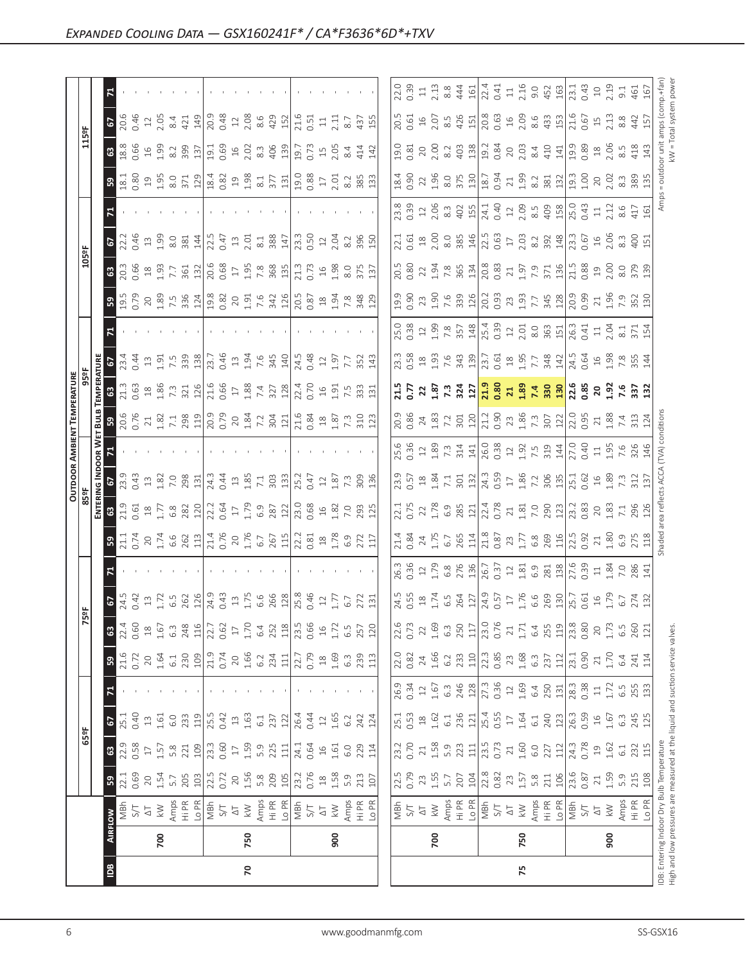|      | 5               |                                                                                                                                                                                                                                                                                                                                                                                                          |                                                                                                     |                                                                                                                                                                                                                                                                                                                                                                                                               |                                                         |                                                                                                                                                                                                                                                                                                               |
|------|-----------------|----------------------------------------------------------------------------------------------------------------------------------------------------------------------------------------------------------------------------------------------------------------------------------------------------------------------------------------------------------------------------------------------------------|-----------------------------------------------------------------------------------------------------|---------------------------------------------------------------------------------------------------------------------------------------------------------------------------------------------------------------------------------------------------------------------------------------------------------------------------------------------------------------------------------------------------------------|---------------------------------------------------------|---------------------------------------------------------------------------------------------------------------------------------------------------------------------------------------------------------------------------------------------------------------------------------------------------------------|
|      | 63              |                                                                                                                                                                                                                                                                                                                                                                                                          |                                                                                                     |                                                                                                                                                                                                                                                                                                                                                                                                               |                                                         |                                                                                                                                                                                                                                                                                                               |
|      | 3               |                                                                                                                                                                                                                                                                                                                                                                                                          |                                                                                                     | $\begin{bmatrix} \vec{a}_1 & 0 & 0 & 0 & 0 \\ 0 & 0 & 0 & 0 & 0 & 0 \\ 0 & 0 & 0 & 0 & 0 & 0 \\ 0 & 0 & 0 & 0 & 0 & 0 \\ \end{bmatrix} \begin{bmatrix} \vec{a}_1 & 0 & 0 & 0 & 0 \\ 0 & 0 & 0 & 0 & 0 & 0 \\ 0 & 0 & 0 & 0 & 0 & 0 \\ 0 & 0 & 0 & 0 & 0 & 0 \\ 0 & 0 & 0 & 0 & 0 & 0 \\ 0 & 0 & 0 & 0 & 0 & 0 \\ \end{bmatrix} \begin{bmatrix} \vec{a}_1 & $                                                  |                                                         |                                                                                                                                                                                                                                                                                                               |
|      |                 |                                                                                                                                                                                                                                                                                                                                                                                                          |                                                                                                     |                                                                                                                                                                                                                                                                                                                                                                                                               |                                                         |                                                                                                                                                                                                                                                                                                               |
|      | 5               |                                                                                                                                                                                                                                                                                                                                                                                                          |                                                                                                     |                                                                                                                                                                                                                                                                                                                                                                                                               |                                                         |                                                                                                                                                                                                                                                                                                               |
|      | 63              |                                                                                                                                                                                                                                                                                                                                                                                                          |                                                                                                     |                                                                                                                                                                                                                                                                                                                                                                                                               |                                                         |                                                                                                                                                                                                                                                                                                               |
|      | ြို့            |                                                                                                                                                                                                                                                                                                                                                                                                          |                                                                                                     |                                                                                                                                                                                                                                                                                                                                                                                                               |                                                         |                                                                                                                                                                                                                                                                                                               |
|      |                 |                                                                                                                                                                                                                                                                                                                                                                                                          |                                                                                                     |                                                                                                                                                                                                                                                                                                                                                                                                               |                                                         |                                                                                                                                                                                                                                                                                                               |
|      | 림 의             |                                                                                                                                                                                                                                                                                                                                                                                                          |                                                                                                     |                                                                                                                                                                                                                                                                                                                                                                                                               |                                                         |                                                                                                                                                                                                                                                                                                               |
|      | <u>្ទី</u> ខ    | $\begin{array}{c} 11.63 \\ 13.65 \\ 14.67 \\ 15.68 \\ 16.69 \\ 17.69 \\ 18.69 \\ 19.60 \\ 10.60 \\ 11.60 \\ 13.60 \\ 14.60 \\ 15.60 \\ 16.60 \\ 17.60 \\ 19.60 \\ 19.60 \\ 19.60 \\ 19.60 \\ 19.60 \\ 19.60 \\ 19.60 \\ 19.60 \\ 19.60 \\ 19.60 \\ 19.60 \\ 19.60 \\ 19.60 \\ 19.60 \\ 19.60 \\ 19$                                                                                                      |                                                                                                     |                                                                                                                                                                                                                                                                                                                                                                                                               |                                                         |                                                                                                                                                                                                                                                                                                               |
|      | <u> ដ្ឋី  ន</u> |                                                                                                                                                                                                                                                                                                                                                                                                          |                                                                                                     | $\begin{bmatrix} 0.88 & 4 & 33 \\ 0.88 & 4 & 33 \\ 1.2 & 8 & 12 \\ 1.2 & 1.2 & 1.2 \\ 1.2 & 1.2 & 1.2 \\ 1.2 & 1.2 & 1.2 \\ 1.2 & 1.2 & 1.2 \\ 1.2 & 1.2 & 1.2 \\ 1.2 & 1.2 & 1.2 \\ 1.2 & 1.2 & 1.2 \\ 1.2 & 1.2 & 1.2 \\ 1.2 & 1.2 & 1.2 \\ 1.2 & 1.2 & 1.2 \\ 1.2 & 1.2 & 1.2 \\ 1.2 & 1.2 & $                                                                                                             |                                                         |                                                                                                                                                                                                                                                                                                               |
|      |                 |                                                                                                                                                                                                                                                                                                                                                                                                          |                                                                                                     |                                                                                                                                                                                                                                                                                                                                                                                                               |                                                         |                                                                                                                                                                                                                                                                                                               |
|      | $\frac{a}{b}$   |                                                                                                                                                                                                                                                                                                                                                                                                          |                                                                                                     | $\begin{bmatrix} 33 & 25 & 34 & 35 & 36 \\ 33 & 35 & 34 & 35 & 36 \\ 35 & 36 & 37 & 37 & 36 \\ 36 & 37 & 38 & 37 & 38 \\ 37 & 38 & 39 & 37 & 38 \\ 38 & 39 & 39 & 39 & 38 \\ 39 & 39 & 39 & 39 & 38 \\ 30 & 39 & 39 & 39 & 38 \\ 30 & 39 & 39 & 39 & 38 \\ 30 & 39 & 39 & 39 & 38 \\ 30 & 39 & 39 & 3$                                                                                                        |                                                         |                                                                                                                                                                                                                                                                                                               |
|      |                 |                                                                                                                                                                                                                                                                                                                                                                                                          |                                                                                                     |                                                                                                                                                                                                                                                                                                                                                                                                               |                                                         |                                                                                                                                                                                                                                                                                                               |
|      | 59              | $\begin{array}{l} 1.755 & 0.755 & 0.755 \\ 1.755 & 0.755 & 0.755 & 0.755 \\ 0.755 & 0.755 & 0.755 & 0.755 \\ 0.755 & 0.755 & 0.755 & 0.755 \\ 0.755 & 0.755 & 0.755 & 0.755 \\ 0.755 & 0.755 & 0.755 & 0.755 \\ \end{array}$                                                                                                                                                                             |                                                                                                     | $\begin{bmatrix} 1 & 3 & 4 & 5 & 6 \\ 1 & 1 & 3 & 4 & 6 \\ 1 & 1 & 1 & 1 & 6 \\ 1 & 1 & 1 & 1 & 1 \\ 1 & 1 & 1 & 1 & 1 \\ 1 & 1 & 1 & 1 & 1 \\ 1 & 1 & 1 & 1 & 1 \\ 1 & 1 & 1 & 1 & 1 \\ 1 & 1 & 1 & 1 & 1 \\ 1 & 1 & 1 & 1 & 1 \\ 1 & 1 & 1 & 1 & 1 \\ 1 & 1 & 1 & 1 & 1 \\ 1 & 1 & 1 & 1 & 1 \\ 1 & 1 & 1 & 1 & 1 \\ 1 & $                                                                                  |                                                         |                                                                                                                                                                                                                                                                                                               |
|      |                 |                                                                                                                                                                                                                                                                                                                                                                                                          |                                                                                                     |                                                                                                                                                                                                                                                                                                                                                                                                               |                                                         |                                                                                                                                                                                                                                                                                                               |
|      |                 |                                                                                                                                                                                                                                                                                                                                                                                                          |                                                                                                     | $\begin{bmatrix} \frac{1}{3} & \frac{1}{3} & \frac{1}{3} & \frac{1}{3} & \frac{1}{3} \\ \frac{1}{3} & \frac{1}{3} & \frac{1}{3} & \frac{1}{3} & \frac{1}{3} \\ \frac{1}{3} & \frac{1}{3} & \frac{1}{3} & \frac{1}{3} & \frac{1}{3} \\ \frac{1}{3} & \frac{1}{3} & \frac{1}{3} & \frac{1}{3} & \frac{1}{3} \\ \frac{1}{3} & \frac{1}{3} & \frac{1}{3} & \frac{1}{3} & \frac{1}{3} \\ \frac{1}{3} & \frac{1}{3$ |                                                         |                                                                                                                                                                                                                                                                                                               |
|      |                 | $\frac{1}{2}$ $\frac{1}{2}$ $\frac{1}{3}$ $\frac{1}{3}$ $\frac{1}{3}$ $\frac{1}{3}$ $\frac{1}{3}$ $\frac{1}{3}$ $\frac{1}{3}$ $\frac{1}{3}$ $\frac{1}{3}$ $\frac{1}{3}$ $\frac{1}{3}$ $\frac{1}{3}$ $\frac{1}{3}$ $\frac{1}{3}$ $\frac{1}{3}$ $\frac{1}{3}$ $\frac{1}{3}$ $\frac{1}{3}$ $\frac{1}{3}$ $\frac{1}{3}$                                                                                      |                                                                                                     | $\begin{bmatrix} 0.75 & 0.75 & 0.75 & 0.75 \\ 0.75 & 0.75 & 0.75 & 0.75 \\ 0.75 & 0.75 & 0.75 & 0.75 \\ 0.75 & 0.75 & 0.75 & 0.75 \\ 0.75 & 0.75 & 0.75 & 0.75 \\ 0.75 & 0.75 & 0.75 & 0.75 \\ 0.75 & 0.75 & 0.75 & 0.75 \\ 0.75 & 0.75 & 0.75 & 0.75 \\ 0.75 & 0.75 & 0.75 & 0.7$                                                                                                                            |                                                         |                                                                                                                                                                                                                                                                                                               |
|      | 3               |                                                                                                                                                                                                                                                                                                                                                                                                          |                                                                                                     | $\begin{array}{ l } \hline 2.0 \\ 0.82 \\ 0.4 \\ 1.66 \\ 6.2 \\ 7.3 \\ \hline \end{array}$                                                                                                                                                                                                                                                                                                                    | 23                                                      |                                                                                                                                                                                                                                                                                                               |
|      | $5^{\circ}$     | $\begin{array}{l} 16.72 \text{ } \odot \text{ } 8.73 \text{ } \odot \text{ } 10.72 \text{ } \odot \text{ } 10.73 \text{ } \odot \text{ } 10.73 \text{ } \odot \text{ } 10.73 \text{ } \odot \text{ } 10.73 \text{ } \odot \text{ } 10.73 \text{ } \odot \text{ } 10.73 \text{ } \odot \text{ } 10.73 \text{ } \odot \text{ } 10.73 \text{ } \odot \text{ } 10.73 \text{ } \odot \text{ } 10.73 \text{ }$ |                                                                                                     |                                                                                                                                                                                                                                                                                                                                                                                                               | $22.3$<br>0.85                                          | $\begin{array}{c} 1.68 \\ 1.37 \\ 0.37 \\ 0.31 \\ 0.39 \\ 0.31 \\ 0.32 \\ 0.33 \\ 0.34 \\ 0.34 \\ 0.34 \\ 0.34 \\ 0.34 \\ 0.34 \\ 0.34 \\ 0.34 \\ 0.34 \\ 0.34 \\ 0.34 \\ 0.34 \\ 0.34 \\ 0.34 \\ 0.34 \\ 0.34 \\ 0.34 \\ 0.34 \\ 0.34 \\ 0.34 \\ 0.34 \\ 0.34 \\ 0.34 \\ 0.34 \\ 0.34 \\ 0.34 \\ 0.34 \\ 0.$ |
|      | $\mathbf{z}$    |                                                                                                                                                                                                                                                                                                                                                                                                          |                                                                                                     |                                                                                                                                                                                                                                                                                                                                                                                                               |                                                         |                                                                                                                                                                                                                                                                                                               |
| 65ªF | <b>67</b>       |                                                                                                                                                                                                                                                                                                                                                                                                          |                                                                                                     | $\begin{bmatrix} 5 & 3 & 8 & 8 & 12 \\ 5 & 5 & 8 & 8 & 12 \\ 5 & 5 & 8 & 12 & 12 \\ 5 & 5 & 12 & 12 & 12 \\ 5 & 5 & 12 & 12 & 12 \\ 5 & 5 & 12 & 12 & 12 \\ 5 & 5 & 12 & 12 & 12 \\ 5 & 5 & 12 & 12 & 12 \\ 5 & 5 & 12 & 12 & 12 \\ 5 & 5 & 12 & 12 & 12 \\ 5 & 5 & 12 & 12 & 12 \\ 5 & 5 & 12 & 12 & 12 \\ 5 &$                                                                                              |                                                         |                                                                                                                                                                                                                                                                                                               |
|      | 3               |                                                                                                                                                                                                                                                                                                                                                                                                          |                                                                                                     |                                                                                                                                                                                                                                                                                                                                                                                                               |                                                         |                                                                                                                                                                                                                                                                                                               |
|      | 59              | $\begin{array}{c} 22.1 \\ 0.69 \\ 2.9 \\ 2.54 \\ 5.7 \\ 2.05 \\ 2.03 \\ 2.03 \\ 2.7 \\ 2.7 \\ 2.8 \\ 5.8 \\ 5.8 \\ \end{array}$                                                                                                                                                                                                                                                                          | $\begin{array}{c cc}\n 209 & 105 \\  \hline\n 103.2 & 8 & 8 \\  0.76 & 1.59 & 7.13 \\  \end{array}$ | $\begin{array}{ l l } \hline 22.5 \\ 0.79 \\ 2.3 \\ 1.55 \\ 5.7 \\ 207 \\ 104 \\ \hline \end{array}$                                                                                                                                                                                                                                                                                                          | 22.82<br>$1.57$<br>$5.8$<br>$7.1$ $106$<br>$23.6$<br>23 | 215<br>5.9<br>$0.8$<br>$7.5$<br>$1.5$                                                                                                                                                                                                                                                                         |
|      |                 |                                                                                                                                                                                                                                                                                                                                                                                                          |                                                                                                     | $\begin{array}{ l l l l }\hline \frac{1}{2} & \frac{1}{2} & \frac{1}{2} & \frac{1}{2} & \frac{1}{2} & \frac{1}{2} & \frac{1}{2} & \frac{1}{2} & \frac{1}{2} & \frac{1}{2} \\ \hline \frac{1}{2} & \frac{1}{2} & \frac{1}{2} & \frac{1}{2} & \frac{1}{2} & \frac{1}{2} & \frac{1}{2} & \frac{1}{2} & \frac{1}{2} & \frac{1}{2} & \frac{1}{2} & \frac{1}{2} & \frac{1}{2} \\ \hline \frac{1}{2} & \frac{1}{$    |                                                         |                                                                                                                                                                                                                                                                                                               |
|      | 700             | 750                                                                                                                                                                                                                                                                                                                                                                                                      | 900                                                                                                 | 700                                                                                                                                                                                                                                                                                                                                                                                                           | 750                                                     | 900                                                                                                                                                                                                                                                                                                           |
|      | $\frac{8}{2}$   | $\mathbf{r}$                                                                                                                                                                                                                                                                                                                                                                                             |                                                                                                     |                                                                                                                                                                                                                                                                                                                                                                                                               | 75                                                      | IDB: Enter<br>High and I                                                                                                                                                                                                                                                                                      |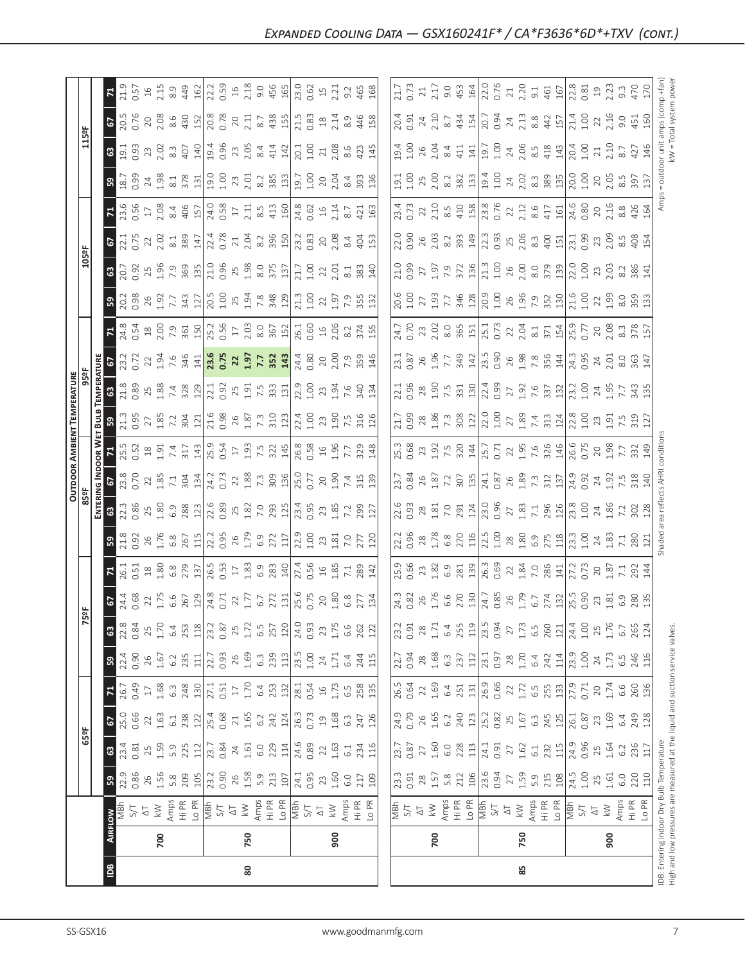|                                               | $\frac{8}{2}$                                                                                                                                                                                                                                                                                                                                                                                                                                                                                                                                                                                                                                      | 80                                                                                                                                                                                                                                                                                                                    |     |                                                                                                                                                                                                                                                                                                                                                                                                                                                                                                                                                                 | 85  |     |
|-----------------------------------------------|----------------------------------------------------------------------------------------------------------------------------------------------------------------------------------------------------------------------------------------------------------------------------------------------------------------------------------------------------------------------------------------------------------------------------------------------------------------------------------------------------------------------------------------------------------------------------------------------------------------------------------------------------|-----------------------------------------------------------------------------------------------------------------------------------------------------------------------------------------------------------------------------------------------------------------------------------------------------------------------|-----|-----------------------------------------------------------------------------------------------------------------------------------------------------------------------------------------------------------------------------------------------------------------------------------------------------------------------------------------------------------------------------------------------------------------------------------------------------------------------------------------------------------------------------------------------------------------|-----|-----|
|                                               | 700                                                                                                                                                                                                                                                                                                                                                                                                                                                                                                                                                                                                                                                | 750                                                                                                                                                                                                                                                                                                                   | 900 | 700                                                                                                                                                                                                                                                                                                                                                                                                                                                                                                                                                             | 750 | 900 |
|                                               | $\frac{3}{2}$                                                                                                                                                                                                                                                                                                                                                                                                                                                                                                                                                                                                                                      |                                                                                                                                                                                                                                                                                                                       |     | $\begin{array}{ l l l }\hline \text{B}}\zeta\searrow\tau\Rightarrow\text{B}}\zeta\Rightarrow\text{C}}\zeta\Rightarrow\text{C}}\zeta\Rightarrow\text{C}}\zeta\Rightarrow\text{C}}\zeta\Rightarrow\text{C}}\zeta\Rightarrow\text{C}}\zeta\Rightarrow\text{C}}\zeta\Rightarrow\text{C}}\zeta\Rightarrow\text{C}}\zeta\Rightarrow\text{C}}\zeta\Rightarrow\text{C}}\zeta\Rightarrow\text{C}}\zeta\Rightarrow\text{C}}\zeta\Rightarrow\text{C}}\zeta\Rightarrow\text{C}}\zeta\Rightarrow\text{C}}\zeta\Rightarrow\text{C}}\zeta\Rightarrow\text{C}}\zeta\Rightarrow$ |     |     |
| 5 <sup>o</sup>                                |                                                                                                                                                                                                                                                                                                                                                                                                                                                                                                                                                                                                                                                    | $\frac{1}{2}$ $\frac{1}{2}$ $\frac{1}{2}$ $\frac{1}{2}$ $\frac{1}{2}$ $\frac{1}{2}$ $\frac{1}{2}$ $\frac{1}{2}$ $\frac{1}{2}$ $\frac{1}{2}$ $\frac{1}{2}$ $\frac{1}{2}$ $\frac{1}{2}$ $\frac{1}{2}$ $\frac{1}{2}$ $\frac{1}{2}$ $\frac{1}{2}$ $\frac{1}{2}$ $\frac{1}{2}$ $\frac{1}{2}$ $\frac{1}{2}$ $\frac{1}{2}$   |     |                                                                                                                                                                                                                                                                                                                                                                                                                                                                                                                                                                 |     |     |
|                                               | $3.33333333771, 2.33445, 2.33446, 2.3345, 2.3345, 2.3345, 2.3445, 2.3445, 2.3445, 2.3445, 2.3445, 2.3445, 2.3445, 2.3445, 2.3445, 2.3445, 2.3445, 2.3445, 2.3445, 2.3445, 2.3445, 2.3445, 2.3445, 2.3445, 2.3445, 2.3445, 2.3$                                                                                                                                                                                                                                                                                                                                                                                                                     |                                                                                                                                                                                                                                                                                                                       |     |                                                                                                                                                                                                                                                                                                                                                                                                                                                                                                                                                                 |     |     |
| $\frac{1}{2}$                                 |                                                                                                                                                                                                                                                                                                                                                                                                                                                                                                                                                                                                                                                    |                                                                                                                                                                                                                                                                                                                       |     |                                                                                                                                                                                                                                                                                                                                                                                                                                                                                                                                                                 |     |     |
| $\mathbb{E}$                                  |                                                                                                                                                                                                                                                                                                                                                                                                                                                                                                                                                                                                                                                    | $26.3925$ $27.393$ $28.393$ $27.393$ $27.393$ $27.393$ $27.393$ $27.393$ $27.393$ $27.393$ $27.393$ $27.393$ $27.393$ $27.393$ $27.393$ $27.393$ $27.393$ $27.393$ $27.393$ $27.393$ $27.393$ $27.393$ $27.393$ $27.393$ $27.$                                                                                        |     |                                                                                                                                                                                                                                                                                                                                                                                                                                                                                                                                                                 |     |     |
| 3                                             |                                                                                                                                                                                                                                                                                                                                                                                                                                                                                                                                                                                                                                                    | $\frac{3}{21}$ $\frac{3}{21}$ $\frac{3}{21}$ $\frac{3}{21}$ $\frac{3}{21}$ $\frac{3}{21}$ $\frac{3}{21}$ $\frac{3}{21}$ $\frac{3}{21}$ $\frac{3}{21}$ $\frac{3}{21}$ $\frac{3}{21}$ $\frac{3}{21}$ $\frac{3}{21}$ $\frac{3}{21}$ $\frac{3}{21}$ $\frac{3}{21}$ $\frac{3}{21}$ $\frac{3}{21}$ $\frac{3}{21}$           |     |                                                                                                                                                                                                                                                                                                                                                                                                                                                                                                                                                                 |     |     |
|                                               | $3.83 \times 10^{-10}$<br>$3.84 \times 10^{-10}$<br>$3.84 \times 10^{-10}$<br>$3.84 \times 10^{-10}$<br>$3.84 \times 10^{-10}$<br>$3.84 \times 10^{-10}$<br>$3.84 \times 10^{-10}$<br>$3.84 \times 10^{-10}$<br>$3.84 \times 10^{-10}$<br>$3.84 \times 10^{-10}$<br>$3.84 \times 10^{-10}$                                                                                                                                                                                                                                                                                                                                                         |                                                                                                                                                                                                                                                                                                                       |     | $\begin{bmatrix} 33.3 & 8 \\ 0.3 & 3.8 \\ 1.1 & 6.5 \\ 6.5 & 1.1 \\ 1.3 & 1.1 \\ 1.4 & 1.1 \\ 1.5 & 1.1 \\ 1.5 & 1.1 \\ 1.6 & 1.1 \\ 1.7 & 1.1 \\ 1.8 & 1.1 \\ 1.9 & 1.1 \\ 1.1 & 1.1 \\ 1.1 & 1.1 \\ 1.1 & 1.1 \\ 1.1 & 1.1 \\ 1.1 & 1.1 \\ 1.1 & 1.1 \\ 1.1 & 1.1 \\ 1.1 & 1.1 \\ 1.1 & 1.1 \\ 1.1 &$                                                                                                                                                                                                                                                         |     |     |
|                                               | $\begin{array}{r} 674.68\\ 24.68\\ 21.75\\ 6.67\\ 22.71\\ 23.72\\ 24.73\\ 25.71\\ 26.71\\ 27.72\\ 28.71\\ 29.71\\ 20.71\\ 21.71\\ 23.71\\ 24.71\\ 25.71\\ 26.71\\ 27.71\\ 28.71\\ 29.71\\ 21.71\\ 22.71\\ 23.71\\ 24.71\\ 25.71\\ 26.71\\ 27.71\\ 28.71\\ 29.71\\ 29$                                                                                                                                                                                                                                                                                                                                                                              |                                                                                                                                                                                                                                                                                                                       |     |                                                                                                                                                                                                                                                                                                                                                                                                                                                                                                                                                                 |     |     |
| $\mathbb{E}$                                  |                                                                                                                                                                                                                                                                                                                                                                                                                                                                                                                                                                                                                                                    |                                                                                                                                                                                                                                                                                                                       |     |                                                                                                                                                                                                                                                                                                                                                                                                                                                                                                                                                                 |     |     |
| B                                             |                                                                                                                                                                                                                                                                                                                                                                                                                                                                                                                                                                                                                                                    |                                                                                                                                                                                                                                                                                                                       |     |                                                                                                                                                                                                                                                                                                                                                                                                                                                                                                                                                                 |     |     |
|                                               | $\frac{15}{16}$ $\frac{13}{12}$ $\frac{18}{12}$ $\frac{13}{12}$ $\frac{13}{12}$ $\frac{13}{12}$ $\frac{13}{12}$ $\frac{13}{12}$ $\frac{13}{12}$ $\frac{13}{12}$ $\frac{13}{12}$ $\frac{13}{12}$ $\frac{13}{12}$ $\frac{13}{12}$ $\frac{13}{12}$ $\frac{13}{12}$                                                                                                                                                                                                                                                                                                                                                                                    |                                                                                                                                                                                                                                                                                                                       |     |                                                                                                                                                                                                                                                                                                                                                                                                                                                                                                                                                                 |     |     |
| OUTDOOR                                       |                                                                                                                                                                                                                                                                                                                                                                                                                                                                                                                                                                                                                                                    |                                                                                                                                                                                                                                                                                                                       |     |                                                                                                                                                                                                                                                                                                                                                                                                                                                                                                                                                                 |     |     |
|                                               | $\frac{1}{8} \times 1.5 \times 1.5 \times 1.5 \times 1.5 \times 1.5 \times 1.5 \times 1.5 \times 1.5 \times 1.5 \times 1.5 \times 1.5 \times 1.5 \times 1.5 \times 1.5 \times 1.5 \times 1.5 \times 1.5 \times 1.5 \times 1.5 \times 1.5 \times 1.5 \times 1.5 \times 1.5 \times 1.5 \times 1.5 \times 1.5 \times 1.5 \times 1.5 \times 1.5 \times 1.5 \times 1.5 \times 1.5 \times 1.5 \times 1.5 \times 1.5 \times $                                                                                                                                                                                                                             |                                                                                                                                                                                                                                                                                                                       |     |                                                                                                                                                                                                                                                                                                                                                                                                                                                                                                                                                                 |     |     |
| <u>ដ្ឋី ឩ</u>                                 |                                                                                                                                                                                                                                                                                                                                                                                                                                                                                                                                                                                                                                                    | $\frac{13}{21}$ $\frac{18}{25}$ $\frac{18}{27}$ $\frac{18}{27}$ $\frac{18}{27}$ $\frac{18}{27}$ $\frac{18}{27}$ $\frac{18}{27}$ $\frac{18}{27}$ $\frac{18}{27}$ $\frac{18}{27}$ $\frac{18}{27}$ $\frac{18}{27}$ $\frac{18}{27}$ $\frac{18}{27}$ $\frac{18}{27}$ $\frac{18}{27}$ $\frac{18}{27}$ $\frac{1$             |     | $\begin{bmatrix} \frac{11}{11} & \frac{3}{11} & \frac{3}{11} & \frac{3}{11} & \frac{3}{11} & \frac{11}{11} & \frac{11}{11} & \frac{3}{11} & \frac{3}{11} & \frac{3}{11} & \frac{11}{11} & \frac{3}{11} & \frac{3}{11} & \frac{3}{11} & \frac{3}{11} & \frac{3}{11} & \frac{3}{11} & \frac{3}{11} & \frac{3}{11} & \frac{3}{11} & \frac{3}{11} & \frac{3}{11} & \frac{3}{11} & \frac{$                                                                                                                                                                           |     |     |
| IPERATURE<br>95ºI                             |                                                                                                                                                                                                                                                                                                                                                                                                                                                                                                                                                                                                                                                    | $\frac{3}{2}$ $\frac{3}{2}$ $\frac{3}{2}$ $\frac{4}{2}$ $\frac{3}{2}$ $\frac{3}{2}$ $\frac{11}{2}$ $\frac{13}{2}$ $\frac{3}{2}$ $\frac{41}{2}$ $\frac{3}{2}$ $\frac{11}{2}$ $\frac{3}{2}$ $\frac{11}{2}$ $\frac{3}{2}$ $\frac{11}{2}$ $\frac{3}{2}$ $\frac{11}{2}$ $\frac{3}{2}$ $\frac{11}{2}$ $\frac{3}{2}$ $\frac$ |     |                                                                                                                                                                                                                                                                                                                                                                                                                                                                                                                                                                 |     |     |
| $\mathbb{E}$                                  | $\begin{bmatrix} 2 & 3 & 2 & 3 \\ 3 & 2 & 3 & 2 \\ 4 & 5 & 3 & 5 \\ 5 & 6 & 5 & 6 \\ 6 & 7 & 8 & 5 \\ 7 & 8 & 1 & 6 \\ 8 & 1 & 1 & 1 & 1 \\ 8 & 1 & 1 & 1 & 1 \\ 9 & 1 & 1 & 1 & 1 \\ 10 & 1 & 1 & 1 & 1 \\ 11 & 1 & 1 & 1 & 1 \\ 12 & 1 & 1 & 1 & 1 \\ 13 & 1 & 1 & 1 & 1 \\ 14 & 1 & 1 & 1 & 1 \\ 15 & 1 & 1 & 1 & 1 \\ $<br>$\frac{1}{2}$ $\frac{1}{6}$ $\frac{1}{2}$ $\frac{1}{2}$ $\frac{1}{2}$ $\frac{1}{2}$ $\frac{1}{3}$ $\frac{1}{3}$ $\frac{1}{6}$ $\frac{1}{6}$ $\frac{1}{6}$ $\frac{1}{6}$ $\frac{1}{6}$ $\frac{1}{6}$ $\frac{1}{6}$ $\frac{1}{6}$ $\frac{1}{6}$ $\frac{1}{6}$ $\frac{1}{6}$ $\frac{1}{6}$ $\frac{1}{6}$ $\frac{1}{6}$ |                                                                                                                                                                                                                                                                                                                       |     | $\begin{bmatrix} \n\frac{1}{2} & \frac{1}{2} & \frac{1}{2} & \frac{1}{2} & \frac{1}{2} & \frac{1}{2} & \frac{1}{2} & \frac{1}{2} & \frac{1}{2} & \frac{1}{2} & \frac{1}{2} & \frac{1}{2} & \frac{1}{2} & \frac{1}{2} & \frac{1}{2} & \frac{1}{2} & \frac{1}{2} & \frac{1}{2} & \frac{1}{2} & \frac{1}{2} & \frac{1}{2} & \frac{1}{2} & \frac{1}{2} & \frac{1}{2} & \frac{1}{2} & \frac{1}{2} & \frac{1$                                                                                                                                                         |     |     |
| 3                                             |                                                                                                                                                                                                                                                                                                                                                                                                                                                                                                                                                                                                                                                    | $\begin{array}{l} 23.88 & 23.75 & 23.75 & 23.75 & 24.75 & 25.75 & 26.75 & 27.75 & 28.75 & 29.75 & 20.75 & 20.75 & 20.75 & 20.75 & 20.75 & 20.75 & 20.75 & 20.75 & 20.75 & 20.75 & 20.75 & 20.75 & 20.75 & 20.75 & 20.75 & 20.75 & 20.75 & 20.75 & 20.75 & 20.75 & 20$                                                 |     |                                                                                                                                                                                                                                                                                                                                                                                                                                                                                                                                                                 |     |     |
| 3                                             |                                                                                                                                                                                                                                                                                                                                                                                                                                                                                                                                                                                                                                                    | $\frac{1}{2}$ $\frac{1}{2}$ $\frac{1}{2}$ $\frac{1}{2}$ $\frac{1}{2}$ $\frac{1}{2}$ $\frac{1}{2}$ $\frac{1}{2}$ $\frac{1}{2}$ $\frac{1}{2}$ $\frac{1}{2}$ $\frac{1}{2}$ $\frac{1}{2}$ $\frac{1}{2}$ $\frac{1}{2}$ $\frac{1}{2}$ $\frac{1}{2}$ $\frac{1}{2}$ $\frac{1}{2}$ $\frac{1}{2}$ $\frac{1}{2}$ $\frac{1}{2}$   |     |                                                                                                                                                                                                                                                                                                                                                                                                                                                                                                                                                                 |     |     |
| 5 <sup>2</sup><br>$\overline{\frac{1058}{5}}$ |                                                                                                                                                                                                                                                                                                                                                                                                                                                                                                                                                                                                                                                    | $\frac{1}{21}$ $\frac{12}{52}$ $\frac{12}{52}$ $\frac{12}{52}$ $\frac{12}{52}$ $\frac{12}{52}$ $\frac{12}{52}$ $\frac{12}{52}$ $\frac{12}{52}$ $\frac{12}{52}$ $\frac{12}{52}$ $\frac{12}{52}$ $\frac{12}{52}$ $\frac{12}{52}$ $\frac{12}{52}$ $\frac{12}{52}$ $\frac{12}{52}$ $\frac{12}{52}$                        |     |                                                                                                                                                                                                                                                                                                                                                                                                                                                                                                                                                                 |     |     |
|                                               |                                                                                                                                                                                                                                                                                                                                                                                                                                                                                                                                                                                                                                                    |                                                                                                                                                                                                                                                                                                                       |     |                                                                                                                                                                                                                                                                                                                                                                                                                                                                                                                                                                 |     |     |
|                                               | $\frac{3}{2}$ $\frac{5}{2}$ $\frac{3}{2}$ $\frac{4}{3}$ $\frac{3}{2}$ $\frac{3}{2}$ $\frac{5}{2}$ $\frac{1}{2}$ $\frac{5}{2}$ $\frac{6}{2}$ $\frac{7}{2}$ $\frac{3}{2}$ $\frac{3}{2}$ $\frac{5}{2}$ $\frac{7}{2}$ $\frac{3}{2}$ $\frac{3}{2}$ $\frac{3}{2}$ $\frac{3}{2}$ $\frac{3}{2}$ $\frac{3}{2}$ $\frac{3}{2}$ $\frac{3}{2}$ $\frac{3}{2}$ $\frac{3$                                                                                                                                                                                                                                                                                          |                                                                                                                                                                                                                                                                                                                       |     | $\boxed{25 \ 26 \ 27 \ 28 \ 28 \ 28 \ 29 \ 21 \ 22 \ 24 \ 26 \ 27 \ 28 \ 29 \ 21 \ 22 \ 23 \ 26 \ 27 \ 28 \ 29 \ 20 \ 21 \ 22 \ 23 \ 26 \ 27 \ 28 \ 29 \ 21 \ 20 \ 21 \ 22 \ 23 \ 26 \ 27 \ 28 \ 29 \ 20 \ 21 \ 22 \ 23 \ 25 \ 26 \ 27 \ 28 \ 29 \ 20 \ 21 \ 22 \ 23 \ 25 \ 26 \ 27 \ 2$                                                                                                                                                                                                                                                                        |     |     |
|                                               |                                                                                                                                                                                                                                                                                                                                                                                                                                                                                                                                                                                                                                                    |                                                                                                                                                                                                                                                                                                                       |     |                                                                                                                                                                                                                                                                                                                                                                                                                                                                                                                                                                 |     |     |
| $\frac{1159}{ }$                              | $69.58867877878877778777887777887778845$                                                                                                                                                                                                                                                                                                                                                                                                                                                                                                                                                                                                           |                                                                                                                                                                                                                                                                                                                       |     |                                                                                                                                                                                                                                                                                                                                                                                                                                                                                                                                                                 |     |     |
|                                               |                                                                                                                                                                                                                                                                                                                                                                                                                                                                                                                                                                                                                                                    |                                                                                                                                                                                                                                                                                                                       |     |                                                                                                                                                                                                                                                                                                                                                                                                                                                                                                                                                                 |     |     |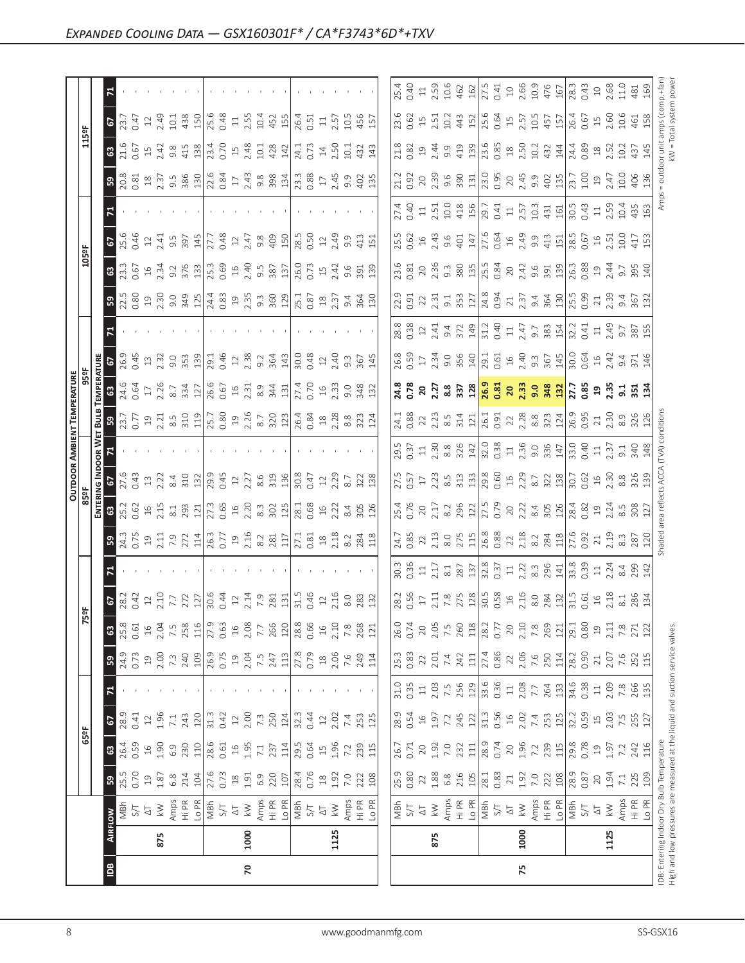|                             | ιã             | $\mathbf{r}$                                                                                                                                                                                                                                                                                                                                                                                       |                                                                                                                |                                                                                                                                                                                                                                                                                                                                                                                                           | 75   |               |
|-----------------------------|----------------|----------------------------------------------------------------------------------------------------------------------------------------------------------------------------------------------------------------------------------------------------------------------------------------------------------------------------------------------------------------------------------------------------|----------------------------------------------------------------------------------------------------------------|-----------------------------------------------------------------------------------------------------------------------------------------------------------------------------------------------------------------------------------------------------------------------------------------------------------------------------------------------------------------------------------------------------------|------|---------------|
|                             | 875            | 1000                                                                                                                                                                                                                                                                                                                                                                                               | 1125                                                                                                           | 875                                                                                                                                                                                                                                                                                                                                                                                                       | 1000 | 1125          |
|                             |                |                                                                                                                                                                                                                                                                                                                                                                                                    |                                                                                                                | $\begin{array}{ l l l l l }\hline \frac{1}{2} & \frac{1}{2} & \frac{1}{2} & \frac{1}{2} & \frac{1}{2} & \frac{1}{2} & \frac{1}{2} & \frac{1}{2} & \frac{1}{2} & \frac{1}{2} \\ \hline \frac{1}{2} & \frac{1}{2} & \frac{1}{2} & \frac{1}{2} & \frac{1}{2} & \frac{1}{2} & \frac{1}{2} & \frac{1}{2} & \frac{1}{2} & \frac{1}{2} & \frac{1}{2} & \frac{1}{2} & \frac{1}{2} \\ \hline \frac{1}{2} & \frac{$ |      |               |
|                             | ິ ສ            |                                                                                                                                                                                                                                                                                                                                                                                                    | $\frac{25}{284}$<br>$\frac{107}{28}$<br>$\frac{8}{28}$<br>$\frac{8}{28}$<br>$\frac{35}{28}$<br>$\frac{22}{28}$ | $\begin{array}{ l } \hline 25.9 & 22 & 88 & 815 \\ 0.80 & 21 & 88 & 815 \\ 0.80 & 0.80 & 215 & 815 \\ \hline \end{array}$                                                                                                                                                                                                                                                                                 |      |               |
| $ \mathbf{\ddot{\bar{s}}} $ | 3              |                                                                                                                                                                                                                                                                                                                                                                                                    |                                                                                                                | $\begin{array}{ l } \hline 26.7 \\ 0.71 \\ 20 \\ 1.92 \\ 7.0 \\ 7.1 \\ 11 \\ \hline \end{array}$                                                                                                                                                                                                                                                                                                          |      |               |
|                             | <b>67</b>      |                                                                                                                                                                                                                                                                                                                                                                                                    |                                                                                                                | $\begin{bmatrix} 8 & 3 & 6 \\ 8 & 3 & 6 \\ 0 & 3 & 1 \end{bmatrix} \begin{bmatrix} 1 & 1 & 1 \\ 1 & 1 & 1 \\ 1 & 1 & 1 \end{bmatrix} \begin{bmatrix} 1 & 1 & 1 \\ 1 & 1 & 1 \\ 1 & 1 & 1 \end{bmatrix} \begin{bmatrix} 1 & 1 & 1 \\ 1 & 1 & 1 \\ 1 & 1 & 1 \end{bmatrix} \begin{bmatrix} 1 & 1 & 1 \\ 1 & 1 & 1 \\ 1 & 1 & 1 \end{bmatrix} \begin{bmatrix} 1 & 1 & 1 \\ 1 & 1 & 1 \\ 1 & 1 &$             |      |               |
|                             | $\mathbf{r}$   |                                                                                                                                                                                                                                                                                                                                                                                                    |                                                                                                                | $\begin{bmatrix} 1 & 1 & 1 & 1 & 1 \\ 1 & 1 & 1 & 1 & 1 \\ 1 & 1 & 1 & 1 & 1 \\ 1 & 1 & 1 & 1 & 1 \\ 1 & 1 & 1 & 1 & 1 \\ 1 & 1 & 1 & 1 & 1 \\ 1 & 1 & 1 & 1 & 1 \\ 1 & 1 & 1 & 1 & 1 \\ 1 & 1 & 1 & 1 & 1 \\ 1 & 1 & 1 & 1 & 1 \\ 1 & 1 & 1 & 1 & 1 \\ 1 & 1 & 1 & 1 & 1 \\ 1 & 1 & 1 & 1 & 1 \\ 1 & 1 & 1 & 1 & 1 \\ 1 & $                                                                              |      |               |
|                             | ິ ສ            |                                                                                                                                                                                                                                                                                                                                                                                                    |                                                                                                                |                                                                                                                                                                                                                                                                                                                                                                                                           |      |               |
| 없                           | $\mathbf{G}$   | $\begin{array}{l} 23.8 \\ 0.61 \\ 2.4 \end{array} \begin{array}{l} 24.7 \\ 2.7 \\ 2.7 \end{array} \begin{array}{l} 25.8 \\ 25.8 \\ 25.8 \\ 25.8 \end{array} \begin{array}{l} 25.8 \\ 25.8 \\ 25.8 \end{array} \begin{array}{l} 25.8 \\ 25.8 \\ 25.8 \end{array} \begin{array}{l} 25.8 \\ 25.8 \\ 25.8 \end{array} \begin{array}{l} 25.8 \\ 25.8 \\ 25.8 \end{array}$                               |                                                                                                                | $\begin{array}{ l l l } \hline 26.0 & 74 & 0.05 \\ 0.74 & 2.05 & 7.5 & 0.01 \\ 2.05 & 7.5 & 2.60 & 118 \\ \hline \end{array}$                                                                                                                                                                                                                                                                             |      |               |
|                             | 2              |                                                                                                                                                                                                                                                                                                                                                                                                    |                                                                                                                |                                                                                                                                                                                                                                                                                                                                                                                                           |      |               |
|                             |                |                                                                                                                                                                                                                                                                                                                                                                                                    |                                                                                                                |                                                                                                                                                                                                                                                                                                                                                                                                           |      |               |
|                             | ြို့           | $\begin{array}{l} 23.55 & \text{Pb} \\ 25.5 & \text{Pc} \\ 25.5 & \text{Pd} \\ 25.5 & \text{Pd} \\ 25.5 & \text{Pd} \\ 25.5 & \text{Pd} \\ 25.5 & \text{Pd} \\ 25.5 & \text{Pd} \\ 25.5 & \text{Pd} \\ 25.5 & \text{Pd} \\ 25.5 & \text{Pd} \\ 25.5 & \text{Pd} \\ 25.5 & \text{Pd} \\ 25.5 & \text{Pd} \\ 25.5 & \text{Pd} \\ 25.5 & \text{Pd} \\ 25.$                                            |                                                                                                                |                                                                                                                                                                                                                                                                                                                                                                                                           |      |               |
|                             | <b>EN</b><br>8 |                                                                                                                                                                                                                                                                                                                                                                                                    |                                                                                                                |                                                                                                                                                                                                                                                                                                                                                                                                           |      |               |
|                             | $\frac{2}{5}$  | $\begin{array}{l} 1.63 \\ 1.64 \\ 1.65 \\ 1.67 \\ 1.68 \\ 1.69 \\ 1.61 \\ 1.62 \\ 1.63 \\ 1.64 \\ 1.65 \\ 1.67 \\ 1.69 \\ 1.61 \\ 1.62 \\ 1.63 \\ 1.64 \\ 1.65 \\ 1.67 \\ 1.69 \\ 1.61 \\ 1.61 \\ 1.62 \\ 1.63 \\ 1.67 \\ 1.67 \\ 1.68 \\ 1.69 \\ 1.61 \\ 1.61 \\ 1.61 \\ 1.62 \\ 1.63 \\ 1.65 \\ 1.67 \\ 1.$                                                                                      |                                                                                                                | $\begin{bmatrix} 17.55 & 17.36 & 17.36 & 17.36 & 17.36 & 17.36 & 17.36 & 17.36 & 17.36 & 17.36 & 17.36 & 17.36 & 17.36 & 17.36 & 17.36 & 17.36 & 17.36 & 17.36 & 17.36 & 17.36 & 17.36 & 17.36 & 17.36 & 17.36 & 17.36 & 17.36 & 17.36 & 17.36 & 17.36 & 17.36 & 17.$                                                                                                                                     |      |               |
|                             | ER             |                                                                                                                                                                                                                                                                                                                                                                                                    |                                                                                                                |                                                                                                                                                                                                                                                                                                                                                                                                           |      |               |
|                             |                | $\begin{array}{l} 73.75 \text{ p } 32.73 \text{ s } 33.73 \text{ m } 34.73 \text{ m } 34.73 \text{ m } 34.73 \text{ m } 34.73 \text{ m } 34.73 \text{ m } 34.73 \text{ m } 34.73 \text{ m } 34.73 \text{ m } 34.73 \text{ m } 34.73 \text{ m } 34.73 \text{ m } 34.73 \text{ m } 34.73 \text{ m } 34.73 \text{ m } 34.73 \text{ m } 34.73 \text{ m } 34.$                                          |                                                                                                                |                                                                                                                                                                                                                                                                                                                                                                                                           |      |               |
|                             | <u>ទី</u> ខ    | $\frac{13}{100} = \frac{13}{100} = \frac{13}{100} = \frac{13}{100} = \frac{13}{100} = \frac{13}{100} = \frac{13}{100} = \frac{13}{100} = \frac{13}{100} = \frac{13}{100} = \frac{13}{100} = \frac{13}{100} = \frac{13}{100} = \frac{13}{100} = \frac{13}{100} = \frac{13}{100} = \frac{13}{100} = \frac{13}{100} = \frac{13}{100} = \frac{13}{100} =$                                              |                                                                                                                |                                                                                                                                                                                                                                                                                                                                                                                                           |      |               |
|                             | <u>ទី ទ</u>    |                                                                                                                                                                                                                                                                                                                                                                                                    |                                                                                                                | $\begin{bmatrix} 8 & 3 & 5 & 5 & 6 \\ 6 & 3 & 5 & 5 & 6 \\ 3 & 3 & 5 & 5 & 6 \\ 5 & 6 & 5 & 6 & 6 \\ 6 & 6 & 6 & 6 & 6 \\ 7 & 8 & 6 & 6 & 6 \\ 8 & 9 & 10 & 15 & 15 \\ 11 & 15 & 15 & 15 & 15 \\ 13 & 16 & 15 & 15 & 15 \\ 14 & 16 & 16 & 15 & 15 \\ 15 & 17 & 18 & 15 & 15 \\ 16 & 18 & 15 & 15 & 15 \\ 17 & 1$                                                                                          |      |               |
|                             |                |                                                                                                                                                                                                                                                                                                                                                                                                    |                                                                                                                |                                                                                                                                                                                                                                                                                                                                                                                                           |      |               |
|                             | ິສ             |                                                                                                                                                                                                                                                                                                                                                                                                    |                                                                                                                |                                                                                                                                                                                                                                                                                                                                                                                                           |      |               |
|                             | <sub>3</sub>   | $\begin{array}{l} 33.65 \\ 20.67 \\ 33.73 \\ 35.87 \\ 36.87 \\ 37.87 \\ 38.87 \\ 39.87 \\ 30.87 \\ 31.83 \\ 32.87 \\ 33.87 \\ 34.87 \\ 35.87 \\ 36.87 \\ 37.87 \\ 38.87 \\ 39.87 \\ 39.87 \\ 39.87 \\ 39.87 \\ 39.87 \\ 39.87 \\ 39.87 \\ 39.87 \\ 39.87 \\ 39.87 \\ 39.87 \\ 39.87 \\ 39.87 \\ 39$                                                                                                |                                                                                                                |                                                                                                                                                                                                                                                                                                                                                                                                           |      |               |
|                             | $\overline{5}$ |                                                                                                                                                                                                                                                                                                                                                                                                    |                                                                                                                |                                                                                                                                                                                                                                                                                                                                                                                                           |      |               |
|                             |                |                                                                                                                                                                                                                                                                                                                                                                                                    |                                                                                                                |                                                                                                                                                                                                                                                                                                                                                                                                           |      |               |
|                             | $5^{\circ}$    | $\begin{array}{l} 83.635 & 83.633 & 83.633 \\ 83.635 & 83.633 & 83.633 \\ 83.635 & 83.633 & 83.633 \\ 83.635 & 83.633 & 83.633 \\ 83.635 & 83.633 & 83.633 \\ 83.635 & 83.633 & 83.633 \\ 83.635 & 83.633 & 83.633 \\ 83.635 & 83.633 & 83.633 \\ 83.635 & 83.633 & 83.6$                                                                                                                          |                                                                                                                |                                                                                                                                                                                                                                                                                                                                                                                                           |      |               |
|                             | 63             |                                                                                                                                                                                                                                                                                                                                                                                                    |                                                                                                                | $\begin{bmatrix} 23 & 23 & 23 & 23 & 23 & 23 \\ 23 & 23 & 23 & 23 & 23 & 23 \\ 24 & 23 & 23 & 23 & 23 & 24 \\ 25 & 24 & 23 & 24 & 24 & 25 \\ 26 & 24 & 23 & 24 & 24 & 25 \\ 27 & 23 & 23 & 23 & 24 & 25 \\ 28 & 23 & 23 & 23 & 23 & 24 \\ 29 & 23 & 23 & 23 & 23 & 24 \\ 21 & 23 & 23 & 23 & 24 & 2$                                                                                                      |      | $\frac{1}{3}$ |
|                             | $\overline{6}$ | $\begin{array}{l} 7.75 \\ 7.47 \\ 8.5 \end{array} \begin{array}{l} 7.75 \\ 7.47 \\ 7.47 \\ 1.47 \end{array} \begin{array}{l} 7.75 \\ 7.47 \\ 1.47 \end{array} \begin{array}{l} 7.75 \\ 7.47 \\ 1.47 \end{array} \begin{array}{l} 7.75 \\ 7.47 \\ 1.47 \end{array} \begin{array}{l} 7.75 \\ 7.47 \end{array} \begin{array}{l} 7.75 \\ 7.47 \end{array} \begin{array}{l} 7.75 \\ 7.47 \end{array} \$ |                                                                                                                |                                                                                                                                                                                                                                                                                                                                                                                                           |      |               |
|                             |                |                                                                                                                                                                                                                                                                                                                                                                                                    |                                                                                                                |                                                                                                                                                                                                                                                                                                                                                                                                           |      |               |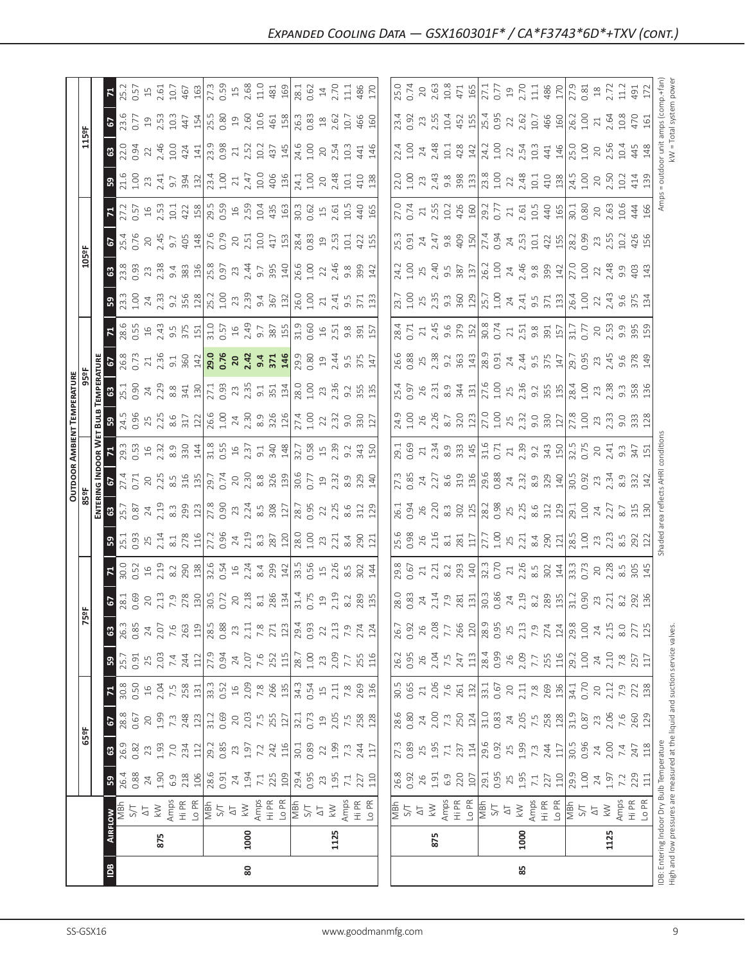|                             | $\frac{8}{2}$               |     | $\bf{80}$ |                                                                                                                                                                                                                                                                                                                             |                                                                                                                                                                                                                                                                                                                                                                                                   | 85   |      |                                              |
|-----------------------------|-----------------------------|-----|-----------|-----------------------------------------------------------------------------------------------------------------------------------------------------------------------------------------------------------------------------------------------------------------------------------------------------------------------------|---------------------------------------------------------------------------------------------------------------------------------------------------------------------------------------------------------------------------------------------------------------------------------------------------------------------------------------------------------------------------------------------------|------|------|----------------------------------------------|
|                             |                             | 875 | 1000      | 1125                                                                                                                                                                                                                                                                                                                        | 875                                                                                                                                                                                                                                                                                                                                                                                               | 1000 | 1125 | IDB: Entering Indoor<br>High and low pressur |
|                             | $rac{1}{\sqrt{2}}$          |     |           |                                                                                                                                                                                                                                                                                                                             |                                                                                                                                                                                                                                                                                                                                                                                                   |      |      |                                              |
|                             | 5 <sup>o</sup>              |     |           | $8.88 \times 2.89$ $8.81$ $8.83$ $8.81$ $8.81$ $8.83$ $8.81$ $8.81$ $8.81$ $8.81$ $8.81$ $8.81$ $8.81$ $8.81$ $8.81$ $8.81$ $8.81$ $8.81$ $8.81$ $8.81$ $8.81$ $8.81$ $8.81$ $8.81$ $8.81$ $8.81$ $8.81$ $8.81$ $8.81$ $8.81$ $8.8$                                                                                         |                                                                                                                                                                                                                                                                                                                                                                                                   |      |      |                                              |
| $\frac{15}{2}$              |                             |     |           |                                                                                                                                                                                                                                                                                                                             | $\begin{bmatrix} 17.38 & 17.53 & 17.53 \\ 17.38 & 17.53 & 17.53 \\ 17.38 & 17.53 & 17.53 \\ 17.38 & 17.53 & 17.53 \\ 18.38 & 17.53 & 17.53 \\ 19.38 & 17.53 & 17.53 \\ 10.38 & 17.53 & 17.53 \\ 11.58 & 17.53 & 17.53 \\ 13.58 & 17.53 & 17.53 \\ 14.58 & 17.53 & 17.53 \\ 15.$                                                                                                                   |      |      |                                              |
|                             |                             |     |           |                                                                                                                                                                                                                                                                                                                             |                                                                                                                                                                                                                                                                                                                                                                                                   |      |      |                                              |
|                             |                             |     |           |                                                                                                                                                                                                                                                                                                                             |                                                                                                                                                                                                                                                                                                                                                                                                   |      |      |                                              |
|                             |                             |     |           |                                                                                                                                                                                                                                                                                                                             | $\begin{bmatrix} 6 & 3 & 8 & 8 & 6 & 7 & 7 & 8 & 7 & 8 & 7 & 8 & 7 & 8 & 7 & 8 & 7 & 8 & 7 & 8 & 7 & 8 & 7 & 8 & 7 & 8 & 7 & 8 & 7 & 8 & 7 & 8 & 7 & 8 & 7 & 8 & 7 & 8 & 7 & 8 & 7 & 8 & 7 & 8 & 7 & 8 & 7 & 8 & 7 & 8 & 7 & 8 & 7 & 8 & 7 & 8 & 7 & 8 & 7 & 8 & 7 & 8 & 7 & 8 & 7 & 8 & 7 & 8 & 7 & 8 & 7 & $                                                                                    |      |      |                                              |
|                             |                             |     |           | 8 3 3 4 5 5 6 8 9 9 8 9 8 5 5 6 7 8 9 9 8 9 8 7 6 7 8 9 9 9 8 9 8 7 7 8 7 8 9 9 9 8 7 7 8 9 9 9 7 7 8 7 9 1                                                                                                                                                                                                                 | $\begin{bmatrix} .61 & .62 & .63 & .64 & .65 \\ .61 & .62 & .63 & .64 & .65 \\ .63 & .64 & .65 & .66 & .66 \\ .65 & .67 & .67 & .67 & .67 \\ .69 & .69 & .69 & .67 & .67 \\ .61 & .69 & .69 & .67 & .67 \\ .61 & .61 & .62 & .67 & .67 \\ .61 & .62 & .67 & .67 & .67 \\ .63 & .65 & .67 & .67 & .67 \\ .61 & .69 & .69 & .67 & .67 \\ .61 & .61 & .69 & .6$                                      |      |      |                                              |
|                             |                             |     |           | $\frac{1}{36}$ $\frac{1}{36}$ $\frac{1}{36}$ $\frac{1}{36}$ $\frac{1}{36}$ $\frac{1}{36}$ $\frac{1}{36}$ $\frac{1}{36}$ $\frac{1}{36}$ $\frac{1}{36}$ $\frac{1}{36}$ $\frac{1}{36}$ $\frac{1}{36}$ $\frac{1}{36}$ $\frac{1}{36}$ $\frac{1}{36}$ $\frac{1}{36}$ $\frac{1}{36}$ $\frac{1}{36}$ $\frac{1}{36}$                 | $\begin{bmatrix} 8 & 8 & 3 & 7 & 7 & 0 \\ 8 & 8 & 3 & 7 & 7 & 7 & 8 \\ 0 & 0 & 0 & 0 & 0 & 0 \\ 0 & 0 & 0 & 0 & 0 & 0 \\ 0 & 0 & 0 & 0 & 0 & 0 \\ 0 & 0 & 0 & 0 & 0 & 0 \\ 0 & 0 & 0 & 0 & 0 & 0 \\ 0 & 0 & 0 & 0 & 0 & 0 \\ 0 & 0 & 0 & 0 & 0 & 0 \\ 0 & 0 & 0 & 0 & 0 & 0 \\ 0 & 0 & 0 & 0 & 0 & 0 \\ 0 & 0 & 0 & 0 & $                                                                         |      |      |                                              |
|                             |                             |     |           |                                                                                                                                                                                                                                                                                                                             |                                                                                                                                                                                                                                                                                                                                                                                                   |      |      |                                              |
|                             |                             |     |           |                                                                                                                                                                                                                                                                                                                             |                                                                                                                                                                                                                                                                                                                                                                                                   |      |      |                                              |
|                             |                             |     |           | $\frac{15}{2}$ $\frac{10}{2}$ $\frac{12}{2}$ $\frac{12}{3}$ $\frac{33}{2}$ $\frac{33}{2}$ $\frac{33}{2}$ $\frac{33}{2}$ $\frac{33}{2}$ $\frac{33}{2}$ $\frac{33}{2}$ $\frac{33}{2}$ $\frac{33}{2}$ $\frac{33}{2}$ $\frac{33}{2}$ $\frac{33}{2}$ $\frac{33}{2}$ $\frac{33}{2}$ $\frac{33}{2}$ $\frac{33}{2}$                 |                                                                                                                                                                                                                                                                                                                                                                                                   |      |      |                                              |
| OUTDOOR                     | $rac{1}{6}$                 |     |           |                                                                                                                                                                                                                                                                                                                             |                                                                                                                                                                                                                                                                                                                                                                                                   |      |      |                                              |
|                             |                             |     |           | $\frac{1}{8}$ $\frac{1}{8}$ $\frac{1}{2}$ $\frac{3}{2}$ $\frac{3}{2}$ $\frac{3}{2}$ $\frac{3}{2}$ $\frac{3}{2}$ $\frac{3}{2}$ $\frac{3}{2}$ $\frac{3}{2}$ $\frac{3}{2}$ $\frac{3}{2}$ $\frac{3}{2}$ $\frac{3}{2}$ $\frac{3}{2}$ $\frac{3}{2}$ $\frac{3}{2}$ $\frac{3}{2}$ $\frac{3}{2}$ $\frac{3}{2}$ $\frac{3}{2}$         |                                                                                                                                                                                                                                                                                                                                                                                                   |      |      |                                              |
| TEMPERATURE<br>95º          |                             |     |           | $0.93 \times 2.8$ $\frac{25}{25}$ $\frac{25}{25}$ $\frac{25}{25}$ $\frac{25}{25}$ $\frac{25}{25}$ $\frac{25}{25}$ $\frac{25}{25}$ $\frac{25}{25}$ $\frac{25}{25}$ $\frac{25}{25}$ $\frac{25}{25}$ $\frac{25}{25}$ $\frac{25}{25}$ $\frac{25}{25}$ $\frac{25}{25}$ $\frac{25}{25}$ $\frac{25}{25}$ $\frac{$<br>$\frac{1}{2}$ |                                                                                                                                                                                                                                                                                                                                                                                                   |      |      |                                              |
|                             | $\frac{1}{2}$ $\frac{3}{2}$ |     |           | $\frac{16}{5}$ $\frac{8}{5}$ $\frac{8}{5}$ $\frac{7}{5}$ $\frac{16}{5}$ $\frac{16}{5}$ $\frac{16}{5}$ $\frac{16}{5}$ $\frac{16}{5}$ $\frac{16}{5}$ $\frac{16}{5}$ $\frac{16}{5}$ $\frac{16}{5}$ $\frac{16}{5}$ $\frac{16}{5}$ $\frac{16}{5}$ $\frac{16}{5}$ $\frac{16}{5}$ $\frac{16}{5}$ $\frac{16}{5}$ $\frac{$           |                                                                                                                                                                                                                                                                                                                                                                                                   |      |      |                                              |
|                             |                             |     |           |                                                                                                                                                                                                                                                                                                                             | $\begin{bmatrix} \vec{a} & \vec{c} & \vec{c} \\ \vec{a} & \vec{c} & \vec{c} \\ \vec{c} & \vec{c} & \vec{c} \\ \vec{c} & \vec{c} & \vec{c} \\ \vec{c} & \vec{c} & \vec{c} \\ \vec{c} & \vec{c} & \vec{c} \\ \vec{c} & \vec{c} & \vec{c} \\ \vec{c} & \vec{c} & \vec{c} \\ \vec{c} & \vec{c} & \vec{c} \\ \vec{c} & \vec{c} & \vec{c} \\ \vec{c} & \vec{c} & \vec{c} \\ \vec{c} & \vec{c} & \vec{c$ |      |      |                                              |
|                             | ြု့ကျွ                      |     |           | $\frac{1}{2}$ $\frac{1}{2}$ $\frac{1}{2}$ $\frac{1}{2}$ $\frac{1}{2}$ $\frac{1}{2}$ $\frac{1}{2}$ $\frac{1}{2}$ $\frac{1}{2}$ $\frac{1}{2}$ $\frac{1}{2}$ $\frac{1}{2}$ $\frac{1}{2}$ $\frac{1}{2}$ $\frac{1}{2}$ $\frac{1}{2}$ $\frac{1}{2}$ $\frac{1}{2}$ $\frac{1}{2}$ $\frac{1}{2}$ $\frac{1}{2}$ $\frac{1}{2}$         |                                                                                                                                                                                                                                                                                                                                                                                                   |      |      |                                              |
|                             | $\mathbf{G}$                |     |           | $0.93$ $0.83$ $0.4$ $0.83$ $0.83$ $0.83$ $0.83$ $0.83$ $0.83$ $0.83$ $0.83$ $0.83$ $0.83$ $0.83$ $0.83$ $0.83$ $0.83$ $0.83$ $0.83$ $0.83$ $0.83$ $0.83$ $0.83$ $0.83$ $0.83$ $0.83$ $0.83$ $0.83$ $0.83$ $0.83$ $0.83$ $0.83$                                                                                              |                                                                                                                                                                                                                                                                                                                                                                                                   |      |      |                                              |
| $\overline{\frac{1058}{5}}$ |                             |     |           |                                                                                                                                                                                                                                                                                                                             |                                                                                                                                                                                                                                                                                                                                                                                                   |      |      |                                              |
|                             | 티                           |     |           | 0.5 m 0.5 m 0.6 m 0.6 m 0.6 m 0.6 m 0.6 m 0.6 m 0.6 m 0.6 m 0.6 m 0.6 m 0.6 m 0.6 m 0.6 m 0.6 m 0.6 m 0.6 m 0.<br>0.6 m 0.6 m 0.6 m 0.6 m 0.6 m 0.6 m 0.6 m 0.6 m 0.6 m 0.6 m 0.6 m 0.6 m 0.6 m 0.6 m 0.6 m 0.6 m 0.6 m 0.6 m 0.                                                                                            | $\begin{bmatrix} 27.7 & 21.7 & 21.7 & 21.7 & 21.7 & 21.7 & 21.7 & 21.7 & 21.7 & 21.7 & 21.7 & 21.7 & 21.7 & 21.7 & 21.7 & 21.7 & 21.7 & 21.7 & 21.7 & 21.7 & 21.7 & 21.7 & 21.7 & 21.7 & 21.7 & 21.7 & 21.7 & 21.7 & 21.7 & 21.7 & 21.7 & 21.7 & 21.7 & 21.7 & 21.7 & 21.$                                                                                                                        |      |      |                                              |
|                             | B                           |     |           | $71.58$ $7.59$ $7.59$ $7.59$ $7.59$ $7.59$ $7.59$ $7.59$ $7.59$ $7.59$ $7.59$ $7.59$ $7.59$ $7.59$ $7.59$ $7.59$ $7.59$ $7.59$ $7.59$ $7.59$ $7.59$ $7.59$ $7.59$ $7.59$ $7.59$ $7.59$ $7.59$ $7.59$ $7.59$ $7.59$ $7.59$ $7.$                                                                                              |                                                                                                                                                                                                                                                                                                                                                                                                   |      |      |                                              |
|                             | 63                          |     |           |                                                                                                                                                                                                                                                                                                                             |                                                                                                                                                                                                                                                                                                                                                                                                   |      |      |                                              |
| $\frac{1159}{ }$            |                             |     |           | $\begin{array}{r} 69.815 \\ 0.715 \\ 0.715 \\ 0.715 \\ 0.715 \\ 0.715 \\ 0.715 \\ 0.715 \\ 0.715 \\ 0.715 \\ 0.715 \\ 0.715 \\ 0.715 \\ 0.715 \\ 0.715 \\ 0.715 \\ 0.715 \\ 0.715 \\ 0.715 \\ 0.715 \\ 0.715 \\ 0.715 \\ 0.715 \\ 0.715 \\ 0.715 \\ 0.715 \\ 0.715 \\ 0.715 \\ 0.715 \\ 0.715 \\ 0$                         |                                                                                                                                                                                                                                                                                                                                                                                                   |      |      |                                              |
|                             |                             |     |           |                                                                                                                                                                                                                                                                                                                             |                                                                                                                                                                                                                                                                                                                                                                                                   |      |      |                                              |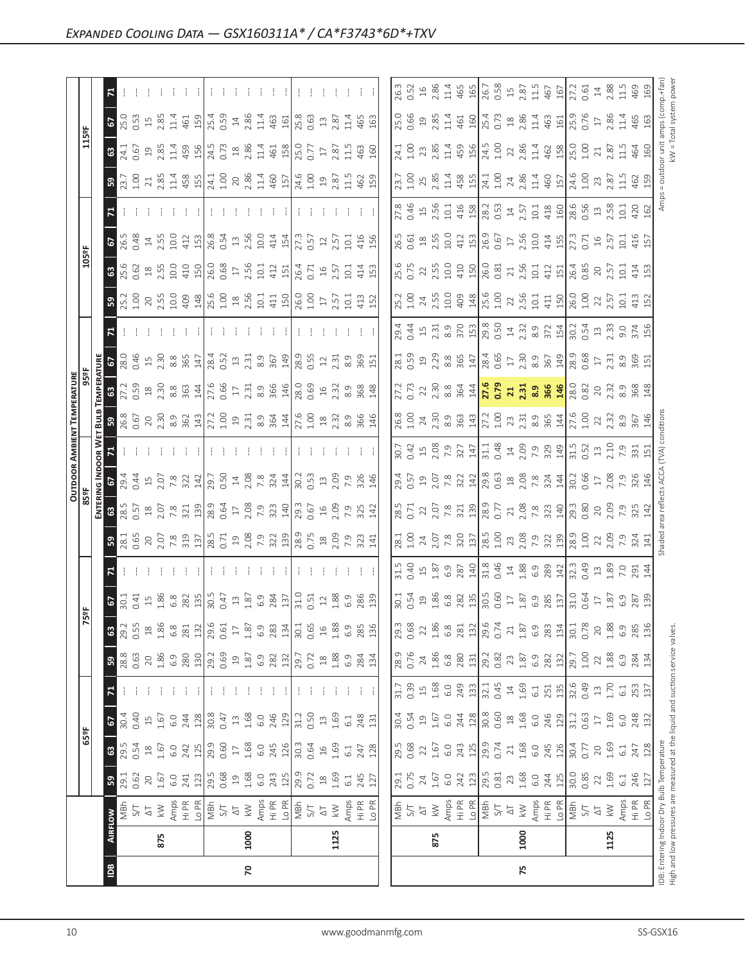|                                                                               |                |                                           |                                                                             |                 |                 |         |                                                   |                |                                                                                        |                                                                              |                                                                                                                                                                                                                                                                                                                                                   |                                                                                                                      |                                                                                                              |                                                                             | <b>OUTDOOR AMBIENT TEMPERATURE</b>                                                                                                                                     |                                                                                                                                                                                                                    |                                                                             |                                                                                                                                                                                                                                                                                                                       |                                                           |                              |                                          |                                    |                                                                                                                                                                                                                                                                                                                                                   |                                                                                          |                                                                   |                                                                                |
|-------------------------------------------------------------------------------|----------------|-------------------------------------------|-----------------------------------------------------------------------------|-----------------|-----------------|---------|---------------------------------------------------|----------------|----------------------------------------------------------------------------------------|------------------------------------------------------------------------------|---------------------------------------------------------------------------------------------------------------------------------------------------------------------------------------------------------------------------------------------------------------------------------------------------------------------------------------------------|----------------------------------------------------------------------------------------------------------------------|--------------------------------------------------------------------------------------------------------------|-----------------------------------------------------------------------------|------------------------------------------------------------------------------------------------------------------------------------------------------------------------|--------------------------------------------------------------------------------------------------------------------------------------------------------------------------------------------------------------------|-----------------------------------------------------------------------------|-----------------------------------------------------------------------------------------------------------------------------------------------------------------------------------------------------------------------------------------------------------------------------------------------------------------------|-----------------------------------------------------------|------------------------------|------------------------------------------|------------------------------------|---------------------------------------------------------------------------------------------------------------------------------------------------------------------------------------------------------------------------------------------------------------------------------------------------------------------------------------------------|------------------------------------------------------------------------------------------|-------------------------------------------------------------------|--------------------------------------------------------------------------------|
|                                                                               |                |                                           |                                                                             | 65°F            |                 |         |                                                   |                | 5°F                                                                                    |                                                                              |                                                                                                                                                                                                                                                                                                                                                   |                                                                                                                      | 85°F                                                                                                         |                                                                             |                                                                                                                                                                        | 95°F                                                                                                                                                                                                               |                                                                             |                                                                                                                                                                                                                                                                                                                       |                                                           | 105ºF                        |                                          |                                    |                                                                                                                                                                                                                                                                                                                                                   | 115°F                                                                                    |                                                                   |                                                                                |
|                                                                               |                |                                           |                                                                             |                 |                 |         |                                                   |                |                                                                                        |                                                                              |                                                                                                                                                                                                                                                                                                                                                   | ENTERI                                                                                                               |                                                                                                              | NG INDOOR WET                                                               | 힖                                                                                                                                                                      | <b>EMPERATURE</b>                                                                                                                                                                                                  |                                                                             |                                                                                                                                                                                                                                                                                                                       |                                                           |                              |                                          |                                    |                                                                                                                                                                                                                                                                                                                                                   |                                                                                          |                                                                   |                                                                                |
| $\overline{B}$                                                                | <b>AIRFLOW</b> |                                           | ${\tt S}$                                                                   | $\mathbbmss{3}$ | 2               | 71      | ${\tt S}$                                         | $\mathbb{S}^3$ | $S_{13}$                                                                               |                                                                              | <b>59</b><br>28.1                                                                                                                                                                                                                                                                                                                                 | 63<br>28.5<br>0.57                                                                                                   | $8^{5.7}_{4.4}$                                                                                              |                                                                             | ន $\vert$                                                                                                                                                              | $\mathbbmss{3}$                                                                                                                                                                                                    | 2                                                                           |                                                                                                                                                                                                                                                                                                                       | ${\tt S}$                                                 | $\frac{3}{2}$                | 67<br>26.5                               |                                    | ${\tt S3}$                                                                                                                                                                                                                                                                                                                                        | $\boldsymbol{\mathsf{c}}$                                                                | $\mathbf{c}$                                                      |                                                                                |
|                                                                               |                | MBh                                       | 29.1                                                                        | 29.5            | 30.4            |         | 28.8                                              | 29.2           |                                                                                        |                                                                              |                                                                                                                                                                                                                                                                                                                                                   |                                                                                                                      |                                                                                                              |                                                                             | 26.8<br>0.67                                                                                                                                                           | $\frac{1}{2}$<br>$\frac{1}{2}$<br>$\frac{1}{3}$<br>$\frac{1}{2}$<br>$\frac{1}{3}$<br><br>$\frac{1}{2}$<br><br><br><br><br><br><br><br><br><br><br><br><br><br><br><br><br><br><br><br><br><br><br><br><br><br><br> | 28.0<br>0.46                                                                |                                                                                                                                                                                                                                                                                                                       | 25.2<br>1.00                                              | 15.62                        |                                          |                                    | $\frac{13.7}{1.00}$                                                                                                                                                                                                                                                                                                                               | 24.1<br>0.67                                                                             | 25.0<br>0.53                                                      |                                                                                |
|                                                                               |                | 5/1                                       | 0.62                                                                        | 0.54            | 0.40            |         | 0.63                                              | 0.55           |                                                                                        |                                                                              |                                                                                                                                                                                                                                                                                                                                                   |                                                                                                                      |                                                                                                              |                                                                             |                                                                                                                                                                        |                                                                                                                                                                                                                    |                                                                             |                                                                                                                                                                                                                                                                                                                       |                                                           |                              |                                          |                                    |                                                                                                                                                                                                                                                                                                                                                   |                                                                                          |                                                                   |                                                                                |
|                                                                               |                | $\overline{\circ}$                        | $\gtrsim$                                                                   | $^{28}$         | $\overline{15}$ |         | $\gtrsim$                                         | $\frac{8}{18}$ | 1.86                                                                                   |                                                                              |                                                                                                                                                                                                                                                                                                                                                   |                                                                                                                      |                                                                                                              |                                                                             |                                                                                                                                                                        |                                                                                                                                                                                                                    | $\begin{array}{c} 15 \\ 2.30 \end{array}$                                   |                                                                                                                                                                                                                                                                                                                       | 20<br>2.55                                                | $^{28}$                      | $14\,$                                   |                                    |                                                                                                                                                                                                                                                                                                                                                   | $\overline{1}9$                                                                          | $15$<br>$2.85$                                                    |                                                                                |
|                                                                               | 875            | $\geq$                                    | 1.67                                                                        | 1.67            | 1.67            |         | 1.86                                              | 1.86           |                                                                                        |                                                                              |                                                                                                                                                                                                                                                                                                                                                   |                                                                                                                      | $15$<br>$7.8$<br>$7.8$<br>$322$                                                                              |                                                                             |                                                                                                                                                                        |                                                                                                                                                                                                                    |                                                                             |                                                                                                                                                                                                                                                                                                                       |                                                           | 2.55                         | 2.55                                     |                                    |                                                                                                                                                                                                                                                                                                                                                   | 2.85                                                                                     |                                                                   |                                                                                |
|                                                                               |                | Amps<br>Hi PR                             | 6.0                                                                         | 6.0             | 6.0             |         | 6.9                                               | 6.8            |                                                                                        |                                                                              |                                                                                                                                                                                                                                                                                                                                                   |                                                                                                                      |                                                                                                              |                                                                             |                                                                                                                                                                        | 8.8<br>363                                                                                                                                                                                                         | 8.8<br>365                                                                  |                                                                                                                                                                                                                                                                                                                       | 10.0<br>409                                               | 10.0                         | 10.0                                     |                                    |                                                                                                                                                                                                                                                                                                                                                   |                                                                                          | 11.4                                                              |                                                                                |
|                                                                               |                |                                           | 241                                                                         | 242             | 244             |         | 280                                               | 281            | $rac{8}{282}$ $rac{8}{19}$ $rac{1}{20}$ $rac{1}{20}$ $rac{1}{21}$ $rac{3}{21}$         |                                                                              |                                                                                                                                                                                                                                                                                                                                                   | $\begin{array}{c}\n 18 \\  2.07 \\  \hline\n 7.8 \\  3.21 \\  \hline\n 139 \\  0.64 \\  \hline\n 0.64\n \end{array}$ |                                                                                                              |                                                                             | $20$<br>$2.30$<br>$8.3$<br>$8.2$<br>$14$<br>$27.2$                                                                                                                     |                                                                                                                                                                                                                    |                                                                             |                                                                                                                                                                                                                                                                                                                       |                                                           | 410                          | 412                                      |                                    | $\begin{array}{c}\n 21 \\  2.85 \\  1.36 \\  2.45 \\  2.58 \\  2.50 \\  2.50 \\  2.50 \\  2.50 \\  2.50 \\  2.50 \\  2.50 \\  2.50 \\  2.50 \\  2.50 \\  2.50 \\  2.50 \\  2.50 \\  2.50 \\  2.50 \\  2.50 \\  2.50 \\  2.50 \\  2.50 \\  2.50 \\  2.50 \\  2.50 \\  2.50 \\  2.50 \\  2.50 \\  2.50 \\  2.50 \\  2.50 \\  2.50 \\  2.50 \\  2.5$ | $11.4$<br>$459$<br>$156$<br>$24.5$                                                       | 461                                                               |                                                                                |
|                                                                               |                | Lo PR                                     | 123                                                                         | 125             | 128             |         | 130                                               | 132            |                                                                                        |                                                                              |                                                                                                                                                                                                                                                                                                                                                   |                                                                                                                      | 142                                                                                                          |                                                                             |                                                                                                                                                                        | 144                                                                                                                                                                                                                | 147                                                                         |                                                                                                                                                                                                                                                                                                                       |                                                           | 150                          | 153                                      |                                    |                                                                                                                                                                                                                                                                                                                                                   |                                                                                          |                                                                   |                                                                                |
|                                                                               |                | MBh                                       | 29.5                                                                        | 29.9            | 30.8            |         | 29.2                                              | 29.6           |                                                                                        |                                                                              |                                                                                                                                                                                                                                                                                                                                                   |                                                                                                                      | 29.7<br>0.50                                                                                                 |                                                                             |                                                                                                                                                                        | 27.6                                                                                                                                                                                                               | 28.4                                                                        |                                                                                                                                                                                                                                                                                                                       | $\frac{148}{25.6}$                                        | 26.0                         | 26.8                                     |                                    |                                                                                                                                                                                                                                                                                                                                                   |                                                                                          | 159<br>25.4<br>0.59                                               |                                                                                |
|                                                                               |                | 5/1                                       | 0.68                                                                        | 0.60            | 0.47            |         | 0.69                                              | 0.61           |                                                                                        |                                                                              |                                                                                                                                                                                                                                                                                                                                                   |                                                                                                                      |                                                                                                              |                                                                             | $1.00$<br>$19$                                                                                                                                                         | 0.66                                                                                                                                                                                                               | 0.52                                                                        |                                                                                                                                                                                                                                                                                                                       |                                                           | 0.68                         | 0.54                                     |                                    |                                                                                                                                                                                                                                                                                                                                                   | 0.73                                                                                     |                                                                   |                                                                                |
|                                                                               |                | $\overline{\Delta}$                       | $\Xi$                                                                       | $\Box$          | $\Xi$           |         | $\overline{19}$                                   | $17$           |                                                                                        |                                                                              |                                                                                                                                                                                                                                                                                                                                                   |                                                                                                                      |                                                                                                              |                                                                             |                                                                                                                                                                        | $\overline{17}$                                                                                                                                                                                                    | $13$                                                                        |                                                                                                                                                                                                                                                                                                                       | $18$<br>$2.56$                                            | $17\,$                       | $13\,$                                   |                                    |                                                                                                                                                                                                                                                                                                                                                   | $^{28}$                                                                                  | $\ensuremath{\mathop{\mathbf{1}}}\xspace 4$                       |                                                                                |
| 20                                                                            | 1000           | $\geqslant$                               | 1.68                                                                        | 1.68            | 1.68            |         | 1.87                                              | $1.87\,$       | 1.87                                                                                   |                                                                              |                                                                                                                                                                                                                                                                                                                                                   |                                                                                                                      |                                                                                                              |                                                                             |                                                                                                                                                                        |                                                                                                                                                                                                                    | 2.31                                                                        |                                                                                                                                                                                                                                                                                                                       |                                                           | 2.56                         | 2.56                                     |                                    |                                                                                                                                                                                                                                                                                                                                                   | 2.86                                                                                     | 2.86                                                              |                                                                                |
|                                                                               |                | Amps                                      | 6.0                                                                         | 6.0             | 6.0             |         | 6.9                                               | 6.9            |                                                                                        |                                                                              |                                                                                                                                                                                                                                                                                                                                                   |                                                                                                                      |                                                                                                              |                                                                             |                                                                                                                                                                        |                                                                                                                                                                                                                    | 8.9                                                                         |                                                                                                                                                                                                                                                                                                                       | 10.1                                                      | 10.1                         | 10.0                                     |                                    |                                                                                                                                                                                                                                                                                                                                                   | 11.4                                                                                     | 11.4                                                              |                                                                                |
|                                                                               |                | 丘<br>王                                    | 243                                                                         | 245             | 246             |         | 282                                               | 283            | 284                                                                                    |                                                                              |                                                                                                                                                                                                                                                                                                                                                   | $\begin{array}{c} 17 \\ 2 \ 0 \\ 7 \ 0 \\ 8 \ 0 \\ 1 \end{array}$                                                    | $\frac{324}{144}$                                                                                            |                                                                             | $2.\overline{3}1$<br>$8.\overline{9}$<br>$364$<br>$144$                                                                                                                | $2.31$<br>8.9<br>366<br>146                                                                                                                                                                                        | 367<br>149                                                                  |                                                                                                                                                                                                                                                                                                                       | $411$ $50$                                                | 412<br>151                   | 414<br>154                               |                                    | $\begin{array}{c} 20 \\ 2.86 \\ 1.4 \\ 40 \\ \hline \end{array}$                                                                                                                                                                                                                                                                                  | 461                                                                                      | 463                                                               |                                                                                |
|                                                                               |                | Lo PR                                     | 125                                                                         | 126             | 129             |         | 132                                               | 134            |                                                                                        |                                                                              |                                                                                                                                                                                                                                                                                                                                                   |                                                                                                                      |                                                                                                              |                                                                             |                                                                                                                                                                        |                                                                                                                                                                                                                    |                                                                             |                                                                                                                                                                                                                                                                                                                       |                                                           |                              |                                          |                                    |                                                                                                                                                                                                                                                                                                                                                   |                                                                                          | 161                                                               |                                                                                |
|                                                                               |                | MBh                                       | 29.9                                                                        | 30.3            | 31.2            |         | 29.7                                              | 30.1           | $\frac{31.0}{0.51}$                                                                    |                                                                              |                                                                                                                                                                                                                                                                                                                                                   |                                                                                                                      | $\frac{30.2}{0.53}$                                                                                          |                                                                             | 27.6<br>1.00                                                                                                                                                           | 28.0                                                                                                                                                                                                               | 28.9                                                                        |                                                                                                                                                                                                                                                                                                                       | 26.0<br>1.00                                              | 26.4                         | 27.3                                     |                                    |                                                                                                                                                                                                                                                                                                                                                   | 25.0<br>0.77                                                                             | 25.8<br>0.63                                                      |                                                                                |
|                                                                               |                | $5/1$                                     | 0.72                                                                        | 0.64            | 0.50            |         | 0.72                                              | 0.65           |                                                                                        |                                                                              |                                                                                                                                                                                                                                                                                                                                                   |                                                                                                                      |                                                                                                              |                                                                             |                                                                                                                                                                        | 0.69                                                                                                                                                                                                               | 0.55                                                                        |                                                                                                                                                                                                                                                                                                                       |                                                           | 0.71                         | 0.57                                     |                                    |                                                                                                                                                                                                                                                                                                                                                   |                                                                                          |                                                                   |                                                                                |
|                                                                               |                | $\overline{\Delta}$                       | $\ensuremath{\mathop{\boxtimes}\limits^{\mathop{\mathop{\rm s}}\nolimits}}$ | $16$            | $\frac{1}{2}$   |         | $\overset{\text{\tiny \textsf{SO}}}{\rightarrow}$ | $\frac{16}{1}$ | $12\,$                                                                                 |                                                                              |                                                                                                                                                                                                                                                                                                                                                   |                                                                                                                      | $\Xi$                                                                                                        |                                                                             |                                                                                                                                                                        |                                                                                                                                                                                                                    | $\Xi$                                                                       |                                                                                                                                                                                                                                                                                                                       | $17\,$                                                    | $16$                         | $12$                                     |                                    |                                                                                                                                                                                                                                                                                                                                                   | $\Gamma$                                                                                 | $\Xi$                                                             |                                                                                |
|                                                                               | 1125           | $\geq$                                    | 1.69                                                                        | 1.69            | 1.69            |         | 1.88                                              | $1.88\,$       | 1.88                                                                                   |                                                                              |                                                                                                                                                                                                                                                                                                                                                   |                                                                                                                      |                                                                                                              |                                                                             |                                                                                                                                                                        | $16$<br>$2.32$                                                                                                                                                                                                     | 2.31                                                                        |                                                                                                                                                                                                                                                                                                                       | 2.57                                                      | 2.57                         | 2.57                                     |                                    | $\begin{array}{c} 24.6 \\ 1.00 \\ 1.9 \\ 2.87 \\ 1.5 \end{array}$                                                                                                                                                                                                                                                                                 | 2.87                                                                                     | 2.87                                                              |                                                                                |
|                                                                               |                | Amps                                      | 6.1                                                                         | 6.1             | $6.1$           |         | 6.9                                               | 6.9            | 6.9                                                                                    |                                                                              |                                                                                                                                                                                                                                                                                                                                                   |                                                                                                                      | 2.09<br>7.9<br>326<br>146                                                                                    |                                                                             |                                                                                                                                                                        |                                                                                                                                                                                                                    |                                                                             |                                                                                                                                                                                                                                                                                                                       | $\overline{10}$ .                                         | 10.1                         | 10.1                                     |                                    |                                                                                                                                                                                                                                                                                                                                                   | 11.5                                                                                     | 11.4                                                              |                                                                                |
|                                                                               |                | Hi PR                                     | 245                                                                         | 247             | 248             |         | 284                                               | 285            |                                                                                        |                                                                              |                                                                                                                                                                                                                                                                                                                                                   |                                                                                                                      |                                                                                                              |                                                                             |                                                                                                                                                                        |                                                                                                                                                                                                                    |                                                                             |                                                                                                                                                                                                                                                                                                                       | 413                                                       | 414                          | 416                                      |                                    |                                                                                                                                                                                                                                                                                                                                                   | 463                                                                                      | 465                                                               |                                                                                |
|                                                                               |                | Lo PR                                     | 127                                                                         | 128             | 131             |         | 134                                               | 136            | 286<br>139                                                                             |                                                                              |                                                                                                                                                                                                                                                                                                                                                   |                                                                                                                      |                                                                                                              |                                                                             |                                                                                                                                                                        | 388                                                                                                                                                                                                                | $3.59$<br>$3.51$                                                            |                                                                                                                                                                                                                                                                                                                       | 152                                                       | 153                          | 156                                      |                                    | 462<br>159                                                                                                                                                                                                                                                                                                                                        | 160                                                                                      | 163                                                               |                                                                                |
|                                                                               |                |                                           |                                                                             |                 |                 |         |                                                   |                |                                                                                        |                                                                              |                                                                                                                                                                                                                                                                                                                                                   |                                                                                                                      |                                                                                                              |                                                                             |                                                                                                                                                                        |                                                                                                                                                                                                                    |                                                                             |                                                                                                                                                                                                                                                                                                                       |                                                           |                              |                                          |                                    |                                                                                                                                                                                                                                                                                                                                                   |                                                                                          |                                                                   |                                                                                |
|                                                                               |                |                                           | 29.1                                                                        | 29.5            | 30.4            | 31.7    | 28.9                                              | 29.3           |                                                                                        | 31.5                                                                         | 28.1                                                                                                                                                                                                                                                                                                                                              | 28.5                                                                                                                 | 29.4                                                                                                         | 50.7                                                                        | 26.8                                                                                                                                                                   | 27.2                                                                                                                                                                                                               |                                                                             |                                                                                                                                                                                                                                                                                                                       | 25.2                                                      | 25.6                         | 26.5                                     |                                    | 23.7                                                                                                                                                                                                                                                                                                                                              | 24.1                                                                                     |                                                                   | 26.3                                                                           |
|                                                                               |                | NBh<br>S/T                                | 0.75                                                                        | 0.68            | 0.54            | 0.39    | 0.76                                              | 0.68           | 30.1<br>0.54                                                                           |                                                                              | $\frac{8}{100}$                                                                                                                                                                                                                                                                                                                                   | 0.71                                                                                                                 | 0.57                                                                                                         | 0.42                                                                        | 1.00                                                                                                                                                                   | 0.73                                                                                                                                                                                                               | 28.1<br>0.59                                                                |                                                                                                                                                                                                                                                                                                                       | 1.00                                                      | 0.75                         |                                          |                                    | 1.00                                                                                                                                                                                                                                                                                                                                              | 1.00                                                                                     | 25.0<br>0.66                                                      | 0.52                                                                           |
|                                                                               |                | $\overline{\circ}$                        | 24                                                                          | 22              | $\frac{9}{1}$   | $15$    | $24\,$                                            | 22             | $\overline{19}$                                                                        |                                                                              | $\overline{24}$                                                                                                                                                                                                                                                                                                                                   | $22\,$                                                                                                               | $\Xi$                                                                                                        |                                                                             | $24\,$                                                                                                                                                                 | $22\,$                                                                                                                                                                                                             | $\overline{c}$                                                              |                                                                                                                                                                                                                                                                                                                       |                                                           |                              |                                          |                                    |                                                                                                                                                                                                                                                                                                                                                   | 23                                                                                       | $\overline{19}$                                                   | $\frac{16}{1}$                                                                 |
|                                                                               | 875            | $\gtrapprox$                              | 1.67                                                                        | 1.67            | 1.67            | 1.68    | 1.86                                              | 1.86           | 1.86                                                                                   | 0.40<br>15<br>1.87                                                           |                                                                                                                                                                                                                                                                                                                                                   |                                                                                                                      |                                                                                                              |                                                                             |                                                                                                                                                                        |                                                                                                                                                                                                                    |                                                                             |                                                                                                                                                                                                                                                                                                                       | $24$<br>$2.55$                                            | $2.55$<br>$2.55$<br>$10.0$   | 0.61<br>18<br>2.55<br>10.0               | 27.8<br>0.46<br>15<br>2.56<br>10.1 | 2.85                                                                                                                                                                                                                                                                                                                                              | 2.85                                                                                     | 2.85                                                              | 2.86                                                                           |
|                                                                               |                | Amps                                      | 6.0                                                                         | 6.0             | 6.0             | $6.0$   | $6.8$                                             | 6.8            | $6.8$                                                                                  |                                                                              |                                                                                                                                                                                                                                                                                                                                                   | 2.07                                                                                                                 | 2.07                                                                                                         |                                                                             |                                                                                                                                                                        | $2.30$<br>8.8<br>364<br>144                                                                                                                                                                                        | $2.29$<br>8.8<br>365<br>147                                                 |                                                                                                                                                                                                                                                                                                                       | 10.0                                                      |                              |                                          |                                    |                                                                                                                                                                                                                                                                                                                                                   | 11.4                                                                                     | 11.4                                                              | 11.4                                                                           |
|                                                                               |                | $\frac{P}{T}$                             | 242                                                                         | 243             | 244             | 249     | 280                                               | 281            |                                                                                        |                                                                              |                                                                                                                                                                                                                                                                                                                                                   |                                                                                                                      |                                                                                                              |                                                                             |                                                                                                                                                                        |                                                                                                                                                                                                                    |                                                                             |                                                                                                                                                                                                                                                                                                                       | 409                                                       |                              | 412<br>153                               |                                    |                                                                                                                                                                                                                                                                                                                                                   | 459<br>156                                                                               | 461                                                               |                                                                                |
|                                                                               |                | Lo <sub>PR</sub>                          | 123                                                                         | 125             | 128             | 133     | 131                                               | 132            | $\frac{282}{130.5}$                                                                    | $rac{9}{287}$                                                                |                                                                                                                                                                                                                                                                                                                                                   |                                                                                                                      |                                                                                                              | $\begin{array}{c} 15 \\ 2.08 \\ 7.9 \\ 14 \end{array}$                      | $2.30$<br>$8.9$<br>$363$<br>$14$                                                                                                                                       |                                                                                                                                                                                                                    |                                                                             |                                                                                                                                                                                                                                                                                                                       | 148                                                       | 410<br>150                   |                                          |                                    | $\begin{bmatrix} 1.4 \\ 4.58 \\ 1.5 \end{bmatrix}$                                                                                                                                                                                                                                                                                                |                                                                                          | 160                                                               | 465<br>165                                                                     |
|                                                                               |                | MBh                                       | 29.5                                                                        | 29.9            | 30.8            | 32.1    | 29.2                                              | 29.6           |                                                                                        |                                                                              |                                                                                                                                                                                                                                                                                                                                                   |                                                                                                                      |                                                                                                              |                                                                             |                                                                                                                                                                        | 27.6<br>0.79                                                                                                                                                                                                       |                                                                             |                                                                                                                                                                                                                                                                                                                       | 25.6<br>1.00                                              |                              |                                          |                                    | 24.1<br>1.00                                                                                                                                                                                                                                                                                                                                      | 24.5<br>1.00                                                                             | 25.4<br>0.73                                                      |                                                                                |
|                                                                               |                | <b>S/T</b>                                | 0.81                                                                        | 0.74            | 0.60            | 0.45    | 0.82                                              | 0.74           |                                                                                        |                                                                              |                                                                                                                                                                                                                                                                                                                                                   |                                                                                                                      |                                                                                                              |                                                                             |                                                                                                                                                                        |                                                                                                                                                                                                                    |                                                                             |                                                                                                                                                                                                                                                                                                                       |                                                           | 26.0<br>0.81<br>2.56<br>2.56 |                                          |                                    |                                                                                                                                                                                                                                                                                                                                                   |                                                                                          |                                                                   |                                                                                |
|                                                                               |                | $\overline{\sim}$                         | 23                                                                          | $\geq 1$        | $^{28}$         | $\Xi$   | 23                                                | 21             |                                                                                        |                                                                              |                                                                                                                                                                                                                                                                                                                                                   |                                                                                                                      |                                                                                                              |                                                                             |                                                                                                                                                                        |                                                                                                                                                                                                                    |                                                                             |                                                                                                                                                                                                                                                                                                                       |                                                           |                              |                                          |                                    |                                                                                                                                                                                                                                                                                                                                                   |                                                                                          |                                                                   |                                                                                |
| 75                                                                            | 1000           | $\geqslant$                               | 1.68                                                                        | 1.68            | 1.68            | 1.69    | 1.87<br>6.9<br>282                                | $1.87\,$       |                                                                                        |                                                                              |                                                                                                                                                                                                                                                                                                                                                   |                                                                                                                      |                                                                                                              |                                                                             |                                                                                                                                                                        |                                                                                                                                                                                                                    |                                                                             |                                                                                                                                                                                                                                                                                                                       |                                                           |                              |                                          |                                    |                                                                                                                                                                                                                                                                                                                                                   |                                                                                          |                                                                   |                                                                                |
|                                                                               |                | Amps                                      | 6.0                                                                         | 6.0             | $6.0$           | $6.1\,$ |                                                   | 6.9            |                                                                                        |                                                                              |                                                                                                                                                                                                                                                                                                                                                   |                                                                                                                      |                                                                                                              |                                                                             |                                                                                                                                                                        |                                                                                                                                                                                                                    |                                                                             |                                                                                                                                                                                                                                                                                                                       |                                                           |                              |                                          |                                    |                                                                                                                                                                                                                                                                                                                                                   |                                                                                          |                                                                   |                                                                                |
|                                                                               |                | Hi PR                                     | 244                                                                         | 245             | 246             | 251     |                                                   | 283            | $\begin{array}{c}\n 17 \\  1.87 \\  6.9 \\  85 \\  7.8 \\  1.9 \\  0.64\n \end{array}$ | $\begin{array}{c} 31.8 \\ 0.46 \\ 1.88 \\ 6.8 \\ 2.81 \\ \hline \end{array}$ | $\begin{array}{c}\n 2.78 \\  7.83 \\  2.81 \\  3.81 \\  5.82 \\  6.83 \\  7.83 \\  7.83 \\  7.83 \\  7.83 \\  7.83 \\  7.83 \\  7.83 \\  7.83 \\  7.83 \\  7.83 \\  7.83 \\  7.83 \\  7.83 \\  7.83 \\  7.83 \\  7.83 \\  7.83 \\  7.83 \\  7.83 \\  7.83 \\  7.83 \\  7.83 \\  7.83 \\  7.83 \\  7.83 \\  7.83 \\  7.83 \\  7.83 \\  7.83 \\  7$ |                                                                                                                      | $\begin{array}{c c} 322 \\ 29.8 \\ 0.63 \\ 0.63 \\ 0.83 \\ 0.83 \\ 7.83 \\ 7.44 \\ 14 \\ \hline \end{array}$ | $\begin{array}{c} 31.1 \\ 0.48 \\ 2.09 \\ 7.9 \\ 329 \\ \hline \end{array}$ | $\frac{2}{2}$<br>$\frac{2}{3}$<br>$\frac{2}{3}$<br>$\frac{3}{3}$<br>$\frac{3}{3}$<br>$\frac{4}{3}$<br>$\frac{4}{3}$<br>$\frac{1}{2}$<br>$\frac{5}{3}$<br>$\frac{6}{3}$ | $7.33$ $8.8$ $48$ $8.3$                                                                                                                                                                                            | $\begin{array}{c} 28.4 \\ 0.65 \\ 1.7 \\ 2.30 \\ 8.9 \\ 149 \\ \end{array}$ | $29.4$ $\frac{1}{2}$ $\frac{1}{3}$ $\frac{1}{3}$ $\frac{1}{3}$ $\frac{1}{3}$ $\frac{1}{3}$ $\frac{1}{3}$ $\frac{1}{3}$ $\frac{1}{3}$ $\frac{1}{3}$ $\frac{1}{3}$ $\frac{1}{3}$ $\frac{1}{3}$ $\frac{1}{3}$ $\frac{1}{3}$ $\frac{1}{3}$ $\frac{1}{3}$ $\frac{1}{3}$ $\frac{1}{3}$ $\frac{1}{3}$ $\frac{1}{3}$ $\frac{$ | $22.56$<br>$2.56$<br>$1.19$<br>$2.50$<br>$1.00$<br>$2.50$ | 412                          | 26.9<br>0.67<br>17<br>2.56<br>415<br>155 |                                    | $\begin{array}{c}\n 24 \\  2.86 \\  1.46 \\  45 \\  \hline\n 14.60 \\  24.6 \\  1.00 \\  1.00\n \end{array}$                                                                                                                                                                                                                                      | $\begin{array}{c}\n 22 \\  2.86 \\  1.46 \\  4.50 \\  5.0 \\  1.0 \\  1.0\n \end{array}$ | $\begin{array}{c} 18 \\ 2.86 \\ 1.4 \\ 463 \\ \hline \end{array}$ | $\begin{array}{c} 26.7 \\ 0.58 \\ 1.8 \\ 2.87 \\ 1.5 \\ 467 \\ 10 \end{array}$ |
|                                                                               |                | Lo PR                                     | 125                                                                         | 126             | 129             | 135     | 132                                               | 134            |                                                                                        |                                                                              |                                                                                                                                                                                                                                                                                                                                                   |                                                                                                                      |                                                                                                              |                                                                             |                                                                                                                                                                        |                                                                                                                                                                                                                    |                                                                             |                                                                                                                                                                                                                                                                                                                       |                                                           | 151                          |                                          |                                    |                                                                                                                                                                                                                                                                                                                                                   |                                                                                          |                                                                   |                                                                                |
|                                                                               |                | NBh                                       | 30.0                                                                        | 30.4            | 31.2            | 32.6    | 29.7<br>1.00                                      | 30.1           |                                                                                        | $\frac{32.3}{0.49}$                                                          |                                                                                                                                                                                                                                                                                                                                                   | $\frac{29.3}{0.80}$                                                                                                  | $30.2$<br>0.66                                                                                               | $31.5$<br>0.52                                                              |                                                                                                                                                                        |                                                                                                                                                                                                                    | $\frac{28.9}{0.68}$                                                         | $30.2$<br>0.54<br>13<br>2.33                                                                                                                                                                                                                                                                                          |                                                           | $\frac{26.4}{0.85}$          | $\frac{27.3}{0.71}$                      |                                    |                                                                                                                                                                                                                                                                                                                                                   |                                                                                          | 25.9<br>0.76                                                      | 27.2<br>0.61                                                                   |
|                                                                               |                | $5\sqrt{ }$                               | 0.85                                                                        | 0.77            | 0.63            | 0.49    |                                                   | 0.78           |                                                                                        |                                                                              |                                                                                                                                                                                                                                                                                                                                                   |                                                                                                                      |                                                                                                              |                                                                             |                                                                                                                                                                        |                                                                                                                                                                                                                    |                                                                             |                                                                                                                                                                                                                                                                                                                       |                                                           |                              |                                          |                                    |                                                                                                                                                                                                                                                                                                                                                   |                                                                                          |                                                                   |                                                                                |
|                                                                               |                | $\overline{\triangle}$                    | 22                                                                          | $20$            | $17\,$          | $13$    | 22                                                | 20             |                                                                                        | 1.89                                                                         | $22$<br>$2.09$                                                                                                                                                                                                                                                                                                                                    | 2.09                                                                                                                 |                                                                                                              |                                                                             |                                                                                                                                                                        |                                                                                                                                                                                                                    |                                                                             |                                                                                                                                                                                                                                                                                                                       | 22                                                        | 20<br>2.57                   | $16$<br>$2.57$                           |                                    | 23                                                                                                                                                                                                                                                                                                                                                | $\frac{21}{2.87}$                                                                        | $17^{2.86}$                                                       | $14 \over 2.88$                                                                |
|                                                                               | 1125           | $\geq$                                    | 1.69                                                                        | 1.69            | 1.69            | 1.70    | 1.88                                              | $1.88\,$       |                                                                                        |                                                                              |                                                                                                                                                                                                                                                                                                                                                   |                                                                                                                      |                                                                                                              |                                                                             |                                                                                                                                                                        |                                                                                                                                                                                                                    | 2.31                                                                        |                                                                                                                                                                                                                                                                                                                       | 2.57                                                      |                              |                                          |                                    |                                                                                                                                                                                                                                                                                                                                                   |                                                                                          |                                                                   |                                                                                |
|                                                                               |                | Amps                                      | 6.1                                                                         | 6.1             | 6.0             | $6.1$   | 6.9                                               | 6.9            |                                                                                        |                                                                              | 7.9<br>324                                                                                                                                                                                                                                                                                                                                        | 7.9<br>325                                                                                                           | $\frac{17}{2.08}$<br>7.9                                                                                     | $13$<br>$7.9$<br>$7.9$<br>$331$                                             | $22$<br>$2.32$<br>$8.9$<br>$367$                                                                                                                                       |                                                                                                                                                                                                                    |                                                                             |                                                                                                                                                                                                                                                                                                                       | $\overline{10}$                                           | $\overline{10}$              | 10.1                                     |                                    | 11.5                                                                                                                                                                                                                                                                                                                                              | $\frac{15}{11}$                                                                          | 11.4                                                              | $\frac{5}{11}$                                                                 |
|                                                                               |                | Hi PR                                     | 246                                                                         | 247             | 248             | 253     | 284                                               | 285            | $\frac{1}{2}$ $\frac{5}{2}$ $\frac{3}{2}$ $\frac{3}{2}$ $\frac{3}{2}$                  | $5.81$<br>$2.51$                                                             |                                                                                                                                                                                                                                                                                                                                                   |                                                                                                                      |                                                                                                              |                                                                             |                                                                                                                                                                        |                                                                                                                                                                                                                    | $3.50$<br>$3.51$                                                            | 9.74<br>374<br>156                                                                                                                                                                                                                                                                                                    | 413<br>152                                                | 414<br>153                   | 416<br>157                               | 420                                | 462                                                                                                                                                                                                                                                                                                                                               | 464                                                                                      | 465                                                               | 469                                                                            |
|                                                                               |                | Lo PR                                     | 127                                                                         | 128             | 132             | 137     | 134                                               | 136            |                                                                                        |                                                                              | 141                                                                                                                                                                                                                                                                                                                                               | 142                                                                                                                  | 146                                                                                                          | 151                                                                         |                                                                                                                                                                        | 148                                                                                                                                                                                                                |                                                                             |                                                                                                                                                                                                                                                                                                                       |                                                           |                              |                                          | 162                                |                                                                                                                                                                                                                                                                                                                                                   | 160                                                                                      | 163                                                               | 169                                                                            |
|                                                                               |                | IDB: Entering Indoor Dry Bulb Temperature |                                                                             |                 |                 |         |                                                   |                |                                                                                        |                                                                              |                                                                                                                                                                                                                                                                                                                                                   | shaded area reflects ACCA                                                                                            |                                                                                                              | (TVA) condition                                                             |                                                                                                                                                                        |                                                                                                                                                                                                                    |                                                                             |                                                                                                                                                                                                                                                                                                                       |                                                           |                              |                                          |                                    |                                                                                                                                                                                                                                                                                                                                                   | Amps = outdoor unit amps (comp.+far                                                      |                                                                   |                                                                                |
| High and low pressures are measured at the liquid and suction service valves. |                |                                           |                                                                             |                 |                 |         |                                                   |                |                                                                                        |                                                                              |                                                                                                                                                                                                                                                                                                                                                   |                                                                                                                      |                                                                                                              |                                                                             |                                                                                                                                                                        |                                                                                                                                                                                                                    |                                                                             |                                                                                                                                                                                                                                                                                                                       |                                                           |                              |                                          |                                    |                                                                                                                                                                                                                                                                                                                                                   | kW = Total system powe                                                                   |                                                                   |                                                                                |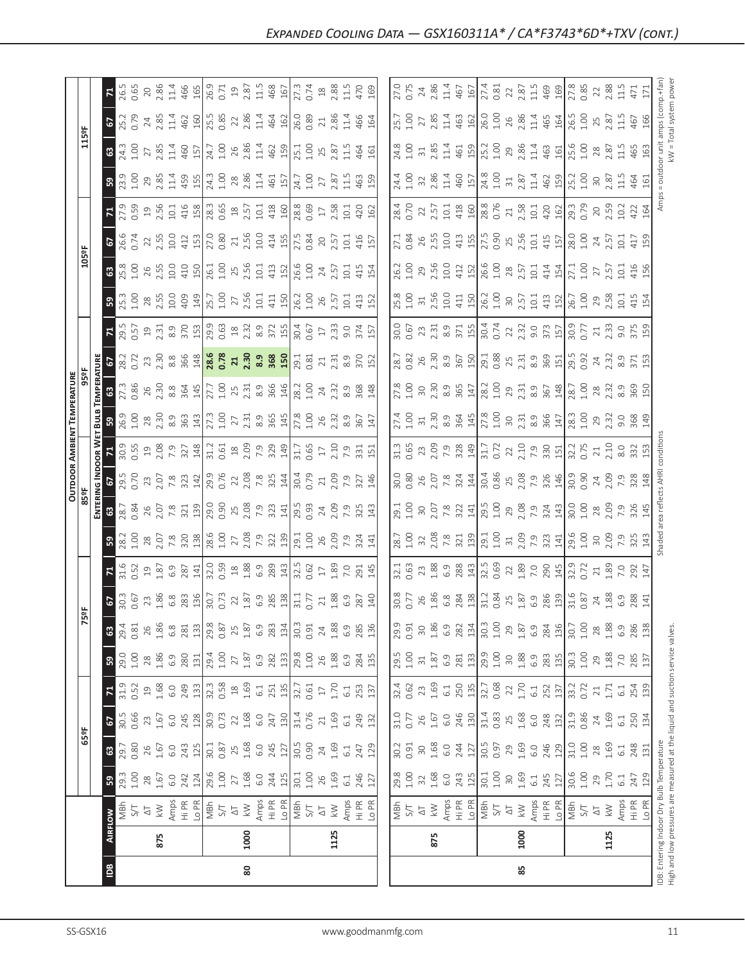|                                                                               |                |                               |                  |                 |                |              |                 |              |                                                 |                                           |                                                                                                                                                                                                                                                                                                                     |                                         |                                    |                                                                             | OUTDOOR AMBIENT TEMPERATURE                                                                                                                                      |                                                                                                                                      |                                                                                                                |                                                                                                                                                                                                                                                                                                                                                                                                                             |                                                                              |                                                                     |                                   |                                                                         |                |                           |                     |                                   |
|-------------------------------------------------------------------------------|----------------|-------------------------------|------------------|-----------------|----------------|--------------|-----------------|--------------|-------------------------------------------------|-------------------------------------------|---------------------------------------------------------------------------------------------------------------------------------------------------------------------------------------------------------------------------------------------------------------------------------------------------------------------|-----------------------------------------|------------------------------------|-----------------------------------------------------------------------------|------------------------------------------------------------------------------------------------------------------------------------------------------------------|--------------------------------------------------------------------------------------------------------------------------------------|----------------------------------------------------------------------------------------------------------------|-----------------------------------------------------------------------------------------------------------------------------------------------------------------------------------------------------------------------------------------------------------------------------------------------------------------------------------------------------------------------------------------------------------------------------|------------------------------------------------------------------------------|---------------------------------------------------------------------|-----------------------------------|-------------------------------------------------------------------------|----------------|---------------------------|---------------------|-----------------------------------|
|                                                                               |                |                               |                  | 65ºF            |                |              |                 |              | 5ºF                                             |                                           |                                                                                                                                                                                                                                                                                                                     | 85 <sup>e</sup> F                       |                                    |                                                                             |                                                                                                                                                                  |                                                                                                                                      |                                                                                                                |                                                                                                                                                                                                                                                                                                                                                                                                                             |                                                                              | 105°F                                                               |                                   |                                                                         |                | 115°F                     |                     |                                   |
|                                                                               |                |                               |                  |                 |                |              |                 |              |                                                 |                                           |                                                                                                                                                                                                                                                                                                                     |                                         | ENTERING INDOOR WET                |                                                                             | <b>Bulb</b>                                                                                                                                                      | <b>TEMPERATURE</b>                                                                                                                   |                                                                                                                |                                                                                                                                                                                                                                                                                                                                                                                                                             |                                                                              |                                                                     |                                   |                                                                         |                |                           |                     |                                   |
| $\overline{\mathsf{B}}$                                                       | <b>AIRFLOW</b> |                               | ${\tt S}$        | $\mathbbmss{3}$ | 2              | $\mathbf{z}$ | $\mathbbmss{S}$ | 63           |                                                 | Σ.                                        | $\mathbf{B}$                                                                                                                                                                                                                                                                                                        | $\mathbf{G}$                            |                                    |                                                                             | $50^{\circ}$                                                                                                                                                     | $\mathbf{3}$                                                                                                                         |                                                                                                                |                                                                                                                                                                                                                                                                                                                                                                                                                             | $\mathbb{S}$                                                                 | $\mathbf{G}$                                                        |                                   |                                                                         | 59             | $\boldsymbol{\mathsf{s}}$ | 2                   | $\mathbf{z}$                      |
|                                                                               |                | MBh<br>5/7                    | 29.3<br>1.00     | 0.80<br>29.7    | 30.5<br>0.66   | 31.9<br>0.52 | 29.0<br>1.00    | 0.81<br>29.4 | <b>67</b><br>30.3<br>0.67                       | 31.6<br>0.52                              | 28.2<br>1.00                                                                                                                                                                                                                                                                                                        | 28.7<br>0.84                            | 67<br>29.5                         | $\frac{1}{20.55}$                                                           | 26.9<br>1.00                                                                                                                                                     | 27.3                                                                                                                                 | <b>67</b><br>28.2<br>0.72                                                                                      | <b>E</b><br>29.57                                                                                                                                                                                                                                                                                                                                                                                                           | 25.3<br>1.00                                                                 | 25.8<br>1.00                                                        | 67<br>26.6<br>0.74                | 27.9<br>0.59                                                            | 23.9<br>1.00   | 24.3<br>1.00              | 0.79<br>25.2        | 26.5<br>0.65                      |
|                                                                               |                | $\overline{\small{\sim}}$     |                  | 26              | 23             | $\Xi$        | $28$            | 26           |                                                 | $\overline{1}9$                           |                                                                                                                                                                                                                                                                                                                     |                                         |                                    |                                                                             |                                                                                                                                                                  |                                                                                                                                      |                                                                                                                |                                                                                                                                                                                                                                                                                                                                                                                                                             |                                                                              |                                                                     |                                   |                                                                         | 29             | 27                        | 24                  | $20$                              |
|                                                                               | 875            | $\lesssim$                    | $28 \n1.67$      | 1.67            | 1.67           | 1.68         | 1.86            | 1.86         | $23 \n1.86$                                     |                                           | 28<br>2.07<br>7.8<br>320                                                                                                                                                                                                                                                                                            | 26<br>2.07<br>7.8                       | 23<br>2.07<br>7.8<br>323           | 19<br>2.08<br>7.9<br>327                                                    |                                                                                                                                                                  | 26<br>2.30                                                                                                                           |                                                                                                                |                                                                                                                                                                                                                                                                                                                                                                                                                             | 28<br>2.55                                                                   | 26<br>2.55                                                          | 2.55                              |                                                                         | 2.85           | 2.85                      | 2.85                | 2.86                              |
|                                                                               |                |                               | $6.0$            | $6.0$           | $6.0$          | 6.0          | 6.9             | 6.8          |                                                 | $1.87$<br>6.9<br>287                      |                                                                                                                                                                                                                                                                                                                     |                                         |                                    |                                                                             |                                                                                                                                                                  |                                                                                                                                      |                                                                                                                |                                                                                                                                                                                                                                                                                                                                                                                                                             |                                                                              | 10.0                                                                | 10.0                              |                                                                         | 11.4           | 11.4                      | 11.4                | 11.4                              |
|                                                                               |                | Amps<br>Hi PR                 | 242              | 243             | 245            | 249          | 280             | 281          | 6.8<br>283                                      |                                           |                                                                                                                                                                                                                                                                                                                     | 321                                     |                                    |                                                                             | $\frac{8}{2}$ $\frac{8}{3}$ $\frac{6}{3}$ $\frac{6}{3}$ $\frac{10}{2}$ $\frac{10}{2}$ $\frac{10}{2}$ $\frac{10}{2}$ $\frac{10}{2}$ $\frac{10}{2}$ $\frac{10}{2}$ | 8.8<br>364                                                                                                                           | 23 8 8 9 9 9 0 2 3 9 9 9 1 9 9 0 2 3 9 9 0 2 9 9 0 2 3 9 9 0 2 9 9 0 2 3 9 9 0 2 9 9 0 2 4 9 0 2 9 0 2 9 0 2 9 | $\begin{array}{c c c c c c c c c} \hline \texttt{m} & \texttt{m} & \texttt{m} & \texttt{m} & \texttt{m} \\ \hline \texttt{m} & \texttt{m} & \texttt{m} & \texttt{m} & \texttt{m} & \texttt{m} & \texttt{m} \\ \hline \texttt{m} & \texttt{m} & \texttt{m} & \texttt{m} & \texttt{m} & \texttt{m} & \texttt{m} & \texttt{m} \\ \hline \texttt{m} & \texttt{m} & \texttt{m} & \texttt{m} & \texttt{m} & \texttt{m} & \texttt$ | 10.0<br>409                                                                  | 410                                                                 | 412                               | $9,56$<br>$2,54$<br>$4,58$                                              | 459<br>155     | 460                       | 462                 | 466                               |
|                                                                               |                | Lo PR                         | 124              | 125             | 128            | 133          | 131             | 133          | 136                                             | 141                                       | $\begin{array}{c} 138 \\ 28.6 \\ 1.00 \\ 2.08 \\ 7.9 \\ \end{array}$                                                                                                                                                                                                                                                | $\frac{39}{2}$                          | $\frac{142}{29.9}$                 | 148                                                                         |                                                                                                                                                                  | $\frac{145}{27.7}$                                                                                                                   |                                                                                                                |                                                                                                                                                                                                                                                                                                                                                                                                                             | $\frac{149}{2}$                                                              |                                                                     | 153                               |                                                                         |                | 157                       | $\frac{160}{25.85}$ | 165                               |
|                                                                               |                | Hg<br>N                       | 29.6             | 30.1            | 30.9           | 32.3         | 29.4            | 29.8         | 30.7                                            | 32.0                                      |                                                                                                                                                                                                                                                                                                                     | 0.90<br>0.90<br>2.08<br>7.9             |                                    | $\begin{array}{c} 31.2 \\ 0.61 \\ 2.09 \\ 7.9 \\ 9.2 \\ 1.9 \\ \end{array}$ |                                                                                                                                                                  |                                                                                                                                      |                                                                                                                |                                                                                                                                                                                                                                                                                                                                                                                                                             | $\overline{\frac{25}{7}}$                                                    | 26.1                                                                | 27.0                              | $28.3$<br>0.65<br>18<br>2.57                                            | 24.3           | 24.7                      |                     | 26.9<br>0.71                      |
|                                                                               |                |                               | 1.00             | 0.87            | 0.73           | 0.58         | 1.00            | 0.87         | 0.73                                            | 0.59                                      |                                                                                                                                                                                                                                                                                                                     |                                         |                                    |                                                                             |                                                                                                                                                                  |                                                                                                                                      |                                                                                                                |                                                                                                                                                                                                                                                                                                                                                                                                                             | 1.00                                                                         | 1.00                                                                | 0.80                              |                                                                         | 1.00           | 1.00                      |                     |                                   |
|                                                                               |                | $\Delta \top$                 | $\overline{27}$  | 25              | $22\,$         | $^{28}$      | 27              | 25           | 22                                              | $\begin{array}{c} 18 \\ 1.88 \end{array}$ |                                                                                                                                                                                                                                                                                                                     |                                         |                                    |                                                                             |                                                                                                                                                                  |                                                                                                                                      |                                                                                                                |                                                                                                                                                                                                                                                                                                                                                                                                                             | 27                                                                           | 25<br>2.56                                                          | 21                                |                                                                         | 28<br>2.86     | 26                        | 22<br>2.86          |                                   |
| $80\,$                                                                        | 1000           | $\leqslant$                   | 1.68             | 1.68            | 1.68           | 1.69         | 1.87            | $1.87\,$     | 1.87                                            |                                           |                                                                                                                                                                                                                                                                                                                     |                                         |                                    |                                                                             |                                                                                                                                                                  |                                                                                                                                      |                                                                                                                |                                                                                                                                                                                                                                                                                                                                                                                                                             | 2.56                                                                         |                                                                     | 2.56<br>10.0                      |                                                                         |                | 2.86                      |                     |                                   |
|                                                                               |                | Amps                          | 6.0              | 6.0             | 6.0            | $6.1$        | 6.9             | 6.9          |                                                 | 6.9                                       |                                                                                                                                                                                                                                                                                                                     |                                         |                                    |                                                                             |                                                                                                                                                                  |                                                                                                                                      |                                                                                                                |                                                                                                                                                                                                                                                                                                                                                                                                                             | 10.1                                                                         | 10.1                                                                |                                   | 10.1                                                                    | 11.4           | 11.4                      | 11.4                | $19$<br>$2.87$<br>$11.5$<br>$468$ |
|                                                                               |                | Hi PR                         | 244              | 245             | 247            | 251<br>135   | 282<br>133      | 283          | 6.9<br>285<br>138                               | 289<br>143                                |                                                                                                                                                                                                                                                                                                                     |                                         | $2,08$<br>$7,8$<br>$3,25$<br>$144$ |                                                                             | 355                                                                                                                                                              | $1.00$<br>$2.5$<br>$2.3$<br>$3.9$<br>$3.66$<br>$146$                                                                                 | 368<br>150                                                                                                     |                                                                                                                                                                                                                                                                                                                                                                                                                             | 411<br>150                                                                   | 413                                                                 | 414<br>155                        | 418<br>160                                                              | 461<br>157     | 462                       | 464                 |                                   |
|                                                                               |                | Lo PR                         | 125              | 127             | 130            |              |                 | 134          |                                                 |                                           |                                                                                                                                                                                                                                                                                                                     |                                         |                                    |                                                                             |                                                                                                                                                                  |                                                                                                                                      |                                                                                                                |                                                                                                                                                                                                                                                                                                                                                                                                                             |                                                                              | 152                                                                 |                                   |                                                                         |                | 159                       | 162                 | 167                               |
|                                                                               |                | $\frac{1}{2}$ SV              | 30.1             | 30.5            | 31.4           | 32.7         | 29.8            | 30.3         | $\frac{31.1}{0.77}$                             | $32.5$<br>0.62<br>17                      | $\frac{22}{13}$ $\frac{21}{13}$ $\frac{25}{13}$ $\frac{6}{13}$                                                                                                                                                                                                                                                      | $\frac{323}{141}$<br>$\frac{141}{29.5}$ | $30.4$<br>0.79                     | 31.7<br>0.65<br>17                                                          | 27.8<br>1.00                                                                                                                                                     | 28.2<br>1.00                                                                                                                         | $\frac{29.1}{0.81}$                                                                                            | $30.4$<br>0.67<br>17<br>2.33<br>9.0                                                                                                                                                                                                                                                                                                                                                                                         | 26.2<br>1.00                                                                 | 26.6<br>1.00                                                        | $\frac{1}{27.5}$                  |                                                                         | 24.7           | 25.1                      | 26.0<br>0.89        | 27.3                              |
|                                                                               |                |                               | 1.00             | 0.90            | 0.76           | 0.61         | $1.00$          | 0.91         |                                                 |                                           |                                                                                                                                                                                                                                                                                                                     |                                         |                                    |                                                                             |                                                                                                                                                                  |                                                                                                                                      |                                                                                                                |                                                                                                                                                                                                                                                                                                                                                                                                                             |                                                                              |                                                                     | 0.84                              |                                                                         | 1.00           | 1.00                      |                     | 0.74                              |
|                                                                               |                | $\overline{\vartriangleleft}$ | 26               | $24\,$          | $21\,$         | $\Box$       | 26              | 24           | 21                                              |                                           |                                                                                                                                                                                                                                                                                                                     |                                         | $\gtrsim$                          |                                                                             |                                                                                                                                                                  |                                                                                                                                      | $\overline{\text{21}}$                                                                                         |                                                                                                                                                                                                                                                                                                                                                                                                                             |                                                                              | 24                                                                  |                                   |                                                                         | 27             | 25                        | $21\,$              | $^{28}$                           |
|                                                                               | 1125           | $\geqslant$                   | 1.69             | 1.69            | 1.69           | 1.70         | 1.88            | $1.88\,$     | 1.88                                            | 1.89                                      |                                                                                                                                                                                                                                                                                                                     | $24$<br>$2.09$                          | 2.09                               | 2.10                                                                        | 26<br>2.32                                                                                                                                                       | $24$<br>$2.32$                                                                                                                       | 2.31                                                                                                           |                                                                                                                                                                                                                                                                                                                                                                                                                             | 257                                                                          | 2.57                                                                | 20<br>2.57                        |                                                                         | 2.87           | 2.87                      | 2.86                |                                   |
|                                                                               |                | Amps                          | 61               | $6.1$           | 6.1            | $6.1\,$      | 6.9             | 6.9          | 6.9                                             | 7.0                                       |                                                                                                                                                                                                                                                                                                                     | 7.9                                     |                                    |                                                                             |                                                                                                                                                                  |                                                                                                                                      | 8.9                                                                                                            |                                                                                                                                                                                                                                                                                                                                                                                                                             | 10.1                                                                         | $\overline{10}$                                                     | 10.1                              | 2.58<br>10.1                                                            | $\frac{5}{11}$ | $\frac{1}{11}$            | 11.4                | 2.88<br>11.5                      |
|                                                                               |                |                               | 246              | 247             | 249            | 253          | 284             |              | 287                                             | 291                                       | 7.9<br>324                                                                                                                                                                                                                                                                                                          | 325                                     | $7.9$<br>327                       | 7.9<br>331                                                                  | 8.9<br>367                                                                                                                                                       | 8.9<br>368                                                                                                                           | 370                                                                                                            |                                                                                                                                                                                                                                                                                                                                                                                                                             | 413                                                                          | 415                                                                 | 416                               | 420                                                                     | 463            | 464                       | 466                 | 470                               |
|                                                                               |                | Hi PR<br>Lo PR                | 127              | 129             | 132            | 137          | 135             | 285<br>136   | 140                                             | 145                                       | 141                                                                                                                                                                                                                                                                                                                 | 143                                     | 146                                | 151                                                                         | 147                                                                                                                                                              | 148                                                                                                                                  | 152                                                                                                            | 374<br>157                                                                                                                                                                                                                                                                                                                                                                                                                  | 152                                                                          | 154                                                                 | 157                               | 162                                                                     | 159            | 161                       | 164                 | 169                               |
|                                                                               |                |                               |                  |                 |                |              |                 |              |                                                 |                                           |                                                                                                                                                                                                                                                                                                                     |                                         |                                    |                                                                             |                                                                                                                                                                  |                                                                                                                                      |                                                                                                                |                                                                                                                                                                                                                                                                                                                                                                                                                             |                                                                              |                                                                     |                                   |                                                                         |                |                           |                     |                                   |
|                                                                               |                |                               | 29.8             |                 | 31.0           | 32.4         | 29.5            | 29.9         |                                                 | 32.1                                      | 28.7                                                                                                                                                                                                                                                                                                                | 29.1                                    | 50.0                               | 31.3                                                                        | 27.4                                                                                                                                                             | 27.8                                                                                                                                 | 28.7                                                                                                           |                                                                                                                                                                                                                                                                                                                                                                                                                             |                                                                              | 26.2                                                                | 27.1                              |                                                                         |                | 24.8                      | 25.7                | 27.0                              |
|                                                                               |                | 지<br>S/T                      | 1.00             | $30.2$<br>0.91  | 0.77           | 0.62         | 1.00            | 0.91         | 30.8<br>0.77                                    | 0.63                                      |                                                                                                                                                                                                                                                                                                                     | 1.00                                    | 0.80                               | 0.65                                                                        | 1.00                                                                                                                                                             | 001                                                                                                                                  | 0.82                                                                                                           | 30.0                                                                                                                                                                                                                                                                                                                                                                                                                        | 25.8<br>1.00                                                                 | 1.00                                                                | 0.84                              | 28.4<br>0.70                                                            | 24.4<br>1.00   | 1.00                      |                     | 0.75                              |
|                                                                               |                | $\overline{\triangle}$        | $32$             | $30\,$          | 26             | 23           | $\overline{31}$ | $30$         | 26                                              |                                           |                                                                                                                                                                                                                                                                                                                     |                                         |                                    |                                                                             | $\overline{31}$                                                                                                                                                  | 30                                                                                                                                   | 26                                                                                                             |                                                                                                                                                                                                                                                                                                                                                                                                                             | $31$                                                                         | 29                                                                  |                                   |                                                                         | 32             | $\overline{31}$           | $1.00$<br>$27$      | 24                                |
|                                                                               | 875            | $\gtrapprox$                  | 1.68             | 1.68            | 1.67           | 1.69         | 1.87            | 1.86         |                                                 |                                           |                                                                                                                                                                                                                                                                                                                     |                                         |                                    |                                                                             |                                                                                                                                                                  |                                                                                                                                      |                                                                                                                |                                                                                                                                                                                                                                                                                                                                                                                                                             |                                                                              |                                                                     |                                   |                                                                         | 2.86           | 2.85                      |                     |                                   |
|                                                                               |                |                               | 6.0              | $6.0\,$         | $6.0$          | $6.1$        | 6.9             | 6.9          | 1.86<br>6.8                                     | 23<br>1.88<br>6.9<br>288                  |                                                                                                                                                                                                                                                                                                                     |                                         |                                    |                                                                             |                                                                                                                                                                  |                                                                                                                                      | $2.30$<br>8.9                                                                                                  |                                                                                                                                                                                                                                                                                                                                                                                                                             |                                                                              |                                                                     | $2.55$<br>$10.0$                  |                                                                         | 11.4           | 11.4                      | $2.85$<br>11.4      | $2.86$<br>11.4                    |
|                                                                               |                | Amps<br>Hi PR                 | 243              | 244             |                | 250          |                 | 282          |                                                 |                                           |                                                                                                                                                                                                                                                                                                                     |                                         |                                    |                                                                             |                                                                                                                                                                  |                                                                                                                                      |                                                                                                                |                                                                                                                                                                                                                                                                                                                                                                                                                             |                                                                              |                                                                     |                                   |                                                                         |                | 461                       | 463                 | 467                               |
|                                                                               |                | Lo PR                         | 125              | 127             | 246<br>130     | 135          | 281             | 134          | $\frac{28}{31}$ $\frac{28}{31}$ $\frac{34}{30}$ |                                           | $\frac{1}{2}$ $\frac{3}{2}$ $\frac{3}{2}$ $\frac{8}{2}$ $\frac{8}{2}$ $\frac{3}{2}$ $\frac{1}{2}$ $\frac{9}{2}$ $\frac{1}{2}$ $\frac{3}{2}$ $\frac{3}{2}$ $\frac{3}{2}$ $\frac{3}{2}$ $\frac{3}{2}$ $\frac{3}{2}$ $\frac{3}{2}$ $\frac{3}{2}$ $\frac{3}{2}$ $\frac{3}{2}$ $\frac{3}{2}$ $\frac{3}{2}$ $\frac{3}{2}$ |                                         |                                    |                                                                             | $\begin{array}{c} 2.30 \\ 8.9 \\ 864 \\ 145 \\ 2.50 \\ 1.00 \\ 3.31 \\ 2.31 \\ \end{array}$                                                                      | $\frac{2}{3}$<br>$\frac{3}{8}$<br>$\frac{3}{8}$<br>$\frac{1}{2}$<br>$\frac{1}{2}$<br>$\frac{2}{3}$<br>$\frac{2}{3}$<br>$\frac{1}{2}$ | $\frac{150}{150}$                                                                                              |                                                                                                                                                                                                                                                                                                                                                                                                                             | $2.56$<br>$2.51$<br>$2.50$<br>$2.50$<br>$2.51$<br>$2.51$<br>$2.52$<br>$2.52$ | $2.56$<br>$4.2$<br>$4.2$                                            | $413$<br>$155$<br>$7.5$<br>$0.90$ | $\begin{array}{c} 22 \\ 2.5 \\ 1.5 \\ 2.4 \\ 2.6 \\ \hline \end{array}$ | 460            | $\frac{159}{25.2}$        | $\frac{162}{2}$     | 167                               |
|                                                                               |                | $\frac{1}{2}$ &               | $30.1$<br>$1.00$ | 30.5<br>0.97    | $31.4$<br>0.83 | 32.7         | 29.9            | 30.3         |                                                 | $\frac{143}{32.5}$                        |                                                                                                                                                                                                                                                                                                                     |                                         |                                    |                                                                             |                                                                                                                                                                  |                                                                                                                                      | 29.1<br>0.88                                                                                                   |                                                                                                                                                                                                                                                                                                                                                                                                                             |                                                                              | $\frac{26.6}{1.00}$                                                 |                                   |                                                                         | 24.8<br>1.00   |                           | $\frac{0}{26.0}$    | $27.4$<br>0.81                    |
|                                                                               |                |                               |                  |                 |                | 0.68         | $1.00$          | $1.00\,$     |                                                 |                                           |                                                                                                                                                                                                                                                                                                                     |                                         |                                    |                                                                             |                                                                                                                                                                  |                                                                                                                                      |                                                                                                                |                                                                                                                                                                                                                                                                                                                                                                                                                             |                                                                              |                                                                     |                                   |                                                                         |                | 1.00                      |                     |                                   |
|                                                                               |                | $\overline{\Delta}$           | $\Im$            | 29              | 25             | $22\,$       | $30\,$          | 29           |                                                 |                                           |                                                                                                                                                                                                                                                                                                                     |                                         |                                    |                                                                             |                                                                                                                                                                  | 2.31                                                                                                                                 |                                                                                                                |                                                                                                                                                                                                                                                                                                                                                                                                                             |                                                                              |                                                                     |                                   |                                                                         | $\approx$      | 29                        | 26<br>2.86          | 22                                |
| 85                                                                            | 1000           | $\leqslant$                   | 1.69             | 1.69            | 1.68           | 1.70         | 1.88            | $1.87\,$     | $7.87$ 6.9 $8.89$                               | $22$<br>$1.89$<br>$7.0$<br>$290$          |                                                                                                                                                                                                                                                                                                                     |                                         |                                    |                                                                             |                                                                                                                                                                  |                                                                                                                                      |                                                                                                                |                                                                                                                                                                                                                                                                                                                                                                                                                             |                                                                              | $\begin{array}{c} 28 \\ 2.57 \\ 10.1 \\ 4.54 \\ \hline \end{array}$ | $2.56$<br>$10.1$<br>$415$         |                                                                         | 2.87           | 2.86                      |                     | 2.87<br>11.5<br>469               |
|                                                                               |                | Amps<br>Hi PR                 | $6.1$            | $6.0$           | $6.0$          | $6.1$        | 6.9             | 6.9          |                                                 |                                           |                                                                                                                                                                                                                                                                                                                     |                                         |                                    |                                                                             |                                                                                                                                                                  |                                                                                                                                      |                                                                                                                |                                                                                                                                                                                                                                                                                                                                                                                                                             |                                                                              |                                                                     |                                   |                                                                         | 11.4           | 11.4                      | 11.4                |                                   |
|                                                                               |                |                               | 245              | 246             | 248            | 252          | 283             | 284          |                                                 |                                           |                                                                                                                                                                                                                                                                                                                     |                                         |                                    |                                                                             | 8.9<br>366<br>147                                                                                                                                                | 8.9<br>367<br>148                                                                                                                    |                                                                                                                |                                                                                                                                                                                                                                                                                                                                                                                                                             |                                                                              |                                                                     |                                   |                                                                         | 462            | 463                       | 465                 |                                   |
|                                                                               |                | Lo PR                         | 127              | 129             | 132            | 137          | 135             | 136          |                                                 | 145                                       |                                                                                                                                                                                                                                                                                                                     |                                         |                                    |                                                                             |                                                                                                                                                                  |                                                                                                                                      |                                                                                                                |                                                                                                                                                                                                                                                                                                                                                                                                                             |                                                                              |                                                                     | 157                               |                                                                         |                | 161                       | 164                 | 169                               |
|                                                                               |                | MBh                           | $30.6$<br>$1.00$ | 31.0            | 31.9           | 33.2         | 30.3            | 30.7         | 31.6                                            | 32.9                                      |                                                                                                                                                                                                                                                                                                                     | $30.0$<br>$1.00$                        |                                    | 32.2<br>0.75                                                                | 28.3                                                                                                                                                             | 28.7                                                                                                                                 | $25.31$<br>$2.31$<br>$8.9$<br>$369$<br>$151$<br>$29.3$<br>$0.92$                                               | 30.9<br>0.77                                                                                                                                                                                                                                                                                                                                                                                                                | 26.7<br>1.00                                                                 | 27.1                                                                | 28.0                              | 29.3                                                                    | 25.2           | 25.6                      | 26.5                | 27.8<br>0.85                      |
|                                                                               |                | $5\sqrt{ }$                   |                  | 1.00            | 0.86           | 0.72         | $1.00$          | $1.00$       | 0.87                                            | 0.72                                      |                                                                                                                                                                                                                                                                                                                     |                                         |                                    |                                                                             | 1.00                                                                                                                                                             | 1.00                                                                                                                                 |                                                                                                                |                                                                                                                                                                                                                                                                                                                                                                                                                             |                                                                              | 001                                                                 | 001                               |                                                                         | 1.00           | $\overline{1.00}$         | 001                 |                                   |
|                                                                               |                | $\Delta\top$                  | 29               | $28$            | 24             | $21\,$       | 29              | 28           | $\frac{24}{1.88}$                               | $21\,$                                    | $30\,$                                                                                                                                                                                                                                                                                                              | $28$<br>$2.09$                          | $24$<br>$2.09$                     | 2.10                                                                        | 29<br>2.32                                                                                                                                                       | $28$<br>$2.32$                                                                                                                       | $24$<br>$2.32$                                                                                                 | $21$<br>$2.33$                                                                                                                                                                                                                                                                                                                                                                                                              | 29<br>2.58                                                                   | 27                                                                  | $24$<br>$2.57$                    | 20<br>2.59                                                              | $30\,$         | $28$                      | 25                  |                                   |
|                                                                               | 1125           | $\lesssim$                    | 1.70             | 1.69            | 1.69           | 1.71         | 1.88            | 1.88         |                                                 | 1.89                                      | 2.09                                                                                                                                                                                                                                                                                                                |                                         |                                    |                                                                             |                                                                                                                                                                  |                                                                                                                                      |                                                                                                                |                                                                                                                                                                                                                                                                                                                                                                                                                             |                                                                              | 2.57                                                                |                                   |                                                                         | 2.87           | 2.87                      | 2.87                | 22<br>2.88<br>11.5                |
|                                                                               |                | Amps                          | 6.1              | 6.1             | 6.1            | 6.1          | 7.0             | 6.9          |                                                 | 7.0                                       | 7.9                                                                                                                                                                                                                                                                                                                 | 7.9                                     | 7.9<br>328                         | $8.0\,$                                                                     | 9.0                                                                                                                                                              | 8.9                                                                                                                                  |                                                                                                                |                                                                                                                                                                                                                                                                                                                                                                                                                             | $\overline{a}$                                                               | $\overline{5}$                                                      | $\overline{10}$                   | 10.2                                                                    | 11.5           | $\frac{15}{11}$           | 11.5                |                                   |
|                                                                               |                | Hi PR                         | 247              | 248             | 250            | 254          | 285             | 286          | G.9<br>288<br>141                               | 292                                       | 325                                                                                                                                                                                                                                                                                                                 | 326                                     |                                    | 332                                                                         | 368                                                                                                                                                              | 369                                                                                                                                  | 371                                                                                                            | 9.0<br>375<br>159                                                                                                                                                                                                                                                                                                                                                                                                           | 415<br>154                                                                   | 416<br>156                                                          | 417                               | 422<br>164                                                              | 464            | 465                       | 467                 | 471                               |
|                                                                               |                | Lo PR                         | 129              | 131             | 134            | 139          | 137             | 138          |                                                 | 147                                       |                                                                                                                                                                                                                                                                                                                     | 145                                     |                                    |                                                                             | 149                                                                                                                                                              | 150                                                                                                                                  |                                                                                                                |                                                                                                                                                                                                                                                                                                                                                                                                                             |                                                                              |                                                                     | 159                               |                                                                         | 161            | 163                       | 166                 |                                   |
| IDB: Entering Indoor Dry Bulb Temperature                                     |                |                               |                  |                 |                |              |                 |              |                                                 |                                           | Shaded                                                                                                                                                                                                                                                                                                              | area reflects AHRI                      |                                    | condition                                                                   |                                                                                                                                                                  |                                                                                                                                      |                                                                                                                |                                                                                                                                                                                                                                                                                                                                                                                                                             |                                                                              |                                                                     |                                   |                                                                         | outdoor unit   |                           | amps (comp.+fan     |                                   |
| High and low pressures are measured at the liquid and suction service valves. |                |                               |                  |                 |                |              |                 |              |                                                 |                                           |                                                                                                                                                                                                                                                                                                                     |                                         |                                    |                                                                             |                                                                                                                                                                  |                                                                                                                                      |                                                                                                                |                                                                                                                                                                                                                                                                                                                                                                                                                             |                                                                              |                                                                     |                                   |                                                                         |                | kW = Total system powe    |                     |                                   |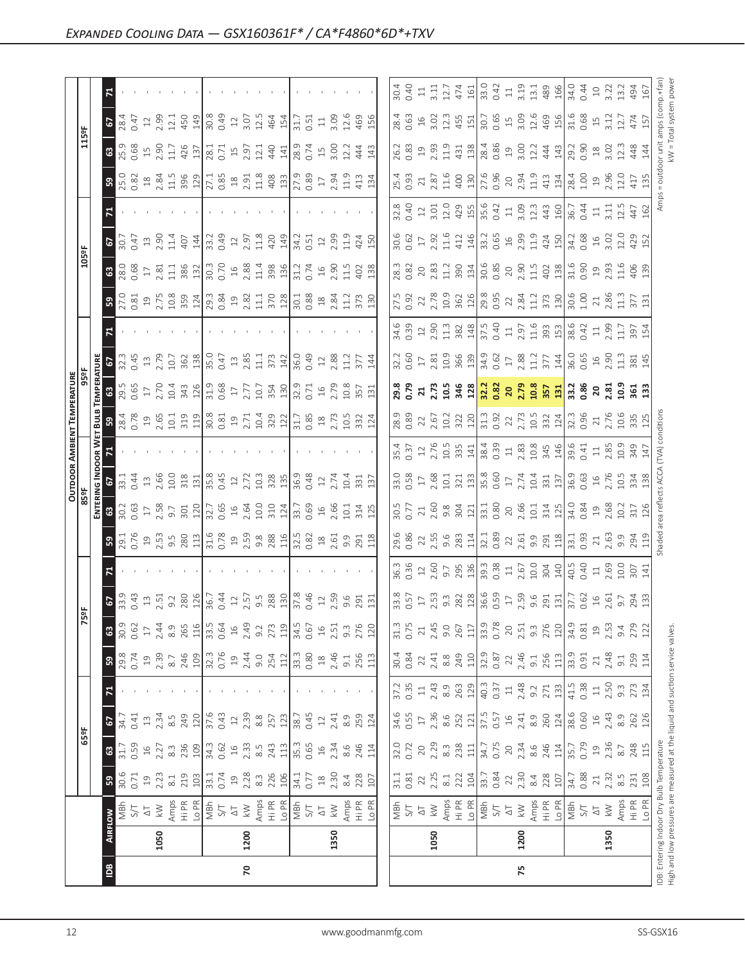|                                | $\sqrt{2}$                                                                                                                                                                                                                                                                                                            |                                                                                                                                                                                                                                                                                                                                                                                                                                                                                     | $\begin{array}{l} 84.7 \\ 89.7 \\ 109.1 \\ 309.1 \\ 459.1 \\ 569.1 \\ 699.1 \\ 699.1 \\ 699.1 \\ 699.1 \\ 699.1 \\ 699.1 \\ 699.1 \\ 699.1 \\ 699.1 \\ 699.1 \\ 699.1 \\ 699.1 \\ 699.1 \\ 699.1 \\ 699.1 \\ 699.1 \\ 699.1 \\ 699.1 \\ 699.1 \\ 699.1 \\ 699.1 \\ 699.1 \\ 699.1 \\ 699.1 \\ 699.$           | $\begin{bmatrix} 8.6 & 8 \\ 8.6 & 8 \\ 9.6 & 10 \\ 10 & 10 \\ 10 & 10 \\ 10 & 10 \\ 10 & 10 \\ 10 & 10 \\ 10 & 10 \\ 10 & 10 \\ 10 & 10 \\ 10 & 10 \\ 10 & 10 \\ 10 & 10 \\ 10 & 10 \\ 10 & 10 \\ 10 & 10 \\ 10 & 10 & 10 \\ 11 & 11 & 11 \\ 12 & 12 & 13 \\ 13 & 14 & 15 \\ 14 & 16 & 10 \\ 15 & 17 & 17 & 14 \\ $                                                                                                                                                    |      |                          |
|--------------------------------|-----------------------------------------------------------------------------------------------------------------------------------------------------------------------------------------------------------------------------------------------------------------------------------------------------------------------|-------------------------------------------------------------------------------------------------------------------------------------------------------------------------------------------------------------------------------------------------------------------------------------------------------------------------------------------------------------------------------------------------------------------------------------------------------------------------------------|---------------------------------------------------------------------------------------------------------------------------------------------------------------------------------------------------------------------------------------------------------------------------------------------------------------|------------------------------------------------------------------------------------------------------------------------------------------------------------------------------------------------------------------------------------------------------------------------------------------------------------------------------------------------------------------------------------------------------------------------------------------------------------------------|------|--------------------------|
| $115$ <sup>e</sup>             | $\boxed{3}$                                                                                                                                                                                                                                                                                                           |                                                                                                                                                                                                                                                                                                                                                                                                                                                                                     |                                                                                                                                                                                                                                                                                                               |                                                                                                                                                                                                                                                                                                                                                                                                                                                                        |      |                          |
|                                |                                                                                                                                                                                                                                                                                                                       |                                                                                                                                                                                                                                                                                                                                                                                                                                                                                     |                                                                                                                                                                                                                                                                                                               |                                                                                                                                                                                                                                                                                                                                                                                                                                                                        |      |                          |
|                                |                                                                                                                                                                                                                                                                                                                       |                                                                                                                                                                                                                                                                                                                                                                                                                                                                                     |                                                                                                                                                                                                                                                                                                               |                                                                                                                                                                                                                                                                                                                                                                                                                                                                        |      |                          |
|                                | $\sqrt{2}$                                                                                                                                                                                                                                                                                                            |                                                                                                                                                                                                                                                                                                                                                                                                                                                                                     |                                                                                                                                                                                                                                                                                                               |                                                                                                                                                                                                                                                                                                                                                                                                                                                                        |      |                          |
| $\frac{1}{2}$                  |                                                                                                                                                                                                                                                                                                                       |                                                                                                                                                                                                                                                                                                                                                                                                                                                                                     |                                                                                                                                                                                                                                                                                                               |                                                                                                                                                                                                                                                                                                                                                                                                                                                                        |      |                          |
|                                | ြို့                                                                                                                                                                                                                                                                                                                  |                                                                                                                                                                                                                                                                                                                                                                                                                                                                                     | $\begin{array}{c} 225 & 235 & 245 \\ 25 & 25 & 25 & 25 \\ 25 & 25 & 25 & 25 \\ 25 & 25 & 25 & 25 \\ 25 & 25 & 25 & 25 \\ 25 & 25 & 25 & 25 \\ 25 & 25 & 25 & 25 \\ 25 & 25 & 25 & 25 \\ 25 & 25 & 25 & 25 \\ 25 & 25 & 25 & 25 \\ 25 & 25 & 25 & 25 \\ 25 & 25 & 25 & 25 \\ 25 & 25 & 25 & 25 \\ 25 & 2$      |                                                                                                                                                                                                                                                                                                                                                                                                                                                                        |      |                          |
|                                |                                                                                                                                                                                                                                                                                                                       |                                                                                                                                                                                                                                                                                                                                                                                                                                                                                     |                                                                                                                                                                                                                                                                                                               |                                                                                                                                                                                                                                                                                                                                                                                                                                                                        |      |                          |
|                                | 릴의                                                                                                                                                                                                                                                                                                                    | $\begin{array}{c} 3.33 & 2.53 & 2.53 & 2.53 & 2.53 & 2.53 & 2.53 & 2.53 & 2.53 & 2.53 & 2.53 & 2.53 & 2.53 & 2.53 & 2.53 & 2.53 & 2.53 & 2.53 & 2.53 & 2.53 & 2.53 & 2.53 & 2.53 & 2.53 & 2.53 & 2.53 & 2.53 & 2.53 & 2.53 & 2.53 & 2.53 & 2.53 & 2.53 & 2.53 & 2.53 & 2.$                                                                                                                                                                                                          |                                                                                                                                                                                                                                                                                                               |                                                                                                                                                                                                                                                                                                                                                                                                                                                                        |      |                          |
|                                | na<br>S                                                                                                                                                                                                                                                                                                               | $\frac{3.66}{3.62}$ $\frac{1}{2.7}$ $\frac{1}{2.7}$ $\frac{1}{2.7}$ $\frac{1}{2.7}$ $\frac{1}{2.7}$ $\frac{1}{2.7}$ $\frac{1}{2.7}$ $\frac{1}{2.7}$ $\frac{1}{2.7}$ $\frac{1}{2.7}$ $\frac{1}{2.7}$ $\frac{1}{2.7}$ $\frac{1}{2.7}$ $\frac{1}{2.7}$ $\frac{1}{2.7}$ $\frac{1}{2.7}$ $\frac{1}{2.7}$                                                                                                                                                                                 |                                                                                                                                                                                                                                                                                                               | ສິ 5 ສຸ 5 ສຸ 5 <mark>ຊິດ ອິ ຊິດ 5 ສຸ 5</mark> ຊິດ ອິ ຊິດ <u>ສ</u> ຸ 5 ສຸ 5 ຊ                                                                                                                                                                                                                                                                                                                                                                                           |      |                          |
|                                | ឨ៓៓៓៓៓៓៓៓៓                                                                                                                                                                                                                                                                                                            |                                                                                                                                                                                                                                                                                                                                                                                                                                                                                     | $\begin{array}{l} 28.8 \\ 0.78 \\ 0.98 \\ 0.39 \\ 0.51 \\ 0.53 \\ 0.71 \\ 0.83 \\ 0.71 \\ 0.83 \\ 0.71 \\ 0.72 \\ 0.73 \\ 0.73 \\ 0.74 \\ 0.73 \\ 0.74 \\ 0.73 \\ 0.74 \\ 0.73 \\ 0.74 \\ 0.75 \\ 0.73 \\ 0.74 \\ 0.75 \\ 0.75 \\ 0.75 \\ 0.75 \\ 0.75 \\ 0.75 \\ 0.75 \\ 0.75 \\ 0.75 \\ 0.75 \\ 0.75 \\ 0.$ | $\begin{bmatrix} 8 & 8 & 8 \\ 8 & 8 & 8 \\ 0 & 8 & 8 \end{bmatrix} \begin{bmatrix} 1 & 0 & 0 \\ 0 & 1 & 0 \\ 0 & 1 & 0 \\ 0 & 1 & 0 \end{bmatrix} \begin{bmatrix} 1 & 0 & 0 \\ 0 & 1 & 0 \\ 0 & 1 & 0 \\ 0 & 1 & 0 \end{bmatrix} \begin{bmatrix} 1 & 0 & 0 \\ 0 & 1 & 0 \\ 0 & 1 & 0 \\ 0 & 1 & 0 \end{bmatrix} \begin{bmatrix} 1 & 0 & 0 \\ 0 & 1 & 0 \\ 0 & 1 & 0 \\ 0 & 1 & 0$                                                                                      |      |                          |
|                                | <b>、日</b>                                                                                                                                                                                                                                                                                                             |                                                                                                                                                                                                                                                                                                                                                                                                                                                                                     |                                                                                                                                                                                                                                                                                                               |                                                                                                                                                                                                                                                                                                                                                                                                                                                                        |      |                          |
| <b>Outdoor Ambie<br/>35 sf</b> | ៀ្ស                                                                                                                                                                                                                                                                                                                   |                                                                                                                                                                                                                                                                                                                                                                                                                                                                                     |                                                                                                                                                                                                                                                                                                               |                                                                                                                                                                                                                                                                                                                                                                                                                                                                        |      |                          |
|                                | $\frac{1}{2}$ 8 $\frac{3}{2}$ $\frac{3}{2}$ $\frac{3}{2}$ $\frac{5}{2}$ $\frac{3}{2}$ $\frac{3}{2}$ $\frac{1}{2}$ $\frac{1}{2}$ $\frac{3}{2}$ $\frac{3}{2}$ $\frac{3}{2}$ $\frac{3}{2}$ $\frac{3}{2}$ $\frac{3}{2}$ $\frac{3}{2}$ $\frac{3}{2}$ $\frac{3}{2}$ $\frac{3}{2}$ $\frac{3}{2}$ $\frac{3}{2}$ $\frac{3}{2}$ |                                                                                                                                                                                                                                                                                                                                                                                                                                                                                     |                                                                                                                                                                                                                                                                                                               |                                                                                                                                                                                                                                                                                                                                                                                                                                                                        |      |                          |
|                                | $3.515$ $2.53$ $3.53$ $3.53$ $3.51$ $3.52$ $3.53$ $3.53$ $3.53$ $3.53$ $3.53$ $3.53$ $3.53$ $3.53$ $3.53$ $3.53$ $3.53$ $3.53$ $3.53$ $3.53$ $3.53$ $3.53$ $3.53$ $3.53$ $3.53$ $3.53$ $3.53$ $3.53$ $3.53$ $3.53$ $3.53$ $3.$                                                                                        |                                                                                                                                                                                                                                                                                                                                                                                                                                                                                     |                                                                                                                                                                                                                                                                                                               |                                                                                                                                                                                                                                                                                                                                                                                                                                                                        |      |                          |
|                                |                                                                                                                                                                                                                                                                                                                       |                                                                                                                                                                                                                                                                                                                                                                                                                                                                                     |                                                                                                                                                                                                                                                                                                               |                                                                                                                                                                                                                                                                                                                                                                                                                                                                        |      |                          |
|                                |                                                                                                                                                                                                                                                                                                                       |                                                                                                                                                                                                                                                                                                                                                                                                                                                                                     |                                                                                                                                                                                                                                                                                                               |                                                                                                                                                                                                                                                                                                                                                                                                                                                                        |      |                          |
|                                |                                                                                                                                                                                                                                                                                                                       |                                                                                                                                                                                                                                                                                                                                                                                                                                                                                     |                                                                                                                                                                                                                                                                                                               |                                                                                                                                                                                                                                                                                                                                                                                                                                                                        |      |                          |
|                                |                                                                                                                                                                                                                                                                                                                       |                                                                                                                                                                                                                                                                                                                                                                                                                                                                                     |                                                                                                                                                                                                                                                                                                               |                                                                                                                                                                                                                                                                                                                                                                                                                                                                        |      |                          |
|                                |                                                                                                                                                                                                                                                                                                                       |                                                                                                                                                                                                                                                                                                                                                                                                                                                                                     |                                                                                                                                                                                                                                                                                                               |                                                                                                                                                                                                                                                                                                                                                                                                                                                                        |      |                          |
|                                | $\sqrt{2}$                                                                                                                                                                                                                                                                                                            |                                                                                                                                                                                                                                                                                                                                                                                                                                                                                     |                                                                                                                                                                                                                                                                                                               |                                                                                                                                                                                                                                                                                                                                                                                                                                                                        |      |                          |
| $\frac{1}{259}$                | ි                                                                                                                                                                                                                                                                                                                     |                                                                                                                                                                                                                                                                                                                                                                                                                                                                                     |                                                                                                                                                                                                                                                                                                               |                                                                                                                                                                                                                                                                                                                                                                                                                                                                        |      |                          |
|                                | 59                                                                                                                                                                                                                                                                                                                    | $\begin{array}{l} 66.75\, \text{m} \quad \text{S} \quad \text{S} \quad \text{S} \quad \text{S} \quad \text{S} \quad \text{S} \quad \text{S} \quad \text{S} \quad \text{S} \quad \text{S} \quad \text{S} \quad \text{S} \quad \text{S} \quad \text{S} \quad \text{S} \quad \text{S} \quad \text{S} \quad \text{S} \quad \text{S} \quad \text{S} \quad \text{S} \quad \text{S} \quad \text{S} \quad \text{S} \quad \text{S} \quad \text{S} \quad \text{S} \quad \text{S} \quad \text$ |                                                                                                                                                                                                                                                                                                               | $\begin{array}{ l l } \hline \text{11} & \text{12} & \text{13} & \text{14} \\ \hline \text{13} & \text{14} & \text{15} & \text{16} \\ \text{15} & \text{16} & \text{17} & \text{18} \\ \hline \text{16} & \text{17} & \text{18} & \text{18} \\ \hline \text{17} & \text{18} & \text{18} & \text{18} \\ \hline \text{18} & \text{19} & \text{19} & \text{19} \\ \hline \text{19} & \text{19} & \text{19} & \text$                                                       |      | 231                      |
|                                |                                                                                                                                                                                                                                                                                                                       |                                                                                                                                                                                                                                                                                                                                                                                                                                                                                     |                                                                                                                                                                                                                                                                                                               | $\begin{array}{ l l l l }\hline \frac{\pi}{2} & \xi & \xi & \xi & \xi & \xi \\ \hline \xi & \xi & \xi & \xi & \xi & \xi & \xi \\ \hline \xi & \xi & \xi & \xi & \xi & \xi & \xi \\ \hline \xi & \xi & \xi & \xi & \xi & \xi & \xi \\ \hline \xi & \xi & \xi & \xi & \xi & \xi & \xi \\ \hline \xi & \xi & \xi & \xi & \xi & \xi & \xi \\ \hline \xi & \xi & \xi & \xi & \xi & \xi & \xi \\ \hline \xi & \xi & \xi & \xi & \xi & \xi & \xi \\ \hline \xi & \xi & \xi &$ |      |                          |
|                                | <b>FLOW</b><br>1050                                                                                                                                                                                                                                                                                                   | 1200                                                                                                                                                                                                                                                                                                                                                                                                                                                                                | 1350                                                                                                                                                                                                                                                                                                          | 1050                                                                                                                                                                                                                                                                                                                                                                                                                                                                   | 1200 | 1350                     |
|                                | ≌                                                                                                                                                                                                                                                                                                                     | $\mathbf{r}$                                                                                                                                                                                                                                                                                                                                                                                                                                                                        |                                                                                                                                                                                                                                                                                                               |                                                                                                                                                                                                                                                                                                                                                                                                                                                                        | 75   | IDB: Enter<br>High and I |
|                                |                                                                                                                                                                                                                                                                                                                       |                                                                                                                                                                                                                                                                                                                                                                                                                                                                                     |                                                                                                                                                                                                                                                                                                               |                                                                                                                                                                                                                                                                                                                                                                                                                                                                        |      |                          |
| 12                             |                                                                                                                                                                                                                                                                                                                       |                                                                                                                                                                                                                                                                                                                                                                                                                                                                                     | www.goodmanmfg.com                                                                                                                                                                                                                                                                                            |                                                                                                                                                                                                                                                                                                                                                                                                                                                                        |      | SS-GSX16                 |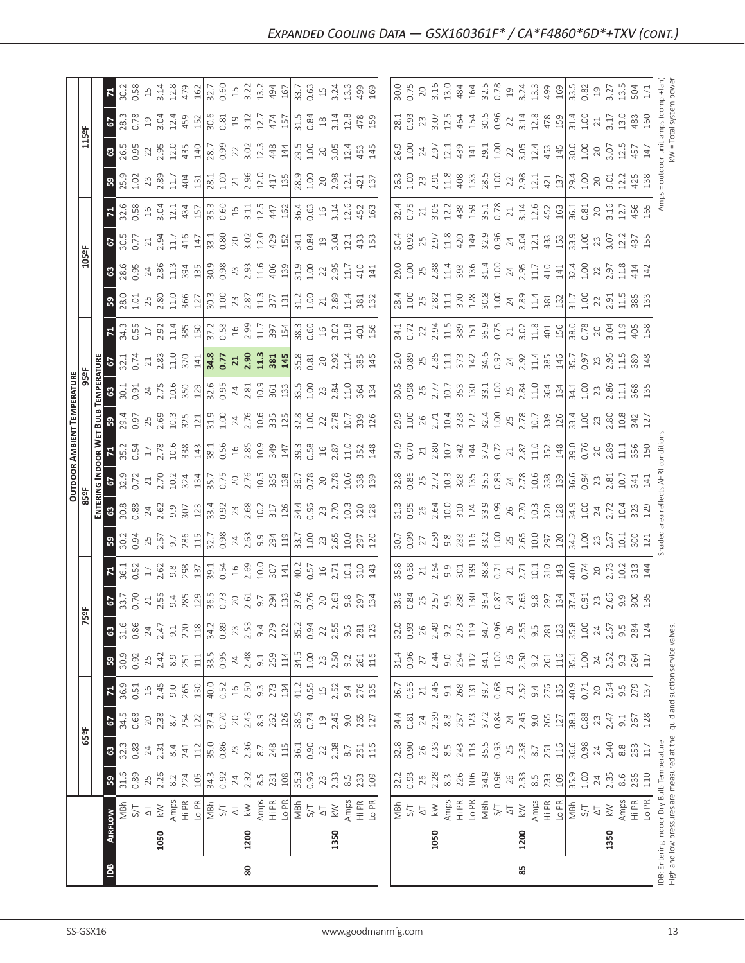| $\vert \underline{\mathbb{B}} \vert$             |                     | 80                                                                                                                                                                                                                                                                                                                                                                                                                                                                                                                                                  |      |                                                                                                                                                                                                                                                                                                                                                                                                                                           | 85   |                                                                                                                                                                                                                                                                       |
|--------------------------------------------------|---------------------|-----------------------------------------------------------------------------------------------------------------------------------------------------------------------------------------------------------------------------------------------------------------------------------------------------------------------------------------------------------------------------------------------------------------------------------------------------------------------------------------------------------------------------------------------------|------|-------------------------------------------------------------------------------------------------------------------------------------------------------------------------------------------------------------------------------------------------------------------------------------------------------------------------------------------------------------------------------------------------------------------------------------------|------|-----------------------------------------------------------------------------------------------------------------------------------------------------------------------------------------------------------------------------------------------------------------------|
|                                                  | 1050                | 1200                                                                                                                                                                                                                                                                                                                                                                                                                                                                                                                                                | 1350 | 1050                                                                                                                                                                                                                                                                                                                                                                                                                                      | 1200 | IDB: Entering Indoo<br>High and low press<br>1350                                                                                                                                                                                                                     |
|                                                  |                     |                                                                                                                                                                                                                                                                                                                                                                                                                                                                                                                                                     |      | $\begin{array}{ l l l l }\hline\hline\mathbf{g}&\mathbf{h}&\mathbf{h}&\mathbf{g}\\ \hline\mathbf{g}&\mathbf{h}&\mathbf{h}&\mathbf{g}\\ \hline\mathbf{g}&\mathbf{h}&\mathbf{h}&\mathbf{g}\\ \hline\mathbf{g}&\mathbf{h}&\mathbf{h}&\mathbf{h}\\ \hline\mathbf{g}&\mathbf{h}&\mathbf{h}&\mathbf{h}\\ \hline\hline\mathbf{g}&\mathbf{h}&\mathbf{h}&\mathbf{h}\\ \hline\hline\mathbf{g}&\mathbf{h}&\mathbf{h}&\mathbf{h}\\ \hline\hline\math$ |      |                                                                                                                                                                                                                                                                       |
| 5 <sup>o</sup>                                   |                     | $\begin{array}{c} 1.636 \\ 1.656 \\ 1.676 \\ 1.687 \\ 1.616 \\ 1.621 \\ 1.631 \\ 1.648 \\ 1.651 \\ 1.671 \\ 1.671 \\ 1.671 \\ 1.671 \\ 1.671 \\ 1.671 \\ 1.671 \\ 1.671 \\ 1.671 \\ 1.671 \\ 1.671 \\ 1.671 \\ 1.671 \\ 1.671 \\ 1.671 \\ 1.671 \\ 1.671 \\ 1.671 \\ 1.671 \\ 1.671 \\ 1.671 \\ 1.$                                                                                                                                                                                                                                                 |      | $\begin{bmatrix} 23 & 23 & 23 & 23 & 24 & 25 & 26 & 27 & 28 & 27 & 28 & 28 & 29 \\ 23 & 23 & 23 & 23 & 23 & 23 & 23 & 23 & 23 & 25 & 27 & 28 & 25 & 28 & 29 \\ 24 & 23 & 23 & 23 & 23 & 23 & 23 & 23 & 23 & 23 & 24 & 25 & 26 & 27 & 28 & 28 & 29 \\ 25 & 23 & 23 & 23 & 23 & 23 & 23 & 23 & 2$                                                                                                                                           |      |                                                                                                                                                                                                                                                                       |
| $\frac{15}{2}$                                   |                     |                                                                                                                                                                                                                                                                                                                                                                                                                                                                                                                                                     |      |                                                                                                                                                                                                                                                                                                                                                                                                                                           |      |                                                                                                                                                                                                                                                                       |
|                                                  |                     | $67.38$ $\frac{10}{3}$<br>$\frac{10}{3}$<br>$\frac{10}{3}$<br>$\frac{10}{3}$<br>$\frac{10}{3}$<br>$\frac{10}{3}$<br>$\frac{10}{3}$<br>$\frac{10}{3}$<br>$\frac{10}{3}$<br>$\frac{10}{3}$<br>$\frac{10}{3}$<br>$\frac{10}{3}$<br>$\frac{10}{3}$<br>$\frac{10}{3}$<br>$\frac{10}{3}$<br>$\frac{10}{3}$<br>$\frac{10}{3}$<br>$\frac{10}{3}$                                                                                                                                                                                                            |      | $\begin{bmatrix} 4 & 3 & 4 & 8 & 8 & 8 & 5 & 7 & 12 \\ 3 & 3 & 4 & 3 & 8 & 8 & 5 & 7 & 12 \\ 3 & 3 & 3 & 3 & 5 & 7 & 12 & 8 & 8 \\ 4 & 3 & 3 & 3 & 3 & 5 & 7 & 12 & 8 \\ 5 & 3 & 3 & 3 & 4 & 4 & 5 & 5 & 6 & 6 \\ 6 & 3 & 3 & 3 & 3 & 3 & 6 & 7 & 7 & 3 & 5 & 6 \\ 7 & 3 & 3 & 3 & 3 & 3 & 3 & 5 & 7 & 7 & 12 & 8$                                                                                                                        |      |                                                                                                                                                                                                                                                                       |
|                                                  |                     |                                                                                                                                                                                                                                                                                                                                                                                                                                                                                                                                                     |      |                                                                                                                                                                                                                                                                                                                                                                                                                                           |      |                                                                                                                                                                                                                                                                       |
|                                                  |                     | $30, 30, 31, 34, 35, 36, 37, 37, 38, 39, 37, 38, 39, 39, 39, 30, 37, 38, 39, 30, 30, 31, 32, 33, 34, 35, 36, 37, 38, 39, 30, 30, 30, 31, 32, 33, 34, 35, 36, 37, 38, 39, 30, 30, 30, 30, 31, 32, 33, 34, 35, 36, 37, 38, 39, $                                                                                                                                                                                                                                                                                                                      |      |                                                                                                                                                                                                                                                                                                                                                                                                                                           |      |                                                                                                                                                                                                                                                                       |
|                                                  |                     |                                                                                                                                                                                                                                                                                                                                                                                                                                                                                                                                                     |      | $\begin{bmatrix} 23 & 23 & 24 \\ 23 & 23 & 24 & 25 \\ 24 & 25 & 25 & 26 \\ 25 & 25 & 25 & 26 \\ 26 & 27 & 28 & 27 \\ 27 & 28 & 29 & 28 \\ 28 & 29 & 29 & 28 \\ 29 & 29 & 29 & 28 \\ 21 & 23 & 23 & 29 \\ 21 & 23 & 23 & 29 \\ 21 & 23 & 23 & 29 \\ 21 & 23 & 23 & 29 \\ 21 & 23 & 23 & 29 \\ 21 & 23 & 2$                                                                                                                                 |      |                                                                                                                                                                                                                                                                       |
|                                                  |                     | $5.757$ $2.757$ $3.87$ $3.87$ $2.9$ $3.21$ $3.67$ $3.737$ $3.737$ $3.737$ $3.737$ $3.737$ $3.737$ $3.737$ $3.737$ $3.737$ $3.737$ $3.737$ $3.737$ $3.737$ $3.737$ $3.737$ $3.737$ $3.737$ $3.737$ $3.737$ $3.737$ $3.737$ $3.$                                                                                                                                                                                                                                                                                                                      |      |                                                                                                                                                                                                                                                                                                                                                                                                                                           |      |                                                                                                                                                                                                                                                                       |
| $\mathbb{E}$                                     |                     | $\begin{array}{l} 36.53 \rightarrow 0.53 \rightarrow 0.53 \rightarrow 0.53 \rightarrow 0.53 \rightarrow 0.53 \rightarrow 0.53 \rightarrow 0.53 \rightarrow 0.53 \rightarrow 0.53 \rightarrow 0.53 \rightarrow 0.53 \rightarrow 0.53 \rightarrow 0.53 \rightarrow 0.53 \rightarrow 0.53 \rightarrow 0.53 \rightarrow 0.53 \rightarrow 0.53 \rightarrow 0.53 \rightarrow 0.53 \rightarrow 0.53 \rightarrow 0.53 \rightarrow 0.53 \rightarrow 0.53 \rightarrow 0.53 \rightarrow 0.53 \rightarrow 0.53 \rightarrow 0.53 \rightarrow 0.53 \rightarrow 0$ |      | $\begin{bmatrix} 8,8 & 2 & 7 & 3 & 0 \\ 9,6 & 8 & 7 & 7 & 3 & 0 \\ 0& 0& 0& 0& 0 & 0 \\ 0& 0& 0& 0& 0 & 0 \\ 0& 0& 0& 0& 0 & 0 \\ 0& 0& 0& 0& 0 & 0 \\ 0& 0& 0& 0& 0& 0 \\ 0& 0& 0& 0& 0& 0 \\ 0& 0& 0& 0& 0& 0 \\ 0& 0& 0& 0& 0& 0 \\ 0& 0& 0& 0& 0& 0 \\ 0& 0& 0& 0& 0&$                                                                                                                                                                |      |                                                                                                                                                                                                                                                                       |
| 5 <sup>o</sup>                                   |                     | $\begin{array}{l} 23.35 \\ 25.45 \\ 26.57 \\ 27.58 \\ 28.41 \\ 29.59 \\ 20.59 \\ 21.59 \\ 22.59 \\ 23.59 \\ 24.59 \\ 25.59 \\ 26.59 \\ 27.59 \\ 28.59 \\ 29.59 \\ 21.59 \\ 22.59 \\ 23.59 \\ 24.59 \\ 25.59 \\ 26.59 \\ 27.59 \\ 28.59 \\ 29.59 \\ 21.59 \\ 22.59 \\ 23.59 \\ 24.59 \\ 25.59 \\ 26$                                                                                                                                                                                                                                                 |      |                                                                                                                                                                                                                                                                                                                                                                                                                                           |      |                                                                                                                                                                                                                                                                       |
|                                                  |                     | $\begin{array}{l} 8.88 \\ 8.87 \\ 1.98 \\ 1.99 \\ 2.91 \\ 2.91 \\ 2.91 \\ 2.91 \\ 2.91 \\ 2.91 \\ 2.91 \\ 2.91 \\ 2.91 \\ 2.91 \\ 2.91 \\ 2.91 \\ 2.91 \\ 2.91 \\ 2.92 \\ 2.92 \\ 2.93 \\ 2.91 \\ 2.92 \\ 2.93 \\ 2.94 \\ 2.95 \\ 2.95 \\ 2.97 \\ 2.98 \\ 2.99 \\ 2.99 \\ 2.99 \\ 2.99 \\ 2.99 \\ 2.99 \\ 2.$                                                                                                                                                                                                                                       |      |                                                                                                                                                                                                                                                                                                                                                                                                                                           |      |                                                                                                                                                                                                                                                                       |
| OUTDOOR /<br>85ºF<br>$\frac{2}{5}$               |                     |                                                                                                                                                                                                                                                                                                                                                                                                                                                                                                                                                     |      |                                                                                                                                                                                                                                                                                                                                                                                                                                           |      |                                                                                                                                                                                                                                                                       |
| AMBIE                                            |                     | $\frac{18}{12}$ $\frac{1}{12}$ $\frac{1}{32}$ $\frac{1}{22}$ $\frac{1}{22}$ $\frac{1}{22}$ $\frac{1}{22}$ $\frac{1}{22}$ $\frac{1}{22}$ $\frac{1}{22}$ $\frac{1}{22}$ $\frac{1}{22}$ $\frac{1}{22}$ $\frac{1}{22}$ $\frac{1}{22}$ $\frac{1}{22}$ $\frac{1}{22}$ $\frac{1}{22}$ $\frac{1}{22}$ $\frac{1}{22}$                                                                                                                                                                                                                                        |      |                                                                                                                                                                                                                                                                                                                                                                                                                                           |      |                                                                                                                                                                                                                                                                       |
| TEMPERATURE<br>95ºI<br>ទ្ទី ឌ <br><u> គ្គី ឌ</u> |                     | $0.55$ $\alpha$ $0.53$ $\alpha$ $1.5$ $0.5$ $0.5$ $0.5$ $0.5$ $0.5$ $0.5$ $0.5$ $0.5$ $0.5$ $0.5$ $0.5$ $0.5$ $0.5$ $0.5$ $0.5$ $0.5$ $0.5$ $0.5$ $0.5$ $0.5$ $0.5$ $0.5$ $0.5$ $0.5$ $0.5$ $0.5$ $0.5$ $0.5$ $0.5$ $0.5$ $0.5$ $0.5$                                                                                                                                                                                                                                                                                                               |      | $\begin{bmatrix} 0.98 & 0.000 & 0.000 & 0.000 & 0.000 & 0.000 & 0.000 & 0.000 & 0.000 & 0.000 & 0.000 & 0.000 & 0.000 & 0.000 & 0.000 & 0.000 & 0.000 & 0.000 & 0.000 & 0.000 & 0.000 & 0.000 & 0.000 & 0.000 & 0.000 & 0.000 & 0.000 & 0.000 & 0.000 & 0.000 & 0.00$                                                                                                                                                                     |      |                                                                                                                                                                                                                                                                       |
|                                                  | $\frac{32.1}{0.74}$ |                                                                                                                                                                                                                                                                                                                                                                                                                                                                                                                                                     |      |                                                                                                                                                                                                                                                                                                                                                                                                                                           |      |                                                                                                                                                                                                                                                                       |
| $\mathbf{E}$                                     |                     |                                                                                                                                                                                                                                                                                                                                                                                                                                                                                                                                                     |      |                                                                                                                                                                                                                                                                                                                                                                                                                                           |      | $20$<br>$3.3$<br>$40$<br>$45$<br>$45$                                                                                                                                                                                                                                 |
| ြု့ကျွ                                           |                     |                                                                                                                                                                                                                                                                                                                                                                                                                                                                                                                                                     |      |                                                                                                                                                                                                                                                                                                                                                                                                                                           |      |                                                                                                                                                                                                                                                                       |
| $\mathbf{3}$                                     | 0.95                |                                                                                                                                                                                                                                                                                                                                                                                                                                                                                                                                                     |      |                                                                                                                                                                                                                                                                                                                                                                                                                                           |      |                                                                                                                                                                                                                                                                       |
| 5<br>$\overline{\frac{10585}{}}$                 |                     | $\begin{array}{c} 8.65 & 1.75 & 1.75 & 1.75 & 1.75 & 1.75 & 1.75 & 1.75 & 1.75 & 1.75 & 1.75 & 1.75 & 1.75 & 1.75 & 1.75 & 1.75 & 1.75 & 1.75 & 1.75 & 1.75 & 1.75 & 1.75 & 1.75 & 1.75 & 1.75 & 1.75 & 1.75 & 1.75 & 1.75 & 1.75 & 1.75 & 1.75 & 1.75 & 1.75 & 1.75 & 1.$                                                                                                                                                                                                                                                                          |      | $\begin{bmatrix} 2 & 3 & 7 & 7 & 3 & 6 \\ 0 & 0 & 0 & 0 & 0 & 0 \\ 0 & 0 & 0 & 0 & 0 & 0 \\ 0 & 0 & 0 & 0 & 0 & 0 \\ 0 & 0 & 0 & 0 & 0 & 0 \\ 0 & 0 & 0 & 0 & 0 & 0 \\ 0 & 0 & 0 & 0 & 0 & 0 \\ 0 & 0 & 0 & 0 & 0 & 0 \\ 0 & 0 & 0 & 0 & 0 & 0 \\ 0 & 0 & 0 & 0 & 0 & 0 \\ 0 & 0 & 0 & 0 & 0 & 0 \\ 0 & 0 & 0 & 0 & 0 & $                                                                                                                 |      |                                                                                                                                                                                                                                                                       |
| $\mathbb{E}$                                     |                     | $\frac{1}{100}$ the set of the set of the set of the set of the set of the set of the set of the set of the set of the set of the set of the set of the set of the set of the set of the set of the set of the set of the set of                                                                                                                                                                                                                                                                                                                    |      |                                                                                                                                                                                                                                                                                                                                                                                                                                           |      |                                                                                                                                                                                                                                                                       |
| 5 <sup>o</sup>                                   |                     | 2010 2020 2021 2022 2031 2031 2032 2034 2035 2031 2032 2034 2035 2031 2032 2034 2035 2031 2031 2032 2031 2032<br>2021 2032 2032 2033 2034 2035 2036 2037 2038 2031 2032 2033 2034 2035 2031 2031 2031 2032 2033 2034 2035 2031                                                                                                                                                                                                                                                                                                                      |      |                                                                                                                                                                                                                                                                                                                                                                                                                                           |      |                                                                                                                                                                                                                                                                       |
| 3 <sup>o</sup>                                   |                     |                                                                                                                                                                                                                                                                                                                                                                                                                                                                                                                                                     |      |                                                                                                                                                                                                                                                                                                                                                                                                                                           |      |                                                                                                                                                                                                                                                                       |
| $\frac{115}{9}$                                  |                     |                                                                                                                                                                                                                                                                                                                                                                                                                                                                                                                                                     |      |                                                                                                                                                                                                                                                                                                                                                                                                                                           |      |                                                                                                                                                                                                                                                                       |
|                                                  |                     |                                                                                                                                                                                                                                                                                                                                                                                                                                                                                                                                                     |      |                                                                                                                                                                                                                                                                                                                                                                                                                                           |      | $\begin{bmatrix} 0.016 & 0.016 & 0.016 & 0.016 & 0.016 & 0.016 & 0.016 & 0.016 & 0.016 & 0.016 & 0.016 & 0.016 & 0.016 & 0.016 & 0.016 & 0.016 & 0.016 & 0.016 & 0.016 & 0.016 & 0.016 & 0.016 & 0.016 & 0.016 & 0.016 & 0.016 & 0.016 & 0.016 & 0.016 & 0.016 & 0.0$ |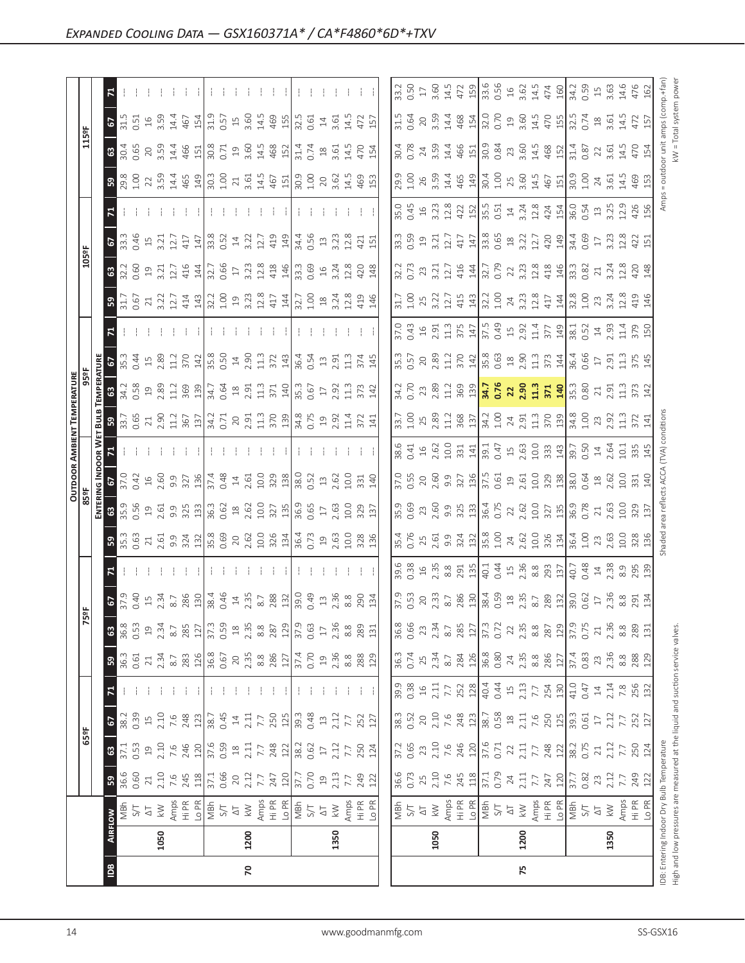|                         |      |                                                                                                                |                                                                                                                                                                                                                                                                                                                                    |                                                                                                                                                                                                                                                                                                     |                                                           |                                                                                                                                                                                                                                                                       |                                                                                                                                                                                                                                                                                                                     |                                                                                                                                                                                                                                                   |                                                                                                                                                                                                                                                                                                 |                                                      |                                                                                                                                                                                                                                                                                                                                    |                                            |                                           |                                                                 | <b>OUTDOOR AMBIENT TEMPERATURE</b>                                                |                                                 |                            |                                                                                                                                                                                                                                                                                         |                          |                                                   |                    |                                                                                                                                                                       |                                                          |                                                         |                                                                           |                  |
|-------------------------|------|----------------------------------------------------------------------------------------------------------------|------------------------------------------------------------------------------------------------------------------------------------------------------------------------------------------------------------------------------------------------------------------------------------------------------------------------------------|-----------------------------------------------------------------------------------------------------------------------------------------------------------------------------------------------------------------------------------------------------------------------------------------------------|-----------------------------------------------------------|-----------------------------------------------------------------------------------------------------------------------------------------------------------------------------------------------------------------------------------------------------------------------|---------------------------------------------------------------------------------------------------------------------------------------------------------------------------------------------------------------------------------------------------------------------------------------------------------------------|---------------------------------------------------------------------------------------------------------------------------------------------------------------------------------------------------------------------------------------------------|-------------------------------------------------------------------------------------------------------------------------------------------------------------------------------------------------------------------------------------------------------------------------------------------------|------------------------------------------------------|------------------------------------------------------------------------------------------------------------------------------------------------------------------------------------------------------------------------------------------------------------------------------------------------------------------------------------|--------------------------------------------|-------------------------------------------|-----------------------------------------------------------------|-----------------------------------------------------------------------------------|-------------------------------------------------|----------------------------|-----------------------------------------------------------------------------------------------------------------------------------------------------------------------------------------------------------------------------------------------------------------------------------------|--------------------------|---------------------------------------------------|--------------------|-----------------------------------------------------------------------------------------------------------------------------------------------------------------------|----------------------------------------------------------|---------------------------------------------------------|---------------------------------------------------------------------------|------------------|
|                         |      |                                                                                                                |                                                                                                                                                                                                                                                                                                                                    | 65°F                                                                                                                                                                                                                                                                                                |                                                           |                                                                                                                                                                                                                                                                       |                                                                                                                                                                                                                                                                                                                     |                                                                                                                                                                                                                                                   | 5°F                                                                                                                                                                                                                                                                                             |                                                      |                                                                                                                                                                                                                                                                                                                                    | 85°F                                       |                                           |                                                                 |                                                                                   | 95°F                                            |                            |                                                                                                                                                                                                                                                                                         |                          | 105°F                                             |                    |                                                                                                                                                                       |                                                          | 115°F                                                   |                                                                           |                  |
|                         |      |                                                                                                                |                                                                                                                                                                                                                                                                                                                                    |                                                                                                                                                                                                                                                                                                     |                                                           |                                                                                                                                                                                                                                                                       |                                                                                                                                                                                                                                                                                                                     |                                                                                                                                                                                                                                                   |                                                                                                                                                                                                                                                                                                 |                                                      |                                                                                                                                                                                                                                                                                                                                    |                                            |                                           | ENTERING INDOOR WET                                             | <b>Bulb</b>                                                                       | TEMPERATURE                                     |                            |                                                                                                                                                                                                                                                                                         |                          |                                                   |                    |                                                                                                                                                                       |                                                          |                                                         |                                                                           |                  |
| $\overline{\mathsf{B}}$ |      | AIRFLOW<br>MBh<br>S/T                                                                                          | <b>59</b><br>36.6                                                                                                                                                                                                                                                                                                                  | $8\frac{1}{2}\frac{1}{2}$                                                                                                                                                                                                                                                                           | <b>67</b><br>38.2<br>0.39                                 | $\mathbf{z}$                                                                                                                                                                                                                                                          | 36.3                                                                                                                                                                                                                                                                                                                | $\mathbf{G}$                                                                                                                                                                                                                                      | $\frac{67}{37.9}$<br>0.40<br>15<br>2.34                                                                                                                                                                                                                                                         | Σ.                                                   | នន្ត្រី                                                                                                                                                                                                                                                                                                                            | $\mathbf{G}$                               | $\frac{67}{37.3}$                         |                                                                 |                                                                                   | ${\tt G}$                                       | c,                         |                                                                                                                                                                                                                                                                                         | S,                       | $\boldsymbol{\mathsf{s}}$                         | 67<br>33.3<br>0.46 |                                                                                                                                                                       | 59                                                       | ${\tt G3}$                                              | 2                                                                         | Σ.               |
|                         |      |                                                                                                                |                                                                                                                                                                                                                                                                                                                                    |                                                                                                                                                                                                                                                                                                     |                                                           |                                                                                                                                                                                                                                                                       |                                                                                                                                                                                                                                                                                                                     |                                                                                                                                                                                                                                                   |                                                                                                                                                                                                                                                                                                 |                                                      |                                                                                                                                                                                                                                                                                                                                    | $\frac{35.9}{ }$                           |                                           |                                                                 | 33.7<br>0.65                                                                      | 34.2<br>0.58                                    | 35.3                       |                                                                                                                                                                                                                                                                                         | 31.7<br>0.67             | 32.2<br>0.60                                      |                    |                                                                                                                                                                       |                                                          | 30.4<br>0.65                                            | $\frac{31.5}{0.51}$                                                       |                  |
|                         |      |                                                                                                                |                                                                                                                                                                                                                                                                                                                                    |                                                                                                                                                                                                                                                                                                     |                                                           |                                                                                                                                                                                                                                                                       |                                                                                                                                                                                                                                                                                                                     |                                                                                                                                                                                                                                                   |                                                                                                                                                                                                                                                                                                 |                                                      |                                                                                                                                                                                                                                                                                                                                    | 0.56                                       |                                           |                                                                 |                                                                                   |                                                 | 0.44                       |                                                                                                                                                                                                                                                                                         |                          |                                                   |                    |                                                                                                                                                                       | 29.8<br>1.00<br>22<br>3.59                               |                                                         |                                                                           |                  |
|                         |      |                                                                                                                |                                                                                                                                                                                                                                                                                                                                    |                                                                                                                                                                                                                                                                                                     |                                                           |                                                                                                                                                                                                                                                                       |                                                                                                                                                                                                                                                                                                                     |                                                                                                                                                                                                                                                   |                                                                                                                                                                                                                                                                                                 |                                                      |                                                                                                                                                                                                                                                                                                                                    | $19^{2.61}$                                | $16$<br>$2.60$                            |                                                                 |                                                                                   | $\overline{19}$                                 | $15$<br>$2.89$             |                                                                                                                                                                                                                                                                                         | 21                       | $\Xi$                                             | $15$               |                                                                                                                                                                       |                                                          |                                                         | $16$                                                                      |                  |
|                         | 1050 |                                                                                                                |                                                                                                                                                                                                                                                                                                                                    |                                                                                                                                                                                                                                                                                                     |                                                           |                                                                                                                                                                                                                                                                       |                                                                                                                                                                                                                                                                                                                     |                                                                                                                                                                                                                                                   |                                                                                                                                                                                                                                                                                                 |                                                      |                                                                                                                                                                                                                                                                                                                                    |                                            |                                           |                                                                 | $2.30$<br>$1.12$                                                                  | 2.89                                            |                            |                                                                                                                                                                                                                                                                                         | 3.22                     | 3.21                                              | 3.21               |                                                                                                                                                                       |                                                          | $20$<br>$3.59$<br>$4.466$                               | 3.59                                                                      |                  |
|                         |      |                                                                                                                |                                                                                                                                                                                                                                                                                                                                    |                                                                                                                                                                                                                                                                                                     |                                                           |                                                                                                                                                                                                                                                                       |                                                                                                                                                                                                                                                                                                                     |                                                                                                                                                                                                                                                   | 8.7<br>286                                                                                                                                                                                                                                                                                      |                                                      |                                                                                                                                                                                                                                                                                                                                    | 9.9<br>325                                 | 9.9<br>327                                |                                                                 |                                                                                   | 11.2                                            | 11.2                       |                                                                                                                                                                                                                                                                                         | $12.7$<br>414            | 12.7                                              | 12.7               |                                                                                                                                                                       |                                                          |                                                         | 14.4                                                                      |                  |
|                         |      |                                                                                                                | $\begin{array}{c}\n 1.756 \\  1.776 \\  1.777 \\  1.777 \\  1.777 \\  1.777 \\  1.777 \\  1.777 \\  1.777 \\  1.777 \\  1.777 \\  1.777 \\  1.777 \\  1.777 \\  1.777 \\  1.777 \\  1.777 \\  1.777 \\  1.777 \\  1.777 \\  1.777 \\  1.777 \\  1.777 \\  1.777 \\  1.777 \\  1.777 \\  1.777 \\  1.777 \\  1.777 \\  1.777 \\  1$ | $\begin{array}{c}\n 23.75 & 24.75 & 24.75 & 24.75 & 24.75 & 24.75 & 24.75 & 24.75 & 24.75 & 24.75 & 24.75 & 24.75 & 24.75 & 24.75 & 24.75 & 24.75 & 24.75 & 24.75 & 24.75 & 24.75 & 24.75 & 24.75 & 24.75 & 24.75 & 24.75 & 24.75 & 24.75 & 24.75 & 24.75 & 24.75 & 2$                              | $\begin{array}{c}\n1.7 \\ 1.7 \\ 1.7 \\ 1.7\n\end{array}$ |                                                                                                                                                                                                                                                                       | $\frac{1}{2}$ $\frac{3}{2}$ $\frac{3}{2}$ $\frac{3}{2}$ $\frac{3}{2}$ $\frac{3}{2}$ $\frac{3}{2}$ $\frac{3}{2}$ $\frac{3}{2}$ $\frac{3}{2}$ $\frac{3}{2}$ $\frac{3}{2}$ $\frac{3}{2}$ $\frac{3}{2}$ $\frac{3}{2}$ $\frac{3}{2}$ $\frac{3}{2}$ $\frac{3}{2}$ $\frac{3}{2}$ $\frac{3}{2}$ $\frac{3}{2}$ $\frac{3}{2}$ | $\begin{array}{l} 36.33\\ 0.51\ 21\\ 3.52\ 36.8\\ 21\ 21\\ 31\ 22\ 23\\ 32\ 24\ 25\\ 33\ 25\ 26\ 27\\ 34\ 27\ 28\ 28\ 28\ 29\\ 35\ 28\ 28\ 29\ 21\\ 36\ 29\ 25\ 27\ 28\ 28\ 28\ 29\ 21\ 21\\ 37\ 28\ 29\ 21\ 22\ 23\ 24\ 25\ 27\ 28\ 29\ 20\ 21\$ |                                                                                                                                                                                                                                                                                                 |                                                      | $\begin{array}{c}\n 21.61 \\  21.61 \\  31.81 \\  51.81 \\  61.81 \\  71.81 \\  81.81 \\  91.81 \\  91.81 \\  91.81 \\  91.81 \\  91.81 \\  91.81 \\  91.81 \\  91.81 \\  91.81 \\  91.81 \\  91.81 \\  91.81 \\  91.81 \\  91.81 \\  91.81 \\  91.81 \\  91.81 \\  91.81 \\  91.81 \\  91.81 \\  91.81 \\  91.81 \\  91.81 \\  9$ | 133                                        | 136                                       |                                                                 | 367<br>137                                                                        | 369<br>139                                      | 370<br>142                 |                                                                                                                                                                                                                                                                                         | $143$                    | 416<br>144                                        | 417<br>147         |                                                                                                                                                                       |                                                          | 151                                                     | 467<br>154                                                                |                  |
|                         |      |                                                                                                                |                                                                                                                                                                                                                                                                                                                                    |                                                                                                                                                                                                                                                                                                     |                                                           |                                                                                                                                                                                                                                                                       |                                                                                                                                                                                                                                                                                                                     |                                                                                                                                                                                                                                                   | $\frac{130}{38.4}$<br>0.45<br>2.35                                                                                                                                                                                                                                                              |                                                      |                                                                                                                                                                                                                                                                                                                                    |                                            | 37.4                                      |                                                                 |                                                                                   | 34.7                                            | 35.8                       |                                                                                                                                                                                                                                                                                         |                          | 32.7                                              |                    |                                                                                                                                                                       |                                                          |                                                         |                                                                           |                  |
|                         |      |                                                                                                                |                                                                                                                                                                                                                                                                                                                                    |                                                                                                                                                                                                                                                                                                     |                                                           |                                                                                                                                                                                                                                                                       |                                                                                                                                                                                                                                                                                                                     |                                                                                                                                                                                                                                                   |                                                                                                                                                                                                                                                                                                 |                                                      |                                                                                                                                                                                                                                                                                                                                    | 36.3<br>0.62                               | 0.48                                      |                                                                 | 34.2<br>0.71                                                                      | 0.64                                            | 0.50                       |                                                                                                                                                                                                                                                                                         | $32.2$<br>$1.00$<br>$19$ | 0.66                                              | 33.8<br>0.52       |                                                                                                                                                                       |                                                          | 30.8<br>0.71                                            | 31.9<br>0.57                                                              |                  |
|                         |      |                                                                                                                |                                                                                                                                                                                                                                                                                                                                    |                                                                                                                                                                                                                                                                                                     |                                                           |                                                                                                                                                                                                                                                                       |                                                                                                                                                                                                                                                                                                                     |                                                                                                                                                                                                                                                   |                                                                                                                                                                                                                                                                                                 |                                                      |                                                                                                                                                                                                                                                                                                                                    |                                            | $\overline{1}4$                           |                                                                 | 20                                                                                | $\stackrel{\textstyle\circ}{\phantom{}_{\sim}}$ |                            |                                                                                                                                                                                                                                                                                         |                          | $17\,$                                            | $14\,$             |                                                                                                                                                                       |                                                          | $\ensuremath{\mathsf{2}}\xspace$                        | $\Xi$                                                                     |                  |
| $\mathsf{R}$            | 1200 |                                                                                                                |                                                                                                                                                                                                                                                                                                                                    |                                                                                                                                                                                                                                                                                                     |                                                           |                                                                                                                                                                                                                                                                       |                                                                                                                                                                                                                                                                                                                     |                                                                                                                                                                                                                                                   |                                                                                                                                                                                                                                                                                                 |                                                      |                                                                                                                                                                                                                                                                                                                                    | $18$<br>$2.62$                             | 2.61                                      |                                                                 | 2.91                                                                              | 2.91                                            | 2.90                       |                                                                                                                                                                                                                                                                                         |                          | 3.23                                              | 3.22               |                                                                                                                                                                       |                                                          |                                                         | 3.60                                                                      |                  |
|                         |      |                                                                                                                |                                                                                                                                                                                                                                                                                                                                    |                                                                                                                                                                                                                                                                                                     |                                                           |                                                                                                                                                                                                                                                                       |                                                                                                                                                                                                                                                                                                                     |                                                                                                                                                                                                                                                   | $8.7\,$                                                                                                                                                                                                                                                                                         |                                                      |                                                                                                                                                                                                                                                                                                                                    | 10.0                                       | 10.0                                      |                                                                 | 11.3                                                                              | 11.3                                            | 11.3                       |                                                                                                                                                                                                                                                                                         | $3.23$<br>$12.8$         | 12.8                                              | 12.7               |                                                                                                                                                                       |                                                          | 3.60<br>14.5                                            | 14.5                                                                      |                  |
|                         |      |                                                                                                                |                                                                                                                                                                                                                                                                                                                                    |                                                                                                                                                                                                                                                                                                     |                                                           |                                                                                                                                                                                                                                                                       |                                                                                                                                                                                                                                                                                                                     |                                                                                                                                                                                                                                                   | 288                                                                                                                                                                                                                                                                                             |                                                      |                                                                                                                                                                                                                                                                                                                                    | $\frac{327}{36.9}$                         | $\frac{329}{138}$                         |                                                                 | 370<br>139                                                                        | 371                                             | $372$<br>143               |                                                                                                                                                                                                                                                                                         | 417                      | 418                                               | 419                |                                                                                                                                                                       |                                                          | 468                                                     | 469                                                                       |                  |
|                         |      |                                                                                                                |                                                                                                                                                                                                                                                                                                                                    |                                                                                                                                                                                                                                                                                                     |                                                           |                                                                                                                                                                                                                                                                       |                                                                                                                                                                                                                                                                                                                     |                                                                                                                                                                                                                                                   |                                                                                                                                                                                                                                                                                                 |                                                      |                                                                                                                                                                                                                                                                                                                                    |                                            |                                           |                                                                 |                                                                                   | 140                                             |                            |                                                                                                                                                                                                                                                                                         | 144                      |                                                   | 149                |                                                                                                                                                                       |                                                          |                                                         |                                                                           |                  |
|                         |      |                                                                                                                |                                                                                                                                                                                                                                                                                                                                    |                                                                                                                                                                                                                                                                                                     |                                                           |                                                                                                                                                                                                                                                                       |                                                                                                                                                                                                                                                                                                                     |                                                                                                                                                                                                                                                   | $\frac{5}{25}$                                                                                                                                                                                                                                                                                  |                                                      |                                                                                                                                                                                                                                                                                                                                    |                                            | 38.0<br>0.52                              |                                                                 | 34.8<br>0.75                                                                      | 35.3                                            | 36.4                       |                                                                                                                                                                                                                                                                                         | $32.7$<br>$1.00$         | 33.3                                              | 34.4               |                                                                                                                                                                       |                                                          | $31.4$<br>0.74                                          | 32.5                                                                      |                  |
|                         |      |                                                                                                                |                                                                                                                                                                                                                                                                                                                                    |                                                                                                                                                                                                                                                                                                     |                                                           |                                                                                                                                                                                                                                                                       |                                                                                                                                                                                                                                                                                                                     |                                                                                                                                                                                                                                                   | 0.49                                                                                                                                                                                                                                                                                            |                                                      |                                                                                                                                                                                                                                                                                                                                    |                                            |                                           |                                                                 |                                                                                   | 0.67                                            | 0.54                       |                                                                                                                                                                                                                                                                                         |                          | 0.69                                              | 0.56               |                                                                                                                                                                       |                                                          |                                                         | 0.61                                                                      |                  |
|                         |      |                                                                                                                |                                                                                                                                                                                                                                                                                                                                    |                                                                                                                                                                                                                                                                                                     |                                                           |                                                                                                                                                                                                                                                                       |                                                                                                                                                                                                                                                                                                                     |                                                                                                                                                                                                                                                   |                                                                                                                                                                                                                                                                                                 |                                                      |                                                                                                                                                                                                                                                                                                                                    | $\overline{17}$                            |                                           |                                                                 | $\Xi$                                                                             | $17\,$                                          | $\Xi$                      |                                                                                                                                                                                                                                                                                         | $^{28}$                  | $\Xi$                                             | $13$               |                                                                                                                                                                       |                                                          |                                                         | $\Xi$                                                                     |                  |
|                         | 1350 |                                                                                                                |                                                                                                                                                                                                                                                                                                                                    |                                                                                                                                                                                                                                                                                                     |                                                           |                                                                                                                                                                                                                                                                       |                                                                                                                                                                                                                                                                                                                     |                                                                                                                                                                                                                                                   | 13.36                                                                                                                                                                                                                                                                                           |                                                      |                                                                                                                                                                                                                                                                                                                                    | 2.63                                       | $13$<br>$2.62$                            |                                                                 | 2.92                                                                              | 2.92                                            | 2.91                       |                                                                                                                                                                                                                                                                                         | 3.24                     | 3.24                                              | 3.23               |                                                                                                                                                                       |                                                          |                                                         | 3.61                                                                      |                  |
|                         |      | $\begin{array}{c}\n\hline\n\text{K} \\ \text{A} \\ \text{H} \\ \text{H} \\ \text{D} \\ \text{PR}\n\end{array}$ |                                                                                                                                                                                                                                                                                                                                    |                                                                                                                                                                                                                                                                                                     |                                                           |                                                                                                                                                                                                                                                                       |                                                                                                                                                                                                                                                                                                                     |                                                                                                                                                                                                                                                   | $8.8$<br>290                                                                                                                                                                                                                                                                                    |                                                      | $2,000$<br>$2,000$<br>$3,000$<br>$1,000$                                                                                                                                                                                                                                                                                           | 10.0                                       | 10.0                                      |                                                                 | 11.4                                                                              | $\frac{3}{11}$                                  | $\frac{2}{11}$             |                                                                                                                                                                                                                                                                                         | 12.8                     | 12.8                                              | 12.8               |                                                                                                                                                                       |                                                          | $18$<br>$3.61$<br>$14.5$                                | 14.5                                                                      |                  |
|                         |      |                                                                                                                |                                                                                                                                                                                                                                                                                                                                    |                                                                                                                                                                                                                                                                                                     |                                                           |                                                                                                                                                                                                                                                                       |                                                                                                                                                                                                                                                                                                                     |                                                                                                                                                                                                                                                   |                                                                                                                                                                                                                                                                                                 |                                                      |                                                                                                                                                                                                                                                                                                                                    |                                            | 331                                       |                                                                 | 372                                                                               | 373                                             | 374                        |                                                                                                                                                                                                                                                                                         | 419                      | 420                                               | 421                |                                                                                                                                                                       | 469                                                      |                                                         | 472                                                                       |                  |
|                         |      |                                                                                                                |                                                                                                                                                                                                                                                                                                                                    |                                                                                                                                                                                                                                                                                                     |                                                           |                                                                                                                                                                                                                                                                       |                                                                                                                                                                                                                                                                                                                     |                                                                                                                                                                                                                                                   | 134                                                                                                                                                                                                                                                                                             |                                                      |                                                                                                                                                                                                                                                                                                                                    | 329<br>137                                 | 140                                       |                                                                 | 141                                                                               | 142                                             | 145                        |                                                                                                                                                                                                                                                                                         | 146                      | 148                                               | 151                |                                                                                                                                                                       |                                                          | 470<br>154                                              | 157                                                                       |                  |
|                         |      |                                                                                                                |                                                                                                                                                                                                                                                                                                                                    |                                                                                                                                                                                                                                                                                                     |                                                           |                                                                                                                                                                                                                                                                       |                                                                                                                                                                                                                                                                                                                     |                                                                                                                                                                                                                                                   |                                                                                                                                                                                                                                                                                                 |                                                      |                                                                                                                                                                                                                                                                                                                                    |                                            |                                           |                                                                 |                                                                                   |                                                 |                            |                                                                                                                                                                                                                                                                                         |                          |                                                   |                    |                                                                                                                                                                       |                                                          |                                                         |                                                                           |                  |
|                         |      |                                                                                                                |                                                                                                                                                                                                                                                                                                                                    |                                                                                                                                                                                                                                                                                                     |                                                           |                                                                                                                                                                                                                                                                       |                                                                                                                                                                                                                                                                                                                     |                                                                                                                                                                                                                                                   |                                                                                                                                                                                                                                                                                                 | 39.6<br>0.38                                         | 35.4                                                                                                                                                                                                                                                                                                                               | 35.9<br>0.69                               | 37.0                                      | 38.6<br>0.41                                                    | 33.7                                                                              | 34.2                                            | 35.3<br>0.57<br>20<br>2.89 |                                                                                                                                                                                                                                                                                         | 31.7                     | 32.2<br>0.73                                      | 33.3               | 35.0<br>0.45<br>16<br>3.23<br>12.8                                                                                                                                    |                                                          | 30.4<br>0.78                                            | 31.5                                                                      | 33.2             |
|                         |      |                                                                                                                |                                                                                                                                                                                                                                                                                                                                    |                                                                                                                                                                                                                                                                                                     |                                                           |                                                                                                                                                                                                                                                                       |                                                                                                                                                                                                                                                                                                                     |                                                                                                                                                                                                                                                   |                                                                                                                                                                                                                                                                                                 |                                                      | 0.76                                                                                                                                                                                                                                                                                                                               |                                            | 0.55                                      |                                                                 | 1.00                                                                              | 0.70                                            |                            |                                                                                                                                                                                                                                                                                         | 1.00                     |                                                   | 0.59               |                                                                                                                                                                       |                                                          |                                                         | 0.64                                                                      | 0.50             |
|                         |      |                                                                                                                |                                                                                                                                                                                                                                                                                                                                    |                                                                                                                                                                                                                                                                                                     |                                                           |                                                                                                                                                                                                                                                                       |                                                                                                                                                                                                                                                                                                                     |                                                                                                                                                                                                                                                   |                                                                                                                                                                                                                                                                                                 |                                                      |                                                                                                                                                                                                                                                                                                                                    |                                            |                                           |                                                                 | 25                                                                                | 23                                              |                            |                                                                                                                                                                                                                                                                                         | 25<br>3.22               | 23                                                |                    |                                                                                                                                                                       |                                                          |                                                         | 20                                                                        | $17\,$           |
|                         | 1050 |                                                                                                                |                                                                                                                                                                                                                                                                                                                                    |                                                                                                                                                                                                                                                                                                     |                                                           |                                                                                                                                                                                                                                                                       |                                                                                                                                                                                                                                                                                                                     |                                                                                                                                                                                                                                                   |                                                                                                                                                                                                                                                                                                 |                                                      |                                                                                                                                                                                                                                                                                                                                    |                                            |                                           |                                                                 |                                                                                   |                                                 |                            |                                                                                                                                                                                                                                                                                         |                          | 3.21                                              | 3.21               |                                                                                                                                                                       |                                                          |                                                         |                                                                           | $3.60$<br>$14.5$ |
|                         |      |                                                                                                                |                                                                                                                                                                                                                                                                                                                                    |                                                                                                                                                                                                                                                                                                     |                                                           |                                                                                                                                                                                                                                                                       |                                                                                                                                                                                                                                                                                                                     |                                                                                                                                                                                                                                                   |                                                                                                                                                                                                                                                                                                 |                                                      |                                                                                                                                                                                                                                                                                                                                    |                                            |                                           | $\begin{array}{c} 16 \\ 2.62 \\ 10.0 \\ 3.31 \\ 41 \end{array}$ | 2.89<br>11.2<br>368<br>137                                                        | 2.89<br>11.2<br>569<br>139                      | 11.2<br>370                |                                                                                                                                                                                                                                                                                         | 12.7                     | 12.7                                              | 12.7               |                                                                                                                                                                       | $29.3$<br>$3.5$<br>$3.5$<br>$45$<br>$49$<br>$14$<br>$14$ | $24$<br>$3.59$<br>$4.46$<br>$15$                        | $3.59$<br>$14.4$<br>$468$<br>$15$                                         |                  |
|                         |      |                                                                                                                |                                                                                                                                                                                                                                                                                                                                    |                                                                                                                                                                                                                                                                                                     |                                                           |                                                                                                                                                                                                                                                                       |                                                                                                                                                                                                                                                                                                                     |                                                                                                                                                                                                                                                   |                                                                                                                                                                                                                                                                                                 |                                                      |                                                                                                                                                                                                                                                                                                                                    |                                            | 327                                       |                                                                 |                                                                                   |                                                 |                            |                                                                                                                                                                                                                                                                                         | 415                      | 416                                               | 417                |                                                                                                                                                                       |                                                          |                                                         |                                                                           | 472              |
|                         |      |                                                                                                                |                                                                                                                                                                                                                                                                                                                                    |                                                                                                                                                                                                                                                                                                     |                                                           |                                                                                                                                                                                                                                                                       |                                                                                                                                                                                                                                                                                                                     |                                                                                                                                                                                                                                                   |                                                                                                                                                                                                                                                                                                 |                                                      |                                                                                                                                                                                                                                                                                                                                    |                                            | 136                                       |                                                                 |                                                                                   |                                                 |                            |                                                                                                                                                                                                                                                                                         | 143                      | 144                                               | 147                |                                                                                                                                                                       |                                                          |                                                         |                                                                           | 159              |
|                         |      |                                                                                                                |                                                                                                                                                                                                                                                                                                                                    |                                                                                                                                                                                                                                                                                                     |                                                           |                                                                                                                                                                                                                                                                       |                                                                                                                                                                                                                                                                                                                     |                                                                                                                                                                                                                                                   |                                                                                                                                                                                                                                                                                                 | 40.1                                                 |                                                                                                                                                                                                                                                                                                                                    | 36.4                                       | 37.5<br>0.61                              | 39.1<br>0.47                                                    | 34.2<br>1.00                                                                      | 34.7<br>0.76                                    | $\frac{142}{35.8}$         |                                                                                                                                                                                                                                                                                         | $32.2$<br>$1.00$         | 32.7<br>0.79                                      | 33.8<br>0.65       |                                                                                                                                                                       | 30.4                                                     | $30.9$<br>0.84                                          | 32.0<br>0.70                                                              | 33.6<br>0.56     |
|                         |      |                                                                                                                |                                                                                                                                                                                                                                                                                                                                    |                                                                                                                                                                                                                                                                                                     |                                                           |                                                                                                                                                                                                                                                                       |                                                                                                                                                                                                                                                                                                                     |                                                                                                                                                                                                                                                   |                                                                                                                                                                                                                                                                                                 |                                                      |                                                                                                                                                                                                                                                                                                                                    |                                            |                                           |                                                                 |                                                                                   |                                                 |                            |                                                                                                                                                                                                                                                                                         |                          |                                                   |                    |                                                                                                                                                                       |                                                          |                                                         |                                                                           |                  |
|                         |      |                                                                                                                |                                                                                                                                                                                                                                                                                                                                    |                                                                                                                                                                                                                                                                                                     |                                                           |                                                                                                                                                                                                                                                                       |                                                                                                                                                                                                                                                                                                                     |                                                                                                                                                                                                                                                   |                                                                                                                                                                                                                                                                                                 | $15$                                                 |                                                                                                                                                                                                                                                                                                                                    | 2.62                                       | $\begin{array}{c} 19 \\ 2.61 \end{array}$ | $15$ $2.63$                                                     | $24$<br>2.91                                                                      | 2.90                                            | $18$<br>2.90               | $\frac{1}{2}$ $\frac{1}{2}$ $\frac{1}{2}$ $\frac{1}{2}$ $\frac{1}{2}$ $\frac{1}{2}$ $\frac{1}{2}$ $\frac{1}{2}$ $\frac{1}{2}$ $\frac{1}{2}$ $\frac{1}{2}$ $\frac{1}{2}$ $\frac{1}{2}$ $\frac{1}{2}$ $\frac{1}{2}$ $\frac{1}{2}$ $\frac{1}{2}$ $\frac{1}{2}$ $\frac{1}{2}$ $\frac{1}{2}$ | 24                       | 22                                                | $18$<br>$3.22$     |                                                                                                                                                                       | 25<br>3.60<br>14.5                                       |                                                         |                                                                           | $\frac{16}{1}$   |
| 75                      | 1200 |                                                                                                                |                                                                                                                                                                                                                                                                                                                                    |                                                                                                                                                                                                                                                                                                     |                                                           |                                                                                                                                                                                                                                                                       |                                                                                                                                                                                                                                                                                                                     |                                                                                                                                                                                                                                                   |                                                                                                                                                                                                                                                                                                 | 2.36                                                 |                                                                                                                                                                                                                                                                                                                                    |                                            |                                           |                                                                 |                                                                                   |                                                 |                            |                                                                                                                                                                                                                                                                                         | 3.23                     | 3.23                                              |                    |                                                                                                                                                                       |                                                          |                                                         |                                                                           | $3.62$<br>14.5   |
|                         |      |                                                                                                                |                                                                                                                                                                                                                                                                                                                                    |                                                                                                                                                                                                                                                                                                     |                                                           |                                                                                                                                                                                                                                                                       |                                                                                                                                                                                                                                                                                                                     |                                                                                                                                                                                                                                                   |                                                                                                                                                                                                                                                                                                 | $8.8$<br>293                                         |                                                                                                                                                                                                                                                                                                                                    | 10.0                                       | 10.0                                      | 10.0                                                            |                                                                                   |                                                 | $11.3$<br>$373$            | $\frac{11.4}{377}$                                                                                                                                                                                                                                                                      | 12.8<br>417              |                                                   | 12.7               |                                                                                                                                                                       |                                                          |                                                         |                                                                           |                  |
|                         |      |                                                                                                                | $\begin{array}{l} 66.676 \\ 60.73 \end{array} \begin{array}{l} 27.67 \\ 27.67 \end{array} \begin{array}{l} 27.67 \\ 27.67 \end{array} \begin{array}{l} 27.67 \\ 27.67 \end{array} \begin{array}{l} 27.67 \\ 27.67 \end{array} \begin{array}{l} 27.67 \\ 27.67 \end{array} \begin{array}{l} 27.67 \\ 27.67 \end{array}$             | $\begin{array}{l} 27.66 \\ 27.67 \\ 27.78 \\ 27.79 \\ 27.79 \\ 27.79 \\ 27.79 \\ 27.79 \\ 27.79 \\ 27.79 \\ 27.79 \\ 27.79 \\ 27.79 \\ 27.79 \\ 27.79 \\ 27.79 \\ 27.79 \\ 27.79 \\ 27.79 \\ 27.79 \\ 27.79 \\ 27.79 \\ 27.79 \\ 27.79 \\ 27.79 \\ 27.79 \\ 27.79 \\ 27.79 \\ 27.79 \\ 27.79 \\ 27$ | 8 3 3 3 3 4 5 4 5 6 5 6 7 5 6 5 6 7 6 7 6 7 7 7 8 7       | $\begin{array}{l} 23.86 \ 23.87 \ 25.77 \ 26.87 \ 27.77 \ 28.87 \ 29.77 \ 29.77 \ 29.77 \ 29.77 \ 20.77 \ 20.77 \ 20.77 \ 20.77 \ 20.77 \ 20.77 \ 20.77 \ 20.77 \ 20.77 \ 20.77 \ 20.77 \ 20.77 \ 20.77 \ 20.77 \ 20.77 \ 20.77 \ 20.77 \ 20.77 \ 20.77 \ 20.77 \ 20$ | $\begin{array}{l} 36.75 & 75.75 & 75.75 & 75.75 \\ 10.75 & 75.75 & 75.75 & 75.75 \\ 15.75 & 75.75 & 75.75 & 75.75 \\ 15.75 & 75.75 & 75.75 & 75.75 \\ 15.75 & 75.75 & 75.75 & 75.75 \\ 15.75 & 75.75 & 75.75 & 75.75 \\ 15.75 & 75.75 & 75.75 & 75.75 \\ 15.75 & 75.75 & 75$                                        |                                                                                                                                                                                                                                                   | $\begin{bmatrix} 2.8 & 2.8 & 2.8 \\ 2.8 & 2.8 & 2.8 \\ 2.8 & 2.8 & 2.8 \\ 2.8 & 2.8 & 2.8 \\ 2.8 & 2.8 & 2.8 \\ 2.8 & 2.8 & 2.8 \\ 2.8 & 2.8 & 2.8 \\ 2.8 & 2.8 & 2.8 \\ 2.8 & 2.8 & 2.8 \\ 2.8 & 2.8 & 2.8 \\ 2.8 & 2.8 & 2.8 \\ 2.8 & 2.8 & 2.8 \\ 2.8 & 2.8 & 2.8 \\ 2.8 & 2.8 & 2.8 \\ 2.8$ | 137                                                  | $\frac{10.0}{326}$                                                                                                                                                                                                                                                                                                                 | $\frac{327}{135}$                          | $\frac{329}{138}$                         | $\begin{array}{c} 33 \\ 143 \end{array}$                        | $\frac{3}{2}$<br>$\frac{3}{2}$<br>$\frac{3}{4}$<br>$\frac{3}{8}$<br>$\frac{3}{1}$ | 3789                                            | 144                        | 149                                                                                                                                                                                                                                                                                     | 144                      | $\begin{array}{c} 2.8 \\ 4.18 \\ 146 \end{array}$ | 420                | $422$ $\frac{15}{15}$ $\frac{15}{15}$ $\frac{17}{15}$ $\frac{17}{15}$ $\frac{17}{15}$ $\frac{17}{15}$ $\frac{17}{15}$ $\frac{17}{15}$ $\frac{17}{15}$ $\frac{17}{15}$ | $\frac{15}{25}$                                          | $\begin{array}{c} 23 \\ 3.60 \\ 4.5 \\ 4.5 \end{array}$ | $\begin{array}{c}\n 19 \\  3.60 \\  4.70 \\  5.74 \\  6.74\n \end{array}$ | 474              |
|                         |      |                                                                                                                |                                                                                                                                                                                                                                                                                                                                    |                                                                                                                                                                                                                                                                                                     |                                                           |                                                                                                                                                                                                                                                                       |                                                                                                                                                                                                                                                                                                                     |                                                                                                                                                                                                                                                   |                                                                                                                                                                                                                                                                                                 | 40.7                                                 | $36.\overline{4}$<br>1.00                                                                                                                                                                                                                                                                                                          | 36.9                                       | 38.0                                      | $-39.7$                                                         |                                                                                   |                                                 | 36.4                       |                                                                                                                                                                                                                                                                                         |                          | $33.3$<br>0.82                                    |                    | 36.0<br>0.54                                                                                                                                                          |                                                          |                                                         |                                                                           | 34.2             |
|                         |      |                                                                                                                |                                                                                                                                                                                                                                                                                                                                    |                                                                                                                                                                                                                                                                                                     |                                                           |                                                                                                                                                                                                                                                                       |                                                                                                                                                                                                                                                                                                                     |                                                                                                                                                                                                                                                   |                                                                                                                                                                                                                                                                                                 | 0.48                                                 |                                                                                                                                                                                                                                                                                                                                    | 0.78                                       | 0.64                                      | 0.50                                                            |                                                                                   | 0.80                                            | 0.66                       | 38.1<br>0.52                                                                                                                                                                                                                                                                            | $32.8$<br>$1.00$         |                                                   | 34.4<br>0.69       |                                                                                                                                                                       |                                                          | 31.4<br>0.87                                            |                                                                           | 0.59             |
|                         |      |                                                                                                                |                                                                                                                                                                                                                                                                                                                                    |                                                                                                                                                                                                                                                                                                     |                                                           |                                                                                                                                                                                                                                                                       |                                                                                                                                                                                                                                                                                                                     |                                                                                                                                                                                                                                                   |                                                                                                                                                                                                                                                                                                 | $\ensuremath{\mathop{\mathop{\mathbf{1}}}\nolimits}$ | $23$<br>$2.63$                                                                                                                                                                                                                                                                                                                     | $\overline{\mathbf{C}}$                    | $\frac{18}{2.62}$                         | $14$<br>$2.64$                                                  | 23                                                                                | 21                                              | $17\,$                     | 14                                                                                                                                                                                                                                                                                      | 23                       | 21                                                | $17\,$             | 13.25                                                                                                                                                                 | 24                                                       | $22$<br>$3.61$                                          | $^{28}$                                                                   | $\Xi$            |
|                         | 1350 |                                                                                                                |                                                                                                                                                                                                                                                                                                                                    |                                                                                                                                                                                                                                                                                                     |                                                           |                                                                                                                                                                                                                                                                       |                                                                                                                                                                                                                                                                                                                     |                                                                                                                                                                                                                                                   |                                                                                                                                                                                                                                                                                                 | 2.38                                                 |                                                                                                                                                                                                                                                                                                                                    | 2.63                                       |                                           |                                                                 | 2.92                                                                              | 2.91                                            | 2.91                       | 2.93                                                                                                                                                                                                                                                                                    | 3.24                     | 3.24                                              | 3.23               |                                                                                                                                                                       | $3.\overline{61}$<br>14.5                                |                                                         | 3.61                                                                      | 3.63             |
|                         |      |                                                                                                                |                                                                                                                                                                                                                                                                                                                                    |                                                                                                                                                                                                                                                                                                     |                                                           |                                                                                                                                                                                                                                                                       |                                                                                                                                                                                                                                                                                                                     |                                                                                                                                                                                                                                                   |                                                                                                                                                                                                                                                                                                 | 8.9                                                  | 10.0                                                                                                                                                                                                                                                                                                                               | 10.0                                       | 10.0                                      | 10.1                                                            | 11.3                                                                              | $\Xi$                                           | Ë                          | $\overline{14}$                                                                                                                                                                                                                                                                         | $\frac{2}{3}$            | 12.8                                              | $\frac{8}{2}$      | 12.9                                                                                                                                                                  |                                                          | 14.5                                                    | 14.5                                                                      | 14.6             |
|                         |      | Amps<br>Hi PR<br>Lo PR                                                                                         |                                                                                                                                                                                                                                                                                                                                    |                                                                                                                                                                                                                                                                                                     |                                                           |                                                                                                                                                                                                                                                                       |                                                                                                                                                                                                                                                                                                                     |                                                                                                                                                                                                                                                   |                                                                                                                                                                                                                                                                                                 | 295<br>139                                           | 328                                                                                                                                                                                                                                                                                                                                | 329                                        | 331                                       | 335                                                             | 372                                                                               | 373                                             | 375<br>145                 | 379<br>150                                                                                                                                                                                                                                                                              | 419                      | 420                                               | 422<br>151         | 426<br>156                                                                                                                                                            | 469                                                      | 470<br>154                                              | 472<br>157                                                                | 476              |
|                         |      |                                                                                                                |                                                                                                                                                                                                                                                                                                                                    |                                                                                                                                                                                                                                                                                                     |                                                           |                                                                                                                                                                                                                                                                       |                                                                                                                                                                                                                                                                                                                     |                                                                                                                                                                                                                                                   |                                                                                                                                                                                                                                                                                                 |                                                      |                                                                                                                                                                                                                                                                                                                                    |                                            | 140                                       |                                                                 | 141                                                                               | 142                                             |                            |                                                                                                                                                                                                                                                                                         | 146                      | 148                                               |                    |                                                                                                                                                                       | 153                                                      |                                                         |                                                                           | 162              |
|                         |      | IDB: Entering Indoor Dry Bulb Temperature                                                                      |                                                                                                                                                                                                                                                                                                                                    |                                                                                                                                                                                                                                                                                                     |                                                           |                                                                                                                                                                                                                                                                       |                                                                                                                                                                                                                                                                                                                     |                                                                                                                                                                                                                                                   |                                                                                                                                                                                                                                                                                                 |                                                      |                                                                                                                                                                                                                                                                                                                                    | shaded area reflects ACCA (TVA) conditions |                                           |                                                                 |                                                                                   |                                                 |                            |                                                                                                                                                                                                                                                                                         |                          |                                                   |                    | Amps                                                                                                                                                                  | = outdoor unit                                           |                                                         | amps (comp.+far                                                           |                  |
|                         |      | High and low pressures are measured at the liquid and suction service valves.                                  |                                                                                                                                                                                                                                                                                                                                    |                                                                                                                                                                                                                                                                                                     |                                                           |                                                                                                                                                                                                                                                                       |                                                                                                                                                                                                                                                                                                                     |                                                                                                                                                                                                                                                   |                                                                                                                                                                                                                                                                                                 |                                                      |                                                                                                                                                                                                                                                                                                                                    |                                            |                                           |                                                                 |                                                                                   |                                                 |                            |                                                                                                                                                                                                                                                                                         |                          |                                                   |                    |                                                                                                                                                                       |                                                          | kW = Total system pow                                   |                                                                           |                  |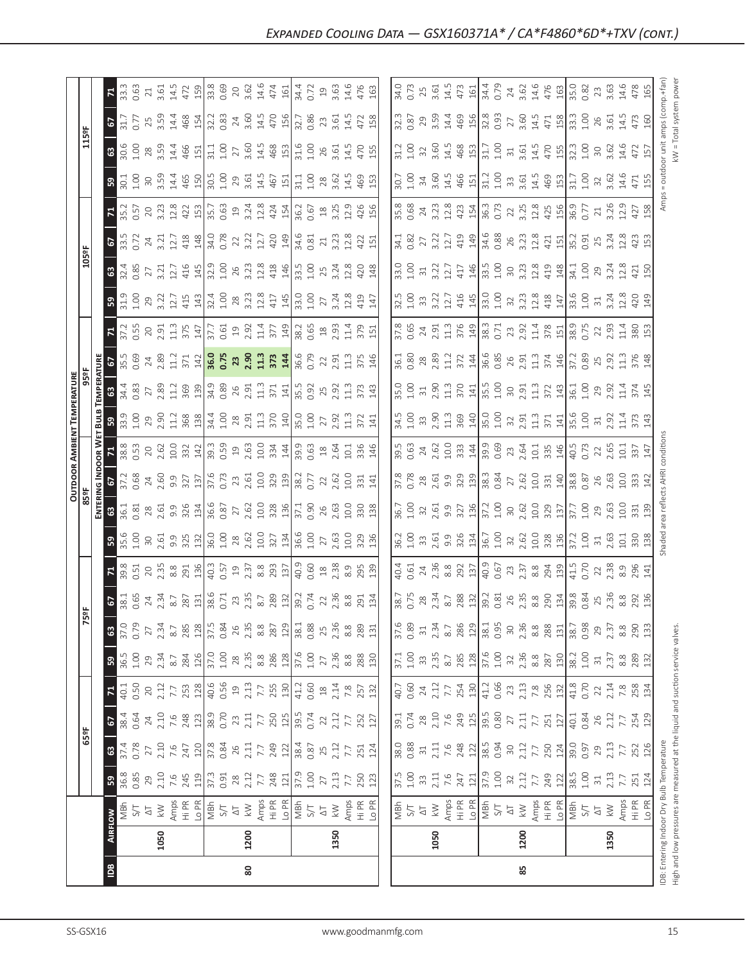|                |      |                                                                                                                                                      |                                                                                                                                                                                                                                                                                                             |                                                                                                                                                                                                                                |                                                                                                                                                                                                                                                                                                                     |                                                                                                                                                                                                                                                                                                                     |                                                                                                                                                                                                                                                                                                               |                                                                                             |                                                         |                                       |                                           |                            |                                                                              | <b>OUTDOOR AMBIENT TEMPERATURE</b>                                                                                                                                                                                                                                                                                                                |                                                                                                                                                                                                                                                                                                                     |                                           |                                                                                                 |                   |                                           |                            |                                                                                   |                  |                        |                                    |                          |
|----------------|------|------------------------------------------------------------------------------------------------------------------------------------------------------|-------------------------------------------------------------------------------------------------------------------------------------------------------------------------------------------------------------------------------------------------------------------------------------------------------------|--------------------------------------------------------------------------------------------------------------------------------------------------------------------------------------------------------------------------------|---------------------------------------------------------------------------------------------------------------------------------------------------------------------------------------------------------------------------------------------------------------------------------------------------------------------|---------------------------------------------------------------------------------------------------------------------------------------------------------------------------------------------------------------------------------------------------------------------------------------------------------------------|---------------------------------------------------------------------------------------------------------------------------------------------------------------------------------------------------------------------------------------------------------------------------------------------------------------|---------------------------------------------------------------------------------------------|---------------------------------------------------------|---------------------------------------|-------------------------------------------|----------------------------|------------------------------------------------------------------------------|---------------------------------------------------------------------------------------------------------------------------------------------------------------------------------------------------------------------------------------------------------------------------------------------------------------------------------------------------|---------------------------------------------------------------------------------------------------------------------------------------------------------------------------------------------------------------------------------------------------------------------------------------------------------------------|-------------------------------------------|-------------------------------------------------------------------------------------------------|-------------------|-------------------------------------------|----------------------------|-----------------------------------------------------------------------------------|------------------|------------------------|------------------------------------|--------------------------|
|                |      |                                                                                                                                                      |                                                                                                                                                                                                                                                                                                             | 65°F                                                                                                                                                                                                                           |                                                                                                                                                                                                                                                                                                                     |                                                                                                                                                                                                                                                                                                                     |                                                                                                                                                                                                                                                                                                               | 5ºF                                                                                         |                                                         |                                       | 85°F                                      |                            |                                                                              |                                                                                                                                                                                                                                                                                                                                                   | 95°F                                                                                                                                                                                                                                                                                                                |                                           |                                                                                                 |                   | 105°F                                     |                            |                                                                                   |                  | 115°F                  |                                    |                          |
|                |      |                                                                                                                                                      |                                                                                                                                                                                                                                                                                                             |                                                                                                                                                                                                                                |                                                                                                                                                                                                                                                                                                                     |                                                                                                                                                                                                                                                                                                                     |                                                                                                                                                                                                                                                                                                               |                                                                                             |                                                         |                                       |                                           |                            | ENTERING INDOOR WET                                                          | Buus <sup>-</sup>                                                                                                                                                                                                                                                                                                                                 | TEMPERATURE                                                                                                                                                                                                                                                                                                         |                                           |                                                                                                 |                   |                                           |                            |                                                                                   |                  |                        |                                    |                          |
| $\overline{B}$ |      |                                                                                                                                                      |                                                                                                                                                                                                                                                                                                             |                                                                                                                                                                                                                                |                                                                                                                                                                                                                                                                                                                     |                                                                                                                                                                                                                                                                                                                     | 63                                                                                                                                                                                                                                                                                                            |                                                                                             | Σ,                                                      | 59                                    | $\mathbb{S}^3$                            | 6                          |                                                                              | 53                                                                                                                                                                                                                                                                                                                                                | ශී                                                                                                                                                                                                                                                                                                                  |                                           |                                                                                                 | ន                 | $\boldsymbol{\mathsf{s}}$                 | 2                          | Σ,                                                                                | 59               | $\boldsymbol{3}$       | 2                                  |                          |
|                |      |                                                                                                                                                      |                                                                                                                                                                                                                                                                                                             |                                                                                                                                                                                                                                |                                                                                                                                                                                                                                                                                                                     |                                                                                                                                                                                                                                                                                                                     | 37.0<br>0.79                                                                                                                                                                                                                                                                                                  | 67<br>38.1<br>0.65                                                                          | 39.8                                                    | 35.6<br>1.00                          | $\frac{36.1}{0.81}$                       | 37.2<br>0.68               | 38.8                                                                         | 33.9<br>1.00                                                                                                                                                                                                                                                                                                                                      | 34.4<br>0.83                                                                                                                                                                                                                                                                                                        | 35.5<br>0.69                              | 37.2<br>0.55                                                                                    | 31.9<br>1.00      | 32.4<br>0.85                              | $33.5$<br>0.72             | 35.2<br>0.57                                                                      | 30.1             | $30.6$<br>$1.00$       | 31.7                               | 33.3                     |
|                |      |                                                                                                                                                      |                                                                                                                                                                                                                                                                                                             |                                                                                                                                                                                                                                |                                                                                                                                                                                                                                                                                                                     |                                                                                                                                                                                                                                                                                                                     |                                                                                                                                                                                                                                                                                                               |                                                                                             | 0.51                                                    |                                       |                                           |                            | 0.53                                                                         |                                                                                                                                                                                                                                                                                                                                                   |                                                                                                                                                                                                                                                                                                                     |                                           |                                                                                                 |                   |                                           |                            |                                                                                   | 1.00             |                        |                                    | 0.63                     |
|                |      |                                                                                                                                                      |                                                                                                                                                                                                                                                                                                             |                                                                                                                                                                                                                                |                                                                                                                                                                                                                                                                                                                     |                                                                                                                                                                                                                                                                                                                     |                                                                                                                                                                                                                                                                                                               | $24$<br>2.34                                                                                | $2, \frac{3}{3}, \frac{3}{3}, \frac{3}{2}, \frac{3}{2}$ | $30$<br>$2.61$<br>$9.3$<br>$325$      | $28$<br>$2.61$<br>$9.9$<br>$326$          | $24$ 0.60                  | 20<br>2.62                                                                   | 29<br>2.90                                                                                                                                                                                                                                                                                                                                        | 27<br>2.89                                                                                                                                                                                                                                                                                                          | $\frac{24}{2.89}$                         | 2.91                                                                                            | 29<br>3.22        | 3.21<br>$\overline{27}$                   | $rac{24}{3.21}$            | 20<br>3.23                                                                        | 30<br>3.59       | 3.59<br>$28$           | 25<br>3.59                         | 3.61<br>$\gtrsim$        |
|                | 1050 |                                                                                                                                                      |                                                                                                                                                                                                                                                                                                             |                                                                                                                                                                                                                                |                                                                                                                                                                                                                                                                                                                     |                                                                                                                                                                                                                                                                                                                     |                                                                                                                                                                                                                                                                                                               | $8.7\,$                                                                                     |                                                         |                                       |                                           |                            |                                                                              |                                                                                                                                                                                                                                                                                                                                                   |                                                                                                                                                                                                                                                                                                                     | 11.2                                      |                                                                                                 |                   |                                           | 12.7                       |                                                                                   | 14.4             | 14.4                   | 14.4                               | 14.5                     |
|                |      |                                                                                                                                                      |                                                                                                                                                                                                                                                                                                             |                                                                                                                                                                                                                                |                                                                                                                                                                                                                                                                                                                     |                                                                                                                                                                                                                                                                                                                     |                                                                                                                                                                                                                                                                                                               | 287                                                                                         |                                                         |                                       |                                           | 327                        |                                                                              |                                                                                                                                                                                                                                                                                                                                                   |                                                                                                                                                                                                                                                                                                                     | 371                                       | 11.3<br>375                                                                                     | $12.7$<br>415     | 12.7<br>416                               | 418                        | $12.8$<br>$422$                                                                   |                  | 466                    |                                    | 472                      |
|                |      |                                                                                                                                                      | $\frac{8}{36}$ $\frac{8}{36}$ $\frac{8}{36}$ $\frac{8}{30}$ $\frac{8}{30}$ $\frac{8}{30}$ $\frac{8}{30}$ $\frac{8}{30}$ $\frac{8}{30}$ $\frac{8}{30}$ $\frac{8}{30}$ $\frac{8}{30}$ $\frac{8}{30}$ $\frac{8}{30}$ $\frac{8}{30}$ $\frac{8}{30}$ $\frac{8}{30}$ $\frac{8}{30}$ $\frac{8}{30}$ $\frac{8}{30}$ | $3.78$ $2.79$ $6.72$ $8.8$ $8.72$ $7.73$ $1.82$ $1.82$ $1.82$ $1.82$ $1.82$ $1.82$ $1.82$ $1.82$ $1.82$ $1.82$ $1.82$ $1.82$ $1.82$ $1.82$ $1.82$ $1.82$ $1.82$ $1.82$ $1.82$ $1.82$ $1.82$ $1.82$ $1.82$ $1.82$ $1.82$ $1.82$ | $\frac{1}{2}$ de solid subsequent subsequent subsequent subsequent subsequent subsequent subsequent subsequent subsequent subsequent subsequent subsequent subsequent subsequent subsequent subsequent subsequent subsequent subs                                                                                   | $\frac{1}{2}$ $\frac{1}{2}$ $\frac{1}{2}$ $\frac{1}{2}$ $\frac{1}{2}$ $\frac{1}{2}$ $\frac{1}{2}$ $\frac{1}{2}$ $\frac{1}{2}$ $\frac{1}{2}$ $\frac{1}{2}$ $\frac{1}{2}$ $\frac{1}{2}$ $\frac{1}{2}$ $\frac{1}{2}$ $\frac{1}{2}$ $\frac{1}{2}$ $\frac{1}{2}$ $\frac{1}{2}$ $\frac{1}{2}$ $\frac{1}{2}$ $\frac{1}{2}$ | $\begin{array}{l} 2,36 \\ 2,37 \\ 2,38 \\ 2,40 \\ 2,50 \\ 2,50 \\ 2,50 \\ 2,50 \\ 2,50 \\ 2,50 \\ 2,50 \\ 2,50 \\ 2,50 \\ 2,50 \\ 2,50 \\ 2,50 \\ 2,50 \\ 2,50 \\ 2,50 \\ 2,50 \\ 2,50 \\ 2,50 \\ 2,50 \\ 2,50 \\ 2,50 \\ 2,50 \\ 2,50 \\ 2,50 \\ 2,50 \\ 2,50 \\ 2,50 \\ 2,50 \\ 2,50 \\ 2,50 \\ 2,50 \\ 2,$ |                                                                                             | 136                                                     |                                       |                                           |                            | $\begin{array}{c} 10.0 \\ 33.0 \\ 14.0 \\ 19.5 \\ 0.5 \\ 0.5 \\ \end{array}$ | $\frac{388}{368}$ $\frac{814}{34}$ $\frac{36}{4}$                                                                                                                                                                                                                                                                                                 | $\frac{2}{3}$ $\frac{2}{3}$ $\frac{2}{3}$ $\frac{2}{3}$ $\frac{2}{3}$ $\frac{2}{3}$ $\frac{2}{3}$ $\frac{2}{3}$ $\frac{2}{3}$ $\frac{2}{3}$ $\frac{2}{3}$ $\frac{2}{3}$ $\frac{2}{3}$ $\frac{2}{3}$ $\frac{2}{3}$ $\frac{2}{3}$ $\frac{2}{3}$ $\frac{2}{3}$ $\frac{2}{3}$ $\frac{2}{3}$ $\frac{2}{3}$ $\frac{2}{3}$ |                                           | 147                                                                                             | 143               | 145                                       | 148                        |                                                                                   | 465<br>150       | 151                    | $468$<br>$154$<br>$32.3$<br>$0.83$ |                          |
|                |      |                                                                                                                                                      |                                                                                                                                                                                                                                                                                                             |                                                                                                                                                                                                                                |                                                                                                                                                                                                                                                                                                                     |                                                                                                                                                                                                                                                                                                                     |                                                                                                                                                                                                                                                                                                               | $\frac{131}{38.6}$                                                                          | 40.3                                                    | $\frac{132}{36.0}$<br>1.00            | $\frac{134}{36.6}$                        | $\frac{137}{37.6}$         |                                                                              |                                                                                                                                                                                                                                                                                                                                                   |                                                                                                                                                                                                                                                                                                                     | $\frac{14}{36}$ .<br>36.75<br>23<br>30.31 |                                                                                                 | 32.4              | 32.9                                      | 34.0<br>0.78               | $\frac{153}{35.7}$ 0.63                                                           |                  | 31.1                   |                                    | $\frac{159}{33.8}$       |
|                |      |                                                                                                                                                      |                                                                                                                                                                                                                                                                                                             |                                                                                                                                                                                                                                |                                                                                                                                                                                                                                                                                                                     |                                                                                                                                                                                                                                                                                                                     |                                                                                                                                                                                                                                                                                                               | 0.71                                                                                        | $0.57$<br>19                                            |                                       |                                           |                            |                                                                              |                                                                                                                                                                                                                                                                                                                                                   |                                                                                                                                                                                                                                                                                                                     |                                           | $37.7$<br>0.61<br>19<br>2.92<br>11.4                                                            | 1.00              | 1.00                                      |                            |                                                                                   | $30.5$<br>$1.00$ | 1.00                   |                                    |                          |
|                |      |                                                                                                                                                      |                                                                                                                                                                                                                                                                                                             |                                                                                                                                                                                                                                |                                                                                                                                                                                                                                                                                                                     |                                                                                                                                                                                                                                                                                                                     |                                                                                                                                                                                                                                                                                                               | 23                                                                                          |                                                         |                                       |                                           |                            |                                                                              |                                                                                                                                                                                                                                                                                                                                                   |                                                                                                                                                                                                                                                                                                                     |                                           |                                                                                                 | $28$              | 26                                        | 22                         |                                                                                   | 29               | 27                     |                                    | 20                       |
| 80             | 1200 |                                                                                                                                                      |                                                                                                                                                                                                                                                                                                             |                                                                                                                                                                                                                                |                                                                                                                                                                                                                                                                                                                     |                                                                                                                                                                                                                                                                                                                     |                                                                                                                                                                                                                                                                                                               | 2.35                                                                                        | 2.37                                                    |                                       |                                           |                            |                                                                              | $2.91$<br>$2.91$<br>$1.3$                                                                                                                                                                                                                                                                                                                         | $2.91$<br>$2.91$<br>$11.3$                                                                                                                                                                                                                                                                                          |                                           |                                                                                                 | 3.23              | 3.23                                      | 3.22                       | $3.24$<br>$12.8$                                                                  | 3.61             | 3.60                   | 24<br>3.60                         | $3.62$<br>14.6           |
|                |      |                                                                                                                                                      |                                                                                                                                                                                                                                                                                                             |                                                                                                                                                                                                                                |                                                                                                                                                                                                                                                                                                                     |                                                                                                                                                                                                                                                                                                                     |                                                                                                                                                                                                                                                                                                               | $8.7\,$                                                                                     | 8.8                                                     | $2.62$<br>10.0                        | $27$<br>$2.62$<br>$10.0$                  | $2.61$<br>$2.61$<br>$10.0$ |                                                                              |                                                                                                                                                                                                                                                                                                                                                   |                                                                                                                                                                                                                                                                                                                     |                                           |                                                                                                 | 12.8              | 12.8                                      | 12.7                       |                                                                                   | 14.5             | 14.5                   | 14.5                               |                          |
|                |      |                                                                                                                                                      |                                                                                                                                                                                                                                                                                                             |                                                                                                                                                                                                                                |                                                                                                                                                                                                                                                                                                                     |                                                                                                                                                                                                                                                                                                                     |                                                                                                                                                                                                                                                                                                               |                                                                                             | 293                                                     | $\frac{327}{134}$                     | $\frac{328}{136}$                         |                            |                                                                              | $\frac{370}{140}$                                                                                                                                                                                                                                                                                                                                 | $\frac{371}{141}$                                                                                                                                                                                                                                                                                                   | $\frac{373}{44}$                          | $\frac{377}{149}$                                                                               | 417               | 418<br>146                                | 420                        | 424                                                                               | 467<br>151       | 468                    | 470                                | 474                      |
|                |      |                                                                                                                                                      |                                                                                                                                                                                                                                                                                                             |                                                                                                                                                                                                                                |                                                                                                                                                                                                                                                                                                                     |                                                                                                                                                                                                                                                                                                                     |                                                                                                                                                                                                                                                                                                               |                                                                                             | 137                                                     |                                       |                                           |                            |                                                                              |                                                                                                                                                                                                                                                                                                                                                   |                                                                                                                                                                                                                                                                                                                     |                                           |                                                                                                 |                   |                                           |                            |                                                                                   |                  |                        |                                    | 161                      |
|                |      |                                                                                                                                                      |                                                                                                                                                                                                                                                                                                             |                                                                                                                                                                                                                                |                                                                                                                                                                                                                                                                                                                     |                                                                                                                                                                                                                                                                                                                     |                                                                                                                                                                                                                                                                                                               | $289$<br>$\frac{13}{3}$<br>$\frac{2}{3}$<br>$\frac{2}{3}$<br>$\frac{1}{2}$<br>$\frac{2}{4}$ | 40.9                                                    | $36.6$<br>$1.00$                      | 37.1<br>0.90                              | $\frac{329}{136.7}$        |                                                                              | 35.0<br>1.00                                                                                                                                                                                                                                                                                                                                      | 35.5<br>0.92                                                                                                                                                                                                                                                                                                        | 36.6<br>0.79                              |                                                                                                 | 33.0<br>1.00      | 33.5                                      | 34.6<br>0.81               | $36.2$<br>0.67<br>18<br>3.25                                                      | 31.1             | 31.6                   | 32.7                               | 34.4                     |
|                |      |                                                                                                                                                      |                                                                                                                                                                                                                                                                                                             |                                                                                                                                                                                                                                |                                                                                                                                                                                                                                                                                                                     |                                                                                                                                                                                                                                                                                                                     |                                                                                                                                                                                                                                                                                                               |                                                                                             | 0.60                                                    |                                       |                                           |                            |                                                                              |                                                                                                                                                                                                                                                                                                                                                   |                                                                                                                                                                                                                                                                                                                     |                                           |                                                                                                 |                   | 1.00                                      |                            |                                                                                   | $\frac{8}{1}$    | 1.00                   |                                    | 0.72                     |
|                |      |                                                                                                                                                      |                                                                                                                                                                                                                                                                                                             |                                                                                                                                                                                                                                |                                                                                                                                                                                                                                                                                                                     |                                                                                                                                                                                                                                                                                                                     |                                                                                                                                                                                                                                                                                                               | 22                                                                                          | $^{28}$                                                 | 27                                    |                                           |                            |                                                                              |                                                                                                                                                                                                                                                                                                                                                   |                                                                                                                                                                                                                                                                                                                     |                                           |                                                                                                 | 27                | 25                                        | $21\,$                     |                                                                                   | 28               | 26                     |                                    | $\overline{c}$           |
|                | 1350 |                                                                                                                                                      |                                                                                                                                                                                                                                                                                                             |                                                                                                                                                                                                                                |                                                                                                                                                                                                                                                                                                                     |                                                                                                                                                                                                                                                                                                                     |                                                                                                                                                                                                                                                                                                               | 2.36                                                                                        | 2.38                                                    | 2.63                                  | $26$<br>$2.63$                            | $22$<br>$2.62$             |                                                                              | 27<br>2.92                                                                                                                                                                                                                                                                                                                                        | 25<br>2.92                                                                                                                                                                                                                                                                                                          | 2.91                                      |                                                                                                 | 3.24              | 3.24                                      | 3.23                       |                                                                                   | 3.62             | 3.61                   | 23.61                              | 3.63                     |
|                |      |                                                                                                                                                      |                                                                                                                                                                                                                                                                                                             |                                                                                                                                                                                                                                |                                                                                                                                                                                                                                                                                                                     |                                                                                                                                                                                                                                                                                                                     |                                                                                                                                                                                                                                                                                                               | 8.8                                                                                         | 8.9                                                     | 10.0                                  | 10.0                                      | 10.0                       | 10.1                                                                         | 11.3                                                                                                                                                                                                                                                                                                                                              | $\frac{3}{11}$                                                                                                                                                                                                                                                                                                      | 113                                       | $38.2$<br>0.65<br>2.93<br>2.11                                                                  | 12.8              | 12.8                                      | 12.8                       | 12.9                                                                              | 14.5             | 14.5                   | 14.5                               | 14.6                     |
|                |      |                                                                                                                                                      |                                                                                                                                                                                                                                                                                                             |                                                                                                                                                                                                                                |                                                                                                                                                                                                                                                                                                                     |                                                                                                                                                                                                                                                                                                                     |                                                                                                                                                                                                                                                                                                               | 291                                                                                         | 295                                                     | 329                                   | 330                                       | 331                        | 336                                                                          | 372                                                                                                                                                                                                                                                                                                                                               | 373                                                                                                                                                                                                                                                                                                                 | 375                                       | 379                                                                                             | 419               | 420                                       | 422                        | 426                                                                               | 469              | 470                    | 472                                | 476                      |
|                |      |                                                                                                                                                      |                                                                                                                                                                                                                                                                                                             |                                                                                                                                                                                                                                |                                                                                                                                                                                                                                                                                                                     |                                                                                                                                                                                                                                                                                                                     |                                                                                                                                                                                                                                                                                                               | 134                                                                                         | 139                                                     | 136                                   | 138                                       | 141                        | 146                                                                          | 141                                                                                                                                                                                                                                                                                                                                               | 143                                                                                                                                                                                                                                                                                                                 | 146                                       | 151                                                                                             | 147               | 148                                       | 151                        | 156                                                                               | 153              | 155                    | 158                                | 163                      |
|                |      |                                                                                                                                                      |                                                                                                                                                                                                                                                                                                             |                                                                                                                                                                                                                                |                                                                                                                                                                                                                                                                                                                     |                                                                                                                                                                                                                                                                                                                     |                                                                                                                                                                                                                                                                                                               |                                                                                             |                                                         |                                       |                                           |                            |                                                                              |                                                                                                                                                                                                                                                                                                                                                   |                                                                                                                                                                                                                                                                                                                     |                                           |                                                                                                 |                   |                                           |                            |                                                                                   |                  |                        |                                    |                          |
|                |      |                                                                                                                                                      |                                                                                                                                                                                                                                                                                                             |                                                                                                                                                                                                                                |                                                                                                                                                                                                                                                                                                                     |                                                                                                                                                                                                                                                                                                                     |                                                                                                                                                                                                                                                                                                               |                                                                                             |                                                         | 36.2                                  | 36.7                                      |                            | 39.5                                                                         | 34.5                                                                                                                                                                                                                                                                                                                                              | 35.0                                                                                                                                                                                                                                                                                                                | 36.1                                      |                                                                                                 | 32.5              | 33.0                                      | 34.1                       |                                                                                   | 30.7             | 31.2                   | 32.3                               | 34.0                     |
|                |      |                                                                                                                                                      |                                                                                                                                                                                                                                                                                                             |                                                                                                                                                                                                                                |                                                                                                                                                                                                                                                                                                                     |                                                                                                                                                                                                                                                                                                                     |                                                                                                                                                                                                                                                                                                               | 38.7<br>0.75                                                                                | 40.4<br>0.61                                            | $\frac{1}{2}$                         | $\overline{0}$                            | 37.8<br>0.78               | 0.63                                                                         | 1.00                                                                                                                                                                                                                                                                                                                                              | 001                                                                                                                                                                                                                                                                                                                 | 0.80                                      | 37.8<br>0.65                                                                                    | 1.00              | 1.00                                      | 0.82                       |                                                                                   | 001              | 1.00                   |                                    | 0.73                     |
|                |      |                                                                                                                                                      |                                                                                                                                                                                                                                                                                                             |                                                                                                                                                                                                                                |                                                                                                                                                                                                                                                                                                                     |                                                                                                                                                                                                                                                                                                                     |                                                                                                                                                                                                                                                                                                               | $28$                                                                                        |                                                         |                                       |                                           |                            |                                                                              |                                                                                                                                                                                                                                                                                                                                                   |                                                                                                                                                                                                                                                                                                                     |                                           |                                                                                                 | $33$              | $\Xi$                                     | 27                         |                                                                                   | $34$             | $32$                   |                                    |                          |
|                | 1050 |                                                                                                                                                      |                                                                                                                                                                                                                                                                                                             |                                                                                                                                                                                                                                |                                                                                                                                                                                                                                                                                                                     |                                                                                                                                                                                                                                                                                                                     |                                                                                                                                                                                                                                                                                                               | 2.34                                                                                        |                                                         |                                       |                                           |                            |                                                                              |                                                                                                                                                                                                                                                                                                                                                   | $\frac{31}{2.90}$                                                                                                                                                                                                                                                                                                   |                                           |                                                                                                 | $3.22$<br>12.7    | 3.22                                      | $3.22$<br>12.7             |                                                                                   |                  | $3.60$<br>14.5         |                                    | 25<br>3.61<br>14.5       |
|                |      |                                                                                                                                                      |                                                                                                                                                                                                                                                                                                             |                                                                                                                                                                                                                                |                                                                                                                                                                                                                                                                                                                     |                                                                                                                                                                                                                                                                                                                     |                                                                                                                                                                                                                                                                                                               | $8.7$<br>288<br>132                                                                         | $24$ $36$ $8.8$                                         | $33.50$<br>$0.51$<br>$0.98$<br>$0.34$ | $32.59$<br>$2.59$<br>$3.75$<br>$136$      | 28<br>2.61<br>9.9<br>329   | $2.62$<br>10.0<br>333<br>144                                                 | $\begin{array}{c} 33 \\ 21 \\ 36 \\ 37 \\ 49 \\ 50 \\ 60 \\ 70 \\ 81 \\ 10 \\ 10 \\ 21 \\ 22 \\ 11 \\ 23 \\ 24 \\ 25 \\ 26 \\ 27 \\ 29 \\ 20 \\ 21 \\ 22 \\ 23 \\ 24 \\ 25 \\ 26 \\ 27 \\ 28 \\ 29 \\ 20 \\ 23 \\ 24 \\ 25 \\ 26 \\ 27 \\ 28 \\ 29 \\ 29 \\ 20 \\ 20 \\ 21 \\ 22 \\ 23 \\ 24 \\ 25 \\ 26 \\ 27 \\ 28 \\ 29 \\ 29 \\ 20 \\ 20 \\ $ |                                                                                                                                                                                                                                                                                                                     | 28<br>2.89<br>11.2                        | $2,91$<br>$2,91$<br>$3,76$<br>$3,79$<br>$149$                                                   |                   | 12.7                                      |                            | 35.8<br>0.68<br>2 3 .7 .3 .8<br>2 4 5 4 5 4                                       | $3.60$<br>14.5   |                        | $0.87$<br>$29$<br>$3.59$<br>$14.4$ |                          |
|                |      |                                                                                                                                                      |                                                                                                                                                                                                                                                                                                             |                                                                                                                                                                                                                                |                                                                                                                                                                                                                                                                                                                     |                                                                                                                                                                                                                                                                                                                     |                                                                                                                                                                                                                                                                                                               |                                                                                             | 292<br>137                                              |                                       |                                           |                            |                                                                              |                                                                                                                                                                                                                                                                                                                                                   | $370$<br>141                                                                                                                                                                                                                                                                                                        | 372                                       |                                                                                                 | 416<br>145        | 417                                       | 419<br>149                 |                                                                                   | 466<br>151       | 468<br>153             | 469<br>156                         | 473                      |
|                |      |                                                                                                                                                      |                                                                                                                                                                                                                                                                                                             |                                                                                                                                                                                                                                |                                                                                                                                                                                                                                                                                                                     |                                                                                                                                                                                                                                                                                                                     |                                                                                                                                                                                                                                                                                                               |                                                                                             |                                                         |                                       |                                           |                            |                                                                              |                                                                                                                                                                                                                                                                                                                                                   |                                                                                                                                                                                                                                                                                                                     | 144                                       |                                                                                                 |                   | 146                                       |                            |                                                                                   |                  |                        |                                    | 161                      |
|                |      |                                                                                                                                                      |                                                                                                                                                                                                                                                                                                             |                                                                                                                                                                                                                                |                                                                                                                                                                                                                                                                                                                     |                                                                                                                                                                                                                                                                                                                     |                                                                                                                                                                                                                                                                                                               | 39.2<br>0.81                                                                                | 40.9<br>0.67                                            | $36.7$<br>$1.00$                      |                                           | 38.3<br>0.84               | 39.9                                                                         |                                                                                                                                                                                                                                                                                                                                                   | $\frac{15}{35.5}$                                                                                                                                                                                                                                                                                                   | 36.6<br>0.85                              | 38.3<br>0.71                                                                                    | 33.0              |                                           |                            |                                                                                   | $31.2$<br>$1.00$ | $31.7$<br>$1.00$       | 32.8<br>0.93                       | 34.4<br>0.79             |
|                |      |                                                                                                                                                      |                                                                                                                                                                                                                                                                                                             |                                                                                                                                                                                                                                |                                                                                                                                                                                                                                                                                                                     |                                                                                                                                                                                                                                                                                                                     |                                                                                                                                                                                                                                                                                                               |                                                                                             |                                                         |                                       |                                           |                            |                                                                              |                                                                                                                                                                                                                                                                                                                                                   |                                                                                                                                                                                                                                                                                                                     |                                           |                                                                                                 |                   | 33.5<br>1.00<br>30<br>3.23                | 34.6<br>0.88<br>26<br>3.23 |                                                                                   |                  |                        |                                    |                          |
|                |      |                                                                                                                                                      |                                                                                                                                                                                                                                                                                                             |                                                                                                                                                                                                                                |                                                                                                                                                                                                                                                                                                                     |                                                                                                                                                                                                                                                                                                                     |                                                                                                                                                                                                                                                                                                               |                                                                                             | 237                                                     | $32$<br>$2.62$                        |                                           | $27$<br>$2.62$             | $23$<br>$2.64$                                                               |                                                                                                                                                                                                                                                                                                                                                   | $30^{2.91}$                                                                                                                                                                                                                                                                                                         | 26<br>2.91                                |                                                                                                 | 3.23              |                                           |                            |                                                                                   |                  | $3.\overline{6}1$      | $27$<br>3.60                       |                          |
| 85             | 1200 |                                                                                                                                                      |                                                                                                                                                                                                                                                                                                             |                                                                                                                                                                                                                                |                                                                                                                                                                                                                                                                                                                     |                                                                                                                                                                                                                                                                                                                     |                                                                                                                                                                                                                                                                                                               |                                                                                             |                                                         |                                       | $37.2$<br>$30$<br>$30$<br>$2.62$<br>$100$ |                            |                                                                              |                                                                                                                                                                                                                                                                                                                                                   |                                                                                                                                                                                                                                                                                                                     |                                           |                                                                                                 |                   |                                           |                            |                                                                                   | 33.61            |                        |                                    | $24$<br>$3.62$<br>$14.6$ |
|                |      |                                                                                                                                                      |                                                                                                                                                                                                                                                                                                             |                                                                                                                                                                                                                                |                                                                                                                                                                                                                                                                                                                     |                                                                                                                                                                                                                                                                                                                     |                                                                                                                                                                                                                                                                                                               |                                                                                             | $8.8$                                                   |                                       |                                           | 10.0                       |                                                                              | 11.3                                                                                                                                                                                                                                                                                                                                              | 11.3                                                                                                                                                                                                                                                                                                                | 11.3                                      |                                                                                                 |                   | 12.8<br>419                               |                            |                                                                                   | 14.5             | 14.5                   | 14.5                               |                          |
|                |      |                                                                                                                                                      |                                                                                                                                                                                                                                                                                                             |                                                                                                                                                                                                                                |                                                                                                                                                                                                                                                                                                                     |                                                                                                                                                                                                                                                                                                                     |                                                                                                                                                                                                                                                                                                               |                                                                                             | 294<br>139                                              | $\frac{0.0}{328}$                     | 329                                       | 331                        | $\frac{1}{2}$ $\frac{1}{2}$ $\frac{1}{2}$                                    | $\frac{371}{141}$                                                                                                                                                                                                                                                                                                                                 | 372                                                                                                                                                                                                                                                                                                                 | 374                                       |                                                                                                 | $\frac{2.8}{4.3}$ |                                           | $12.8$<br>$421$<br>$15.2$  | $\begin{array}{c} 36.3 \\ 0.73 \\ 2.2 \\ 3.2 \\ 4.4 \\ 9.6 \\ \hline \end{array}$ | 469<br>153       | 470                    | 471                                | 476                      |
|                |      |                                                                                                                                                      |                                                                                                                                                                                                                                                                                                             |                                                                                                                                                                                                                                |                                                                                                                                                                                                                                                                                                                     |                                                                                                                                                                                                                                                                                                                     |                                                                                                                                                                                                                                                                                                               |                                                                                             |                                                         |                                       | 137                                       | $\frac{140}{2}$            |                                                                              |                                                                                                                                                                                                                                                                                                                                                   | $\frac{143}{2}$                                                                                                                                                                                                                                                                                                     | $\frac{46}{5}$                            |                                                                                                 |                   | 148                                       |                            |                                                                                   |                  |                        |                                    | $\frac{163}{350}$        |
|                |      | $\frac{1}{2}$<br>$227$<br>$257$<br>$257$<br>$258$<br>$257$<br>$257$<br>$257$<br>$257$<br>$257$<br>$257$<br>$257$<br>$257$<br>$257$<br>$257$<br>$257$ |                                                                                                                                                                                                                                                                                                             | ន្លី ខ្លួ ដ ដ ៩ ឌី ដ ដ្តែ ខ្លួ ម ដ ែ ខ្លួ ដ ដ ន ន ដ ដ ន ន ន ដ ដ ន ន ន ដ ដ ន ន ន ដ ដ ន ន ន ន ន ន ន ន                                                                                                                            | $\frac{1}{2}$ $\frac{1}{6}$ $\frac{1}{6}$ $\frac{1}{6}$ $\frac{1}{6}$ $\frac{1}{6}$ $\frac{1}{6}$ $\frac{1}{6}$ $\frac{1}{6}$ $\frac{1}{6}$ $\frac{1}{6}$ $\frac{1}{6}$ $\frac{1}{6}$ $\frac{1}{6}$ $\frac{1}{6}$ $\frac{1}{6}$ $\frac{1}{6}$ $\frac{1}{6}$ $\frac{1}{6}$ $\frac{1}{6}$ $\frac{1}{6}$ $\frac{1}{6}$ | $\begin{array}{l} 1.715 \\ 1.160 \\ 1.373 \\ 1.383 \\ 1.398 \\ 1.319 \\ 1.321 \\ 1.332 \\ 1.343 \\ 1.353 \\ 1.373 \\ 1.373 \\ 1.383 \\ 1.398 \\ 1.313 \\ 1.313 \\ 1.333 \\ 1.333 \\ 1.333 \\ 1.333 \\ 1.333 \\ 1.333 \\ 1.333 \\ 1.333 \\ 1.333 \\ 1.333 \\ 1.333 \\ 1.333 \\ 1.333 \\ 1.333 \\ 1.$                 |                                                                                                                                                                                                                                                                                                               |                                                                                             | 41.5                                                    | $\sqrt{37.2}$                         | $\sqrt{37.7}$                             | 38.8<br>0.87               | 40.5<br>0.73                                                                 |                                                                                                                                                                                                                                                                                                                                                   | $\overline{36.1}$                                                                                                                                                                                                                                                                                                   | $\sqrt{37.2}$                             | $\begin{array}{c} 23 \\ 2.92 \\ 1.14 \\ 378 \\ 151 \\ 8.9 \\ 101 \\ 8.9 \\ 0.75 \\ \end{array}$ |                   | 34.1                                      |                            |                                                                                   | 31.7             | 32.3                   | 33.3                               |                          |
|                |      |                                                                                                                                                      |                                                                                                                                                                                                                                                                                                             |                                                                                                                                                                                                                                |                                                                                                                                                                                                                                                                                                                     |                                                                                                                                                                                                                                                                                                                     |                                                                                                                                                                                                                                                                                                               | 0.84                                                                                        | 0.70                                                    | 1.00                                  | 1.00                                      |                            |                                                                              | 1.00                                                                                                                                                                                                                                                                                                                                              | 1.00                                                                                                                                                                                                                                                                                                                | 0.89                                      |                                                                                                 | 1.00              | 1.00                                      | 0.91                       | 0.77                                                                              | 1.00             | 1.00                   | 1.00                               | 0.82                     |
|                |      |                                                                                                                                                      |                                                                                                                                                                                                                                                                                                             |                                                                                                                                                                                                                                |                                                                                                                                                                                                                                                                                                                     |                                                                                                                                                                                                                                                                                                                     |                                                                                                                                                                                                                                                                                                               | 25                                                                                          | 22                                                      | $\overline{31}$                       | 29                                        | 26                         | 22.65                                                                        | $\approx 1$                                                                                                                                                                                                                                                                                                                                       | 29                                                                                                                                                                                                                                                                                                                  | 25                                        |                                                                                                 | $\overline{31}$   | 29                                        | 25                         | 21                                                                                | $32$             | $\approx 0$            | $26$                               | 23                       |
|                | 1350 |                                                                                                                                                      |                                                                                                                                                                                                                                                                                                             |                                                                                                                                                                                                                                |                                                                                                                                                                                                                                                                                                                     |                                                                                                                                                                                                                                                                                                                     |                                                                                                                                                                                                                                                                                                               | 2.36                                                                                        | 2.38                                                    | 2.63                                  | 2.63                                      | 2.63                       |                                                                              | 2.92                                                                                                                                                                                                                                                                                                                                              | 2.92                                                                                                                                                                                                                                                                                                                | 2.92                                      | $2.93$<br>$11.4$                                                                                | 3.24              | 3.24                                      | 3.24                       | 3.26                                                                              | 3.62             | 3.62                   | 3.61                               | 3.63                     |
|                |      |                                                                                                                                                      |                                                                                                                                                                                                                                                                                                             |                                                                                                                                                                                                                                |                                                                                                                                                                                                                                                                                                                     |                                                                                                                                                                                                                                                                                                                     |                                                                                                                                                                                                                                                                                                               | 8.8                                                                                         | 8.9                                                     | $\overline{10}$                       | 10.0                                      | 10.0                       | 10.1                                                                         | 11.4                                                                                                                                                                                                                                                                                                                                              | 11.4                                                                                                                                                                                                                                                                                                                | $\frac{3}{2}$                             |                                                                                                 | 12.8              | $\frac{8}{2}$                             | $\overline{2.8}$           | 12.9                                                                              | 14.6             | 14.6                   | 14.5                               | 14.6                     |
|                |      | Amps<br>Hi PR<br>Lo PR                                                                                                                               |                                                                                                                                                                                                                                                                                                             |                                                                                                                                                                                                                                |                                                                                                                                                                                                                                                                                                                     |                                                                                                                                                                                                                                                                                                                     |                                                                                                                                                                                                                                                                                                               | 292<br>136                                                                                  | 296<br>141                                              | 330                                   | 331                                       | 333                        | 337                                                                          | 373<br>143                                                                                                                                                                                                                                                                                                                                        | 374<br>145                                                                                                                                                                                                                                                                                                          | 376                                       | 380<br>153                                                                                      | 420<br>149        | $\begin{array}{c} 421 \\ 150 \end{array}$ | 423<br>153                 | 427<br>158                                                                        | 471              | 472<br>157             | 473                                | 478                      |
|                |      |                                                                                                                                                      |                                                                                                                                                                                                                                                                                                             |                                                                                                                                                                                                                                |                                                                                                                                                                                                                                                                                                                     |                                                                                                                                                                                                                                                                                                                     |                                                                                                                                                                                                                                                                                                               |                                                                                             |                                                         | 138                                   | 139                                       |                            |                                                                              |                                                                                                                                                                                                                                                                                                                                                   |                                                                                                                                                                                                                                                                                                                     |                                           |                                                                                                 |                   |                                           |                            |                                                                                   | 155              |                        | 160                                | 165                      |
|                |      | IDB: Entering Indoor Dry Bulb Temperature                                                                                                            |                                                                                                                                                                                                                                                                                                             |                                                                                                                                                                                                                                |                                                                                                                                                                                                                                                                                                                     |                                                                                                                                                                                                                                                                                                                     |                                                                                                                                                                                                                                                                                                               |                                                                                             |                                                         | Shaded                                | area reflects AHRI                        |                            | condition                                                                    |                                                                                                                                                                                                                                                                                                                                                   |                                                                                                                                                                                                                                                                                                                     |                                           |                                                                                                 |                   |                                           |                            |                                                                                   | outdoor unit     |                        | amps (comp.+fan                    |                          |
|                |      | High and low pressures are measured at the liquid and suction service valves.                                                                        |                                                                                                                                                                                                                                                                                                             |                                                                                                                                                                                                                                |                                                                                                                                                                                                                                                                                                                     |                                                                                                                                                                                                                                                                                                                     |                                                                                                                                                                                                                                                                                                               |                                                                                             |                                                         |                                       |                                           |                            |                                                                              |                                                                                                                                                                                                                                                                                                                                                   |                                                                                                                                                                                                                                                                                                                     |                                           |                                                                                                 |                   |                                           |                            |                                                                                   |                  | kW = Total system powe |                                    |                          |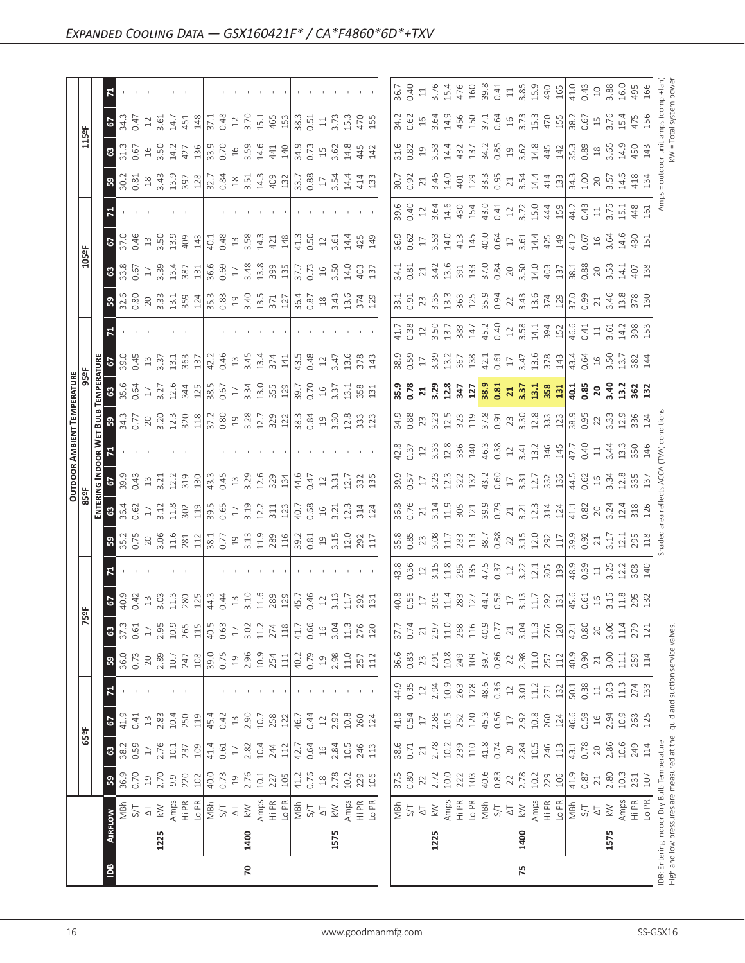| ៉ូ              | $\sqrt{2}$                  | $\begin{array}{ccc}\n3.75 & 7.75 & 7.75 & 7.75 & 7.75 & 7.75 & 7.75 & 7.75 & 7.75 & 7.75 & 7.75 & 7.75 & 7.75 & 7.75 & 7.75 & 7.75 & 7.75 & 7.75 & 7.75 & 7.75 & 7.75 & 7.75 & 7.75 & 7.75 & 7.75 & 7.75 & 7.75 & 7.75 & 7.75 & 7.75 & 7.75 & 7.75 & 7.75 & 7.75 & 7.75 & 7.$                                                                                                                                                                                                   |      |                                                                                                                                                                                                                                                                                                                                                                                                                 |      |      |
|-----------------|-----------------------------|---------------------------------------------------------------------------------------------------------------------------------------------------------------------------------------------------------------------------------------------------------------------------------------------------------------------------------------------------------------------------------------------------------------------------------------------------------------------------------|------|-----------------------------------------------------------------------------------------------------------------------------------------------------------------------------------------------------------------------------------------------------------------------------------------------------------------------------------------------------------------------------------------------------------------|------|------|
|                 | $\mathbf{G}$                | $\begin{bmatrix} 11 & 12 & 15 & 16 \\ 10 & 15 & 15 & 16 \\ 11 & 15 & 15 & 16 \\ 13 & 15 & 16 & 16 \\ 14 & 16 & 16 & 16 \\ 15 & 16 & 16 & 16 \\ 16 & 16 & 16 & 16 \\ 17 & 18 & 16 & 16 \\ 18 & 19 & 16 & 16 \\ 19 & 10 & 17 & 16 & 16 \\ 10 & 10 & 18 & 16 & 16 \\ 11 & 10 & 10 & 16 & 16 \\ 12 & 10 & 1$                                                                                                                                                                        |      |                                                                                                                                                                                                                                                                                                                                                                                                                 |      |      |
|                 | 59                          |                                                                                                                                                                                                                                                                                                                                                                                                                                                                                 |      |                                                                                                                                                                                                                                                                                                                                                                                                                 |      |      |
|                 |                             |                                                                                                                                                                                                                                                                                                                                                                                                                                                                                 |      |                                                                                                                                                                                                                                                                                                                                                                                                                 |      |      |
|                 | $\overline{5}$              | 2010 10:00:00 10:00 10:00 10:00 10:00 10:00 10:00 10:00 10:00 10:00 10:00 10:00 10:00 10:00 10:00 10:00 10:00<br>20:00 10:00:00 10:00 10:00 10:00 10:00 10:00 10:00 10:00 10:00 10:00 10:00 10:00 10:00 10:00 10:00 10:00 10:00                                                                                                                                                                                                                                                 |      |                                                                                                                                                                                                                                                                                                                                                                                                                 |      |      |
|                 | 63                          | $38.65 + 39.45 = 32.45$<br>$38.65 + 39.45 = 32.45$<br>$38.65 + 39.45 = 32.45$<br>$38.65 + 39.45 = 32.45$<br>$38.65 + 39.45 = 32.45$<br>$38.65 + 39.45 = 32.45$                                                                                                                                                                                                                                                                                                                  |      |                                                                                                                                                                                                                                                                                                                                                                                                                 |      |      |
|                 | ႜ႙                          | $\begin{smallmatrix} 6 & 8 & 8 & 8 & 8 & 1\\ 8 & 8 & 8 & 8 & 1 & 1\\ 9 & 8 & 8 & 1 & 1 & 1\\ 10 & 8 & 8 & 1 & 1 & 1\\ 11 & 8 & 8 & 1 & 1 & 1\\ 12 & 8 & 8 & 1 & 1 & 1\\ 13 & 8 & 8 & 1 & 1 & 1\\ 14 & 8 & 1 & 1 & 1 & 1\\ 15 & 8 & 1 & 1 & 1 & 1\\ 16 & 8 & 1 & 1 & 1 & 1\\ 17 & 8 & 1 & 1 & 1 & 1\\ 18 & 8 & $                                                                                                                                                                 |      |                                                                                                                                                                                                                                                                                                                                                                                                                 |      |      |
|                 | $\mathbf{z}$                |                                                                                                                                                                                                                                                                                                                                                                                                                                                                                 |      | $\begin{bmatrix} \frac{11}{11} & \frac{13}{10} & \frac{11}{10} & \frac{11}{10} & \frac{11}{10} & \frac{11}{10} & \frac{11}{10} & \frac{11}{10} & \frac{11}{10} & \frac{11}{10} & \frac{11}{10} & \frac{11}{10} & \frac{11}{10} & \frac{11}{10} & \frac{11}{10} & \frac{11}{10} & \frac{11}{10} & \frac{11}{10} & \frac{11}{10} & \frac{11}{10} & \frac{11}{10} & \frac{1$                                       |      |      |
|                 | ៖ទ                          |                                                                                                                                                                                                                                                                                                                                                                                                                                                                                 |      | $\begin{bmatrix} 89.95 & 29.8 & 29.8 & 29.8 & 29.8 & 29.8 & 29.8 & 29.8 & 29.8 & 29.8 & 29.8 & 29.8 & 29.8 & 29.8 & 29.8 & 29.8 & 29.8 & 29.8 & 29.8 & 29.8 & 29.8 & 29.8 & 29.8 & 29.8 & 29.8 & 29.8 & 29.8 & 29.8 & 29.8 & 29.8 & 29.8 & 29.8 & 29.8 & 29.8 & 29.8 & 29$                                                                                                                                      |      |      |
|                 | <u>ទ្</u> នី ឌ              |                                                                                                                                                                                                                                                                                                                                                                                                                                                                                 |      |                                                                                                                                                                                                                                                                                                                                                                                                                 |      |      |
|                 | <u> ដ្ឋី  ន</u>             |                                                                                                                                                                                                                                                                                                                                                                                                                                                                                 |      |                                                                                                                                                                                                                                                                                                                                                                                                                 |      |      |
|                 | <u>ទី ដ</u>                 |                                                                                                                                                                                                                                                                                                                                                                                                                                                                                 |      |                                                                                                                                                                                                                                                                                                                                                                                                                 |      |      |
|                 | $\frac{3}{5}$               |                                                                                                                                                                                                                                                                                                                                                                                                                                                                                 |      | $\begin{bmatrix} 99.5 & 10.5 & 10.5 & 10.5 & 10.5 & 10.5 & 10.5 & 10.5 & 10.5 & 10.5 & 10.5 & 10.5 & 10.5 & 10.5 & 10.5 & 10.5 & 10.5 & 10.5 & 10.5 & 10.5 & 10.5 & 10.5 & 10.5 & 10.5 & 10.5 & 10.5 & 10.5 & 10.5 & 10.5 & 10.5 & 10.5 & 10.5 & 10.5 & 10.5 & 10.5 & 10.$                                                                                                                                      |      |      |
|                 |                             |                                                                                                                                                                                                                                                                                                                                                                                                                                                                                 |      |                                                                                                                                                                                                                                                                                                                                                                                                                 |      |      |
|                 | ြို့                        |                                                                                                                                                                                                                                                                                                                                                                                                                                                                                 |      |                                                                                                                                                                                                                                                                                                                                                                                                                 |      |      |
|                 |                             |                                                                                                                                                                                                                                                                                                                                                                                                                                                                                 |      |                                                                                                                                                                                                                                                                                                                                                                                                                 |      |      |
|                 | 5                           |                                                                                                                                                                                                                                                                                                                                                                                                                                                                                 |      |                                                                                                                                                                                                                                                                                                                                                                                                                 |      |      |
| 읎               | 3 <sup>o</sup>              | $\begin{array}{l} 0.61 & 0.62 & 0.63 \\ 0.61 & 0.63 & 0.64 \\ 0.63 & 0.64 & 0.65 \\ 0.65 & 0.65 & 0.66 \\ 0.67 & 0.67 & 0.67 \\ 0.67 & 0.67 & 0.67 \\ 0.67 & 0.67 & 0.67 \\ 0.67 & 0.67 & 0.67 \\ 0.69 & 0.67 & 0.67 \\ 0.61 & 0.67 & 0.67 \\ 0.61 & 0.67 & 0.67 \\ 0.61 & 0.67 & 0.$                                                                                                                                                                                           |      |                                                                                                                                                                                                                                                                                                                                                                                                                 |      |      |
|                 | ြို့                        | $\begin{array}{l} 60.73 \\ 60.72 \ 80.72 \ 71.73 \\ 71.73 \ 81.74 \ 81.75 \ 91.75 \ 91.75 \ 91.75 \ 91.75 \ 91.75 \ 91.75 \ 91.75 \ 91.75 \ 91.75 \ 91.75 \ 91.75 \ 91.75 \ 91.75 \ 91.75 \ 91.75 \ 91.75 \ 91.75 \ 91.75 \ 91.75 \ 91.75 \ 91.75 \ 91.75 \ 91.75 \ 91$                                                                                                                                                                                                         |      |                                                                                                                                                                                                                                                                                                                                                                                                                 | 22   |      |
|                 | $\mathbf{z}$                |                                                                                                                                                                                                                                                                                                                                                                                                                                                                                 |      |                                                                                                                                                                                                                                                                                                                                                                                                                 |      |      |
|                 |                             |                                                                                                                                                                                                                                                                                                                                                                                                                                                                                 |      | $\begin{bmatrix} a_1 & a_2 & a_3 & a_4 \\ a_1 & a_2 & a_3 & a_4 \\ a_2 & a_3 & a_4 & a_5 \\ a_4 & a_5 & a_6 & a_7 \end{bmatrix} \begin{bmatrix} a_1 & a_2 & a_3 & a_4 \\ a_1 & a_2 & a_3 & a_4 \\ a_2 & a_3 & a_4 & a_5 \end{bmatrix} \begin{bmatrix} a_1 & a_2 & a_3 & a_4 \\ a_2 & a_3 & a_3 & a_4 \\ a_4 & a_4 & a_5 & a_6 \end{bmatrix}$                                                                    |      |      |
| $\frac{1}{250}$ | $\overline{\phantom{0}}$ 67 | $\begin{bmatrix} 1 & 0 & 0 & 0 & 0 \\ 0 & 0 & 0 & 0 & 0 \\ 0 & 0 & 0 & 0 & 0 \\ 0 & 0 & 0 & 0 & 0 \\ 0 & 0 & 0 & 0 & 0 \\ 0 & 0 & 0 & 0 & 0 \\ 0 & 0 & 0 & 0 & 0 \\ 0 & 0 & 0 & 0 & 0 \\ 0 & 0 & 0 & 0 & 0 \\ 0 & 0 & 0 & 0 & 0 \\ 0 & 0 & 0 & 0 & 0 \\ 0 & 0 & 0 & 0 & 0 \\ 0 & 0 & 0 & 0 & 0 \\ 0 & 0 & 0 & 0 & 0 \\ 0 & $                                                                                                                                                    |      |                                                                                                                                                                                                                                                                                                                                                                                                                 |      |      |
|                 | 63                          |                                                                                                                                                                                                                                                                                                                                                                                                                                                                                 |      |                                                                                                                                                                                                                                                                                                                                                                                                                 |      |      |
|                 | ິທ                          | $\begin{array}{l} 36.9 \\ 0.78 \end{array} \begin{array}{l} 27 \\ 27 \\ 27 \\ 27 \end{array} \begin{array}{l} 27 \\ 27 \\ 27 \\ 27 \end{array} \begin{array}{l} 27 \\ 27 \\ 27 \\ 27 \end{array} \begin{array}{l} 27 \\ 27 \\ 27 \\ 27 \end{array} \begin{array}{l} 27 \\ 27 \\ 27 \\ 27 \end{array} \begin{array}{l} 27 \\ 27 \\ 27 \end{array} \begin{array}{l} 27 \\ 27 \\ 27 \end{array} \begin{array}{l} 27 \\ 27 \\ $                                                     |      |                                                                                                                                                                                                                                                                                                                                                                                                                 |      |      |
|                 |                             | $\begin{array}{l} \mathbf{X} \cup \mathbf{Y} \\ \mathbf{Y} \cup \mathbf{Y} \\ \mathbf{Y} \cup \mathbf{Y} \end{array} \begin{array}{l} \mathbf{X} \cup \mathbf{Y} \\ \mathbf{Y} \cup \mathbf{Y} \\ \mathbf{Y} \cup \mathbf{Y} \end{array} \begin{array}{l} \mathbf{X} \cup \mathbf{Y} \\ \mathbf{Y} \cup \mathbf{Y} \\ \mathbf{Y} \cup \mathbf{Y} \end{array} \begin{array}{l} \mathbf{X} \cup \mathbf{Y} \\ \mathbf{Y} \cup \mathbf{Y} \\ \mathbf{Y} \cup \mathbf{Y} \$<br>1400 | 1575 | $\begin{array}{ l l l l }\hline \frac{1}{2} & \frac{1}{2} & \frac{1}{2} & \frac{1}{2} & \frac{1}{2} & \frac{1}{2} & \frac{1}{2} & \frac{1}{2} & \frac{1}{2} & \frac{1}{2} \\ \hline \frac{1}{2} & \frac{1}{2} & \frac{1}{2} & \frac{1}{2} & \frac{1}{2} & \frac{1}{2} & \frac{1}{2} & \frac{1}{2} & \frac{1}{2} & \frac{1}{2} & \frac{1}{2} & \frac{1}{2} & \frac{1}{2} & \frac{1}{2} & \frac{1}{2} \\$<br>1225 | 1400 | 1575 |
|                 | 1225<br>$\frac{8}{2}$       | $\mathbf{p}$                                                                                                                                                                                                                                                                                                                                                                                                                                                                    |      |                                                                                                                                                                                                                                                                                                                                                                                                                 | 75   |      |
|                 |                             |                                                                                                                                                                                                                                                                                                                                                                                                                                                                                 |      |                                                                                                                                                                                                                                                                                                                                                                                                                 |      |      |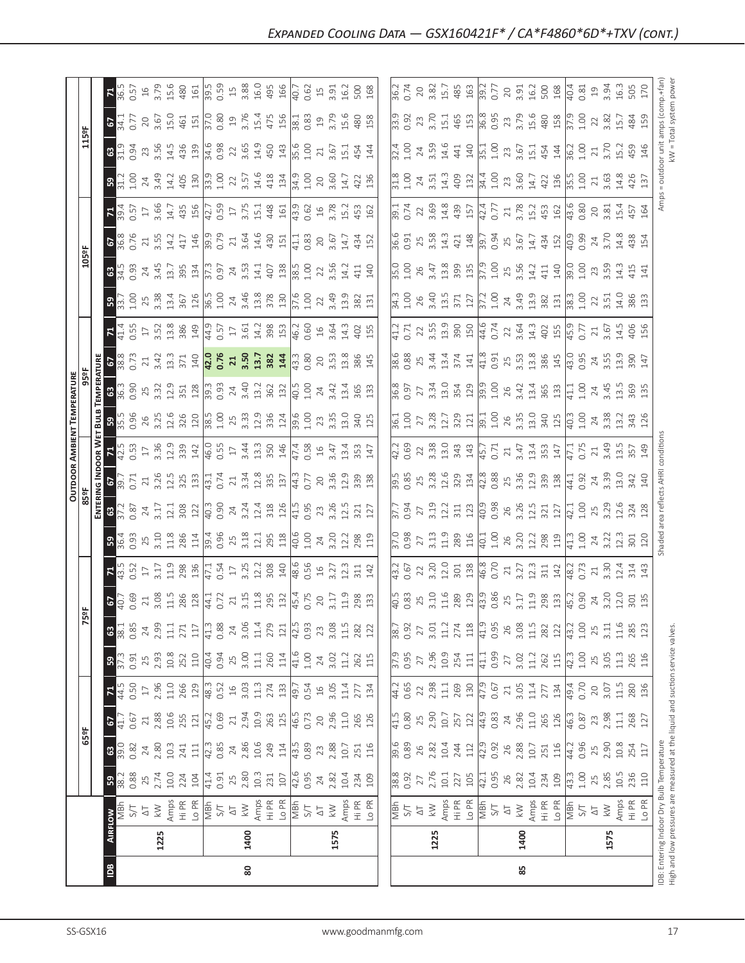| $\overline{B}$                    |                                                                                                                                                                                                                                                                                                                                                                                                                                         | 80   |                                                                                                                                                                                                                                                                                                                     |                                                                                                                                                                                                                                                                                                                                                                                                                                           |  | 85   |                     |  |
|-----------------------------------|-----------------------------------------------------------------------------------------------------------------------------------------------------------------------------------------------------------------------------------------------------------------------------------------------------------------------------------------------------------------------------------------------------------------------------------------|------|---------------------------------------------------------------------------------------------------------------------------------------------------------------------------------------------------------------------------------------------------------------------------------------------------------------------|-------------------------------------------------------------------------------------------------------------------------------------------------------------------------------------------------------------------------------------------------------------------------------------------------------------------------------------------------------------------------------------------------------------------------------------------|--|------|---------------------|--|
|                                   | 1225                                                                                                                                                                                                                                                                                                                                                                                                                                    | 1400 | 1575                                                                                                                                                                                                                                                                                                                | 1225                                                                                                                                                                                                                                                                                                                                                                                                                                      |  | 1400 | 1575                |  |
| $3^{\frac{m}{2}}$                 | $\begin{array}{l} 5 \overline{)11} \\ 5 \overline{)13} \\ 6 \overline{)14} \\ 7 \overline{)15} \\ 8 \overline{)15} \\ 1 \overline{)15} \\ 1 \overline{)15} \\ 1 \overline{)15} \\ 1 \overline{)15} \\ 1 \overline{)15} \\ 1 \overline{)15} \\ 1 \overline{)15} \\ 1 \overline{)15} \\ 1 \overline{)15} \\ 1 \overline{)15} \\ 1 \overline{)15} \\ 1 \overline{)15} \\ 1 \overline{)15} \\ 1 \overline{)15} \\ 1 \over$                  |      |                                                                                                                                                                                                                                                                                                                     | $\begin{array}{ l l l }\hline \hline \text{max}\  \  \, \text{max}\  \  \, \text{max}\  \  \, \text{max}\  \  \, \text{max}\  \  \, \text{max}\  \  \, \text{max}\  \  \, \text{max}\  \  \, \text{max}\  \  \, \text{max}\  \  \, \text{max}\  \  \, \text{max}\  \  \, \text{max}\  \  \, \text{max}\  \  \, \text{max}\  \  \, \text{max}\  \  \, \text{max}\  \  \, \text{max}\  \  \, \text{max}\  \  \, \text{max}\  \  \, \text$   |  |      |                     |  |
| ြက္ဆို                            | $\begin{array}{l} 0.86 \\ 0.87 \\ 0.71 \\ 0.67 \\ 0.71 \\ 0.72 \\ 0.73 \\ 0.74 \\ 0.75 \\ 0.75 \\ 0.75 \\ 0.75 \\ 0.75 \\ 0.73 \\ 0.73 \\ 0.73 \\ 0.73 \\ 0.73 \\ 0.73 \\ 0.73 \\ 0.73 \\ 0.73 \\ 0.73 \\ 0.73 \\ 0.73 \\ 0.73 \\ 0.73 \\ 0.73 \\ 0.73 \\ 0.73 \\ 0.73 \\ 0.73 \\ 0.73 \\ 0.73 \\ 0.73 \\ 0.$                                                                                                                           |      |                                                                                                                                                                                                                                                                                                                     | $\begin{array}{l} 88.8 \\ 89.8 \\ 0.9 \end{array}$ $\begin{array}{l} 7.7 \\ 7.1 \\ 2.1 \end{array}$ $\begin{array}{l} 27.8 \\ 21.8 \\ 21.4 \end{array}$ $\begin{array}{l} 29.8 \\ 21.8 \\ 21.4 \end{array}$ $\begin{array}{l} 29.8 \\ 21.8 \\ 21.4 \end{array}$ $\begin{array}{l} 29.8 \\ 21.8 \\ 21.4 \end{array}$ $\begin{array}{l} 29.8 \\ 21.8 \\ 21.4 \end{array}$                                                                   |  |      |                     |  |
| <b>8</b> ခိ                       | $\begin{array}{c} 133 & 23 & 23 & 23 & 24 & 25 \\ 24 & 23 & 23 & 24 & 25 & 24 & 25 \\ 25 & 24 & 24 & 25 & 25 & 24 & 25 \\ 25 & 25 & 25 & 25 & 25 & 25 & 25 \\ 25 & 25 & 25 & 25 & 25 & 25 & 25 \\ 25 & 25 & 25 & 25 & 25 & 25 & 25 \\ 25 & 25 & 25 & 25 & 25 & 25 & 25 \\ 25 & 25 & 25 & 25 & 25 &$                                                                                                                                     |      |                                                                                                                                                                                                                                                                                                                     | $\begin{array}{l} 89\\ 89\\ 63\\ 84\\ 74\\ 25\\ 10\\ 26\\ 37\\ 11\\ 21\\ 22\\ 33\\ 11\\ 23\\ 24\\ 25\\ 26\\ 27\\ 28\\ 29\\ 20\\ 20\\ 20\\ 21\\ 22\\ 23\\ 24\\ 25\\ 26\\ 27\\ 28\\ 29\\ 29\\ 20\\ 20\\ 21\\ 21\\ 22\\ 23\\ 24\\ 25\\ 26\\ 27\\ 28\\ 29\\ 29\\ 20\\ 20\\ 21\\ 22\\ 23\\ 24\\ $                                                                                                                                              |  |      |                     |  |
|                                   |                                                                                                                                                                                                                                                                                                                                                                                                                                         |      |                                                                                                                                                                                                                                                                                                                     | $\begin{bmatrix} . & . & . & . \\ . & . & . & . \\ 0 & . & . & . \\ 0 & . & . & . \\ 0 & . & . & . \\ 0 & . & . & . \\ 0 & . & . & . \\ 0 & . & . & . \\ 0 & . & . & . \\ 0 & . & . & . \\ 0 & . & . & . \\ 0 & . & . & . \\ 0 & . & . & . \\ 0 & . & . & . \\ 0 & . & . & . \\ 0 & . & . & . \\ 0 & . & . & . \\ 0 & . & . & . \\ 0 & . & . & . \\ 0 & . & . & . \\ 0 & . & . & . \\ 0 & . & . & . \\ 0 & . & . & . \\ 0 & . & . & . \\$ |  |      |                     |  |
| $\mathbb{R}^3$                    | $\frac{1}{2}$ $\frac{1}{2}$ $\frac{1}{6}$ $\frac{1}{6}$ $\frac{1}{6}$ $\frac{1}{6}$ $\frac{1}{6}$ $\frac{1}{6}$ $\frac{1}{6}$ $\frac{1}{6}$ $\frac{1}{6}$ $\frac{1}{6}$ $\frac{1}{6}$ $\frac{1}{6}$ $\frac{1}{6}$ $\frac{1}{6}$ $\frac{1}{6}$ $\frac{1}{6}$ $\frac{1}{6}$ $\frac{1}{6}$ $\frac{1}{6}$ $\frac{1}{6}$                                                                                                                     |      |                                                                                                                                                                                                                                                                                                                     |                                                                                                                                                                                                                                                                                                                                                                                                                                           |  |      |                     |  |
| <b>B</b>                          | $\begin{array}{c} 25 \\ 2.93 \\ 10.8 \\ 252 \\ 110 \\ \end{array}$<br>0.91                                                                                                                                                                                                                                                                                                                                                              |      | $\frac{4}{3}$ $\frac{3}{3}$ $\frac{3}{3}$ $\frac{3}{3}$ $\frac{1}{3}$ $\frac{1}{3}$ $\frac{1}{6}$ $\frac{1}{3}$ $\frac{1}{3}$ $\frac{1}{3}$ $\frac{1}{3}$ $\frac{1}{3}$ $\frac{1}{3}$ $\frac{1}{3}$ $\frac{1}{3}$ $\frac{1}{3}$ $\frac{1}{3}$ $\frac{1}{3}$ $\frac{1}{3}$                                           |                                                                                                                                                                                                                                                                                                                                                                                                                                           |  |      |                     |  |
|                                   | $38.38 \times 3.31 \times 1.51 \times 1.51 \times 1.51 \times 1.51 \times 1.51 \times 1.51 \times 1.51 \times 1.51 \times 1.51 \times 1.51 \times 1.51 \times 1.51 \times 1.51 \times 1.51 \times 1.51 \times 1.51 \times 1.51 \times 1.51 \times 1.51 \times 1.51 \times 1.51 \times 1.51 \times 1.51 \times 1.51 \times 1.51 \times 1.51 \times 1.51 \times 1.51 \times 1.51 \times 1.$                                               |      |                                                                                                                                                                                                                                                                                                                     | $\begin{array}{l} 89.87 & 20.7 & 20.7 & 20.7 & 20.7 & 20.7 & 20.7 & 20.7 & 20.7 & 20.7 & 20.7 & 20.7 & 20.7 & 20.7 & 20.7 & 20.7 & 20.7 & 20.7 & 20.7 & 20.7 & 20.7 & 20.7 & 20.7 & 20.7 & 20.7 & 20.7 & 20.7 & 20.7 & 20.7 & 20.7 & 20.7 & 20.7 & 20.7 & 20.7 & 20.7 & 2$                                                                                                                                                                |  |      |                     |  |
|                                   |                                                                                                                                                                                                                                                                                                                                                                                                                                         |      |                                                                                                                                                                                                                                                                                                                     |                                                                                                                                                                                                                                                                                                                                                                                                                                           |  |      |                     |  |
| $R_{43.5}^{43.5}$                 |                                                                                                                                                                                                                                                                                                                                                                                                                                         |      |                                                                                                                                                                                                                                                                                                                     | $\begin{array}{l} 13.5 \\ 0.67 \\ 2.81 \\ 3.12 \\ 1.21 \\ 2.31 \\ 2.41 \\ 2.52 \\ 2.53 \\ 2.54 \\ 2.55 \\ 2.57 \\ 2.51 \\ 2.51 \\ 2.51 \\ 2.51 \\ 2.51 \\ 2.51 \\ 2.52 \\ 2.53 \\ 2.54 \\ 2.55 \\ 2.55 \\ 2.54 \\ 2.55 \\ 2.55 \\ 2.54 \\ 2.55 \\ 2.55 \\ 2.55 \\ 2.55 \\ 2.55 \\ 2.55 \\ 2.55 \\ 2.55 \\ 2.$                                                                                                                             |  |      |                     |  |
| $-30$                             |                                                                                                                                                                                                                                                                                                                                                                                                                                         |      |                                                                                                                                                                                                                                                                                                                     |                                                                                                                                                                                                                                                                                                                                                                                                                                           |  |      |                     |  |
| 'ล ะ "                            | $\begin{array}{c} 183\\ 184\\ 295\\ 316\\ 421\\ 436\\ 208\\ 210\\ 210\\ 221\\ 231\\ 242\\ 253\\ 264\\ 274\\ 283\\ 294\\ 212\\ 212\\ 223\\ 234\\ 24\\ 25\\ 264\\ 27\\ 284\\ 29\\ 21\\ 22\\ 23\\ 24\\ 25\\ 27\\ 28\\ 29\\ 29\\ 23\\ 23\\ 27\\ 28\\ 29\\ 29\\ 29\\ 23\\ 23\\ 24\\ 25\\ 2$                                                                                                                                                  |      |                                                                                                                                                                                                                                                                                                                     |                                                                                                                                                                                                                                                                                                                                                                                                                                           |  |      |                     |  |
| $rac{1}{2}$ $rac{1}{2}$           | 0.71                                                                                                                                                                                                                                                                                                                                                                                                                                    |      |                                                                                                                                                                                                                                                                                                                     |                                                                                                                                                                                                                                                                                                                                                                                                                                           |  |      |                     |  |
| $\frac{1}{2}$<br>$\frac{1}{42.5}$ |                                                                                                                                                                                                                                                                                                                                                                                                                                         |      |                                                                                                                                                                                                                                                                                                                     |                                                                                                                                                                                                                                                                                                                                                                                                                                           |  |      |                     |  |
| $\frac{1}{35}$ $\frac{1}{35}$     | 0.96                                                                                                                                                                                                                                                                                                                                                                                                                                    |      | $\frac{1}{2}$                                                                                                                                                                                                                                                                                                       | $\begin{array}{l} 8.95 \\ 8.97 \\ 2.98 \\ 3.99 \\ 4.99 \\ 5.99 \\ 5.99 \\ 6.99 \\ 6.99 \\ 6.99 \\ 6.99 \\ 6.99 \\ 6.99 \\ 6.99 \\ 6.99 \\ 6.99 \\ 6.99 \\ 6.99 \\ 6.99 \\ 6.99 \\ 6.99 \\ 6.99 \\ 6.99 \\ 6.99 \\ 6.99 \\ 6.99 \\ 6.99 \\ 6.99 \\ 6.99 \\ 6.99 \\ 6.99 \\ 6.99 \\ 6.99 \\ 6.99 \\ 6.99 \\ 6.$                                                                                                                             |  |      |                     |  |
|                                   | $\begin{bmatrix} \mathbf{E} & \mathbf{B} & \mathbf{B} & \mathbf{C} \\ \mathbf{B} & \mathbf{B} & \mathbf{C} & \mathbf{C} \\ \mathbf{C} & \mathbf{C} & \mathbf{D} & \mathbf{C} \\ \mathbf{D} & \mathbf{D} & \mathbf{D} & \mathbf{D} \\ \mathbf{D} & \mathbf{D} & \mathbf{D} & \mathbf{D} \\ \mathbf{D} & \mathbf{D} & \mathbf{D} & \mathbf{D} \\ \mathbf{D} & \mathbf{D} & \mathbf{D} & \mathbf{D} \\ \mathbf{D} & \mathbf{D} & \mathbf{$ |      |                                                                                                                                                                                                                                                                                                                     |                                                                                                                                                                                                                                                                                                                                                                                                                                           |  |      |                     |  |
| $\mathbf{E}_4$                    |                                                                                                                                                                                                                                                                                                                                                                                                                                         |      |                                                                                                                                                                                                                                                                                                                     |                                                                                                                                                                                                                                                                                                                                                                                                                                           |  |      |                     |  |
| <b>B</b> 3                        |                                                                                                                                                                                                                                                                                                                                                                                                                                         |      |                                                                                                                                                                                                                                                                                                                     |                                                                                                                                                                                                                                                                                                                                                                                                                                           |  |      |                     |  |
| <b>83</b>                         | 0.93                                                                                                                                                                                                                                                                                                                                                                                                                                    |      | $\begin{array}{c} 24.45 & 25.46 & 26.46 & 27.46 & 28.46 & 29.46 & 29.46 & 29.46 & 29.46 & 29.46 & 29.46 & 29.46 & 29.46 & 29.46 & 29.46 & 29.46 & 29.46 & 29.46 & 29.46 & 29.46 & 29.46 & 29.46 & 29.46 & 29.46 & 29.46 & 29.46 & 29.46 & 29.46 & 29.46 & 29.46 & 29$                                               |                                                                                                                                                                                                                                                                                                                                                                                                                                           |  |      |                     |  |
| 636.8                             |                                                                                                                                                                                                                                                                                                                                                                                                                                         |      | $\frac{1}{2}$ $\frac{1}{2}$ $\frac{1}{2}$ $\frac{1}{4}$ $\frac{1}{4}$ $\frac{1}{4}$ $\frac{1}{4}$ $\frac{1}{2}$ $\frac{1}{2}$ $\frac{1}{2}$ $\frac{1}{4}$ $\frac{1}{4}$ $\frac{1}{2}$ $\frac{1}{2}$ $\frac{1}{2}$ $\frac{1}{4}$ $\frac{1}{4}$ $\frac{1}{2}$ $\frac{1}{2}$ $\frac{1}{2}$ $\frac{1}{4}$ $\frac{1}{4}$ |                                                                                                                                                                                                                                                                                                                                                                                                                                           |  |      |                     |  |
|                                   | $7\frac{1}{394}$                                                                                                                                                                                                                                                                                                                                                                                                                        |      | $\begin{array}{l} 3.66 \\ 3.41 \\ 4.41 \\ 4.59 \\ 5.79 \\ 6.79 \\ 7.79 \\ 7.79 \\ 7.79 \\ 7.71 \\ 7.71 \\ 7.72 \\ 7.73 \\ 7.73 \\ 7.73 \\ 7.73 \\ 7.73 \\ 7.73 \\ 7.73 \\ 7.73 \\ 7.73 \\ 7.73 \\ 7.73 \\ 7.73 \\ 7.73 \\ 7.73 \\ 7.73 \\ 7.73 \\ 7.73 \\ 7.73 \\ 7.73 \\ 7.73 \\ 7.73 \\ 7.73 \\ 7.73 \\ 7.$       |                                                                                                                                                                                                                                                                                                                                                                                                                                           |  |      |                     |  |
| ା ଅ<br>⊟                          | $1.00$<br>$24$                                                                                                                                                                                                                                                                                                                                                                                                                          |      |                                                                                                                                                                                                                                                                                                                     | $\begin{array}{l} 19.69 \\ 19.709 \\ 19.809 \\ 19.709 \\ 19.709 \\ 19.709 \\ 19.709 \\ 19.709 \\ 19.709 \\ 19.709 \\ 19.709 \\ 19.709 \\ 19.709 \\ 19.709 \\ 19.709 \\ 19.709 \\ 19.709 \\ 19.709 \\ 19.709 \\ 19.709 \\ 19.709 \\ 19.709 \\ 19.709 \\ 19.709 \\ 19.709 \\ 19.709 \\ 19.70$                                                                                                                                               |  |      |                     |  |
|                                   | $\begin{bmatrix} 1 & 0 & 0 & 0 & 0 \\ 0 & 0 & 0 & 0 & 0 \\ 0 & 0 & 0 & 0 & 0 \\ 0 & 0 & 0 & 0 & 0 \\ 0 & 0 & 0 & 0 & 0 \\ 0 & 0 & 0 & 0 & 0 \\ 0 & 0 & 0 & 0 & 0 \\ 0 & 0 & 0 & 0 & 0 \\ 0 & 0 & 0 & 0 & 0 \\ 0 & 0 & 0 & 0 & 0 \\ 0 & 0 & 0 & 0 & 0 \\ 0 & 0 & 0 & 0 & 0 \\ 0 & 0 & 0 & 0 & 0 \\ 0 & 0 & 0 & 0 & 0 \\ 0 & $                                                                                                            |      |                                                                                                                                                                                                                                                                                                                     | $\begin{array}{cccccccccc}\n32.4 & 32.4 & 33.4 & 44.4 & 34.4 & 34.4 & 34.4 & 34.4 & 34.4 & 34.4 & 34.4 & 34.4 & 34.4 & 34.4 & 34.4 & 34.4 & 34.4 & 34.4 & 34.4 & 34.4 & 34.4 & 34.4 & 34.4 & 34.4 & 34.4 & 34.4 & 34.4 & 34.4 & 34.4 & 34.4 & 34.4 & 34.4 & 34.4 & 34.4 & 34.4 & $                                                                                                                                                        |  |      |                     |  |
|                                   | $\begin{array}{l} 67.75 & 57.75 & 57.75 & 57.75 & 57.75 & 57.75 & 57.75 & 57.75 & 57.75 & 57.75 & 57.75 & 57.75 & 57.75 & 57.75 & 57.75 & 57.75 & 57.75 & 57.75 & 57.75 & 57.75 & 57.75 & 57.75 & 57.75 & 57.75 & 57.75 & 57.75 & 57.75 & 57.75 & 57.75 & 57.75 & 57$                                                                                                                                                                   |      |                                                                                                                                                                                                                                                                                                                     |                                                                                                                                                                                                                                                                                                                                                                                                                                           |  |      |                     |  |
|                                   |                                                                                                                                                                                                                                                                                                                                                                                                                                         |      | $7.555$ $3.3756$ $3.4825$ $5.56$ $5.56$ $5.56$ $5.56$ $5.56$ $5.56$ $5.56$ $5.56$ $5.56$ $5.56$ $5.56$ $5.56$ $5.56$ $5.56$ $5.56$ $5.56$ $5.56$ $5.56$ $5.56$ $5.56$ $5.56$ $5.56$ $5.56$ $5.56$ $5.56$ $5.56$ $5.56$ $5.56$                                                                                       |                                                                                                                                                                                                                                                                                                                                                                                                                                           |  |      | 3.94<br>16.3<br>170 |  |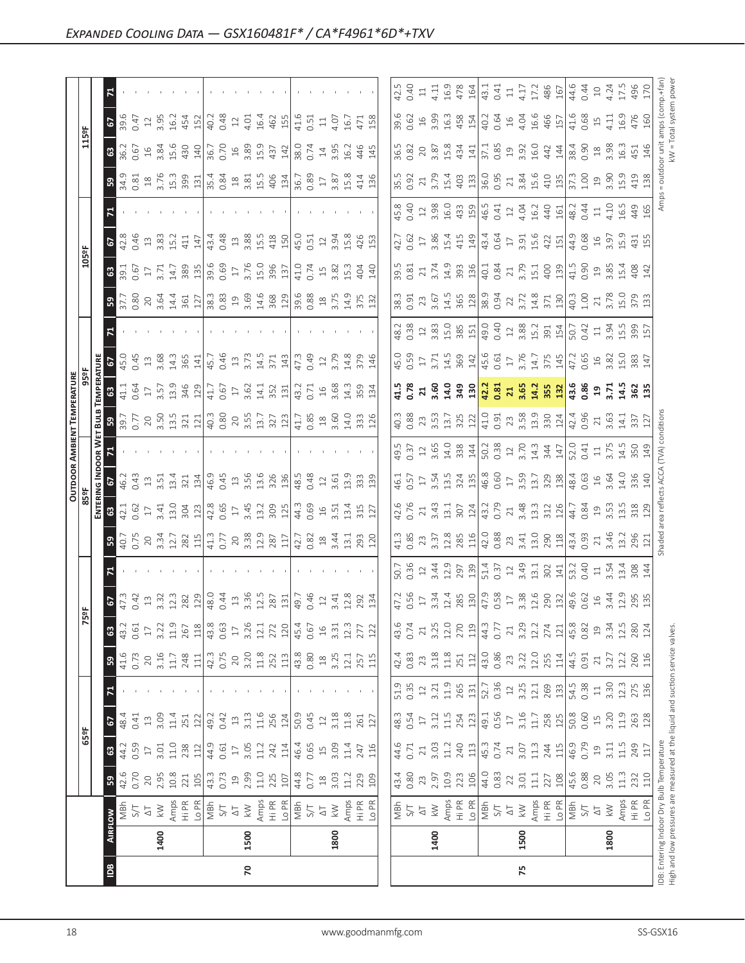| <u>်က</u>     | $\sqrt{2}$<br>$\mathbf{G}$<br>59<br>$\overline{6}$<br>63<br>္တ<br>$\mathbf{z}$<br>ទី ៦<br>ៀ ឌ<br><u> នី ន</u><br><u>រី ដ</u><br>$\overline{\mathbf{a}}$ $\mathbf{b}$<br>ឨ៓៓៓៓៓៓៓៓៓៓ | $\begin{array}{l} 8.67 \\ 8.72 \\ 1.39 \\ 1.40 \\ 1.50 \\ 1.50 \\ 1.50 \\ 1.50 \\ 1.50 \\ 1.50 \\ 1.50 \\ 1.50 \\ 1.50 \\ 1.50 \\ 1.50 \\ 1.50 \\ 1.50 \\ 1.50 \\ 1.50 \\ 1.50 \\ 1.50 \\ 1.50 \\ 1.50 \\ 1.50 \\ 1.50 \\ 1.50 \\ 1.50 \\ 1.50 \\ 1.50 \\ 1.50 \\ 1.50 \\ 1.50 \\ 1.50 \\ 1.50 \\ 1.50 \\ 1.$<br>$36.5$ $\frac{1}{2}$ $\frac{1}{3}$ $\frac{1}{3}$ $\frac{1}{3}$ $\frac{1}{3}$ $\frac{1}{3}$ $\frac{1}{3}$ $\frac{1}{3}$ $\frac{1}{3}$ $\frac{1}{2}$ $\frac{1}{2}$ $\frac{1}{3}$ $\frac{1}{3}$ $\frac{1}{2}$ $\frac{1}{3}$ $\frac{1}{3}$ $\frac{1}{3}$ $\frac{1}{3}$ $\frac{1}{3}$ $\frac{1}{3}$ $\frac{1}{4}$ $\frac{$<br>$3.81$ $3.81$ $3.81$ $3.81$ $3.81$ $3.81$ $3.81$ $3.81$ $3.81$ $3.81$ $3.81$ $3.81$ $3.81$ $3.81$ $3.81$ $3.81$ $3.81$ $3.81$ $3.81$ $3.81$ $3.81$ $3.81$ $3.81$ $3.81$ $3.81$ $3.81$ $3.81$ $3.81$ $3.81$ $3.81$ $3.81$ $3.8$<br>$425$ $64$ $65$ $73$ $65$ $74$ $74$ $74$ $86$ $73$ $81$ $82$ $16$ $16$ $16$ $12$ $13$ $15$ $16$ $16$ $16$ $17$ $181$ $191$ $191$ $191$ $191$ $191$ $191$ $191$ $191$<br>$\begin{array}{l} 39.5 \\ 39.6 \\ 21.7 \\ 37.7 \\ 58.9 \\ 49.8 \\ 59.9 \\ 69.6 \\ 69.6 \\ 79.7 \\ 79.6 \\ 79.6 \\ 79.6 \\ 79.6 \\ 79.6 \\ 79.6 \\ 79.6 \\ 79.6 \\ 79.6 \\ 79.6 \\ 79.6 \\ 79.6 \\ 79.6 \\ 79.6 \\ 79.6 \\ 79.6 \\ 79.6 \\ 79.6 \\ 79.6 \\ 79.6 \\ 79.6 \\ 79.6 \\ 79.6 \\ 79.6 \\ 79.6 \\ 79$<br>$\begin{array}{l} 7.768 \\ 0.809 \\ 0.909 \\ 0.914 \\ 0.914 \\ 0.914 \\ 0.01 \\ 0.01 \\ 0.000 \\ 0.000 \\ 0.000 \\ 0.000 \\ 0.000 \\ 0.000 \\ 0.000 \\ 0.000 \\ 0.000 \\ 0.000 \\ 0.000 \\ 0.000 \\ 0.000 \\ 0.000 \\ 0.000 \\ 0.000 \\ 0.000 \\ 0.000 \\ 0.000 \\ 0.000 \\ 0.000 \\ 0.000 \\ 0.00$<br>$45.0$ $65.0$ $7.0$ $8.0$ $7.0$ $8.0$ $9.0$ $1.0$ $1.0$ $1.0$ $1.0$ $1.0$ $1.0$ $1.0$ $1.0$ $1.0$ $1.0$ $1.0$ $1.0$ $1.0$ $1.0$ $1.0$ $1.0$ $1.0$ $1.0$ $1.0$ $1.0$ $1.0$ $1.0$ $1.0$ $1.0$ $1.0$ $1.0$ $1.0$ $1.0$ $1.0$ $1.$<br>$\begin{array}{l} 39.75 & 0.000 & 0.000 \\ 0.000 & 0.000 & 0.000 \\ 0.000 & 0.000 & 0.000 \\ 0.000 & 0.000 & 0.000 \\ 0.000 & 0.000 & 0.000 \\ 0.000 & 0.000 & 0.000 \\ 0.000 & 0.000 & 0.000 \\ 0.000 & 0.000 & 0.000 \\ 0.000 & 0.000 & 0.000 \\ 0.000 & 0.000 & 0.000 \\ 0.$<br>$46.3$ $\frac{3}{4}$ $\frac{3}{4}$ $\frac{3}{4}$ $\frac{3}{4}$ $\frac{4}{4}$ $\frac{3}{4}$ $\frac{4}{4}$ $\frac{3}{4}$ $\frac{4}{4}$ $\frac{3}{4}$ $\frac{3}{4}$ $\frac{3}{4}$ $\frac{3}{4}$ $\frac{3}{4}$ $\frac{3}{4}$ $\frac{3}{4}$ $\frac{3}{4}$ $\frac{3}{4}$ $\frac{3}{4}$ $\frac{3}{4}$ $\frac{3}{4}$ $\frac{$ |      | $\begin{bmatrix} 0.02 & 0.02 & 0.02 & 0.03 & 0.03 & 0.03 & 0.03 & 0.03 & 0.03 & 0.03 & 0.03 & 0.03 & 0.03 & 0.03 & 0.03 & 0.03 & 0.03 & 0.03 & 0.03 & 0.03 & 0.03 & 0.03 & 0.03 & 0.03 & 0.03 & 0.03 & 0.03 & 0.03 & 0.03 & 0.03 & 0.03 & 0.03 & 0.03 & 0.03 & 0.03 & 0.0$<br>$\begin{bmatrix} a_3 & a_2 & a_3 & a_4 & a_5 \\ a_2 & a_3 & a_3 & a_4 & a_5 \\ a_4 & a_5 & a_6 & a_7 & a_8 \end{bmatrix} \begin{bmatrix} a_1 & a_2 & a_3 & a_4 & a_5 \\ a_1 & a_2 & a_3 & a_4 & a_5 \\ a_2 & a_4 & a_5 & a_6 & a_6 \\ a_3 & a_4 & a_5 & a_6 & a_7 \end{bmatrix} \begin{bmatrix} a_1 & a_2 & a_3 & a_4 & a_5 \\ a_2 & a_3 & a_3 & a_4 & a_6 \\ a_3 & a_3 & a_3 &$<br>$\begin{bmatrix} 32 & 33 & 32 & 33 & 31 & 31 & 32 & 33 & 34 & 35 & 36 & 37 & 38 & 31 & 31 & 31 & 31 & 33 & 34 & 35 & 36 & 37 & 38 & 31 & 33 & 34 & 35 & 36 & 37 & 38 & 31 & 33 & 34 & 35 & 36 & 37 & 38 & 32 & 33 & 34 & 35 & 36 & 37 & 38 & 39 & 31 & 30 & 30 & 30 & 30 & 30 & 30 & 30 & 3$<br>  ដូ ខ្លួ ដូ ឌី ឌី <mark>ដូ ថ្ងៃ ដូ ដូ ដូ ងូ ដូ</mark> ថ្ងៃ ទី ៦ <u>ដ</u> ូ ដូ ឌី ឌី <mark>ដ</mark> ូ<br>$\begin{bmatrix} 0.88 & 0.88 & 0.88 & 0.88 & 0.88 & 0.88 & 0.88 & 0.88 & 0.88 & 0.88 & 0.88 & 0.88 & 0.88 & 0.88 & 0.88 & 0.88 & 0.88 & 0.88 & 0.88 & 0.88 & 0.88 & 0.88 & 0.88 & 0.88 & 0.88 & 0.88 & 0.88 & 0.88 & 0.88 & 0.88 & 0.88 & 0.88 & 0.88 & 0.88 & 0.88 & 0.8$ |      |                                                                                                                                                                                                                                                                                                                |
|---------------|-------------------------------------------------------------------------------------------------------------------------------------------------------------------------------------|------------------------------------------------------------------------------------------------------------------------------------------------------------------------------------------------------------------------------------------------------------------------------------------------------------------------------------------------------------------------------------------------------------------------------------------------------------------------------------------------------------------------------------------------------------------------------------------------------------------------------------------------------------------------------------------------------------------------------------------------------------------------------------------------------------------------------------------------------------------------------------------------------------------------------------------------------------------------------------------------------------------------------------------------------------------------------------------------------------------------------------------------------------------------------------------------------------------------------------------------------------------------------------------------------------------------------------------------------------------------------------------------------------------------------------------------------------------------------------------------------------------------------------------------------------------------------------------------------------------------------------------------------------------------------------------------------------------------------------------------------------------------------------------------------------------------------------------------------------------------------------------------------------------------------------------------------------------------------------------------------------------------------------------------------------------------------------------------------------------------------------------------------------------------------------------------------------------------------------------------------------------------------------------------------------------------------------------------------------------------------------------------------------------------------------------------------------------------------------------------------------------------|------|-------------------------------------------------------------------------------------------------------------------------------------------------------------------------------------------------------------------------------------------------------------------------------------------------------------------------------------------------------------------------------------------------------------------------------------------------------------------------------------------------------------------------------------------------------------------------------------------------------------------------------------------------------------------------------------------------------------------------------------------------------------------------------------------------------------------------------------------------------------------------------------------------------------------------------------------------------------------------------------------------------------------------------------------------------------------------------------------------------------------------------------------------------------------------------------------------------------------------------------------------------------------------------------------------------------------------------------------------------|------|----------------------------------------------------------------------------------------------------------------------------------------------------------------------------------------------------------------------------------------------------------------------------------------------------------------|
|               |                                                                                                                                                                                     |                                                                                                                                                                                                                                                                                                                                                                                                                                                                                                                                                                                                                                                                                                                                                                                                                                                                                                                                                                                                                                                                                                                                                                                                                                                                                                                                                                                                                                                                                                                                                                                                                                                                                                                                                                                                                                                                                                                                                                                                                                                                                                                                                                                                                                                                                                                                                                                                                                                                                                                        |      |                                                                                                                                                                                                                                                                                                                                                                                                                                                                                                                                                                                                                                                                                                                                                                                                                                                                                                                                                                                                                                                                                                                                                                                                                                                                                                                                                       |      |                                                                                                                                                                                                                                                                                                                |
|               |                                                                                                                                                                                     |                                                                                                                                                                                                                                                                                                                                                                                                                                                                                                                                                                                                                                                                                                                                                                                                                                                                                                                                                                                                                                                                                                                                                                                                                                                                                                                                                                                                                                                                                                                                                                                                                                                                                                                                                                                                                                                                                                                                                                                                                                                                                                                                                                                                                                                                                                                                                                                                                                                                                                                        |      |                                                                                                                                                                                                                                                                                                                                                                                                                                                                                                                                                                                                                                                                                                                                                                                                                                                                                                                                                                                                                                                                                                                                                                                                                                                                                                                                                       |      |                                                                                                                                                                                                                                                                                                                |
|               |                                                                                                                                                                                     |                                                                                                                                                                                                                                                                                                                                                                                                                                                                                                                                                                                                                                                                                                                                                                                                                                                                                                                                                                                                                                                                                                                                                                                                                                                                                                                                                                                                                                                                                                                                                                                                                                                                                                                                                                                                                                                                                                                                                                                                                                                                                                                                                                                                                                                                                                                                                                                                                                                                                                                        |      |                                                                                                                                                                                                                                                                                                                                                                                                                                                                                                                                                                                                                                                                                                                                                                                                                                                                                                                                                                                                                                                                                                                                                                                                                                                                                                                                                       |      |                                                                                                                                                                                                                                                                                                                |
|               |                                                                                                                                                                                     |                                                                                                                                                                                                                                                                                                                                                                                                                                                                                                                                                                                                                                                                                                                                                                                                                                                                                                                                                                                                                                                                                                                                                                                                                                                                                                                                                                                                                                                                                                                                                                                                                                                                                                                                                                                                                                                                                                                                                                                                                                                                                                                                                                                                                                                                                                                                                                                                                                                                                                                        |      |                                                                                                                                                                                                                                                                                                                                                                                                                                                                                                                                                                                                                                                                                                                                                                                                                                                                                                                                                                                                                                                                                                                                                                                                                                                                                                                                                       |      |                                                                                                                                                                                                                                                                                                                |
|               |                                                                                                                                                                                     |                                                                                                                                                                                                                                                                                                                                                                                                                                                                                                                                                                                                                                                                                                                                                                                                                                                                                                                                                                                                                                                                                                                                                                                                                                                                                                                                                                                                                                                                                                                                                                                                                                                                                                                                                                                                                                                                                                                                                                                                                                                                                                                                                                                                                                                                                                                                                                                                                                                                                                                        |      |                                                                                                                                                                                                                                                                                                                                                                                                                                                                                                                                                                                                                                                                                                                                                                                                                                                                                                                                                                                                                                                                                                                                                                                                                                                                                                                                                       |      |                                                                                                                                                                                                                                                                                                                |
|               |                                                                                                                                                                                     |                                                                                                                                                                                                                                                                                                                                                                                                                                                                                                                                                                                                                                                                                                                                                                                                                                                                                                                                                                                                                                                                                                                                                                                                                                                                                                                                                                                                                                                                                                                                                                                                                                                                                                                                                                                                                                                                                                                                                                                                                                                                                                                                                                                                                                                                                                                                                                                                                                                                                                                        |      |                                                                                                                                                                                                                                                                                                                                                                                                                                                                                                                                                                                                                                                                                                                                                                                                                                                                                                                                                                                                                                                                                                                                                                                                                                                                                                                                                       |      |                                                                                                                                                                                                                                                                                                                |
|               |                                                                                                                                                                                     |                                                                                                                                                                                                                                                                                                                                                                                                                                                                                                                                                                                                                                                                                                                                                                                                                                                                                                                                                                                                                                                                                                                                                                                                                                                                                                                                                                                                                                                                                                                                                                                                                                                                                                                                                                                                                                                                                                                                                                                                                                                                                                                                                                                                                                                                                                                                                                                                                                                                                                                        |      |                                                                                                                                                                                                                                                                                                                                                                                                                                                                                                                                                                                                                                                                                                                                                                                                                                                                                                                                                                                                                                                                                                                                                                                                                                                                                                                                                       |      |                                                                                                                                                                                                                                                                                                                |
|               |                                                                                                                                                                                     |                                                                                                                                                                                                                                                                                                                                                                                                                                                                                                                                                                                                                                                                                                                                                                                                                                                                                                                                                                                                                                                                                                                                                                                                                                                                                                                                                                                                                                                                                                                                                                                                                                                                                                                                                                                                                                                                                                                                                                                                                                                                                                                                                                                                                                                                                                                                                                                                                                                                                                                        |      |                                                                                                                                                                                                                                                                                                                                                                                                                                                                                                                                                                                                                                                                                                                                                                                                                                                                                                                                                                                                                                                                                                                                                                                                                                                                                                                                                       |      |                                                                                                                                                                                                                                                                                                                |
|               |                                                                                                                                                                                     |                                                                                                                                                                                                                                                                                                                                                                                                                                                                                                                                                                                                                                                                                                                                                                                                                                                                                                                                                                                                                                                                                                                                                                                                                                                                                                                                                                                                                                                                                                                                                                                                                                                                                                                                                                                                                                                                                                                                                                                                                                                                                                                                                                                                                                                                                                                                                                                                                                                                                                                        |      |                                                                                                                                                                                                                                                                                                                                                                                                                                                                                                                                                                                                                                                                                                                                                                                                                                                                                                                                                                                                                                                                                                                                                                                                                                                                                                                                                       |      |                                                                                                                                                                                                                                                                                                                |
|               |                                                                                                                                                                                     |                                                                                                                                                                                                                                                                                                                                                                                                                                                                                                                                                                                                                                                                                                                                                                                                                                                                                                                                                                                                                                                                                                                                                                                                                                                                                                                                                                                                                                                                                                                                                                                                                                                                                                                                                                                                                                                                                                                                                                                                                                                                                                                                                                                                                                                                                                                                                                                                                                                                                                                        |      |                                                                                                                                                                                                                                                                                                                                                                                                                                                                                                                                                                                                                                                                                                                                                                                                                                                                                                                                                                                                                                                                                                                                                                                                                                                                                                                                                       |      |                                                                                                                                                                                                                                                                                                                |
|               |                                                                                                                                                                                     |                                                                                                                                                                                                                                                                                                                                                                                                                                                                                                                                                                                                                                                                                                                                                                                                                                                                                                                                                                                                                                                                                                                                                                                                                                                                                                                                                                                                                                                                                                                                                                                                                                                                                                                                                                                                                                                                                                                                                                                                                                                                                                                                                                                                                                                                                                                                                                                                                                                                                                                        |      |                                                                                                                                                                                                                                                                                                                                                                                                                                                                                                                                                                                                                                                                                                                                                                                                                                                                                                                                                                                                                                                                                                                                                                                                                                                                                                                                                       |      |                                                                                                                                                                                                                                                                                                                |
|               |                                                                                                                                                                                     |                                                                                                                                                                                                                                                                                                                                                                                                                                                                                                                                                                                                                                                                                                                                                                                                                                                                                                                                                                                                                                                                                                                                                                                                                                                                                                                                                                                                                                                                                                                                                                                                                                                                                                                                                                                                                                                                                                                                                                                                                                                                                                                                                                                                                                                                                                                                                                                                                                                                                                                        |      |                                                                                                                                                                                                                                                                                                                                                                                                                                                                                                                                                                                                                                                                                                                                                                                                                                                                                                                                                                                                                                                                                                                                                                                                                                                                                                                                                       |      |                                                                                                                                                                                                                                                                                                                |
|               |                                                                                                                                                                                     |                                                                                                                                                                                                                                                                                                                                                                                                                                                                                                                                                                                                                                                                                                                                                                                                                                                                                                                                                                                                                                                                                                                                                                                                                                                                                                                                                                                                                                                                                                                                                                                                                                                                                                                                                                                                                                                                                                                                                                                                                                                                                                                                                                                                                                                                                                                                                                                                                                                                                                                        |      |                                                                                                                                                                                                                                                                                                                                                                                                                                                                                                                                                                                                                                                                                                                                                                                                                                                                                                                                                                                                                                                                                                                                                                                                                                                                                                                                                       |      |                                                                                                                                                                                                                                                                                                                |
|               |                                                                                                                                                                                     |                                                                                                                                                                                                                                                                                                                                                                                                                                                                                                                                                                                                                                                                                                                                                                                                                                                                                                                                                                                                                                                                                                                                                                                                                                                                                                                                                                                                                                                                                                                                                                                                                                                                                                                                                                                                                                                                                                                                                                                                                                                                                                                                                                                                                                                                                                                                                                                                                                                                                                                        |      |                                                                                                                                                                                                                                                                                                                                                                                                                                                                                                                                                                                                                                                                                                                                                                                                                                                                                                                                                                                                                                                                                                                                                                                                                                                                                                                                                       |      |                                                                                                                                                                                                                                                                                                                |
|               | ြို့                                                                                                                                                                                |                                                                                                                                                                                                                                                                                                                                                                                                                                                                                                                                                                                                                                                                                                                                                                                                                                                                                                                                                                                                                                                                                                                                                                                                                                                                                                                                                                                                                                                                                                                                                                                                                                                                                                                                                                                                                                                                                                                                                                                                                                                                                                                                                                                                                                                                                                                                                                                                                                                                                                                        |      |                                                                                                                                                                                                                                                                                                                                                                                                                                                                                                                                                                                                                                                                                                                                                                                                                                                                                                                                                                                                                                                                                                                                                                                                                                                                                                                                                       |      |                                                                                                                                                                                                                                                                                                                |
|               |                                                                                                                                                                                     |                                                                                                                                                                                                                                                                                                                                                                                                                                                                                                                                                                                                                                                                                                                                                                                                                                                                                                                                                                                                                                                                                                                                                                                                                                                                                                                                                                                                                                                                                                                                                                                                                                                                                                                                                                                                                                                                                                                                                                                                                                                                                                                                                                                                                                                                                                                                                                                                                                                                                                                        |      |                                                                                                                                                                                                                                                                                                                                                                                                                                                                                                                                                                                                                                                                                                                                                                                                                                                                                                                                                                                                                                                                                                                                                                                                                                                                                                                                                       |      |                                                                                                                                                                                                                                                                                                                |
|               | 5                                                                                                                                                                                   | $\begin{bmatrix} 1 & 1 & 1 & 1 & 1 \\ 1 & 1 & 1 & 1 & 1 \\ 1 & 1 & 1 & 1 & 1 \\ 1 & 1 & 1 & 1 & 1 \\ 1 & 1 & 1 & 1 & 1 \\ 1 & 1 & 1 & 1 & 1 \\ 1 & 1 & 1 & 1 & 1 \\ 1 & 1 & 1 & 1 & 1 \\ 1 & 1 & 1 & 1 & 1 \\ 1 & 1 & 1 & 1 & 1 \\ 1 & 1 & 1 & 1 & 1 \\ 1 & 1 & 1 & 1 & 1 \\ 1 & 1 & 1 & 1 & 1 \\ 1 & 1 & 1 & 1 & 1 \\ 1 & $                                                                                                                                                                                                                                                                                                                                                                                                                                                                                                                                                                                                                                                                                                                                                                                                                                                                                                                                                                                                                                                                                                                                                                                                                                                                                                                                                                                                                                                                                                                                                                                                                                                                                                                                                                                                                                                                                                                                                                                                                                                                                                                                                                                           |      |                                                                                                                                                                                                                                                                                                                                                                                                                                                                                                                                                                                                                                                                                                                                                                                                                                                                                                                                                                                                                                                                                                                                                                                                                                                                                                                                                       |      |                                                                                                                                                                                                                                                                                                                |
|               | 63                                                                                                                                                                                  |                                                                                                                                                                                                                                                                                                                                                                                                                                                                                                                                                                                                                                                                                                                                                                                                                                                                                                                                                                                                                                                                                                                                                                                                                                                                                                                                                                                                                                                                                                                                                                                                                                                                                                                                                                                                                                                                                                                                                                                                                                                                                                                                                                                                                                                                                                                                                                                                                                                                                                                        |      |                                                                                                                                                                                                                                                                                                                                                                                                                                                                                                                                                                                                                                                                                                                                                                                                                                                                                                                                                                                                                                                                                                                                                                                                                                                                                                                                                       |      |                                                                                                                                                                                                                                                                                                                |
|               | $\mathbf{B}$                                                                                                                                                                        | $\begin{bmatrix} 4 & 2 & 3 & 2 \\ 4 & 2 & 5 & 3 & 2 \\ 5 & 6 & 8 & 1 & 3 \\ 6 & 6 & 1 & 2 & 3 \\ 7 & 8 & 1 & 3 & 2 \\ 8 & 1 & 1 & 2 & 3 \\ 1 & 1 & 2 & 3 & 3 \\ 1 & 1 & 2 & 3 & 3 \\ 1 & 1 & 2 & 3 & 3 \\ 1 & 1 & 3 & 3 & 3 \\ 1 & 1 & 1 & 2 & 3 \\ 1 & 1 & 1 & 3 & 3 \\ 1 & 1 & 1 & 1 & 3 \\ 1 & 1 & 1 & 1 & 3 \\ 1 & 1 & $                                                                                                                                                                                                                                                                                                                                                                                                                                                                                                                                                                                                                                                                                                                                                                                                                                                                                                                                                                                                                                                                                                                                                                                                                                                                                                                                                                                                                                                                                                                                                                                                                                                                                                                                                                                                                                                                                                                                                                                                                                                                                                                                                                                           |      | $\begin{bmatrix} 4.2 & 0.83 \\ 0.83 & 2.3 \\ 0.3 & 3.18 \\ 1.1 & 8.1 \\ 1 & 1.2 \end{bmatrix}$                                                                                                                                                                                                                                                                                                                                                                                                                                                                                                                                                                                                                                                                                                                                                                                                                                                                                                                                                                                                                                                                                                                                                                                                                                                        |      |                                                                                                                                                                                                                                                                                                                |
|               | $\mathbf{z}$                                                                                                                                                                        |                                                                                                                                                                                                                                                                                                                                                                                                                                                                                                                                                                                                                                                                                                                                                                                                                                                                                                                                                                                                                                                                                                                                                                                                                                                                                                                                                                                                                                                                                                                                                                                                                                                                                                                                                                                                                                                                                                                                                                                                                                                                                                                                                                                                                                                                                                                                                                                                                                                                                                                        |      |                                                                                                                                                                                                                                                                                                                                                                                                                                                                                                                                                                                                                                                                                                                                                                                                                                                                                                                                                                                                                                                                                                                                                                                                                                                                                                                                                       |      |                                                                                                                                                                                                                                                                                                                |
|               |                                                                                                                                                                                     |                                                                                                                                                                                                                                                                                                                                                                                                                                                                                                                                                                                                                                                                                                                                                                                                                                                                                                                                                                                                                                                                                                                                                                                                                                                                                                                                                                                                                                                                                                                                                                                                                                                                                                                                                                                                                                                                                                                                                                                                                                                                                                                                                                                                                                                                                                                                                                                                                                                                                                                        |      |                                                                                                                                                                                                                                                                                                                                                                                                                                                                                                                                                                                                                                                                                                                                                                                                                                                                                                                                                                                                                                                                                                                                                                                                                                                                                                                                                       |      |                                                                                                                                                                                                                                                                                                                |
| $\frac{1}{3}$ | $\begin{array}{c} 67 \end{array}$<br>63                                                                                                                                             |                                                                                                                                                                                                                                                                                                                                                                                                                                                                                                                                                                                                                                                                                                                                                                                                                                                                                                                                                                                                                                                                                                                                                                                                                                                                                                                                                                                                                                                                                                                                                                                                                                                                                                                                                                                                                                                                                                                                                                                                                                                                                                                                                                                                                                                                                                                                                                                                                                                                                                                        |      |                                                                                                                                                                                                                                                                                                                                                                                                                                                                                                                                                                                                                                                                                                                                                                                                                                                                                                                                                                                                                                                                                                                                                                                                                                                                                                                                                       |      |                                                                                                                                                                                                                                                                                                                |
|               | ິ ສ                                                                                                                                                                                 | $\begin{array}{l} 0.6 \\ 0.7 \\ 0.8 \\ 0.9 \\ 0.9 \\ 0.1 \\ 0.03 \\ 0.04 \\ 0.05 \\ 0.07 \\ 0.07 \\ 0.08 \\ 0.07 \\ 0.07 \\ 0.07 \\ 0.07 \\ 0.09 \\ 0.07 \\ 0.09 \\ 0.01 \\ 0.09 \\ 0.01 \\ 0.09 \\ 0.01 \\ 0.01 \\ 0.02 \\ 0.03 \\ 0.04 \\ 0.03 \\ 0.04 \\ 0.05 \\ 0.07 \\ 0.09 \\ 0.09 \\ 0.09 \\ 0.09 \\ 0.$                                                                                                                                                                                                                                                                                                                                                                                                                                                                                                                                                                                                                                                                                                                                                                                                                                                                                                                                                                                                                                                                                                                                                                                                                                                                                                                                                                                                                                                                                                                                                                                                                                                                                                                                                                                                                                                                                                                                                                                                                                                                                                                                                                                                        |      | $\begin{array}{ l l l }\hline 43.80 & 23.97 \\ 0.80 & 2.97 \\ 10.9 & 24.3 \\ \hline \end{array}$                                                                                                                                                                                                                                                                                                                                                                                                                                                                                                                                                                                                                                                                                                                                                                                                                                                                                                                                                                                                                                                                                                                                                                                                                                                      |      | $\begin{array}{ l l l l } \hline 4 & 8 & 8 & 8 & 8 & 8 & 7 & 7 & 8 & 8 & 8 & 7 & 7 & 8 & 8 & 8 & 7 & 7 & 7 & 8 & 8 & 8 & 7 & 7 & 7 & 8 & 8 & 7 & 7 & 7 & 8 & 8 & 7 & 7 & 7 & 8 & 8 & 7 & 7 & 7 & 8 & 8 & 7 & 7 & 7 & 8 & 8 & 7 & 7 & 7 & 8 & 8 & 7 & 7 & 7 & 8 & 8 & 7 & 7 & 7 & 8 & 8 & 7 & 8 & 7 & 8 & 8 & $ |
|               |                                                                                                                                                                                     | $\begin{array}{l} \mathbf{X} \cup \mathbf{Y} \\ \mathbf{Y} \cup \mathbf{Y} \\ \mathbf{Y} \cup \mathbf{Y} \end{array} \begin{array}{l} \mathbf{X} \cup \mathbf{Y} \\ \mathbf{Y} \cup \mathbf{Y} \\ \mathbf{Y} \cup \mathbf{Y} \end{array} \begin{array}{l} \mathbf{X} \cup \mathbf{Y} \\ \mathbf{Y} \cup \mathbf{Y} \\ \mathbf{Y} \cup \mathbf{Y} \end{array} \begin{array}{l} \mathbf{X} \cup \mathbf{Y} \\ \mathbf{Y} \cup \mathbf{Y} \\ \mathbf{Y} \cup \mathbf{Y} \$                                                                                                                                                                                                                                                                                                                                                                                                                                                                                                                                                                                                                                                                                                                                                                                                                                                                                                                                                                                                                                                                                                                                                                                                                                                                                                                                                                                                                                                                                                                                                                                                                                                                                                                                                                                                                                                                                                                                                                                                                                                |      | $\begin{array}{ l l l l }\hline \frac{1}{2} & \frac{1}{2} & \frac{1}{2} & \frac{1}{2} & \frac{1}{2} & \frac{1}{2} & \frac{1}{2} & \frac{1}{2} & \frac{1}{2} & \frac{1}{2} \\ \hline \frac{1}{2} & \frac{1}{2} & \frac{1}{2} & \frac{1}{2} & \frac{1}{2} & \frac{1}{2} & \frac{1}{2} & \frac{1}{2} & \frac{1}{2} & \frac{1}{2} & \frac{1}{2} & \frac{1}{2} & \frac{1}{2} & \frac{1}{2} & \frac{1}{2} \\$                                                                                                                                                                                                                                                                                                                                                                                                                                                                                                                                                                                                                                                                                                                                                                                                                                                                                                                                               |      |                                                                                                                                                                                                                                                                                                                |
|               |                                                                                                                                                                                     | 1500<br>1400                                                                                                                                                                                                                                                                                                                                                                                                                                                                                                                                                                                                                                                                                                                                                                                                                                                                                                                                                                                                                                                                                                                                                                                                                                                                                                                                                                                                                                                                                                                                                                                                                                                                                                                                                                                                                                                                                                                                                                                                                                                                                                                                                                                                                                                                                                                                                                                                                                                                                                           | 1800 | 1400                                                                                                                                                                                                                                                                                                                                                                                                                                                                                                                                                                                                                                                                                                                                                                                                                                                                                                                                                                                                                                                                                                                                                                                                                                                                                                                                                  | 1500 | 1800                                                                                                                                                                                                                                                                                                           |
|               | $\frac{8}{5}$                                                                                                                                                                       | $\mathbf{p}$                                                                                                                                                                                                                                                                                                                                                                                                                                                                                                                                                                                                                                                                                                                                                                                                                                                                                                                                                                                                                                                                                                                                                                                                                                                                                                                                                                                                                                                                                                                                                                                                                                                                                                                                                                                                                                                                                                                                                                                                                                                                                                                                                                                                                                                                                                                                                                                                                                                                                                           |      |                                                                                                                                                                                                                                                                                                                                                                                                                                                                                                                                                                                                                                                                                                                                                                                                                                                                                                                                                                                                                                                                                                                                                                                                                                                                                                                                                       | 75   |                                                                                                                                                                                                                                                                                                                |
|               |                                                                                                                                                                                     |                                                                                                                                                                                                                                                                                                                                                                                                                                                                                                                                                                                                                                                                                                                                                                                                                                                                                                                                                                                                                                                                                                                                                                                                                                                                                                                                                                                                                                                                                                                                                                                                                                                                                                                                                                                                                                                                                                                                                                                                                                                                                                                                                                                                                                                                                                                                                                                                                                                                                                                        |      |                                                                                                                                                                                                                                                                                                                                                                                                                                                                                                                                                                                                                                                                                                                                                                                                                                                                                                                                                                                                                                                                                                                                                                                                                                                                                                                                                       |      |                                                                                                                                                                                                                                                                                                                |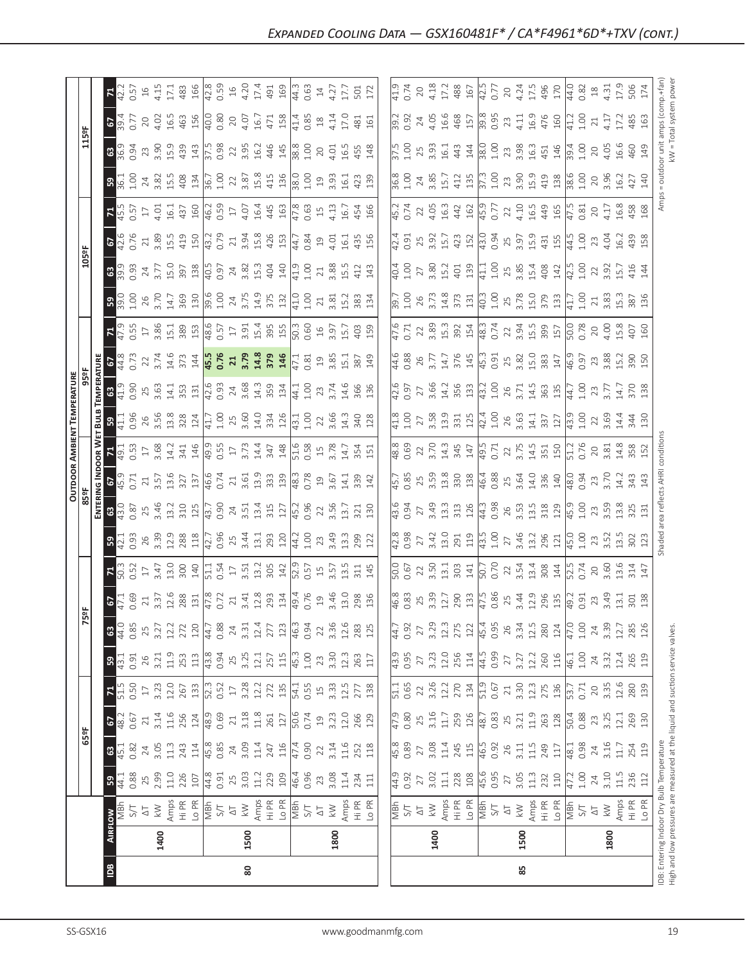|                     | $\overline{B}$                                                                                                                                                                                                                                                                                                       | 80                                                                                          |                                                                                                                                                                                                                                                                                                                                                                                                                                       |                                                                                                                                                                                                                                                                                                                                                                                                                                                                     | 85                                                                                                                                                                                                                                                                                                                                                   |                                                                                                                                                                                                                                                                                                                                                                                                                                                                                                                             |                                           |
|---------------------|----------------------------------------------------------------------------------------------------------------------------------------------------------------------------------------------------------------------------------------------------------------------------------------------------------------------|---------------------------------------------------------------------------------------------|---------------------------------------------------------------------------------------------------------------------------------------------------------------------------------------------------------------------------------------------------------------------------------------------------------------------------------------------------------------------------------------------------------------------------------------|---------------------------------------------------------------------------------------------------------------------------------------------------------------------------------------------------------------------------------------------------------------------------------------------------------------------------------------------------------------------------------------------------------------------------------------------------------------------|------------------------------------------------------------------------------------------------------------------------------------------------------------------------------------------------------------------------------------------------------------------------------------------------------------------------------------------------------|-----------------------------------------------------------------------------------------------------------------------------------------------------------------------------------------------------------------------------------------------------------------------------------------------------------------------------------------------------------------------------------------------------------------------------------------------------------------------------------------------------------------------------|-------------------------------------------|
|                     | 1400                                                                                                                                                                                                                                                                                                                 | 1500                                                                                        | 1800                                                                                                                                                                                                                                                                                                                                                                                                                                  | 1400                                                                                                                                                                                                                                                                                                                                                                                                                                                                | 1500                                                                                                                                                                                                                                                                                                                                                 | 1800                                                                                                                                                                                                                                                                                                                                                                                                                                                                                                                        | IDB: Entering Indoc<br>High and low press |
|                     | <b>RIMIT</b>                                                                                                                                                                                                                                                                                                         |                                                                                             |                                                                                                                                                                                                                                                                                                                                                                                                                                       |                                                                                                                                                                                                                                                                                                                                                                                                                                                                     |                                                                                                                                                                                                                                                                                                                                                      | $\begin{array}{c}\n\overline{AT} \\ \overline{AT} \\ \overline{R} \\ \overline{R} \\ \overline{R} \\ \overline{H} \\ \overline{H} \\ \overline{H} \\ \overline{R} \\ \overline{R} \\ \overline{R} \\ \overline{R} \\ \overline{R} \\ \overline{R} \\ \overline{R} \\ \overline{R} \\ \overline{R} \\ \overline{R} \\ \overline{R} \\ \overline{R} \\ \overline{R} \\ \overline{R} \\ \overline{R} \\ \overline{R} \\ \overline{R} \\ \overline{R} \\ \overline{R} \\ \overline{R} \\ \overline{R} \\ \overline{R} \\ \over$ |                                           |
|                     | 0.88<br>$\sqrt{3}$                                                                                                                                                                                                                                                                                                   |                                                                                             | $\begin{array}{l} 2.39 \\ 2.39 \\ 2.11 \\ 2.12 \\ 2.61 \\ 2.62 \\ 2.63 \\ 2.64 \\ 2.55 \\ 2.57 \\ 2.57 \\ 2.57 \\ 2.57 \\ 2.57 \\ 2.57 \\ 2.57 \\ 2.57 \\ 2.57 \\ 2.57 \\ 2.57 \\ 2.57 \\ 2.57 \\ 2.57 \\ 2.57 \\ 2.57 \\ 2.57 \\ 2.57 \\ 2.57 \\ 2.57 \\ 2.57 \\ 2.57 \\ 2.57 \\ 2.57 \\ 2.58 \\ 2.57 \\ 2.$                                                                                                                         | $\begin{array}{ l l l l l } \hline 44.9 \\ \hline 0.97 & 7 & 7 \\ \hline 7 & 7 & 7 \\ \hline 3 & 0.11 & 7 \\ \hline 1 & 0.98 & 8 \\ \hline 1 & 0.99 & 0.9 \\ \hline \end{array}$                                                                                                                                                                                                                                                                                    |                                                                                                                                                                                                                                                                                                                                                      |                                                                                                                                                                                                                                                                                                                                                                                                                                                                                                                             |                                           |
|                     |                                                                                                                                                                                                                                                                                                                      |                                                                                             | $\begin{array}{c} 0.87 \\ 0.87 \\ 0.74 \\ 0.87 \\ 0.74 \\ 0.74 \\ 0.87 \\ 0.87 \\ 0.87 \\ 0.87 \\ 0.87 \\ 0.87 \\ 0.87 \\ 0.87 \\ 0.87 \\ 0.87 \\ 0.87 \\ 0.87 \\ 0.87 \\ 0.87 \\ 0.87 \\ 0.87 \\ 0.87 \\ 0.87 \\ 0.87 \\ 0.87 \\ 0.87 \\ 0.87 \\ 0.87 \\ 0.87 \\ 0.87 \\ 0.87 \\ 0.87 \\ 0.87 \\ 0.87 \\ 0.$                                                                                                                         | $\begin{bmatrix} 8 & 8 & 8 & 7 & 8 & 4 & 4 & 4 & 6 & 6 & 8 & 7 & 8 & 7 & 8 & 7 & 8 & 7 & 8 & 7 & 8 & 7 & 8 & 7 & 8 & 8 & 7 & 8 & 7 & 8 & 8 & 7 & 8 & 7 & 8 & 8 & 7 & 8 & 8 & 7 & 8 & 8 & 7 & 8 & 8 & 7 & 8 & 8 & 8 & 7 & 8 & 8 & 8 & 7 & 8 & 8 & 8 & 8 & 7 & 8 & 8 & 8 & 8 & 7 & 8 & 8 & 8 & 9 & 8 & 8 & 8 & $                                                                                                                                                      |                                                                                                                                                                                                                                                                                                                                                      |                                                                                                                                                                                                                                                                                                                                                                                                                                                                                                                             |                                           |
| $\frac{55}{50}$     | $5\frac{3}{18}$                                                                                                                                                                                                                                                                                                      |                                                                                             |                                                                                                                                                                                                                                                                                                                                                                                                                                       |                                                                                                                                                                                                                                                                                                                                                                                                                                                                     |                                                                                                                                                                                                                                                                                                                                                      |                                                                                                                                                                                                                                                                                                                                                                                                                                                                                                                             |                                           |
|                     | $ \mathbf{r} $                                                                                                                                                                                                                                                                                                       |                                                                                             | $\frac{13}{12} \times \frac{13}{12} \times \frac{13}{12} \times \frac{13}{12} \times \frac{13}{12} \times \frac{13}{12} \times \frac{13}{12} \times \frac{13}{12} \times \frac{13}{12} \times \frac{13}{12} \times \frac{13}{12} \times \frac{13}{12} \times \frac{13}{12} \times \frac{13}{12} \times \frac{13}{12} \times \frac{13}{12} \times \frac{13}{12} \times \frac{13}{12} \times \frac{13}{12} \times \frac{13}{12} \times$ | $\begin{array}{l} 1.766 \\ 1.665 \\ 1.766 \\ 1.767 \\ 1.767 \\ 1.767 \\ 1.767 \\ 1.767 \\ 1.767 \\ 1.767 \\ 1.767 \\ 1.767 \\ 1.767 \\ 1.767 \\ 1.767 \\ 1.767 \\ 1.767 \\ 1.767 \\ 1.767 \\ 1.767 \\ 1.767 \\ 1.767 \\ 1.767 \\ 1.768 \\ 1.767 \\ 1.767 \\ 1.767 \\ 1.767 \\ 1.767 \\ 1.767 \\ 1.$                                                                                                                                                                 |                                                                                                                                                                                                                                                                                                                                                      |                                                                                                                                                                                                                                                                                                                                                                                                                                                                                                                             |                                           |
|                     | 0.91<br>$B_{\mathbb{Z}}$                                                                                                                                                                                                                                                                                             |                                                                                             | $\begin{array}{l} 26 \\ 27 \\ 28 \\ 29 \\ 21 \\ 23 \\ 24 \\ 26 \\ 27 \\ 28 \\ 29 \\ 20 \\ 21 \\ 23 \\ 24 \\ 25 \\ 27 \\ 28 \\ 29 \\ 23 \\ 24 \\ 25 \\ 26 \\ 27 \\ 28 \\ 29 \\ 29 \\ 21 \\ 22 \\ 23 \\ 24 \\ 25 \\ 27 \\ 28 \\ 29 \\ 23 \\ 24 \\ 25 \\ 27 \\ 28 \\ 29 \\ 29 \\ 21 \\ 23 \\ 24 \\ 25 \\ 26 \\ 27 \\ 28 \\ 29 \\ 29 \\ 21 \\ 23 \\ $                                                                                     |                                                                                                                                                                                                                                                                                                                                                                                                                                                                     |                                                                                                                                                                                                                                                                                                                                                      |                                                                                                                                                                                                                                                                                                                                                                                                                                                                                                                             |                                           |
|                     | $\frac{3}{3}$                                                                                                                                                                                                                                                                                                        |                                                                                             | $\frac{1}{3}$ is a signal signal in the set of $\frac{1}{3}$ is a signal in the set of $\frac{1}{3}$ is a signal in the set of $\frac{1}{3}$ is a signal in the set of $\frac{1}{3}$ is a signal in the set of $\frac{1}{3}$ is a signal in the set o                                                                                                                                                                                 |                                                                                                                                                                                                                                                                                                                                                                                                                                                                     |                                                                                                                                                                                                                                                                                                                                                      |                                                                                                                                                                                                                                                                                                                                                                                                                                                                                                                             |                                           |
|                     | $\overline{5}$                                                                                                                                                                                                                                                                                                       |                                                                                             |                                                                                                                                                                                                                                                                                                                                                                                                                                       | $\frac{46.8}{0.83}$<br>0.83<br>3.39<br>3.7                                                                                                                                                                                                                                                                                                                                                                                                                          |                                                                                                                                                                                                                                                                                                                                                      | $3.1$<br>$3.01$<br>$3.03$                                                                                                                                                                                                                                                                                                                                                                                                                                                                                                   |                                           |
|                     | $3.47$<br>$13.0$<br>$140$<br>$140$<br>0.52<br>$ \mathbf{F} $                                                                                                                                                                                                                                                         | $\frac{11}{11}$ 54<br>17                                                                    | $\begin{array}{c}\n 3.38 \\  3.38 \\  2.56 \\  3.57 \\  4.57 \\  5.57 \\  5.57 \\  5.57 \\  5.57 \\  5.57 \\  5.57 \\  5.57 \\  5.57 \\  5.57 \\  5.57 \\  5.57 \\  5.57 \\  5.57 \\  5.57 \\  5.57 \\  5.57 \\  5.57 \\  5.57 \\  5.57 \\  5.57 \\  5.57 \\  5.57 \\  5.57 \\  5.57 \\  5.57 \\  5.57 \\  5.57 \\  5.57 \\  5.57 \\  5.57 \\  5$                                                                                     |                                                                                                                                                                                                                                                                                                                                                                                                                                                                     |                                                                                                                                                                                                                                                                                                                                                      |                                                                                                                                                                                                                                                                                                                                                                                                                                                                                                                             |                                           |
|                     | 0.93<br>26<br>3.39<br>12.88<br>288<br> 3                                                                                                                                                                                                                                                                             | $\frac{2.7}{2.96}$<br>$\frac{4}{3}$ $\frac{1}{3}$ $\frac{3}{3}$ $\frac{8}{3}$ $\frac{1}{4}$ | $\begin{array}{c} 1.00 \\ 2.3 \\ 3.49 \\ 13.3 \\ 291 \\ 122 \\ \end{array}$                                                                                                                                                                                                                                                                                                                                                           | $\frac{1}{42}$ , $\frac{1}{3}$ , $\frac{1}{2}$ , $\frac{1}{3}$ , $\frac{1}{4}$ , $\frac{1}{3}$ , $\frac{1}{4}$ , $\frac{1}{4}$ , $\frac{1}{4}$ , $\frac{1}{4}$ , $\frac{1}{4}$ , $\frac{1}{4}$ , $\frac{1}{4}$ , $\frac{1}{4}$ , $\frac{1}{4}$ , $\frac{1}{4}$ , $\frac{1}{4}$ , $\frac{1}{4}$ , $\frac{1}{4}$ , $\frac{1}{4}$ ,                                                                                                                                    | $27$<br>$3.46$<br>$13.2$<br>$15.0$<br>$15.0$<br>$15.2$<br>$15.2$                                                                                                                                                                                                                                                                                     | $3.5$<br>$13.5$<br>$302$<br>$123$                                                                                                                                                                                                                                                                                                                                                                                                                                                                                           |                                           |
|                     | 0.87<br>  ឌ <mark>ទ</mark>                                                                                                                                                                                                                                                                                           |                                                                                             | $\begin{array}{c} 1.75 & 1.75 & 1.75 & 1.75 & 1.75 & 1.75 & 1.75 & 1.75 & 1.75 & 1.75 & 1.75 & 1.75 & 1.75 & 1.75 & 1.75 & 1.75 & 1.75 & 1.75 & 1.75 & 1.75 & 1.75 & 1.75 & 1.75 & 1.75 & 1.75 & 1.75 & 1.75 & 1.75 & 1.75 & 1.75 & 1.75 & 1.75 & 1.75 & 1.75 & 1.75 & 1.$                                                                                                                                                            | $\begin{array}{c c}\n\stackrel{16}{43.0} & \stackrel{1}{52.0} & \stackrel{1}{64.0} & \stackrel{1}{64.0} \\ \hline\n0 & 0 & 0 & 0 & 0 & 0 \\ 0 & 0 & 0 & 0 & 0 & 0 \\ 0 & 0 & 0 & 0 & 0 & 0 \\ 0 & 0 & 0 & 0 & 0 & 0\n\end{array}$                                                                                                                                                                                                                                   |                                                                                                                                                                                                                                                                                                                                                      |                                                                                                                                                                                                                                                                                                                                                                                                                                                                                                                             |                                           |
| <b>TLDOOR AMBIE</b> | $rac{1}{6}$ $\frac{1}{2}$<br>0.71                                                                                                                                                                                                                                                                                    |                                                                                             | $\frac{1}{2}$                                                                                                                                                                                                                                                                                                                                                                                                                         |                                                                                                                                                                                                                                                                                                                                                                                                                                                                     |                                                                                                                                                                                                                                                                                                                                                      |                                                                                                                                                                                                                                                                                                                                                                                                                                                                                                                             |                                           |
|                     | $\frac{1}{2}$<br>$\frac{1}{2}$<br>$\frac{1}{49.1}$                                                                                                                                                                                                                                                                   |                                                                                             |                                                                                                                                                                                                                                                                                                                                                                                                                                       | $\begin{array}{l} 48.8 \\ 60.6 \\ 30.7 \\ 21.7 \\ 22.8 \\ 33.7 \\ 24.8 \\ 25.9 \\ 26.9 \\ 27.7 \\ 28.7 \\ 29.7 \\ 21.7 \\ 22.7 \\ 23.7 \\ 24.7 \\ 25.7 \\ 26.7 \\ 27.7 \\ 28.7 \\ 29.7 \\ 29.7 \\ 20.7 \\ 27.7 \\ 28.7 \\ 29.7 \\ 29.7 \\ 29.7 \\ 29.7 \\ 29.7 \\ 29.7 \\ 29.7 \\ 29.7 \\ 29.7 \\ 29.7 \\ 29$                                                                                                                                                       |                                                                                                                                                                                                                                                                                                                                                      |                                                                                                                                                                                                                                                                                                                                                                                                                                                                                                                             |                                           |
| <b>TEMPERATUR</b>   | $\frac{1}{3}$<br>$\frac{1}{4}$<br>0.96                                                                                                                                                                                                                                                                               |                                                                                             | $\begin{array}{c} 265\\ 353\\ 364\\ 275\\ 286\\ 287\\ 298\\ 211\\ 210\\ 221\\ 231\\ 242\\ 253\\ 266\\ 275\\ 286\\ 298\\ 212\\ 239\\ 248\\ 212\\ 228\\ 239\\ 249\\ 249\\ 259\\ 269\\ 278\\ 289\\ 298\\ 219\\ 229\\ 239\\ 249\\ 259\\ 269\\ 279\\ 289\\ 299\\ 299\\ 299\\ 299\\ 29$                                                                                                                                                     |                                                                                                                                                                                                                                                                                                                                                                                                                                                                     |                                                                                                                                                                                                                                                                                                                                                      |                                                                                                                                                                                                                                                                                                                                                                                                                                                                                                                             |                                           |
|                     | <b>TEMPER</b><br>63<br>41.9<br>0.90                                                                                                                                                                                                                                                                                  |                                                                                             | $1.00$<br>$2.3$<br>$3.74$<br>$4.6$<br>$3.66$<br>$136$                                                                                                                                                                                                                                                                                                                                                                                 | $\begin{array}{l} \sqrt{16} \text{ } 69 \text{ } 20 \text{ } 21 \text{ } 22 \text{ } 23 \text{ } 24 \text{ } 25 \text{ } 26 \text{ } 27 \text{ } 28 \text{ } 27 \text{ } 28 \text{ } 29 \text{ } 21 \text{ } 23 \text{ } 24 \text{ } 25 \text{ } 27 \text{ } 28 \text{ } 29 \text{ } 21 \text{ } 21 \text{ } 23 \text{ } 23 \text{ } 25 \text{ } 26 \text{ } 27 \text{ } 29 \text{ } 21 \text{ }$                                                                   |                                                                                                                                                                                                                                                                                                                                                      |                                                                                                                                                                                                                                                                                                                                                                                                                                                                                                                             |                                           |
|                     | 364.8                                                                                                                                                                                                                                                                                                                |                                                                                             | $15.5 \times 10^{10}$<br>$15.5 \times 10^{10}$<br>$15.5 \times 10^{10}$<br>$15.5 \times 10^{10}$<br>$15.5 \times 10^{10}$<br>$15.5 \times 10^{10}$<br>$15.5 \times 10^{10}$<br>$15.5 \times 10^{10}$<br>$15.5 \times 10^{10}$<br>$15.5 \times 10^{10}$<br>$15.5 \times 10^{10}$<br>in 22 22 32 32 32 32 32 32 32 32 32 32 33 4 32 4 32 4 32 5 4 5 5 6 7 5 7 6 7 6 7 6 7 7 8 7 7 8 7 7 8                                               | $\frac{1}{47}$ , $\frac{1}{6}$ , $\frac{1}{27}$ , $\frac{1}{28}$ , $\frac{1}{38}$ , $\frac{1}{38}$ , $\frac{1}{38}$ , $\frac{1}{48}$ , $\frac{1}{38}$ , $\frac{1}{48}$ , $\frac{1}{38}$<br>$\begin{array}{cccccccccc} 45.88 & 0.0000 & 0.0000 & 0.0000 & 0.0000 & 0.0000 & 0.0000 & 0.0000 & 0.0000 & 0.0000 & 0.0000 & 0.0000 & 0.0000 & 0.0000 & 0.0000 & 0.0000 & 0.0000 & 0.0000 & 0.0000 & 0.0000 & 0.0000 & 0.0000 & 0.0000 & 0.0000 & 0.0000 & 0.0000 & 0.0$ | $\begin{array}{c}\n 22 \\  3.94 \\  15.9 \\  390 \\  50 \\  0.78 \\  0.78 \\  0.78 \\  0.78 \\  0.78 \\  0.78 \\  0.78 \\  0.78 \\  0.78 \\  0.78 \\  0.78 \\  0.78 \\  0.78 \\  0.78 \\  0.78 \\  0.78 \\  0.78 \\  0.78 \\  0.78 \\  0.78 \\  0.78 \\  0.78 \\  0.78 \\  0.78 \\  0.78 \\  0.78 \\  0.78 \\  0.78 \\  0.78 \\  0.78 \\  0.78 \\  $ | $4.00$<br>$4.07$<br>$4.07$<br>$160$                                                                                                                                                                                                                                                                                                                                                                                                                                                                                         |                                           |
|                     | $1.00$<br>$26$<br>$3.70$<br>$14.7$<br>$369$<br>$19.6$<br>$1.00$<br>$1.4$<br>$\mathbb{E}^2$                                                                                                                                                                                                                           |                                                                                             | $\frac{1}{2}$ , $\frac{1}{2}$ , $\frac{1}{2}$ , $\frac{1}{2}$ , $\frac{1}{2}$ , $\frac{1}{2}$ , $\frac{1}{2}$ , $\frac{1}{2}$ , $\frac{1}{2}$ , $\frac{1}{2}$ , $\frac{1}{2}$ , $\frac{1}{2}$ , $\frac{1}{2}$ , $\frac{1}{2}$ , $\frac{1}{2}$ , $\frac{1}{2}$ , $\frac{1}{2}$ , $\frac{1}{2}$ , $\frac{1}{2}$ , $\frac{1}{2}$ ,                                                                                                       |                                                                                                                                                                                                                                                                                                                                                                                                                                                                     |                                                                                                                                                                                                                                                                                                                                                      |                                                                                                                                                                                                                                                                                                                                                                                                                                                                                                                             |                                           |
|                     | $\begin{array}{c} 3.77 \\ 15.0 \\ 397 \\ 138 \\ 136 \\ \hline \end{array}$<br>0.93<br>ြို အိ                                                                                                                                                                                                                         | $rac{1}{4}$ $rac{1}{1}$<br>3.82<br>15.3<br>404                                              | $1.00$<br>$7.88$<br>$3.81$<br>$4.74$<br>$4.3$                                                                                                                                                                                                                                                                                                                                                                                         | $\frac{1}{40}$<br>$\frac{1}{20}$<br>$\frac{1}{20}$<br>$\frac{1}{20}$<br>$\frac{1}{20}$<br>$\frac{1}{20}$<br>$\frac{1}{20}$<br>$\frac{1}{20}$<br>$\frac{1}{20}$<br>$\frac{1}{20}$<br>$\frac{1}{20}$<br>$\frac{1}{20}$                                                                                                                                                                                                                                                |                                                                                                                                                                                                                                                                                                                                                      |                                                                                                                                                                                                                                                                                                                                                                                                                                                                                                                             |                                           |
| 1059                | 0.76<br>$3.89$<br>$15.5$<br>$419$<br>$43.79$<br>$6.79$<br>$15.7$<br>55                                                                                                                                                                                                                                               | $\begin{array}{c} 1.94 \\ 1.58 \\ 4.78 \\ 4.58 \\ 4.53 \\ 4.53 \\ \hline \end{array}$       | 0.84<br>19<br>4.01<br>4.3<br>4.3<br>4.5<br>5                                                                                                                                                                                                                                                                                                                                                                                          | $\frac{1}{42.4}$<br>$\frac{1}{45.0}$<br>$\frac{1}{45.0}$<br>$\frac{1}{45.0}$<br>$\frac{1}{45.0}$<br>$\frac{1}{45.0}$<br>$\frac{1}{45.0}$                                                                                                                                                                                                                                                                                                                            | $\begin{array}{c}\n 25 \\  3.97 \\  15.9 \\  431 \\  \hline\n 455 \\  1.00 \\  23\n \end{array}$                                                                                                                                                                                                                                                     | $4.04$<br>$16.2$<br>$439$<br>$158$                                                                                                                                                                                                                                                                                                                                                                                                                                                                                          |                                           |
|                     | $4.01$<br>$16.1$<br>$437$<br>$160$<br>0.57<br>E.                                                                                                                                                                                                                                                                     | $4.07$<br>16.4<br>445<br>163<br>47.8<br>$46.2$<br>0.59<br>17                                |                                                                                                                                                                                                                                                                                                                                                                                                                                       | $\frac{45.2}{6.74}$<br>$0.74$<br>$4.05$<br>$4.04$<br>$4.61$<br>$4.61$<br>$4.61$<br>$4.61$                                                                                                                                                                                                                                                                                                                                                                           |                                                                                                                                                                                                                                                                                                                                                      | $\begin{array}{c}\n 22 \\  24.19 \\  45.9 \\  46.9 \\  47.8 \\  48.0 \\  47.8 \\  49.0 \\  49.0 \\  49.0 \\  49.0 \\  49.0 \\  49.0 \\  49.0 \\  49.0 \\  49.0 \\  49.0 \\  49.0 \\  49.0 \\  49.0 \\  49.0 \\  49.0 \\  49.0 \\  49.0 \\  49.0 \\  49.0 \\  49.0 \\  49.0 \\  49.0 \\  49.0 \\  49.0 \\  49.0 \\  49.0 \\  49.0 \\  49.0 \\  49$                                                                                                                                                                           |                                           |
|                     | $\begin{array}{c c} 1.00 & 24 \\ 2.8 & 3.5 \\ 3.6 & 4.08 \\ 4.08 & 4.0 \\ 5.00 & 1.00 \\ 5.00 & 1.0 \\ 1.00 & 1.0 \\ 2.0 & 2.0 \\ 3.0 & 4.0 \\ 4.0 & 5.0 \\ 5.0 & 5.0 \\ 6.0 & 7.0 \\ 7.0 & 8.0 \\ 8.0 & 7.0 \\ 9.0 & 1.0 \\ 1.0 & 1.0 \\ 1.0 & 1.0 \\ 1.0 & 1.0 \\ 1.0 & 1.0 \\ 1.0 & 1.0 \\ 1.0 &$<br>$ 3 $ ្ធិ    | $3.87$<br>$1.58$<br>$1.36$<br>$1.38$                                                        | $1.00$<br>$1.9$<br>$3.9$<br>$3.1$<br>$4.2$<br>$4.3$                                                                                                                                                                                                                                                                                                                                                                                   | $\frac{8}{36}$ , $\frac{8}{3}$ , $\frac{8}{3}$ , $\frac{1}{3}$ , $\frac{1}{3}$ , $\frac{1}{3}$ , $\frac{1}{3}$ , $\frac{1}{3}$ , $\frac{1}{3}$ , $\frac{1}{3}$ , $\frac{1}{3}$ , $\frac{1}{3}$ , $\frac{1}{3}$ , $\frac{1}{3}$ , $\frac{1}{3}$ , $\frac{1}{3}$ , $\frac{1}{3}$ , $\frac{1}{3}$ , $\frac{1}{3}$ , $\frac{1}{3}$ ,                                                                                                                                    | $\frac{1}{2}$ 8 m                                                                                                                                                                                                                                                                                                                                    | 3.96<br>16.2<br>427<br>140                                                                                                                                                                                                                                                                                                                                                                                                                                                                                                  |                                           |
|                     | $3.90$<br>$15.9$<br>$43$<br>$71$<br>$15$<br>$7$<br>$30$<br>$7$<br>$2$<br>0.94<br>  အမြို့<br>23                                                                                                                                                                                                                      | $3.95$ $2.45$ $8.8$<br>$3.45$ $8.8$                                                         | $\begin{array}{c} 1.00 \\ 2.0 \\ 4.01 \\ 4.5 \\ 4.5 \\ 4.5 \\ 4.8 \\ \end{array}$                                                                                                                                                                                                                                                                                                                                                     | $\frac{10}{10}$<br>$\frac{10}{10}$<br>$\frac{10}{10}$<br>$\frac{10}{10}$<br>$\frac{10}{10}$<br>$\frac{10}{10}$<br>$\frac{10}{10}$<br>$\frac{10}{10}$<br>$\frac{10}{10}$<br>$\frac{10}{10}$                                                                                                                                                                                                                                                                          | $23.38$<br>$3.98$<br>$3.54$<br>$47$<br>$50$<br>$20$                                                                                                                                                                                                                                                                                                  | $7.05$<br>$16.6$<br>$460$<br>$14$                                                                                                                                                                                                                                                                                                                                                                                                                                                                                           |                                           |
| $115$ <sup>e</sup>  | $6\frac{1}{3}$ $\frac{1}{3}$ $\frac{1}{5}$ $\frac{1}{5}$ $\frac{1}{6}$ $\frac{1}{3}$ $\frac{1}{6}$ $\frac{1}{3}$ $\frac{1}{6}$ $\frac{1}{6}$ $\frac{1}{6}$ $\frac{1}{6}$ $\frac{1}{6}$ $\frac{1}{6}$ $\frac{1}{6}$ $\frac{1}{6}$ $\frac{1}{6}$ $\frac{1}{6}$ $\frac{1}{6}$ $\frac{1}{6}$ $\frac{1}{6}$ $\frac{1}{6}$ |                                                                                             |                                                                                                                                                                                                                                                                                                                                                                                                                                       | $\begin{array}{l} \hline \text{38.5} \\ \text{59.6} \\ \text{60.7} \\ \text{70.8} \\ \text{81.8} \\ \text{92.8} \\ \text{10.8} \\ \text{11.8} \\ \text{12.8} \\ \text{13.8} \\ \text{14.9} \\ \text{15.9} \\ \text{16.9} \\ \text{17.9} \\ \text{18.9} \\ \text{19.9} \\ \text{10.9} \\ \text{11.9} \\ \text{12.1} \\ \text{13.1} \\ \text{14.1} \\ \text{15.1} \\ \text{16.1} \\ \text{$                                                                           |                                                                                                                                                                                                                                                                                                                                                      |                                                                                                                                                                                                                                                                                                                                                                                                                                                                                                                             |                                           |
|                     |                                                                                                                                                                                                                                                                                                                      |                                                                                             |                                                                                                                                                                                                                                                                                                                                                                                                                                       |                                                                                                                                                                                                                                                                                                                                                                                                                                                                     |                                                                                                                                                                                                                                                                                                                                                      |                                                                                                                                                                                                                                                                                                                                                                                                                                                                                                                             | 4.31<br>17.9<br>506                       |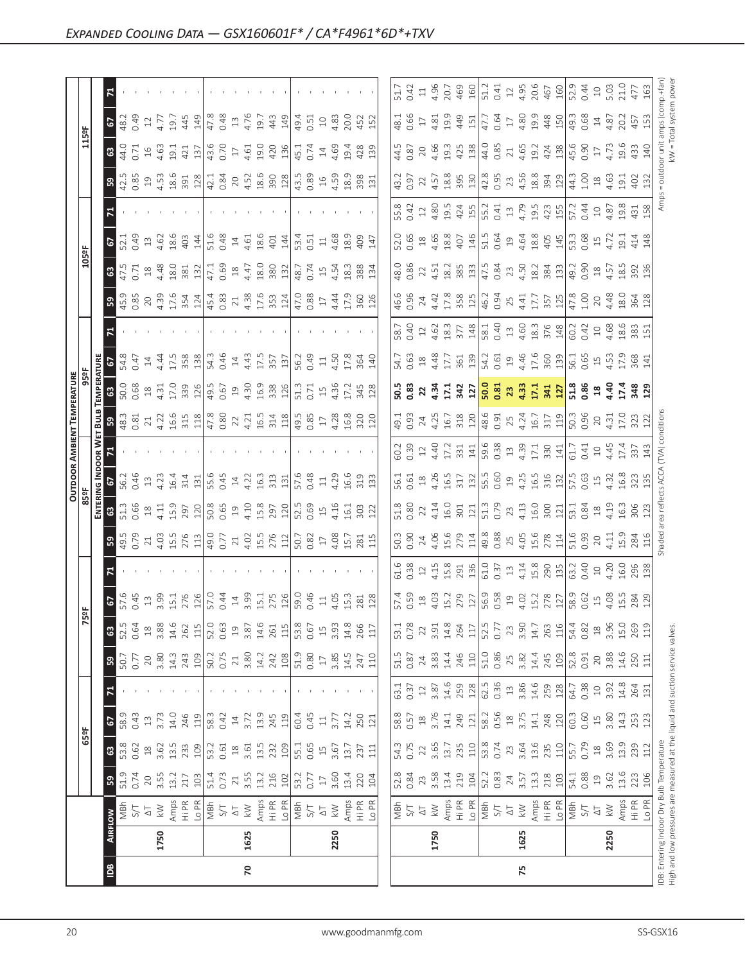|                             |                                  | $\mathbf{r}$                                                                                                                                                                                                                                                                                                                                                                                                                                                                                                                                                                                                 |      |                                                                                                                                                                                                                                                                                                                                                                                                                                                         | 75                              |                                                                                                                                                                                                                                                                                              |
|-----------------------------|----------------------------------|--------------------------------------------------------------------------------------------------------------------------------------------------------------------------------------------------------------------------------------------------------------------------------------------------------------------------------------------------------------------------------------------------------------------------------------------------------------------------------------------------------------------------------------------------------------------------------------------------------------|------|---------------------------------------------------------------------------------------------------------------------------------------------------------------------------------------------------------------------------------------------------------------------------------------------------------------------------------------------------------------------------------------------------------------------------------------------------------|---------------------------------|----------------------------------------------------------------------------------------------------------------------------------------------------------------------------------------------------------------------------------------------------------------------------------------------|
|                             | 1750                             | 1625                                                                                                                                                                                                                                                                                                                                                                                                                                                                                                                                                                                                         | 2250 | 1750                                                                                                                                                                                                                                                                                                                                                                                                                                                    | 1625                            | 2250<br>IDB: Enter<br>High and l                                                                                                                                                                                                                                                             |
|                             | <b>FLOW</b>                      |                                                                                                                                                                                                                                                                                                                                                                                                                                                                                                                                                                                                              |      | $\begin{array}{ l l l l }\hline\hline\mathfrak{F}\mathfrak{F}\mathfrak{F}\mathfrak{F}\mathfrak{F}\mathfrak{F}\mathfrak{F}\mathfrak{F}\mathfrak{F}\mathfrak{F}\mathfrak{F}\mathfrak{F}\mathfrak{F}\mathfrak{F}\mathfrak{F}\mathfrak{F}\mathfrak{F}\mathfrak{F}\mathfrak{F}\mathfrak{F}\mathfrak{F}\mathfrak{F}\mathfrak{F}\mathfrak{F}\mathfrak{F}\mathfrak{F}\mathfrak{F}\mathfrak{F}\mathfrak{F}\mathfrak{F}\mathfrak{F}\mathfrak{F}\mathfrak{F}\math$ |                                 | Amps<br>Hi PR<br>Lo PR<br>$\frac{1}{\sqrt{2}}$                                                                                                                                                                                                                                               |
|                             | ິທ                               | $\begin{array}{l} 21.5 & 23.5 & 24.5 & 25.5 & 25.5 & 25.5 & 25.5 & 25.5 & 25.5 & 25.5 & 25.5 & 25.5 & 25.5 & 25.5 & 25.5 & 25.5 & 25.5 & 25.5 & 25.5 & 25.5 & 25.5 & 25.5 & 25.5 & 25.5 & 25.5 & 25.5 & 25.5 & 25.5 & 25.5 & 25.5 & 25.5 & 25.5 & 25.5 & 25.5 & 25.5 & 25$                                                                                                                                                                                                                                                                                                                                   |      | $\begin{array}{c} 23 \\ 3.58 \\ 13.4 \\ 219 \\ \hline \end{array}$<br>$\frac{52.8}{0.84}$                                                                                                                                                                                                                                                                                                                                                               | 52.2<br>0.83<br>$\overline{24}$ | $\begin{array}{c} 0.75 & 0.75 & 0.75 \\ 0.75 & 0.75 & 0.75 \\ 0.75 & 0.75 & 0.75 \\ 0.75 & 0.75 & 0.75 \\ 0.75 & 0.75 & 0.75 \\ 0.75 & 0.75 & 0.75 \\ 0.75 & 0.75 & 0.75 \\ 0.75 & 0.75 & 0.75 \\ 0.75 & 0.75 & 0.75 \\ 0.75 & 0.75 & 0.75 \\ 0.75 & 0.75 & 0.75 \\ 0.75 & 0.75 & 0.$<br>223 |
| $ \mathbf{\ddot{\bar{s}}} $ | $\overline{\phantom{0}}$ 67<br>3 |                                                                                                                                                                                                                                                                                                                                                                                                                                                                                                                                                                                                              |      |                                                                                                                                                                                                                                                                                                                                                                                                                                                         |                                 |                                                                                                                                                                                                                                                                                              |
|                             |                                  |                                                                                                                                                                                                                                                                                                                                                                                                                                                                                                                                                                                                              |      | $\begin{bmatrix} 83.5 & 8 \\ 83.5 & 8 \\ 93.5 & 8 \\ 123.5 & 12 \\ 133.5 & 12 \\ 143.5 & 12 \\ 153.6 & 12 \\ 153.6 & 15 \\ 154.6 & 15 \\ 155.6 & 15 \\ 156.6 & 15 \\ 157.6 & 15 \\ 158.6 & 15 \\ 159.6 & 15 \\ 151.6 & 15 \\ 151.6 & 151.6 \\ 151.6 & 151.6 \\ 151.6 & 151.6 \\ 151.6 & 151.6$                                                                                                                                                          |                                 |                                                                                                                                                                                                                                                                                              |
|                             | E                                |                                                                                                                                                                                                                                                                                                                                                                                                                                                                                                                                                                                                              |      |                                                                                                                                                                                                                                                                                                                                                                                                                                                         |                                 |                                                                                                                                                                                                                                                                                              |
|                             | 63<br>ြို့                       | $\begin{array}{l} 50.77 \\ 0.77 \\ 0.88 \\ 0.80 \\ 0.01 \\ 0.01 \\ 0.01 \\ 0.01 \\ 0.01 \\ 0.01 \\ 0.01 \\ 0.01 \\ 0.01 \\ 0.01 \\ 0.01 \\ 0.01 \\ 0.01 \\ 0.01 \\ 0.01 \\ 0.01 \\ 0.01 \\ 0.01 \\ 0.01 \\ 0.01 \\ 0.01 \\ 0.01 \\ 0.01 \\ 0.01 \\ 0.01 \\ 0.01 \\ 0.01 \\ 0.01 \\ 0.01 \\ 0.01 \\ 0.01 \\ 0$                                                                                                                                                                                                                                                                                                |      |                                                                                                                                                                                                                                                                                                                                                                                                                                                         |                                 |                                                                                                                                                                                                                                                                                              |
| 삚                           |                                  | $\begin{array}{r} 67.4 & 31.33 \\ 27.4 & 33.31 \\ 28.4 & 29.31 \\ 29.4 & 21.31 \\ 20.4 & 21.31 \\ 21.4 & 22.4 & 23.31 \\ 22.4 & 23.31 & 24.31 \\ 23.4 & 23.31 & 25.31 \\ 24.4 & 23.31 & 26.31 \\ 25.4 & 23.31 & 28.31 \\ 26.4 & 23.31 & 28.31 \\ 27.4 & 23.31 & 28.31 \\ 28.4 & 23$<br>$3.38$ $\frac{3}{2}$ $\frac{3}{2}$ $\frac{3}{2}$ $\frac{3}{2}$ $\frac{3}{2}$ $\frac{1}{2}$ $\frac{1}{2}$ $\frac{1}{2}$ $\frac{3}{2}$ $\frac{3}{2}$ $\frac{3}{2}$ $\frac{3}{2}$ $\frac{3}{2}$ $\frac{3}{2}$ $\frac{3}{2}$ $\frac{3}{2}$ $\frac{3}{2}$ $\frac{3}{2}$ $\frac{3}{2}$ $\frac{3}{2}$ $\frac{3}{2}$ $\frac{$ |      |                                                                                                                                                                                                                                                                                                                                                                                                                                                         |                                 |                                                                                                                                                                                                                                                                                              |
|                             |                                  |                                                                                                                                                                                                                                                                                                                                                                                                                                                                                                                                                                                                              |      |                                                                                                                                                                                                                                                                                                                                                                                                                                                         |                                 |                                                                                                                                                                                                                                                                                              |
|                             | ြို့                             |                                                                                                                                                                                                                                                                                                                                                                                                                                                                                                                                                                                                              |      |                                                                                                                                                                                                                                                                                                                                                                                                                                                         |                                 |                                                                                                                                                                                                                                                                                              |
|                             | 首이                               |                                                                                                                                                                                                                                                                                                                                                                                                                                                                                                                                                                                                              |      | $\begin{bmatrix} 8 & 8 & 8 & 4 & 4 & 6 \\ 3 & 8 & 8 & 4 & 4 & 6 \\ 4 & 4 & 4 & 8 & 8 & 14 \\ 5 & 6 & 8 & 14 & 16 & 16 \\ 6 & 6 & 14 & 16 & 16 & 16 \\ 7 & 8 & 14 & 16 & 16 & 16 \\ 8 & 14 & 16 & 16 & 16 & 16 \\ 18 & 16 & 16 & 16 & 16 & 16 \\ 19 & 16 & 16 & 16 & 16 & 16 \\ 10 & 16 & 16 & 16 & 16 & 16$                                                                                                                                             |                                 |                                                                                                                                                                                                                                                                                              |
|                             |                                  |                                                                                                                                                                                                                                                                                                                                                                                                                                                                                                                                                                                                              |      |                                                                                                                                                                                                                                                                                                                                                                                                                                                         |                                 |                                                                                                                                                                                                                                                                                              |
|                             | 倡<br>$\frac{2}{5}$               |                                                                                                                                                                                                                                                                                                                                                                                                                                                                                                                                                                                                              |      |                                                                                                                                                                                                                                                                                                                                                                                                                                                         |                                 |                                                                                                                                                                                                                                                                                              |
|                             | <u> នី</u> ន                     | $\begin{array}{l} 43.33 \\ 63.81 \\ 74.34 \\ 85.45 \\ \end{array} \begin{array}{l} 43.83 \\ 45.83 \\ 47.83 \\ 48.83 \\ \end{array} \begin{array}{l} 43.83 \\ 47.83 \\ 48.83 \\ 48.83 \\ \end{array}$                                                                                                                                                                                                                                                                                                                                                                                                         |      |                                                                                                                                                                                                                                                                                                                                                                                                                                                         |                                 |                                                                                                                                                                                                                                                                                              |
|                             |                                  |                                                                                                                                                                                                                                                                                                                                                                                                                                                                                                                                                                                                              |      |                                                                                                                                                                                                                                                                                                                                                                                                                                                         |                                 |                                                                                                                                                                                                                                                                                              |
|                             | 립 입                              | $\begin{array}{l} 50.71 \\ 0.97 \\ 0.97 \\ 0.98 \\ 0.99 \\ 0.99 \\ 0.99 \\ 0.99 \\ 0.99 \\ 0.99 \\ 0.99 \\ 0.99 \\ 0.99 \\ 0.99 \\ 0.99 \\ 0.99 \\ 0.99 \\ 0.99 \\ 0.99 \\ 0.99 \\ 0.99 \\ 0.99 \\ 0.99 \\ 0.99 \\ 0.99 \\ 0.99 \\ 0.99 \\ 0.99 \\ 0.99 \\ 0.99 \\ 0.99 \\ 0.99 \\ 0.99 \\ 0.99 \\ 0.99 \\ 0$                                                                                                                                                                                                                                                                                                |      |                                                                                                                                                                                                                                                                                                                                                                                                                                                         |                                 |                                                                                                                                                                                                                                                                                              |
|                             |                                  |                                                                                                                                                                                                                                                                                                                                                                                                                                                                                                                                                                                                              |      |                                                                                                                                                                                                                                                                                                                                                                                                                                                         |                                 |                                                                                                                                                                                                                                                                                              |
|                             |                                  |                                                                                                                                                                                                                                                                                                                                                                                                                                                                                                                                                                                                              |      |                                                                                                                                                                                                                                                                                                                                                                                                                                                         |                                 |                                                                                                                                                                                                                                                                                              |
|                             | 3<br>$\mathbf{B}$                | $\begin{array}{c} 1.73 & 0.74 & 0.75 & 0.75 & 0.75 & 0.75 & 0.75 & 0.75 & 0.75 & 0.75 & 0.75 & 0.75 & 0.75 & 0.75 & 0.75 & 0.75 & 0.75 & 0.75 & 0.75 & 0.75 & 0.75 & 0.75 & 0.75 & 0.75 & 0.75 & 0.75 & 0.75 & 0.75 & 0.75 & 0.75 & 0.75 & 0.75 & 0.75 & 0.75 & 0.75 & 0.$                                                                                                                                                                                                                                                                                                                                   |      |                                                                                                                                                                                                                                                                                                                                                                                                                                                         |                                 |                                                                                                                                                                                                                                                                                              |
|                             | 5                                |                                                                                                                                                                                                                                                                                                                                                                                                                                                                                                                                                                                                              |      |                                                                                                                                                                                                                                                                                                                                                                                                                                                         |                                 |                                                                                                                                                                                                                                                                                              |
|                             |                                  |                                                                                                                                                                                                                                                                                                                                                                                                                                                                                                                                                                                                              |      |                                                                                                                                                                                                                                                                                                                                                                                                                                                         |                                 |                                                                                                                                                                                                                                                                                              |
|                             | 59                               | $42.89$ and $43.8$ and $21.3$ and $22.8$ and $21.3$ and $22.8$ and $23.8$ and $24.3$ and $25.8$ and $25.8$ and $25.8$ and $25.8$ and $25.8$ and $25.8$ and $25.8$ and $25.8$ and $25.8$ and $25.8$ and $25.8$ and $25.8$ and                                                                                                                                                                                                                                                                                                                                                                                 |      |                                                                                                                                                                                                                                                                                                                                                                                                                                                         |                                 |                                                                                                                                                                                                                                                                                              |
|                             | $\mathbf{G}$                     |                                                                                                                                                                                                                                                                                                                                                                                                                                                                                                                                                                                                              |      |                                                                                                                                                                                                                                                                                                                                                                                                                                                         |                                 |                                                                                                                                                                                                                                                                                              |
| ္မြို                       | 67                               | $\begin{array}{l} \mbox{18.5}\qquad \mbox{19.5}\qquad \mbox{10.5}\qquad \mbox{11.5}\qquad \mbox{12.5}\qquad \mbox{13.5}\qquad \mbox{14.5}\qquad \mbox{15.5}\qquad \mbox{16.5}\qquad \mbox{17.5}\qquad \mbox{18.5}\qquad \mbox{19.5}\qquad \mbox{19.5}\qquad \mbox{10.5}\qquad \mbox{10.5}\qquad \mbox{12.5}\qquad \mbox{13.5}\qquad \mbox{16.5}\qquad \mbox{17.5}\qquad \mbox{$                                                                                                                                                                                                                              |      |                                                                                                                                                                                                                                                                                                                                                                                                                                                         |                                 |                                                                                                                                                                                                                                                                                              |
|                             |                                  |                                                                                                                                                                                                                                                                                                                                                                                                                                                                                                                                                                                                              |      |                                                                                                                                                                                                                                                                                                                                                                                                                                                         |                                 |                                                                                                                                                                                                                                                                                              |
|                             |                                  |                                                                                                                                                                                                                                                                                                                                                                                                                                                                                                                                                                                                              |      |                                                                                                                                                                                                                                                                                                                                                                                                                                                         |                                 |                                                                                                                                                                                                                                                                                              |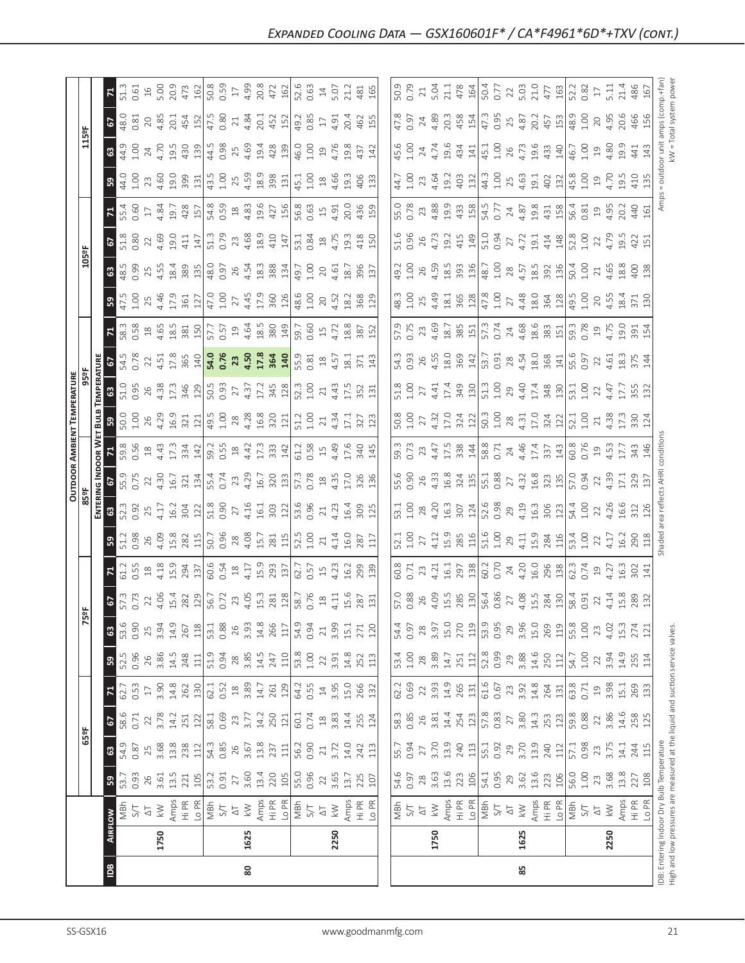| $\begin{bmatrix} 8.5 & 4 & 8.6 & 1 \\ 6.5 & 2 & 4 & 8.6 & 1 \\ 6.5 & 2 & 4 & 8.6 & 1 \\ 6.5 & 2 & 4 & 8.6 & 1 \\ 6.5 & 2 & 4 & 8.6 & 1 \\ 6.5 & 2 & 4 & 8.6 & 1 \\ 6.5 & 2 & 4 & 8.6 & 1 \\ 6.5 & 2 & 4 & 8.6 & 1 \\ 6.5 & 2 & 4 & 8.6 & 1 \\ 6.5 & 2 & 4 & 8.6 & 1 \\ 6.5 & 2 & 4 & 8.6 & 1 \\ 6.5 & 2 &$<br>1159F<br>$\frac{6}{3}$<br>$6.5837993747173783893777738387479448$<br>$\frac{105}{5}$<br>$3.59$<br>$3.51$<br>$4.52$<br>$3.81$<br>$4.80$<br>$4.80$<br>$4.80$<br>$\begin{array}{c}\n 26 \\  4.53 \\  383 \\  49.7 \\  50 \\  61 \\  72 \\  83 \\  71 \\  87 \\  98 \\  71 \\  99\n \end{array}$<br>$47.0$ $25.0$ $47.0$ $36.0$ $10.0$ $10.0$ $10.0$ $10.0$ $10.0$ $10.0$ $10.0$ $10.0$ $10.0$ $10.0$ $10.0$ $10.0$ $10.0$ $10.0$ $10.0$ $10.0$ $10.0$ $10.0$ $10.0$ $10.0$ $10.0$ $10.0$ $10.0$ $10.0$ $10.0$ $10.0$ $10.0$ $10.$<br>$\begin{array}{c} 33.83 \quad 84.6 \quad 85.3 \quad 87.6 \quad 88.6 \quad 87.6 \quad 87.6 \quad 88.6 \quad 87.6 \quad 87.6 \quad 87.6 \quad 87.6 \quad 87.6 \quad 87.6 \quad 87.6 \quad 87.6 \quad 87.6 \quad 87.6 \quad 87.6 \quad 87.6 \quad 87.6 \quad 87.6 \quad 87.6 \quad 87.6 \quad 87.6 \quad 87.6 \quad 87.6 \quad 87.6 \quad 87.6 \quad 87.6 \quad 8$<br>$\mathbb{E}$<br>$\frac{1}{2}$ <b>E</b> $\frac{1}{3}$ $\frac{1}{3}$ $\frac{1}{3}$ $\frac{1}{3}$ $\frac{1}{3}$ $\frac{1}{3}$ $\frac{1}{3}$ $\frac{1}{3}$ $\frac{1}{3}$ $\frac{1}{3}$ $\frac{1}{3}$ $\frac{1}{3}$ $\frac{1}{3}$ $\frac{1}{3}$ $\frac{1}{3}$ $\frac{1}{3}$ $\frac{1}{3}$ $\frac{1}{3}$ $\frac{1}{3}$ $\frac{1}{3}$ $\frac{1}{3$<br>OUTDOOR AMBIENT TEMPERATURI<br>85ºF<br>85ºF<br>$\frac{1}{2}$ $\frac{1}{2}$<br>$\begin{array}{c} 16 & 26 & 27 & 27 & 28 \\ 27 & 27 & 27 & 27 & 28 \\ 28 & 27 & 27 & 27 & 27 \\ 29 & 21 & 27 & 27 & 27 \\ 21 & 23 & 27 & 27 & 27 \\ 21 & 23 & 27 & 27 & 27 \\ 22 & 25 & 27 & 27 & 27 & 27 \\ 23 & 27 & 27 & 27 & 27 & 27 \\ 24 & 27 & 27 & 27 & 27 & 27 \\ 25 & 27 & 27 & 27 & 27 & $<br>$\begin{bmatrix} 80.8 & 2 \\ 30.8 & 2 \\ 40.3 & 2 \\ 50.3 & 2 \\ 60.4 & 2 \\ 70.6 & 2 \\ 80.6 & 2 \\ 10.6 & 2 \\ 10.6 & 2 \\ 10.6 & 2 \\ 10.6 & 2 \\ 10.6 & 2 \\ 10.6 & 2 \\ 10.6 & 2 \\ 11.6 & 2 \\ 12.6 & 2 \\ 13.6 & 2 \\ 14.6 & 2 \\ 15.6 & 2 \\ 16.6 & 2 \\ 17.6 & 2 \\ 18.6 & 2 \\ 19.6 & 2 \\ 10.6 & $<br>$rac{N}{N}$<br>$\begin{bmatrix} 0.01 & 0.01 & 0.01 & 0.01 & 0.01 & 0.01 & 0.01 & 0.01 & 0.01 & 0.01 & 0.01 & 0.01 & 0.01 & 0.01 & 0.01 & 0.01 & 0.01 & 0.01 & 0.01 & 0.01 & 0.01 & 0.01 & 0.01 & 0.01 & 0.01 & 0.01 & 0.01 & 0.01 & 0.01 & 0.01 & 0.01 & 0.01 & 0.01 & 0.01 & 0.01 & 0.0$<br>$\frac{3}{2}$ $\frac{3}{2}$ $\frac{1}{2}$ $\frac{3}{2}$ $\frac{3}{2}$ $\frac{1}{2}$ $\frac{1}{2}$ $\frac{3}{2}$ $\frac{5}{2}$ $\frac{1}{2}$ $\frac{1}{2}$ $\frac{3}{2}$ $\frac{1}{2}$ $\frac{1}{2}$ $\frac{3}{2}$ $\frac{1}{2}$ $\frac{1}{2}$ $\frac{3}{2}$ $\frac{1}{2}$ $\frac{1}{2}$ $\frac{3}{2}$ $\frac{1}{2}$<br>별이<br>$\begin{array}{c} 1.803 & 0.603 & 0.603 & 0.603 & 0.603 & 0.603 & 0.603 & 0.603 & 0.603 & 0.603 & 0.603 & 0.603 & 0.603 & 0.603 & 0.603 & 0.603 & 0.603 & 0.603 & 0.603 & 0.603 & 0.603 & 0.603 & 0.603 & 0.603 & 0.603 & 0.603 & 0.603 & 0.603 & 0.603 & 0.603 & 0.$<br>ြုက္ဆ<br>$\begin{array}{c} 1256 \\ 1505 \\ 1656 \\ 1756 \\ 1856 \\ 1956 \\ 1056 \\ 1056 \\ 1056 \\ 1056 \\ 1056 \\ 1056 \\ 1056 \\ 1056 \\ 1056 \\ 1056 \\ 1056 \\ 1056 \\ 1056 \\ 1056 \\ 1056 \\ 1056 \\ 1056 \\ 1056 \\ 1056 \\ 1056 \\ 1056 \\ 1056 \\ 1056 \\ 1056 \\ 1056 \\ 1056 \\ 1056 \\ 1056 \\ 1056 \\ 10$<br>$\mathbb{R}$<br>$\frac{1}{2} \begin{bmatrix} 1 & 1 & 1 & 1 \\ 0 & 0 & 1 & 1 \\ 0 & 0 & 0 & 0 \\ 0 & 0 & 0 & 0 \\ 0 & 0 & 0 & 0 \\ 0 & 0 & 0 & 0 \\ 0 & 0 & 0 & 0 \\ 0 & 0 & 0 & 0 \\ 0 & 0 & 0 & 0 \\ 0 & 0 & 0 & 0 \\ 0 & 0 & 0 & 0 \\ 0 & 0 & 0 & 0 \\ 0 & 0 & 0 & 0 \\ 0 & 0 & 0 & 0 \\ 0 & 0 & 0 & 0 \\ 0 & 0 & 0 & 0 \\ 0 & 0 & 0 & 0 \\ 0 &$<br>$\begin{bmatrix} 4 & 5 & 8 & 8 & 5 & 6 \\ 1 & 3 & 2 & 8 & 8 & 5 \\ 1 & 3 & 2 & 5 & 1 & 1 \\ 1 & 3 & 3 & 5 & 5 & 6 \\ 1 & 3 & 3 & 5 & 5 & 6 \\ 1 & 3 & 3 & 5 & 5 & 6 \\ 1 & 3 & 3 & 5 & 5 & 6 \\ 1 & 3 & 3 & 5 & 5 & 6 \\ 1 & 3 & 3 & 5 & 5 & 6 \\ 1 & 3 & 3 & 5 & 5 & 6 \\ 1 & 3 & 3 & 5 & 5 & 6 \\ 1 & 3 & 3 & 5 & 5 & $<br>63.6 0.90 25 30.91 267<br>$\begin{array}{ l } \hline 54.7 & 2 & 3 & 4 & 9 & 14 \\ 1.00 & 2 & 3 & 4 & 9 & 15 & 5 \\ 3.94 & 14.9 & 2 & 5 & 5 & 14 \\ \hline \end{array}$<br>$\begin{array}{ l } \hline 52.5 \\ 0.96 \\ 2.86 \\ 3.85 \\ 14.5 \\ 24.3 \\ 111 \\ \hline \end{array}$<br>  အျ<br>$\begin{bmatrix} 3 & 3 & 3 & 3 & 4 & 6 & 7 & 8 & 7 & 8 & 7 & 8 & 7 & 8 & 7 & 8 & 7 & 8 & 7 & 8 & 7 & 8 & 7 & 8 & 7 & 8 & 7 & 8 & 7 & 8 & 7 & 8 & 7 & 8 & 7 & 8 & 7 & 8 & 7 & 8 & 7 & 8 & 7 & 8 & 7 & 8 & 7 & 8 & 7 & 8 & 7 & 8 & 7 & 8 & 7 & 8 & 7 & 8 & 7 & 8 & 7 & 8 & 7 & 8 & 7 & 8 & 7 & 8 & 7 & 8 & 7 & $<br>$\begin{array}{ccc} 6.75 & 0.75 & 0.75 \\ 0.53 & 0.75 & 0.75 \\ 0.53 & 0.75 & 0.75 \\ 0.75 & 0.75 & 0.75 \\ \end{array}$<br>$\mathbb{E}$<br>$65°$ F<br>$\begin{array}{c} 54.3 \\ 0.85 \\ 0.87 \\ 0.87 \\ 0.89 \\ 0.87 \\ 0.87 \\ 0.87 \\ 0.87 \\ 0.87 \\ 0.87 \\ 0.89 \\ 0.89 \\ 0.87 \\ 0.87 \\ 0.87 \\ 0.87 \\ 0.89 \\ 0.89 \\ 0.89 \\ 0.89 \\ 0.89 \\ 0.89 \\ 0.89 \\ 0.89 \\ 0.89 \\ 0.89 \\ 0.89 \\ 0.89 \\ 0.89 \\ 0.89 \\ 0.89 \\ 0.89 \\ 0.89 \\ 0.89 \\ 0.$<br>0.93<br>26<br>3.61<br>13.5<br>221<br>105<br>ິ ສ<br>$\begin{array}{ l l l }\hline \hline \mathbf{g} & \mathbf{h} & \mathbf{h} & \mathbf{g} & \mathbf{g} & \mathbf{g} & \mathbf{g} & \mathbf{g} & \mathbf{g} & \mathbf{g} & \mathbf{g} & \mathbf{g} & \mathbf{g} & \mathbf{g} & \mathbf{g} & \mathbf{g} & \mathbf{g} & \mathbf{g} & \mathbf{g} & \mathbf{g} & \mathbf{g} & \mathbf{g} & \mathbf{g} & \mathbf{g} & \mathbf{g} & \mathbf{g} & \mathbf{g} & \mathbf{g} & \mathbf{g}$<br>2250<br>1625<br>2250<br>1750<br>1625<br>1750 | $\overline{B}$ |  | 80 |  | 85 |  |  |
|---------------------------------------------------------------------------------------------------------------------------------------------------------------------------------------------------------------------------------------------------------------------------------------------------------------------------------------------------------------------------------------------------------------------------------------------------------------------------------------------------------------------------------------------------------------------------------------------------------------------------------------------------------------------------------------------------------------------------------------------------------------------------------------------------------------------------------------------------------------------------------------------------------------------------------------------------------------------------------------------------------------------------------------------------------------------------------------------------------------------------------------------------------------------------------------------------------------------------------------------------------------------------------------------------------------------------------------------------------------------------------------------------------------------------------------------------------------------------------------------------------------------------------------------------------------------------------------------------------------------------------------------------------------------------------------------------------------------------------------------------------------------------------------------------------------------------------------------------------------------------------------------------------------------------------------------------------------------------------------------------------------------------------------------------------------------------------------------------------------------------------------------------------------------------------------------------------------------------------------------------------------------------------------------------------------------------------------------------------------------------------------------------------------------------------------------------------------------------------------------------------------------------------------------------------------------------------------------------------------------------------------------------------------------------------------------------------------------------------------------------------------------------------------------------------------------------------------------------------------------------------------------------------------------------------------------------------------------------------------------------------------------------------------------------------------------------------------------------------------------------------------------------------------------------------------------------------------------------------------------------------------------------------------------------------------------------------------------------------------------------------------------------------------------------------------------------------------------------------------------------------------------------------------------------------------------------------------------------------------------------------------------------------------------------------------------------------------------------------------------------------------------------------------------------------------------------------------------------------------------------------------------------------------------------------------------------------------------------------------------------------------------------------------------------------------------------------------------------------------------------------------------------------------------------------------------------------------------------------------------------------------------------------------------------------------------------------------------------------------------------------------------------------------------------------------------------------------------------------------------------------------------------------------------------------------------------------------------------------------------------------------------------------------------------------------------------------------------------------------------------------------------------------------------------------------------------------------------------------------------------------------------------------------------------------------------------------------------------------------------------------------------------------------------------------------------------------------------------------------------------------------------------------------------------------------------------------------------------------------------------------------------------------------------------------------------------------------------------------------------------------------------------------------------------------------------------------------------------------------------------------------------------------------------------------------------------------------------------------------------------------------------------------------------------------------------------------------------------------------------------------------------------------------------------------------|----------------|--|----|--|----|--|--|
|                                                                                                                                                                                                                                                                                                                                                                                                                                                                                                                                                                                                                                                                                                                                                                                                                                                                                                                                                                                                                                                                                                                                                                                                                                                                                                                                                                                                                                                                                                                                                                                                                                                                                                                                                                                                                                                                                                                                                                                                                                                                                                                                                                                                                                                                                                                                                                                                                                                                                                                                                                                                                                                                                                                                                                                                                                                                                                                                                                                                                                                                                                                                                                                                                                                                                                                                                                                                                                                                                                                                                                                                                                                                                                                                                                                                                                                                                                                                                                                                                                                                                                                                                                                                                                                                                                                                                                                                                                                                                                                                                                                                                                                                                                                                                                                                                                                                                                                                                                                                                                                                                                                                                                                                                                                                                                                                                                                                                                                                                                                                                                                                                                                                                                                                                                                                               |                |  |    |  |    |  |  |
|                                                                                                                                                                                                                                                                                                                                                                                                                                                                                                                                                                                                                                                                                                                                                                                                                                                                                                                                                                                                                                                                                                                                                                                                                                                                                                                                                                                                                                                                                                                                                                                                                                                                                                                                                                                                                                                                                                                                                                                                                                                                                                                                                                                                                                                                                                                                                                                                                                                                                                                                                                                                                                                                                                                                                                                                                                                                                                                                                                                                                                                                                                                                                                                                                                                                                                                                                                                                                                                                                                                                                                                                                                                                                                                                                                                                                                                                                                                                                                                                                                                                                                                                                                                                                                                                                                                                                                                                                                                                                                                                                                                                                                                                                                                                                                                                                                                                                                                                                                                                                                                                                                                                                                                                                                                                                                                                                                                                                                                                                                                                                                                                                                                                                                                                                                                                               |                |  |    |  |    |  |  |
|                                                                                                                                                                                                                                                                                                                                                                                                                                                                                                                                                                                                                                                                                                                                                                                                                                                                                                                                                                                                                                                                                                                                                                                                                                                                                                                                                                                                                                                                                                                                                                                                                                                                                                                                                                                                                                                                                                                                                                                                                                                                                                                                                                                                                                                                                                                                                                                                                                                                                                                                                                                                                                                                                                                                                                                                                                                                                                                                                                                                                                                                                                                                                                                                                                                                                                                                                                                                                                                                                                                                                                                                                                                                                                                                                                                                                                                                                                                                                                                                                                                                                                                                                                                                                                                                                                                                                                                                                                                                                                                                                                                                                                                                                                                                                                                                                                                                                                                                                                                                                                                                                                                                                                                                                                                                                                                                                                                                                                                                                                                                                                                                                                                                                                                                                                                                               |                |  |    |  |    |  |  |
|                                                                                                                                                                                                                                                                                                                                                                                                                                                                                                                                                                                                                                                                                                                                                                                                                                                                                                                                                                                                                                                                                                                                                                                                                                                                                                                                                                                                                                                                                                                                                                                                                                                                                                                                                                                                                                                                                                                                                                                                                                                                                                                                                                                                                                                                                                                                                                                                                                                                                                                                                                                                                                                                                                                                                                                                                                                                                                                                                                                                                                                                                                                                                                                                                                                                                                                                                                                                                                                                                                                                                                                                                                                                                                                                                                                                                                                                                                                                                                                                                                                                                                                                                                                                                                                                                                                                                                                                                                                                                                                                                                                                                                                                                                                                                                                                                                                                                                                                                                                                                                                                                                                                                                                                                                                                                                                                                                                                                                                                                                                                                                                                                                                                                                                                                                                                               |                |  |    |  |    |  |  |
|                                                                                                                                                                                                                                                                                                                                                                                                                                                                                                                                                                                                                                                                                                                                                                                                                                                                                                                                                                                                                                                                                                                                                                                                                                                                                                                                                                                                                                                                                                                                                                                                                                                                                                                                                                                                                                                                                                                                                                                                                                                                                                                                                                                                                                                                                                                                                                                                                                                                                                                                                                                                                                                                                                                                                                                                                                                                                                                                                                                                                                                                                                                                                                                                                                                                                                                                                                                                                                                                                                                                                                                                                                                                                                                                                                                                                                                                                                                                                                                                                                                                                                                                                                                                                                                                                                                                                                                                                                                                                                                                                                                                                                                                                                                                                                                                                                                                                                                                                                                                                                                                                                                                                                                                                                                                                                                                                                                                                                                                                                                                                                                                                                                                                                                                                                                                               |                |  |    |  |    |  |  |
|                                                                                                                                                                                                                                                                                                                                                                                                                                                                                                                                                                                                                                                                                                                                                                                                                                                                                                                                                                                                                                                                                                                                                                                                                                                                                                                                                                                                                                                                                                                                                                                                                                                                                                                                                                                                                                                                                                                                                                                                                                                                                                                                                                                                                                                                                                                                                                                                                                                                                                                                                                                                                                                                                                                                                                                                                                                                                                                                                                                                                                                                                                                                                                                                                                                                                                                                                                                                                                                                                                                                                                                                                                                                                                                                                                                                                                                                                                                                                                                                                                                                                                                                                                                                                                                                                                                                                                                                                                                                                                                                                                                                                                                                                                                                                                                                                                                                                                                                                                                                                                                                                                                                                                                                                                                                                                                                                                                                                                                                                                                                                                                                                                                                                                                                                                                                               |                |  |    |  |    |  |  |
|                                                                                                                                                                                                                                                                                                                                                                                                                                                                                                                                                                                                                                                                                                                                                                                                                                                                                                                                                                                                                                                                                                                                                                                                                                                                                                                                                                                                                                                                                                                                                                                                                                                                                                                                                                                                                                                                                                                                                                                                                                                                                                                                                                                                                                                                                                                                                                                                                                                                                                                                                                                                                                                                                                                                                                                                                                                                                                                                                                                                                                                                                                                                                                                                                                                                                                                                                                                                                                                                                                                                                                                                                                                                                                                                                                                                                                                                                                                                                                                                                                                                                                                                                                                                                                                                                                                                                                                                                                                                                                                                                                                                                                                                                                                                                                                                                                                                                                                                                                                                                                                                                                                                                                                                                                                                                                                                                                                                                                                                                                                                                                                                                                                                                                                                                                                                               |                |  |    |  |    |  |  |
|                                                                                                                                                                                                                                                                                                                                                                                                                                                                                                                                                                                                                                                                                                                                                                                                                                                                                                                                                                                                                                                                                                                                                                                                                                                                                                                                                                                                                                                                                                                                                                                                                                                                                                                                                                                                                                                                                                                                                                                                                                                                                                                                                                                                                                                                                                                                                                                                                                                                                                                                                                                                                                                                                                                                                                                                                                                                                                                                                                                                                                                                                                                                                                                                                                                                                                                                                                                                                                                                                                                                                                                                                                                                                                                                                                                                                                                                                                                                                                                                                                                                                                                                                                                                                                                                                                                                                                                                                                                                                                                                                                                                                                                                                                                                                                                                                                                                                                                                                                                                                                                                                                                                                                                                                                                                                                                                                                                                                                                                                                                                                                                                                                                                                                                                                                                                               |                |  |    |  |    |  |  |
|                                                                                                                                                                                                                                                                                                                                                                                                                                                                                                                                                                                                                                                                                                                                                                                                                                                                                                                                                                                                                                                                                                                                                                                                                                                                                                                                                                                                                                                                                                                                                                                                                                                                                                                                                                                                                                                                                                                                                                                                                                                                                                                                                                                                                                                                                                                                                                                                                                                                                                                                                                                                                                                                                                                                                                                                                                                                                                                                                                                                                                                                                                                                                                                                                                                                                                                                                                                                                                                                                                                                                                                                                                                                                                                                                                                                                                                                                                                                                                                                                                                                                                                                                                                                                                                                                                                                                                                                                                                                                                                                                                                                                                                                                                                                                                                                                                                                                                                                                                                                                                                                                                                                                                                                                                                                                                                                                                                                                                                                                                                                                                                                                                                                                                                                                                                                               |                |  |    |  |    |  |  |
|                                                                                                                                                                                                                                                                                                                                                                                                                                                                                                                                                                                                                                                                                                                                                                                                                                                                                                                                                                                                                                                                                                                                                                                                                                                                                                                                                                                                                                                                                                                                                                                                                                                                                                                                                                                                                                                                                                                                                                                                                                                                                                                                                                                                                                                                                                                                                                                                                                                                                                                                                                                                                                                                                                                                                                                                                                                                                                                                                                                                                                                                                                                                                                                                                                                                                                                                                                                                                                                                                                                                                                                                                                                                                                                                                                                                                                                                                                                                                                                                                                                                                                                                                                                                                                                                                                                                                                                                                                                                                                                                                                                                                                                                                                                                                                                                                                                                                                                                                                                                                                                                                                                                                                                                                                                                                                                                                                                                                                                                                                                                                                                                                                                                                                                                                                                                               |                |  |    |  |    |  |  |
|                                                                                                                                                                                                                                                                                                                                                                                                                                                                                                                                                                                                                                                                                                                                                                                                                                                                                                                                                                                                                                                                                                                                                                                                                                                                                                                                                                                                                                                                                                                                                                                                                                                                                                                                                                                                                                                                                                                                                                                                                                                                                                                                                                                                                                                                                                                                                                                                                                                                                                                                                                                                                                                                                                                                                                                                                                                                                                                                                                                                                                                                                                                                                                                                                                                                                                                                                                                                                                                                                                                                                                                                                                                                                                                                                                                                                                                                                                                                                                                                                                                                                                                                                                                                                                                                                                                                                                                                                                                                                                                                                                                                                                                                                                                                                                                                                                                                                                                                                                                                                                                                                                                                                                                                                                                                                                                                                                                                                                                                                                                                                                                                                                                                                                                                                                                                               |                |  |    |  |    |  |  |
|                                                                                                                                                                                                                                                                                                                                                                                                                                                                                                                                                                                                                                                                                                                                                                                                                                                                                                                                                                                                                                                                                                                                                                                                                                                                                                                                                                                                                                                                                                                                                                                                                                                                                                                                                                                                                                                                                                                                                                                                                                                                                                                                                                                                                                                                                                                                                                                                                                                                                                                                                                                                                                                                                                                                                                                                                                                                                                                                                                                                                                                                                                                                                                                                                                                                                                                                                                                                                                                                                                                                                                                                                                                                                                                                                                                                                                                                                                                                                                                                                                                                                                                                                                                                                                                                                                                                                                                                                                                                                                                                                                                                                                                                                                                                                                                                                                                                                                                                                                                                                                                                                                                                                                                                                                                                                                                                                                                                                                                                                                                                                                                                                                                                                                                                                                                                               |                |  |    |  |    |  |  |
|                                                                                                                                                                                                                                                                                                                                                                                                                                                                                                                                                                                                                                                                                                                                                                                                                                                                                                                                                                                                                                                                                                                                                                                                                                                                                                                                                                                                                                                                                                                                                                                                                                                                                                                                                                                                                                                                                                                                                                                                                                                                                                                                                                                                                                                                                                                                                                                                                                                                                                                                                                                                                                                                                                                                                                                                                                                                                                                                                                                                                                                                                                                                                                                                                                                                                                                                                                                                                                                                                                                                                                                                                                                                                                                                                                                                                                                                                                                                                                                                                                                                                                                                                                                                                                                                                                                                                                                                                                                                                                                                                                                                                                                                                                                                                                                                                                                                                                                                                                                                                                                                                                                                                                                                                                                                                                                                                                                                                                                                                                                                                                                                                                                                                                                                                                                                               |                |  |    |  |    |  |  |
|                                                                                                                                                                                                                                                                                                                                                                                                                                                                                                                                                                                                                                                                                                                                                                                                                                                                                                                                                                                                                                                                                                                                                                                                                                                                                                                                                                                                                                                                                                                                                                                                                                                                                                                                                                                                                                                                                                                                                                                                                                                                                                                                                                                                                                                                                                                                                                                                                                                                                                                                                                                                                                                                                                                                                                                                                                                                                                                                                                                                                                                                                                                                                                                                                                                                                                                                                                                                                                                                                                                                                                                                                                                                                                                                                                                                                                                                                                                                                                                                                                                                                                                                                                                                                                                                                                                                                                                                                                                                                                                                                                                                                                                                                                                                                                                                                                                                                                                                                                                                                                                                                                                                                                                                                                                                                                                                                                                                                                                                                                                                                                                                                                                                                                                                                                                                               |                |  |    |  |    |  |  |
|                                                                                                                                                                                                                                                                                                                                                                                                                                                                                                                                                                                                                                                                                                                                                                                                                                                                                                                                                                                                                                                                                                                                                                                                                                                                                                                                                                                                                                                                                                                                                                                                                                                                                                                                                                                                                                                                                                                                                                                                                                                                                                                                                                                                                                                                                                                                                                                                                                                                                                                                                                                                                                                                                                                                                                                                                                                                                                                                                                                                                                                                                                                                                                                                                                                                                                                                                                                                                                                                                                                                                                                                                                                                                                                                                                                                                                                                                                                                                                                                                                                                                                                                                                                                                                                                                                                                                                                                                                                                                                                                                                                                                                                                                                                                                                                                                                                                                                                                                                                                                                                                                                                                                                                                                                                                                                                                                                                                                                                                                                                                                                                                                                                                                                                                                                                                               |                |  |    |  |    |  |  |
|                                                                                                                                                                                                                                                                                                                                                                                                                                                                                                                                                                                                                                                                                                                                                                                                                                                                                                                                                                                                                                                                                                                                                                                                                                                                                                                                                                                                                                                                                                                                                                                                                                                                                                                                                                                                                                                                                                                                                                                                                                                                                                                                                                                                                                                                                                                                                                                                                                                                                                                                                                                                                                                                                                                                                                                                                                                                                                                                                                                                                                                                                                                                                                                                                                                                                                                                                                                                                                                                                                                                                                                                                                                                                                                                                                                                                                                                                                                                                                                                                                                                                                                                                                                                                                                                                                                                                                                                                                                                                                                                                                                                                                                                                                                                                                                                                                                                                                                                                                                                                                                                                                                                                                                                                                                                                                                                                                                                                                                                                                                                                                                                                                                                                                                                                                                                               |                |  |    |  |    |  |  |
|                                                                                                                                                                                                                                                                                                                                                                                                                                                                                                                                                                                                                                                                                                                                                                                                                                                                                                                                                                                                                                                                                                                                                                                                                                                                                                                                                                                                                                                                                                                                                                                                                                                                                                                                                                                                                                                                                                                                                                                                                                                                                                                                                                                                                                                                                                                                                                                                                                                                                                                                                                                                                                                                                                                                                                                                                                                                                                                                                                                                                                                                                                                                                                                                                                                                                                                                                                                                                                                                                                                                                                                                                                                                                                                                                                                                                                                                                                                                                                                                                                                                                                                                                                                                                                                                                                                                                                                                                                                                                                                                                                                                                                                                                                                                                                                                                                                                                                                                                                                                                                                                                                                                                                                                                                                                                                                                                                                                                                                                                                                                                                                                                                                                                                                                                                                                               |                |  |    |  |    |  |  |
|                                                                                                                                                                                                                                                                                                                                                                                                                                                                                                                                                                                                                                                                                                                                                                                                                                                                                                                                                                                                                                                                                                                                                                                                                                                                                                                                                                                                                                                                                                                                                                                                                                                                                                                                                                                                                                                                                                                                                                                                                                                                                                                                                                                                                                                                                                                                                                                                                                                                                                                                                                                                                                                                                                                                                                                                                                                                                                                                                                                                                                                                                                                                                                                                                                                                                                                                                                                                                                                                                                                                                                                                                                                                                                                                                                                                                                                                                                                                                                                                                                                                                                                                                                                                                                                                                                                                                                                                                                                                                                                                                                                                                                                                                                                                                                                                                                                                                                                                                                                                                                                                                                                                                                                                                                                                                                                                                                                                                                                                                                                                                                                                                                                                                                                                                                                                               |                |  |    |  |    |  |  |
|                                                                                                                                                                                                                                                                                                                                                                                                                                                                                                                                                                                                                                                                                                                                                                                                                                                                                                                                                                                                                                                                                                                                                                                                                                                                                                                                                                                                                                                                                                                                                                                                                                                                                                                                                                                                                                                                                                                                                                                                                                                                                                                                                                                                                                                                                                                                                                                                                                                                                                                                                                                                                                                                                                                                                                                                                                                                                                                                                                                                                                                                                                                                                                                                                                                                                                                                                                                                                                                                                                                                                                                                                                                                                                                                                                                                                                                                                                                                                                                                                                                                                                                                                                                                                                                                                                                                                                                                                                                                                                                                                                                                                                                                                                                                                                                                                                                                                                                                                                                                                                                                                                                                                                                                                                                                                                                                                                                                                                                                                                                                                                                                                                                                                                                                                                                                               |                |  |    |  |    |  |  |
|                                                                                                                                                                                                                                                                                                                                                                                                                                                                                                                                                                                                                                                                                                                                                                                                                                                                                                                                                                                                                                                                                                                                                                                                                                                                                                                                                                                                                                                                                                                                                                                                                                                                                                                                                                                                                                                                                                                                                                                                                                                                                                                                                                                                                                                                                                                                                                                                                                                                                                                                                                                                                                                                                                                                                                                                                                                                                                                                                                                                                                                                                                                                                                                                                                                                                                                                                                                                                                                                                                                                                                                                                                                                                                                                                                                                                                                                                                                                                                                                                                                                                                                                                                                                                                                                                                                                                                                                                                                                                                                                                                                                                                                                                                                                                                                                                                                                                                                                                                                                                                                                                                                                                                                                                                                                                                                                                                                                                                                                                                                                                                                                                                                                                                                                                                                                               |                |  |    |  |    |  |  |
|                                                                                                                                                                                                                                                                                                                                                                                                                                                                                                                                                                                                                                                                                                                                                                                                                                                                                                                                                                                                                                                                                                                                                                                                                                                                                                                                                                                                                                                                                                                                                                                                                                                                                                                                                                                                                                                                                                                                                                                                                                                                                                                                                                                                                                                                                                                                                                                                                                                                                                                                                                                                                                                                                                                                                                                                                                                                                                                                                                                                                                                                                                                                                                                                                                                                                                                                                                                                                                                                                                                                                                                                                                                                                                                                                                                                                                                                                                                                                                                                                                                                                                                                                                                                                                                                                                                                                                                                                                                                                                                                                                                                                                                                                                                                                                                                                                                                                                                                                                                                                                                                                                                                                                                                                                                                                                                                                                                                                                                                                                                                                                                                                                                                                                                                                                                                               |                |  |    |  |    |  |  |
|                                                                                                                                                                                                                                                                                                                                                                                                                                                                                                                                                                                                                                                                                                                                                                                                                                                                                                                                                                                                                                                                                                                                                                                                                                                                                                                                                                                                                                                                                                                                                                                                                                                                                                                                                                                                                                                                                                                                                                                                                                                                                                                                                                                                                                                                                                                                                                                                                                                                                                                                                                                                                                                                                                                                                                                                                                                                                                                                                                                                                                                                                                                                                                                                                                                                                                                                                                                                                                                                                                                                                                                                                                                                                                                                                                                                                                                                                                                                                                                                                                                                                                                                                                                                                                                                                                                                                                                                                                                                                                                                                                                                                                                                                                                                                                                                                                                                                                                                                                                                                                                                                                                                                                                                                                                                                                                                                                                                                                                                                                                                                                                                                                                                                                                                                                                                               |                |  |    |  |    |  |  |
|                                                                                                                                                                                                                                                                                                                                                                                                                                                                                                                                                                                                                                                                                                                                                                                                                                                                                                                                                                                                                                                                                                                                                                                                                                                                                                                                                                                                                                                                                                                                                                                                                                                                                                                                                                                                                                                                                                                                                                                                                                                                                                                                                                                                                                                                                                                                                                                                                                                                                                                                                                                                                                                                                                                                                                                                                                                                                                                                                                                                                                                                                                                                                                                                                                                                                                                                                                                                                                                                                                                                                                                                                                                                                                                                                                                                                                                                                                                                                                                                                                                                                                                                                                                                                                                                                                                                                                                                                                                                                                                                                                                                                                                                                                                                                                                                                                                                                                                                                                                                                                                                                                                                                                                                                                                                                                                                                                                                                                                                                                                                                                                                                                                                                                                                                                                                               |                |  |    |  |    |  |  |
|                                                                                                                                                                                                                                                                                                                                                                                                                                                                                                                                                                                                                                                                                                                                                                                                                                                                                                                                                                                                                                                                                                                                                                                                                                                                                                                                                                                                                                                                                                                                                                                                                                                                                                                                                                                                                                                                                                                                                                                                                                                                                                                                                                                                                                                                                                                                                                                                                                                                                                                                                                                                                                                                                                                                                                                                                                                                                                                                                                                                                                                                                                                                                                                                                                                                                                                                                                                                                                                                                                                                                                                                                                                                                                                                                                                                                                                                                                                                                                                                                                                                                                                                                                                                                                                                                                                                                                                                                                                                                                                                                                                                                                                                                                                                                                                                                                                                                                                                                                                                                                                                                                                                                                                                                                                                                                                                                                                                                                                                                                                                                                                                                                                                                                                                                                                                               |                |  |    |  |    |  |  |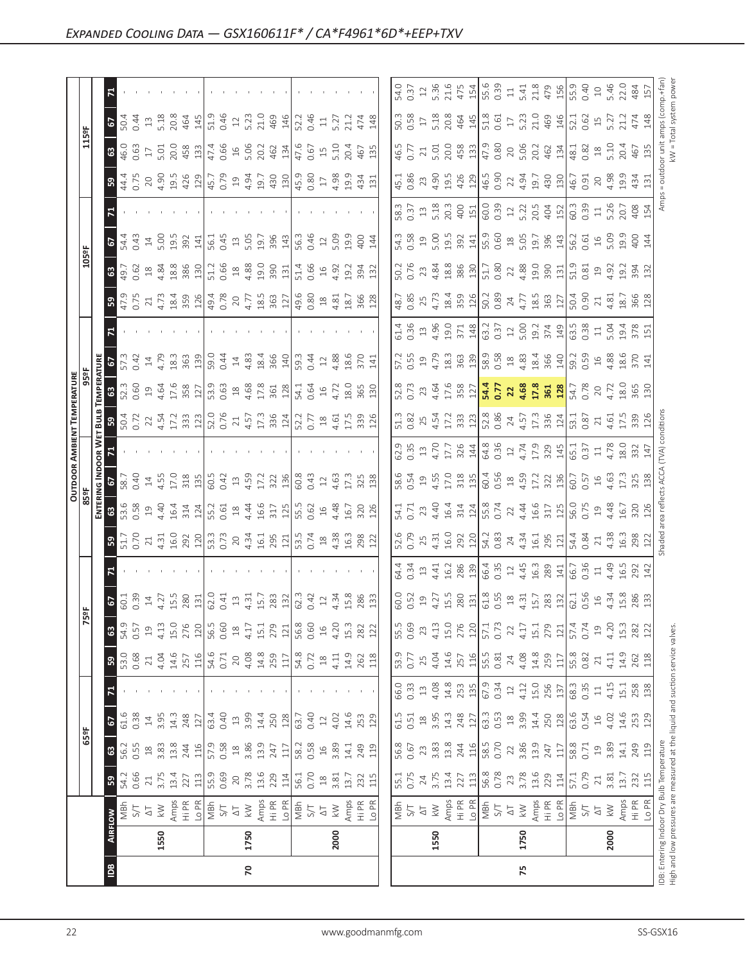|                           | E                            | $\mathbf{r}$                                                                                                                                                                                                                                                                                                          |      |                                                                                                                                                                                                                                                                                                                                                                                                       | 75   |                                                                                                                                                                                                                                                                                    |
|---------------------------|------------------------------|-----------------------------------------------------------------------------------------------------------------------------------------------------------------------------------------------------------------------------------------------------------------------------------------------------------------------|------|-------------------------------------------------------------------------------------------------------------------------------------------------------------------------------------------------------------------------------------------------------------------------------------------------------------------------------------------------------------------------------------------------------|------|------------------------------------------------------------------------------------------------------------------------------------------------------------------------------------------------------------------------------------------------------------------------------------|
|                           | 1550                         | 1750                                                                                                                                                                                                                                                                                                                  | 2000 | 1550                                                                                                                                                                                                                                                                                                                                                                                                  | 1750 | 2000                                                                                                                                                                                                                                                                               |
|                           |                              |                                                                                                                                                                                                                                                                                                                       |      | $\begin{array}{ l l l l }\hline \frac{1}{2} & \frac{1}{2} & \frac{1}{2} & \frac{1}{2} & \frac{1}{2} & \frac{1}{2} & \frac{1}{2} & \frac{1}{2} & \frac{1}{2} & \frac{1}{2} & \frac{1}{2} & \frac{1}{2} & \frac{1}{2} & \frac{1}{2} & \frac{1}{2} & \frac{1}{2} & \frac{1}{2} & \frac{1}{2} & \frac{1}{2} & \frac{1}{2} & \frac{1}{2} & \frac{1}{2} & \frac{1}{2} & \frac{1}{2} & \frac{1}{2} & \frac{$ |      |                                                                                                                                                                                                                                                                                    |
|                           | 59                           | $\begin{array}{l} 3.66 \\ 3.67 \\ 3.78 \\ 4.72 \\ 5.73 \\ 5.74 \\ 5.71 \\ 5.71 \\ 5.72 \\ 5.73 \\ 5.73 \\ 5.73 \\ 5.73 \\ 5.73 \\ 5.73 \\ 5.73 \\ 5.73 \\ 5.73 \\ 5.73 \\ 5.73 \\ 5.73 \\ 5.73 \\ 5.73 \\ 5.73 \\ 5.73 \\ 5.73 \\ 5.73 \\ 5.73 \\ 5.73 \\ 5.73 \\ 5.73 \\ 5.73 \\ 5.73 \\ 5.73 \\ 5.73 \\ 5.$         |      | $\frac{55.1}{0.75}$                                                                                                                                                                                                                                                                                                                                                                                   |      | $\begin{array}{l} 5.75 & 0.71 & 0.72 & 0.73 \\ 0.75 & 0.75 & 0.73 & 0.73 \\ 0.75 & 0.75 & 0.73 & 0.73 \\ 0.75 & 0.75 & 0.73 & 0.73 \\ 0.75 & 0.75 & 0.73 & 0.73 \\ 0.75 & 0.75 & 0.73 & 0.73 \\ 0.75 & 0.75 & 0.73 & 0.73 \\ 0.75 & 0.75 & 0.73 & 0.73 \\ 0.75 & 0.75 & 0.73 & 0.$ |
| $\frac{55}{50}$           | 3                            |                                                                                                                                                                                                                                                                                                                       |      |                                                                                                                                                                                                                                                                                                                                                                                                       |      |                                                                                                                                                                                                                                                                                    |
|                           | $\frac{6}{2}$                |                                                                                                                                                                                                                                                                                                                       |      |                                                                                                                                                                                                                                                                                                                                                                                                       |      |                                                                                                                                                                                                                                                                                    |
|                           |                              |                                                                                                                                                                                                                                                                                                                       |      | $\begin{bmatrix} 6 & 3 & 3 & 3 & 4 & 4 & 5 & 6 \\ 6 & 3 & 3 & 3 & 4 & 5 & 6 \\ 6 & 3 & 3 & 4 & 5 & 6 & 6 \\ 6 & 3 & 3 & 4 & 5 & 6 & 6 \\ 6 & 3 & 3 & 4 & 5 & 6 & 6 \\ 6 & 3 & 3 & 4 & 5 & 6 & 6 \\ 6 & 3 & 3 & 5 & 6 & 6 & 6 \\ 6 & 3 & 3 & 6 & 6 & 6 & 6 \\ 6 & 3 & 3 & 6 & 6 & 6 & 6 \\ 6 & 3 & 3 & 6 & 6 & 6 & 6 \\ $                                                                              |      |                                                                                                                                                                                                                                                                                    |
|                           | ြို့                         |                                                                                                                                                                                                                                                                                                                       |      |                                                                                                                                                                                                                                                                                                                                                                                                       |      |                                                                                                                                                                                                                                                                                    |
|                           |                              |                                                                                                                                                                                                                                                                                                                       |      |                                                                                                                                                                                                                                                                                                                                                                                                       |      |                                                                                                                                                                                                                                                                                    |
|                           |                              |                                                                                                                                                                                                                                                                                                                       |      |                                                                                                                                                                                                                                                                                                                                                                                                       |      |                                                                                                                                                                                                                                                                                    |
|                           |                              |                                                                                                                                                                                                                                                                                                                       |      |                                                                                                                                                                                                                                                                                                                                                                                                       |      |                                                                                                                                                                                                                                                                                    |
|                           | ြို့                         | $\begin{bmatrix} 1.78 & 1.78 & 1.78 & 1.78 & 1.78 & 1.78 & 1.78 & 1.78 & 1.78 & 1.78 & 1.78 & 1.78 & 1.78 & 1.78 & 1.78 & 1.78 & 1.78 & 1.78 & 1.78 & 1.78 & 1.78 & 1.78 & 1.78 & 1.78 & 1.78 & 1.78 & 1.78 & 1.78 & 1.78 & 1.78 & 1.78 & 1.78 & 1.78 & 1.78 & 1.78 & 1.7$                                            |      |                                                                                                                                                                                                                                                                                                                                                                                                       |      |                                                                                                                                                                                                                                                                                    |
|                           |                              |                                                                                                                                                                                                                                                                                                                       |      |                                                                                                                                                                                                                                                                                                                                                                                                       |      |                                                                                                                                                                                                                                                                                    |
|                           |                              | $\frac{1}{2}$ $\frac{1}{2}$ $\frac{1}{2}$ $\frac{3}{2}$ $\frac{3}{2}$ $\frac{1}{4}$ $\frac{1}{2}$ $\frac{1}{2}$ $\frac{3}{2}$ $\frac{1}{2}$ $\frac{1}{2}$ $\frac{1}{2}$ $\frac{1}{2}$ $\frac{1}{2}$ $\frac{1}{2}$ $\frac{1}{2}$ $\frac{1}{2}$ $\frac{1}{2}$ $\frac{1}{2}$ $\frac{1}{2}$ $\frac{1}{2}$ $\frac{1}{2}$   |      |                                                                                                                                                                                                                                                                                                                                                                                                       |      |                                                                                                                                                                                                                                                                                    |
| OUTDOOR AMBIENT<br>85ºF   | $\frac{3}{5}$ $\overline{B}$ |                                                                                                                                                                                                                                                                                                                       |      |                                                                                                                                                                                                                                                                                                                                                                                                       |      |                                                                                                                                                                                                                                                                                    |
|                           |                              | $\frac{1}{2}$ a $\frac{3}{2}$ $\frac{3}{2}$ $\frac{1}{2}$ $\frac{3}{2}$ $\frac{3}{2}$ $\frac{3}{2}$ $\frac{1}{2}$ $\frac{1}{2}$ $\frac{3}{2}$ $\frac{3}{2}$ $\frac{3}{2}$ $\frac{3}{2}$ $\frac{3}{2}$ $\frac{3}{2}$ $\frac{3}{2}$ $\frac{3}{2}$ $\frac{3}{2}$ $\frac{3}{2}$ $\frac{3}{2}$ $\frac{3}{2}$ $\frac{3}{2}$ |      |                                                                                                                                                                                                                                                                                                                                                                                                       |      |                                                                                                                                                                                                                                                                                    |
| <b>TEMPERATURE</b><br>95º | ទ្ធ $\mathbb{E}$             |                                                                                                                                                                                                                                                                                                                       |      |                                                                                                                                                                                                                                                                                                                                                                                                       |      |                                                                                                                                                                                                                                                                                    |
|                           |                              | $\frac{1}{2}$ $\frac{1}{2}$ $\frac{1}{2}$ $\frac{1}{2}$ $\frac{1}{2}$ $\frac{1}{2}$ $\frac{1}{2}$ $\frac{1}{2}$ $\frac{1}{2}$ $\frac{1}{2}$ $\frac{1}{2}$ $\frac{1}{2}$ $\frac{1}{2}$ $\frac{1}{2}$ $\frac{1}{2}$ $\frac{1}{2}$ $\frac{1}{2}$ $\frac{1}{2}$ $\frac{1}{2}$ $\frac{1}{2}$ $\frac{1}{2}$ $\frac{1}{2}$   |      |                                                                                                                                                                                                                                                                                                                                                                                                       |      |                                                                                                                                                                                                                                                                                    |
|                           |                              |                                                                                                                                                                                                                                                                                                                       |      |                                                                                                                                                                                                                                                                                                                                                                                                       |      |                                                                                                                                                                                                                                                                                    |
|                           |                              | $\begin{array}{l} 2,0.25 \\ 2,0.5 \\ 2,0.6 \\ 3,0.7 \\ 4,0.8 \\ 5,0.8 \\ 6,0.8 \\ 7,0.8 \\ 8,0.8 \\ 9,0.8 \\ 1,0.8 \\ 1,0.8 \\ 1,0.8 \\ 1,0.8 \\ 1,0.8 \\ 1,0.8 \\ 1,0.8 \\ 1,0.8 \\ 1,0.8 \\ 1,0.8 \\ 1,0.8 \\ 1,0.8 \\ 1,0.8 \\ 1,0.8 \\ 1,0.8 \\ 1,0.8 \\ 1,0.8 \\ 1,0.8 \\ 1,0.8 \\ 1,0.8 \\ 1$                   |      |                                                                                                                                                                                                                                                                                                                                                                                                       |      |                                                                                                                                                                                                                                                                                    |
| $\frac{1058F}{F}$         | $\overline{6}$<br>63         | $74.3$ $72.5$ $73.5$ $74.5$ $75.5$ $75.5$ $75.5$ $75.5$ $75.5$ $75.5$ $75.5$ $75.5$ $75.5$ $75.5$ $75.5$ $75.5$ $75.5$ $75.5$ $75.5$ $75.5$ $75.5$ $75.5$ $75.5$ $75.5$ $75.5$ $75.5$ $75.5$ $75.5$ $75.5$ $75.5$ $75.5$ $75.$                                                                                        |      | $\begin{bmatrix} 0.76 & 0.76 & 0.76 & 0.76 & 0.76 & 0.76 & 0.76 & 0.76 & 0.76 & 0.76 & 0.76 & 0.76 & 0.76 & 0.76 & 0.76 & 0.76 & 0.76 & 0.76 & 0.76 & 0.76 & 0.76 & 0.76 & 0.76 & 0.76 & 0.76 & 0.76 & 0.76 & 0.76 & 0.76 & 0.76 & 0.76 & 0.76 & 0.76 & 0.76 & 0.76 & 0.7$                                                                                                                            |      |                                                                                                                                                                                                                                                                                    |
|                           |                              |                                                                                                                                                                                                                                                                                                                       |      | $\begin{bmatrix} 83.5 & 73.8 & 73.8 & 73.8 & 73.8 & 73.8 & 73.8 & 73.8 & 73.8 & 73.8 & 73.8 & 73.8 & 73.8 & 73.8 & 73.8 & 73.8 & 73.8 & 73.8 & 73.8 & 73.8 & 73.8 & 73.8 & 73.8 & 73.8 & 73.8 & 73.8 & 73.8 & 73.8 & 73.8 & 73.8 & 73.8 & 73.8 & 73.8 & 73.8 & 73.8 & 73.$                                                                                                                            |      |                                                                                                                                                                                                                                                                                    |
|                           | ြို့                         |                                                                                                                                                                                                                                                                                                                       |      |                                                                                                                                                                                                                                                                                                                                                                                                       |      |                                                                                                                                                                                                                                                                                    |
|                           |                              |                                                                                                                                                                                                                                                                                                                       |      |                                                                                                                                                                                                                                                                                                                                                                                                       |      |                                                                                                                                                                                                                                                                                    |
| $\frac{159}{25}$          | $\frac{5}{2}$                |                                                                                                                                                                                                                                                                                                                       |      |                                                                                                                                                                                                                                                                                                                                                                                                       |      |                                                                                                                                                                                                                                                                                    |
|                           |                              |                                                                                                                                                                                                                                                                                                                       |      |                                                                                                                                                                                                                                                                                                                                                                                                       |      |                                                                                                                                                                                                                                                                                    |
|                           |                              |                                                                                                                                                                                                                                                                                                                       |      |                                                                                                                                                                                                                                                                                                                                                                                                       |      |                                                                                                                                                                                                                                                                                    |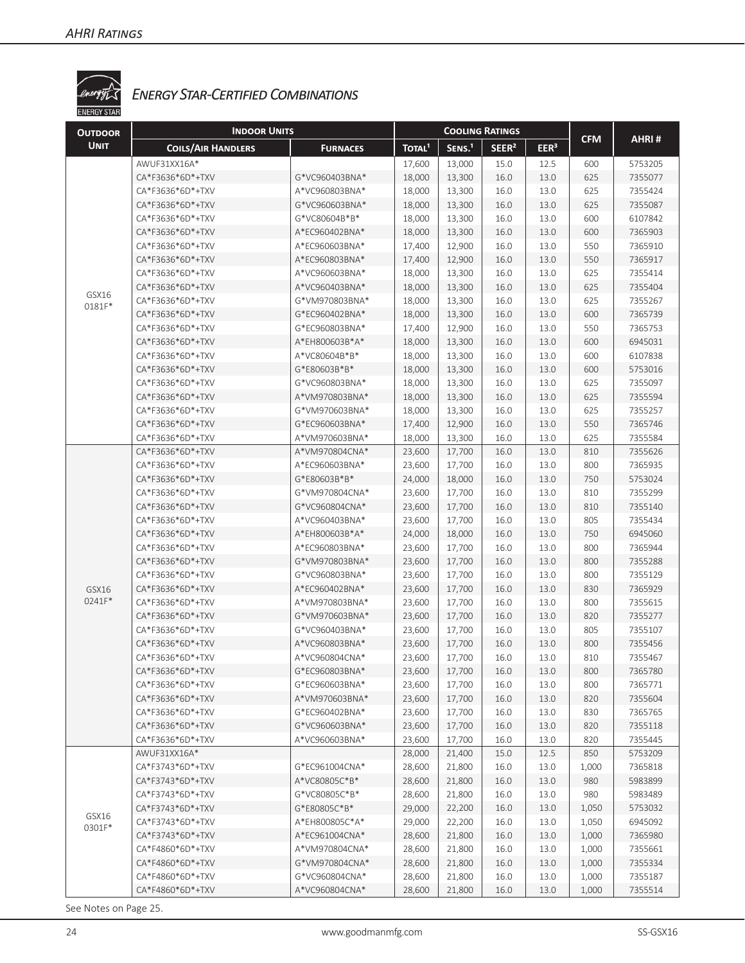# **ENERGY STAR**

## *Energy Star-Certified Combinations*

| <b>OUTDOOR</b>  | <b>INDOOR UNITS</b>       |                 |                    |                    | <b>COOLING RATINGS</b> |                  |            |         |
|-----------------|---------------------------|-----------------|--------------------|--------------------|------------------------|------------------|------------|---------|
| <b>UNIT</b>     | <b>COILS/AIR HANDLERS</b> | <b>FURNACES</b> | TOTAL <sup>1</sup> | SENS. <sup>1</sup> | SEER <sup>2</sup>      | EER <sup>3</sup> | <b>CFM</b> | AHRI#   |
|                 | AWUF31XX16A*              |                 | 17,600             | 13,000             | 15.0                   | 12.5             | 600        | 5753205 |
|                 | CA*F3636*6D*+TXV          | G*VC960403BNA*  | 18,000             | 13,300             | 16.0                   | 13.0             | 625        | 7355077 |
|                 | CA*F3636*6D*+TXV          | A*VC960803BNA*  | 18,000             | 13,300             | 16.0                   | 13.0             | 625        | 7355424 |
|                 | CA*F3636*6D*+TXV          | G*VC960603BNA*  | 18,000             | 13,300             | 16.0                   | 13.0             | 625        | 7355087 |
|                 | CA*F3636*6D*+TXV          | G*VC80604B*B*   | 18,000             | 13,300             | 16.0                   | 13.0             | 600        | 6107842 |
|                 | CA*F3636*6D*+TXV          | A*EC960402BNA*  | 18,000             | 13,300             | 16.0                   | 13.0             | 600        | 7365903 |
|                 | CA*F3636*6D*+TXV          | A*EC960603BNA*  | 17,400             | 12,900             | 16.0                   | 13.0             | 550        | 7365910 |
|                 | CA*F3636*6D*+TXV          | A*EC960803BNA*  | 17,400             | 12,900             | 16.0                   | 13.0             | 550        | 7365917 |
|                 | CA*F3636*6D*+TXV          | A*VC960603BNA*  | 18,000             | 13,300             | 16.0                   | 13.0             | 625        | 7355414 |
|                 | CA*F3636*6D*+TXV          | A*VC960403BNA*  | 18,000             | 13,300             | 16.0                   | 13.0             | 625        | 7355404 |
| GSX16           | CA*F3636*6D*+TXV          | G*VM970803BNA*  | 18,000             | 13,300             | 16.0                   | 13.0             | 625        | 7355267 |
| 0181F*          | CA*F3636*6D*+TXV          | G*EC960402BNA*  | 18,000             | 13,300             | 16.0                   | 13.0             | 600        | 7365739 |
|                 | CA*F3636*6D*+TXV          | G*EC960803BNA*  | 17,400             | 12,900             | 16.0                   | 13.0             | 550        | 7365753 |
|                 | CA*F3636*6D*+TXV          | A*EH800603B*A*  | 18,000             | 13,300             | 16.0                   | 13.0             | 600        | 6945031 |
|                 | CA*F3636*6D*+TXV          | A*VC80604B*B*   | 18,000             | 13,300             | 16.0                   | 13.0             | 600        | 6107838 |
|                 | CA*F3636*6D*+TXV          | G*E80603B*B*    | 18,000             | 13,300             | 16.0                   | 13.0             | 600        | 5753016 |
|                 | CA*F3636*6D*+TXV          | G*VC960803BNA*  | 18,000             | 13,300             | 16.0                   | 13.0             | 625        | 7355097 |
|                 | CA*F3636*6D*+TXV          | A*VM970803BNA*  | 18,000             | 13,300             | 16.0                   | 13.0             | 625        | 7355594 |
|                 | CA*F3636*6D*+TXV          | G*VM970603BNA*  | 18,000             | 13,300             | 16.0                   | 13.0             | 625        | 7355257 |
|                 | CA*F3636*6D*+TXV          | G*EC960603BNA*  | 17,400             | 12,900             | 16.0                   | 13.0             | 550        | 7365746 |
|                 | CA*F3636*6D*+TXV          | A*VM970603BNA*  | 18,000             | 13,300             | 16.0                   | 13.0             | 625        | 7355584 |
|                 | CA*F3636*6D*+TXV          | A*VM970804CNA*  | 23,600             | 17,700             | 16.0                   | 13.0             | 810        | 7355626 |
|                 | CA*F3636*6D*+TXV          | A*EC960603BNA*  | 23,600             | 17,700             | 16.0                   | 13.0             | 800        | 7365935 |
|                 | CA*F3636*6D*+TXV          | G*E80603B*B*    | 24,000             | 18,000             | 16.0                   | 13.0             | 750        | 5753024 |
|                 | CA*F3636*6D*+TXV          | G*VM970804CNA*  | 23,600             | 17,700             | 16.0                   | 13.0             | 810        | 7355299 |
|                 | CA*F3636*6D*+TXV          | G*VC960804CNA*  | 23,600             | 17,700             | 16.0                   | 13.0             | 810        | 7355140 |
|                 | CA*F3636*6D*+TXV          | A*VC960403BNA*  | 23,600             | 17,700             | 16.0                   | 13.0             | 805        | 7355434 |
|                 | CA*F3636*6D*+TXV          | A*EH800603B*A*  | 24,000             | 18,000             | 16.0                   | 13.0             | 750        | 6945060 |
|                 | CA*F3636*6D*+TXV          | A*EC960803BNA*  | 23,600             | 17,700             | 16.0                   | 13.0             | 800        | 7365944 |
|                 | CA*F3636*6D*+TXV          | G*VM970803BNA*  | 23,600             | 17,700             | 16.0                   | 13.0             | 800        | 7355288 |
|                 | CA*F3636*6D*+TXV          | G*VC960803BNA*  | 23,600             | 17,700             | 16.0                   | 13.0             | 800        | 7355129 |
| GSX16           | CA*F3636*6D*+TXV          | A*EC960402BNA*  | 23,600             | 17,700             | 16.0                   | 13.0             | 830        | 7365929 |
| 0241F*          | CA*F3636*6D*+TXV          | A*VM970803BNA*  | 23,600             | 17,700             | 16.0                   | 13.0             | 800        | 7355615 |
|                 | CA*F3636*6D*+TXV          | G*VM970603BNA*  | 23,600             | 17,700             | 16.0                   | 13.0             | 820        | 7355277 |
|                 | CA*F3636*6D*+TXV          | G*VC960403BNA*  | 23,600             | 17,700             | 16.0                   | 13.0             | 805        | 7355107 |
|                 | CA*F3636*6D*+TXV          | A*VC960803BNA*  | 23,600             | 17,700             | 16.0                   | 13.0             | 800        | 7355456 |
|                 | CA*F3636*6D*+TXV          | A*VC960804CNA*  | 23,600             | 17,700             | 16.0                   | 13.0             | 810        | 7355467 |
|                 | CA*F3636*6D*+TXV          | G*EC960803BNA*  | 23,600             | 17,700             | 16.0                   | 13.0             | 800        | 7365780 |
|                 | CA*F3636*6D*+TXV          | G*EC960603BNA*  | 23,600             | 17,700             | 16.0                   | 13.0             | 800        | 7365771 |
|                 | CA*F3636*6D*+TXV          | A*VM970603BNA*  | 23,600             | 17,700             | 16.0                   | 13.0             | 820        | 7355604 |
|                 | CA*F3636*6D*+TXV          | G*EC960402BNA*  | 23,600             | 17,700             | 16.0                   | 13.0             | 830        | 7365765 |
|                 | CA*F3636*6D*+TXV          | G*VC960603BNA*  | 23,600             | 17,700             | 16.0                   | 13.0             | 820        | 7355118 |
|                 | CA*F3636*6D*+TXV          | A*VC960603BNA*  | 23,600             | 17,700             | 16.0                   | 13.0             | 820        | 7355445 |
|                 | AWUF31XX16A*              |                 | 28,000             | 21,400             | 15.0                   | 12.5             | 850        | 5753209 |
|                 | CA*F3743*6D*+TXV          | G*EC961004CNA*  | 28,600             | 21,800             | 16.0                   | 13.0             | 1,000      | 7365818 |
|                 | CA*F3743*6D*+TXV          | A*VC80805C*B*   | 28,600             | 21,800             | 16.0                   | 13.0             | 980        | 5983899 |
|                 | CA*F3743*6D*+TXV          | G*VC80805C*B*   | 28,600             | 21,800             | 16.0                   | 13.0             | 980        | 5983489 |
|                 | CA*F3743*6D*+TXV          | G*E80805C*B*    | 29,000             | 22,200             | 16.0                   | 13.0             | 1,050      | 5753032 |
| GSX16<br>0301F* | CA*F3743*6D*+TXV          | A*EH800805C*A*  | 29,000             | 22,200             | 16.0                   | 13.0             | 1,050      | 6945092 |
|                 | CA*F3743*6D*+TXV          | A*EC961004CNA*  | 28,600             | 21,800             | 16.0                   | 13.0             | 1,000      | 7365980 |
|                 | CA*F4860*6D*+TXV          | A*VM970804CNA*  | 28,600             | 21,800             | 16.0                   | 13.0             | 1,000      | 7355661 |
|                 | CA*F4860*6D*+TXV          | G*VM970804CNA*  | 28,600             | 21,800             | 16.0                   | 13.0             | 1,000      | 7355334 |
|                 | CA*F4860*6D*+TXV          | G*VC960804CNA*  | 28,600             | 21,800             | 16.0                   | 13.0             | 1,000      | 7355187 |
|                 | CA*F4860*6D*+TXV          | A*VC960804CNA*  | 28,600             | 21,800             | 16.0                   | 13.0             | 1,000      | 7355514 |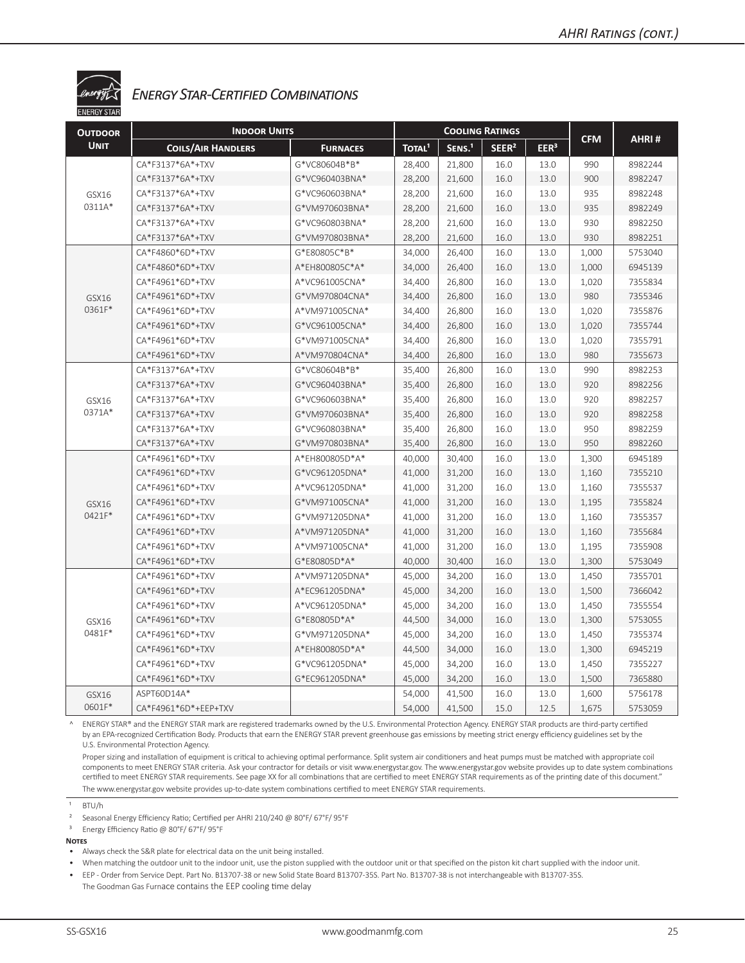## *Energy Star-Certified Combinations*

| <b>OUTDOOR</b> | <b>INDOOR UNITS</b>       |                 |                    |                    | <b>COOLING RATINGS</b> |                  |            |         |
|----------------|---------------------------|-----------------|--------------------|--------------------|------------------------|------------------|------------|---------|
| <b>UNIT</b>    | <b>COILS/AIR HANDLERS</b> | <b>FURNACES</b> | TOTAL <sup>1</sup> | SENS. <sup>1</sup> | SEER <sup>2</sup>      | EER <sup>3</sup> | <b>CFM</b> | AHRI#   |
|                | CA*F3137*6A*+TXV          | G*VC80604B*B*   | 28,400             | 21,800             | 16.0                   | 13.0             | 990        | 8982244 |
|                | CA*F3137*6A*+TXV          | G*VC960403BNA*  | 28,200             | 21,600             | 16.0                   | 13.0             | 900        | 8982247 |
| GSX16          | CA*F3137*6A*+TXV          | G*VC960603BNA*  | 28,200             | 21,600             | 16.0                   | 13.0             | 935        | 8982248 |
| 0311A*         | CA*F3137*6A*+TXV          | G*VM970603BNA*  | 28,200             | 21,600             | 16.0                   | 13.0             | 935        | 8982249 |
|                | CA*F3137*6A*+TXV          | G*VC960803BNA*  | 28,200             | 21,600             | 16.0                   | 13.0             | 930        | 8982250 |
|                | CA*F3137*6A*+TXV          | G*VM970803BNA*  | 28,200             | 21,600             | 16.0                   | 13.0             | 930        | 8982251 |
|                | CA*F4860*6D*+TXV          | G*E80805C*B*    | 34,000             | 26,400             | 16.0                   | 13.0             | 1,000      | 5753040 |
|                | CA*F4860*6D*+TXV          | A*EH800805C*A*  | 34,000             | 26,400             | 16.0                   | 13.0             | 1,000      | 6945139 |
|                | CA*F4961*6D*+TXV          | A*VC961005CNA*  | 34,400             | 26,800             | 16.0                   | 13.0             | 1,020      | 7355834 |
| GSX16          | CA*F4961*6D*+TXV          | G*VM970804CNA*  | 34,400             | 26,800             | 16.0                   | 13.0             | 980        | 7355346 |
| 0361F*         | CA*F4961*6D*+TXV          | A*VM971005CNA*  | 34,400             | 26,800             | 16.0                   | 13.0             | 1,020      | 7355876 |
|                | CA*F4961*6D*+TXV          | G*VC961005CNA*  | 34,400             | 26,800             | 16.0                   | 13.0             | 1,020      | 7355744 |
|                | CA*F4961*6D*+TXV          | G*VM971005CNA*  | 34,400             | 26,800             | 16.0                   | 13.0             | 1,020      | 7355791 |
|                | CA*F4961*6D*+TXV          | A*VM970804CNA*  | 34,400             | 26,800             | 16.0                   | 13.0             | 980        | 7355673 |
|                | CA*F3137*6A*+TXV          | G*VC80604B*B*   | 35,400             | 26,800             | 16.0                   | 13.0             | 990        | 8982253 |
|                | CA*F3137*6A*+TXV          | G*VC960403BNA*  | 35,400             | 26,800             | 16.0                   | 13.0             | 920        | 8982256 |
| GSX16          | CA*F3137*6A*+TXV          | G*VC960603BNA*  | 35,400             | 26,800             | 16.0                   | 13.0             | 920        | 8982257 |
| 0371A*         | CA*F3137*6A*+TXV          | G*VM970603BNA*  | 35,400             | 26,800             | 16.0                   | 13.0             | 920        | 8982258 |
|                | CA*F3137*6A*+TXV          | G*VC960803BNA*  | 35,400             | 26,800             | 16.0                   | 13.0             | 950        | 8982259 |
|                | CA*F3137*6A*+TXV          | G*VM970803BNA*  | 35,400             | 26,800             | 16.0                   | 13.0             | 950        | 8982260 |
|                | CA*F4961*6D*+TXV          | A*EH800805D*A*  | 40,000             | 30,400             | 16.0                   | 13.0             | 1,300      | 6945189 |
|                | CA*F4961*6D*+TXV          | G*VC961205DNA*  | 41,000             | 31,200             | 16.0                   | 13.0             | 1,160      | 7355210 |
|                | CA*F4961*6D*+TXV          | A*VC961205DNA*  | 41,000             | 31,200             | 16.0                   | 13.0             | 1,160      | 7355537 |
| GSX16          | CA*F4961*6D*+TXV          | G*VM971005CNA*  | 41,000             | 31,200             | 16.0                   | 13.0             | 1,195      | 7355824 |
| 0421F*         | CA*F4961*6D*+TXV          | G*VM971205DNA*  | 41,000             | 31,200             | 16.0                   | 13.0             | 1,160      | 7355357 |
|                | CA*F4961*6D*+TXV          | A*VM971205DNA*  | 41,000             | 31,200             | 16.0                   | 13.0             | 1,160      | 7355684 |
|                | CA*F4961*6D*+TXV          | A*VM971005CNA*  | 41,000             | 31,200             | 16.0                   | 13.0             | 1,195      | 7355908 |
|                | CA*F4961*6D*+TXV          | G*E80805D*A*    | 40,000             | 30,400             | 16.0                   | 13.0             | 1,300      | 5753049 |
|                | CA*F4961*6D*+TXV          | A*VM971205DNA*  | 45,000             | 34,200             | 16.0                   | 13.0             | 1,450      | 7355701 |
|                | CA*F4961*6D*+TXV          | A*EC961205DNA*  | 45,000             | 34,200             | 16.0                   | 13.0             | 1,500      | 7366042 |
|                | CA*F4961*6D*+TXV          | A*VC961205DNA*  | 45,000             | 34,200             | 16.0                   | 13.0             | 1,450      | 7355554 |
| GSX16          | CA*F4961*6D*+TXV          | G*E80805D*A*    | 44,500             | 34,000             | 16.0                   | 13.0             | 1,300      | 5753055 |
| 0481F*         | CA*F4961*6D*+TXV          | G*VM971205DNA*  | 45,000             | 34,200             | 16.0                   | 13.0             | 1,450      | 7355374 |
|                | CA*F4961*6D*+TXV          | A*EH800805D*A*  | 44,500             | 34,000             | 16.0                   | 13.0             | 1,300      | 6945219 |
|                | CA*F4961*6D*+TXV          | G*VC961205DNA*  | 45,000             | 34,200             | 16.0                   | 13.0             | 1,450      | 7355227 |
|                | CA*F4961*6D*+TXV          | G*EC961205DNA*  | 45,000             | 34,200             | 16.0                   | 13.0             | 1,500      | 7365880 |
| GSX16          | ASPT60D14A*               |                 | 54,000             | 41,500             | 16.0                   | 13.0             | 1,600      | 5756178 |
| 0601F*         | CA*F4961*6D*+EEP+TXV      |                 | 54,000             | 41,500             | 15.0                   | 12.5             | 1,675      | 5753059 |

^ ENERGY STAR® and the ENERGY STAR mark are registered trademarks owned by the U.S. Environmental Protection Agency. ENERGY STAR products are third-party certified by an EPA-recognized Certification Body. Products that earn the ENERGY STAR prevent greenhouse gas emissions by meeting strict energy efficiency guidelines set by the U.S. Environmental Protection Agency.

Proper sizing and installation of equipment is critical to achieving optimal performance. Split system air conditioners and heat pumps must be matched with appropriate coil components to meet ENERGY STAR criteria. Ask your contractor for details or visit www.energystar.gov. The www.energystar.gov website provides up to date system combinations certified to meet ENERGY STAR requirements. See page XX for all combinations that are certified to meet ENERGY STAR requirements as of the printing date of this document." The www.energystar.gov website provides up-to-date system combinations certified to meet ENERGY STAR requirements.

 $1$  BTU/h

² Seasonal Energy Efficiency Ratio; Certified per AHRI 210/240 @ 80°F/ 67°F/ 95°F

³ Energy Efficiency Ratio @ 80°F/ 67°F/ 95°F

**Notes**

• EEP - Order from Service Dept. Part No. B13707-38 or new Solid State Board B13707-35S. Part No. B13707-38 is not interchangeable with B13707-35S.

The Goodman Gas Furnace contains the EEP cooling time delay

<sup>•</sup> Always check the S&R plate for electrical data on the unit being installed.

<sup>•</sup> When matching the outdoor unit to the indoor unit, use the piston supplied with the outdoor unit or that specified on the piston kit chart supplied with the indoor unit.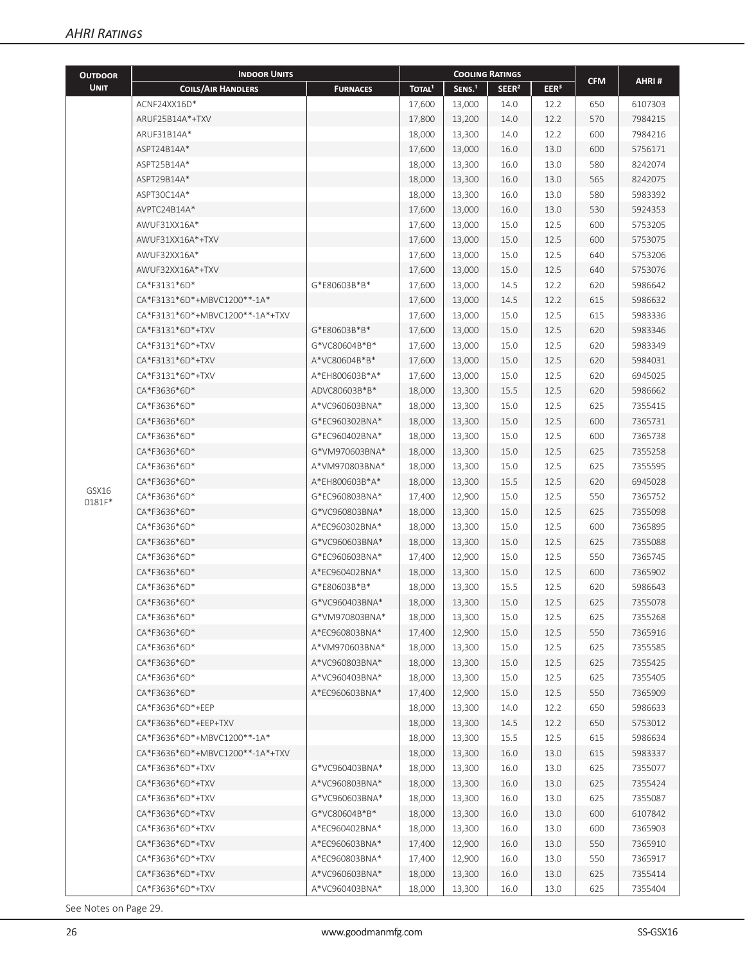| <b>OUTDOOR</b> | <b>INDOOR UNITS</b>             |                                  |                    | <b>COOLING RATINGS</b> |                   |                  |            |         |
|----------------|---------------------------------|----------------------------------|--------------------|------------------------|-------------------|------------------|------------|---------|
| <b>UNIT</b>    | <b>COILS/AIR HANDLERS</b>       | <b>FURNACES</b>                  | TOTAL <sup>1</sup> | SENS. <sup>1</sup>     | SEER <sup>2</sup> | EER <sup>3</sup> | <b>CFM</b> | AHRI#   |
|                | ACNF24XX16D*                    |                                  | 17,600             | 13,000                 | 14.0              | 12.2             | 650        | 6107303 |
|                | ARUF25B14A*+TXV                 |                                  | 17,800             | 13,200                 | 14.0              | 12.2             | 570        | 7984215 |
|                | ARUF31B14A*                     |                                  | 18,000             | 13,300                 | 14.0              | 12.2             | 600        | 7984216 |
|                | ASPT24B14A*                     |                                  | 17,600             | 13,000                 | 16.0              | 13.0             | 600        | 5756171 |
|                | ASPT25B14A*                     |                                  | 18,000             | 13,300                 | 16.0              | 13.0             | 580        | 8242074 |
|                | ASPT29B14A*                     |                                  | 18,000             | 13,300                 | 16.0              | 13.0             | 565        | 8242075 |
|                | ASPT30C14A*                     |                                  | 18,000             | 13,300                 | 16.0              | 13.0             | 580        | 5983392 |
|                | AVPTC24B14A*                    |                                  | 17,600             | 13,000                 | 16.0              | 13.0             | 530        | 5924353 |
|                | AWUF31XX16A*                    |                                  | 17,600             | 13,000                 | 15.0              | 12.5             | 600        | 5753205 |
|                | AWUF31XX16A*+TXV                |                                  | 17,600             | 13,000                 | 15.0              | 12.5             | 600        | 5753075 |
|                | AWUF32XX16A*                    |                                  | 17,600             | 13,000                 | 15.0              | 12.5             | 640        | 5753206 |
|                | AWUF32XX16A*+TXV                |                                  | 17,600             | 13,000                 | 15.0              | 12.5             | 640        | 5753076 |
|                | CA*F3131*6D*                    | G*E80603B*B*                     | 17,600             | 13,000                 | 14.5              | 12.2             | 620        | 5986642 |
|                | CA*F3131*6D*+MBVC1200**-1A*     |                                  | 17,600             | 13,000                 | 14.5              | 12.2             | 615        | 5986632 |
|                | CA*F3131*6D*+MBVC1200**-1A*+TXV |                                  | 17,600             | 13,000                 | 15.0              | 12.5             | 615        | 5983336 |
|                | CA*F3131*6D*+TXV                | G*E80603B*B*                     | 17,600             | 13,000                 | 15.0              | 12.5             | 620        | 5983346 |
|                | CA*F3131*6D*+TXV                | G*VC80604B*B*                    | 17,600             | 13,000                 | 15.0              | 12.5             | 620        | 5983349 |
|                | CA*F3131*6D*+TXV                | A*VC80604B*B*                    | 17,600             | 13,000                 | 15.0              | 12.5             | 620        | 5984031 |
|                | CA*F3131*6D*+TXV                | A*EH800603B*A*                   | 17,600             | 13,000                 | 15.0              | 12.5             | 620        | 6945025 |
|                | CA*F3636*6D*                    | ADVC80603B*B*                    | 18,000             | 13,300                 | 15.5              | 12.5             | 620        | 5986662 |
|                | CA*F3636*6D*                    | A*VC960603BNA*                   | 18,000             | 13,300                 | 15.0              | 12.5             | 625        | 7355415 |
|                | CA*F3636*6D*                    | G*EC960302BNA*                   | 18,000             | 13,300                 | 15.0              | 12.5             | 600        | 7365731 |
|                | CA*F3636*6D*                    | G*EC960402BNA*                   | 18,000             | 13,300                 | 15.0              | 12.5             | 600        | 7365738 |
|                | CA*F3636*6D*                    | G*VM970603BNA*                   | 18,000             | 13,300                 | 15.0              | 12.5             | 625        | 7355258 |
|                | CA*F3636*6D*                    | A*VM970803BNA*                   | 18,000             | 13,300                 | 15.0              | 12.5             | 625        | 7355595 |
|                | CA*F3636*6D*                    | A*EH800603B*A*                   | 18,000             | 13,300                 | 15.5              | 12.5             | 620        | 6945028 |
| GSX16          | CA*F3636*6D*                    | G*EC960803BNA*                   | 17,400             | 12,900                 | 15.0              | 12.5             | 550        | 7365752 |
| 0181F*         | CA*F3636*6D*                    | G*VC960803BNA*                   | 18,000             | 13,300                 | 15.0              | 12.5             | 625        | 7355098 |
|                | CA*F3636*6D*                    | A*EC960302BNA*                   | 18,000             | 13,300                 | 15.0              | 12.5             | 600        | 7365895 |
|                | CA*F3636*6D*                    | G*VC960603BNA*                   |                    |                        | 15.0              | 12.5             | 625        | 7355088 |
|                | CA*F3636*6D*                    | G*EC960603BNA*                   | 18,000             | 13,300                 | 15.0              | 12.5             | 550        | 7365745 |
|                | CA*F3636*6D*                    | A*EC960402BNA*                   | 17,400<br>18,000   | 12,900<br>13,300       | 15.0              | 12.5             | 600        | 7365902 |
|                | CA*F3636*6D*                    | G*F80603B*B*                     | 18,000             | 13,300                 | 15.5              | 12.5             | 620        | 5986643 |
|                | CA*F3636*6D*                    | G*VC960403BNA*                   | 18,000             | 13,300                 | 15.0              | 12.5             | 625        | 7355078 |
|                | CA*F3636*6D*                    | G*VM970803BNA*                   | 18,000             | 13,300                 | 15.0              | 12.5             | 625        | 7355268 |
|                | CA*F3636*6D*                    | A*EC960803BNA*                   | 17,400             | 12,900                 | 15.0              | 12.5             | 550        | 7365916 |
|                | CA*F3636*6D*                    | A*VM970603BNA*                   | 18,000             | 13,300                 | 15.0              | 12.5             | 625        | 7355585 |
|                | CA*F3636*6D*                    | A*VC960803BNA*                   |                    | 13,300                 | 15.0              | 12.5             | 625        | 7355425 |
|                |                                 |                                  | 18,000             |                        |                   |                  |            | 7355405 |
|                | CA*F3636*6D*                    | A*VC960403BNA*<br>A*EC960603BNA* | 18,000             | 13,300                 | 15.0              | 12.5             | 625        |         |
|                | CA*F3636*6D*                    |                                  | 17,400             | 12,900                 | 15.0              | 12.5             | 550        | 7365909 |
|                | CA*F3636*6D*+EEP                |                                  | 18,000             | 13,300                 | 14.0              | 12.2             | 650        | 5986633 |
|                | CA*F3636*6D*+EEP+TXV            |                                  | 18,000             | 13,300                 | 14.5              | 12.2             | 650        | 5753012 |
|                | CA*F3636*6D*+MBVC1200**-1A*     |                                  | 18,000             | 13,300                 | 15.5              | 12.5             | 615        | 5986634 |
|                | CA*F3636*6D*+MBVC1200**-1A*+TXV |                                  | 18,000             | 13,300                 | 16.0              | 13.0             | 615        | 5983337 |
|                | CA*F3636*6D*+TXV                | G*VC960403BNA*                   | 18,000             | 13,300                 | 16.0              | 13.0             | 625        | 7355077 |
|                | CA*F3636*6D*+TXV                | A*VC960803BNA*                   | 18,000             | 13,300                 | 16.0              | 13.0             | 625        | 7355424 |
|                | CA*F3636*6D*+TXV                | G*VC960603BNA*                   | 18,000             | 13,300                 | 16.0              | 13.0             | 625        | 7355087 |
|                | CA*F3636*6D*+TXV                | G*VC80604B*B*                    | 18,000             | 13,300                 | 16.0              | 13.0             | 600        | 6107842 |
|                | CA*F3636*6D*+TXV                | A*EC960402BNA*                   | 18,000             | 13,300                 | 16.0              | 13.0             | 600        | 7365903 |
|                | CA*F3636*6D*+TXV                | A*EC960603BNA*                   | 17,400             | 12,900                 | 16.0              | 13.0             | 550        | 7365910 |
|                | CA*F3636*6D*+TXV                | A*EC960803BNA*                   | 17,400             | 12,900                 | 16.0              | 13.0             | 550        | 7365917 |
|                | CA*F3636*6D*+TXV                | A*VC960603BNA*                   | 18,000             | 13,300                 | 16.0              | 13.0             | 625        | 7355414 |
|                | CA*F3636*6D*+TXV                | A*VC960403BNA*                   | 18,000             | 13,300                 | 16.0              | 13.0             | 625        | 7355404 |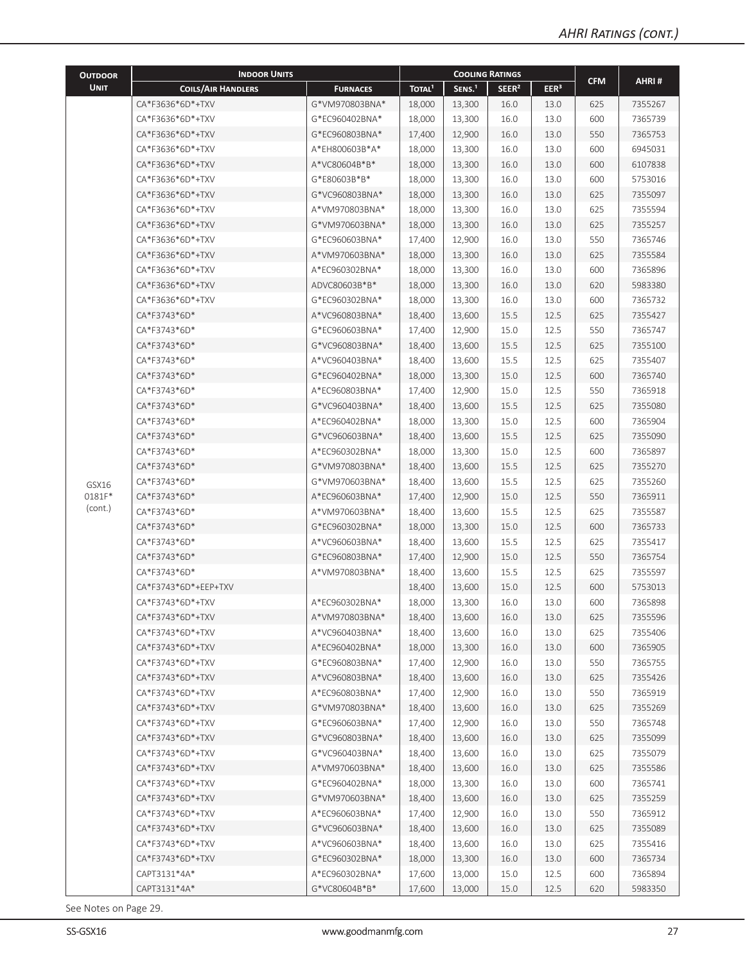| <b>OUTDOOR</b>  | <b>INDOOR UNITS</b>       |                 |                    |                    | <b>COOLING RATINGS</b> |                  |            |         |
|-----------------|---------------------------|-----------------|--------------------|--------------------|------------------------|------------------|------------|---------|
| <b>UNIT</b>     | <b>COILS/AIR HANDLERS</b> | <b>FURNACES</b> | TOTAL <sup>1</sup> | SENS. <sup>1</sup> | SEER <sup>2</sup>      | EER <sup>3</sup> | <b>CFM</b> | AHRI#   |
|                 | CA*F3636*6D*+TXV          | G*VM970803BNA*  | 18,000             | 13,300             | 16.0                   | 13.0             | 625        | 7355267 |
|                 | CA*F3636*6D*+TXV          | G*EC960402BNA*  | 18,000             | 13,300             | 16.0                   | 13.0             | 600        | 7365739 |
|                 | CA*F3636*6D*+TXV          | G*EC960803BNA*  | 17,400             | 12,900             | 16.0                   | 13.0             | 550        | 7365753 |
|                 | CA*F3636*6D*+TXV          | A*EH800603B*A*  | 18,000             | 13,300             | 16.0                   | 13.0             | 600        | 6945031 |
|                 | CA*F3636*6D*+TXV          | A*VC80604B*B*   | 18,000             | 13,300             | 16.0                   | 13.0             | 600        | 6107838 |
|                 | CA*F3636*6D*+TXV          | G*E80603B*B*    | 18,000             | 13,300             | 16.0                   | 13.0             | 600        | 5753016 |
|                 | CA*F3636*6D*+TXV          | G*VC960803BNA*  | 18,000             | 13,300             | 16.0                   | 13.0             | 625        | 7355097 |
|                 | CA*F3636*6D*+TXV          | A*VM970803BNA*  | 18,000             | 13,300             | 16.0                   | 13.0             | 625        | 7355594 |
|                 | CA*F3636*6D*+TXV          | G*VM970603BNA*  | 18,000             | 13,300             | 16.0                   | 13.0             | 625        | 7355257 |
|                 | CA*F3636*6D*+TXV          | G*EC960603BNA*  | 17,400             | 12,900             | 16.0                   | 13.0             | 550        | 7365746 |
|                 | CA*F3636*6D*+TXV          | A*VM970603BNA*  | 18,000             | 13,300             | 16.0                   | 13.0             | 625        | 7355584 |
|                 | CA*F3636*6D*+TXV          | A*EC960302BNA*  | 18,000             | 13,300             | 16.0                   | 13.0             | 600        | 7365896 |
|                 | CA*F3636*6D*+TXV          | ADVC80603B*B*   | 18,000             | 13,300             | 16.0                   | 13.0             | 620        | 5983380 |
|                 | CA*F3636*6D*+TXV          | G*EC960302BNA*  | 18,000             | 13,300             | 16.0                   | 13.0             | 600        | 7365732 |
|                 | CA*F3743*6D*              | A*VC960803BNA*  | 18,400             | 13,600             | 15.5                   | 12.5             | 625        | 7355427 |
|                 | CA*F3743*6D*              | G*EC960603BNA*  | 17,400             | 12,900             | 15.0                   | 12.5             | 550        | 7365747 |
|                 | CA*F3743*6D*              | G*VC960803BNA*  | 18,400             | 13,600             | 15.5                   | 12.5             | 625        | 7355100 |
|                 | CA*F3743*6D*              | A*VC960403BNA*  | 18,400             | 13,600             | 15.5                   | 12.5             | 625        | 7355407 |
|                 | CA*F3743*6D*              | G*EC960402BNA*  | 18,000             | 13,300             | 15.0                   | 12.5             | 600        | 7365740 |
|                 | CA*F3743*6D*              | A*EC960803BNA*  | 17,400             | 12,900             | 15.0                   | 12.5             | 550        | 7365918 |
|                 | CA*F3743*6D*              | G*VC960403BNA*  | 18,400             | 13,600             | 15.5                   | 12.5             | 625        | 7355080 |
|                 | CA*F3743*6D*              | A*EC960402BNA*  | 18,000             | 13,300             | 15.0                   | 12.5             | 600        | 7365904 |
|                 | CA*F3743*6D*              | G*VC960603BNA*  | 18,400             | 13,600             | 15.5                   | 12.5             | 625        | 7355090 |
|                 | CA*F3743*6D*              | A*EC960302BNA*  | 18,000             | 13,300             | 15.0                   | 12.5             | 600        | 7365897 |
|                 | CA*F3743*6D*              | G*VM970803BNA*  | 18,400             | 13,600             | 15.5                   | 12.5             | 625        | 7355270 |
|                 | CA*F3743*6D*              | G*VM970603BNA*  | 18,400             | 13,600             | 15.5                   | 12.5             | 625        | 7355260 |
| GSX16<br>0181F* | CA*F3743*6D*              | A*EC960603BNA*  | 17,400             | 12,900             | 15.0                   | 12.5             | 550        | 7365911 |
| (cont.)         | CA*F3743*6D*              | A*VM970603BNA*  | 18,400             | 13,600             | 15.5                   | 12.5             | 625        | 7355587 |
|                 | CA*F3743*6D*              | G*EC960302BNA*  | 18,000             | 13,300             | 15.0                   | 12.5             | 600        | 7365733 |
|                 | CA*F3743*6D*              | A*VC960603BNA*  | 18,400             | 13,600             | 15.5                   | 12.5             | 625        | 7355417 |
|                 | CA*F3743*6D*              | G*EC960803BNA*  | 17,400             | 12,900             | 15.0                   | 12.5             | 550        | 7365754 |
|                 | CA*F3743*6D*              | A*VM970803BNA*  | 18,400             | 13,600             | 15.5                   | 12.5             | 625        | 7355597 |
|                 | CA*F3743*6D*+EEP+TXV      |                 | 18,400             | 13,600             | 15.0                   | 12.5             | 600        | 5753013 |
|                 | CA*F3743*6D*+TXV          | A*EC960302BNA*  | 18,000             | 13,300             | 16.0                   | 13.0             | 600        | 7365898 |
|                 | CA*F3743*6D*+TXV          | A*VM970803BNA*  | 18,400             | 13,600             | 16.0                   | 13.0             | 625        | 7355596 |
|                 | CA*F3743*6D*+TXV          | A*VC960403BNA*  | 18,400             | 13,600             | 16.0                   | 13.0             | 625        | 7355406 |
|                 | CA*F3743*6D*+TXV          | A*EC960402BNA*  | 18,000             | 13,300             | 16.0                   | 13.0             | 600        | 7365905 |
|                 | CA*F3743*6D*+TXV          | G*EC960803BNA*  | 17,400             | 12,900             | 16.0                   | 13.0             | 550        | 7365755 |
|                 | CA*F3743*6D*+TXV          | A*VC960803BNA*  | 18,400             | 13,600             | 16.0                   | 13.0             | 625        | 7355426 |
|                 | CA*F3743*6D*+TXV          | A*EC960803BNA*  | 17,400             | 12,900             | 16.0                   | 13.0             | 550        | 7365919 |
|                 | CA*F3743*6D*+TXV          | G*VM970803BNA*  | 18,400             | 13,600             |                        | 13.0             | 625        | 7355269 |
|                 | CA*F3743*6D*+TXV          | G*EC960603BNA*  |                    |                    | 16.0                   |                  |            |         |
|                 |                           | G*VC960803BNA*  | 17,400             | 12,900             | 16.0                   | 13.0             | 550        | 7365748 |
|                 | CA*F3743*6D*+TXV          | G*VC960403BNA*  | 18,400             | 13,600             | 16.0                   | 13.0             | 625        | 7355099 |
|                 | CA*F3743*6D*+TXV          |                 | 18,400             | 13,600             | 16.0                   | 13.0             | 625        | 7355079 |
|                 | CA*F3743*6D*+TXV          | A*VM970603BNA*  | 18,400             | 13,600             | 16.0                   | 13.0             | 625        | 7355586 |
|                 | CA*F3743*6D*+TXV          | G*EC960402BNA*  | 18,000             | 13,300             | 16.0                   | 13.0             | 600        | 7365741 |
|                 | CA*F3743*6D*+TXV          | G*VM970603BNA*  | 18,400             | 13,600             | 16.0                   | 13.0             | 625        | 7355259 |
|                 | CA*F3743*6D*+TXV          | A*EC960603BNA*  | 17,400             | 12,900             | 16.0                   | 13.0             | 550        | 7365912 |
|                 | CA*F3743*6D*+TXV          | G*VC960603BNA*  | 18,400             | 13,600             | 16.0                   | 13.0             | 625        | 7355089 |
|                 | CA*F3743*6D*+TXV          | A*VC960603BNA*  | 18,400             | 13,600             | 16.0                   | 13.0             | 625        | 7355416 |
|                 | CA*F3743*6D*+TXV          | G*EC960302BNA*  | 18,000             | 13,300             | 16.0                   | 13.0             | 600        | 7365734 |
|                 | CAPT3131*4A*              | A*EC960302BNA*  | 17,600             | 13,000             | 15.0                   | 12.5             | 600        | 7365894 |
|                 | CAPT3131*4A*              | G*VC80604B*B*   | 17,600             | 13,000             | 15.0                   | 12.5             | 620        | 5983350 |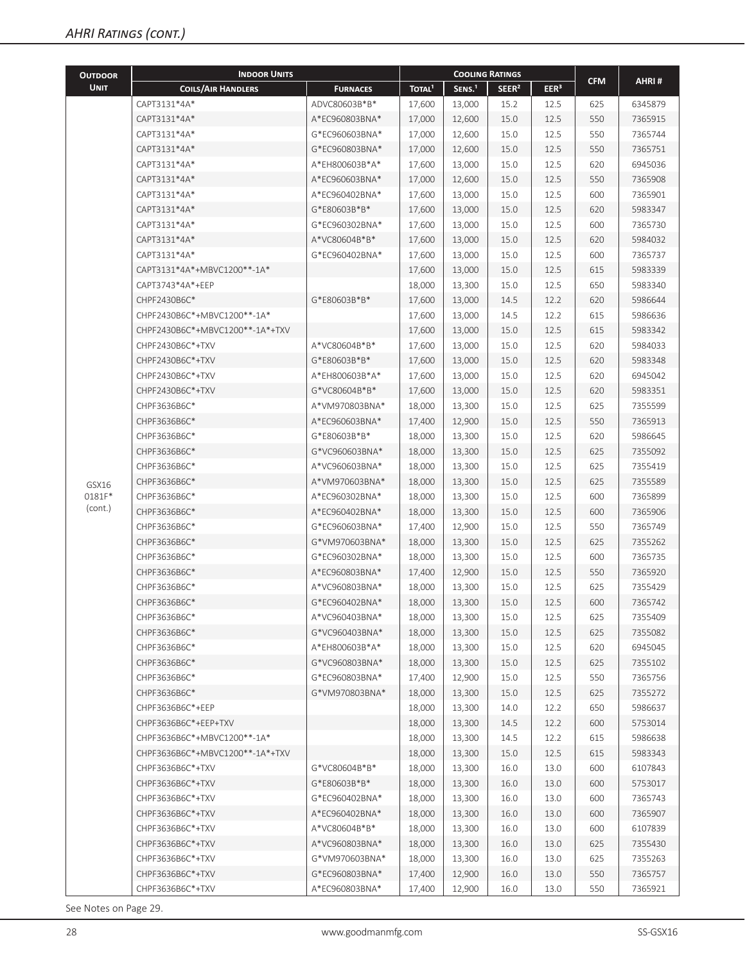| <b>CFM</b><br>AHRI#<br><b>UNIT</b><br>SEER <sup>2</sup><br>EER <sup>3</sup><br>TOTAL <sup>1</sup><br>SENS. <sup>1</sup><br><b>COILS/AIR HANDLERS</b><br><b>FURNACES</b><br>CAPT3131*4A*<br>ADVC80603B*B*<br>17,600<br>13,000<br>15.2<br>12.5<br>625<br>6345879<br>CAPT3131*4A*<br>A*EC960803BNA*<br>17,000<br>12,600<br>15.0<br>12.5<br>550<br>7365915<br>G*EC960603BNA*<br>12.5<br>CAPT3131*4A*<br>17,000<br>12,600<br>15.0<br>550<br>7365744<br>CAPT3131*4A*<br>G*EC960803BNA*<br>12,600<br>15.0<br>12.5<br>550<br>7365751<br>17,000<br>12.5<br>6945036<br>CAPT3131*4A*<br>A*EH800603B*A*<br>17,600<br>13,000<br>15.0<br>620<br>550<br>CAPT3131*4A*<br>A*EC960603BNA*<br>17,000<br>12,600<br>15.0<br>12.5<br>7365908<br>CAPT3131*4A*<br>12.5<br>600<br>7365901<br>A*EC960402BNA*<br>17,600<br>13,000<br>15.0<br>CAPT3131*4A*<br>G*E80603B*B*<br>17,600<br>13,000<br>15.0<br>12.5<br>620<br>5983347<br>7365730<br>CAPT3131*4A*<br>G*EC960302BNA*<br>17,600<br>13,000<br>15.0<br>12.5<br>600<br>CAPT3131*4A*<br>A*VC80604B*B*<br>17,600<br>13,000<br>15.0<br>12.5<br>620<br>5984032<br>CAPT3131*4A*<br>G*EC960402BNA*<br>13,000<br>15.0<br>12.5<br>600<br>7365737<br>17,600<br>CAPT3131*4A*+MBVC1200**-1A*<br>13,000<br>15.0<br>12.5<br>615<br>5983339<br>17,600<br>12.5<br>650<br>CAPT3743*4A*+EEP<br>18,000<br>13,300<br>15.0<br>5983340<br>CHPF2430B6C*<br>G*F80603B*B*<br>17,600<br>13,000<br>14.5<br>12.2<br>620<br>5986644<br>CHPF2430B6C*+MBVC1200**-1A*<br>17,600<br>13,000<br>12.2<br>615<br>5986636<br>14.5<br>CHPF2430B6C*+MBVC1200**-1A*+TXV<br>17,600<br>13,000<br>15.0<br>12.5<br>615<br>5983342<br>A*VC80604B*B*<br>CHPF2430B6C*+TXV<br>17,600<br>13,000<br>15.0<br>12.5<br>620<br>5984033<br>12.5<br>CHPF2430B6C*+TXV<br>G*E80603B*B*<br>17,600<br>13,000<br>15.0<br>620<br>5983348<br>12.5<br>6945042<br>CHPF2430B6C*+TXV<br>A*EH800603B*A*<br>17,600<br>13,000<br>15.0<br>620<br>CHPF2430B6C*+TXV<br>G*VC80604B*B*<br>13,000<br>15.0<br>12.5<br>620<br>5983351<br>17,600<br>CHPF3636B6C*<br>12.5<br>625<br>7355599<br>A*VM970803BNA*<br>18,000<br>13,300<br>15.0<br>550<br>CHPF3636B6C*<br>A*EC960603BNA*<br>17,400<br>12,900<br>15.0<br>12.5<br>7365913<br>CHPF3636B6C*<br>G*E80603B*B*<br>18,000<br>13,300<br>15.0<br>12.5<br>620<br>5986645<br>CHPF3636B6C*<br>G*VC960603BNA*<br>18,000<br>13,300<br>15.0<br>12.5<br>625<br>7355092<br>CHPF3636B6C*<br>A*VC960603BNA*<br>18,000<br>13,300<br>15.0<br>12.5<br>625<br>7355419<br>CHPF3636B6C*<br>A*VM970603BNA*<br>18,000<br>13,300<br>12.5<br>625<br>7355589<br>15.0<br>GSX16<br>0181F*<br>CHPF3636B6C*<br>A*EC960302BNA*<br>13,300<br>15.0<br>12.5<br>600<br>7365899<br>18,000<br>(cont.)<br>CHPF3636B6C*<br>A*EC960402BNA*<br>18,000<br>13,300<br>15.0<br>12.5<br>600<br>7365906<br>CHPF3636B6C*<br>G*EC960603BNA*<br>12,900<br>15.0<br>12.5<br>550<br>7365749<br>17,400<br>CHPF3636B6C*<br>G*VM970603BNA*<br>18,000<br>13,300<br>15.0<br>12.5<br>625<br>7355262<br>CHPF3636B6C*<br>G*EC960302BNA*<br>13,300<br>15.0<br>12.5<br>600<br>7365735<br>18,000<br>CHPF3636B6C*<br>A*EC960803BNA*<br>12,900<br>15.0<br>12.5<br>550<br>7365920<br>17,400 | <b>OUTDOOR</b> | <b>INDOOR UNITS</b> |  | <b>COOLING RATINGS</b> |  |  |
|------------------------------------------------------------------------------------------------------------------------------------------------------------------------------------------------------------------------------------------------------------------------------------------------------------------------------------------------------------------------------------------------------------------------------------------------------------------------------------------------------------------------------------------------------------------------------------------------------------------------------------------------------------------------------------------------------------------------------------------------------------------------------------------------------------------------------------------------------------------------------------------------------------------------------------------------------------------------------------------------------------------------------------------------------------------------------------------------------------------------------------------------------------------------------------------------------------------------------------------------------------------------------------------------------------------------------------------------------------------------------------------------------------------------------------------------------------------------------------------------------------------------------------------------------------------------------------------------------------------------------------------------------------------------------------------------------------------------------------------------------------------------------------------------------------------------------------------------------------------------------------------------------------------------------------------------------------------------------------------------------------------------------------------------------------------------------------------------------------------------------------------------------------------------------------------------------------------------------------------------------------------------------------------------------------------------------------------------------------------------------------------------------------------------------------------------------------------------------------------------------------------------------------------------------------------------------------------------------------------------------------------------------------------------------------------------------------------------------------------------------------------------------------------------------------------------------------------------------------------------------------------------------------------------------------------------------------------------------------------------------------------------------------------------------------------------------------------------------------------------|----------------|---------------------|--|------------------------|--|--|
|                                                                                                                                                                                                                                                                                                                                                                                                                                                                                                                                                                                                                                                                                                                                                                                                                                                                                                                                                                                                                                                                                                                                                                                                                                                                                                                                                                                                                                                                                                                                                                                                                                                                                                                                                                                                                                                                                                                                                                                                                                                                                                                                                                                                                                                                                                                                                                                                                                                                                                                                                                                                                                                                                                                                                                                                                                                                                                                                                                                                                                                                                                                        |                |                     |  |                        |  |  |
|                                                                                                                                                                                                                                                                                                                                                                                                                                                                                                                                                                                                                                                                                                                                                                                                                                                                                                                                                                                                                                                                                                                                                                                                                                                                                                                                                                                                                                                                                                                                                                                                                                                                                                                                                                                                                                                                                                                                                                                                                                                                                                                                                                                                                                                                                                                                                                                                                                                                                                                                                                                                                                                                                                                                                                                                                                                                                                                                                                                                                                                                                                                        |                |                     |  |                        |  |  |
|                                                                                                                                                                                                                                                                                                                                                                                                                                                                                                                                                                                                                                                                                                                                                                                                                                                                                                                                                                                                                                                                                                                                                                                                                                                                                                                                                                                                                                                                                                                                                                                                                                                                                                                                                                                                                                                                                                                                                                                                                                                                                                                                                                                                                                                                                                                                                                                                                                                                                                                                                                                                                                                                                                                                                                                                                                                                                                                                                                                                                                                                                                                        |                |                     |  |                        |  |  |
|                                                                                                                                                                                                                                                                                                                                                                                                                                                                                                                                                                                                                                                                                                                                                                                                                                                                                                                                                                                                                                                                                                                                                                                                                                                                                                                                                                                                                                                                                                                                                                                                                                                                                                                                                                                                                                                                                                                                                                                                                                                                                                                                                                                                                                                                                                                                                                                                                                                                                                                                                                                                                                                                                                                                                                                                                                                                                                                                                                                                                                                                                                                        |                |                     |  |                        |  |  |
|                                                                                                                                                                                                                                                                                                                                                                                                                                                                                                                                                                                                                                                                                                                                                                                                                                                                                                                                                                                                                                                                                                                                                                                                                                                                                                                                                                                                                                                                                                                                                                                                                                                                                                                                                                                                                                                                                                                                                                                                                                                                                                                                                                                                                                                                                                                                                                                                                                                                                                                                                                                                                                                                                                                                                                                                                                                                                                                                                                                                                                                                                                                        |                |                     |  |                        |  |  |
|                                                                                                                                                                                                                                                                                                                                                                                                                                                                                                                                                                                                                                                                                                                                                                                                                                                                                                                                                                                                                                                                                                                                                                                                                                                                                                                                                                                                                                                                                                                                                                                                                                                                                                                                                                                                                                                                                                                                                                                                                                                                                                                                                                                                                                                                                                                                                                                                                                                                                                                                                                                                                                                                                                                                                                                                                                                                                                                                                                                                                                                                                                                        |                |                     |  |                        |  |  |
|                                                                                                                                                                                                                                                                                                                                                                                                                                                                                                                                                                                                                                                                                                                                                                                                                                                                                                                                                                                                                                                                                                                                                                                                                                                                                                                                                                                                                                                                                                                                                                                                                                                                                                                                                                                                                                                                                                                                                                                                                                                                                                                                                                                                                                                                                                                                                                                                                                                                                                                                                                                                                                                                                                                                                                                                                                                                                                                                                                                                                                                                                                                        |                |                     |  |                        |  |  |
|                                                                                                                                                                                                                                                                                                                                                                                                                                                                                                                                                                                                                                                                                                                                                                                                                                                                                                                                                                                                                                                                                                                                                                                                                                                                                                                                                                                                                                                                                                                                                                                                                                                                                                                                                                                                                                                                                                                                                                                                                                                                                                                                                                                                                                                                                                                                                                                                                                                                                                                                                                                                                                                                                                                                                                                                                                                                                                                                                                                                                                                                                                                        |                |                     |  |                        |  |  |
|                                                                                                                                                                                                                                                                                                                                                                                                                                                                                                                                                                                                                                                                                                                                                                                                                                                                                                                                                                                                                                                                                                                                                                                                                                                                                                                                                                                                                                                                                                                                                                                                                                                                                                                                                                                                                                                                                                                                                                                                                                                                                                                                                                                                                                                                                                                                                                                                                                                                                                                                                                                                                                                                                                                                                                                                                                                                                                                                                                                                                                                                                                                        |                |                     |  |                        |  |  |
|                                                                                                                                                                                                                                                                                                                                                                                                                                                                                                                                                                                                                                                                                                                                                                                                                                                                                                                                                                                                                                                                                                                                                                                                                                                                                                                                                                                                                                                                                                                                                                                                                                                                                                                                                                                                                                                                                                                                                                                                                                                                                                                                                                                                                                                                                                                                                                                                                                                                                                                                                                                                                                                                                                                                                                                                                                                                                                                                                                                                                                                                                                                        |                |                     |  |                        |  |  |
|                                                                                                                                                                                                                                                                                                                                                                                                                                                                                                                                                                                                                                                                                                                                                                                                                                                                                                                                                                                                                                                                                                                                                                                                                                                                                                                                                                                                                                                                                                                                                                                                                                                                                                                                                                                                                                                                                                                                                                                                                                                                                                                                                                                                                                                                                                                                                                                                                                                                                                                                                                                                                                                                                                                                                                                                                                                                                                                                                                                                                                                                                                                        |                |                     |  |                        |  |  |
|                                                                                                                                                                                                                                                                                                                                                                                                                                                                                                                                                                                                                                                                                                                                                                                                                                                                                                                                                                                                                                                                                                                                                                                                                                                                                                                                                                                                                                                                                                                                                                                                                                                                                                                                                                                                                                                                                                                                                                                                                                                                                                                                                                                                                                                                                                                                                                                                                                                                                                                                                                                                                                                                                                                                                                                                                                                                                                                                                                                                                                                                                                                        |                |                     |  |                        |  |  |
|                                                                                                                                                                                                                                                                                                                                                                                                                                                                                                                                                                                                                                                                                                                                                                                                                                                                                                                                                                                                                                                                                                                                                                                                                                                                                                                                                                                                                                                                                                                                                                                                                                                                                                                                                                                                                                                                                                                                                                                                                                                                                                                                                                                                                                                                                                                                                                                                                                                                                                                                                                                                                                                                                                                                                                                                                                                                                                                                                                                                                                                                                                                        |                |                     |  |                        |  |  |
|                                                                                                                                                                                                                                                                                                                                                                                                                                                                                                                                                                                                                                                                                                                                                                                                                                                                                                                                                                                                                                                                                                                                                                                                                                                                                                                                                                                                                                                                                                                                                                                                                                                                                                                                                                                                                                                                                                                                                                                                                                                                                                                                                                                                                                                                                                                                                                                                                                                                                                                                                                                                                                                                                                                                                                                                                                                                                                                                                                                                                                                                                                                        |                |                     |  |                        |  |  |
|                                                                                                                                                                                                                                                                                                                                                                                                                                                                                                                                                                                                                                                                                                                                                                                                                                                                                                                                                                                                                                                                                                                                                                                                                                                                                                                                                                                                                                                                                                                                                                                                                                                                                                                                                                                                                                                                                                                                                                                                                                                                                                                                                                                                                                                                                                                                                                                                                                                                                                                                                                                                                                                                                                                                                                                                                                                                                                                                                                                                                                                                                                                        |                |                     |  |                        |  |  |
|                                                                                                                                                                                                                                                                                                                                                                                                                                                                                                                                                                                                                                                                                                                                                                                                                                                                                                                                                                                                                                                                                                                                                                                                                                                                                                                                                                                                                                                                                                                                                                                                                                                                                                                                                                                                                                                                                                                                                                                                                                                                                                                                                                                                                                                                                                                                                                                                                                                                                                                                                                                                                                                                                                                                                                                                                                                                                                                                                                                                                                                                                                                        |                |                     |  |                        |  |  |
|                                                                                                                                                                                                                                                                                                                                                                                                                                                                                                                                                                                                                                                                                                                                                                                                                                                                                                                                                                                                                                                                                                                                                                                                                                                                                                                                                                                                                                                                                                                                                                                                                                                                                                                                                                                                                                                                                                                                                                                                                                                                                                                                                                                                                                                                                                                                                                                                                                                                                                                                                                                                                                                                                                                                                                                                                                                                                                                                                                                                                                                                                                                        |                |                     |  |                        |  |  |
|                                                                                                                                                                                                                                                                                                                                                                                                                                                                                                                                                                                                                                                                                                                                                                                                                                                                                                                                                                                                                                                                                                                                                                                                                                                                                                                                                                                                                                                                                                                                                                                                                                                                                                                                                                                                                                                                                                                                                                                                                                                                                                                                                                                                                                                                                                                                                                                                                                                                                                                                                                                                                                                                                                                                                                                                                                                                                                                                                                                                                                                                                                                        |                |                     |  |                        |  |  |
|                                                                                                                                                                                                                                                                                                                                                                                                                                                                                                                                                                                                                                                                                                                                                                                                                                                                                                                                                                                                                                                                                                                                                                                                                                                                                                                                                                                                                                                                                                                                                                                                                                                                                                                                                                                                                                                                                                                                                                                                                                                                                                                                                                                                                                                                                                                                                                                                                                                                                                                                                                                                                                                                                                                                                                                                                                                                                                                                                                                                                                                                                                                        |                |                     |  |                        |  |  |
|                                                                                                                                                                                                                                                                                                                                                                                                                                                                                                                                                                                                                                                                                                                                                                                                                                                                                                                                                                                                                                                                                                                                                                                                                                                                                                                                                                                                                                                                                                                                                                                                                                                                                                                                                                                                                                                                                                                                                                                                                                                                                                                                                                                                                                                                                                                                                                                                                                                                                                                                                                                                                                                                                                                                                                                                                                                                                                                                                                                                                                                                                                                        |                |                     |  |                        |  |  |
|                                                                                                                                                                                                                                                                                                                                                                                                                                                                                                                                                                                                                                                                                                                                                                                                                                                                                                                                                                                                                                                                                                                                                                                                                                                                                                                                                                                                                                                                                                                                                                                                                                                                                                                                                                                                                                                                                                                                                                                                                                                                                                                                                                                                                                                                                                                                                                                                                                                                                                                                                                                                                                                                                                                                                                                                                                                                                                                                                                                                                                                                                                                        |                |                     |  |                        |  |  |
|                                                                                                                                                                                                                                                                                                                                                                                                                                                                                                                                                                                                                                                                                                                                                                                                                                                                                                                                                                                                                                                                                                                                                                                                                                                                                                                                                                                                                                                                                                                                                                                                                                                                                                                                                                                                                                                                                                                                                                                                                                                                                                                                                                                                                                                                                                                                                                                                                                                                                                                                                                                                                                                                                                                                                                                                                                                                                                                                                                                                                                                                                                                        |                |                     |  |                        |  |  |
|                                                                                                                                                                                                                                                                                                                                                                                                                                                                                                                                                                                                                                                                                                                                                                                                                                                                                                                                                                                                                                                                                                                                                                                                                                                                                                                                                                                                                                                                                                                                                                                                                                                                                                                                                                                                                                                                                                                                                                                                                                                                                                                                                                                                                                                                                                                                                                                                                                                                                                                                                                                                                                                                                                                                                                                                                                                                                                                                                                                                                                                                                                                        |                |                     |  |                        |  |  |
|                                                                                                                                                                                                                                                                                                                                                                                                                                                                                                                                                                                                                                                                                                                                                                                                                                                                                                                                                                                                                                                                                                                                                                                                                                                                                                                                                                                                                                                                                                                                                                                                                                                                                                                                                                                                                                                                                                                                                                                                                                                                                                                                                                                                                                                                                                                                                                                                                                                                                                                                                                                                                                                                                                                                                                                                                                                                                                                                                                                                                                                                                                                        |                |                     |  |                        |  |  |
|                                                                                                                                                                                                                                                                                                                                                                                                                                                                                                                                                                                                                                                                                                                                                                                                                                                                                                                                                                                                                                                                                                                                                                                                                                                                                                                                                                                                                                                                                                                                                                                                                                                                                                                                                                                                                                                                                                                                                                                                                                                                                                                                                                                                                                                                                                                                                                                                                                                                                                                                                                                                                                                                                                                                                                                                                                                                                                                                                                                                                                                                                                                        |                |                     |  |                        |  |  |
|                                                                                                                                                                                                                                                                                                                                                                                                                                                                                                                                                                                                                                                                                                                                                                                                                                                                                                                                                                                                                                                                                                                                                                                                                                                                                                                                                                                                                                                                                                                                                                                                                                                                                                                                                                                                                                                                                                                                                                                                                                                                                                                                                                                                                                                                                                                                                                                                                                                                                                                                                                                                                                                                                                                                                                                                                                                                                                                                                                                                                                                                                                                        |                |                     |  |                        |  |  |
|                                                                                                                                                                                                                                                                                                                                                                                                                                                                                                                                                                                                                                                                                                                                                                                                                                                                                                                                                                                                                                                                                                                                                                                                                                                                                                                                                                                                                                                                                                                                                                                                                                                                                                                                                                                                                                                                                                                                                                                                                                                                                                                                                                                                                                                                                                                                                                                                                                                                                                                                                                                                                                                                                                                                                                                                                                                                                                                                                                                                                                                                                                                        |                |                     |  |                        |  |  |
|                                                                                                                                                                                                                                                                                                                                                                                                                                                                                                                                                                                                                                                                                                                                                                                                                                                                                                                                                                                                                                                                                                                                                                                                                                                                                                                                                                                                                                                                                                                                                                                                                                                                                                                                                                                                                                                                                                                                                                                                                                                                                                                                                                                                                                                                                                                                                                                                                                                                                                                                                                                                                                                                                                                                                                                                                                                                                                                                                                                                                                                                                                                        |                |                     |  |                        |  |  |
|                                                                                                                                                                                                                                                                                                                                                                                                                                                                                                                                                                                                                                                                                                                                                                                                                                                                                                                                                                                                                                                                                                                                                                                                                                                                                                                                                                                                                                                                                                                                                                                                                                                                                                                                                                                                                                                                                                                                                                                                                                                                                                                                                                                                                                                                                                                                                                                                                                                                                                                                                                                                                                                                                                                                                                                                                                                                                                                                                                                                                                                                                                                        |                |                     |  |                        |  |  |
|                                                                                                                                                                                                                                                                                                                                                                                                                                                                                                                                                                                                                                                                                                                                                                                                                                                                                                                                                                                                                                                                                                                                                                                                                                                                                                                                                                                                                                                                                                                                                                                                                                                                                                                                                                                                                                                                                                                                                                                                                                                                                                                                                                                                                                                                                                                                                                                                                                                                                                                                                                                                                                                                                                                                                                                                                                                                                                                                                                                                                                                                                                                        |                |                     |  |                        |  |  |
|                                                                                                                                                                                                                                                                                                                                                                                                                                                                                                                                                                                                                                                                                                                                                                                                                                                                                                                                                                                                                                                                                                                                                                                                                                                                                                                                                                                                                                                                                                                                                                                                                                                                                                                                                                                                                                                                                                                                                                                                                                                                                                                                                                                                                                                                                                                                                                                                                                                                                                                                                                                                                                                                                                                                                                                                                                                                                                                                                                                                                                                                                                                        |                |                     |  |                        |  |  |
|                                                                                                                                                                                                                                                                                                                                                                                                                                                                                                                                                                                                                                                                                                                                                                                                                                                                                                                                                                                                                                                                                                                                                                                                                                                                                                                                                                                                                                                                                                                                                                                                                                                                                                                                                                                                                                                                                                                                                                                                                                                                                                                                                                                                                                                                                                                                                                                                                                                                                                                                                                                                                                                                                                                                                                                                                                                                                                                                                                                                                                                                                                                        |                |                     |  |                        |  |  |
|                                                                                                                                                                                                                                                                                                                                                                                                                                                                                                                                                                                                                                                                                                                                                                                                                                                                                                                                                                                                                                                                                                                                                                                                                                                                                                                                                                                                                                                                                                                                                                                                                                                                                                                                                                                                                                                                                                                                                                                                                                                                                                                                                                                                                                                                                                                                                                                                                                                                                                                                                                                                                                                                                                                                                                                                                                                                                                                                                                                                                                                                                                                        |                |                     |  |                        |  |  |
| CHPF3636B6C*<br>A*VC960803BNA*<br>15.0<br>12.5<br>625<br>7355429<br>18,000<br>13,300                                                                                                                                                                                                                                                                                                                                                                                                                                                                                                                                                                                                                                                                                                                                                                                                                                                                                                                                                                                                                                                                                                                                                                                                                                                                                                                                                                                                                                                                                                                                                                                                                                                                                                                                                                                                                                                                                                                                                                                                                                                                                                                                                                                                                                                                                                                                                                                                                                                                                                                                                                                                                                                                                                                                                                                                                                                                                                                                                                                                                                   |                |                     |  |                        |  |  |
| CHPF3636B6C*<br>G*EC960402BNA*<br>18,000<br>15.0<br>12.5<br>600<br>7365742<br>13,300                                                                                                                                                                                                                                                                                                                                                                                                                                                                                                                                                                                                                                                                                                                                                                                                                                                                                                                                                                                                                                                                                                                                                                                                                                                                                                                                                                                                                                                                                                                                                                                                                                                                                                                                                                                                                                                                                                                                                                                                                                                                                                                                                                                                                                                                                                                                                                                                                                                                                                                                                                                                                                                                                                                                                                                                                                                                                                                                                                                                                                   |                |                     |  |                        |  |  |
| CHPF3636B6C*<br>A*VC960403BNA*<br>18,000<br>13,300<br>15.0<br>12.5<br>625<br>7355409                                                                                                                                                                                                                                                                                                                                                                                                                                                                                                                                                                                                                                                                                                                                                                                                                                                                                                                                                                                                                                                                                                                                                                                                                                                                                                                                                                                                                                                                                                                                                                                                                                                                                                                                                                                                                                                                                                                                                                                                                                                                                                                                                                                                                                                                                                                                                                                                                                                                                                                                                                                                                                                                                                                                                                                                                                                                                                                                                                                                                                   |                |                     |  |                        |  |  |
| CHPF3636B6C*<br>G*VC960403BNA*<br>18,000<br>13,300<br>15.0<br>12.5<br>625<br>7355082                                                                                                                                                                                                                                                                                                                                                                                                                                                                                                                                                                                                                                                                                                                                                                                                                                                                                                                                                                                                                                                                                                                                                                                                                                                                                                                                                                                                                                                                                                                                                                                                                                                                                                                                                                                                                                                                                                                                                                                                                                                                                                                                                                                                                                                                                                                                                                                                                                                                                                                                                                                                                                                                                                                                                                                                                                                                                                                                                                                                                                   |                |                     |  |                        |  |  |
| CHPF3636B6C*<br>A*EH800603B*A*<br>18,000<br>13,300<br>15.0<br>12.5<br>620<br>6945045                                                                                                                                                                                                                                                                                                                                                                                                                                                                                                                                                                                                                                                                                                                                                                                                                                                                                                                                                                                                                                                                                                                                                                                                                                                                                                                                                                                                                                                                                                                                                                                                                                                                                                                                                                                                                                                                                                                                                                                                                                                                                                                                                                                                                                                                                                                                                                                                                                                                                                                                                                                                                                                                                                                                                                                                                                                                                                                                                                                                                                   |                |                     |  |                        |  |  |
| CHPF3636B6C*<br>G*VC960803BNA*<br>18,000<br>13,300<br>15.0<br>12.5<br>625<br>7355102                                                                                                                                                                                                                                                                                                                                                                                                                                                                                                                                                                                                                                                                                                                                                                                                                                                                                                                                                                                                                                                                                                                                                                                                                                                                                                                                                                                                                                                                                                                                                                                                                                                                                                                                                                                                                                                                                                                                                                                                                                                                                                                                                                                                                                                                                                                                                                                                                                                                                                                                                                                                                                                                                                                                                                                                                                                                                                                                                                                                                                   |                |                     |  |                        |  |  |
| CHPF3636B6C*<br>G*EC960803BNA*<br>12,900<br>15.0<br>12.5<br>550<br>7365756<br>17,400                                                                                                                                                                                                                                                                                                                                                                                                                                                                                                                                                                                                                                                                                                                                                                                                                                                                                                                                                                                                                                                                                                                                                                                                                                                                                                                                                                                                                                                                                                                                                                                                                                                                                                                                                                                                                                                                                                                                                                                                                                                                                                                                                                                                                                                                                                                                                                                                                                                                                                                                                                                                                                                                                                                                                                                                                                                                                                                                                                                                                                   |                |                     |  |                        |  |  |
| CHPF3636B6C*<br>G*VM970803BNA*<br>18,000<br>13,300<br>12.5<br>625<br>7355272<br>15.0                                                                                                                                                                                                                                                                                                                                                                                                                                                                                                                                                                                                                                                                                                                                                                                                                                                                                                                                                                                                                                                                                                                                                                                                                                                                                                                                                                                                                                                                                                                                                                                                                                                                                                                                                                                                                                                                                                                                                                                                                                                                                                                                                                                                                                                                                                                                                                                                                                                                                                                                                                                                                                                                                                                                                                                                                                                                                                                                                                                                                                   |                |                     |  |                        |  |  |
| CHPF3636B6C*+EEP<br>13,300<br>12.2<br>650<br>5986637<br>18,000<br>14.0                                                                                                                                                                                                                                                                                                                                                                                                                                                                                                                                                                                                                                                                                                                                                                                                                                                                                                                                                                                                                                                                                                                                                                                                                                                                                                                                                                                                                                                                                                                                                                                                                                                                                                                                                                                                                                                                                                                                                                                                                                                                                                                                                                                                                                                                                                                                                                                                                                                                                                                                                                                                                                                                                                                                                                                                                                                                                                                                                                                                                                                 |                |                     |  |                        |  |  |
| CHPF3636B6C*+EEP+TXV<br>18,000<br>13,300<br>12.2<br>14.5<br>600<br>5753014                                                                                                                                                                                                                                                                                                                                                                                                                                                                                                                                                                                                                                                                                                                                                                                                                                                                                                                                                                                                                                                                                                                                                                                                                                                                                                                                                                                                                                                                                                                                                                                                                                                                                                                                                                                                                                                                                                                                                                                                                                                                                                                                                                                                                                                                                                                                                                                                                                                                                                                                                                                                                                                                                                                                                                                                                                                                                                                                                                                                                                             |                |                     |  |                        |  |  |
| CHPF3636B6C*+MBVC1200**-1A*<br>13,300<br>12.2<br>18,000<br>14.5<br>615<br>5986638                                                                                                                                                                                                                                                                                                                                                                                                                                                                                                                                                                                                                                                                                                                                                                                                                                                                                                                                                                                                                                                                                                                                                                                                                                                                                                                                                                                                                                                                                                                                                                                                                                                                                                                                                                                                                                                                                                                                                                                                                                                                                                                                                                                                                                                                                                                                                                                                                                                                                                                                                                                                                                                                                                                                                                                                                                                                                                                                                                                                                                      |                |                     |  |                        |  |  |
| CHPF3636B6C*+MBVC1200**-1A*+TXV<br>18,000<br>13,300<br>15.0<br>12.5<br>615<br>5983343                                                                                                                                                                                                                                                                                                                                                                                                                                                                                                                                                                                                                                                                                                                                                                                                                                                                                                                                                                                                                                                                                                                                                                                                                                                                                                                                                                                                                                                                                                                                                                                                                                                                                                                                                                                                                                                                                                                                                                                                                                                                                                                                                                                                                                                                                                                                                                                                                                                                                                                                                                                                                                                                                                                                                                                                                                                                                                                                                                                                                                  |                |                     |  |                        |  |  |
| CHPF3636B6C*+TXV<br>G*VC80604B*B*<br>13,300<br>13.0<br>18,000<br>16.0<br>600<br>6107843                                                                                                                                                                                                                                                                                                                                                                                                                                                                                                                                                                                                                                                                                                                                                                                                                                                                                                                                                                                                                                                                                                                                                                                                                                                                                                                                                                                                                                                                                                                                                                                                                                                                                                                                                                                                                                                                                                                                                                                                                                                                                                                                                                                                                                                                                                                                                                                                                                                                                                                                                                                                                                                                                                                                                                                                                                                                                                                                                                                                                                |                |                     |  |                        |  |  |
| G*E80603B*B*<br>13,300<br>13.0<br>5753017<br>CHPF3636B6C*+TXV<br>18,000<br>16.0<br>600                                                                                                                                                                                                                                                                                                                                                                                                                                                                                                                                                                                                                                                                                                                                                                                                                                                                                                                                                                                                                                                                                                                                                                                                                                                                                                                                                                                                                                                                                                                                                                                                                                                                                                                                                                                                                                                                                                                                                                                                                                                                                                                                                                                                                                                                                                                                                                                                                                                                                                                                                                                                                                                                                                                                                                                                                                                                                                                                                                                                                                 |                |                     |  |                        |  |  |
| CHPF3636B6C*+TXV<br>G*EC960402BNA*<br>13,300<br>13.0<br>7365743<br>18,000<br>16.0<br>600                                                                                                                                                                                                                                                                                                                                                                                                                                                                                                                                                                                                                                                                                                                                                                                                                                                                                                                                                                                                                                                                                                                                                                                                                                                                                                                                                                                                                                                                                                                                                                                                                                                                                                                                                                                                                                                                                                                                                                                                                                                                                                                                                                                                                                                                                                                                                                                                                                                                                                                                                                                                                                                                                                                                                                                                                                                                                                                                                                                                                               |                |                     |  |                        |  |  |
| CHPF3636B6C*+TXV<br>A*EC960402BNA*<br>18,000<br>13,300<br>16.0<br>13.0<br>600<br>7365907                                                                                                                                                                                                                                                                                                                                                                                                                                                                                                                                                                                                                                                                                                                                                                                                                                                                                                                                                                                                                                                                                                                                                                                                                                                                                                                                                                                                                                                                                                                                                                                                                                                                                                                                                                                                                                                                                                                                                                                                                                                                                                                                                                                                                                                                                                                                                                                                                                                                                                                                                                                                                                                                                                                                                                                                                                                                                                                                                                                                                               |                |                     |  |                        |  |  |
| 600<br>6107839<br>CHPF3636B6C*+TXV<br>A*VC80604B*B*<br>18,000<br>13,300<br>16.0<br>13.0                                                                                                                                                                                                                                                                                                                                                                                                                                                                                                                                                                                                                                                                                                                                                                                                                                                                                                                                                                                                                                                                                                                                                                                                                                                                                                                                                                                                                                                                                                                                                                                                                                                                                                                                                                                                                                                                                                                                                                                                                                                                                                                                                                                                                                                                                                                                                                                                                                                                                                                                                                                                                                                                                                                                                                                                                                                                                                                                                                                                                                |                |                     |  |                        |  |  |
| 18,000<br>13,300<br>13.0<br>625<br>7355430<br>CHPF3636B6C*+TXV<br>A*VC960803BNA*<br>16.0                                                                                                                                                                                                                                                                                                                                                                                                                                                                                                                                                                                                                                                                                                                                                                                                                                                                                                                                                                                                                                                                                                                                                                                                                                                                                                                                                                                                                                                                                                                                                                                                                                                                                                                                                                                                                                                                                                                                                                                                                                                                                                                                                                                                                                                                                                                                                                                                                                                                                                                                                                                                                                                                                                                                                                                                                                                                                                                                                                                                                               |                |                     |  |                        |  |  |
| G*VM970603BNA*<br>13,300<br>13.0<br>625<br>7355263<br>CHPF3636B6C*+TXV<br>18,000<br>16.0                                                                                                                                                                                                                                                                                                                                                                                                                                                                                                                                                                                                                                                                                                                                                                                                                                                                                                                                                                                                                                                                                                                                                                                                                                                                                                                                                                                                                                                                                                                                                                                                                                                                                                                                                                                                                                                                                                                                                                                                                                                                                                                                                                                                                                                                                                                                                                                                                                                                                                                                                                                                                                                                                                                                                                                                                                                                                                                                                                                                                               |                |                     |  |                        |  |  |
| 550<br>CHPF3636B6C*+TXV<br>G*EC960803BNA*<br>17,400<br>12,900<br>16.0<br>13.0<br>7365757                                                                                                                                                                                                                                                                                                                                                                                                                                                                                                                                                                                                                                                                                                                                                                                                                                                                                                                                                                                                                                                                                                                                                                                                                                                                                                                                                                                                                                                                                                                                                                                                                                                                                                                                                                                                                                                                                                                                                                                                                                                                                                                                                                                                                                                                                                                                                                                                                                                                                                                                                                                                                                                                                                                                                                                                                                                                                                                                                                                                                               |                |                     |  |                        |  |  |
| CHPF3636B6C*+TXV<br>A*EC960803BNA*<br>17,400<br>12,900<br>13.0<br>550<br>7365921<br>16.0                                                                                                                                                                                                                                                                                                                                                                                                                                                                                                                                                                                                                                                                                                                                                                                                                                                                                                                                                                                                                                                                                                                                                                                                                                                                                                                                                                                                                                                                                                                                                                                                                                                                                                                                                                                                                                                                                                                                                                                                                                                                                                                                                                                                                                                                                                                                                                                                                                                                                                                                                                                                                                                                                                                                                                                                                                                                                                                                                                                                                               |                |                     |  |                        |  |  |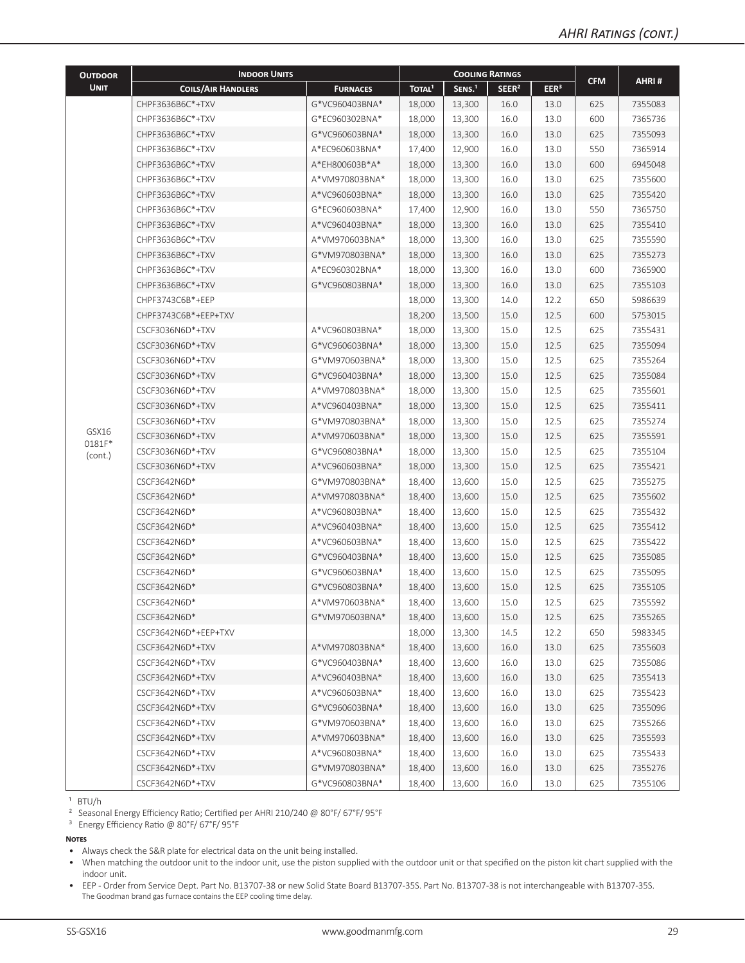| <b>OUTDOOR</b>    | <b>INDOOR UNITS</b>       |                 |                    |                    | <b>COOLING RATINGS</b> |                  |            |         |
|-------------------|---------------------------|-----------------|--------------------|--------------------|------------------------|------------------|------------|---------|
| <b>UNIT</b>       | <b>COILS/AIR HANDLERS</b> | <b>FURNACES</b> | TOTAL <sup>1</sup> | SENS. <sup>1</sup> | SEER <sup>2</sup>      | EER <sup>3</sup> | <b>CFM</b> | AHRI#   |
|                   | CHPF3636B6C*+TXV          | G*VC960403BNA*  | 18,000             | 13,300             | 16.0                   | 13.0             | 625        | 7355083 |
|                   | CHPF3636B6C*+TXV          | G*EC960302BNA*  | 18,000             | 13,300             | 16.0                   | 13.0             | 600        | 7365736 |
|                   | CHPF3636B6C*+TXV          | G*VC960603BNA*  | 18,000             | 13,300             | 16.0                   | 13.0             | 625        | 7355093 |
|                   | CHPF3636B6C*+TXV          | A*EC960603BNA*  | 17,400             | 12,900             | 16.0                   | 13.0             | 550        | 7365914 |
|                   | CHPF3636B6C*+TXV          | A*EH800603B*A*  | 18,000             | 13,300             | 16.0                   | 13.0             | 600        | 6945048 |
|                   | CHPF3636B6C*+TXV          | A*VM970803BNA*  | 18,000             | 13,300             | 16.0                   | 13.0             | 625        | 7355600 |
|                   | CHPF3636B6C*+TXV          | A*VC960603BNA*  | 18,000             | 13,300             | 16.0                   | 13.0             | 625        | 7355420 |
|                   | CHPF3636B6C*+TXV          | G*EC960603BNA*  | 17,400             | 12,900             | 16.0                   | 13.0             | 550        | 7365750 |
|                   | CHPF3636B6C*+TXV          | A*VC960403BNA*  | 18,000             | 13,300             | 16.0                   | 13.0             | 625        | 7355410 |
|                   | CHPF3636B6C*+TXV          | A*VM970603BNA*  | 18,000             | 13,300             | 16.0                   | 13.0             | 625        | 7355590 |
|                   | CHPF3636B6C*+TXV          | G*VM970803BNA*  | 18,000             | 13,300             | 16.0                   | 13.0             | 625        | 7355273 |
|                   | CHPF3636B6C*+TXV          | A*EC960302BNA*  | 18,000             | 13,300             | 16.0                   | 13.0             | 600        | 7365900 |
|                   | CHPF3636B6C*+TXV          | G*VC960803BNA*  | 18,000             | 13,300             | 16.0                   | 13.0             | 625        | 7355103 |
|                   | CHPF3743C6B*+EEP          |                 | 18,000             | 13,300             | 14.0                   | 12.2             | 650        | 5986639 |
|                   | CHPF3743C6B*+EEP+TXV      |                 | 18,200             | 13,500             | 15.0                   | 12.5             | 600        | 5753015 |
|                   | CSCF3036N6D*+TXV          | A*VC960803BNA*  | 18,000             | 13,300             | 15.0                   | 12.5             | 625        | 7355431 |
|                   | CSCF3036N6D*+TXV          | G*VC960603BNA*  | 18,000             | 13,300             | 15.0                   | 12.5             | 625        | 7355094 |
|                   | CSCF3036N6D*+TXV          | G*VM970603BNA*  | 18,000             | 13,300             | 15.0                   | 12.5             | 625        | 7355264 |
|                   | CSCF3036N6D*+TXV          | G*VC960403BNA*  | 18,000             | 13,300             | 15.0                   | 12.5             | 625        | 7355084 |
|                   | CSCF3036N6D*+TXV          | A*VM970803BNA*  | 18,000             | 13,300             | 15.0                   | 12.5             | 625        | 7355601 |
|                   | CSCF3036N6D*+TXV          | A*VC960403BNA*  | 18,000             | 13,300             | 15.0                   | 12.5             | 625        | 7355411 |
|                   | CSCF3036N6D*+TXV          | G*VM970803BNA*  | 18,000             | 13,300             | 15.0                   | 12.5             | 625        | 7355274 |
| GSX16             | CSCF3036N6D*+TXV          | A*VM970603BNA*  | 18,000             | 13,300             | 15.0                   | 12.5             | 625        | 7355591 |
| 0181F*<br>(cont.) | CSCF3036N6D*+TXV          | G*VC960803BNA*  | 18,000             | 13,300             | 15.0                   | 12.5             | 625        | 7355104 |
|                   | CSCF3036N6D*+TXV          | A*VC960603BNA*  | 18,000             | 13,300             | 15.0                   | 12.5             | 625        | 7355421 |
|                   | CSCF3642N6D*              | G*VM970803BNA*  | 18,400             | 13,600             | 15.0                   | 12.5             | 625        | 7355275 |
|                   | CSCF3642N6D*              | A*VM970803BNA*  | 18,400             | 13,600             | 15.0                   | 12.5             | 625        | 7355602 |
|                   | CSCF3642N6D*              | A*VC960803BNA*  | 18,400             | 13,600             | 15.0                   | 12.5             | 625        | 7355432 |
|                   | CSCF3642N6D*              | A*VC960403BNA*  | 18,400             | 13,600             | 15.0                   | 12.5             | 625        | 7355412 |
|                   | CSCF3642N6D*              | A*VC960603BNA*  | 18,400             | 13,600             | 15.0                   | 12.5             | 625        | 7355422 |
|                   | CSCF3642N6D*              | G*VC960403BNA*  | 18,400             | 13,600             | 15.0                   | 12.5             | 625        | 7355085 |
|                   | CSCF3642N6D*              | G*VC960603BNA*  | 18,400             | 13,600             | 15.0                   | 12.5             | 625        | 7355095 |
|                   | CSCF3642N6D*              | G*VC960803BNA*  | 18,400             | 13,600             | 15.0                   | 12.5             | 625        | 7355105 |
|                   | CSCF3642N6D*              | A*VM970603BNA*  | 18,400             | 13,600             | 15.0                   | 12.5             | 625        | 7355592 |
|                   | CSCF3642N6D*              | G*VM970603BNA*  | 18,400             | 13,600             | 15.0                   | 12.5             | 625        | 7355265 |
|                   | CSCF3642N6D*+EEP+TXV      |                 | 18,000             | 13,300             | 14.5                   | 12.2             | 650        | 5983345 |
|                   | CSCF3642N6D*+TXV          | A*VM970803BNA*  | 18,400             | 13,600             | 16.0                   | 13.0             | 625        | 7355603 |
|                   | CSCF3642N6D*+TXV          | G*VC960403BNA*  | 18,400             | 13,600             | 16.0                   | 13.0             | 625        | 7355086 |
|                   | CSCF3642N6D*+TXV          | A*VC960403BNA*  | 18,400             | 13,600             | 16.0                   | 13.0             | 625        | 7355413 |
|                   | CSCF3642N6D*+TXV          | A*VC960603BNA*  | 18,400             | 13,600             | 16.0                   | 13.0             | 625        | 7355423 |
|                   | CSCF3642N6D*+TXV          | G*VC960603BNA*  | 18,400             | 13,600             | 16.0                   | 13.0             | 625        | 7355096 |
|                   | CSCF3642N6D*+TXV          | G*VM970603BNA*  | 18,400             | 13,600             | 16.0                   | 13.0             | 625        | 7355266 |
|                   | CSCF3642N6D*+TXV          | A*VM970603BNA*  | 18,400             | 13,600             | 16.0                   | 13.0             | 625        | 7355593 |
|                   | CSCF3642N6D*+TXV          | A*VC960803BNA*  | 18,400             | 13,600             | 16.0                   | 13.0             | 625        | 7355433 |
|                   | CSCF3642N6D*+TXV          | G*VM970803BNA*  | 18,400             | 13,600             | 16.0                   | 13.0             | 625        | 7355276 |
|                   | CSCF3642N6D*+TXV          | G*VC960803BNA*  | 18,400             | 13,600             | 16.0                   | 13.0             | 625        | 7355106 |

 $1$  BTU/h

² Seasonal Energy Efficiency Ratio; Certified per AHRI 210/240 @ 80°F/ 67°F/ 95°F

³ Energy Efficiency Ratio @ 80°F/ 67°F/ 95°F

**Notes**

• Always check the S&R plate for electrical data on the unit being installed.

• When matching the outdoor unit to the indoor unit, use the piston supplied with the outdoor unit or that specified on the piston kit chart supplied with the indoor unit.

• EEP - Order from Service Dept. Part No. B13707-38 or new Solid State Board B13707-35S. Part No. B13707-38 is not interchangeable with B13707-35S. The Goodman brand gas furnace contains the EEP cooling time delay.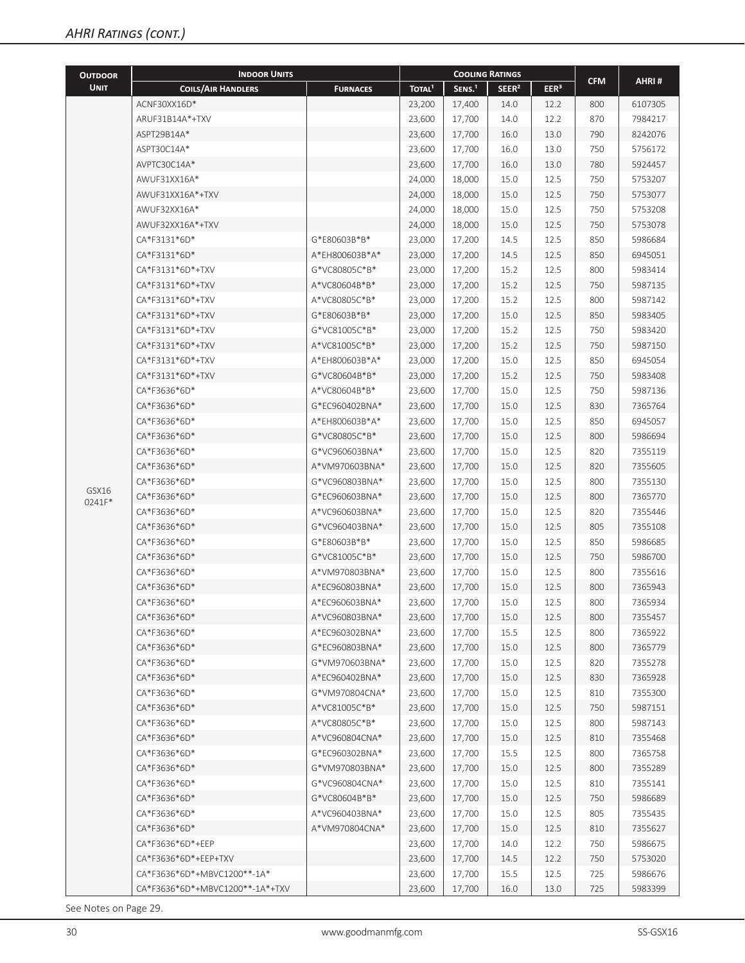| <b>OUTDOOR</b> | <b>INDOOR UNITS</b>             |                                  | <b>COOLING RATINGS</b> |                   |                   |                  |            |                    |
|----------------|---------------------------------|----------------------------------|------------------------|-------------------|-------------------|------------------|------------|--------------------|
| <b>UNIT</b>    | <b>COILS/AIR HANDLERS</b>       | <b>FURNACES</b>                  | TOTAL <sup>1</sup>     | SENS <sup>1</sup> | SEER <sup>2</sup> | EER <sup>3</sup> | <b>CFM</b> | AHRI#              |
|                | ACNF30XX16D*                    |                                  | 23,200                 | 17,400            | 14.0              | 12.2             | 800        | 6107305            |
|                | ARUF31B14A*+TXV                 |                                  | 23,600                 | 17,700            | 14.0              | 12.2             | 870        | 7984217            |
|                | ASPT29B14A*                     |                                  | 23,600                 | 17,700            | 16.0              | 13.0             | 790        | 8242076            |
|                | ASPT30C14A*                     |                                  | 23,600                 | 17,700            | 16.0              | 13.0             | 750        | 5756172            |
|                | AVPTC30C14A*                    |                                  | 23,600                 | 17,700            | 16.0              | 13.0             | 780        | 5924457            |
|                | AWUF31XX16A*                    |                                  | 24,000                 | 18,000            | 15.0              | 12.5             | 750        | 5753207            |
|                | AWUF31XX16A*+TXV                |                                  | 24,000                 | 18,000            | 15.0              | 12.5             | 750        | 5753077            |
|                | AWUF32XX16A*                    |                                  | 24,000                 | 18,000            | 15.0              | 12.5             | 750        | 5753208            |
|                | AWUF32XX16A*+TXV                |                                  | 24,000                 | 18,000            | 15.0              | 12.5             | 750        | 5753078            |
|                | CA*F3131*6D*                    | G*E80603B*B*                     | 23,000                 | 17,200            | 14.5              | 12.5             | 850        | 5986684            |
|                | CA*F3131*6D*                    | A*EH800603B*A*                   | 23,000                 | 17,200            | 14.5              | 12.5             | 850        | 6945051            |
|                | CA*F3131*6D*+TXV                | G*VC80805C*B*                    | 23,000                 | 17,200            | 15.2              | 12.5             | 800        | 5983414            |
|                | CA*F3131*6D*+TXV                | A*VC80604B*B*                    | 23,000                 | 17,200            | 15.2              | 12.5             | 750        | 5987135            |
|                | CA*F3131*6D*+TXV                | A*VC80805C*B*                    | 23,000                 | 17,200            | 15.2              | 12.5             | 800        | 5987142            |
|                | CA*F3131*6D*+TXV                | G*E80603B*B*                     | 23,000                 | 17,200            | 15.0              | 12.5             | 850        | 5983405            |
|                | CA*F3131*6D*+TXV                | G*VC81005C*B*                    | 23,000                 | 17,200            | 15.2              | 12.5             | 750        | 5983420            |
|                | CA*F3131*6D*+TXV                | A*VC81005C*B*                    | 23,000                 | 17,200            | 15.2              | 12.5             | 750        | 5987150            |
|                | CA*F3131*6D*+TXV                | A*EH800603B*A*                   | 23,000                 | 17,200            | 15.0              | 12.5             | 850        | 6945054            |
|                | CA*F3131*6D*+TXV                | G*VC80604B*B*                    | 23,000                 | 17,200            | 15.2              | 12.5             | 750        | 5983408            |
|                | CA*F3636*6D*                    | A*VC80604B*B*                    | 23,600                 | 17,700            | 15.0              | 12.5             | 750        | 5987136            |
|                | CA*F3636*6D*                    | G*EC960402BNA*                   | 23,600                 | 17,700            | 15.0              | 12.5             | 830        | 7365764            |
|                | CA*F3636*6D*                    | A*EH800603B*A*                   | 23,600                 | 17,700            | 15.0              | 12.5             | 850        | 6945057            |
|                | CA*F3636*6D*                    | G*VC80805C*B*                    | 23,600                 | 17,700            | 15.0              | 12.5             | 800        | 5986694            |
|                | CA*F3636*6D*                    | G*VC960603BNA*                   | 23,600                 | 17,700            | 15.0              | 12.5             | 820        | 7355119            |
|                | CA*F3636*6D*                    | A*VM970603BNA*                   | 23,600                 | 17,700            | 15.0              | 12.5             | 820        | 7355605            |
|                | CA*F3636*6D*                    | G*VC960803BNA*                   | 23,600                 | 17,700            | 15.0              | 12.5             | 800        | 7355130            |
| GSX16          | CA*F3636*6D*                    | G*EC960603BNA*                   | 23,600                 | 17,700            | 15.0              | 12.5             | 800        | 7365770            |
| 0241F*         | CA*F3636*6D*                    | A*VC960603BNA*                   |                        | 17,700            | 15.0              | 12.5             | 820        | 7355446            |
|                | CA*F3636*6D*                    | G*VC960403BNA*                   | 23,600                 | 17,700            |                   | 12.5             | 805        | 7355108            |
|                | CA*F3636*6D*                    |                                  | 23,600                 | 17,700            | 15.0              |                  |            |                    |
|                | CA*F3636*6D*                    | G*E80603B*B*<br>G*VC81005C*B*    | 23,600                 |                   | 15.0              | 12.5             | 850        | 5986685<br>5986700 |
|                |                                 |                                  | 23,600                 | 17,700            | 15.0              | 12.5             | 750        |                    |
|                | CA*F3636*6D*                    | A*VM970803BNA*                   | 23,600                 | 17,700            | 15.0              | 12.5             | 800        | 7355616            |
|                | CA*F3636*6D*                    | A*EC960803BNA*                   | 23,600                 | 17,700            | 15.0              | 12.5             | 800        | 7365943            |
|                | CA*F3636*6D*                    | A*EC960603BNA*                   | 23,600                 | 17,700            | 15.0              | 12.5             | 800        | 7365934            |
|                | CA*F3636*6D*                    | A*VC960803BNA*<br>A*EC960302BNA* | 23,600                 | 17,700            | 15.0              | 12.5             | 800        | 7355457            |
|                | CA*F3636*6D*                    |                                  | 23,600                 | 17,700            | 15.5              | 12.5             | 800        | 7365922            |
|                | CA*F3636*6D*                    | G*EC960803BNA*                   | 23,600                 | 17,700            | 15.0              | 12.5             | 800        | 7365779            |
|                | CA*F3636*6D*                    | G*VM970603BNA*                   | 23,600                 | 17,700            | 15.0              | 12.5             | 820        | 7355278            |
|                | CA*F3636*6D*                    | A*EC960402BNA*                   | 23,600                 | 17,700            | 15.0              | 12.5             | 830        | 7365928            |
|                | CA*F3636*6D*                    | G*VM970804CNA*                   | 23,600                 | 17,700            | 15.0              | 12.5             | 810        | 7355300            |
|                | CA*F3636*6D*                    | A*VC81005C*B*                    | 23,600                 | 17,700            | 15.0              | 12.5             | 750        | 5987151            |
|                | CA*F3636*6D*                    | A*VC80805C*B*                    | 23,600                 | 17,700            | 15.0              | 12.5             | 800        | 5987143            |
|                | CA*F3636*6D*                    | A*VC960804CNA*                   | 23,600                 | 17,700            | 15.0              | 12.5             | 810        | 7355468            |
|                | CA*F3636*6D*                    | G*EC960302BNA*                   | 23,600                 | 17,700            | 15.5              | 12.5             | 800        | 7365758            |
|                | CA*F3636*6D*                    | G*VM970803BNA*                   | 23,600                 | 17,700            | 15.0              | 12.5             | 800        | 7355289            |
|                | CA*F3636*6D*                    | G*VC960804CNA*                   | 23,600                 | 17,700            | 15.0              | 12.5             | 810        | 7355141            |
|                | CA*F3636*6D*                    | G*VC80604B*B*                    | 23,600                 | 17,700            | 15.0              | 12.5             | 750        | 5986689            |
|                | CA*F3636*6D*                    | A*VC960403BNA*                   | 23,600                 | 17,700            | 15.0              | 12.5             | 805        | 7355435            |
|                | CA*F3636*6D*                    | A*VM970804CNA*                   | 23,600                 | 17,700            | 15.0              | 12.5             | 810        | 7355627            |
|                | CA*F3636*6D*+EEP                |                                  | 23,600                 | 17,700            | 14.0              | 12.2             | 750        | 5986675            |
|                | CA*F3636*6D*+EEP+TXV            |                                  | 23,600                 | 17,700            | 14.5              | 12.2             | 750        | 5753020            |
|                | CA*F3636*6D*+MBVC1200**-1A*     |                                  | 23,600                 | 17,700            | 15.5              | 12.5             | 725        | 5986676            |
|                | CA*F3636*6D*+MBVC1200**-1A*+TXV |                                  | 23,600                 | 17,700            | 16.0              | 13.0             | 725        | 5983399            |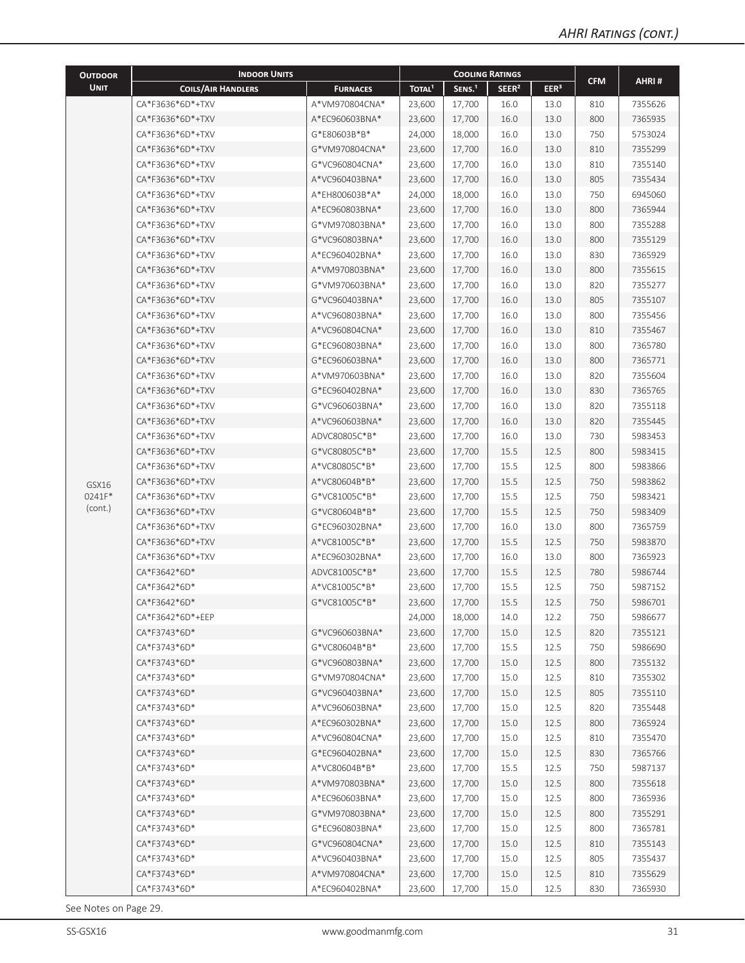| <b>OUTDOOR</b> | <b>INDOOR UNITS</b>       |                 |                    |                   | <b>COOLING RATINGS</b> |                  |            |         |
|----------------|---------------------------|-----------------|--------------------|-------------------|------------------------|------------------|------------|---------|
| <b>UNIT</b>    | <b>COILS/AIR HANDLERS</b> | <b>FURNACES</b> | TOTAL <sup>1</sup> | SENS <sup>1</sup> | SEER <sup>2</sup>      | EER <sup>3</sup> | <b>CFM</b> | AHRI#   |
|                | CA*F3636*6D*+TXV          | A*VM970804CNA*  | 23,600             | 17,700            | 16.0                   | 13.0             | 810        | 7355626 |
|                | CA*F3636*6D*+TXV          | A*EC960603BNA*  | 23,600             | 17,700            | 16.0                   | 13.0             | 800        | 7365935 |
|                | CA*F3636*6D*+TXV          | G*E80603B*B*    | 24,000             | 18,000            | 16.0                   | 13.0             | 750        | 5753024 |
|                | CA*F3636*6D*+TXV          | G*VM970804CNA*  | 23,600             | 17,700            | 16.0                   | 13.0             | 810        | 7355299 |
|                | CA*F3636*6D*+TXV          | G*VC960804CNA*  | 23,600             | 17,700            | 16.0                   | 13.0             | 810        | 7355140 |
|                | CA*F3636*6D*+TXV          | A*VC960403BNA*  | 23,600             | 17,700            | 16.0                   | 13.0             | 805        | 7355434 |
|                | CA*F3636*6D*+TXV          | A*EH800603B*A*  | 24,000             | 18,000            | 16.0                   | 13.0             | 750        | 6945060 |
|                | CA*F3636*6D*+TXV          | A*EC960803BNA*  | 23,600             | 17,700            | 16.0                   | 13.0             | 800        | 7365944 |
|                | CA*F3636*6D*+TXV          | G*VM970803BNA*  | 23,600             | 17,700            | 16.0                   | 13.0             | 800        | 7355288 |
|                | CA*F3636*6D*+TXV          | G*VC960803BNA*  | 23,600             | 17,700            | 16.0                   | 13.0             | 800        | 7355129 |
|                | CA*F3636*6D*+TXV          | A*EC960402BNA*  | 23,600             | 17,700            | 16.0                   | 13.0             | 830        | 7365929 |
|                | CA*F3636*6D*+TXV          | A*VM970803BNA*  | 23,600             | 17,700            | 16.0                   | 13.0             | 800        | 7355615 |
|                | CA*F3636*6D*+TXV          | G*VM970603BNA*  | 23,600             | 17,700            | 16.0                   | 13.0             | 820        | 7355277 |
|                | CA*F3636*6D*+TXV          | G*VC960403BNA*  | 23,600             | 17,700            | 16.0                   | 13.0             | 805        | 7355107 |
|                | CA*F3636*6D*+TXV          | A*VC960803BNA*  | 23,600             | 17,700            | 16.0                   | 13.0             | 800        | 7355456 |
|                | CA*F3636*6D*+TXV          | A*VC960804CNA*  | 23,600             | 17,700            | 16.0                   | 13.0             | 810        | 7355467 |
|                | CA*F3636*6D*+TXV          | G*EC960803BNA*  | 23,600             | 17,700            | 16.0                   | 13.0             | 800        | 7365780 |
|                | CA*F3636*6D*+TXV          | G*EC960603BNA*  | 23,600             | 17,700            | 16.0                   | 13.0             | 800        | 7365771 |
|                | CA*F3636*6D*+TXV          | A*VM970603BNA*  | 23,600             | 17,700            | 16.0                   | 13.0             | 820        | 7355604 |
|                | CA*F3636*6D*+TXV          | G*EC960402BNA*  | 23,600             | 17,700            | 16.0                   | 13.0             | 830        | 7365765 |
|                | CA*F3636*6D*+TXV          | G*VC960603BNA*  | 23,600             | 17,700            | 16.0                   | 13.0             | 820        | 7355118 |
|                | CA*F3636*6D*+TXV          | A*VC960603BNA*  | 23,600             | 17,700            | 16.0                   | 13.0             | 820        | 7355445 |
|                | CA*F3636*6D*+TXV          | ADVC80805C*B*   | 23,600             | 17,700            | 16.0                   | 13.0             | 730        | 5983453 |
|                | CA*F3636*6D*+TXV          | G*VC80805C*B*   | 23,600             | 17,700            | 15.5                   | 12.5             | 800        | 5983415 |
|                | CA*F3636*6D*+TXV          | A*VC80805C*B*   | 23,600             | 17,700            | 15.5                   | 12.5             | 800        | 5983866 |
| GSX16          | CA*F3636*6D*+TXV          | A*VC80604B*B*   | 23,600             | 17,700            | 15.5                   | 12.5             | 750        | 5983862 |
| 0241F*         | CA*F3636*6D*+TXV          | G*VC81005C*B*   | 23,600             | 17,700            | 15.5                   | 12.5             | 750        | 5983421 |
| (cont.)        | CA*F3636*6D*+TXV          | G*VC80604B*B*   | 23,600             | 17,700            | 15.5                   | 12.5             | 750        | 5983409 |
|                | CA*F3636*6D*+TXV          | G*EC960302BNA*  | 23,600             | 17,700            | 16.0                   | 13.0             | 800        | 7365759 |
|                | CA*F3636*6D*+TXV          | A*VC81005C*B*   | 23,600             | 17,700            | 15.5                   | 12.5             | 750        | 5983870 |
|                | CA*F3636*6D*+TXV          | A*EC960302BNA*  | 23,600             | 17,700            | 16.0                   | 13.0             | 800        | 7365923 |
|                | CA*F3642*6D*              | ADVC81005C*B*   | 23,600             | 17,700            | 15.5                   | 12.5             | 780        | 5986744 |
|                | CA*F3642*6D*              | A*VC81005C*B*   | 23,600             | 17,700            | 15.5                   | 12.5             | 750        | 5987152 |
|                | CA*F3642*6D*              | G*VC81005C*B*   | 23,600             | 17,700            | 15.5                   | 12.5             | 750        | 5986701 |
|                | CA*F3642*6D*+EEP          |                 | 24,000             | 18,000            | 14.0                   | 12.2             | 750        | 5986677 |
|                | CA*F3743*6D*              | G*VC960603BNA*  | 23,600             | 17,700            | 15.0                   | 12.5             | 820        | 7355121 |
|                | CA*F3743*6D*              | G*VC80604B*B*   | 23,600             | 17,700            | 15.5                   | 12.5             | 750        | 5986690 |
|                | CA*F3743*6D*              | G*VC960803BNA*  | 23,600             | 17,700            | 15.0                   | 12.5             | 800        | 7355132 |
|                | CA*F3743*6D*              | G*VM970804CNA*  | 23,600             | 17,700            | 15.0                   | 12.5             | 810        | 7355302 |
|                | CA*F3743*6D*              | G*VC960403BNA*  | 23,600             | 17,700            | 15.0                   | 12.5             | 805        | 7355110 |
|                | CA*F3743*6D*              | A*VC960603BNA*  | 23,600             | 17,700            | 15.0                   | 12.5             | 820        | 7355448 |
|                | CA*F3743*6D*              | A*EC960302BNA*  | 23,600             | 17,700            | 15.0                   | 12.5             | 800        | 7365924 |
|                | CA*F3743*6D*              | A*VC960804CNA*  | 23,600             | 17,700            | 15.0                   | 12.5             | 810        | 7355470 |
|                | CA*F3743*6D*              | G*EC960402BNA*  | 23,600             | 17,700            | 15.0                   | 12.5             | 830        | 7365766 |
|                | CA*F3743*6D*              | A*VC80604B*B*   | 23,600             | 17,700            | 15.5                   | 12.5             | 750        | 5987137 |
|                | CA*F3743*6D*              | A*VM970803BNA*  | 23,600             | 17,700            | 15.0                   | 12.5             | 800        | 7355618 |
|                | CA*F3743*6D*              | A*EC960603BNA*  | 23,600             | 17,700            | 15.0                   | 12.5             | 800        | 7365936 |
|                | CA*F3743*6D*              | G*VM970803BNA*  | 23,600             | 17,700            | 15.0                   | 12.5             | 800        | 7355291 |
|                | CA*F3743*6D*              | G*EC960803BNA*  | 23,600             | 17,700            | 15.0                   | 12.5             | 800        | 7365781 |
|                | CA*F3743*6D*              | G*VC960804CNA*  | 23,600             | 17,700            | 15.0                   | 12.5             | 810        | 7355143 |
|                | CA*F3743*6D*              | A*VC960403BNA*  | 23,600             | 17,700            | 15.0                   | 12.5             | 805        | 7355437 |
|                | CA*F3743*6D*              | A*VM970804CNA*  | 23,600             | 17,700            | 15.0                   | 12.5             | 810        | 7355629 |
|                | CA*F3743*6D*              | A*EC960402BNA*  | 23,600             | 17,700            | 15.0                   | 12.5             | 830        | 7365930 |
|                |                           |                 |                    |                   |                        |                  |            |         |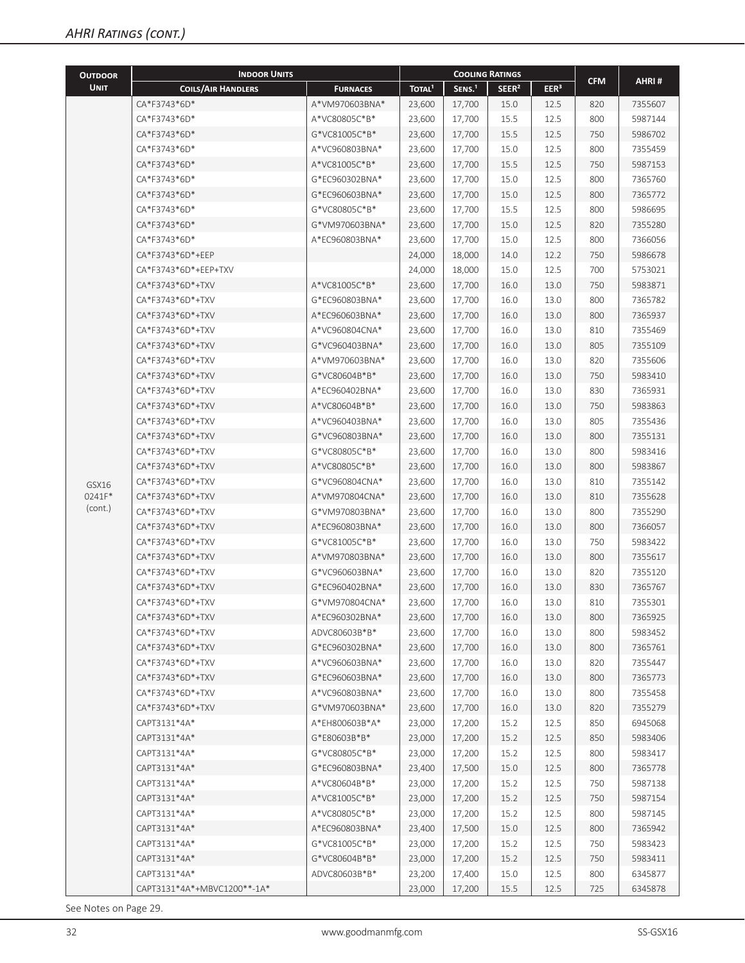| <b>OUTDOOR</b> | <b>INDOOR UNITS</b>         |                 |                    |                    | <b>COOLING RATINGS</b> |                  |            |         |
|----------------|-----------------------------|-----------------|--------------------|--------------------|------------------------|------------------|------------|---------|
| <b>UNIT</b>    | <b>COILS/AIR HANDLERS</b>   | <b>FURNACES</b> | TOTAL <sup>1</sup> | SENS. <sup>1</sup> | SEER <sup>2</sup>      | EER <sup>3</sup> | <b>CFM</b> | AHRI#   |
|                | CA*F3743*6D*                | A*VM970603BNA*  | 23,600             | 17,700             | 15.0                   | 12.5             | 820        | 7355607 |
|                | CA*F3743*6D*                | A*VC80805C*B*   | 23,600             | 17,700             | 15.5                   | 12.5             | 800        | 5987144 |
|                | CA*F3743*6D*                | G*VC81005C*B*   | 23,600             | 17,700             | 15.5                   | 12.5             | 750        | 5986702 |
|                | CA*F3743*6D*                | A*VC960803BNA*  | 23,600             | 17,700             | 15.0                   | 12.5             | 800        | 7355459 |
|                | CA*F3743*6D*                | A*VC81005C*B*   | 23,600             | 17,700             | 15.5                   | 12.5             | 750        | 5987153 |
|                | CA*F3743*6D*                | G*EC960302BNA*  | 23,600             | 17,700             | 15.0                   | 12.5             | 800        | 7365760 |
|                | CA*F3743*6D*                | G*EC960603BNA*  | 23,600             | 17,700             | 15.0                   | 12.5             | 800        | 7365772 |
|                | CA*F3743*6D*                | G*VC80805C*B*   | 23,600             | 17,700             | 15.5                   | 12.5             | 800        | 5986695 |
|                | CA*F3743*6D*                | G*VM970603BNA*  | 23,600             | 17,700             | 15.0                   | 12.5             | 820        | 7355280 |
|                | CA*F3743*6D*                | A*EC960803BNA*  | 23,600             | 17,700             | 15.0                   | 12.5             | 800        | 7366056 |
|                | CA*F3743*6D*+EEP            |                 | 24,000             | 18,000             | 14.0                   | 12.2             | 750        | 5986678 |
|                | CA*F3743*6D*+EEP+TXV        |                 | 24,000             | 18,000             | 15.0                   | 12.5             | 700        | 5753021 |
|                | CA*F3743*6D*+TXV            | A*VC81005C*B*   | 23,600             | 17,700             | 16.0                   | 13.0             | 750        | 5983871 |
|                | CA*F3743*6D*+TXV            | G*EC960803BNA*  | 23,600             | 17,700             | 16.0                   | 13.0             | 800        | 7365782 |
|                | CA*F3743*6D*+TXV            | A*EC960603BNA*  | 23,600             | 17,700             | 16.0                   | 13.0             | 800        | 7365937 |
|                | CA*F3743*6D*+TXV            | A*VC960804CNA*  | 23,600             | 17,700             | 16.0                   | 13.0             | 810        | 7355469 |
|                | CA*F3743*6D*+TXV            | G*VC960403BNA*  | 23,600             | 17,700             | 16.0                   | 13.0             | 805        | 7355109 |
|                | CA*F3743*6D*+TXV            | A*VM970603BNA*  | 23,600             | 17,700             | 16.0                   | 13.0             | 820        | 7355606 |
|                | CA*F3743*6D*+TXV            | G*VC80604B*B*   | 23,600             | 17,700             | 16.0                   | 13.0             | 750        | 5983410 |
|                | CA*F3743*6D*+TXV            | A*EC960402BNA*  | 23,600             | 17,700             | 16.0                   | 13.0             | 830        | 7365931 |
|                | CA*F3743*6D*+TXV            | A*VC80604B*B*   | 23,600             | 17,700             | 16.0                   | 13.0             | 750        | 5983863 |
|                | CA*F3743*6D*+TXV            | A*VC960403BNA*  | 23,600             | 17,700             | 16.0                   | 13.0             | 805        | 7355436 |
|                | CA*F3743*6D*+TXV            | G*VC960803BNA*  | 23,600             | 17,700             | 16.0                   | 13.0             | 800        | 7355131 |
|                | CA*F3743*6D*+TXV            | G*VC80805C*B*   | 23,600             | 17,700             | 16.0                   | 13.0             | 800        | 5983416 |
|                | CA*F3743*6D*+TXV            | A*VC80805C*B*   | 23,600             | 17,700             | 16.0                   | 13.0             | 800        | 5983867 |
| GSX16          | CA*F3743*6D*+TXV            | G*VC960804CNA*  | 23,600             | 17,700             | 16.0                   | 13.0             | 810        | 7355142 |
| 0241F*         | CA*F3743*6D*+TXV            | A*VM970804CNA*  | 23,600             | 17,700             | 16.0                   | 13.0             | 810        | 7355628 |
| (cont.)        | CA*F3743*6D*+TXV            | G*VM970803BNA*  | 23,600             | 17,700             | 16.0                   | 13.0             | 800        | 7355290 |
|                | CA*F3743*6D*+TXV            | A*EC960803BNA*  | 23,600             | 17,700             | 16.0                   | 13.0             | 800        | 7366057 |
|                | CA*F3743*6D*+TXV            | G*VC81005C*B*   | 23,600             | 17,700             | 16.0                   | 13.0             | 750        | 5983422 |
|                | CA*F3743*6D*+TXV            | A*VM970803BNA*  | 23,600             | 17,700             | 16.0                   | 13.0             | 800        | 7355617 |
|                | CA*F3743*6D*+TXV            | G*VC960603BNA*  | 23,600             | 17,700             | 16.0                   | 13.0             | 820        | 7355120 |
|                | CA*F3743*6D*+TXV            | G*EC960402BNA*  | 23,600             | 17,700             | 16.0                   | 13.0             | 830        | 7365767 |
|                | CA*F3743*6D*+TXV            | G*VM970804CNA*  | 23,600             | 17,700             | 16.0                   | 13.0             | 810        | 7355301 |
|                | CA*F3743*6D*+TXV            | A*EC960302BNA*  | 23,600             | 17,700             | 16.0                   | 13.0             | 800        | 7365925 |
|                | CA*F3743*6D*+TXV            | ADVC80603B*B*   | 23,600             | 17,700             | 16.0                   | 13.0             | 800        | 5983452 |
|                | CA*F3743*6D*+TXV            | G*EC960302BNA*  | 23,600             | 17,700             | 16.0                   | 13.0             | 800        | 7365761 |
|                | CA*F3743*6D*+TXV            | A*VC960603BNA*  | 23,600             | 17,700             | 16.0                   | 13.0             | 820        | 7355447 |
|                | CA*F3743*6D*+TXV            | G*EC960603BNA*  | 23,600             | 17,700             | 16.0                   | 13.0             | 800        | 7365773 |
|                | CA*F3743*6D*+TXV            | A*VC960803BNA*  | 23,600             | 17,700             | 16.0                   | 13.0             | 800        | 7355458 |
|                | CA*F3743*6D*+TXV            | G*VM970603BNA*  | 23,600             | 17,700             | 16.0                   | 13.0             | 820        | 7355279 |
|                | CAPT3131*4A*                | A*EH800603B*A*  | 23,000             | 17,200             | 15.2                   | 12.5             | 850        | 6945068 |
|                | CAPT3131*4A*                | G*E80603B*B*    | 23,000             | 17,200             | 15.2                   | 12.5             | 850        | 5983406 |
|                | CAPT3131*4A*                | G*VC80805C*B*   | 23,000             | 17,200             | 15.2                   | 12.5             | 800        | 5983417 |
|                | CAPT3131*4A*                | G*EC960803BNA*  | 23,400             | 17,500             | 15.0                   | 12.5             | 800        | 7365778 |
|                | CAPT3131*4A*                | A*VC80604B*B*   | 23,000             | 17,200             | 15.2                   | 12.5             | 750        | 5987138 |
|                | CAPT3131*4A*                | A*VC81005C*B*   | 23,000             | 17,200             | 15.2                   | 12.5             | 750        | 5987154 |
|                | CAPT3131*4A*                | A*VC80805C*B*   | 23,000             | 17,200             | 15.2                   | 12.5             | 800        | 5987145 |
|                | CAPT3131*4A*                | A*EC960803BNA*  | 23,400             | 17,500             | 15.0                   | 12.5             | 800        | 7365942 |
|                | CAPT3131*4A*                | G*VC81005C*B*   | 23,000             | 17,200             | 15.2                   | 12.5             | 750        | 5983423 |
|                | CAPT3131*4A*                | G*VC80604B*B*   | 23,000             | 17,200             | 15.2                   | 12.5             | 750        | 5983411 |
|                | CAPT3131*4A*                | ADVC80603B*B*   | 23,200             | 17,400             | 15.0                   | 12.5             | 800        | 6345877 |
|                | CAPT3131*4A*+MBVC1200**-1A* |                 | 23,000             | 17,200             | 15.5                   | 12.5             | 725        | 6345878 |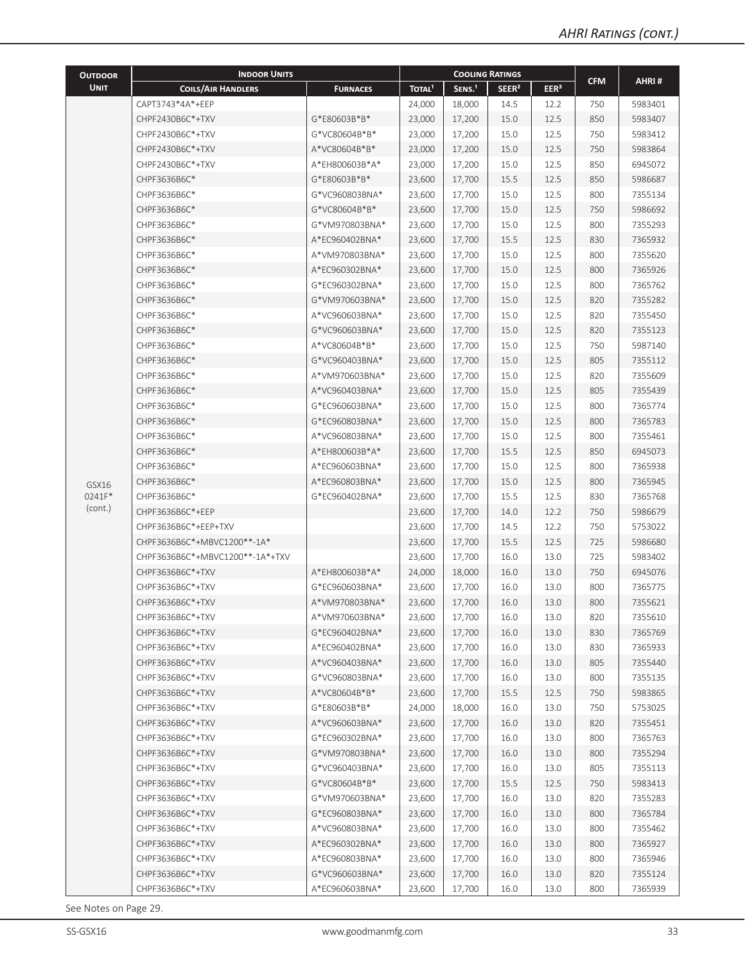| <b>OUTDOOR</b> | <b>INDOOR UNITS</b>             |                 |                    |                    | <b>COOLING RATINGS</b> |                  |            |         |
|----------------|---------------------------------|-----------------|--------------------|--------------------|------------------------|------------------|------------|---------|
| <b>UNIT</b>    | <b>COILS/AIR HANDLERS</b>       | <b>FURNACES</b> | TOTAL <sup>1</sup> | SENS. <sup>1</sup> | SEER <sup>2</sup>      | EER <sup>3</sup> | <b>CFM</b> | AHRI#   |
|                | CAPT3743*4A*+EEP                |                 | 24,000             | 18,000             | 14.5                   | 12.2             | 750        | 5983401 |
|                | CHPF2430B6C*+TXV                | G*E80603B*B*    | 23,000             | 17,200             | 15.0                   | 12.5             | 850        | 5983407 |
|                | CHPF2430B6C*+TXV                | G*VC80604B*B*   | 23,000             | 17,200             | 15.0                   | 12.5             | 750        | 5983412 |
|                | CHPF2430B6C*+TXV                | A*VC80604B*B*   | 23,000             | 17,200             | 15.0                   | 12.5             | 750        | 5983864 |
|                | CHPF2430B6C*+TXV                | A*EH800603B*A*  | 23,000             | 17,200             | 15.0                   | 12.5             | 850        | 6945072 |
|                | CHPF3636B6C*                    | G*E80603B*B*    | 23,600             | 17,700             | 15.5                   | 12.5             | 850        | 5986687 |
|                | CHPF3636B6C*                    | G*VC960803BNA*  | 23,600             | 17,700             | 15.0                   | 12.5             | 800        | 7355134 |
|                | CHPF3636B6C*                    | G*VC80604B*B*   | 23,600             | 17,700             | 15.0                   | 12.5             | 750        | 5986692 |
|                | CHPF3636B6C*                    | G*VM970803BNA*  | 23,600             | 17,700             | 15.0                   | 12.5             | 800        | 7355293 |
|                | CHPF3636B6C*                    | A*EC960402BNA*  | 23,600             | 17,700             | 15.5                   | 12.5             | 830        | 7365932 |
|                | CHPF3636B6C*                    | A*VM970803BNA*  | 23,600             | 17,700             | 15.0                   | 12.5             | 800        | 7355620 |
|                | CHPF3636B6C*                    | A*EC960302BNA*  | 23,600             | 17,700             | 15.0                   | 12.5             | 800        | 7365926 |
|                | CHPF3636B6C*                    | G*EC960302BNA*  | 23,600             | 17,700             | 15.0                   | 12.5             | 800        | 7365762 |
|                | CHPF3636B6C*                    | G*VM970603BNA*  | 23,600             | 17,700             | 15.0                   | 12.5             | 820        | 7355282 |
|                | CHPF3636B6C*                    | A*VC960603BNA*  | 23,600             | 17,700             | 15.0                   | 12.5             | 820        | 7355450 |
|                | CHPF3636B6C*                    | G*VC960603BNA*  | 23,600             | 17,700             | 15.0                   | 12.5             | 820        | 7355123 |
|                | CHPF3636B6C*                    | A*VC80604B*B*   | 23,600             | 17,700             | 15.0                   | 12.5             | 750        | 5987140 |
|                | CHPF3636B6C*                    | G*VC960403BNA*  | 23,600             | 17,700             | 15.0                   | 12.5             | 805        | 7355112 |
|                | CHPF3636B6C*                    | A*VM970603BNA*  | 23,600             | 17,700             | 15.0                   | 12.5             | 820        | 7355609 |
|                | CHPF3636B6C*                    | A*VC960403BNA*  | 23,600             | 17,700             | 15.0                   | 12.5             | 805        | 7355439 |
|                | CHPF3636B6C*                    | G*EC960603BNA*  | 23,600             | 17,700             | 15.0                   | 12.5             | 800        | 7365774 |
|                | CHPF3636B6C*                    | G*EC960803BNA*  | 23,600             | 17,700             | 15.0                   | 12.5             | 800        | 7365783 |
|                | CHPF3636B6C*                    | A*VC960803BNA*  | 23,600             | 17,700             | 15.0                   | 12.5             | 800        | 7355461 |
|                | CHPF3636B6C*                    | A*EH800603B*A*  | 23,600             | 17,700             | 15.5                   | 12.5             | 850        | 6945073 |
|                | CHPF3636B6C*                    | A*EC960603BNA*  | 23,600             | 17,700             | 15.0                   | 12.5             | 800        | 7365938 |
| GSX16          | CHPF3636B6C*                    | A*EC960803BNA*  | 23,600             | 17,700             | 15.0                   | 12.5             | 800        | 7365945 |
| 0241F*         | CHPF3636B6C*                    | G*EC960402BNA*  | 23,600             | 17,700             | 15.5                   | 12.5             | 830        | 7365768 |
| (cont.)        | CHPF3636B6C*+EEP                |                 | 23,600             | 17,700             | 14.0                   | 12.2             | 750        | 5986679 |
|                | CHPF3636B6C*+EEP+TXV            |                 | 23,600             | 17,700             | 14.5                   | 12.2             | 750        | 5753022 |
|                | CHPF3636B6C*+MBVC1200**-1A*     |                 | 23,600             | 17,700             | 15.5                   | 12.5             | 725        | 5986680 |
|                | CHPF3636B6C*+MBVC1200**-1A*+TXV |                 | 23,600             | 17,700             | 16.0                   | 13.0             | 725        | 5983402 |
|                | CHPF3636B6C*+TXV                | A*EH800603B*A*  | 24,000             | 18,000             | 16.0                   | 13.0             | 750        | 6945076 |
|                | CHPF3636B6C*+TXV                | G*EC960603BNA*  | 23,600             | 17,700             | 16.0                   | 13.0             | 800        | 7365775 |
|                | CHPF3636B6C*+TXV                | A*VM970803BNA*  | 23,600             | 17,700             | 16.0                   | 13.0             | 800        | 7355621 |
|                | CHPF3636B6C*+TXV                | A*VM970603BNA*  | 23,600             | 17,700             | 16.0                   | 13.0             | 820        | 7355610 |
|                | CHPF3636B6C*+TXV                | G*EC960402BNA*  | 23,600             | 17,700             | 16.0                   | 13.0             | 830        | 7365769 |
|                | CHPF3636B6C*+TXV                | A*EC960402BNA*  | 23,600             | 17,700             | 16.0                   | 13.0             | 830        | 7365933 |
|                | CHPF3636B6C*+TXV                | A*VC960403BNA*  | 23,600             | 17,700             | 16.0                   | 13.0             | 805        | 7355440 |
|                | CHPF3636B6C*+TXV                | G*VC960803BNA*  | 23,600             | 17,700             | 16.0                   | 13.0             | 800        | 7355135 |
|                | CHPF3636B6C*+TXV                | A*VC80604B*B*   | 23,600             | 17,700             | 15.5                   | 12.5             | 750        | 5983865 |
|                | CHPF3636B6C*+TXV                | G*E80603B*B*    | 24,000             | 18,000             | 16.0                   | 13.0             | 750        | 5753025 |
|                | CHPF3636B6C*+TXV                | A*VC960603BNA*  | 23,600             | 17,700             | 16.0                   | 13.0             | 820        | 7355451 |
|                | CHPF3636B6C*+TXV                | G*EC960302BNA*  | 23,600             | 17,700             | 16.0                   | 13.0             | 800        | 7365763 |
|                | CHPF3636B6C*+TXV                | G*VM970803BNA*  | 23,600             | 17,700             | 16.0                   | 13.0             | 800        | 7355294 |
|                | CHPF3636B6C*+TXV                | G*VC960403BNA*  | 23,600             | 17,700             | 16.0                   | 13.0             | 805        | 7355113 |
|                | CHPF3636B6C*+TXV                | G*VC80604B*B*   | 23,600             | 17,700             | 15.5                   | 12.5             | 750        | 5983413 |
|                | CHPF3636B6C*+TXV                | G*VM970603BNA*  | 23,600             | 17,700             | 16.0                   | 13.0             | 820        | 7355283 |
|                | CHPF3636B6C*+TXV                | G*EC960803BNA*  | 23,600             | 17,700             | 16.0                   | 13.0             | 800        | 7365784 |
|                | CHPF3636B6C*+TXV                | A*VC960803BNA*  | 23,600             | 17,700             | 16.0                   | 13.0             | 800        | 7355462 |
|                | CHPF3636B6C*+TXV                | A*EC960302BNA*  | 23,600             | 17,700             | 16.0                   | 13.0             | 800        | 7365927 |
|                | CHPF3636B6C*+TXV                | A*EC960803BNA*  | 23,600             | 17,700             | 16.0                   | 13.0             | 800        | 7365946 |
|                | CHPF3636B6C*+TXV                | G*VC960603BNA*  | 23,600             | 17,700             | 16.0                   | 13.0             | 820        | 7355124 |
|                | CHPF3636B6C*+TXV                | A*EC960603BNA*  | 23,600             | 17,700             | 16.0                   | 13.0             | 800        | 7365939 |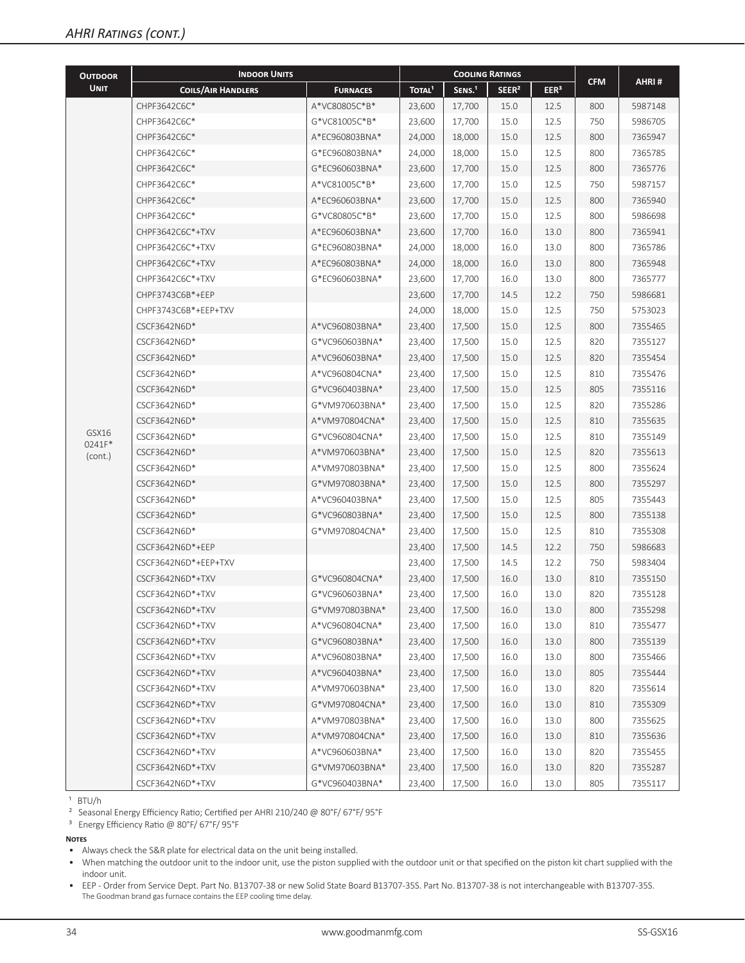| <b>OUTDOOR</b>    | <b>INDOOR UNITS</b>       |                 |                    |                    | <b>COOLING RATINGS</b> |                  |            |         |
|-------------------|---------------------------|-----------------|--------------------|--------------------|------------------------|------------------|------------|---------|
| <b>UNIT</b>       | <b>COILS/AIR HANDLERS</b> | <b>FURNACES</b> | TOTAL <sup>1</sup> | SENS. <sup>1</sup> | SEER <sup>2</sup>      | EER <sup>3</sup> | <b>CFM</b> | AHRI#   |
|                   | CHPF3642C6C*              | A*VC80805C*B*   | 23,600             | 17,700             | 15.0                   | 12.5             | 800        | 5987148 |
|                   | CHPF3642C6C*              | G*VC81005C*B*   | 23,600             | 17,700             | 15.0                   | 12.5             | 750        | 5986705 |
|                   | CHPF3642C6C*              | A*EC960803BNA*  | 24,000             | 18,000             | 15.0                   | 12.5             | 800        | 7365947 |
|                   | CHPF3642C6C*              | G*EC960803BNA*  | 24,000             | 18,000             | 15.0                   | 12.5             | 800        | 7365785 |
|                   | CHPF3642C6C*              | G*EC960603BNA*  | 23,600             | 17,700             | 15.0                   | 12.5             | 800        | 7365776 |
|                   | CHPF3642C6C*              | A*VC81005C*B*   | 23,600             | 17,700             | 15.0                   | 12.5             | 750        | 5987157 |
|                   | CHPF3642C6C*              | A*EC960603BNA*  | 23,600             | 17,700             | 15.0                   | 12.5             | 800        | 7365940 |
|                   | CHPF3642C6C*              | G*VC80805C*B*   | 23,600             | 17,700             | 15.0                   | 12.5             | 800        | 5986698 |
|                   | CHPF3642C6C*+TXV          | A*EC960603BNA*  | 23,600             | 17,700             | 16.0                   | 13.0             | 800        | 7365941 |
|                   | CHPF3642C6C*+TXV          | G*EC960803BNA*  | 24,000             | 18,000             | 16.0                   | 13.0             | 800        | 7365786 |
|                   | CHPF3642C6C*+TXV          | A*EC960803BNA*  | 24,000             | 18,000             | 16.0                   | 13.0             | 800        | 7365948 |
|                   | CHPF3642C6C*+TXV          | G*EC960603BNA*  | 23,600             | 17,700             | 16.0                   | 13.0             | 800        | 7365777 |
|                   | CHPF3743C6B*+EEP          |                 | 23,600             | 17,700             | 14.5                   | 12.2             | 750        | 5986681 |
|                   | CHPF3743C6B*+EEP+TXV      |                 | 24,000             | 18,000             | 15.0                   | 12.5             | 750        | 5753023 |
|                   | CSCF3642N6D*              | A*VC960803BNA*  | 23,400             | 17,500             | 15.0                   | 12.5             | 800        | 7355465 |
|                   | CSCF3642N6D*              | G*VC960603BNA*  | 23,400             | 17,500             | 15.0                   | 12.5             | 820        | 7355127 |
|                   | CSCF3642N6D*              | A*VC960603BNA*  | 23,400             | 17,500             | 15.0                   | 12.5             | 820        | 7355454 |
|                   | CSCF3642N6D*              | A*VC960804CNA*  | 23,400             | 17,500             | 15.0                   | 12.5             | 810        | 7355476 |
|                   | CSCF3642N6D*              | G*VC960403BNA*  | 23,400             | 17,500             | 15.0                   | 12.5             | 805        | 7355116 |
|                   | CSCF3642N6D*              | G*VM970603BNA*  | 23,400             | 17,500             | 15.0                   | 12.5             | 820        | 7355286 |
|                   | CSCF3642N6D*              | A*VM970804CNA*  | 23,400             | 17,500             | 15.0                   | 12.5             | 810        | 7355635 |
| GSX16             | CSCF3642N6D*              | G*VC960804CNA*  | 23,400             | 17,500             | 15.0                   | 12.5             | 810        | 7355149 |
| 0241F*<br>(cont.) | CSCF3642N6D*              | A*VM970603BNA*  | 23,400             | 17,500             | 15.0                   | 12.5             | 820        | 7355613 |
|                   | CSCF3642N6D*              | A*VM970803BNA*  | 23,400             | 17,500             | 15.0                   | 12.5             | 800        | 7355624 |
|                   | CSCF3642N6D*              | G*VM970803BNA*  | 23,400             | 17,500             | 15.0                   | 12.5             | 800        | 7355297 |
|                   | CSCF3642N6D*              | A*VC960403BNA*  | 23,400             | 17,500             | 15.0                   | 12.5             | 805        | 7355443 |
|                   | CSCF3642N6D*              | G*VC960803BNA*  | 23,400             | 17,500             | 15.0                   | 12.5             | 800        | 7355138 |
|                   | CSCF3642N6D*              | G*VM970804CNA*  | 23,400             | 17,500             | 15.0                   | 12.5             | 810        | 7355308 |
|                   | CSCF3642N6D*+EEP          |                 | 23,400             | 17,500             | 14.5                   | 12.2             | 750        | 5986683 |
|                   | CSCF3642N6D*+EEP+TXV      |                 | 23,400             | 17,500             | 14.5                   | 12.2             | 750        | 5983404 |
|                   | CSCF3642N6D*+TXV          | G*VC960804CNA*  | 23,400             | 17,500             | 16.0                   | 13.0             | 810        | 7355150 |
|                   | CSCF3642N6D*+TXV          | G*VC960603BNA*  | 23,400             | 17,500             | 16.0                   | 13.0             | 820        | 7355128 |
|                   | CSCF3642N6D*+TXV          | G*VM970803BNA*  | 23,400             | 17,500             | 16.0                   | 13.0             | 800        | 7355298 |
|                   | CSCF3642N6D*+TXV          | A*VC960804CNA*  | 23,400             | 17,500             | 16.0                   | 13.0             | 810        | 7355477 |
|                   | CSCF3642N6D*+TXV          | G*VC960803BNA*  | 23,400             | 17,500             | 16.0                   | 13.0             | 800        | 7355139 |
|                   | CSCF3642N6D*+TXV          | A*VC960803BNA*  | 23,400             | 17,500             | 16.0                   | 13.0             | 800        | 7355466 |
|                   | CSCF3642N6D*+TXV          | A*VC960403BNA*  | 23,400             | 17,500             | 16.0                   | 13.0             | 805        | 7355444 |
|                   | CSCF3642N6D*+TXV          | A*VM970603BNA*  | 23,400             | 17,500             | 16.0                   | 13.0             | 820        | 7355614 |
|                   | CSCF3642N6D*+TXV          | G*VM970804CNA*  | 23,400             | 17,500             | 16.0                   | 13.0             | 810        | 7355309 |
|                   | CSCF3642N6D*+TXV          | A*VM970803BNA*  | 23,400             | 17,500             | 16.0                   | 13.0             | 800        | 7355625 |
|                   | CSCF3642N6D*+TXV          | A*VM970804CNA*  | 23,400             | 17,500             | 16.0                   | 13.0             | 810        | 7355636 |
|                   | CSCF3642N6D*+TXV          | A*VC960603BNA*  | 23,400             | 17,500             | 16.0                   | 13.0             | 820        | 7355455 |
|                   | CSCF3642N6D*+TXV          | G*VM970603BNA*  | 23,400             | 17,500             | 16.0                   | 13.0             | 820        | 7355287 |
|                   | CSCF3642N6D*+TXV          | G*VC960403BNA*  | 23,400             | 17,500             | 16.0                   | 13.0             | 805        | 7355117 |

 $1$  BTU/h

<sup>2</sup> Seasonal Energy Efficiency Ratio; Certified per AHRI 210/240 @ 80°F/ 67°F/ 95°F

<sup>3</sup> Energy Efficiency Ratio @ 80°F/ 67°F/ 95°F

**Notes**

• Always check the S&R plate for electrical data on the unit being installed.

• When matching the outdoor unit to the indoor unit, use the piston supplied with the outdoor unit or that specified on the piston kit chart supplied with the indoor unit.

• EEP - Order from Service Dept. Part No. B13707-38 or new Solid State Board B13707-35S. Part No. B13707-38 is not interchangeable with B13707-35S. The Goodman brand gas furnace contains the EEP cooling time delay.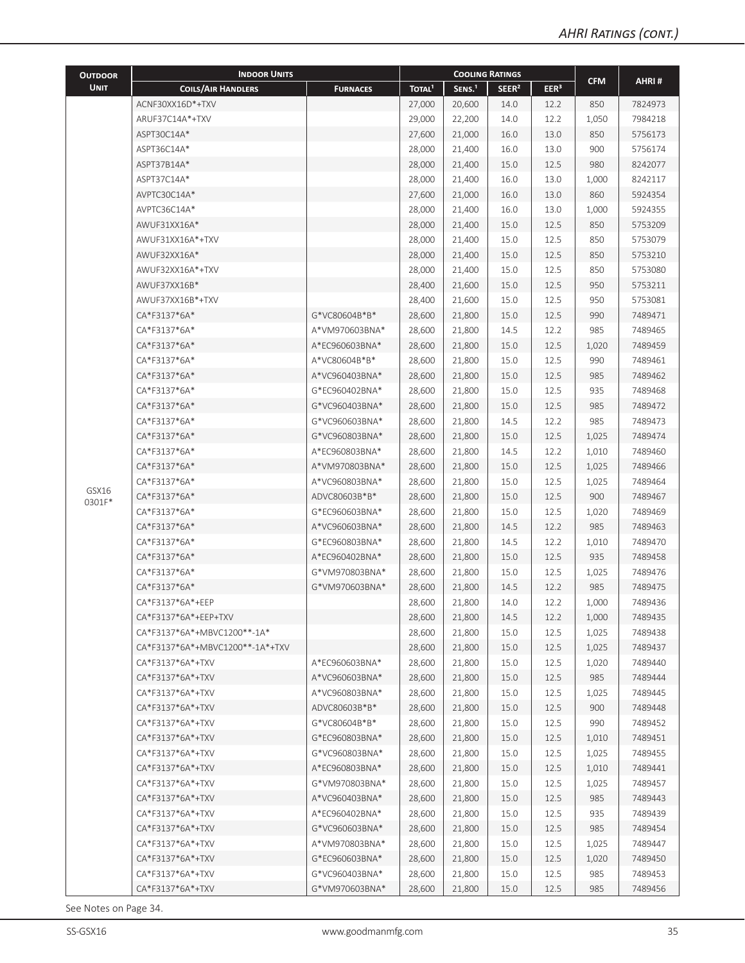| <b>UNIT</b><br>SENS. <sup>1</sup><br>EER <sup>3</sup><br>TOTAL <sup>1</sup><br>SEER <sup>2</sup><br><b>COILS/AIR HANDLERS</b><br><b>FURNACES</b><br>ACNF30XX16D*+TXV<br>20,600<br>14.0<br>12.2<br>850<br>7824973<br>27,000<br>ARUF37C14A*+TXV<br>29,000<br>14.0<br>12.2<br>1,050<br>7984218<br>22,200<br>13.0<br>850<br>ASPT30C14A*<br>27,600<br>21,000<br>16.0<br>5756173<br>900<br>5756174<br>ASPT36C14A*<br>28,000<br>21,400<br>16.0<br>13.0<br>21,400<br>15.0<br>12.5<br>980<br>8242077<br>ASPT37B14A*<br>28,000<br>ASPT37C14A*<br>28,000<br>21,400<br>13.0<br>1,000<br>8242117<br>16.0<br>AVPTC30C14A*<br>27,600<br>21,000<br>13.0<br>860<br>5924354<br>16.0<br>AVPTC36C14A*<br>28,000<br>21,400<br>16.0<br>13.0<br>1,000<br>5924355<br>AWUF31XX16A*<br>21,400<br>12.5<br>850<br>5753209<br>28,000<br>15.0<br>850<br>5753079<br>AWUF31XX16A*+TXV<br>28,000<br>21,400<br>15.0<br>12.5<br>850<br>AWUF32XX16A*<br>28,000<br>21,400<br>15.0<br>12.5<br>5753210<br>5753080<br>AWUF32XX16A*+TXV<br>28,000<br>21,400<br>15.0<br>12.5<br>850<br>950<br>AWUF37XX16B*<br>28,400<br>21,600<br>15.0<br>12.5<br>5753211<br>950<br>5753081<br>AWUF37XX16B*+TXV<br>28,400<br>21,600<br>15.0<br>12.5<br>CA*F3137*6A*<br>G*VC80604B*B*<br>28,600<br>21,800<br>12.5<br>990<br>7489471<br>15.0<br>985<br>CA*F3137*6A*<br>A*VM970603BNA*<br>28,600<br>21,800<br>14.5<br>12.2<br>7489465<br>CA*F3137*6A*<br>A*EC960603BNA*<br>28,600<br>21,800<br>15.0<br>12.5<br>7489459<br>1,020<br>CA*F3137*6A*<br>A*VC80604B*B*<br>28,600<br>12.5<br>990<br>7489461<br>21,800<br>15.0<br>A*VC960403BNA*<br>12.5<br>985<br>7489462<br>CA*F3137*6A*<br>28,600<br>21,800<br>15.0<br>CA*F3137*6A*<br>G*EC960402BNA*<br>15.0<br>12.5<br>935<br>7489468<br>28,600<br>21,800<br>12.5<br>985<br>CA*F3137*6A*<br>G*VC960403BNA*<br>28,600<br>21,800<br>15.0<br>7489472<br>985<br>CA*F3137*6A*<br>G*VC960603BNA*<br>28,600<br>21,800<br>14.5<br>12.2<br>7489473<br>CA*F3137*6A*<br>G*VC960803BNA*<br>28,600<br>21,800<br>15.0<br>12.5<br>1,025<br>7489474<br>CA*F3137*6A*<br>A*EC960803BNA*<br>28,600<br>21,800<br>14.5<br>12.2<br>1,010<br>7489460<br>CA*F3137*6A*<br>A*VM970803BNA*<br>28,600<br>21,800<br>15.0<br>12.5<br>1,025<br>7489466<br>CA*F3137*6A*<br>A*VC960803BNA*<br>21,800<br>15.0<br>12.5<br>7489464<br>28,600<br>1,025<br>GSX16<br>CA*F3137*6A*<br>ADVC80603B*B*<br>21,800<br>15.0<br>12.5<br>900<br>7489467<br>28,600<br>0301F*<br>CA*F3137*6A*<br>G*EC960603BNA*<br>21,800<br>15.0<br>12.5<br>1,020<br>7489469<br>28,600<br>CA*F3137*6A*<br>A*VC960603BNA*<br>28,600<br>12.2<br>985<br>7489463<br>21,800<br>14.5<br>CA*F3137*6A*<br>G*EC960803BNA*<br>28,600<br>21,800<br>14.5<br>12.2<br>1,010<br>7489470<br>CA*F3137*6A*<br>A*EC960402BNA*<br>12.5<br>935<br>28,600<br>21,800<br>15.0<br>7489458<br>12.5<br>CA*F3137*6A*<br>G*VM970803BNA*<br>28,600<br>21,800<br>15.0<br>1,025<br>7489476<br>12.2<br>985<br>CA*F3137*6A*<br>G*VM970603BNA*<br>28,600<br>21,800<br>14.5<br>7489475<br>CA*F3137*6A*+EEP<br>28,600<br>12.2<br>7489436<br>21,800<br>14.0<br>1,000<br>28,600<br>21,800<br>14.5<br>12.2<br>1,000<br>7489435<br>CA*F3137*6A*+EEP+TXV<br>CA*F3137*6A*+MBVC1200**-1A*<br>28,600<br>21,800<br>15.0<br>12.5<br>1,025<br>7489438<br>CA*F3137*6A*+MBVC1200**-1A*+TXV<br>28,600<br>21,800<br>12.5<br>7489437<br>15.0<br>1,025<br>CA*F3137*6A*+TXV<br>A*EC960603BNA*<br>28,600<br>21,800<br>15.0<br>12.5<br>7489440<br>1,020<br>CA*F3137*6A*+TXV<br>A*VC960603BNA*<br>28,600<br>21,800<br>15.0<br>12.5<br>985<br>7489444<br>CA*F3137*6A*+TXV<br>A*VC960803BNA*<br>28,600<br>21,800<br>15.0<br>12.5<br>1,025<br>7489445<br>CA*F3137*6A*+TXV<br>ADVC80603B*B*<br>21,800<br>12.5<br>900<br>7489448<br>28,600<br>15.0<br>990<br>CA*F3137*6A*+TXV<br>G*VC80604B*B*<br>28,600<br>21,800<br>15.0<br>12.5<br>7489452<br>G*EC960803BNA*<br>28,600<br>12.5<br>7489451<br>CA*F3137*6A*+TXV<br>21,800<br>15.0<br>1,010<br>CA*F3137*6A*+TXV<br>G*VC960803BNA*<br>28,600<br>12.5<br>7489455<br>21,800<br>15.0<br>1,025<br>28,600<br>12.5<br>CA*F3137*6A*+TXV<br>A*EC960803BNA*<br>21,800<br>15.0<br>1,010<br>7489441<br>CA*F3137*6A*+TXV<br>G*VM970803BNA*<br>21,800<br>15.0<br>12.5<br>28,600<br>1,025<br>7489457<br>CA*F3137*6A*+TXV<br>A*VC960403BNA*<br>28,600<br>21,800<br>15.0<br>12.5<br>985<br>7489443<br>CA*F3137*6A*+TXV<br>A*EC960402BNA*<br>12.5<br>935<br>28,600<br>21,800<br>15.0<br>7489439<br>CA*F3137*6A*+TXV<br>G*VC960603BNA*<br>28,600<br>21,800<br>12.5<br>985<br>7489454<br>15.0<br>A*VM970803BNA*<br>12.5<br>7489447<br>CA*F3137*6A*+TXV<br>28,600<br>21,800<br>15.0<br>1,025<br>12.5<br>7489450<br>28,600<br>21,800<br>15.0<br>1,020<br>CA*F3137*6A*+TXV<br>G*EC960603BNA*<br>CA*F3137*6A*+TXV<br>G*VC960403BNA*<br>28,600<br>21,800<br>15.0<br>12.5<br>985<br>7489453 | <b>OUTDOOR</b> | <b>INDOOR UNITS</b> |                |        |        | <b>COOLING RATINGS</b> |      |            |         |
|-------------------------------------------------------------------------------------------------------------------------------------------------------------------------------------------------------------------------------------------------------------------------------------------------------------------------------------------------------------------------------------------------------------------------------------------------------------------------------------------------------------------------------------------------------------------------------------------------------------------------------------------------------------------------------------------------------------------------------------------------------------------------------------------------------------------------------------------------------------------------------------------------------------------------------------------------------------------------------------------------------------------------------------------------------------------------------------------------------------------------------------------------------------------------------------------------------------------------------------------------------------------------------------------------------------------------------------------------------------------------------------------------------------------------------------------------------------------------------------------------------------------------------------------------------------------------------------------------------------------------------------------------------------------------------------------------------------------------------------------------------------------------------------------------------------------------------------------------------------------------------------------------------------------------------------------------------------------------------------------------------------------------------------------------------------------------------------------------------------------------------------------------------------------------------------------------------------------------------------------------------------------------------------------------------------------------------------------------------------------------------------------------------------------------------------------------------------------------------------------------------------------------------------------------------------------------------------------------------------------------------------------------------------------------------------------------------------------------------------------------------------------------------------------------------------------------------------------------------------------------------------------------------------------------------------------------------------------------------------------------------------------------------------------------------------------------------------------------------------------------------------------------------------------------------------------------------------------------------------------------------------------------------------------------------------------------------------------------------------------------------------------------------------------------------------------------------------------------------------------------------------------------------------------------------------------------------------------------------------------------------------------------------------------------------------------------------------------------------------------------------------------------------------------------------------------------------------------------------------------------------------------------------------------------------------------------------------------------------------------------------------------------------------------------------------------------------------------------------------------------------------------------------------------------------------------------------------------------------------------------------------------------------------------------------------------------------------------------------------------------------------------------------------------------------------------------------------------------------------------------------------------------------------------------------------------------------------------------------------------------------------------------------------------------------------------------------------------------------------------------------------------|----------------|---------------------|----------------|--------|--------|------------------------|------|------------|---------|
|                                                                                                                                                                                                                                                                                                                                                                                                                                                                                                                                                                                                                                                                                                                                                                                                                                                                                                                                                                                                                                                                                                                                                                                                                                                                                                                                                                                                                                                                                                                                                                                                                                                                                                                                                                                                                                                                                                                                                                                                                                                                                                                                                                                                                                                                                                                                                                                                                                                                                                                                                                                                                                                                                                                                                                                                                                                                                                                                                                                                                                                                                                                                                                                                                                                                                                                                                                                                                                                                                                                                                                                                                                                                                                                                                                                                                                                                                                                                                                                                                                                                                                                                                                                                                                                                                                                                                                                                                                                                                                                                                                                                                                                                                                                                                                   |                |                     |                |        |        |                        |      | <b>CFM</b> | AHRI#   |
|                                                                                                                                                                                                                                                                                                                                                                                                                                                                                                                                                                                                                                                                                                                                                                                                                                                                                                                                                                                                                                                                                                                                                                                                                                                                                                                                                                                                                                                                                                                                                                                                                                                                                                                                                                                                                                                                                                                                                                                                                                                                                                                                                                                                                                                                                                                                                                                                                                                                                                                                                                                                                                                                                                                                                                                                                                                                                                                                                                                                                                                                                                                                                                                                                                                                                                                                                                                                                                                                                                                                                                                                                                                                                                                                                                                                                                                                                                                                                                                                                                                                                                                                                                                                                                                                                                                                                                                                                                                                                                                                                                                                                                                                                                                                                                   |                |                     |                |        |        |                        |      |            |         |
|                                                                                                                                                                                                                                                                                                                                                                                                                                                                                                                                                                                                                                                                                                                                                                                                                                                                                                                                                                                                                                                                                                                                                                                                                                                                                                                                                                                                                                                                                                                                                                                                                                                                                                                                                                                                                                                                                                                                                                                                                                                                                                                                                                                                                                                                                                                                                                                                                                                                                                                                                                                                                                                                                                                                                                                                                                                                                                                                                                                                                                                                                                                                                                                                                                                                                                                                                                                                                                                                                                                                                                                                                                                                                                                                                                                                                                                                                                                                                                                                                                                                                                                                                                                                                                                                                                                                                                                                                                                                                                                                                                                                                                                                                                                                                                   |                |                     |                |        |        |                        |      |            |         |
|                                                                                                                                                                                                                                                                                                                                                                                                                                                                                                                                                                                                                                                                                                                                                                                                                                                                                                                                                                                                                                                                                                                                                                                                                                                                                                                                                                                                                                                                                                                                                                                                                                                                                                                                                                                                                                                                                                                                                                                                                                                                                                                                                                                                                                                                                                                                                                                                                                                                                                                                                                                                                                                                                                                                                                                                                                                                                                                                                                                                                                                                                                                                                                                                                                                                                                                                                                                                                                                                                                                                                                                                                                                                                                                                                                                                                                                                                                                                                                                                                                                                                                                                                                                                                                                                                                                                                                                                                                                                                                                                                                                                                                                                                                                                                                   |                |                     |                |        |        |                        |      |            |         |
|                                                                                                                                                                                                                                                                                                                                                                                                                                                                                                                                                                                                                                                                                                                                                                                                                                                                                                                                                                                                                                                                                                                                                                                                                                                                                                                                                                                                                                                                                                                                                                                                                                                                                                                                                                                                                                                                                                                                                                                                                                                                                                                                                                                                                                                                                                                                                                                                                                                                                                                                                                                                                                                                                                                                                                                                                                                                                                                                                                                                                                                                                                                                                                                                                                                                                                                                                                                                                                                                                                                                                                                                                                                                                                                                                                                                                                                                                                                                                                                                                                                                                                                                                                                                                                                                                                                                                                                                                                                                                                                                                                                                                                                                                                                                                                   |                |                     |                |        |        |                        |      |            |         |
|                                                                                                                                                                                                                                                                                                                                                                                                                                                                                                                                                                                                                                                                                                                                                                                                                                                                                                                                                                                                                                                                                                                                                                                                                                                                                                                                                                                                                                                                                                                                                                                                                                                                                                                                                                                                                                                                                                                                                                                                                                                                                                                                                                                                                                                                                                                                                                                                                                                                                                                                                                                                                                                                                                                                                                                                                                                                                                                                                                                                                                                                                                                                                                                                                                                                                                                                                                                                                                                                                                                                                                                                                                                                                                                                                                                                                                                                                                                                                                                                                                                                                                                                                                                                                                                                                                                                                                                                                                                                                                                                                                                                                                                                                                                                                                   |                |                     |                |        |        |                        |      |            |         |
|                                                                                                                                                                                                                                                                                                                                                                                                                                                                                                                                                                                                                                                                                                                                                                                                                                                                                                                                                                                                                                                                                                                                                                                                                                                                                                                                                                                                                                                                                                                                                                                                                                                                                                                                                                                                                                                                                                                                                                                                                                                                                                                                                                                                                                                                                                                                                                                                                                                                                                                                                                                                                                                                                                                                                                                                                                                                                                                                                                                                                                                                                                                                                                                                                                                                                                                                                                                                                                                                                                                                                                                                                                                                                                                                                                                                                                                                                                                                                                                                                                                                                                                                                                                                                                                                                                                                                                                                                                                                                                                                                                                                                                                                                                                                                                   |                |                     |                |        |        |                        |      |            |         |
|                                                                                                                                                                                                                                                                                                                                                                                                                                                                                                                                                                                                                                                                                                                                                                                                                                                                                                                                                                                                                                                                                                                                                                                                                                                                                                                                                                                                                                                                                                                                                                                                                                                                                                                                                                                                                                                                                                                                                                                                                                                                                                                                                                                                                                                                                                                                                                                                                                                                                                                                                                                                                                                                                                                                                                                                                                                                                                                                                                                                                                                                                                                                                                                                                                                                                                                                                                                                                                                                                                                                                                                                                                                                                                                                                                                                                                                                                                                                                                                                                                                                                                                                                                                                                                                                                                                                                                                                                                                                                                                                                                                                                                                                                                                                                                   |                |                     |                |        |        |                        |      |            |         |
|                                                                                                                                                                                                                                                                                                                                                                                                                                                                                                                                                                                                                                                                                                                                                                                                                                                                                                                                                                                                                                                                                                                                                                                                                                                                                                                                                                                                                                                                                                                                                                                                                                                                                                                                                                                                                                                                                                                                                                                                                                                                                                                                                                                                                                                                                                                                                                                                                                                                                                                                                                                                                                                                                                                                                                                                                                                                                                                                                                                                                                                                                                                                                                                                                                                                                                                                                                                                                                                                                                                                                                                                                                                                                                                                                                                                                                                                                                                                                                                                                                                                                                                                                                                                                                                                                                                                                                                                                                                                                                                                                                                                                                                                                                                                                                   |                |                     |                |        |        |                        |      |            |         |
|                                                                                                                                                                                                                                                                                                                                                                                                                                                                                                                                                                                                                                                                                                                                                                                                                                                                                                                                                                                                                                                                                                                                                                                                                                                                                                                                                                                                                                                                                                                                                                                                                                                                                                                                                                                                                                                                                                                                                                                                                                                                                                                                                                                                                                                                                                                                                                                                                                                                                                                                                                                                                                                                                                                                                                                                                                                                                                                                                                                                                                                                                                                                                                                                                                                                                                                                                                                                                                                                                                                                                                                                                                                                                                                                                                                                                                                                                                                                                                                                                                                                                                                                                                                                                                                                                                                                                                                                                                                                                                                                                                                                                                                                                                                                                                   |                |                     |                |        |        |                        |      |            |         |
|                                                                                                                                                                                                                                                                                                                                                                                                                                                                                                                                                                                                                                                                                                                                                                                                                                                                                                                                                                                                                                                                                                                                                                                                                                                                                                                                                                                                                                                                                                                                                                                                                                                                                                                                                                                                                                                                                                                                                                                                                                                                                                                                                                                                                                                                                                                                                                                                                                                                                                                                                                                                                                                                                                                                                                                                                                                                                                                                                                                                                                                                                                                                                                                                                                                                                                                                                                                                                                                                                                                                                                                                                                                                                                                                                                                                                                                                                                                                                                                                                                                                                                                                                                                                                                                                                                                                                                                                                                                                                                                                                                                                                                                                                                                                                                   |                |                     |                |        |        |                        |      |            |         |
|                                                                                                                                                                                                                                                                                                                                                                                                                                                                                                                                                                                                                                                                                                                                                                                                                                                                                                                                                                                                                                                                                                                                                                                                                                                                                                                                                                                                                                                                                                                                                                                                                                                                                                                                                                                                                                                                                                                                                                                                                                                                                                                                                                                                                                                                                                                                                                                                                                                                                                                                                                                                                                                                                                                                                                                                                                                                                                                                                                                                                                                                                                                                                                                                                                                                                                                                                                                                                                                                                                                                                                                                                                                                                                                                                                                                                                                                                                                                                                                                                                                                                                                                                                                                                                                                                                                                                                                                                                                                                                                                                                                                                                                                                                                                                                   |                |                     |                |        |        |                        |      |            |         |
|                                                                                                                                                                                                                                                                                                                                                                                                                                                                                                                                                                                                                                                                                                                                                                                                                                                                                                                                                                                                                                                                                                                                                                                                                                                                                                                                                                                                                                                                                                                                                                                                                                                                                                                                                                                                                                                                                                                                                                                                                                                                                                                                                                                                                                                                                                                                                                                                                                                                                                                                                                                                                                                                                                                                                                                                                                                                                                                                                                                                                                                                                                                                                                                                                                                                                                                                                                                                                                                                                                                                                                                                                                                                                                                                                                                                                                                                                                                                                                                                                                                                                                                                                                                                                                                                                                                                                                                                                                                                                                                                                                                                                                                                                                                                                                   |                |                     |                |        |        |                        |      |            |         |
|                                                                                                                                                                                                                                                                                                                                                                                                                                                                                                                                                                                                                                                                                                                                                                                                                                                                                                                                                                                                                                                                                                                                                                                                                                                                                                                                                                                                                                                                                                                                                                                                                                                                                                                                                                                                                                                                                                                                                                                                                                                                                                                                                                                                                                                                                                                                                                                                                                                                                                                                                                                                                                                                                                                                                                                                                                                                                                                                                                                                                                                                                                                                                                                                                                                                                                                                                                                                                                                                                                                                                                                                                                                                                                                                                                                                                                                                                                                                                                                                                                                                                                                                                                                                                                                                                                                                                                                                                                                                                                                                                                                                                                                                                                                                                                   |                |                     |                |        |        |                        |      |            |         |
|                                                                                                                                                                                                                                                                                                                                                                                                                                                                                                                                                                                                                                                                                                                                                                                                                                                                                                                                                                                                                                                                                                                                                                                                                                                                                                                                                                                                                                                                                                                                                                                                                                                                                                                                                                                                                                                                                                                                                                                                                                                                                                                                                                                                                                                                                                                                                                                                                                                                                                                                                                                                                                                                                                                                                                                                                                                                                                                                                                                                                                                                                                                                                                                                                                                                                                                                                                                                                                                                                                                                                                                                                                                                                                                                                                                                                                                                                                                                                                                                                                                                                                                                                                                                                                                                                                                                                                                                                                                                                                                                                                                                                                                                                                                                                                   |                |                     |                |        |        |                        |      |            |         |
|                                                                                                                                                                                                                                                                                                                                                                                                                                                                                                                                                                                                                                                                                                                                                                                                                                                                                                                                                                                                                                                                                                                                                                                                                                                                                                                                                                                                                                                                                                                                                                                                                                                                                                                                                                                                                                                                                                                                                                                                                                                                                                                                                                                                                                                                                                                                                                                                                                                                                                                                                                                                                                                                                                                                                                                                                                                                                                                                                                                                                                                                                                                                                                                                                                                                                                                                                                                                                                                                                                                                                                                                                                                                                                                                                                                                                                                                                                                                                                                                                                                                                                                                                                                                                                                                                                                                                                                                                                                                                                                                                                                                                                                                                                                                                                   |                |                     |                |        |        |                        |      |            |         |
|                                                                                                                                                                                                                                                                                                                                                                                                                                                                                                                                                                                                                                                                                                                                                                                                                                                                                                                                                                                                                                                                                                                                                                                                                                                                                                                                                                                                                                                                                                                                                                                                                                                                                                                                                                                                                                                                                                                                                                                                                                                                                                                                                                                                                                                                                                                                                                                                                                                                                                                                                                                                                                                                                                                                                                                                                                                                                                                                                                                                                                                                                                                                                                                                                                                                                                                                                                                                                                                                                                                                                                                                                                                                                                                                                                                                                                                                                                                                                                                                                                                                                                                                                                                                                                                                                                                                                                                                                                                                                                                                                                                                                                                                                                                                                                   |                |                     |                |        |        |                        |      |            |         |
|                                                                                                                                                                                                                                                                                                                                                                                                                                                                                                                                                                                                                                                                                                                                                                                                                                                                                                                                                                                                                                                                                                                                                                                                                                                                                                                                                                                                                                                                                                                                                                                                                                                                                                                                                                                                                                                                                                                                                                                                                                                                                                                                                                                                                                                                                                                                                                                                                                                                                                                                                                                                                                                                                                                                                                                                                                                                                                                                                                                                                                                                                                                                                                                                                                                                                                                                                                                                                                                                                                                                                                                                                                                                                                                                                                                                                                                                                                                                                                                                                                                                                                                                                                                                                                                                                                                                                                                                                                                                                                                                                                                                                                                                                                                                                                   |                |                     |                |        |        |                        |      |            |         |
|                                                                                                                                                                                                                                                                                                                                                                                                                                                                                                                                                                                                                                                                                                                                                                                                                                                                                                                                                                                                                                                                                                                                                                                                                                                                                                                                                                                                                                                                                                                                                                                                                                                                                                                                                                                                                                                                                                                                                                                                                                                                                                                                                                                                                                                                                                                                                                                                                                                                                                                                                                                                                                                                                                                                                                                                                                                                                                                                                                                                                                                                                                                                                                                                                                                                                                                                                                                                                                                                                                                                                                                                                                                                                                                                                                                                                                                                                                                                                                                                                                                                                                                                                                                                                                                                                                                                                                                                                                                                                                                                                                                                                                                                                                                                                                   |                |                     |                |        |        |                        |      |            |         |
|                                                                                                                                                                                                                                                                                                                                                                                                                                                                                                                                                                                                                                                                                                                                                                                                                                                                                                                                                                                                                                                                                                                                                                                                                                                                                                                                                                                                                                                                                                                                                                                                                                                                                                                                                                                                                                                                                                                                                                                                                                                                                                                                                                                                                                                                                                                                                                                                                                                                                                                                                                                                                                                                                                                                                                                                                                                                                                                                                                                                                                                                                                                                                                                                                                                                                                                                                                                                                                                                                                                                                                                                                                                                                                                                                                                                                                                                                                                                                                                                                                                                                                                                                                                                                                                                                                                                                                                                                                                                                                                                                                                                                                                                                                                                                                   |                |                     |                |        |        |                        |      |            |         |
|                                                                                                                                                                                                                                                                                                                                                                                                                                                                                                                                                                                                                                                                                                                                                                                                                                                                                                                                                                                                                                                                                                                                                                                                                                                                                                                                                                                                                                                                                                                                                                                                                                                                                                                                                                                                                                                                                                                                                                                                                                                                                                                                                                                                                                                                                                                                                                                                                                                                                                                                                                                                                                                                                                                                                                                                                                                                                                                                                                                                                                                                                                                                                                                                                                                                                                                                                                                                                                                                                                                                                                                                                                                                                                                                                                                                                                                                                                                                                                                                                                                                                                                                                                                                                                                                                                                                                                                                                                                                                                                                                                                                                                                                                                                                                                   |                |                     |                |        |        |                        |      |            |         |
|                                                                                                                                                                                                                                                                                                                                                                                                                                                                                                                                                                                                                                                                                                                                                                                                                                                                                                                                                                                                                                                                                                                                                                                                                                                                                                                                                                                                                                                                                                                                                                                                                                                                                                                                                                                                                                                                                                                                                                                                                                                                                                                                                                                                                                                                                                                                                                                                                                                                                                                                                                                                                                                                                                                                                                                                                                                                                                                                                                                                                                                                                                                                                                                                                                                                                                                                                                                                                                                                                                                                                                                                                                                                                                                                                                                                                                                                                                                                                                                                                                                                                                                                                                                                                                                                                                                                                                                                                                                                                                                                                                                                                                                                                                                                                                   |                |                     |                |        |        |                        |      |            |         |
|                                                                                                                                                                                                                                                                                                                                                                                                                                                                                                                                                                                                                                                                                                                                                                                                                                                                                                                                                                                                                                                                                                                                                                                                                                                                                                                                                                                                                                                                                                                                                                                                                                                                                                                                                                                                                                                                                                                                                                                                                                                                                                                                                                                                                                                                                                                                                                                                                                                                                                                                                                                                                                                                                                                                                                                                                                                                                                                                                                                                                                                                                                                                                                                                                                                                                                                                                                                                                                                                                                                                                                                                                                                                                                                                                                                                                                                                                                                                                                                                                                                                                                                                                                                                                                                                                                                                                                                                                                                                                                                                                                                                                                                                                                                                                                   |                |                     |                |        |        |                        |      |            |         |
|                                                                                                                                                                                                                                                                                                                                                                                                                                                                                                                                                                                                                                                                                                                                                                                                                                                                                                                                                                                                                                                                                                                                                                                                                                                                                                                                                                                                                                                                                                                                                                                                                                                                                                                                                                                                                                                                                                                                                                                                                                                                                                                                                                                                                                                                                                                                                                                                                                                                                                                                                                                                                                                                                                                                                                                                                                                                                                                                                                                                                                                                                                                                                                                                                                                                                                                                                                                                                                                                                                                                                                                                                                                                                                                                                                                                                                                                                                                                                                                                                                                                                                                                                                                                                                                                                                                                                                                                                                                                                                                                                                                                                                                                                                                                                                   |                |                     |                |        |        |                        |      |            |         |
|                                                                                                                                                                                                                                                                                                                                                                                                                                                                                                                                                                                                                                                                                                                                                                                                                                                                                                                                                                                                                                                                                                                                                                                                                                                                                                                                                                                                                                                                                                                                                                                                                                                                                                                                                                                                                                                                                                                                                                                                                                                                                                                                                                                                                                                                                                                                                                                                                                                                                                                                                                                                                                                                                                                                                                                                                                                                                                                                                                                                                                                                                                                                                                                                                                                                                                                                                                                                                                                                                                                                                                                                                                                                                                                                                                                                                                                                                                                                                                                                                                                                                                                                                                                                                                                                                                                                                                                                                                                                                                                                                                                                                                                                                                                                                                   |                |                     |                |        |        |                        |      |            |         |
|                                                                                                                                                                                                                                                                                                                                                                                                                                                                                                                                                                                                                                                                                                                                                                                                                                                                                                                                                                                                                                                                                                                                                                                                                                                                                                                                                                                                                                                                                                                                                                                                                                                                                                                                                                                                                                                                                                                                                                                                                                                                                                                                                                                                                                                                                                                                                                                                                                                                                                                                                                                                                                                                                                                                                                                                                                                                                                                                                                                                                                                                                                                                                                                                                                                                                                                                                                                                                                                                                                                                                                                                                                                                                                                                                                                                                                                                                                                                                                                                                                                                                                                                                                                                                                                                                                                                                                                                                                                                                                                                                                                                                                                                                                                                                                   |                |                     |                |        |        |                        |      |            |         |
|                                                                                                                                                                                                                                                                                                                                                                                                                                                                                                                                                                                                                                                                                                                                                                                                                                                                                                                                                                                                                                                                                                                                                                                                                                                                                                                                                                                                                                                                                                                                                                                                                                                                                                                                                                                                                                                                                                                                                                                                                                                                                                                                                                                                                                                                                                                                                                                                                                                                                                                                                                                                                                                                                                                                                                                                                                                                                                                                                                                                                                                                                                                                                                                                                                                                                                                                                                                                                                                                                                                                                                                                                                                                                                                                                                                                                                                                                                                                                                                                                                                                                                                                                                                                                                                                                                                                                                                                                                                                                                                                                                                                                                                                                                                                                                   |                |                     |                |        |        |                        |      |            |         |
|                                                                                                                                                                                                                                                                                                                                                                                                                                                                                                                                                                                                                                                                                                                                                                                                                                                                                                                                                                                                                                                                                                                                                                                                                                                                                                                                                                                                                                                                                                                                                                                                                                                                                                                                                                                                                                                                                                                                                                                                                                                                                                                                                                                                                                                                                                                                                                                                                                                                                                                                                                                                                                                                                                                                                                                                                                                                                                                                                                                                                                                                                                                                                                                                                                                                                                                                                                                                                                                                                                                                                                                                                                                                                                                                                                                                                                                                                                                                                                                                                                                                                                                                                                                                                                                                                                                                                                                                                                                                                                                                                                                                                                                                                                                                                                   |                |                     |                |        |        |                        |      |            |         |
|                                                                                                                                                                                                                                                                                                                                                                                                                                                                                                                                                                                                                                                                                                                                                                                                                                                                                                                                                                                                                                                                                                                                                                                                                                                                                                                                                                                                                                                                                                                                                                                                                                                                                                                                                                                                                                                                                                                                                                                                                                                                                                                                                                                                                                                                                                                                                                                                                                                                                                                                                                                                                                                                                                                                                                                                                                                                                                                                                                                                                                                                                                                                                                                                                                                                                                                                                                                                                                                                                                                                                                                                                                                                                                                                                                                                                                                                                                                                                                                                                                                                                                                                                                                                                                                                                                                                                                                                                                                                                                                                                                                                                                                                                                                                                                   |                |                     |                |        |        |                        |      |            |         |
|                                                                                                                                                                                                                                                                                                                                                                                                                                                                                                                                                                                                                                                                                                                                                                                                                                                                                                                                                                                                                                                                                                                                                                                                                                                                                                                                                                                                                                                                                                                                                                                                                                                                                                                                                                                                                                                                                                                                                                                                                                                                                                                                                                                                                                                                                                                                                                                                                                                                                                                                                                                                                                                                                                                                                                                                                                                                                                                                                                                                                                                                                                                                                                                                                                                                                                                                                                                                                                                                                                                                                                                                                                                                                                                                                                                                                                                                                                                                                                                                                                                                                                                                                                                                                                                                                                                                                                                                                                                                                                                                                                                                                                                                                                                                                                   |                |                     |                |        |        |                        |      |            |         |
|                                                                                                                                                                                                                                                                                                                                                                                                                                                                                                                                                                                                                                                                                                                                                                                                                                                                                                                                                                                                                                                                                                                                                                                                                                                                                                                                                                                                                                                                                                                                                                                                                                                                                                                                                                                                                                                                                                                                                                                                                                                                                                                                                                                                                                                                                                                                                                                                                                                                                                                                                                                                                                                                                                                                                                                                                                                                                                                                                                                                                                                                                                                                                                                                                                                                                                                                                                                                                                                                                                                                                                                                                                                                                                                                                                                                                                                                                                                                                                                                                                                                                                                                                                                                                                                                                                                                                                                                                                                                                                                                                                                                                                                                                                                                                                   |                |                     |                |        |        |                        |      |            |         |
|                                                                                                                                                                                                                                                                                                                                                                                                                                                                                                                                                                                                                                                                                                                                                                                                                                                                                                                                                                                                                                                                                                                                                                                                                                                                                                                                                                                                                                                                                                                                                                                                                                                                                                                                                                                                                                                                                                                                                                                                                                                                                                                                                                                                                                                                                                                                                                                                                                                                                                                                                                                                                                                                                                                                                                                                                                                                                                                                                                                                                                                                                                                                                                                                                                                                                                                                                                                                                                                                                                                                                                                                                                                                                                                                                                                                                                                                                                                                                                                                                                                                                                                                                                                                                                                                                                                                                                                                                                                                                                                                                                                                                                                                                                                                                                   |                |                     |                |        |        |                        |      |            |         |
|                                                                                                                                                                                                                                                                                                                                                                                                                                                                                                                                                                                                                                                                                                                                                                                                                                                                                                                                                                                                                                                                                                                                                                                                                                                                                                                                                                                                                                                                                                                                                                                                                                                                                                                                                                                                                                                                                                                                                                                                                                                                                                                                                                                                                                                                                                                                                                                                                                                                                                                                                                                                                                                                                                                                                                                                                                                                                                                                                                                                                                                                                                                                                                                                                                                                                                                                                                                                                                                                                                                                                                                                                                                                                                                                                                                                                                                                                                                                                                                                                                                                                                                                                                                                                                                                                                                                                                                                                                                                                                                                                                                                                                                                                                                                                                   |                |                     |                |        |        |                        |      |            |         |
|                                                                                                                                                                                                                                                                                                                                                                                                                                                                                                                                                                                                                                                                                                                                                                                                                                                                                                                                                                                                                                                                                                                                                                                                                                                                                                                                                                                                                                                                                                                                                                                                                                                                                                                                                                                                                                                                                                                                                                                                                                                                                                                                                                                                                                                                                                                                                                                                                                                                                                                                                                                                                                                                                                                                                                                                                                                                                                                                                                                                                                                                                                                                                                                                                                                                                                                                                                                                                                                                                                                                                                                                                                                                                                                                                                                                                                                                                                                                                                                                                                                                                                                                                                                                                                                                                                                                                                                                                                                                                                                                                                                                                                                                                                                                                                   |                |                     |                |        |        |                        |      |            |         |
|                                                                                                                                                                                                                                                                                                                                                                                                                                                                                                                                                                                                                                                                                                                                                                                                                                                                                                                                                                                                                                                                                                                                                                                                                                                                                                                                                                                                                                                                                                                                                                                                                                                                                                                                                                                                                                                                                                                                                                                                                                                                                                                                                                                                                                                                                                                                                                                                                                                                                                                                                                                                                                                                                                                                                                                                                                                                                                                                                                                                                                                                                                                                                                                                                                                                                                                                                                                                                                                                                                                                                                                                                                                                                                                                                                                                                                                                                                                                                                                                                                                                                                                                                                                                                                                                                                                                                                                                                                                                                                                                                                                                                                                                                                                                                                   |                |                     |                |        |        |                        |      |            |         |
|                                                                                                                                                                                                                                                                                                                                                                                                                                                                                                                                                                                                                                                                                                                                                                                                                                                                                                                                                                                                                                                                                                                                                                                                                                                                                                                                                                                                                                                                                                                                                                                                                                                                                                                                                                                                                                                                                                                                                                                                                                                                                                                                                                                                                                                                                                                                                                                                                                                                                                                                                                                                                                                                                                                                                                                                                                                                                                                                                                                                                                                                                                                                                                                                                                                                                                                                                                                                                                                                                                                                                                                                                                                                                                                                                                                                                                                                                                                                                                                                                                                                                                                                                                                                                                                                                                                                                                                                                                                                                                                                                                                                                                                                                                                                                                   |                |                     |                |        |        |                        |      |            |         |
|                                                                                                                                                                                                                                                                                                                                                                                                                                                                                                                                                                                                                                                                                                                                                                                                                                                                                                                                                                                                                                                                                                                                                                                                                                                                                                                                                                                                                                                                                                                                                                                                                                                                                                                                                                                                                                                                                                                                                                                                                                                                                                                                                                                                                                                                                                                                                                                                                                                                                                                                                                                                                                                                                                                                                                                                                                                                                                                                                                                                                                                                                                                                                                                                                                                                                                                                                                                                                                                                                                                                                                                                                                                                                                                                                                                                                                                                                                                                                                                                                                                                                                                                                                                                                                                                                                                                                                                                                                                                                                                                                                                                                                                                                                                                                                   |                |                     |                |        |        |                        |      |            |         |
|                                                                                                                                                                                                                                                                                                                                                                                                                                                                                                                                                                                                                                                                                                                                                                                                                                                                                                                                                                                                                                                                                                                                                                                                                                                                                                                                                                                                                                                                                                                                                                                                                                                                                                                                                                                                                                                                                                                                                                                                                                                                                                                                                                                                                                                                                                                                                                                                                                                                                                                                                                                                                                                                                                                                                                                                                                                                                                                                                                                                                                                                                                                                                                                                                                                                                                                                                                                                                                                                                                                                                                                                                                                                                                                                                                                                                                                                                                                                                                                                                                                                                                                                                                                                                                                                                                                                                                                                                                                                                                                                                                                                                                                                                                                                                                   |                |                     |                |        |        |                        |      |            |         |
|                                                                                                                                                                                                                                                                                                                                                                                                                                                                                                                                                                                                                                                                                                                                                                                                                                                                                                                                                                                                                                                                                                                                                                                                                                                                                                                                                                                                                                                                                                                                                                                                                                                                                                                                                                                                                                                                                                                                                                                                                                                                                                                                                                                                                                                                                                                                                                                                                                                                                                                                                                                                                                                                                                                                                                                                                                                                                                                                                                                                                                                                                                                                                                                                                                                                                                                                                                                                                                                                                                                                                                                                                                                                                                                                                                                                                                                                                                                                                                                                                                                                                                                                                                                                                                                                                                                                                                                                                                                                                                                                                                                                                                                                                                                                                                   |                |                     |                |        |        |                        |      |            |         |
|                                                                                                                                                                                                                                                                                                                                                                                                                                                                                                                                                                                                                                                                                                                                                                                                                                                                                                                                                                                                                                                                                                                                                                                                                                                                                                                                                                                                                                                                                                                                                                                                                                                                                                                                                                                                                                                                                                                                                                                                                                                                                                                                                                                                                                                                                                                                                                                                                                                                                                                                                                                                                                                                                                                                                                                                                                                                                                                                                                                                                                                                                                                                                                                                                                                                                                                                                                                                                                                                                                                                                                                                                                                                                                                                                                                                                                                                                                                                                                                                                                                                                                                                                                                                                                                                                                                                                                                                                                                                                                                                                                                                                                                                                                                                                                   |                |                     |                |        |        |                        |      |            |         |
|                                                                                                                                                                                                                                                                                                                                                                                                                                                                                                                                                                                                                                                                                                                                                                                                                                                                                                                                                                                                                                                                                                                                                                                                                                                                                                                                                                                                                                                                                                                                                                                                                                                                                                                                                                                                                                                                                                                                                                                                                                                                                                                                                                                                                                                                                                                                                                                                                                                                                                                                                                                                                                                                                                                                                                                                                                                                                                                                                                                                                                                                                                                                                                                                                                                                                                                                                                                                                                                                                                                                                                                                                                                                                                                                                                                                                                                                                                                                                                                                                                                                                                                                                                                                                                                                                                                                                                                                                                                                                                                                                                                                                                                                                                                                                                   |                |                     |                |        |        |                        |      |            |         |
|                                                                                                                                                                                                                                                                                                                                                                                                                                                                                                                                                                                                                                                                                                                                                                                                                                                                                                                                                                                                                                                                                                                                                                                                                                                                                                                                                                                                                                                                                                                                                                                                                                                                                                                                                                                                                                                                                                                                                                                                                                                                                                                                                                                                                                                                                                                                                                                                                                                                                                                                                                                                                                                                                                                                                                                                                                                                                                                                                                                                                                                                                                                                                                                                                                                                                                                                                                                                                                                                                                                                                                                                                                                                                                                                                                                                                                                                                                                                                                                                                                                                                                                                                                                                                                                                                                                                                                                                                                                                                                                                                                                                                                                                                                                                                                   |                |                     |                |        |        |                        |      |            |         |
|                                                                                                                                                                                                                                                                                                                                                                                                                                                                                                                                                                                                                                                                                                                                                                                                                                                                                                                                                                                                                                                                                                                                                                                                                                                                                                                                                                                                                                                                                                                                                                                                                                                                                                                                                                                                                                                                                                                                                                                                                                                                                                                                                                                                                                                                                                                                                                                                                                                                                                                                                                                                                                                                                                                                                                                                                                                                                                                                                                                                                                                                                                                                                                                                                                                                                                                                                                                                                                                                                                                                                                                                                                                                                                                                                                                                                                                                                                                                                                                                                                                                                                                                                                                                                                                                                                                                                                                                                                                                                                                                                                                                                                                                                                                                                                   |                |                     |                |        |        |                        |      |            |         |
|                                                                                                                                                                                                                                                                                                                                                                                                                                                                                                                                                                                                                                                                                                                                                                                                                                                                                                                                                                                                                                                                                                                                                                                                                                                                                                                                                                                                                                                                                                                                                                                                                                                                                                                                                                                                                                                                                                                                                                                                                                                                                                                                                                                                                                                                                                                                                                                                                                                                                                                                                                                                                                                                                                                                                                                                                                                                                                                                                                                                                                                                                                                                                                                                                                                                                                                                                                                                                                                                                                                                                                                                                                                                                                                                                                                                                                                                                                                                                                                                                                                                                                                                                                                                                                                                                                                                                                                                                                                                                                                                                                                                                                                                                                                                                                   |                |                     |                |        |        |                        |      |            |         |
|                                                                                                                                                                                                                                                                                                                                                                                                                                                                                                                                                                                                                                                                                                                                                                                                                                                                                                                                                                                                                                                                                                                                                                                                                                                                                                                                                                                                                                                                                                                                                                                                                                                                                                                                                                                                                                                                                                                                                                                                                                                                                                                                                                                                                                                                                                                                                                                                                                                                                                                                                                                                                                                                                                                                                                                                                                                                                                                                                                                                                                                                                                                                                                                                                                                                                                                                                                                                                                                                                                                                                                                                                                                                                                                                                                                                                                                                                                                                                                                                                                                                                                                                                                                                                                                                                                                                                                                                                                                                                                                                                                                                                                                                                                                                                                   |                |                     |                |        |        |                        |      |            |         |
|                                                                                                                                                                                                                                                                                                                                                                                                                                                                                                                                                                                                                                                                                                                                                                                                                                                                                                                                                                                                                                                                                                                                                                                                                                                                                                                                                                                                                                                                                                                                                                                                                                                                                                                                                                                                                                                                                                                                                                                                                                                                                                                                                                                                                                                                                                                                                                                                                                                                                                                                                                                                                                                                                                                                                                                                                                                                                                                                                                                                                                                                                                                                                                                                                                                                                                                                                                                                                                                                                                                                                                                                                                                                                                                                                                                                                                                                                                                                                                                                                                                                                                                                                                                                                                                                                                                                                                                                                                                                                                                                                                                                                                                                                                                                                                   |                |                     |                |        |        |                        |      |            |         |
|                                                                                                                                                                                                                                                                                                                                                                                                                                                                                                                                                                                                                                                                                                                                                                                                                                                                                                                                                                                                                                                                                                                                                                                                                                                                                                                                                                                                                                                                                                                                                                                                                                                                                                                                                                                                                                                                                                                                                                                                                                                                                                                                                                                                                                                                                                                                                                                                                                                                                                                                                                                                                                                                                                                                                                                                                                                                                                                                                                                                                                                                                                                                                                                                                                                                                                                                                                                                                                                                                                                                                                                                                                                                                                                                                                                                                                                                                                                                                                                                                                                                                                                                                                                                                                                                                                                                                                                                                                                                                                                                                                                                                                                                                                                                                                   |                |                     |                |        |        |                        |      |            |         |
|                                                                                                                                                                                                                                                                                                                                                                                                                                                                                                                                                                                                                                                                                                                                                                                                                                                                                                                                                                                                                                                                                                                                                                                                                                                                                                                                                                                                                                                                                                                                                                                                                                                                                                                                                                                                                                                                                                                                                                                                                                                                                                                                                                                                                                                                                                                                                                                                                                                                                                                                                                                                                                                                                                                                                                                                                                                                                                                                                                                                                                                                                                                                                                                                                                                                                                                                                                                                                                                                                                                                                                                                                                                                                                                                                                                                                                                                                                                                                                                                                                                                                                                                                                                                                                                                                                                                                                                                                                                                                                                                                                                                                                                                                                                                                                   |                |                     |                |        |        |                        |      |            |         |
|                                                                                                                                                                                                                                                                                                                                                                                                                                                                                                                                                                                                                                                                                                                                                                                                                                                                                                                                                                                                                                                                                                                                                                                                                                                                                                                                                                                                                                                                                                                                                                                                                                                                                                                                                                                                                                                                                                                                                                                                                                                                                                                                                                                                                                                                                                                                                                                                                                                                                                                                                                                                                                                                                                                                                                                                                                                                                                                                                                                                                                                                                                                                                                                                                                                                                                                                                                                                                                                                                                                                                                                                                                                                                                                                                                                                                                                                                                                                                                                                                                                                                                                                                                                                                                                                                                                                                                                                                                                                                                                                                                                                                                                                                                                                                                   |                |                     |                |        |        |                        |      |            |         |
|                                                                                                                                                                                                                                                                                                                                                                                                                                                                                                                                                                                                                                                                                                                                                                                                                                                                                                                                                                                                                                                                                                                                                                                                                                                                                                                                                                                                                                                                                                                                                                                                                                                                                                                                                                                                                                                                                                                                                                                                                                                                                                                                                                                                                                                                                                                                                                                                                                                                                                                                                                                                                                                                                                                                                                                                                                                                                                                                                                                                                                                                                                                                                                                                                                                                                                                                                                                                                                                                                                                                                                                                                                                                                                                                                                                                                                                                                                                                                                                                                                                                                                                                                                                                                                                                                                                                                                                                                                                                                                                                                                                                                                                                                                                                                                   |                |                     |                |        |        |                        |      |            |         |
|                                                                                                                                                                                                                                                                                                                                                                                                                                                                                                                                                                                                                                                                                                                                                                                                                                                                                                                                                                                                                                                                                                                                                                                                                                                                                                                                                                                                                                                                                                                                                                                                                                                                                                                                                                                                                                                                                                                                                                                                                                                                                                                                                                                                                                                                                                                                                                                                                                                                                                                                                                                                                                                                                                                                                                                                                                                                                                                                                                                                                                                                                                                                                                                                                                                                                                                                                                                                                                                                                                                                                                                                                                                                                                                                                                                                                                                                                                                                                                                                                                                                                                                                                                                                                                                                                                                                                                                                                                                                                                                                                                                                                                                                                                                                                                   |                |                     |                |        |        |                        |      |            |         |
|                                                                                                                                                                                                                                                                                                                                                                                                                                                                                                                                                                                                                                                                                                                                                                                                                                                                                                                                                                                                                                                                                                                                                                                                                                                                                                                                                                                                                                                                                                                                                                                                                                                                                                                                                                                                                                                                                                                                                                                                                                                                                                                                                                                                                                                                                                                                                                                                                                                                                                                                                                                                                                                                                                                                                                                                                                                                                                                                                                                                                                                                                                                                                                                                                                                                                                                                                                                                                                                                                                                                                                                                                                                                                                                                                                                                                                                                                                                                                                                                                                                                                                                                                                                                                                                                                                                                                                                                                                                                                                                                                                                                                                                                                                                                                                   |                |                     |                |        |        |                        |      |            |         |
|                                                                                                                                                                                                                                                                                                                                                                                                                                                                                                                                                                                                                                                                                                                                                                                                                                                                                                                                                                                                                                                                                                                                                                                                                                                                                                                                                                                                                                                                                                                                                                                                                                                                                                                                                                                                                                                                                                                                                                                                                                                                                                                                                                                                                                                                                                                                                                                                                                                                                                                                                                                                                                                                                                                                                                                                                                                                                                                                                                                                                                                                                                                                                                                                                                                                                                                                                                                                                                                                                                                                                                                                                                                                                                                                                                                                                                                                                                                                                                                                                                                                                                                                                                                                                                                                                                                                                                                                                                                                                                                                                                                                                                                                                                                                                                   |                |                     |                |        |        |                        |      |            |         |
|                                                                                                                                                                                                                                                                                                                                                                                                                                                                                                                                                                                                                                                                                                                                                                                                                                                                                                                                                                                                                                                                                                                                                                                                                                                                                                                                                                                                                                                                                                                                                                                                                                                                                                                                                                                                                                                                                                                                                                                                                                                                                                                                                                                                                                                                                                                                                                                                                                                                                                                                                                                                                                                                                                                                                                                                                                                                                                                                                                                                                                                                                                                                                                                                                                                                                                                                                                                                                                                                                                                                                                                                                                                                                                                                                                                                                                                                                                                                                                                                                                                                                                                                                                                                                                                                                                                                                                                                                                                                                                                                                                                                                                                                                                                                                                   |                | CA*F3137*6A*+TXV    | G*VM970603BNA* | 28,600 | 21,800 | 15.0                   | 12.5 | 985        | 7489456 |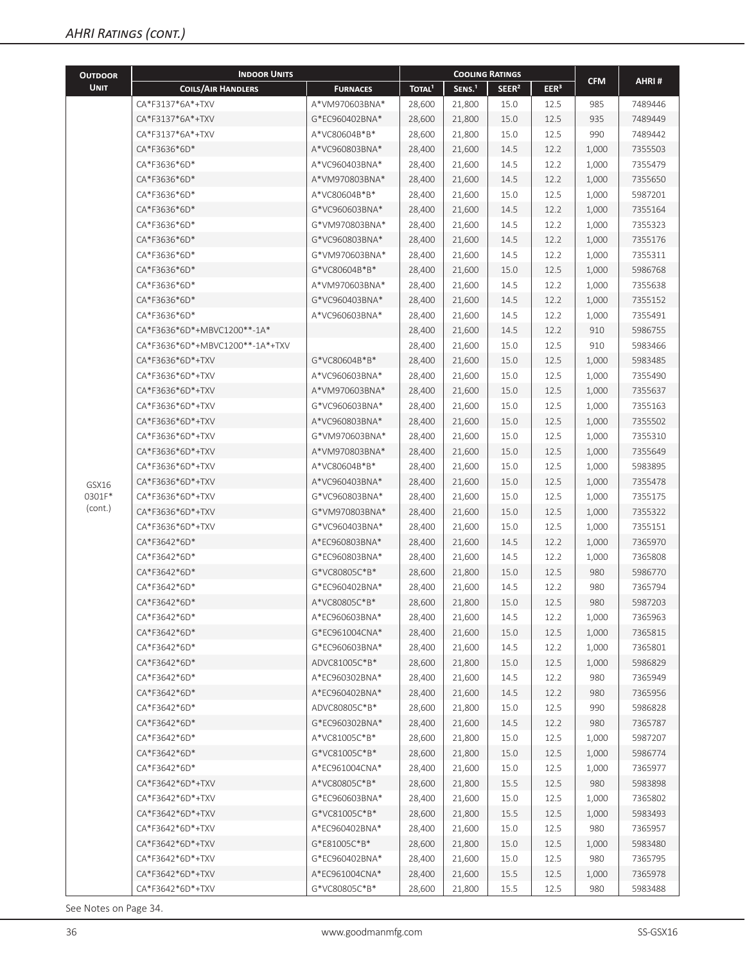| <b>OUTDOOR</b> | <b>INDOOR UNITS</b>             |                 |                    | <b>COOLING RATINGS</b> |                   |                  |            |         |
|----------------|---------------------------------|-----------------|--------------------|------------------------|-------------------|------------------|------------|---------|
| <b>UNIT</b>    | <b>COILS/AIR HANDLERS</b>       | <b>FURNACES</b> | TOTAL <sup>1</sup> | SENS. <sup>1</sup>     | SEER <sup>2</sup> | EER <sup>3</sup> | <b>CFM</b> | AHRI#   |
|                | CA*F3137*6A*+TXV                | A*VM970603BNA*  | 28,600             | 21,800                 | 15.0              | 12.5             | 985        | 7489446 |
|                | CA*F3137*6A*+TXV                | G*EC960402BNA*  | 28,600             | 21,800                 | 15.0              | 12.5             | 935        | 7489449 |
|                | CA*F3137*6A*+TXV                | A*VC80604B*B*   | 28,600             | 21,800                 | 15.0              | 12.5             | 990        | 7489442 |
|                | CA*F3636*6D*                    | A*VC960803BNA*  | 28,400             | 21,600                 | 14.5              | 12.2             | 1,000      | 7355503 |
|                | CA*F3636*6D*                    | A*VC960403BNA*  | 28,400             | 21,600                 | 14.5              | 12.2             | 1,000      | 7355479 |
|                | CA*F3636*6D*                    | A*VM970803BNA*  | 28,400             | 21,600                 | 14.5              | 12.2             | 1,000      | 7355650 |
|                | CA*F3636*6D*                    | A*VC80604B*B*   | 28,400             | 21,600                 | 15.0              | 12.5             | 1,000      | 5987201 |
|                | CA*F3636*6D*                    | G*VC960603BNA*  | 28,400             | 21,600                 | 14.5              | 12.2             | 1,000      | 7355164 |
|                | CA*F3636*6D*                    | G*VM970803BNA*  | 28,400             | 21,600                 | 14.5              | 12.2             | 1,000      | 7355323 |
|                | CA*F3636*6D*                    | G*VC960803BNA*  | 28,400             | 21,600                 | 14.5              | 12.2             | 1,000      | 7355176 |
|                | CA*F3636*6D*                    | G*VM970603BNA*  | 28,400             | 21,600                 | 14.5              | 12.2             | 1,000      | 7355311 |
|                | CA*F3636*6D*                    | G*VC80604B*B*   | 28,400             | 21,600                 | 15.0              | 12.5             | 1,000      | 5986768 |
|                | CA*F3636*6D*                    | A*VM970603BNA*  | 28,400             | 21,600                 | 14.5              | 12.2             | 1,000      | 7355638 |
|                | CA*F3636*6D*                    | G*VC960403BNA*  | 28,400             | 21,600                 | 14.5              | 12.2             | 1,000      | 7355152 |
|                | CA*F3636*6D*                    | A*VC960603BNA*  | 28,400             | 21,600                 | 14.5              | 12.2             | 1,000      | 7355491 |
|                | CA*F3636*6D*+MBVC1200**-1A*     |                 | 28,400             | 21,600                 | 14.5              | 12.2             | 910        | 5986755 |
|                | CA*F3636*6D*+MBVC1200**-1A*+TXV |                 | 28,400             | 21,600                 | 15.0              | 12.5             | 910        | 5983466 |
|                | CA*F3636*6D*+TXV                | G*VC80604B*B*   | 28,400             | 21,600                 | 15.0              | 12.5             | 1,000      | 5983485 |
|                | CA*F3636*6D*+TXV                | A*VC960603BNA*  | 28,400             | 21,600                 | 15.0              | 12.5             | 1,000      | 7355490 |
|                | CA*F3636*6D*+TXV                | A*VM970603BNA*  | 28,400             | 21,600                 | 15.0              | 12.5             | 1,000      | 7355637 |
|                | CA*F3636*6D*+TXV                | G*VC960603BNA*  | 28,400             | 21,600                 | 15.0              | 12.5             | 1,000      | 7355163 |
|                | CA*F3636*6D*+TXV                | A*VC960803BNA*  | 28,400             | 21,600                 | 15.0              | 12.5             | 1,000      | 7355502 |
|                | CA*F3636*6D*+TXV                | G*VM970603BNA*  | 28,400             | 21,600                 | 15.0              | 12.5             | 1,000      | 7355310 |
|                | CA*F3636*6D*+TXV                | A*VM970803BNA*  | 28,400             | 21,600                 | 15.0              | 12.5             | 1,000      | 7355649 |
|                | CA*F3636*6D*+TXV                | A*VC80604B*B*   | 28,400             | 21,600                 | 15.0              | 12.5             | 1,000      | 5983895 |
| GSX16          | CA*F3636*6D*+TXV                | A*VC960403BNA*  | 28,400             | 21,600                 | 15.0              | 12.5             | 1,000      | 7355478 |
| 0301F*         | CA*F3636*6D*+TXV                | G*VC960803BNA*  | 28,400             | 21,600                 | 15.0              | 12.5             | 1,000      | 7355175 |
| (cont.)        | CA*F3636*6D*+TXV                | G*VM970803BNA*  | 28,400             | 21,600                 | 15.0              | 12.5             | 1,000      | 7355322 |
|                | CA*F3636*6D*+TXV                | G*VC960403BNA*  | 28,400             | 21,600                 | 15.0              | 12.5             | 1,000      | 7355151 |
|                | CA*F3642*6D*                    | A*EC960803BNA*  | 28,400             | 21,600                 | 14.5              | 12.2             | 1,000      | 7365970 |
|                | CA*F3642*6D*                    | G*EC960803BNA*  | 28,400             | 21,600                 | 14.5              | 12.2             | 1,000      | 7365808 |
|                | CA*F3642*6D*                    | G*VC80805C*B*   | 28,600             | 21,800                 | 15.0              | 12.5             | 980        | 5986770 |
|                | CA*F3642*6D*                    | G*EC960402BNA*  | 28,400             | 21,600                 | 14.5              | 12.2             | 980        | 7365794 |
|                | CA*F3642*6D*                    | A*VC80805C*B*   | 28,600             | 21,800                 | 15.0              | 12.5             | 980        | 5987203 |
|                | CA*F3642*6D*                    | A*EC960603BNA*  | 28,400             | 21,600                 | 14.5              | 12.2             | 1,000      | 7365963 |
|                | CA*F3642*6D*                    | G*EC961004CNA*  | 28,400             | 21,600                 | 15.0              | 12.5             | 1,000      | 7365815 |
|                | CA*F3642*6D*                    | G*EC960603BNA*  | 28,400             | 21,600                 | 14.5              | 12.2             | 1,000      | 7365801 |
|                | CA*F3642*6D*                    | ADVC81005C*B*   | 28,600             | 21,800                 | 15.0              | 12.5             | 1,000      | 5986829 |
|                | CA*F3642*6D*                    | A*EC960302BNA*  | 28,400             | 21,600                 | 14.5              | 12.2             | 980        | 7365949 |
|                | CA*F3642*6D*                    | A*EC960402BNA*  | 28,400             | 21,600                 | 14.5              | 12.2             | 980        | 7365956 |
|                | CA*F3642*6D*                    | ADVC80805C*B*   | 28,600             | 21,800                 | 15.0              | 12.5             | 990        | 5986828 |
|                | CA*F3642*6D*                    | G*EC960302BNA*  | 28,400             | 21,600                 | 14.5              | 12.2             | 980        | 7365787 |
|                | CA*F3642*6D*                    | A*VC81005C*B*   | 28,600             | 21,800                 | 15.0              | 12.5             | 1,000      | 5987207 |
|                | CA*F3642*6D*                    | G*VC81005C*B*   | 28,600             | 21,800                 | 15.0              | 12.5             | 1,000      | 5986774 |
|                | CA*F3642*6D*                    | A*EC961004CNA*  | 28,400             | 21,600                 | 15.0              | 12.5             | 1,000      | 7365977 |
|                | CA*F3642*6D*+TXV                | A*VC80805C*B*   | 28,600             | 21,800                 | 15.5              | 12.5             | 980        | 5983898 |
|                | CA*F3642*6D*+TXV                | G*EC960603BNA*  | 28,400             | 21,600                 | 15.0              | 12.5             | 1,000      | 7365802 |
|                | CA*F3642*6D*+TXV                | G*VC81005C*B*   | 28,600             | 21,800                 | 15.5              | 12.5             | 1,000      | 5983493 |
|                | CA*F3642*6D*+TXV                | A*EC960402BNA*  | 28,400             | 21,600                 | 15.0              | 12.5             | 980        | 7365957 |
|                | CA*F3642*6D*+TXV                | G*E81005C*B*    | 28,600             | 21,800                 | 15.0              | 12.5             | 1,000      | 5983480 |
|                | CA*F3642*6D*+TXV                | G*EC960402BNA*  | 28,400             | 21,600                 | 15.0              | 12.5             | 980        | 7365795 |
|                | CA*F3642*6D*+TXV                | A*EC961004CNA*  | 28,400             | 21,600                 | 15.5              | 12.5             | 1,000      | 7365978 |
|                | CA*F3642*6D*+TXV                | G*VC80805C*B*   | 28,600             | 21,800                 | 15.5              | 12.5             | 980        | 5983488 |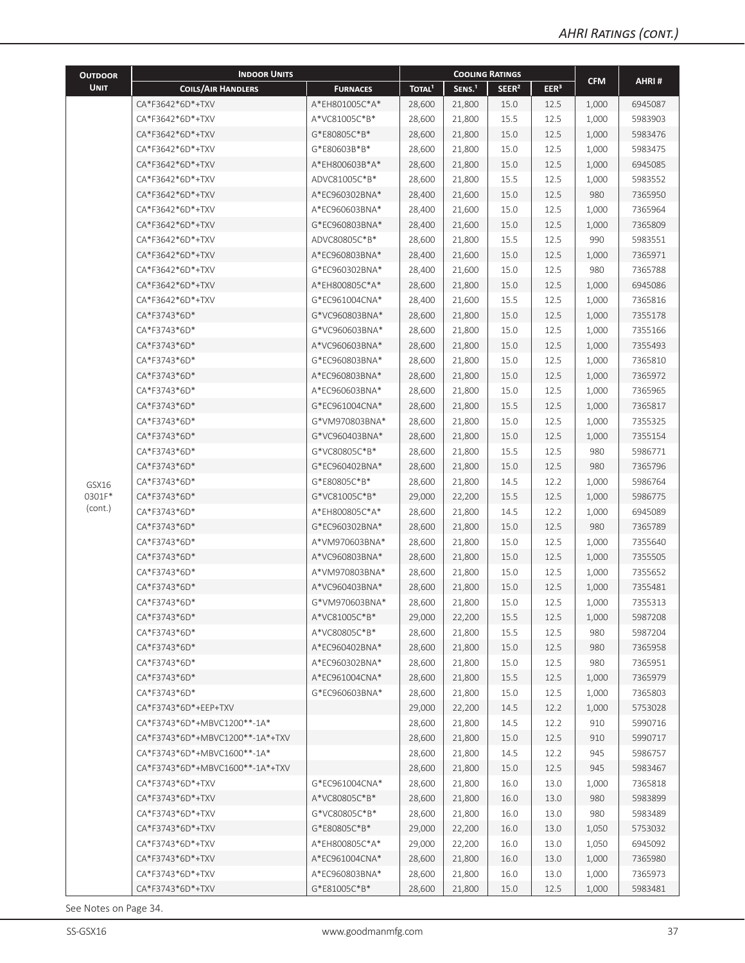| <b>OUTDOOR</b> | <b>INDOOR UNITS</b>             |                 |                    |                    | <b>COOLING RATINGS</b> |                  |            |         |
|----------------|---------------------------------|-----------------|--------------------|--------------------|------------------------|------------------|------------|---------|
| <b>UNIT</b>    | <b>COILS/AIR HANDLERS</b>       | <b>FURNACES</b> | TOTAL <sup>1</sup> | SENS. <sup>1</sup> | SEER <sup>2</sup>      | EER <sup>3</sup> | <b>CFM</b> | AHRI#   |
|                | CA*F3642*6D*+TXV                | A*EH801005C*A*  | 28,600             | 21,800             | 15.0                   | 12.5             | 1,000      | 6945087 |
|                | CA*F3642*6D*+TXV                | A*VC81005C*B*   | 28,600             | 21,800             | 15.5                   | 12.5             | 1,000      | 5983903 |
|                | CA*F3642*6D*+TXV                | G*E80805C*B*    | 28,600             | 21,800             | 15.0                   | 12.5             | 1,000      | 5983476 |
|                | CA*F3642*6D*+TXV                | G*E80603B*B*    | 28,600             | 21,800             | 15.0                   | 12.5             | 1,000      | 5983475 |
|                | CA*F3642*6D*+TXV                | A*EH800603B*A*  | 28,600             | 21,800             | 15.0                   | 12.5             | 1,000      | 6945085 |
|                | CA*F3642*6D*+TXV                | ADVC81005C*B*   | 28,600             | 21,800             | 15.5                   | 12.5             | 1,000      | 5983552 |
|                | CA*F3642*6D*+TXV                | A*EC960302BNA*  | 28,400             | 21,600             | 15.0                   | 12.5             | 980        | 7365950 |
|                | CA*F3642*6D*+TXV                | A*EC960603BNA*  | 28,400             | 21,600             | 15.0                   | 12.5             | 1,000      | 7365964 |
|                | CA*F3642*6D*+TXV                | G*EC960803BNA*  | 28,400             | 21,600             | 15.0                   | 12.5             | 1,000      | 7365809 |
|                | CA*F3642*6D*+TXV                | ADVC80805C*B*   | 28,600             | 21,800             | 15.5                   | 12.5             | 990        | 5983551 |
|                | CA*F3642*6D*+TXV                | A*EC960803BNA*  | 28,400             | 21,600             | 15.0                   | 12.5             | 1,000      | 7365971 |
|                | CA*F3642*6D*+TXV                | G*EC960302BNA*  | 28,400             | 21,600             | 15.0                   | 12.5             | 980        | 7365788 |
|                | CA*F3642*6D*+TXV                | A*EH800805C*A*  | 28,600             | 21,800             | 15.0                   | 12.5             | 1,000      | 6945086 |
|                | CA*F3642*6D*+TXV                | G*EC961004CNA*  | 28,400             | 21,600             | 15.5                   | 12.5             | 1,000      | 7365816 |
|                | CA*F3743*6D*                    | G*VC960803BNA*  | 28,600             | 21,800             | 15.0                   | 12.5             | 1,000      | 7355178 |
|                | CA*F3743*6D*                    | G*VC960603BNA*  | 28,600             | 21,800             | 15.0                   | 12.5             | 1,000      | 7355166 |
|                | CA*F3743*6D*                    | A*VC960603BNA*  | 28,600             | 21,800             | 15.0                   | 12.5             | 1,000      | 7355493 |
|                | CA*F3743*6D*                    | G*EC960803BNA*  | 28,600             | 21,800             | 15.0                   | 12.5             | 1,000      | 7365810 |
|                | CA*F3743*6D*                    | A*EC960803BNA*  | 28,600             | 21,800             | 15.0                   | 12.5             | 1,000      | 7365972 |
|                | CA*F3743*6D*                    | A*EC960603BNA*  | 28,600             | 21,800             | 15.0                   | 12.5             | 1,000      | 7365965 |
|                | CA*F3743*6D*                    | G*EC961004CNA*  | 28,600             | 21,800             | 15.5                   | 12.5             | 1,000      | 7365817 |
|                | CA*F3743*6D*                    | G*VM970803BNA*  | 28,600             | 21,800             | 15.0                   | 12.5             | 1,000      | 7355325 |
|                | CA*F3743*6D*                    | G*VC960403BNA*  | 28,600             | 21,800             | 15.0                   | 12.5             | 1,000      | 7355154 |
|                | CA*F3743*6D*                    | G*VC80805C*B*   | 28,600             | 21,800             | 15.5                   | 12.5             | 980        | 5986771 |
|                | CA*F3743*6D*                    | G*EC960402BNA*  | 28,600             | 21,800             | 15.0                   | 12.5             | 980        | 7365796 |
| GSX16          | CA*F3743*6D*                    | G*E80805C*B*    | 28,600             | 21,800             | 14.5                   | 12.2             | 1,000      | 5986764 |
| 0301F*         | CA*F3743*6D*                    | G*VC81005C*B*   | 29,000             | 22,200             | 15.5                   | 12.5             | 1,000      | 5986775 |
| (cont.)        | CA*F3743*6D*                    | A*EH800805C*A*  | 28,600             | 21,800             | 14.5                   | 12.2             | 1,000      | 6945089 |
|                | CA*F3743*6D*                    | G*EC960302BNA*  | 28,600             | 21,800             | 15.0                   | 12.5             | 980        | 7365789 |
|                | CA*F3743*6D*                    | A*VM970603BNA*  | 28,600             | 21,800             | 15.0                   | 12.5             | 1,000      | 7355640 |
|                | CA*F3743*6D*                    | A*VC960803BNA*  | 28,600             | 21,800             | 15.0                   | 12.5             | 1,000      | 7355505 |
|                | CA*F3743*6D*                    | A*VM970803BNA*  | 28,600             | 21,800             | 15.0                   | 12.5             | 1,000      | 7355652 |
|                | CA*F3743*6D*                    | A*VC960403BNA*  | 28,600             | 21,800             | 15.0                   | 12.5             | 1,000      | 7355481 |
|                | CA*F3743*6D*                    | G*VM970603BNA*  | 28,600             | 21,800             | 15.0                   | 12.5             | 1,000      | 7355313 |
|                | CA*F3743*6D*                    | A*VC81005C*B*   | 29,000             | 22,200             | 15.5                   | 12.5             | 1,000      | 5987208 |
|                | CA*F3743*6D*                    | A*VC80805C*B*   | 28,600             | 21,800             | 15.5                   | 12.5             | 980        | 5987204 |
|                | CA*F3743*6D*                    | A*EC960402BNA*  | 28,600             | 21,800             | 15.0                   | 12.5             | 980        | 7365958 |
|                | CA*F3743*6D*                    | A*EC960302BNA*  | 28,600             | 21,800             | 15.0                   | 12.5             | 980        | 7365951 |
|                | CA*F3743*6D*                    | A*EC961004CNA*  | 28,600             | 21,800             | 15.5                   | 12.5             | 1,000      | 7365979 |
|                | CA*F3743*6D*                    | G*EC960603BNA*  | 28,600             | 21,800             | 15.0                   | 12.5             | 1,000      | 7365803 |
|                | CA*F3743*6D*+EEP+TXV            |                 | 29,000             | 22,200             | 14.5                   | 12.2             | 1,000      | 5753028 |
|                | CA*F3743*6D*+MBVC1200**-1A*     |                 | 28,600             | 21,800             | 14.5                   | 12.2             | 910        | 5990716 |
|                | CA*F3743*6D*+MBVC1200**-1A*+TXV |                 | 28,600             | 21,800             | 15.0                   | 12.5             | 910        | 5990717 |
|                | CA*F3743*6D*+MBVC1600**-1A*     |                 | 28,600             | 21,800             | 14.5                   | 12.2             | 945        | 5986757 |
|                | CA*F3743*6D*+MBVC1600**-1A*+TXV |                 | 28,600             | 21,800             | 15.0                   | 12.5             | 945        | 5983467 |
|                | CA*F3743*6D*+TXV                | G*EC961004CNA*  | 28,600             | 21,800             | 16.0                   | 13.0             | 1,000      | 7365818 |
|                | CA*F3743*6D*+TXV                | A*VC80805C*B*   | 28,600             | 21,800             | 16.0                   | 13.0             | 980        | 5983899 |
|                | CA*F3743*6D*+TXV                | G*VC80805C*B*   | 28,600             | 21,800             | 16.0                   | 13.0             | 980        | 5983489 |
|                | CA*F3743*6D*+TXV                | G*E80805C*B*    | 29,000             | 22,200             | 16.0                   | 13.0             | 1,050      | 5753032 |
|                | CA*F3743*6D*+TXV                | A*EH800805C*A*  | 29,000             | 22,200             | 16.0                   | 13.0             | 1,050      | 6945092 |
|                | CA*F3743*6D*+TXV                | A*EC961004CNA*  | 28,600             | 21,800             | 16.0                   | 13.0             | 1,000      | 7365980 |
|                | CA*F3743*6D*+TXV                | A*EC960803BNA*  | 28,600             | 21,800             | 16.0                   | 13.0             | 1,000      | 7365973 |
|                | CA*F3743*6D*+TXV                | G*E81005C*B*    | 28,600             | 21,800             | 15.0                   | 12.5             | 1,000      | 5983481 |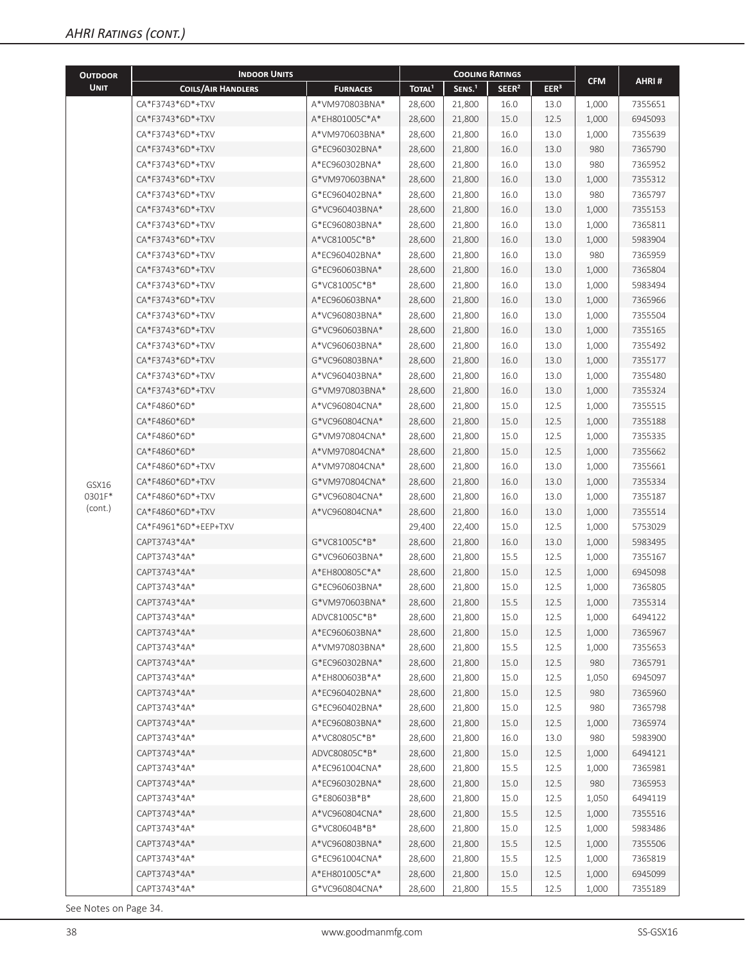| <b>OUTDOOR</b>  | <b>INDOOR UNITS</b>       |                 |                    | <b>COOLING RATINGS</b> |                   |                  |            |         |
|-----------------|---------------------------|-----------------|--------------------|------------------------|-------------------|------------------|------------|---------|
| <b>UNIT</b>     | <b>COILS/AIR HANDLERS</b> | <b>FURNACES</b> | TOTAL <sup>1</sup> | SENS. <sup>1</sup>     | SEER <sup>2</sup> | EER <sup>3</sup> | <b>CFM</b> | AHRI#   |
|                 | CA*F3743*6D*+TXV          | A*VM970803BNA*  | 28,600             | 21,800                 | 16.0              | 13.0             | 1,000      | 7355651 |
|                 | CA*F3743*6D*+TXV          | A*EH801005C*A*  | 28,600             | 21,800                 | 15.0              | 12.5             | 1,000      | 6945093 |
|                 | CA*F3743*6D*+TXV          | A*VM970603BNA*  | 28,600             | 21,800                 | 16.0              | 13.0             | 1,000      | 7355639 |
|                 | CA*F3743*6D*+TXV          | G*EC960302BNA*  | 28,600             | 21,800                 | 16.0              | 13.0             | 980        | 7365790 |
|                 | CA*F3743*6D*+TXV          | A*EC960302BNA*  | 28,600             | 21,800                 | 16.0              | 13.0             | 980        | 7365952 |
|                 | CA*F3743*6D*+TXV          | G*VM970603BNA*  | 28,600             | 21,800                 | 16.0              | 13.0             | 1,000      | 7355312 |
|                 | CA*F3743*6D*+TXV          | G*EC960402BNA*  | 28,600             | 21,800                 | 16.0              | 13.0             | 980        | 7365797 |
|                 | CA*F3743*6D*+TXV          | G*VC960403BNA*  | 28,600             | 21,800                 | 16.0              | 13.0             | 1,000      | 7355153 |
|                 | CA*F3743*6D*+TXV          | G*EC960803BNA*  | 28,600             | 21,800                 | 16.0              | 13.0             | 1,000      | 7365811 |
|                 | CA*F3743*6D*+TXV          | A*VC81005C*B*   | 28,600             | 21,800                 | 16.0              | 13.0             | 1,000      | 5983904 |
|                 | CA*F3743*6D*+TXV          | A*EC960402BNA*  | 28,600             | 21,800                 | 16.0              | 13.0             | 980        | 7365959 |
|                 | CA*F3743*6D*+TXV          | G*EC960603BNA*  | 28,600             | 21,800                 | 16.0              | 13.0             | 1,000      | 7365804 |
|                 | CA*F3743*6D*+TXV          | G*VC81005C*B*   | 28,600             | 21,800                 | 16.0              | 13.0             | 1,000      | 5983494 |
|                 | CA*F3743*6D*+TXV          | A*EC960603BNA*  | 28,600             | 21,800                 | 16.0              | 13.0             | 1,000      | 7365966 |
|                 | CA*F3743*6D*+TXV          | A*VC960803BNA*  | 28,600             | 21,800                 | 16.0              | 13.0             | 1,000      | 7355504 |
|                 | CA*F3743*6D*+TXV          | G*VC960603BNA*  | 28,600             | 21,800                 | 16.0              | 13.0             | 1,000      | 7355165 |
|                 | CA*F3743*6D*+TXV          | A*VC960603BNA*  | 28,600             | 21,800                 | 16.0              | 13.0             | 1,000      | 7355492 |
|                 | CA*F3743*6D*+TXV          | G*VC960803BNA*  | 28,600             | 21,800                 | 16.0              | 13.0             | 1,000      | 7355177 |
|                 | CA*F3743*6D*+TXV          | A*VC960403BNA*  | 28,600             | 21,800                 | 16.0              | 13.0             | 1,000      | 7355480 |
|                 | CA*F3743*6D*+TXV          | G*VM970803BNA*  | 28,600             | 21,800                 | 16.0              | 13.0             | 1,000      | 7355324 |
|                 | CA*F4860*6D*              | A*VC960804CNA*  | 28,600             | 21,800                 | 15.0              | 12.5             | 1,000      | 7355515 |
|                 | CA*F4860*6D*              | G*VC960804CNA*  | 28,600             | 21,800                 | 15.0              | 12.5             | 1,000      | 7355188 |
|                 | CA*F4860*6D*              | G*VM970804CNA*  | 28,600             | 21,800                 | 15.0              | 12.5             | 1,000      | 7355335 |
|                 | CA*F4860*6D*              | A*VM970804CNA*  | 28,600             | 21,800                 | 15.0              | 12.5             | 1,000      | 7355662 |
|                 | CA*F4860*6D*+TXV          | A*VM970804CNA*  | 28,600             | 21,800                 | 16.0              | 13.0             | 1,000      | 7355661 |
|                 | CA*F4860*6D*+TXV          | G*VM970804CNA*  | 28,600             | 21,800                 | 16.0              | 13.0             | 1,000      | 7355334 |
| GSX16<br>0301F* | CA*F4860*6D*+TXV          | G*VC960804CNA*  | 28,600             | 21,800                 | 16.0              | 13.0             | 1,000      | 7355187 |
| (cont.)         | CA*F4860*6D*+TXV          | A*VC960804CNA*  | 28,600             | 21,800                 | 16.0              | 13.0             | 1,000      | 7355514 |
|                 | CA*F4961*6D*+EEP+TXV      |                 | 29,400             | 22,400                 | 15.0              | 12.5             | 1,000      | 5753029 |
|                 | CAPT3743*4A*              | G*VC81005C*B*   | 28,600             | 21,800                 | 16.0              | 13.0             | 1,000      | 5983495 |
|                 | CAPT3743*4A*              | G*VC960603BNA*  | 28,600             | 21,800                 | 15.5              | 12.5             | 1,000      | 7355167 |
|                 | CAPT3743*4A*              | A*EH800805C*A*  | 28,600             | 21,800                 | 15.0              | 12.5             | 1,000      | 6945098 |
|                 | CAPT3743*4A*              | G*EC960603BNA*  | 28,600             | 21,800                 | 15.0              | 12.5             | 1,000      | 7365805 |
|                 | CAPT3743*4A*              | G*VM970603BNA*  | 28,600             | 21,800                 | 15.5              | 12.5             | 1,000      | 7355314 |
|                 | CAPT3743*4A*              | ADVC81005C*B*   | 28,600             | 21,800                 | 15.0              | 12.5             | 1,000      | 6494122 |
|                 | CAPT3743*4A*              | A*EC960603BNA*  | 28,600             | 21,800                 | 15.0              | 12.5             | 1,000      | 7365967 |
|                 | CAPT3743*4A*              | A*VM970803BNA*  | 28,600             | 21,800                 | 15.5              | 12.5             | 1,000      | 7355653 |
|                 | CAPT3743*4A*              | G*EC960302BNA*  | 28,600             | 21,800                 | 15.0              | 12.5             | 980        | 7365791 |
|                 | CAPT3743*4A*              | A*EH800603B*A*  | 28,600             | 21,800                 | 15.0              | 12.5             | 1,050      | 6945097 |
|                 | CAPT3743*4A*              | A*EC960402BNA*  | 28,600             | 21,800                 | 15.0              | 12.5             | 980        | 7365960 |
|                 | CAPT3743*4A*              | G*EC960402BNA*  | 28,600             | 21,800                 | 15.0              | 12.5             | 980        | 7365798 |
|                 | CAPT3743*4A*              | A*EC960803BNA*  | 28,600             | 21,800                 | 15.0              | 12.5             | 1,000      | 7365974 |
|                 | CAPT3743*4A*              | A*VC80805C*B*   | 28,600             | 21,800                 | 16.0              | 13.0             | 980        | 5983900 |
|                 | CAPT3743*4A*              | ADVC80805C*B*   | 28,600             | 21,800                 | 15.0              | 12.5             | 1,000      | 6494121 |
|                 | CAPT3743*4A*              | A*EC961004CNA*  | 28,600             | 21,800                 | 15.5              | 12.5             | 1,000      | 7365981 |
|                 | CAPT3743*4A*              | A*EC960302BNA*  | 28,600             | 21,800                 | 15.0              | 12.5             | 980        | 7365953 |
|                 | CAPT3743*4A*              | G*E80603B*B*    | 28,600             | 21,800                 | 15.0              | 12.5             | 1,050      | 6494119 |
|                 | CAPT3743*4A*              | A*VC960804CNA*  | 28,600             | 21,800                 | 15.5              | 12.5             | 1,000      | 7355516 |
|                 | CAPT3743*4A*              | G*VC80604B*B*   | 28,600             | 21,800                 | 15.0              | 12.5             | 1,000      | 5983486 |
|                 | CAPT3743*4A*              | A*VC960803BNA*  | 28,600             | 21,800                 | 15.5              | 12.5             | 1,000      | 7355506 |
|                 | CAPT3743*4A*              | G*EC961004CNA*  | 28,600             | 21,800                 | 15.5              | 12.5             | 1,000      | 7365819 |
|                 | CAPT3743*4A*              | A*EH801005C*A*  | 28,600             | 21,800                 | 15.0              | 12.5             | 1,000      | 6945099 |
|                 | CAPT3743*4A*              | G*VC960804CNA*  | 28,600             | 21,800                 | 15.5              | 12.5             | 1,000      | 7355189 |
|                 |                           |                 |                    |                        |                   |                  |            |         |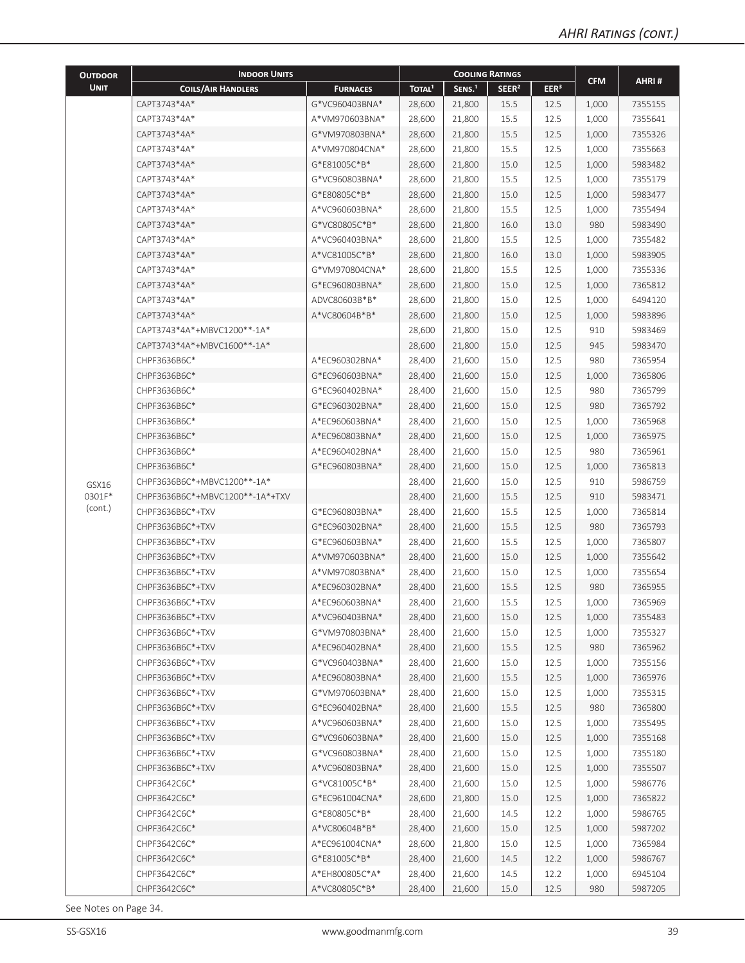| <b>OUTDOOR</b> | <b>INDOOR UNITS</b>             |                 |                    |                    | <b>COOLING RATINGS</b> |                  |            |         |
|----------------|---------------------------------|-----------------|--------------------|--------------------|------------------------|------------------|------------|---------|
| <b>UNIT</b>    | <b>COILS/AIR HANDLERS</b>       | <b>FURNACES</b> | TOTAL <sup>1</sup> | SENS. <sup>1</sup> | SEER <sup>2</sup>      | EER <sup>3</sup> | <b>CFM</b> | AHRI#   |
|                | CAPT3743*4A*                    | G*VC960403BNA*  | 28,600             | 21,800             | 15.5                   | 12.5             | 1,000      | 7355155 |
|                | CAPT3743*4A*                    | A*VM970603BNA*  | 28,600             | 21,800             | 15.5                   | 12.5             | 1,000      | 7355641 |
|                | CAPT3743*4A*                    | G*VM970803BNA*  | 28,600             | 21,800             | 15.5                   | 12.5             | 1,000      | 7355326 |
|                | CAPT3743*4A*                    | A*VM970804CNA*  | 28,600             | 21,800             | 15.5                   | 12.5             | 1,000      | 7355663 |
|                | CAPT3743*4A*                    | G*E81005C*B*    | 28,600             | 21,800             | 15.0                   | 12.5             | 1,000      | 5983482 |
|                | CAPT3743*4A*                    | G*VC960803BNA*  | 28,600             | 21,800             | 15.5                   | 12.5             | 1,000      | 7355179 |
|                | CAPT3743*4A*                    | G*E80805C*B*    | 28,600             | 21,800             | 15.0                   | 12.5             | 1,000      | 5983477 |
|                | CAPT3743*4A*                    | A*VC960603BNA*  | 28,600             | 21,800             | 15.5                   | 12.5             | 1,000      | 7355494 |
|                | CAPT3743*4A*                    | G*VC80805C*B*   | 28,600             | 21,800             | 16.0                   | 13.0             | 980        | 5983490 |
|                | CAPT3743*4A*                    | A*VC960403BNA*  | 28,600             | 21,800             | 15.5                   | 12.5             | 1,000      | 7355482 |
|                | CAPT3743*4A*                    | A*VC81005C*B*   | 28,600             | 21,800             | 16.0                   | 13.0             | 1,000      | 5983905 |
|                | CAPT3743*4A*                    | G*VM970804CNA*  | 28,600             | 21,800             | 15.5                   | 12.5             | 1,000      | 7355336 |
|                | CAPT3743*4A*                    | G*EC960803BNA*  | 28,600             | 21,800             | 15.0                   | 12.5             | 1,000      | 7365812 |
|                | CAPT3743*4A*                    | ADVC80603B*B*   | 28,600             | 21,800             | 15.0                   | 12.5             | 1,000      | 6494120 |
|                | CAPT3743*4A*                    | A*VC80604B*B*   | 28,600             | 21,800             | 15.0                   | 12.5             | 1,000      | 5983896 |
|                | CAPT3743*4A*+MBVC1200**-1A*     |                 | 28,600             | 21,800             | 15.0                   | 12.5             | 910        | 5983469 |
|                | CAPT3743*4A*+MBVC1600**-1A*     |                 | 28,600             | 21,800             | 15.0                   | 12.5             | 945        | 5983470 |
|                | CHPF3636B6C*                    | A*EC960302BNA*  | 28,400             | 21,600             | 15.0                   | 12.5             | 980        | 7365954 |
|                | CHPF3636B6C*                    | G*EC960603BNA*  | 28,400             | 21,600             | 15.0                   | 12.5             | 1,000      | 7365806 |
|                | CHPF3636B6C*                    | G*EC960402BNA*  | 28,400             | 21,600             | 15.0                   | 12.5             | 980        | 7365799 |
|                | CHPF3636B6C*                    | G*EC960302BNA*  | 28,400             | 21,600             | 15.0                   | 12.5             | 980        | 7365792 |
|                | CHPF3636B6C*                    | A*EC960603BNA*  | 28,400             | 21,600             | 15.0                   | 12.5             | 1,000      | 7365968 |
|                | CHPF3636B6C*                    | A*EC960803BNA*  | 28,400             | 21,600             | 15.0                   | 12.5             | 1,000      | 7365975 |
|                | CHPF3636B6C*                    | A*EC960402BNA*  | 28,400             | 21,600             | 15.0                   | 12.5             | 980        | 7365961 |
|                | CHPF3636B6C*                    | G*EC960803BNA*  | 28,400             | 21,600             | 15.0                   | 12.5             | 1,000      | 7365813 |
| GSX16          | CHPF3636B6C*+MBVC1200**-1A*     |                 | 28,400             | 21,600             | 15.0                   | 12.5             | 910        | 5986759 |
| 0301F*         | CHPF3636B6C*+MBVC1200**-1A*+TXV |                 | 28,400             | 21,600             | 15.5                   | 12.5             | 910        | 5983471 |
| (cont.)        | CHPF3636B6C*+TXV                | G*EC960803BNA*  | 28,400             | 21,600             | 15.5                   | 12.5             | 1,000      | 7365814 |
|                | CHPF3636B6C*+TXV                | G*EC960302BNA*  | 28,400             | 21,600             | 15.5                   | 12.5             | 980        | 7365793 |
|                | CHPF3636B6C*+TXV                | G*EC960603BNA*  | 28,400             | 21,600             | 15.5                   | 12.5             | 1,000      | 7365807 |
|                | CHPF3636B6C*+TXV                | A*VM970603BNA*  | 28,400             | 21,600             | 15.0                   | 12.5             | 1,000      | 7355642 |
|                | CHPF3636B6C*+TXV                | A*VM970803BNA*  | 28,400             | 21,600             | 15.0                   | 12.5             | 1,000      | 7355654 |
|                | CHPF3636B6C*+TXV                | A*EC960302BNA*  | 28,400             | 21,600             | 15.5                   | 12.5             | 980        | 7365955 |
|                | CHPF3636B6C*+TXV                | A*EC960603BNA*  | 28,400             | 21,600             | 15.5                   | 12.5             | 1,000      | 7365969 |
|                | CHPF3636B6C*+TXV                | A*VC960403BNA*  | 28,400             | 21,600             | 15.0                   | 12.5             | 1,000      | 7355483 |
|                | CHPF3636B6C*+TXV                | G*VM970803BNA*  | 28,400             | 21,600             | 15.0                   | 12.5             | 1,000      | 7355327 |
|                | CHPF3636B6C*+TXV                | A*EC960402BNA*  | 28,400             | 21,600             | 15.5                   | 12.5             | 980        | 7365962 |
|                | CHPF3636B6C*+TXV                | G*VC960403BNA*  | 28,400             | 21,600             | 15.0                   | 12.5             | 1,000      | 7355156 |
|                | CHPF3636B6C*+TXV                | A*EC960803BNA*  | 28,400             | 21,600             | 15.5                   | 12.5             | 1,000      | 7365976 |
|                | CHPF3636B6C*+TXV                | G*VM970603BNA*  | 28,400             | 21,600             | 15.0                   | 12.5             | 1,000      | 7355315 |
|                | CHPF3636B6C*+TXV                | G*EC960402BNA*  | 28,400             | 21,600             | 15.5                   | 12.5             | 980        | 7365800 |
|                | CHPF3636B6C*+TXV                | A*VC960603BNA*  | 28,400             | 21,600             | 15.0                   | 12.5             | 1,000      | 7355495 |
|                | CHPF3636B6C*+TXV                | G*VC960603BNA*  | 28,400             | 21,600             | 15.0                   | 12.5             | 1,000      | 7355168 |
|                | CHPF3636B6C*+TXV                | G*VC960803BNA*  | 28,400             | 21,600             | 15.0                   | 12.5             | 1,000      | 7355180 |
|                | CHPF3636B6C*+TXV                | A*VC960803BNA*  | 28,400             | 21,600             | 15.0                   | 12.5             | 1,000      | 7355507 |
|                | CHPF3642C6C*                    | G*VC81005C*B*   | 28,400             | 21,600             | 15.0                   | 12.5             | 1,000      | 5986776 |
|                | CHPF3642C6C*                    | G*EC961004CNA*  | 28,600             | 21,800             | 15.0                   | 12.5             | 1,000      | 7365822 |
|                | CHPF3642C6C*                    | G*E80805C*B*    | 28,400             | 21,600             | 14.5                   | 12.2             | 1,000      | 5986765 |
|                | CHPF3642C6C*                    | A*VC80604B*B*   | 28,400             | 21,600             | 15.0                   | 12.5             | 1,000      | 5987202 |
|                | CHPF3642C6C*                    | A*EC961004CNA*  | 28,600             | 21,800             | 15.0                   | 12.5             | 1,000      | 7365984 |
|                | CHPF3642C6C*                    | G*E81005C*B*    | 28,400             | 21,600             | 14.5                   | 12.2             | 1,000      | 5986767 |
|                | CHPF3642C6C*                    | A*EH800805C*A*  | 28,400             | 21,600             | 14.5                   | 12.2             | 1,000      | 6945104 |
|                | CHPF3642C6C*                    | A*VC80805C*B*   | 28,400             | 21,600             | 15.0                   | 12.5             | 980        | 5987205 |
|                |                                 |                 |                    |                    |                        |                  |            |         |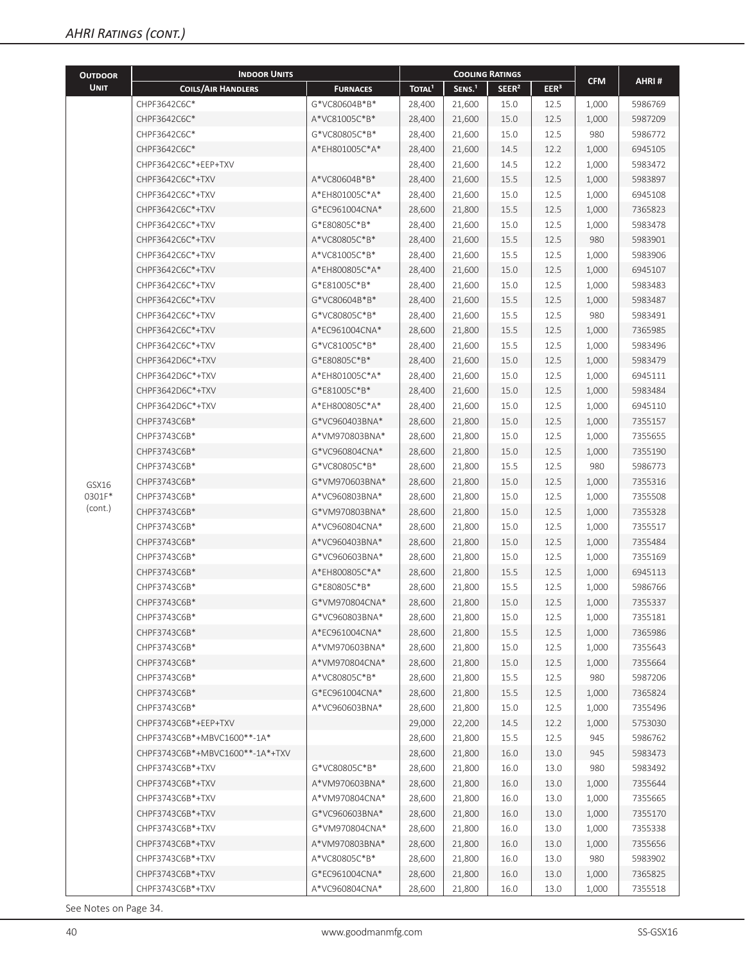| <b>INDOOR UNITS</b><br><b>COOLING RATINGS</b><br><b>OUTDOOR</b><br><b>UNIT</b><br><b>COILS/AIR HANDLERS</b><br><b>FURNACES</b><br>TOTAL <sup>1</sup><br>SENS. <sup>1</sup><br>SEER <sup>2</sup><br>EER <sup>3</sup><br>G*VC80604B*B*<br>CHPF3642C6C*<br>28,400<br>21,600<br>12.5<br>15.0<br>CHPF3642C6C*<br>A*VC81005C*B*<br>28,400<br>21,600<br>15.0<br>12.5 | <b>CFM</b><br>1,000<br>1,000 | AHRI#<br>5986769 |
|---------------------------------------------------------------------------------------------------------------------------------------------------------------------------------------------------------------------------------------------------------------------------------------------------------------------------------------------------------------|------------------------------|------------------|
|                                                                                                                                                                                                                                                                                                                                                               |                              |                  |
|                                                                                                                                                                                                                                                                                                                                                               |                              |                  |
|                                                                                                                                                                                                                                                                                                                                                               |                              | 5987209          |
| CHPF3642C6C*<br>G*VC80805C*B*<br>12.5<br>28,400<br>21,600<br>15.0                                                                                                                                                                                                                                                                                             | 980                          | 5986772          |
| 21,600<br>CHPF3642C6C*<br>A*EH801005C*A*<br>28,400<br>14.5<br>12.2                                                                                                                                                                                                                                                                                            | 1,000                        | 6945105          |
| CHPF3642C6C*+EEP+TXV<br>28,400<br>21,600<br>12.2<br>14.5                                                                                                                                                                                                                                                                                                      | 1,000                        | 5983472          |
| A*VC80604B*B*<br>CHPF3642C6C*+TXV<br>28,400<br>21,600<br>15.5<br>12.5                                                                                                                                                                                                                                                                                         | 1,000                        | 5983897          |
| CHPF3642C6C*+TXV<br>A*FH801005C*A*<br>28,400<br>21,600<br>15.0<br>12.5                                                                                                                                                                                                                                                                                        | 1,000                        | 6945108          |
| CHPF3642C6C*+TXV<br>G*EC961004CNA*<br>12.5<br>28,600<br>21,800<br>15.5                                                                                                                                                                                                                                                                                        | 1,000                        | 7365823          |
| G*E80805C*B*<br>12.5<br>CHPF3642C6C*+TXV<br>28,400<br>21,600<br>15.0                                                                                                                                                                                                                                                                                          | 1,000                        | 5983478          |
| CHPF3642C6C*+TXV<br>A*VC80805C*B*<br>28,400<br>21,600<br>15.5<br>12.5                                                                                                                                                                                                                                                                                         | 980                          | 5983901          |
| CHPF3642C6C*+TXV<br>A*VC81005C*B*<br>28,400<br>21,600<br>15.5<br>12.5                                                                                                                                                                                                                                                                                         | 1,000                        | 5983906          |
| A*EH800805C*A*<br>CHPF3642C6C*+TXV<br>28,400<br>21,600<br>15.0<br>12.5                                                                                                                                                                                                                                                                                        | 1,000                        | 6945107          |
| G*E81005C*B*<br>CHPF3642C6C*+TXV<br>28,400<br>21,600<br>15.0<br>12.5                                                                                                                                                                                                                                                                                          | 1,000                        | 5983483          |
| G*VC80604B*B*<br>CHPF3642C6C*+TXV<br>28,400<br>21,600<br>15.5<br>12.5                                                                                                                                                                                                                                                                                         | 1,000                        | 5983487          |
| G*VC80805C*B*<br>12.5<br>CHPF3642C6C*+TXV<br>28,400<br>21,600<br>15.5                                                                                                                                                                                                                                                                                         | 980                          | 5983491          |
| CHPF3642C6C*+TXV<br>A*EC961004CNA*<br>28,600<br>21,800<br>15.5<br>12.5                                                                                                                                                                                                                                                                                        | 1,000                        | 7365985          |
| G*VC81005C*B*<br>12.5<br>CHPF3642C6C*+TXV<br>28,400<br>21,600<br>15.5                                                                                                                                                                                                                                                                                         | 1,000                        | 5983496          |
| CHPF3642D6C*+TXV<br>G*E80805C*B*<br>28,400<br>21,600<br>15.0<br>12.5                                                                                                                                                                                                                                                                                          | 1,000                        | 5983479          |
| A*EH801005C*A*<br>CHPF3642D6C*+TXV<br>28,400<br>21,600<br>15.0<br>12.5                                                                                                                                                                                                                                                                                        | 1,000                        | 6945111          |
| G*E81005C*B*<br>CHPF3642D6C*+TXV<br>28,400<br>21,600<br>15.0<br>12.5                                                                                                                                                                                                                                                                                          | 1,000                        | 5983484          |
| CHPF3642D6C*+TXV<br>A*FH800805C*A*<br>28,400<br>21,600<br>15.0<br>12.5                                                                                                                                                                                                                                                                                        | 1,000                        | 6945110          |
| CHPF3743C6B*<br>G*VC960403BNA*<br>28,600<br>21,800<br>15.0<br>12.5                                                                                                                                                                                                                                                                                            | 1,000                        | 7355157          |
| A*VM970803BNA*<br>CHPF3743C6B*<br>28,600<br>21,800<br>15.0<br>12.5                                                                                                                                                                                                                                                                                            | 1,000                        | 7355655          |
| CHPF3743C6B*<br>G*VC960804CNA*<br>28,600<br>21,800<br>15.0<br>12.5                                                                                                                                                                                                                                                                                            | 1,000                        | 7355190          |
| G*VC80805C*B*<br>12.5<br>CHPF3743C6B*<br>28,600<br>21,800<br>15.5                                                                                                                                                                                                                                                                                             | 980                          | 5986773          |
| CHPF3743C6B*<br>G*VM970603BNA*<br>28,600<br>21,800<br>15.0<br>12.5<br>GSX16                                                                                                                                                                                                                                                                                   | 1,000                        | 7355316          |
| 0301F*<br>CHPF3743C6B*<br>A*VC960803BNA*<br>21,800<br>15.0<br>12.5<br>28,600                                                                                                                                                                                                                                                                                  | 1,000                        | 7355508          |
| (cont.)<br>CHPF3743C6B*<br>G*VM970803BNA*<br>28,600<br>21,800<br>15.0<br>12.5                                                                                                                                                                                                                                                                                 | 1,000                        | 7355328          |
| CHPF3743C6B*<br>A*VC960804CNA*<br>28,600<br>21,800<br>15.0<br>12.5                                                                                                                                                                                                                                                                                            | 1,000                        | 7355517          |
| CHPF3743C6B*<br>A*VC960403BNA*<br>28,600<br>21,800<br>15.0<br>12.5                                                                                                                                                                                                                                                                                            | 1,000                        | 7355484          |
| CHPF3743C6B*<br>G*VC960603BNA*<br>28,600<br>21,800<br>15.0<br>12.5                                                                                                                                                                                                                                                                                            | 1,000                        | 7355169          |
| CHPF3743C6B*<br>A*EH800805C*A*<br>28,600<br>21,800<br>15.5<br>12.5                                                                                                                                                                                                                                                                                            | 1,000                        | 6945113          |
| CHPF3743C6B*<br>G*E80805C*B*<br>28,600<br>21,800<br>15.5<br>12.5                                                                                                                                                                                                                                                                                              | 1,000                        | 5986766          |
| CHPF3743C6B*<br>G*VM970804CNA*<br>28,600<br>21,800<br>15.0<br>12.5                                                                                                                                                                                                                                                                                            | 1,000                        | 7355337          |
| CHPF3743C6B*<br>G*VC960803BNA*<br>21,800<br>15.0<br>28,600<br>12.5                                                                                                                                                                                                                                                                                            | 1,000                        | 7355181          |
| CHPF3743C6B*<br>A*EC961004CNA*<br>28,600<br>21,800<br>15.5<br>12.5                                                                                                                                                                                                                                                                                            | 1,000                        | 7365986          |
| CHPF3743C6B*<br>A*VM970603BNA*<br>21,800<br>15.0<br>12.5<br>28,600                                                                                                                                                                                                                                                                                            | 1,000                        | 7355643          |
| 21,800<br>12.5<br>CHPF3743C6B*<br>A*VM970804CNA*<br>28,600<br>15.0                                                                                                                                                                                                                                                                                            | 1,000                        | 7355664          |
| CHPF3743C6B*<br>A*VC80805C*B*<br>28,600<br>21,800<br>15.5<br>12.5                                                                                                                                                                                                                                                                                             | 980                          | 5987206          |
| CHPF3743C6B*<br>G*EC961004CNA*<br>21,800<br>28,600<br>15.5<br>12.5                                                                                                                                                                                                                                                                                            | 1,000                        | 7365824          |
| CHPF3743C6B*<br>A*VC960603BNA*<br>21,800<br>28,600<br>15.0<br>12.5                                                                                                                                                                                                                                                                                            | 1,000                        | 7355496          |
| CHPF3743C6B*+EEP+TXV<br>22,200<br>29,000<br>14.5<br>12.2                                                                                                                                                                                                                                                                                                      | 1,000                        | 5753030          |
| CHPF3743C6B*+MBVC1600**-1A*<br>28,600<br>21,800<br>12.5<br>15.5                                                                                                                                                                                                                                                                                               | 945                          | 5986762          |
| CHPF3743C6B*+MBVC1600**-1A*+TXV<br>21,800<br>13.0<br>28,600<br>16.0                                                                                                                                                                                                                                                                                           | 945                          | 5983473          |
| CHPF3743C6B*+TXV<br>G*VC80805C*B*<br>28,600<br>21,800<br>13.0<br>16.0                                                                                                                                                                                                                                                                                         | 980                          | 5983492          |
| 21,800<br>13.0<br>CHPF3743C6B*+TXV<br>A*VM970603BNA*<br>28,600<br>16.0                                                                                                                                                                                                                                                                                        | 1,000                        | 7355644          |
| CHPF3743C6B*+TXV<br>A*VM970804CNA*<br>28,600<br>21,800<br>13.0<br>16.0                                                                                                                                                                                                                                                                                        | 1,000                        | 7355665          |
| CHPF3743C6B*+TXV<br>G*VC960603BNA*<br>28,600<br>21,800<br>13.0<br>16.0                                                                                                                                                                                                                                                                                        | 1,000                        | 7355170          |
| 28,600<br>21,800<br>CHPF3743C6B*+TXV<br>G*VM970804CNA*<br>16.0<br>13.0                                                                                                                                                                                                                                                                                        | 1,000                        | 7355338          |
| A*VM970803BNA*<br>28,600<br>21,800<br>13.0<br>CHPF3743C6B*+TXV<br>16.0                                                                                                                                                                                                                                                                                        | 1,000                        | 7355656          |
| A*VC80805C*B*<br>28,600<br>21,800<br>CHPF3743C6B*+TXV<br>16.0<br>13.0                                                                                                                                                                                                                                                                                         | 980                          | 5983902          |
| CHPF3743C6B*+TXV<br>G*EC961004CNA*<br>28,600<br>21,800<br>13.0<br>16.0                                                                                                                                                                                                                                                                                        | 1,000                        | 7365825          |
| A*VC960804CNA*<br>28,600<br>21,800<br>13.0<br>CHPF3743C6B*+TXV<br>16.0                                                                                                                                                                                                                                                                                        | 1,000                        | 7355518          |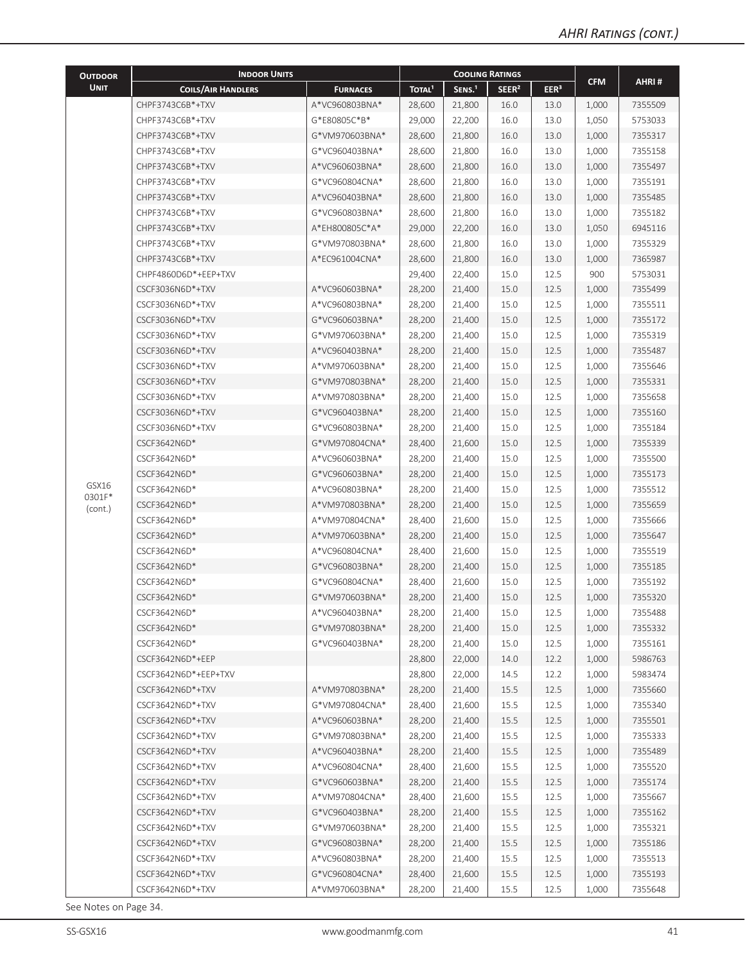| <b>OUTDOOR</b>    | <b>INDOOR UNITS</b>       |                 |                    |                    | <b>COOLING RATINGS</b> |                  |            |         |
|-------------------|---------------------------|-----------------|--------------------|--------------------|------------------------|------------------|------------|---------|
| <b>UNIT</b>       | <b>COILS/AIR HANDLERS</b> | <b>FURNACES</b> | TOTAL <sup>1</sup> | SENS. <sup>1</sup> | SEER <sup>2</sup>      | EER <sup>3</sup> | <b>CFM</b> | AHRI#   |
|                   | CHPF3743C6B*+TXV          | A*VC960803BNA*  | 28,600             | 21,800             | 16.0                   | 13.0             | 1,000      | 7355509 |
|                   | CHPF3743C6B*+TXV          | G*E80805C*B*    | 29,000             | 22,200             | 16.0                   | 13.0             | 1,050      | 5753033 |
|                   | CHPF3743C6B*+TXV          | G*VM970603BNA*  | 28,600             | 21,800             | 16.0                   | 13.0             | 1,000      | 7355317 |
|                   | CHPF3743C6B*+TXV          | G*VC960403BNA*  | 28,600             | 21,800             | 16.0                   | 13.0             | 1,000      | 7355158 |
|                   | CHPF3743C6B*+TXV          | A*VC960603BNA*  | 28,600             | 21,800             | 16.0                   | 13.0             | 1,000      | 7355497 |
|                   | CHPF3743C6B*+TXV          | G*VC960804CNA*  | 28,600             | 21,800             | 16.0                   | 13.0             | 1,000      | 7355191 |
|                   | CHPF3743C6B*+TXV          | A*VC960403BNA*  | 28,600             | 21,800             | 16.0                   | 13.0             | 1,000      | 7355485 |
|                   | CHPF3743C6B*+TXV          | G*VC960803BNA*  | 28,600             | 21,800             | 16.0                   | 13.0             | 1,000      | 7355182 |
|                   | CHPF3743C6B*+TXV          | A*EH800805C*A*  | 29,000             | 22,200             | 16.0                   | 13.0             | 1,050      | 6945116 |
|                   | CHPF3743C6B*+TXV          | G*VM970803BNA*  | 28,600             | 21,800             | 16.0                   | 13.0             | 1,000      | 7355329 |
|                   | CHPF3743C6B*+TXV          | A*EC961004CNA*  | 28,600             | 21,800             | 16.0                   | 13.0             | 1,000      | 7365987 |
|                   | CHPF4860D6D*+EEP+TXV      |                 | 29,400             | 22,400             | 15.0                   | 12.5             | 900        | 5753031 |
|                   | CSCF3036N6D*+TXV          | A*VC960603BNA*  | 28,200             | 21,400             | 15.0                   | 12.5             | 1,000      | 7355499 |
|                   | CSCF3036N6D*+TXV          | A*VC960803BNA*  | 28,200             | 21,400             | 15.0                   | 12.5             | 1,000      | 7355511 |
|                   | CSCF3036N6D*+TXV          | G*VC960603BNA*  | 28,200             | 21,400             | 15.0                   | 12.5             | 1,000      | 7355172 |
|                   | CSCF3036N6D*+TXV          | G*VM970603BNA*  | 28,200             | 21,400             | 15.0                   | 12.5             | 1,000      | 7355319 |
|                   | CSCF3036N6D*+TXV          | A*VC960403BNA*  | 28,200             | 21,400             | 15.0                   | 12.5             | 1,000      | 7355487 |
|                   | CSCF3036N6D*+TXV          | A*VM970603BNA*  | 28,200             | 21,400             | 15.0                   | 12.5             | 1,000      | 7355646 |
|                   | CSCF3036N6D*+TXV          | G*VM970803BNA*  | 28,200             | 21,400             | 15.0                   | 12.5             | 1,000      | 7355331 |
|                   | CSCF3036N6D*+TXV          | A*VM970803BNA*  | 28,200             | 21,400             | 15.0                   | 12.5             | 1,000      | 7355658 |
|                   | CSCF3036N6D*+TXV          | G*VC960403BNA*  | 28,200             | 21,400             | 15.0                   | 12.5             | 1,000      | 7355160 |
|                   | CSCF3036N6D*+TXV          | G*VC960803BNA*  | 28,200             | 21,400             | 15.0                   | 12.5             | 1,000      | 7355184 |
|                   | CSCF3642N6D*              | G*VM970804CNA*  | 28,400             | 21,600             | 15.0                   | 12.5             | 1,000      | 7355339 |
|                   | CSCF3642N6D*              | A*VC960603BNA*  | 28,200             | 21,400             | 15.0                   | 12.5             | 1,000      | 7355500 |
|                   | CSCF3642N6D*              | G*VC960603BNA*  | 28,200             | 21,400             | 15.0                   | 12.5             | 1,000      | 7355173 |
| GSX16             | CSCF3642N6D*              | A*VC960803BNA*  | 28,200             | 21,400             | 15.0                   | 12.5             | 1,000      | 7355512 |
| 0301F*<br>(cont.) | CSCF3642N6D*              | A*VM970803BNA*  | 28,200             | 21,400             | 15.0                   | 12.5             | 1,000      | 7355659 |
|                   | CSCF3642N6D*              | A*VM970804CNA*  | 28,400             | 21,600             | 15.0                   | 12.5             | 1,000      | 7355666 |
|                   | CSCF3642N6D*              | A*VM970603BNA*  | 28,200             | 21,400             | 15.0                   | 12.5             | 1,000      | 7355647 |
|                   | CSCF3642N6D*              | A*VC960804CNA*  | 28,400             | 21,600             | 15.0                   | 12.5             | 1,000      | 7355519 |
|                   | CSCF3642N6D*              | G*VC960803BNA*  | 28,200             | 21,400             | 15.0                   | 12.5             | 1,000      | 7355185 |
|                   | CSCF3642N6D*              | G*VC960804CNA*  | 28,400             | 21,600             | 15.0                   | 12.5             | 1,000      | 7355192 |
|                   | CSCF3642N6D*              | G*VM970603BNA*  | 28,200             | 21,400             | 15.0                   | 12.5             | 1,000      | 7355320 |
|                   | CSCF3642N6D*              | A*VC960403BNA*  | 28,200             | 21,400             | 15.0                   | 12.5             | 1,000      | 7355488 |
|                   | CSCF3642N6D*              | G*VM970803BNA*  | 28,200             | 21,400             | 15.0                   | 12.5             | 1,000      | 7355332 |
|                   | CSCF3642N6D*              | G*VC960403BNA*  | 28,200             | 21,400             | 15.0                   | 12.5             | 1,000      | 7355161 |
|                   | CSCF3642N6D*+EEP          |                 | 28,800             | 22,000             | 14.0                   | 12.2             | 1,000      | 5986763 |
|                   | CSCF3642N6D*+EEP+TXV      |                 | 28,800             | 22,000             | 14.5                   | 12.2             | 1,000      | 5983474 |
|                   | CSCF3642N6D*+TXV          | A*VM970803BNA*  | 28,200             | 21,400             | 15.5                   | 12.5             | 1,000      | 7355660 |
|                   | CSCF3642N6D*+TXV          | G*VM970804CNA*  | 28,400             | 21,600             | 15.5                   | 12.5             | 1,000      | 7355340 |
|                   | CSCF3642N6D*+TXV          | A*VC960603BNA*  | 28,200             | 21,400             | 15.5                   | 12.5             | 1,000      | 7355501 |
|                   | CSCF3642N6D*+TXV          | G*VM970803BNA*  | 28,200             | 21,400             | 15.5                   | 12.5             | 1,000      | 7355333 |
|                   | CSCF3642N6D*+TXV          | A*VC960403BNA*  | 28,200             | 21,400             | 15.5                   | 12.5             | 1,000      | 7355489 |
|                   | CSCF3642N6D*+TXV          | A*VC960804CNA*  | 28,400             | 21,600             | 15.5                   | 12.5             | 1,000      | 7355520 |
|                   | CSCF3642N6D*+TXV          | G*VC960603BNA*  | 28,200             | 21,400             | 15.5                   | 12.5             | 1,000      | 7355174 |
|                   | CSCF3642N6D*+TXV          | A*VM970804CNA*  | 28,400             | 21,600             | 15.5                   | 12.5             | 1,000      | 7355667 |
|                   | CSCF3642N6D*+TXV          | G*VC960403BNA*  | 28,200             | 21,400             | 15.5                   | 12.5             | 1,000      | 7355162 |
|                   | CSCF3642N6D*+TXV          | G*VM970603BNA*  | 28,200             | 21,400             | 15.5                   | 12.5             | 1,000      | 7355321 |
|                   | CSCF3642N6D*+TXV          | G*VC960803BNA*  | 28,200             | 21,400             | 15.5                   | 12.5             | 1,000      | 7355186 |
|                   | CSCF3642N6D*+TXV          | A*VC960803BNA*  | 28,200             | 21,400             | 15.5                   | 12.5             | 1,000      | 7355513 |
|                   | CSCF3642N6D*+TXV          | G*VC960804CNA*  | 28,400             | 21,600             | 15.5                   | 12.5             | 1,000      | 7355193 |
|                   | CSCF3642N6D*+TXV          | A*VM970603BNA*  | 28,200             | 21,400             | 15.5                   | 12.5             | 1,000      | 7355648 |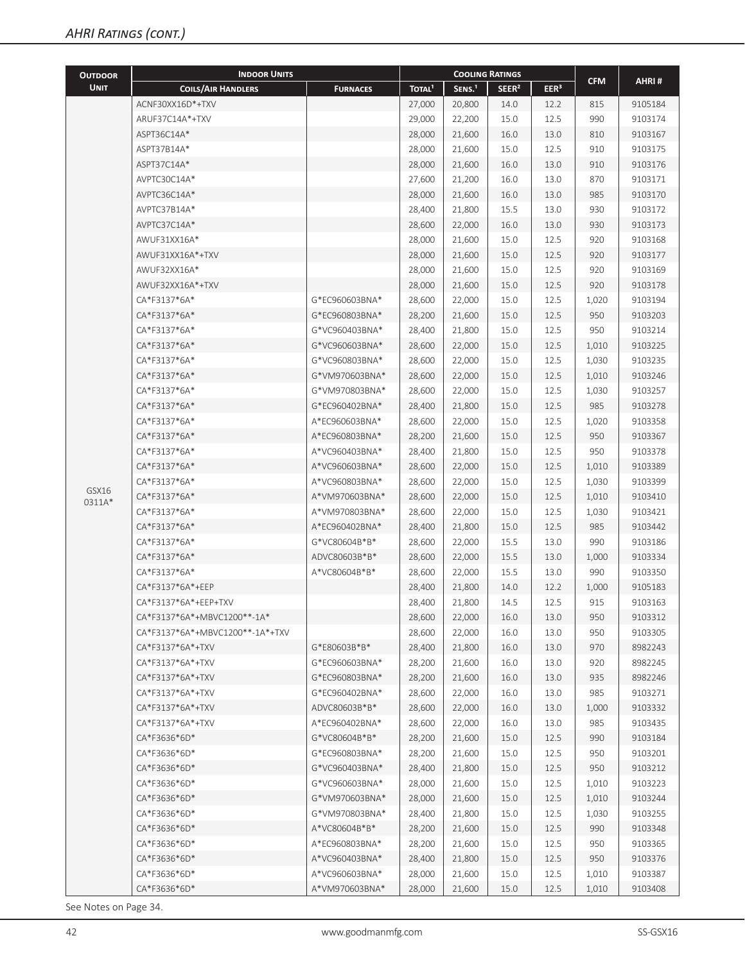| <b>OUTDOOR</b> | <b>INDOOR UNITS</b>             |                 |                    |                    | <b>COOLING RATINGS</b> |                  |            |         |
|----------------|---------------------------------|-----------------|--------------------|--------------------|------------------------|------------------|------------|---------|
| <b>UNIT</b>    | <b>COILS/AIR HANDLERS</b>       | <b>FURNACES</b> | TOTAL <sup>1</sup> | SENS. <sup>1</sup> | SEER <sup>2</sup>      | EER <sup>3</sup> | <b>CFM</b> | AHRI#   |
|                | ACNF30XX16D*+TXV                |                 | 27,000             | 20,800             | 14.0                   | 12.2             | 815        | 9105184 |
|                | ARUF37C14A*+TXV                 |                 | 29,000             | 22,200             | 15.0                   | 12.5             | 990        | 9103174 |
|                | ASPT36C14A*                     |                 | 28,000             | 21,600             | 16.0                   | 13.0             | 810        | 9103167 |
|                | ASPT37B14A*                     |                 | 28,000             | 21,600             | 15.0                   | 12.5             | 910        | 9103175 |
|                | ASPT37C14A*                     |                 | 28,000             | 21,600             | 16.0                   | 13.0             | 910        | 9103176 |
|                | AVPTC30C14A*                    |                 | 27,600             | 21,200             | 16.0                   | 13.0             | 870        | 9103171 |
|                | AVPTC36C14A*                    |                 | 28,000             | 21,600             | 16.0                   | 13.0             | 985        | 9103170 |
|                | AVPTC37B14A*                    |                 | 28,400             | 21,800             | 15.5                   | 13.0             | 930        | 9103172 |
|                | AVPTC37C14A*                    |                 | 28,600             | 22,000             | 16.0                   | 13.0             | 930        | 9103173 |
|                | AWUF31XX16A*                    |                 | 28,000             | 21,600             | 15.0                   | 12.5             | 920        | 9103168 |
|                | AWUF31XX16A*+TXV                |                 | 28,000             | 21,600             | 15.0                   | 12.5             | 920        | 9103177 |
|                | AWUF32XX16A*                    |                 | 28,000             | 21,600             | 15.0                   | 12.5             | 920        | 9103169 |
|                | AWUF32XX16A*+TXV                |                 | 28,000             | 21,600             | 15.0                   | 12.5             | 920        | 9103178 |
|                | CA*F3137*6A*                    | G*EC960603BNA*  | 28,600             | 22,000             | 15.0                   | 12.5             | 1,020      | 9103194 |
|                | CA*F3137*6A*                    | G*EC960803BNA*  | 28,200             | 21,600             | 15.0                   | 12.5             | 950        | 9103203 |
|                | CA*F3137*6A*                    | G*VC960403BNA*  | 28,400             | 21,800             | 15.0                   | 12.5             | 950        | 9103214 |
|                | CA*F3137*6A*                    | G*VC960603BNA*  | 28,600             | 22,000             | 15.0                   | 12.5             | 1,010      | 9103225 |
|                | CA*F3137*6A*                    | G*VC960803BNA*  | 28,600             | 22,000             | 15.0                   | 12.5             | 1,030      | 9103235 |
|                | CA*F3137*6A*                    | G*VM970603BNA*  | 28,600             | 22,000             | 15.0                   | 12.5             | 1,010      | 9103246 |
|                | CA*F3137*6A*                    | G*VM970803BNA*  | 28,600             | 22,000             | 15.0                   | 12.5             | 1,030      | 9103257 |
|                |                                 |                 |                    |                    |                        |                  |            |         |
|                | CA*F3137*6A*                    | G*EC960402BNA*  | 28,400             | 21,800             | 15.0                   | 12.5             | 985        | 9103278 |
|                | CA*F3137*6A*                    | A*EC960603BNA*  | 28,600             | 22,000             | 15.0                   | 12.5             | 1,020      | 9103358 |
|                | CA*F3137*6A*                    | A*EC960803BNA*  | 28,200             | 21,600             | 15.0                   | 12.5             | 950        | 9103367 |
|                | CA*F3137*6A*                    | A*VC960403BNA*  | 28,400             | 21,800             | 15.0                   | 12.5             | 950        | 9103378 |
|                | CA*F3137*6A*                    | A*VC960603BNA*  | 28,600             | 22,000             | 15.0                   | 12.5             | 1,010      | 9103389 |
| GSX16          | CA*F3137*6A*                    | A*VC960803BNA*  | 28,600             | 22,000             | 15.0                   | 12.5             | 1,030      | 9103399 |
| 0311A*         | CA*F3137*6A*                    | A*VM970603BNA*  | 28,600             | 22,000             | 15.0                   | 12.5             | 1,010      | 9103410 |
|                | CA*F3137*6A*                    | A*VM970803BNA*  | 28,600             | 22,000             | 15.0                   | 12.5             | 1,030      | 9103421 |
|                | CA*F3137*6A*                    | A*EC960402BNA*  | 28,400             | 21,800             | 15.0                   | 12.5             | 985        | 9103442 |
|                | CA*F3137*6A*                    | G*VC80604B*B*   | 28,600             | 22,000             | 15.5                   | 13.0             | 990        | 9103186 |
|                | CA*F3137*6A*                    | ADVC80603B*B*   | 28,600             | 22,000             | 15.5                   | 13.0             | 1,000      | 9103334 |
|                | CA*F3137*6A*                    | A*VC80604B*B*   | 28,600             | 22,000             | 15.5                   | 13.0             | 990        | 9103350 |
|                | CA*F3137*6A*+EEP                |                 | 28,400             | 21,800             | 14.0                   | 12.2             | 1,000      | 9105183 |
|                | CA*F3137*6A*+EEP+TXV            |                 | 28,400             | 21,800             | 14.5                   | 12.5             | 915        | 9103163 |
|                | CA*F3137*6A*+MBVC1200**-1A*     |                 | 28,600             | 22,000             | 16.0                   | 13.0             | 950        | 9103312 |
|                | CA*F3137*6A*+MBVC1200**-1A*+TXV |                 | 28,600             | 22,000             | 16.0                   | 13.0             | 950        | 9103305 |
|                | CA*F3137*6A*+TXV                | G*E80603B*B*    | 28,400             | 21,800             | 16.0                   | 13.0             | 970        | 8982243 |
|                | CA*F3137*6A*+TXV                | G*EC960603BNA*  | 28,200             | 21,600             | 16.0                   | 13.0             | 920        | 8982245 |
|                | CA*F3137*6A*+TXV                | G*EC960803BNA*  | 28,200             | 21,600             | 16.0                   | 13.0             | 935        | 8982246 |
|                | CA*F3137*6A*+TXV                | G*EC960402BNA*  | 28,600             | 22,000             | 16.0                   | 13.0             | 985        | 9103271 |
|                | CA*F3137*6A*+TXV                | ADVC80603B*B*   | 28,600             | 22,000             | 16.0                   | 13.0             | 1,000      | 9103332 |
|                | CA*F3137*6A*+TXV                | A*EC960402BNA*  | 28,600             | 22,000             | 16.0                   | 13.0             | 985        | 9103435 |
|                | CA*F3636*6D*                    | G*VC80604B*B*   | 28,200             | 21,600             | 15.0                   | 12.5             | 990        | 9103184 |
|                | CA*F3636*6D*                    | G*EC960803BNA*  | 28,200             | 21,600             | 15.0                   | 12.5             | 950        | 9103201 |
|                | CA*F3636*6D*                    | G*VC960403BNA*  | 28,400             | 21,800             | 15.0                   | 12.5             | 950        | 9103212 |
|                | CA*F3636*6D*                    | G*VC960603BNA*  | 28,000             | 21,600             | 15.0                   | 12.5             | 1,010      | 9103223 |
|                | CA*F3636*6D*                    | G*VM970603BNA*  | 28,000             | 21,600             | 15.0                   | 12.5             | 1,010      | 9103244 |
|                | CA*F3636*6D*                    | G*VM970803BNA*  | 28,400             | 21,800             | 15.0                   | 12.5             | 1,030      | 9103255 |
|                | CA*F3636*6D*                    | A*VC80604B*B*   | 28,200             | 21,600             | 15.0                   | 12.5             | 990        | 9103348 |
|                | CA*F3636*6D*                    | A*EC960803BNA*  | 28,200             | 21,600             | 15.0                   | 12.5             | 950        | 9103365 |
|                | CA*F3636*6D*                    | A*VC960403BNA*  | 28,400             | 21,800             | 15.0                   | 12.5             | 950        | 9103376 |
|                | CA*F3636*6D*                    | A*VC960603BNA*  | 28,000             | 21,600             | 15.0                   | 12.5             | 1,010      | 9103387 |
|                | CA*F3636*6D*                    | A*VM970603BNA*  | 28,000             | 21,600             | 15.0                   | 12.5             | 1,010      | 9103408 |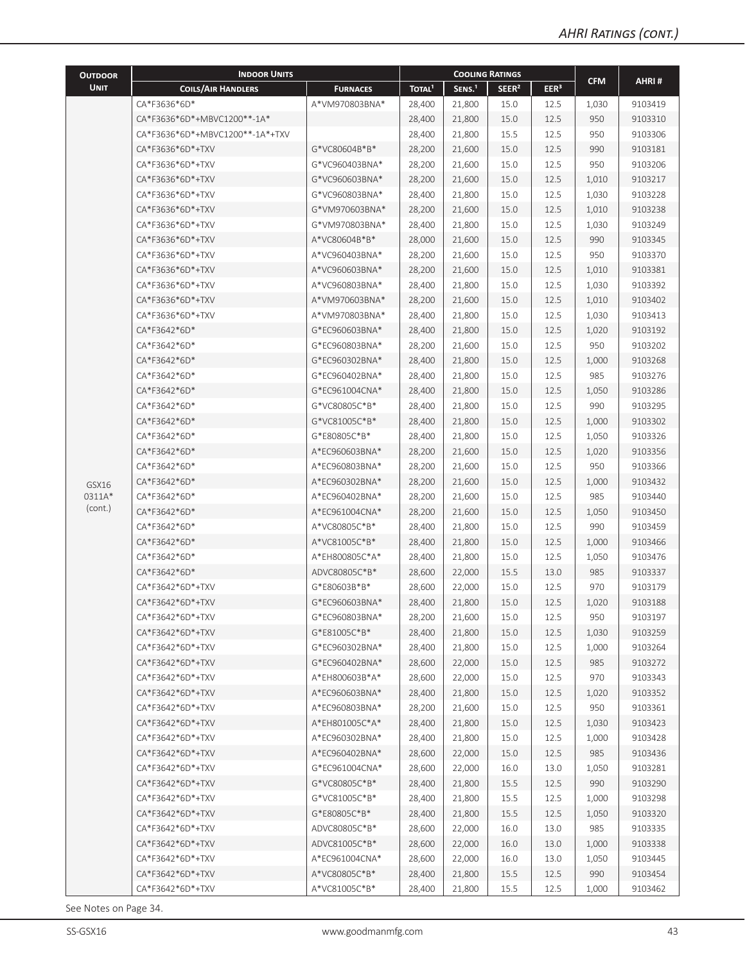| <b>OUTDOOR</b> | <b>INDOOR UNITS</b>             |                 |                    |                    | <b>COOLING RATINGS</b> |                  |            |         |
|----------------|---------------------------------|-----------------|--------------------|--------------------|------------------------|------------------|------------|---------|
| <b>UNIT</b>    | <b>COILS/AIR HANDLERS</b>       | <b>FURNACES</b> | TOTAL <sup>1</sup> | SENS. <sup>1</sup> | SEER <sup>2</sup>      | EER <sup>3</sup> | <b>CFM</b> | AHRI#   |
|                | CA*F3636*6D*                    | A*VM970803BNA*  | 28,400             | 21,800             | 15.0                   | 12.5             | 1,030      | 9103419 |
|                | CA*F3636*6D*+MBVC1200**-1A*     |                 | 28,400             | 21,800             | 15.0                   | 12.5             | 950        | 9103310 |
|                | CA*F3636*6D*+MBVC1200**-1A*+TXV |                 | 28,400             | 21,800             | 15.5                   | 12.5             | 950        | 9103306 |
|                | CA*F3636*6D*+TXV                | G*VC80604B*B*   | 28,200             | 21,600             | 15.0                   | 12.5             | 990        | 9103181 |
|                | CA*F3636*6D*+TXV                | G*VC960403BNA*  | 28,200             | 21,600             | 15.0                   | 12.5             | 950        | 9103206 |
|                | CA*F3636*6D*+TXV                | G*VC960603BNA*  | 28,200             | 21,600             | 15.0                   | 12.5             | 1,010      | 9103217 |
|                | CA*F3636*6D*+TXV                | G*VC960803BNA*  | 28,400             | 21,800             | 15.0                   | 12.5             | 1,030      | 9103228 |
|                | CA*F3636*6D*+TXV                | G*VM970603BNA*  | 28,200             | 21,600             | 15.0                   | 12.5             | 1,010      | 9103238 |
|                | CA*F3636*6D*+TXV                | G*VM970803BNA*  | 28,400             | 21,800             | 15.0                   | 12.5             | 1,030      | 9103249 |
|                | CA*F3636*6D*+TXV                | A*VC80604B*B*   | 28,000             | 21,600             | 15.0                   | 12.5             | 990        | 9103345 |
|                | CA*F3636*6D*+TXV                | A*VC960403BNA*  | 28,200             | 21,600             | 15.0                   | 12.5             | 950        | 9103370 |
|                | CA*F3636*6D*+TXV                | A*VC960603BNA*  | 28,200             | 21,600             | 15.0                   | 12.5             | 1,010      | 9103381 |
|                | CA*F3636*6D*+TXV                | A*VC960803BNA*  | 28,400             | 21,800             | 15.0                   | 12.5             | 1,030      | 9103392 |
|                | CA*F3636*6D*+TXV                | A*VM970603BNA*  | 28,200             | 21,600             | 15.0                   | 12.5             | 1,010      | 9103402 |
|                | CA*F3636*6D*+TXV                | A*VM970803BNA*  | 28,400             | 21,800             | 15.0                   | 12.5             | 1,030      | 9103413 |
|                | CA*F3642*6D*                    | G*EC960603BNA*  | 28,400             | 21,800             | 15.0                   | 12.5             | 1,020      | 9103192 |
|                | CA*F3642*6D*                    | G*EC960803BNA*  | 28,200             | 21,600             | 15.0                   | 12.5             | 950        | 9103202 |
|                | CA*F3642*6D*                    | G*EC960302BNA*  | 28,400             | 21,800             | 15.0                   | 12.5             | 1,000      | 9103268 |
|                | CA*F3642*6D*                    | G*FC960402BNA*  | 28,400             | 21,800             | 15.0                   | 12.5             | 985        | 9103276 |
|                | CA*F3642*6D*                    | G*EC961004CNA*  | 28,400             | 21,800             | 15.0                   | 12.5             | 1,050      | 9103286 |
|                | CA*F3642*6D*                    | G*VC80805C*B*   | 28,400             | 21,800             | 15.0                   | 12.5             | 990        | 9103295 |
|                | CA*F3642*6D*                    | G*VC81005C*B*   | 28,400             | 21,800             | 15.0                   | 12.5             | 1,000      | 9103302 |
|                | CA*F3642*6D*                    | G*E80805C*B*    | 28,400             | 21,800             | 15.0                   | 12.5             | 1,050      | 9103326 |
|                | CA*F3642*6D*                    | A*EC960603BNA*  | 28,200             | 21,600             | 15.0                   | 12.5             | 1,020      | 9103356 |
|                | CA*F3642*6D*                    | A*EC960803BNA*  | 28,200             | 21,600             | 15.0                   | 12.5             | 950        | 9103366 |
| GSX16          | CA*F3642*6D*                    | A*EC960302BNA*  | 28,200             | 21,600             | 15.0                   | 12.5             | 1,000      | 9103432 |
| 0311A*         | CA*F3642*6D*                    | A*EC960402BNA*  | 28,200             | 21,600             | 15.0                   | 12.5             | 985        | 9103440 |
| (cont.)        | CA*F3642*6D*                    | A*EC961004CNA*  | 28,200             | 21,600             | 15.0                   | 12.5             | 1,050      | 9103450 |
|                | CA*F3642*6D*                    | A*VC80805C*B*   | 28,400             | 21,800             | 15.0                   | 12.5             | 990        | 9103459 |
|                | CA*F3642*6D*                    | A*VC81005C*B*   | 28,400             | 21,800             | 15.0                   | 12.5             | 1,000      | 9103466 |
|                | CA*F3642*6D*                    | A*EH800805C*A*  | 28,400             | 21,800             | 15.0                   | 12.5             | 1,050      | 9103476 |
|                | CA*F3642*6D*                    | ADVC80805C*B*   | 28,600             | 22,000             | 15.5                   | 13.0             | 985        | 9103337 |
|                | CA*F3642*6D*+TXV                | G*E80603B*B*    | 28,600             | 22,000             | 15.0                   | 12.5             | 970        | 9103179 |
|                | CA*F3642*6D*+TXV                | G*EC960603BNA*  | 28,400             | 21,800             | 15.0                   | 12.5             | 1,020      | 9103188 |
|                | CA*F3642*6D*+TXV                | G*EC960803BNA*  | 28,200             | 21,600             | 15.0                   | 12.5             | 950        | 9103197 |
|                | CA*F3642*6D*+TXV                | G*E81005C*B*    | 28,400             | 21,800             | 15.0                   | 12.5             | 1,030      | 9103259 |
|                | CA*F3642*6D*+TXV                | G*EC960302BNA*  | 28,400             | 21,800             | 15.0                   | 12.5             | 1,000      | 9103264 |
|                | CA*F3642*6D*+TXV                | G*EC960402BNA*  | 28,600             | 22,000             | 15.0                   | 12.5             | 985        | 9103272 |
|                | CA*F3642*6D*+TXV                | A*EH800603B*A*  | 28,600             | 22,000             | 15.0                   | 12.5             | 970        | 9103343 |
|                | CA*F3642*6D*+TXV                | A*EC960603BNA*  | 28,400             | 21,800             | 15.0                   | 12.5             | 1,020      | 9103352 |
|                | CA*F3642*6D*+TXV                | A*EC960803BNA*  | 28,200             | 21,600             | 15.0                   | 12.5             | 950        | 9103361 |
|                | CA*F3642*6D*+TXV                | A*EH801005C*A*  | 28,400             | 21,800             | 15.0                   | 12.5             | 1,030      | 9103423 |
|                | CA*F3642*6D*+TXV                | A*EC960302BNA*  | 28,400             | 21,800             | 15.0                   | 12.5             | 1,000      | 9103428 |
|                | CA*F3642*6D*+TXV                | A*EC960402BNA*  | 28,600             | 22,000             | 15.0                   | 12.5             | 985        | 9103436 |
|                | CA*F3642*6D*+TXV                | G*EC961004CNA*  | 28,600             | 22,000             | 16.0                   | 13.0             | 1,050      | 9103281 |
|                | CA*F3642*6D*+TXV                | G*VC80805C*B*   | 28,400             | 21,800             | 15.5                   | 12.5             | 990        | 9103290 |
|                | CA*F3642*6D*+TXV                | G*VC81005C*B*   | 28,400             | 21,800             | 15.5                   | 12.5             | 1,000      | 9103298 |
|                | CA*F3642*6D*+TXV                | G*E80805C*B*    | 28,400             | 21,800             | 15.5                   | 12.5             | 1,050      | 9103320 |
|                | CA*F3642*6D*+TXV                | ADVC80805C*B*   | 28,600             | 22,000             | 16.0                   | 13.0             | 985        | 9103335 |
|                | CA*F3642*6D*+TXV                | ADVC81005C*B*   | 28,600             | 22,000             | 16.0                   | 13.0             | 1,000      | 9103338 |
|                | CA*F3642*6D*+TXV                | A*EC961004CNA*  | 28,600             | 22,000             | 16.0                   | 13.0             | 1,050      | 9103445 |
|                | CA*F3642*6D*+TXV                | A*VC80805C*B*   | 28,400             | 21,800             | 15.5                   | 12.5             | 990        | 9103454 |
|                | CA*F3642*6D*+TXV                | A*VC81005C*B*   | 28,400             | 21,800             | 15.5                   | 12.5             | 1,000      | 9103462 |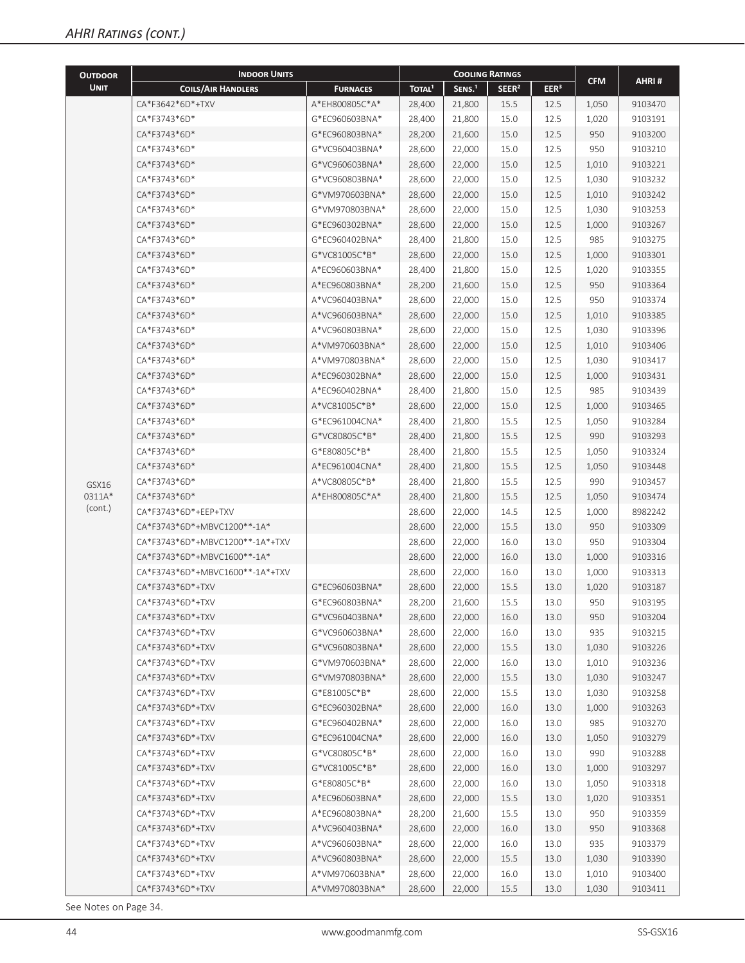| <b>OUTDOOR</b> | <b>INDOOR UNITS</b>             |                 |                    | <b>COOLING RATINGS</b> |                   |                  |            |         |
|----------------|---------------------------------|-----------------|--------------------|------------------------|-------------------|------------------|------------|---------|
| <b>UNIT</b>    | <b>COILS/AIR HANDLERS</b>       | <b>FURNACES</b> | TOTAL <sup>1</sup> | SENS <sup>1</sup>      | SEER <sup>2</sup> | EER <sup>3</sup> | <b>CFM</b> | AHRI#   |
|                | CA*F3642*6D*+TXV                | A*EH800805C*A*  | 28,400             | 21,800                 | 15.5              | 12.5             | 1,050      | 9103470 |
|                | CA*F3743*6D*                    | G*EC960603BNA*  | 28,400             | 21,800                 | 15.0              | 12.5             | 1,020      | 9103191 |
|                | CA*F3743*6D*                    | G*EC960803BNA*  | 28,200             | 21,600                 | 15.0              | 12.5             | 950        | 9103200 |
|                | CA*F3743*6D*                    | G*VC960403BNA*  | 28,600             | 22,000                 | 15.0              | 12.5             | 950        | 9103210 |
|                | CA*F3743*6D*                    | G*VC960603BNA*  | 28,600             | 22,000                 | 15.0              | 12.5             | 1,010      | 9103221 |
|                | CA*F3743*6D*                    | G*VC960803BNA*  | 28,600             | 22,000                 | 15.0              | 12.5             | 1,030      | 9103232 |
|                | CA*F3743*6D*                    | G*VM970603BNA*  | 28,600             | 22,000                 | 15.0              | 12.5             | 1,010      | 9103242 |
|                | CA*F3743*6D*                    | G*VM970803BNA*  | 28,600             | 22,000                 | 15.0              | 12.5             | 1,030      | 9103253 |
|                | CA*F3743*6D*                    | G*EC960302BNA*  | 28,600             | 22,000                 | 15.0              | 12.5             | 1,000      | 9103267 |
|                | CA*F3743*6D*                    | G*EC960402BNA*  | 28,400             | 21,800                 | 15.0              | 12.5             | 985        | 9103275 |
|                | CA*F3743*6D*                    | G*VC81005C*B*   | 28,600             | 22,000                 | 15.0              | 12.5             | 1,000      | 9103301 |
|                | CA*F3743*6D*                    | A*EC960603BNA*  | 28,400             | 21,800                 | 15.0              | 12.5             | 1,020      | 9103355 |
|                | CA*F3743*6D*                    | A*EC960803BNA*  | 28,200             | 21,600                 | 15.0              | 12.5             | 950        | 9103364 |
|                | CA*F3743*6D*                    | A*VC960403BNA*  | 28,600             | 22,000                 | 15.0              | 12.5             | 950        | 9103374 |
|                | CA*F3743*6D*                    | A*VC960603BNA*  | 28,600             | 22,000                 | 15.0              | 12.5             | 1,010      | 9103385 |
|                | CA*F3743*6D*                    | A*VC960803BNA*  | 28,600             | 22,000                 | 15.0              | 12.5             | 1,030      | 9103396 |
|                | CA*F3743*6D*                    | A*VM970603BNA*  | 28,600             | 22,000                 | 15.0              | 12.5             | 1,010      | 9103406 |
|                | CA*F3743*6D*                    | A*VM970803BNA*  | 28,600             | 22,000                 | 15.0              | 12.5             | 1,030      | 9103417 |
|                | CA*F3743*6D*                    | A*EC960302BNA*  | 28,600             | 22,000                 | 15.0              | 12.5             | 1,000      | 9103431 |
|                | CA*F3743*6D*                    | A*EC960402BNA*  | 28,400             | 21,800                 | 15.0              | 12.5             | 985        | 9103439 |
|                | CA*F3743*6D*                    | A*VC81005C*B*   | 28,600             | 22,000                 | 15.0              | 12.5             | 1,000      | 9103465 |
|                | CA*F3743*6D*                    | G*EC961004CNA*  | 28,400             | 21,800                 | 15.5              | 12.5             | 1,050      | 9103284 |
|                | CA*F3743*6D*                    | G*VC80805C*B*   | 28,400             | 21,800                 | 15.5              | 12.5             | 990        | 9103293 |
|                | CA*F3743*6D*                    | G*E80805C*B*    | 28,400             | 21,800                 | 15.5              | 12.5             | 1,050      | 9103324 |
|                | CA*F3743*6D*                    | A*EC961004CNA*  | 28,400             | 21,800                 | 15.5              | 12.5             | 1,050      | 9103448 |
| GSX16          | CA*F3743*6D*                    | A*VC80805C*B*   | 28,400             | 21,800                 | 15.5              | 12.5             | 990        | 9103457 |
| 0311A*         | CA*F3743*6D*                    | A*EH800805C*A*  | 28,400             | 21,800                 | 15.5              | 12.5             | 1,050      | 9103474 |
| (cont.)        | CA*F3743*6D*+EEP+TXV            |                 | 28,600             | 22,000                 | 14.5              | 12.5             | 1,000      | 8982242 |
|                | CA*F3743*6D*+MBVC1200**-1A*     |                 | 28,600             | 22,000                 | 15.5              | 13.0             | 950        | 9103309 |
|                | CA*F3743*6D*+MBVC1200**-1A*+TXV |                 | 28,600             | 22,000                 | 16.0              | 13.0             | 950        | 9103304 |
|                | CA*F3743*6D*+MBVC1600**-1A*     |                 | 28,600             | 22,000                 | 16.0              | 13.0             | 1,000      | 9103316 |
|                | CA*F3743*6D*+MBVC1600**-1A*+TXV |                 | 28,600             | 22,000                 | 16.0              | 13.0             | 1,000      | 9103313 |
|                | CA*F3743*6D*+TXV                | G*EC960603BNA*  | 28,600             | 22,000                 | 15.5              | 13.0             | 1,020      | 9103187 |
|                | CA*F3743*6D*+TXV                | G*EC960803BNA*  | 28,200             | 21,600                 | 15.5              | 13.0             | 950        | 9103195 |
|                | CA*F3743*6D*+TXV                | G*VC960403BNA*  | 28,600             | 22,000                 | 16.0              | 13.0             | 950        | 9103204 |
|                | CA*F3743*6D*+TXV                | G*VC960603BNA*  | 28,600             | 22,000                 | 16.0              | 13.0             | 935        | 9103215 |
|                | CA*F3743*6D*+TXV                | G*VC960803BNA*  | 28,600             | 22,000                 | 15.5              | 13.0             | 1,030      | 9103226 |
|                | CA*F3743*6D*+TXV                | G*VM970603BNA*  | 28,600             | 22,000                 | 16.0              | 13.0             | 1,010      | 9103236 |
|                | CA*F3743*6D*+TXV                | G*VM970803BNA*  | 28,600             | 22,000                 | 15.5              | 13.0             | 1,030      | 9103247 |
|                | CA*F3743*6D*+TXV                | G*E81005C*B*    | 28,600             | 22,000                 | 15.5              | 13.0             | 1,030      | 9103258 |
|                | CA*F3743*6D*+TXV                | G*EC960302BNA*  | 28,600             | 22,000                 | 16.0              | 13.0             | 1,000      | 9103263 |
|                | CA*F3743*6D*+TXV                | G*EC960402BNA*  | 28,600             | 22,000                 | 16.0              | 13.0             | 985        | 9103270 |
|                | CA*F3743*6D*+TXV                | G*EC961004CNA*  | 28,600             | 22,000                 | 16.0              | 13.0             | 1,050      | 9103279 |
|                | CA*F3743*6D*+TXV                | G*VC80805C*B*   | 28,600             | 22,000                 | 16.0              | 13.0             | 990        | 9103288 |
|                | CA*F3743*6D*+TXV                | G*VC81005C*B*   | 28,600             | 22,000                 | 16.0              | 13.0             | 1,000      | 9103297 |
|                | CA*F3743*6D*+TXV                | G*E80805C*B*    | 28,600             | 22,000                 | 16.0              | 13.0             | 1,050      | 9103318 |
|                | CA*F3743*6D*+TXV                | A*EC960603BNA*  | 28,600             | 22,000                 | 15.5              | 13.0             | 1,020      | 9103351 |
|                | CA*F3743*6D*+TXV                | A*EC960803BNA*  | 28,200             | 21,600                 | 15.5              | 13.0             | 950        | 9103359 |
|                | CA*F3743*6D*+TXV                | A*VC960403BNA*  | 28,600             | 22,000                 | 16.0              | 13.0             | 950        | 9103368 |
|                | CA*F3743*6D*+TXV                | A*VC960603BNA*  | 28,600             | 22,000                 | 16.0              | 13.0             | 935        | 9103379 |
|                | CA*F3743*6D*+TXV                | A*VC960803BNA*  | 28,600             | 22,000                 | 15.5              | 13.0             | 1,030      | 9103390 |
|                | CA*F3743*6D*+TXV                | A*VM970603BNA*  | 28,600             | 22,000                 | 16.0              | 13.0             | 1,010      | 9103400 |
|                | CA*F3743*6D*+TXV                | A*VM970803BNA*  | 28,600             | 22,000                 | 15.5              | 13.0             | 1,030      | 9103411 |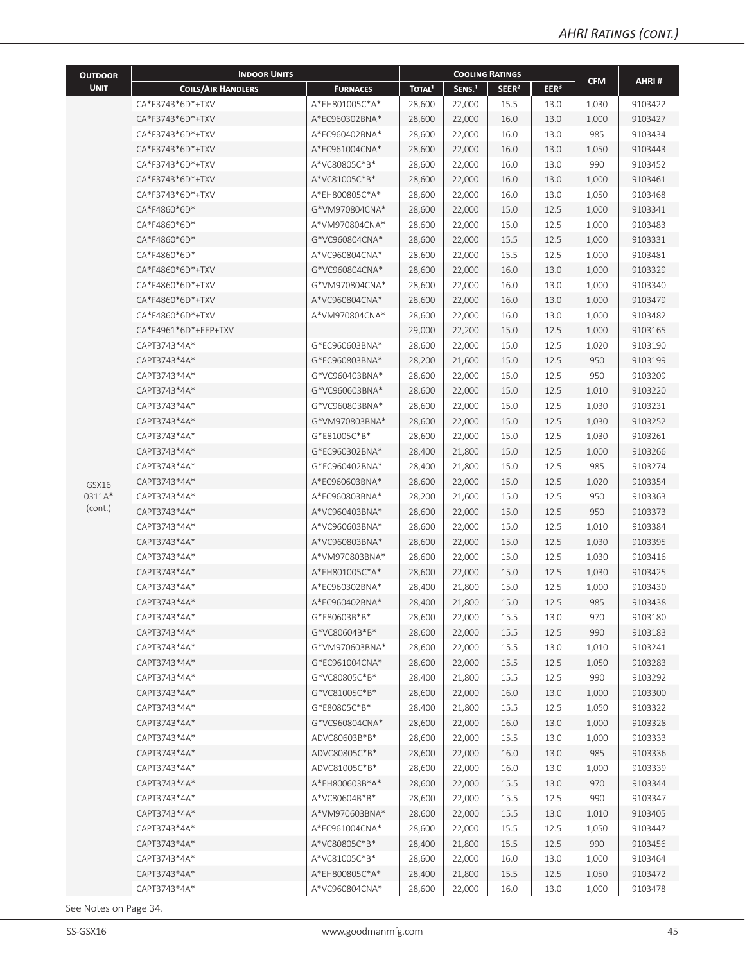| <b>OUTDOOR</b> | <b>INDOOR UNITS</b>       |                 |                    |                    | <b>COOLING RATINGS</b> |                  |            |         |
|----------------|---------------------------|-----------------|--------------------|--------------------|------------------------|------------------|------------|---------|
| <b>UNIT</b>    | <b>COILS/AIR HANDLERS</b> | <b>FURNACES</b> | TOTAL <sup>1</sup> | SENS. <sup>1</sup> | SEER <sup>2</sup>      | EER <sup>3</sup> | <b>CFM</b> | AHRI#   |
|                | CA*F3743*6D*+TXV          | A*EH801005C*A*  | 28,600             | 22,000             | 15.5                   | 13.0             | 1,030      | 9103422 |
|                | CA*F3743*6D*+TXV          | A*EC960302BNA*  | 28,600             | 22,000             | 16.0                   | 13.0             | 1,000      | 9103427 |
|                | CA*F3743*6D*+TXV          | A*EC960402BNA*  | 28,600             | 22,000             | 16.0                   | 13.0             | 985        | 9103434 |
|                | CA*F3743*6D*+TXV          | A*EC961004CNA*  | 28,600             | 22,000             | 16.0                   | 13.0             | 1,050      | 9103443 |
|                | CA*F3743*6D*+TXV          | A*VC80805C*B*   | 28,600             | 22,000             | 16.0                   | 13.0             | 990        | 9103452 |
|                | CA*F3743*6D*+TXV          | A*VC81005C*B*   | 28,600             | 22,000             | 16.0                   | 13.0             | 1,000      | 9103461 |
|                | CA*F3743*6D*+TXV          | A*EH800805C*A*  | 28,600             | 22,000             | 16.0                   | 13.0             | 1,050      | 9103468 |
|                | CA*F4860*6D*              | G*VM970804CNA*  | 28,600             | 22,000             | 15.0                   | 12.5             | 1,000      | 9103341 |
|                | CA*F4860*6D*              | A*VM970804CNA*  | 28,600             | 22,000             | 15.0                   | 12.5             | 1,000      | 9103483 |
|                | CA*F4860*6D*              | G*VC960804CNA*  | 28,600             | 22,000             | 15.5                   | 12.5             | 1,000      | 9103331 |
|                | CA*F4860*6D*              | A*VC960804CNA*  | 28,600             | 22,000             | 15.5                   | 12.5             | 1,000      | 9103481 |
|                | CA*F4860*6D*+TXV          | G*VC960804CNA*  | 28,600             | 22,000             | 16.0                   | 13.0             | 1,000      | 9103329 |
|                | CA*F4860*6D*+TXV          | G*VM970804CNA*  | 28,600             | 22,000             | 16.0                   | 13.0             | 1,000      | 9103340 |
|                | CA*F4860*6D*+TXV          | A*VC960804CNA*  | 28,600             | 22,000             | 16.0                   | 13.0             | 1,000      | 9103479 |
|                | CA*F4860*6D*+TXV          | A*VM970804CNA*  | 28,600             | 22,000             | 16.0                   | 13.0             | 1,000      | 9103482 |
|                | CA*F4961*6D*+EEP+TXV      |                 | 29,000             | 22,200             | 15.0                   | 12.5             | 1,000      | 9103165 |
|                | CAPT3743*4A*              | G*EC960603BNA*  | 28,600             | 22,000             | 15.0                   | 12.5             | 1,020      | 9103190 |
|                | CAPT3743*4A*              | G*EC960803BNA*  | 28,200             | 21,600             | 15.0                   | 12.5             | 950        | 9103199 |
|                | CAPT3743*4A*              | G*VC960403BNA*  | 28,600             | 22,000             | 15.0                   | 12.5             | 950        | 9103209 |
|                | CAPT3743*4A*              | G*VC960603BNA*  | 28,600             | 22,000             | 15.0                   | 12.5             | 1,010      | 9103220 |
|                | CAPT3743*4A*              | G*VC960803BNA*  | 28,600             | 22,000             | 15.0                   | 12.5             | 1,030      | 9103231 |
|                | CAPT3743*4A*              | G*VM970803BNA*  | 28,600             | 22,000             | 15.0                   | 12.5             | 1,030      | 9103252 |
|                | CAPT3743*4A*              | G*E81005C*B*    | 28,600             | 22,000             | 15.0                   | 12.5             | 1,030      | 9103261 |
|                | CAPT3743*4A*              | G*EC960302BNA*  | 28,400             | 21,800             | 15.0                   | 12.5             | 1,000      | 9103266 |
|                | CAPT3743*4A*              | G*EC960402BNA*  | 28,400             | 21,800             | 15.0                   | 12.5             | 985        | 9103274 |
| GSX16          | CAPT3743*4A*              | A*EC960603BNA*  | 28,600             | 22,000             | 15.0                   | 12.5             | 1,020      | 9103354 |
| 0311A*         | CAPT3743*4A*              | A*EC960803BNA*  | 28,200             | 21,600             | 15.0                   | 12.5             | 950        | 9103363 |
| (cont.)        | CAPT3743*4A*              | A*VC960403BNA*  | 28,600             | 22,000             | 15.0                   | 12.5             | 950        | 9103373 |
|                | CAPT3743*4A*              | A*VC960603BNA*  | 28,600             | 22,000             | 15.0                   | 12.5             | 1,010      | 9103384 |
|                | CAPT3743*4A*              | A*VC960803BNA*  | 28,600             | 22,000             | 15.0                   | 12.5             | 1,030      | 9103395 |
|                | CAPT3743*4A*              | A*VM970803BNA*  | 28,600             | 22,000             | 15.0                   | 12.5             | 1,030      | 9103416 |
|                | CAPT3743*4A*              | A*EH801005C*A*  | 28,600             | 22,000             | 15.0                   | 12.5             | 1,030      | 9103425 |
|                | CAPT3743*4A*              | A*EC960302BNA*  | 28,400             | 21,800             | 15.0                   | 12.5             | 1,000      | 9103430 |
|                | CAPT3743*4A*              | A*EC960402BNA*  | 28,400             | 21,800             | 15.0                   | 12.5             | 985        | 9103438 |
|                | CAPT3743*4A*              | G*E80603B*B*    | 28,600             | 22,000             | 15.5                   | 13.0             | 970        | 9103180 |
|                | CAPT3743*4A*              | G*VC80604B*B*   | 28,600             | 22,000             | 15.5                   | 12.5             | 990        | 9103183 |
|                | CAPT3743*4A*              | G*VM970603BNA*  | 28,600             | 22,000             | 15.5                   | 13.0             | 1,010      | 9103241 |
|                | CAPT3743*4A*              | G*EC961004CNA*  | 28,600             | 22,000             | 15.5                   | 12.5             | 1,050      | 9103283 |
|                | CAPT3743*4A*              | G*VC80805C*B*   | 28,400             | 21,800             | 15.5                   | 12.5             | 990        | 9103292 |
|                | CAPT3743*4A*              | G*VC81005C*B*   | 28,600             | 22,000             | 16.0                   | 13.0             | 1,000      | 9103300 |
|                | CAPT3743*4A*              | G*E80805C*B*    | 28,400             | 21,800             | 15.5                   | 12.5             | 1,050      | 9103322 |
|                | CAPT3743*4A*              | G*VC960804CNA*  | 28,600             | 22,000             | 16.0                   | 13.0             | 1,000      | 9103328 |
|                | CAPT3743*4A*              | ADVC80603B*B*   | 28,600             | 22,000             | 15.5                   | 13.0             | 1,000      | 9103333 |
|                | CAPT3743*4A*              | ADVC80805C*B*   | 28,600             | 22,000             | 16.0                   | 13.0             | 985        | 9103336 |
|                | CAPT3743*4A*              | ADVC81005C*B*   | 28,600             | 22,000             | 16.0                   | 13.0             | 1,000      | 9103339 |
|                | CAPT3743*4A*              | A*EH800603B*A*  | 28,600             | 22,000             | 15.5                   | 13.0             | 970        | 9103344 |
|                | CAPT3743*4A*              | A*VC80604B*B*   | 28,600             | 22,000             | 15.5                   | 12.5             | 990        | 9103347 |
|                | CAPT3743*4A*              | A*VM970603BNA*  | 28,600             | 22,000             | 15.5                   | 13.0             | 1,010      | 9103405 |
|                | CAPT3743*4A*              | A*EC961004CNA*  | 28,600             | 22,000             | 15.5                   | 12.5             | 1,050      | 9103447 |
|                | CAPT3743*4A*              | A*VC80805C*B*   | 28,400             | 21,800             | 15.5                   | 12.5             | 990        | 9103456 |
|                | CAPT3743*4A*              | A*VC81005C*B*   | 28,600             | 22,000             | 16.0                   | 13.0             | 1,000      | 9103464 |
|                | CAPT3743*4A*              | A*EH800805C*A*  | 28,400             | 21,800             | 15.5                   | 12.5             | 1,050      | 9103472 |
|                | CAPT3743*4A*              | A*VC960804CNA*  | 28,600             | 22,000             | 16.0                   | 13.0             | 1,000      | 9103478 |
|                |                           |                 |                    |                    |                        |                  |            |         |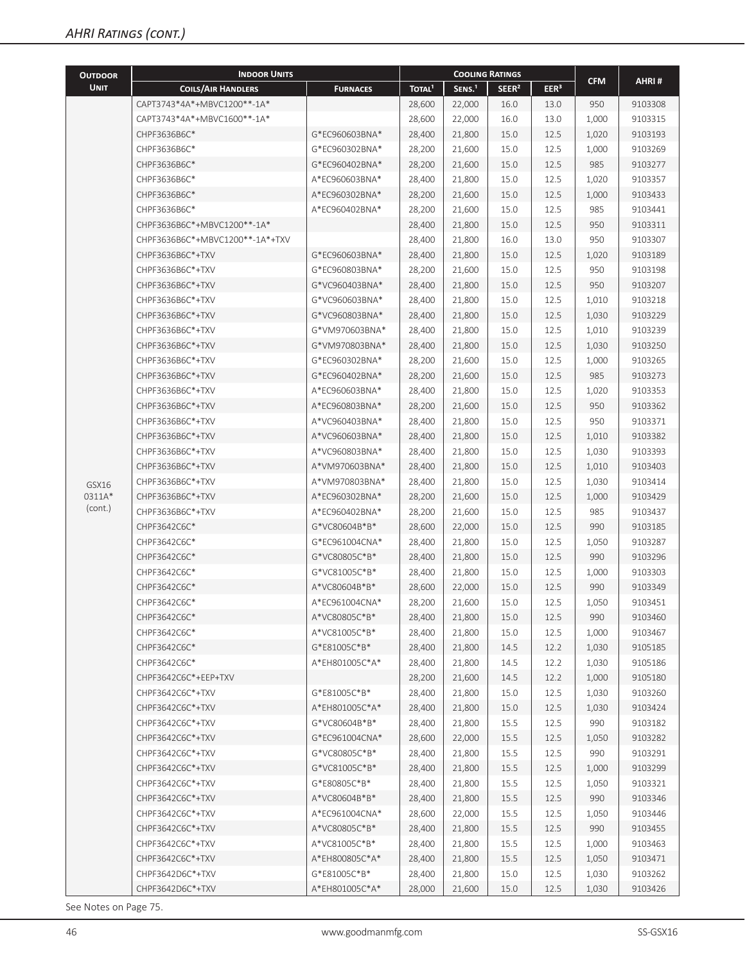| <b>OUTDOOR</b> | <b>INDOOR UNITS</b>             |                 |                    | <b>COOLING RATINGS</b> |                   |                  |            |         |
|----------------|---------------------------------|-----------------|--------------------|------------------------|-------------------|------------------|------------|---------|
| <b>UNIT</b>    | <b>COILS/AIR HANDLERS</b>       | <b>FURNACES</b> | TOTAL <sup>1</sup> | SENS. <sup>1</sup>     | SEER <sup>2</sup> | EER <sup>3</sup> | <b>CFM</b> | AHRI#   |
|                | CAPT3743*4A*+MBVC1200**-1A*     |                 | 28,600             | 22,000                 | 16.0              | 13.0             | 950        | 9103308 |
|                | CAPT3743*4A*+MBVC1600**-1A*     |                 | 28,600             | 22,000                 | 16.0              | 13.0             | 1,000      | 9103315 |
|                | CHPF3636B6C*                    | G*EC960603BNA*  | 28,400             | 21,800                 | 15.0              | 12.5             | 1,020      | 9103193 |
|                | CHPF3636B6C*                    | G*EC960302BNA*  | 28,200             | 21,600                 | 15.0              | 12.5             | 1,000      | 9103269 |
|                | CHPF3636B6C*                    | G*EC960402BNA*  | 28,200             | 21,600                 | 15.0              | 12.5             | 985        | 9103277 |
|                | CHPF3636B6C*                    | A*EC960603BNA*  | 28,400             | 21,800                 | 15.0              | 12.5             | 1,020      | 9103357 |
|                | CHPF3636B6C*                    | A*EC960302BNA*  | 28,200             | 21,600                 | 15.0              | 12.5             | 1,000      | 9103433 |
|                | CHPF3636B6C*                    | A*EC960402BNA*  | 28,200             | 21,600                 | 15.0              | 12.5             | 985        | 9103441 |
|                | CHPF3636B6C*+MBVC1200**-1A*     |                 | 28,400             | 21,800                 | 15.0              | 12.5             | 950        | 9103311 |
|                | CHPF3636B6C*+MBVC1200**-1A*+TXV |                 | 28,400             | 21,800                 | 16.0              | 13.0             | 950        | 9103307 |
|                | CHPF3636B6C*+TXV                | G*EC960603BNA*  | 28,400             | 21,800                 | 15.0              | 12.5             | 1,020      | 9103189 |
|                | CHPF3636B6C*+TXV                | G*EC960803BNA*  | 28,200             | 21,600                 | 15.0              | 12.5             | 950        | 9103198 |
|                | CHPF3636B6C*+TXV                | G*VC960403BNA*  | 28,400             | 21,800                 | 15.0              | 12.5             | 950        | 9103207 |
|                | CHPF3636B6C*+TXV                | G*VC960603BNA*  | 28,400             | 21,800                 | 15.0              | 12.5             | 1,010      | 9103218 |
|                | CHPF3636B6C*+TXV                | G*VC960803BNA*  | 28,400             | 21,800                 | 15.0              | 12.5             | 1,030      | 9103229 |
|                | CHPF3636B6C*+TXV                | G*VM970603BNA*  | 28,400             | 21,800                 | 15.0              | 12.5             | 1,010      | 9103239 |
|                | CHPF3636B6C*+TXV                | G*VM970803BNA*  | 28,400             | 21,800                 | 15.0              | 12.5             | 1,030      | 9103250 |
|                | CHPF3636B6C*+TXV                | G*EC960302BNA*  | 28,200             | 21,600                 | 15.0              | 12.5             | 1,000      | 9103265 |
|                | CHPF3636B6C*+TXV                | G*EC960402BNA*  | 28,200             | 21,600                 | 15.0              | 12.5             | 985        | 9103273 |
|                | CHPF3636B6C*+TXV                | A*EC960603BNA*  | 28,400             | 21,800                 | 15.0              | 12.5             | 1,020      | 9103353 |
|                | CHPF3636B6C*+TXV                | A*EC960803BNA*  | 28,200             | 21,600                 | 15.0              | 12.5             | 950        | 9103362 |
|                | CHPF3636B6C*+TXV                | A*VC960403BNA*  | 28,400             | 21,800                 | 15.0              | 12.5             | 950        | 9103371 |
|                | CHPF3636B6C*+TXV                | A*VC960603BNA*  | 28,400             | 21,800                 | 15.0              | 12.5             | 1,010      | 9103382 |
|                | CHPF3636B6C*+TXV                | A*VC960803BNA*  | 28,400             | 21,800                 | 15.0              | 12.5             | 1,030      | 9103393 |
|                | CHPF3636B6C*+TXV                | A*VM970603BNA*  | 28,400             | 21,800                 | 15.0              | 12.5             | 1,010      | 9103403 |
| GSX16          | CHPF3636B6C*+TXV                | A*VM970803BNA*  | 28,400             | 21,800                 | 15.0              | 12.5             | 1,030      | 9103414 |
| 0311A*         | CHPF3636B6C*+TXV                | A*EC960302BNA*  | 28,200             | 21,600                 | 15.0              | 12.5             | 1,000      | 9103429 |
| (cont.)        | CHPF3636B6C*+TXV                | A*EC960402BNA*  | 28,200             | 21,600                 | 15.0              | 12.5             | 985        | 9103437 |
|                | CHPF3642C6C*                    | G*VC80604B*B*   | 28,600             | 22,000                 | 15.0              | 12.5             | 990        | 9103185 |
|                | CHPF3642C6C*                    | G*EC961004CNA*  | 28,400             | 21,800                 | 15.0              | 12.5             | 1,050      | 9103287 |
|                | CHPF3642C6C*                    | G*VC80805C*B*   | 28,400             | 21,800                 | 15.0              | 12.5             | 990        | 9103296 |
|                | CHPF3642C6C*                    | G*VC81005C*B*   | 28,400             | 21,800                 | 15.0              | 12.5             | 1,000      | 9103303 |
|                | CHPF3642C6C*                    | A*VC80604B*B*   | 28,600             | 22,000                 | 15.0              | 12.5             | 990        | 9103349 |
|                | CHPF3642C6C*                    | A*EC961004CNA*  | 28,200             | 21,600                 | 15.0              | 12.5             | 1,050      | 9103451 |
|                | CHPF3642C6C*                    | A*VC80805C*B*   | 28,400             | 21,800                 | 15.0              | 12.5             | 990        | 9103460 |
|                | CHPF3642C6C*                    | A*VC81005C*B*   | 28,400             | 21,800                 | 15.0              | 12.5             | 1,000      | 9103467 |
|                | CHPF3642C6C*                    | G*E81005C*B*    | 28,400             | 21,800                 | 14.5              | 12.2             | 1,030      | 9105185 |
|                | CHPF3642C6C*                    | A*EH801005C*A*  | 28,400             | 21,800                 | 14.5              | 12.2             | 1,030      | 9105186 |
|                | CHPF3642C6C*+EEP+TXV            |                 | 28,200             | 21,600                 | 14.5              | 12.2             | 1,000      | 9105180 |
|                | CHPF3642C6C*+TXV                | G*E81005C*B*    | 28,400             | 21,800                 | 15.0              | 12.5             | 1,030      | 9103260 |
|                | CHPF3642C6C*+TXV                | A*EH801005C*A*  | 28,400             | 21,800                 | 15.0              | 12.5             | 1,030      | 9103424 |
|                | CHPF3642C6C*+TXV                | G*VC80604B*B*   | 28,400             | 21,800                 | 15.5              | 12.5             | 990        | 9103182 |
|                | CHPF3642C6C*+TXV                | G*EC961004CNA*  | 28,600             | 22,000                 | 15.5              | 12.5             | 1,050      | 9103282 |
|                | CHPF3642C6C*+TXV                | G*VC80805C*B*   | 28,400             | 21,800                 | 15.5              | 12.5             | 990        | 9103291 |
|                | CHPF3642C6C*+TXV                | G*VC81005C*B*   | 28,400             | 21,800                 | 15.5              | 12.5             | 1,000      | 9103299 |
|                | CHPF3642C6C*+TXV                | G*E80805C*B*    | 28,400             | 21,800                 | 15.5              | 12.5             | 1,050      | 9103321 |
|                | CHPF3642C6C*+TXV                | A*VC80604B*B*   | 28,400             | 21,800                 | 15.5              | 12.5             | 990        | 9103346 |
|                | CHPF3642C6C*+TXV                | A*EC961004CNA*  | 28,600             | 22,000                 | 15.5              | 12.5             | 1,050      | 9103446 |
|                | CHPF3642C6C*+TXV                | A*VC80805C*B*   | 28,400             | 21,800                 | 15.5              | 12.5             | 990        | 9103455 |
|                | CHPF3642C6C*+TXV                | A*VC81005C*B*   | 28,400             | 21,800                 | 15.5              | 12.5             | 1,000      | 9103463 |
|                | CHPF3642C6C*+TXV                | A*EH800805C*A*  | 28,400             | 21,800                 | 15.5              | 12.5             | 1,050      | 9103471 |
|                | CHPF3642D6C*+TXV                | G*E81005C*B*    | 28,400             | 21,800                 | 15.0              | 12.5             | 1,030      | 9103262 |
|                | CHPF3642D6C*+TXV                | A*EH801005C*A*  | 28,000             | 21,600                 | 15.0              | 12.5             | 1,030      | 9103426 |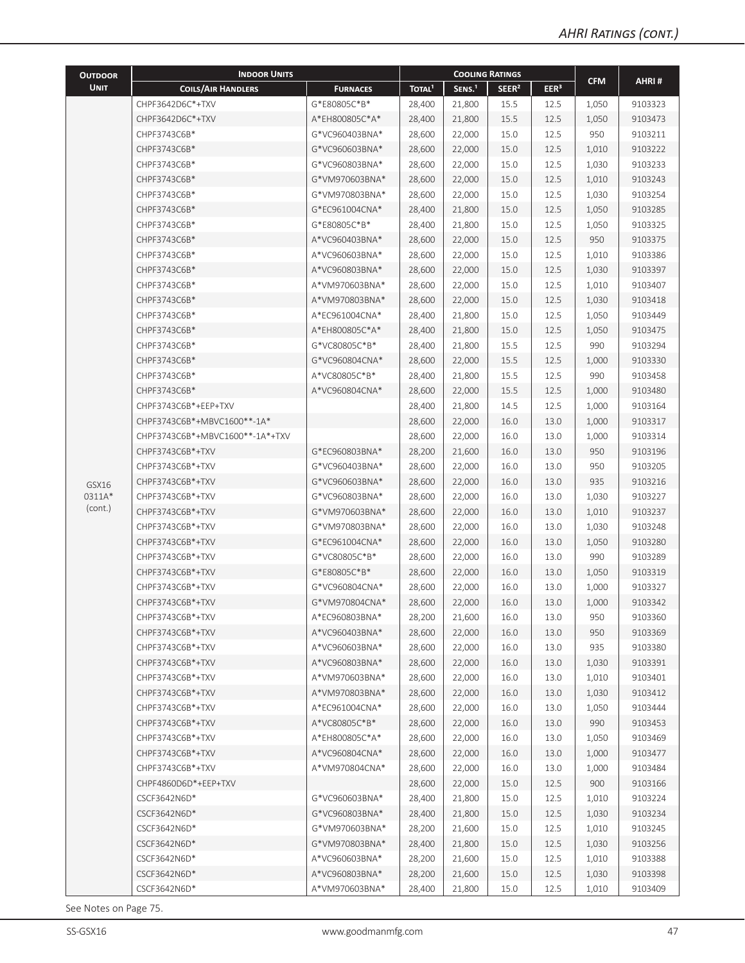| <b>OUTDOOR</b> | <b>INDOOR UNITS</b>             |                 |                    |                    | <b>COOLING RATINGS</b> |                  |            |         |
|----------------|---------------------------------|-----------------|--------------------|--------------------|------------------------|------------------|------------|---------|
| <b>UNIT</b>    | <b>COILS/AIR HANDLERS</b>       | <b>FURNACES</b> | TOTAL <sup>1</sup> | SENS. <sup>1</sup> | SEER <sup>2</sup>      | EER <sup>3</sup> | <b>CFM</b> | AHRI#   |
|                | CHPF3642D6C*+TXV                | G*E80805C*B*    | 28,400             | 21,800             | 15.5                   | 12.5             | 1,050      | 9103323 |
|                | CHPF3642D6C*+TXV                | A*EH800805C*A*  | 28,400             | 21,800             | 15.5                   | 12.5             | 1,050      | 9103473 |
|                | CHPF3743C6B*                    | G*VC960403BNA*  | 28,600             | 22,000             | 15.0                   | 12.5             | 950        | 9103211 |
|                | CHPF3743C6B*                    | G*VC960603BNA*  | 28,600             | 22,000             | 15.0                   | 12.5             | 1,010      | 9103222 |
|                | CHPF3743C6B*                    | G*VC960803BNA*  | 28,600             | 22,000             | 15.0                   | 12.5             | 1,030      | 9103233 |
|                | CHPF3743C6B*                    | G*VM970603BNA*  | 28,600             | 22,000             | 15.0                   | 12.5             | 1,010      | 9103243 |
|                | CHPF3743C6B*                    | G*VM970803BNA*  | 28,600             | 22,000             | 15.0                   | 12.5             | 1,030      | 9103254 |
|                | CHPF3743C6B*                    | G*EC961004CNA*  | 28,400             | 21,800             | 15.0                   | 12.5             | 1,050      | 9103285 |
|                | CHPF3743C6B*                    | G*E80805C*B*    | 28,400             | 21,800             | 15.0                   | 12.5             | 1,050      | 9103325 |
|                | CHPF3743C6B*                    | A*VC960403BNA*  | 28,600             | 22,000             | 15.0                   | 12.5             | 950        | 9103375 |
|                | CHPF3743C6B*                    | A*VC960603BNA*  | 28,600             | 22,000             | 15.0                   | 12.5             | 1,010      | 9103386 |
|                | CHPF3743C6B*                    | A*VC960803BNA*  | 28,600             | 22,000             | 15.0                   | 12.5             | 1,030      | 9103397 |
|                | CHPF3743C6B*                    | A*VM970603BNA*  | 28,600             | 22,000             | 15.0                   | 12.5             | 1,010      | 9103407 |
|                | CHPF3743C6B*                    | A*VM970803BNA*  | 28,600             | 22,000             | 15.0                   | 12.5             | 1,030      | 9103418 |
|                | CHPF3743C6B*                    | A*EC961004CNA*  | 28,400             | 21,800             | 15.0                   | 12.5             | 1,050      | 9103449 |
|                | CHPF3743C6B*                    | A*EH800805C*A*  | 28,400             | 21,800             | 15.0                   | 12.5             | 1,050      | 9103475 |
|                | CHPF3743C6B*                    | G*VC80805C*B*   | 28,400             | 21,800             | 15.5                   | 12.5             | 990        | 9103294 |
|                | CHPF3743C6B*                    | G*VC960804CNA*  | 28,600             | 22,000             | 15.5                   | 12.5             | 1,000      | 9103330 |
|                | CHPF3743C6B*                    | A*VC80805C*B*   | 28,400             | 21,800             | 15.5                   | 12.5             | 990        | 9103458 |
|                | CHPF3743C6B*                    | A*VC960804CNA*  | 28,600             | 22,000             | 15.5                   | 12.5             | 1,000      | 9103480 |
|                | CHPF3743C6B*+EEP+TXV            |                 | 28,400             | 21,800             | 14.5                   | 12.5             | 1,000      | 9103164 |
|                | CHPF3743C6B*+MBVC1600**-1A*     |                 | 28,600             | 22,000             | 16.0                   | 13.0             | 1,000      | 9103317 |
|                | CHPF3743C6B*+MBVC1600**-1A*+TXV |                 | 28,600             | 22,000             | 16.0                   | 13.0             | 1,000      | 9103314 |
|                | CHPF3743C6B*+TXV                | G*EC960803BNA*  | 28,200             | 21,600             | 16.0                   | 13.0             | 950        | 9103196 |
|                | CHPF3743C6B*+TXV                | G*VC960403BNA*  | 28,600             | 22,000             | 16.0                   | 13.0             | 950        | 9103205 |
| GSX16          | CHPF3743C6B*+TXV                | G*VC960603BNA*  | 28,600             | 22,000             | 16.0                   | 13.0             | 935        | 9103216 |
| 0311A*         | CHPF3743C6B*+TXV                | G*VC960803BNA*  | 28,600             | 22,000             | 16.0                   | 13.0             | 1,030      | 9103227 |
| (cont.)        | CHPF3743C6B*+TXV                | G*VM970603BNA*  | 28,600             | 22,000             | 16.0                   | 13.0             | 1,010      | 9103237 |
|                | CHPF3743C6B*+TXV                | G*VM970803BNA*  | 28,600             | 22,000             | 16.0                   | 13.0             | 1,030      | 9103248 |
|                | CHPF3743C6B*+TXV                | G*EC961004CNA*  | 28,600             | 22,000             | 16.0                   | 13.0             | 1,050      | 9103280 |
|                | CHPF3743C6B*+TXV                | G*VC80805C*B*   | 28,600             | 22,000             | 16.0                   | 13.0             | 990        | 9103289 |
|                | CHPF3743C6B*+TXV                | G*E80805C*B*    | 28,600             | 22,000             | 16.0                   | 13.0             | 1,050      | 9103319 |
|                | CHPF3743C6B*+TXV                | G*VC960804CNA*  | 28,600             | 22,000             | 16.0                   | 13.0             | 1,000      | 9103327 |
|                | CHPF3743C6B*+TXV                | G*VM970804CNA*  | 28,600             | 22,000             | 16.0                   | 13.0             | 1,000      | 9103342 |
|                | CHPF3743C6B*+TXV                | A*EC960803BNA*  | 28,200             | 21,600             | 16.0                   | 13.0             | 950        | 9103360 |
|                | CHPF3743C6B*+TXV                | A*VC960403BNA*  | 28,600             | 22,000             | 16.0                   | 13.0             | 950        | 9103369 |
|                | CHPF3743C6B*+TXV                | A*VC960603BNA*  | 28,600             | 22,000             | 16.0                   | 13.0             | 935        | 9103380 |
|                | CHPF3743C6B*+TXV                | A*VC960803BNA*  | 28,600             | 22,000             | 16.0                   | 13.0             | 1,030      | 9103391 |
|                | CHPF3743C6B*+TXV                | A*VM970603BNA*  | 28,600             | 22,000             | 16.0                   | 13.0             | 1,010      | 9103401 |
|                | CHPF3743C6B*+TXV                | A*VM970803BNA*  | 28,600             | 22,000             | 16.0                   | 13.0             | 1,030      | 9103412 |
|                | CHPF3743C6B*+TXV                | A*EC961004CNA*  | 28,600             | 22,000             | 16.0                   | 13.0             | 1,050      | 9103444 |
|                | CHPF3743C6B*+TXV                | A*VC80805C*B*   | 28,600             | 22,000             | 16.0                   | 13.0             | 990        | 9103453 |
|                | CHPF3743C6B*+TXV                | A*EH800805C*A*  | 28,600             | 22,000             | 16.0                   | 13.0             | 1,050      | 9103469 |
|                | CHPF3743C6B*+TXV                | A*VC960804CNA*  | 28,600             | 22,000             | 16.0                   | 13.0             | 1,000      | 9103477 |
|                | CHPF3743C6B*+TXV                | A*VM970804CNA*  | 28,600             | 22,000             | 16.0                   | 13.0             | 1,000      | 9103484 |
|                | CHPF4860D6D*+EEP+TXV            |                 | 28,600             | 22,000             | 15.0                   | 12.5             | 900        | 9103166 |
|                | CSCF3642N6D*                    | G*VC960603BNA*  | 28,400             | 21,800             | 15.0                   | 12.5             | 1,010      | 9103224 |
|                | CSCF3642N6D*                    | G*VC960803BNA*  | 28,400             | 21,800             | 15.0                   | 12.5             | 1,030      | 9103234 |
|                | CSCF3642N6D*                    | G*VM970603BNA*  | 28,200             | 21,600             | 15.0                   | 12.5             | 1,010      | 9103245 |
|                | CSCF3642N6D*                    | G*VM970803BNA*  | 28,400             | 21,800             | 15.0                   | 12.5             | 1,030      | 9103256 |
|                | CSCF3642N6D*                    | A*VC960603BNA*  | 28,200             | 21,600             | 15.0                   | 12.5             | 1,010      | 9103388 |
|                | CSCF3642N6D*                    | A*VC960803BNA*  | 28,200             | 21,600             | 15.0                   | 12.5             | 1,030      | 9103398 |
|                | CSCF3642N6D*                    | A*VM970603BNA*  | 28,400             | 21,800             | 15.0                   | 12.5             | 1,010      | 9103409 |
|                |                                 |                 |                    |                    |                        |                  |            |         |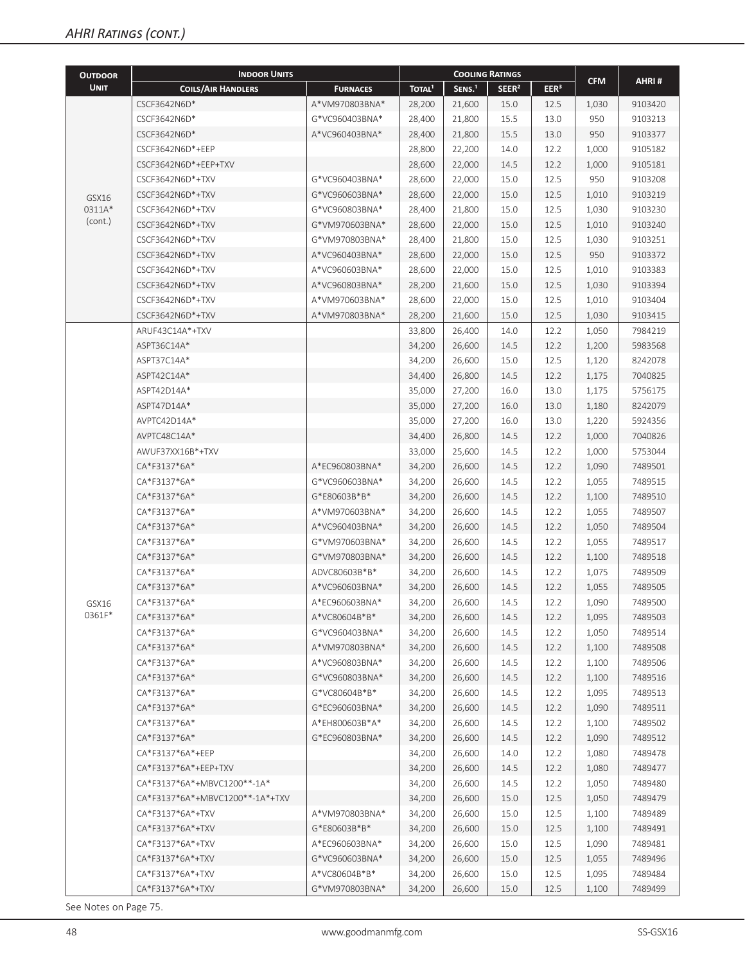| <b>OUTDOOR</b> | <b>INDOOR UNITS</b>             |                 |                    |                    | <b>COOLING RATINGS</b> |                  |            |         |
|----------------|---------------------------------|-----------------|--------------------|--------------------|------------------------|------------------|------------|---------|
| <b>UNIT</b>    | <b>COILS/AIR HANDLERS</b>       | <b>FURNACES</b> | TOTAL <sup>1</sup> | SENS. <sup>1</sup> | SEER <sup>2</sup>      | EER <sup>3</sup> | <b>CFM</b> | AHRI#   |
|                | CSCF3642N6D*                    | A*VM970803BNA*  | 28,200             | 21,600             | 15.0                   | 12.5             | 1,030      | 9103420 |
|                | CSCF3642N6D*                    | G*VC960403BNA*  | 28,400             | 21,800             | 15.5                   | 13.0             | 950        | 9103213 |
|                | CSCF3642N6D*                    | A*VC960403BNA*  | 28,400             | 21,800             | 15.5                   | 13.0             | 950        | 9103377 |
|                | CSCF3642N6D*+EEP                |                 | 28,800             | 22,200             | 14.0                   | 12.2             | 1,000      | 9105182 |
|                | CSCF3642N6D*+EEP+TXV            |                 | 28,600             | 22,000             | 14.5                   | 12.2             | 1,000      | 9105181 |
|                | CSCF3642N6D*+TXV                | G*VC960403BNA*  | 28,600             | 22,000             | 15.0                   | 12.5             | 950        | 9103208 |
| GSX16          | CSCF3642N6D*+TXV                | G*VC960603BNA*  | 28,600             | 22,000             | 15.0                   | 12.5             | 1,010      | 9103219 |
| 0311A*         | CSCF3642N6D*+TXV                | G*VC960803BNA*  | 28,400             | 21,800             | 15.0                   | 12.5             | 1,030      | 9103230 |
| (cont.)        | CSCF3642N6D*+TXV                | G*VM970603BNA*  | 28,600             | 22,000             | 15.0                   | 12.5             | 1,010      | 9103240 |
|                | CSCF3642N6D*+TXV                | G*VM970803BNA*  | 28,400             | 21,800             | 15.0                   | 12.5             | 1,030      | 9103251 |
|                | CSCF3642N6D*+TXV                | A*VC960403BNA*  | 28,600             | 22,000             | 15.0                   | 12.5             | 950        | 9103372 |
|                | CSCF3642N6D*+TXV                | A*VC960603BNA*  | 28,600             | 22,000             | 15.0                   | 12.5             | 1,010      | 9103383 |
|                | CSCF3642N6D*+TXV                | A*VC960803BNA*  | 28,200             | 21,600             | 15.0                   | 12.5             | 1,030      | 9103394 |
|                | CSCF3642N6D*+TXV                | A*VM970603BNA*  | 28,600             | 22,000             | 15.0                   | 12.5             | 1,010      | 9103404 |
|                | CSCF3642N6D*+TXV                | A*VM970803BNA*  | 28,200             | 21,600             | 15.0                   | 12.5             | 1,030      | 9103415 |
|                | ARUF43C14A*+TXV                 |                 | 33,800             | 26,400             | 14.0                   | 12.2             | 1,050      | 7984219 |
|                | ASPT36C14A*                     |                 | 34,200             | 26,600             | 14.5                   | 12.2             | 1,200      | 5983568 |
|                | ASPT37C14A*                     |                 | 34,200             | 26,600             | 15.0                   | 12.5             | 1,120      | 8242078 |
|                | ASPT42C14A*                     |                 | 34,400             | 26,800             | 14.5                   | 12.2             | 1,175      | 7040825 |
|                | ASPT42D14A*                     |                 | 35,000             | 27,200             | 16.0                   | 13.0             | 1,175      | 5756175 |
|                | ASPT47D14A*                     |                 | 35,000             | 27,200             | 16.0                   | 13.0             | 1,180      | 8242079 |
|                | AVPTC42D14A*                    |                 | 35,000             | 27,200             | 16.0                   | 13.0             | 1,220      | 5924356 |
|                | AVPTC48C14A*                    |                 | 34,400             | 26,800             | 14.5                   | 12.2             | 1,000      | 7040826 |
|                | AWUF37XX16B*+TXV                |                 | 33,000             | 25,600             | 14.5                   | 12.2             | 1,000      | 5753044 |
|                | CA*F3137*6A*                    | A*EC960803BNA*  | 34,200             | 26,600             | 14.5                   | 12.2             | 1,090      | 7489501 |
|                | CA*F3137*6A*                    | G*VC960603BNA*  | 34,200             | 26,600             | 14.5                   | 12.2             | 1,055      | 7489515 |
|                | CA*F3137*6A*                    | G*E80603B*B*    | 34,200             | 26,600             | 14.5                   | 12.2             | 1,100      | 7489510 |
|                | CA*F3137*6A*                    | A*VM970603BNA*  | 34,200             | 26,600             | 14.5                   | 12.2             | 1,055      | 7489507 |
|                | CA*F3137*6A*                    | A*VC960403BNA*  | 34,200             | 26,600             | 14.5                   | 12.2             | 1,050      | 7489504 |
|                | CA*F3137*6A*                    | G*VM970603BNA*  | 34,200             | 26,600             | 14.5                   | 12.2             | 1,055      | 7489517 |
|                | CA*F3137*6A*                    | G*VM970803BNA*  | 34,200             | 26,600             | 14.5                   | 12.2             | 1,100      | 7489518 |
|                | CA*F3137*6A*                    | ADVC80603B*B*   | 34,200             | 26,600             | 14.5                   | 12.2             | 1,075      | 7489509 |
|                | CA*F3137*6A*                    | A*VC960603BNA*  | 34,200             | 26,600             | 14.5                   | 12.2             | 1,055      | 7489505 |
| GSX16          | CA*F3137*6A*                    | A*EC960603BNA*  | 34,200             | 26,600             | 14.5                   | 12.2             | 1,090      | 7489500 |
| 0361F*         | CA*F3137*6A*                    | A*VC80604B*B*   | 34,200             | 26,600             | 14.5                   | 12.2             | 1,095      | 7489503 |
|                | CA*F3137*6A*                    | G*VC960403BNA*  | 34,200             | 26,600             | 14.5                   | 12.2             | 1,050      | 7489514 |
|                | CA*F3137*6A*                    | A*VM970803BNA*  | 34,200             | 26,600             | 14.5                   | 12.2             | 1,100      | 7489508 |
|                | CA*F3137*6A*                    | A*VC960803BNA*  | 34,200             | 26,600             | 14.5                   | 12.2             | 1,100      | 7489506 |
|                | CA*F3137*6A*                    | G*VC960803BNA*  | 34,200             | 26,600             | 14.5                   | 12.2             | 1,100      | 7489516 |
|                | CA*F3137*6A*                    | G*VC80604B*B*   | 34,200             | 26,600             | 14.5                   | 12.2             | 1,095      | 7489513 |
|                | CA*F3137*6A*                    | G*EC960603BNA*  | 34,200             | 26,600             | 14.5                   | 12.2             | 1,090      | 7489511 |
|                | CA*F3137*6A*                    | A*EH800603B*A*  | 34,200             | 26,600             | 14.5                   | 12.2             | 1,100      | 7489502 |
|                | CA*F3137*6A*                    | G*EC960803BNA*  | 34,200             | 26,600             | 14.5                   | 12.2             | 1,090      | 7489512 |
|                | CA*F3137*6A*+EEP                |                 | 34,200             | 26,600             | 14.0                   | 12.2             | 1,080      | 7489478 |
|                | CA*F3137*6A*+EEP+TXV            |                 | 34,200             | 26,600             | 14.5                   | 12.2             | 1,080      | 7489477 |
|                | CA*F3137*6A*+MBVC1200**-1A*     |                 | 34,200             | 26,600             | 14.5                   | 12.2             | 1,050      | 7489480 |
|                | CA*F3137*6A*+MBVC1200**-1A*+TXV |                 | 34,200             | 26,600             | 15.0                   | 12.5             | 1,050      | 7489479 |
|                | CA*F3137*6A*+TXV                | A*VM970803BNA*  | 34,200             | 26,600             | 15.0                   | 12.5             | 1,100      | 7489489 |
|                | CA*F3137*6A*+TXV                | G*E80603B*B*    | 34,200             | 26,600             | 15.0                   | 12.5             | 1,100      | 7489491 |
|                | CA*F3137*6A*+TXV                | A*EC960603BNA*  | 34,200             | 26,600             | 15.0                   | 12.5             | 1,090      | 7489481 |
|                | CA*F3137*6A*+TXV                | G*VC960603BNA*  | 34,200             | 26,600             | 15.0                   | 12.5             | 1,055      | 7489496 |
|                | CA*F3137*6A*+TXV                | A*VC80604B*B*   | 34,200             | 26,600             | 15.0                   | 12.5             | 1,095      | 7489484 |
|                | CA*F3137*6A*+TXV                | G*VM970803BNA*  | 34,200             | 26,600             | 15.0                   | 12.5             | 1,100      | 7489499 |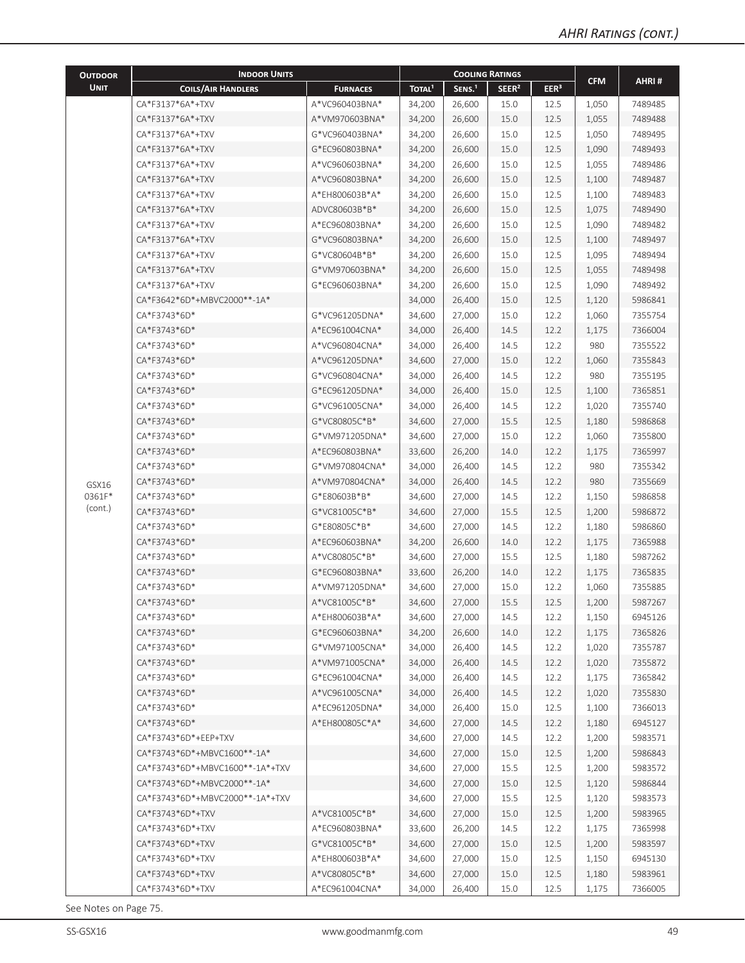| <b>OUTDOOR</b>  | <b>INDOOR UNITS</b>             |                 | <b>COOLING RATINGS</b> |                    |                   |                  |            |         |
|-----------------|---------------------------------|-----------------|------------------------|--------------------|-------------------|------------------|------------|---------|
| <b>UNIT</b>     | <b>COILS/AIR HANDLERS</b>       | <b>FURNACES</b> | TOTAL <sup>1</sup>     | SENS. <sup>1</sup> | SEER <sup>2</sup> | EER <sup>3</sup> | <b>CFM</b> | AHRI#   |
|                 | CA*F3137*6A*+TXV                | A*VC960403BNA*  | 34,200                 | 26,600             | 15.0              | 12.5             | 1,050      | 7489485 |
|                 | CA*F3137*6A*+TXV                | A*VM970603BNA*  | 34,200                 | 26,600             | 15.0              | 12.5             | 1,055      | 7489488 |
|                 | CA*F3137*6A*+TXV                | G*VC960403BNA*  | 34,200                 | 26,600             | 15.0              | 12.5             | 1,050      | 7489495 |
|                 | CA*F3137*6A*+TXV                | G*EC960803BNA*  | 34,200                 | 26,600             | 15.0              | 12.5             | 1,090      | 7489493 |
|                 | CA*F3137*6A*+TXV                | A*VC960603BNA*  | 34,200                 | 26,600             | 15.0              | 12.5             | 1,055      | 7489486 |
|                 | CA*F3137*6A*+TXV                | A*VC960803BNA*  | 34,200                 | 26,600             | 15.0              | 12.5             | 1,100      | 7489487 |
|                 | CA*F3137*6A*+TXV                | A*EH800603B*A*  | 34,200                 | 26,600             | 15.0              | 12.5             | 1,100      | 7489483 |
|                 | CA*F3137*6A*+TXV                | ADVC80603B*B*   | 34,200                 | 26,600             | 15.0              | 12.5             | 1,075      | 7489490 |
|                 | CA*F3137*6A*+TXV                | A*EC960803BNA*  | 34,200                 | 26,600             | 15.0              | 12.5             | 1,090      | 7489482 |
|                 | CA*F3137*6A*+TXV                | G*VC960803BNA*  | 34,200                 | 26,600             | 15.0              | 12.5             | 1,100      | 7489497 |
|                 | CA*F3137*6A*+TXV                | G*VC80604B*B*   | 34,200                 | 26,600             | 15.0              | 12.5             | 1,095      | 7489494 |
|                 | CA*F3137*6A*+TXV                | G*VM970603BNA*  | 34,200                 | 26,600             | 15.0              | 12.5             | 1,055      | 7489498 |
|                 | CA*F3137*6A*+TXV                | G*EC960603BNA*  | 34,200                 | 26,600             | 15.0              | 12.5             | 1,090      | 7489492 |
|                 | CA*F3642*6D*+MBVC2000**-1A*     |                 | 34,000                 | 26,400             | 15.0              | 12.5             | 1,120      | 5986841 |
|                 | CA*F3743*6D*                    | G*VC961205DNA*  | 34,600                 | 27,000             | 15.0              | 12.2             | 1,060      | 7355754 |
|                 | CA*F3743*6D*                    | A*EC961004CNA*  | 34,000                 | 26,400             | 14.5              | 12.2             | 1,175      | 7366004 |
|                 | CA*F3743*6D*                    | A*VC960804CNA*  | 34,000                 | 26,400             | 14.5              | 12.2             | 980        | 7355522 |
|                 | CA*F3743*6D*                    | A*VC961205DNA*  | 34,600                 | 27,000             | 15.0              | 12.2             | 1,060      | 7355843 |
|                 | CA*F3743*6D*                    | G*VC960804CNA*  | 34,000                 | 26,400             | 14.5              | 12.2             | 980        | 7355195 |
|                 | CA*F3743*6D*                    | G*EC961205DNA*  | 34,000                 | 26,400             | 15.0              | 12.5             | 1,100      | 7365851 |
|                 | CA*F3743*6D*                    | G*VC961005CNA*  | 34,000                 | 26,400             | 14.5              | 12.2             | 1,020      | 7355740 |
|                 | CA*F3743*6D*                    | G*VC80805C*B*   | 34,600                 | 27,000             | 15.5              | 12.5             | 1,180      | 5986868 |
|                 | CA*F3743*6D*                    | G*VM971205DNA*  | 34,600                 | 27,000             | 15.0              | 12.2             | 1,060      | 7355800 |
|                 | CA*F3743*6D*                    | A*EC960803BNA*  | 33,600                 | 26,200             | 14.0              | 12.2             | 1,175      | 7365997 |
|                 | CA*F3743*6D*                    | G*VM970804CNA*  | 34,000                 | 26,400             | 14.5              | 12.2             | 980        | 7355342 |
|                 | CA*F3743*6D*                    | A*VM970804CNA*  |                        |                    | 14.5              | 12.2             | 980        | 7355669 |
| GSX16<br>0361F* | CA*F3743*6D*                    | G*E80603B*B*    | 34,000<br>34,600       | 26,400<br>27,000   | 14.5              | 12.2             | 1,150      | 5986858 |
| (cont.)         | CA*F3743*6D*                    | G*VC81005C*B*   |                        |                    |                   | 12.5             |            | 5986872 |
|                 | CA*F3743*6D*                    | G*E80805C*B*    | 34,600                 | 27,000             | 15.5              | 12.2             | 1,200      | 5986860 |
|                 |                                 |                 | 34,600                 | 27,000             | 14.5              |                  | 1,180      |         |
|                 | CA*F3743*6D*                    | A*EC960603BNA*  | 34,200                 | 26,600             | 14.0              | 12.2             | 1,175      | 7365988 |
|                 | CA*F3743*6D*                    | A*VC80805C*B*   | 34,600                 | 27,000             | 15.5              | 12.5             | 1,180      | 5987262 |
|                 | CA*F3743*6D*                    | G*EC960803BNA*  | 33,600                 | 26,200             | 14.0              | 12.2             | 1,175      | 7365835 |
|                 | CA*F3743*6D*                    | A*VM971205DNA*  | 34,600                 | 27,000             | 15.0              | 12.2             | 1,060      | 7355885 |
|                 | CA*F3743*6D*                    | A*VC81005C*B*   | 34,600                 | 27,000             | 15.5              | 12.5             | 1,200      | 5987267 |
|                 | CA*F3743*6D*                    | A*EH800603B*A*  | 34,600                 | 27,000             | 14.5              | 12.2             | 1,150      | 6945126 |
|                 | CA*F3743*6D*                    | G*EC960603BNA*  | 34,200                 | 26,600             | 14.0              | 12.2             | 1,175      | 7365826 |
|                 | CA*F3743*6D*                    | G*VM971005CNA*  | 34,000                 | 26,400             | 14.5              | 12.2             | 1,020      | 7355787 |
|                 | CA*F3743*6D*                    | A*VM971005CNA*  | 34,000                 | 26,400             | 14.5              | 12.2             | 1,020      | 7355872 |
|                 | CA*F3743*6D*                    | G*EC961004CNA*  | 34,000                 | 26,400             | 14.5              | 12.2             | 1,175      | 7365842 |
|                 | CA*F3743*6D*                    | A*VC961005CNA*  | 34,000                 | 26,400             | 14.5              | 12.2             | 1,020      | 7355830 |
|                 | CA*F3743*6D*                    | A*EC961205DNA*  | 34,000                 | 26,400             | 15.0              | 12.5             | 1,100      | 7366013 |
|                 | CA*F3743*6D*                    | A*EH800805C*A*  | 34,600                 | 27,000             | 14.5              | 12.2             | 1,180      | 6945127 |
|                 | CA*F3743*6D*+EEP+TXV            |                 | 34,600                 | 27,000             | 14.5              | 12.2             | 1,200      | 5983571 |
|                 | CA*F3743*6D*+MBVC1600**-1A*     |                 | 34,600                 | 27,000             | 15.0              | 12.5             | 1,200      | 5986843 |
|                 | CA*F3743*6D*+MBVC1600**-1A*+TXV |                 | 34,600                 | 27,000             | 15.5              | 12.5             | 1,200      | 5983572 |
|                 | CA*F3743*6D*+MBVC2000**-1A*     |                 | 34,600                 | 27,000             | 15.0              | 12.5             | 1,120      | 5986844 |
|                 | CA*F3743*6D*+MBVC2000**-1A*+TXV |                 | 34,600                 | 27,000             | 15.5              | 12.5             | 1,120      | 5983573 |
|                 | CA*F3743*6D*+TXV                | A*VC81005C*B*   | 34,600                 | 27,000             | 15.0              | 12.5             | 1,200      | 5983965 |
|                 | CA*F3743*6D*+TXV                | A*EC960803BNA*  | 33,600                 | 26,200             | 14.5              | 12.2             | 1,175      | 7365998 |
|                 | CA*F3743*6D*+TXV                | G*VC81005C*B*   | 34,600                 | 27,000             | 15.0              | 12.5             | 1,200      | 5983597 |
|                 | CA*F3743*6D*+TXV                | A*EH800603B*A*  | 34,600                 | 27,000             | 15.0              | 12.5             | 1,150      | 6945130 |
|                 | CA*F3743*6D*+TXV                | A*VC80805C*B*   | 34,600                 | 27,000             | 15.0              | 12.5             | 1,180      | 5983961 |
|                 | CA*F3743*6D*+TXV                | A*EC961004CNA*  | 34,000                 | 26,400             | 15.0              | 12.5             | 1,175      | 7366005 |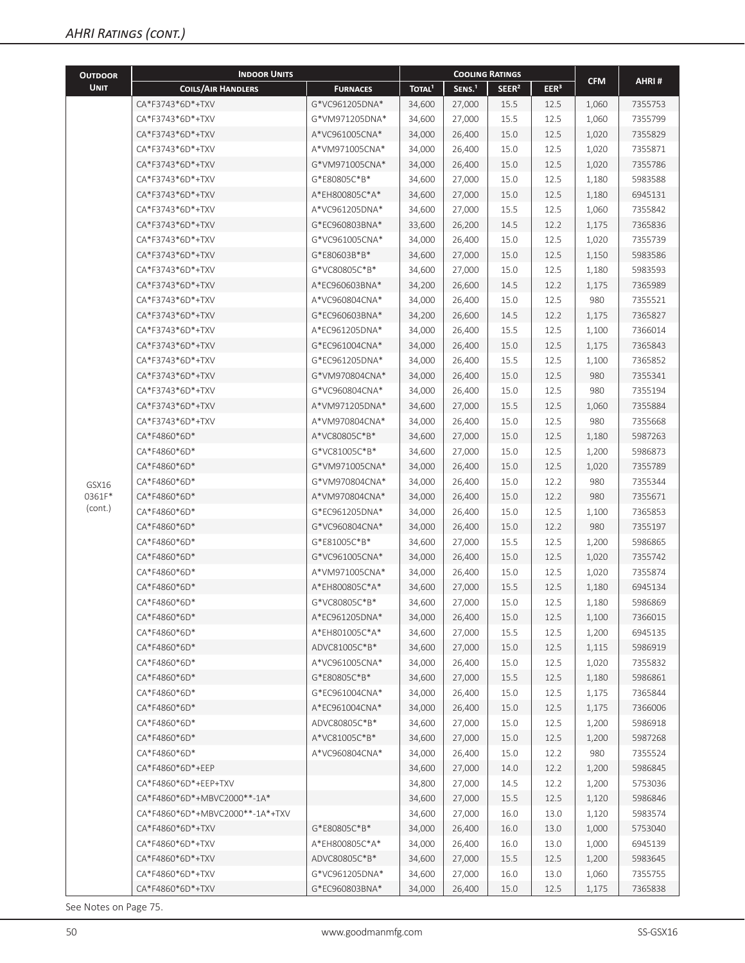| <b>OUTDOOR</b>  | <b>INDOOR UNITS</b>             |                 |                    | <b>COOLING RATINGS</b> |                   |                  |            |         |
|-----------------|---------------------------------|-----------------|--------------------|------------------------|-------------------|------------------|------------|---------|
| <b>UNIT</b>     | <b>COILS/AIR HANDLERS</b>       | <b>FURNACES</b> | TOTAL <sup>1</sup> | SENS. <sup>1</sup>     | SEER <sup>2</sup> | EER <sup>3</sup> | <b>CFM</b> | AHRI#   |
|                 | CA*F3743*6D*+TXV                | G*VC961205DNA*  | 34.600             | 27,000                 | 15.5              | 12.5             | 1,060      | 7355753 |
|                 | CA*F3743*6D*+TXV                | G*VM971205DNA*  | 34,600             | 27,000                 | 15.5              | 12.5             | 1,060      | 7355799 |
|                 | CA*F3743*6D*+TXV                | A*VC961005CNA*  | 34,000             | 26,400                 | 15.0              | 12.5             | 1,020      | 7355829 |
|                 | CA*F3743*6D*+TXV                | A*VM971005CNA*  | 34,000             | 26,400                 | 15.0              | 12.5             | 1,020      | 7355871 |
|                 | CA*F3743*6D*+TXV                | G*VM971005CNA*  | 34,000             | 26,400                 | 15.0              | 12.5             | 1,020      | 7355786 |
|                 | CA*F3743*6D*+TXV                | G*E80805C*B*    | 34,600             | 27,000                 | 15.0              | 12.5             | 1,180      | 5983588 |
|                 | CA*F3743*6D*+TXV                | A*EH800805C*A*  | 34,600             | 27,000                 | 15.0              | 12.5             | 1,180      | 6945131 |
|                 | CA*F3743*6D*+TXV                | A*VC961205DNA*  | 34,600             | 27,000                 | 15.5              | 12.5             | 1,060      | 7355842 |
|                 | CA*F3743*6D*+TXV                | G*EC960803BNA*  | 33,600             | 26,200                 | 14.5              | 12.2             | 1,175      | 7365836 |
|                 | CA*F3743*6D*+TXV                | G*VC961005CNA*  | 34,000             | 26,400                 | 15.0              | 12.5             | 1,020      | 7355739 |
|                 | CA*F3743*6D*+TXV                | G*E80603B*B*    | 34,600             | 27,000                 | 15.0              | 12.5             | 1,150      | 5983586 |
|                 | CA*F3743*6D*+TXV                | G*VC80805C*B*   | 34,600             | 27,000                 | 15.0              | 12.5             | 1,180      | 5983593 |
|                 | CA*F3743*6D*+TXV                | A*EC960603BNA*  | 34,200             | 26,600                 | 14.5              | 12.2             | 1,175      | 7365989 |
|                 | CA*F3743*6D*+TXV                | A*VC960804CNA*  | 34,000             | 26,400                 | 15.0              | 12.5             | 980        | 7355521 |
|                 | CA*F3743*6D*+TXV                | G*EC960603BNA*  | 34,200             | 26,600                 | 14.5              | 12.2             | 1,175      | 7365827 |
|                 | CA*F3743*6D*+TXV                | A*EC961205DNA*  | 34,000             | 26,400                 | 15.5              | 12.5             | 1,100      | 7366014 |
|                 | CA*F3743*6D*+TXV                | G*EC961004CNA*  | 34,000             | 26,400                 | 15.0              | 12.5             | 1,175      | 7365843 |
|                 | CA*F3743*6D*+TXV                | G*EC961205DNA*  | 34,000             | 26,400                 | 15.5              | 12.5             | 1,100      | 7365852 |
|                 | CA*F3743*6D*+TXV                | G*VM970804CNA*  | 34,000             | 26,400                 | 15.0              | 12.5             | 980        | 7355341 |
|                 | CA*F3743*6D*+TXV                | G*VC960804CNA*  | 34,000             | 26,400                 | 15.0              | 12.5             | 980        | 7355194 |
|                 | CA*F3743*6D*+TXV                | A*VM971205DNA*  | 34,600             | 27,000                 | 15.5              | 12.5             | 1,060      | 7355884 |
|                 | CA*F3743*6D*+TXV                | A*VM970804CNA*  | 34,000             | 26,400                 | 15.0              | 12.5             | 980        | 7355668 |
|                 | CA*F4860*6D*                    | A*VC80805C*B*   | 34,600             | 27,000                 | 15.0              | 12.5             | 1,180      | 5987263 |
|                 | CA*F4860*6D*                    | G*VC81005C*B*   | 34,600             | 27,000                 | 15.0              | 12.5             | 1,200      | 5986873 |
|                 | CA*F4860*6D*                    | G*VM971005CNA*  | 34,000             | 26,400                 | 15.0              | 12.5             | 1,020      | 7355789 |
|                 | CA*F4860*6D*                    | G*VM970804CNA*  | 34,000             | 26,400                 | 15.0              | 12.2             | 980        | 7355344 |
| GSX16<br>0361F* | CA*F4860*6D*                    | A*VM970804CNA*  | 34,000             | 26,400                 | 15.0              | 12.2             | 980        | 7355671 |
| (cont.)         | CA*F4860*6D*                    | G*EC961205DNA*  | 34,000             | 26,400                 | 15.0              | 12.5             | 1,100      | 7365853 |
|                 | CA*F4860*6D*                    | G*VC960804CNA*  | 34,000             | 26,400                 | 15.0              | 12.2             | 980        | 7355197 |
|                 | CA*F4860*6D*                    | G*E81005C*B*    | 34,600             | 27,000                 | 15.5              | 12.5             | 1,200      | 5986865 |
|                 | CA*F4860*6D*                    | G*VC961005CNA*  | 34,000             | 26,400                 | 15.0              | 12.5             | 1,020      | 7355742 |
|                 | CA*F4860*6D*                    | A*VM971005CNA*  | 34,000             | 26,400                 | 15.0              | 12.5             | 1,020      | 7355874 |
|                 | CA*F4860*6D*                    | A*EH800805C*A*  | 34,600             | 27,000                 | 15.5              | 12.5             | 1,180      | 6945134 |
|                 | CA*F4860*6D*                    | G*VC80805C*B*   | 34,600             | 27,000                 | 15.0              | 12.5             | 1,180      | 5986869 |
|                 | CA*F4860*6D*                    | A*EC961205DNA*  | 34,000             | 26,400                 | 15.0              | 12.5             | 1,100      | 7366015 |
|                 | CA*F4860*6D*                    | A*EH801005C*A*  | 34,600             | 27,000                 | 15.5              | 12.5             | 1,200      | 6945135 |
|                 | CA*F4860*6D*                    | ADVC81005C*B*   | 34,600             | 27,000                 | 15.0              | 12.5             | 1,115      | 5986919 |
|                 | CA*F4860*6D*                    | A*VC961005CNA*  | 34,000             | 26,400                 | 15.0              | 12.5             | 1,020      | 7355832 |
|                 | CA*F4860*6D*                    | G*E80805C*B*    | 34,600             | 27,000                 | 15.5              | 12.5             | 1,180      | 5986861 |
|                 | CA*F4860*6D*                    | G*EC961004CNA*  | 34,000             | 26,400                 | 15.0              | 12.5             | 1,175      | 7365844 |
|                 | CA*F4860*6D*                    | A*EC961004CNA*  | 34,000             | 26,400                 | 15.0              | 12.5             | 1,175      | 7366006 |
|                 | CA*F4860*6D*                    | ADVC80805C*B*   | 34,600             | 27,000                 | 15.0              | 12.5             | 1,200      | 5986918 |
|                 | CA*F4860*6D*                    | A*VC81005C*B*   | 34,600             | 27,000                 | 15.0              | 12.5             | 1,200      | 5987268 |
|                 | CA*F4860*6D*                    | A*VC960804CNA*  | 34,000             | 26,400                 | 15.0              | 12.2             | 980        | 7355524 |
|                 | CA*F4860*6D*+EEP                |                 | 34,600             | 27,000                 | 14.0              | 12.2             | 1,200      | 5986845 |
|                 | CA*F4860*6D*+EEP+TXV            |                 | 34,800             | 27,000                 | 14.5              | 12.2             | 1,200      | 5753036 |
|                 | CA*F4860*6D*+MBVC2000**-1A*     |                 | 34,600             | 27,000                 | 15.5              | 12.5             | 1,120      | 5986846 |
|                 | CA*F4860*6D*+MBVC2000**-1A*+TXV |                 | 34,600             | 27,000                 | 16.0              | 13.0             | 1,120      | 5983574 |
|                 | CA*F4860*6D*+TXV                | G*E80805C*B*    | 34,000             | 26,400                 | 16.0              | 13.0             | 1,000      | 5753040 |
|                 | CA*F4860*6D*+TXV                | A*EH800805C*A*  | 34,000             | 26,400                 | 16.0              | 13.0             | 1,000      | 6945139 |
|                 | CA*F4860*6D*+TXV                | ADVC80805C*B*   | 34,600             | 27,000                 | 15.5              | 12.5             | 1,200      | 5983645 |
|                 | CA*F4860*6D*+TXV                | G*VC961205DNA*  | 34,600             | 27,000                 | 16.0              | 13.0             | 1,060      | 7355755 |
|                 | CA*F4860*6D*+TXV                | G*EC960803BNA*  | 34,000             | 26,400                 | 15.0              | 12.5             | 1,175      | 7365838 |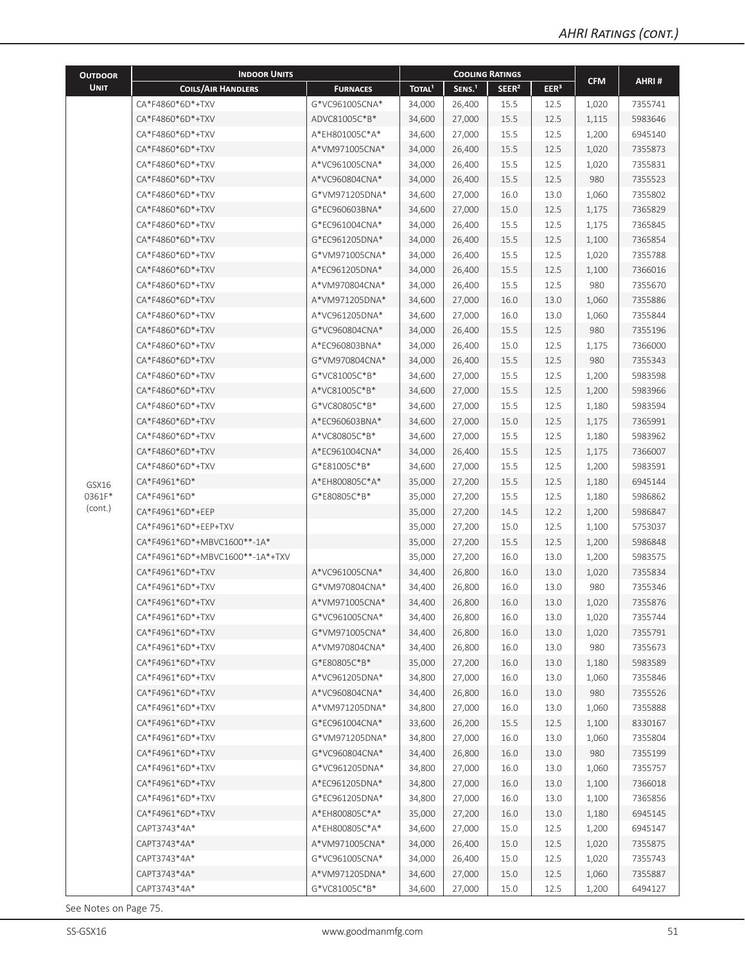| <b>OUTDOOR</b>  | <b>INDOOR UNITS</b>             |                 | <b>COOLING RATINGS</b> |                    |                   |                  |            |         |
|-----------------|---------------------------------|-----------------|------------------------|--------------------|-------------------|------------------|------------|---------|
| <b>UNIT</b>     | <b>COILS/AIR HANDLERS</b>       | <b>FURNACES</b> | TOTAL <sup>1</sup>     | SENS. <sup>1</sup> | SEER <sup>2</sup> | EER <sup>3</sup> | <b>CFM</b> | AHRI#   |
|                 | CA*F4860*6D*+TXV                | G*VC961005CNA*  | 34,000                 | 26,400             | 15.5              | 12.5             | 1,020      | 7355741 |
|                 | CA*F4860*6D*+TXV                | ADVC81005C*B*   | 34,600                 | 27,000             | 15.5              | 12.5             | 1,115      | 5983646 |
|                 | CA*F4860*6D*+TXV                | A*EH801005C*A*  | 34,600                 | 27,000             | 15.5              | 12.5             | 1,200      | 6945140 |
|                 | CA*F4860*6D*+TXV                | A*VM971005CNA*  | 34,000                 | 26,400             | 15.5              | 12.5             | 1,020      | 7355873 |
|                 | CA*F4860*6D*+TXV                | A*VC961005CNA*  | 34,000                 | 26,400             | 15.5              | 12.5             | 1,020      | 7355831 |
|                 | CA*F4860*6D*+TXV                | A*VC960804CNA*  | 34,000                 | 26,400             | 15.5              | 12.5             | 980        | 7355523 |
|                 | CA*F4860*6D*+TXV                | G*VM971205DNA*  | 34,600                 | 27,000             | 16.0              | 13.0             | 1,060      | 7355802 |
|                 | CA*F4860*6D*+TXV                | G*EC960603BNA*  | 34,600                 | 27,000             | 15.0              | 12.5             | 1,175      | 7365829 |
|                 | CA*F4860*6D*+TXV                | G*EC961004CNA*  | 34,000                 | 26,400             | 15.5              | 12.5             | 1,175      | 7365845 |
|                 | CA*F4860*6D*+TXV                | G*EC961205DNA*  | 34,000                 | 26,400             | 15.5              | 12.5             | 1,100      | 7365854 |
|                 | CA*F4860*6D*+TXV                | G*VM971005CNA*  | 34,000                 | 26,400             | 15.5              | 12.5             | 1,020      | 7355788 |
|                 | CA*F4860*6D*+TXV                | A*EC961205DNA*  | 34,000                 | 26,400             | 15.5              | 12.5             | 1,100      | 7366016 |
|                 | CA*F4860*6D*+TXV                | A*VM970804CNA*  | 34,000                 | 26,400             | 15.5              | 12.5             | 980        | 7355670 |
|                 | CA*F4860*6D*+TXV                | A*VM971205DNA*  | 34,600                 | 27,000             | 16.0              | 13.0             | 1,060      | 7355886 |
|                 | CA*F4860*6D*+TXV                | A*VC961205DNA*  | 34,600                 | 27,000             | 16.0              | 13.0             | 1,060      | 7355844 |
|                 | CA*F4860*6D*+TXV                | G*VC960804CNA*  | 34,000                 | 26,400             | 15.5              | 12.5             | 980        | 7355196 |
|                 | CA*F4860*6D*+TXV                | A*EC960803BNA*  | 34,000                 | 26,400             | 15.0              | 12.5             | 1,175      | 7366000 |
|                 | CA*F4860*6D*+TXV                | G*VM970804CNA*  | 34,000                 | 26,400             | 15.5              | 12.5             | 980        | 7355343 |
|                 | CA*F4860*6D*+TXV                | G*VC81005C*B*   | 34,600                 | 27,000             | 15.5              | 12.5             | 1,200      | 5983598 |
|                 | CA*F4860*6D*+TXV                | A*VC81005C*B*   | 34,600                 | 27,000             | 15.5              | 12.5             | 1,200      | 5983966 |
|                 | CA*F4860*6D*+TXV                | G*VC80805C*B*   | 34,600                 | 27,000             | 15.5              | 12.5             | 1,180      | 5983594 |
|                 | CA*F4860*6D*+TXV                | A*EC960603BNA*  | 34,600                 | 27,000             | 15.0              | 12.5             | 1,175      | 7365991 |
|                 | CA*F4860*6D*+TXV                | A*VC80805C*B*   | 34,600                 | 27,000             | 15.5              | 12.5             | 1,180      | 5983962 |
|                 | CA*F4860*6D*+TXV                | A*EC961004CNA*  | 34,000                 | 26,400             | 15.5              | 12.5             | 1,175      | 7366007 |
|                 | CA*F4860*6D*+TXV                | G*E81005C*B*    | 34,600                 | 27,000             | 15.5              | 12.5             | 1,200      | 5983591 |
|                 | CA*F4961*6D*                    | A*EH800805C*A*  | 35,000                 | 27,200             | 15.5              | 12.5             | 1,180      | 6945144 |
| GSX16<br>0361F* | CA*F4961*6D*                    | G*E80805C*B*    | 35,000                 | 27,200             | 15.5              | 12.5             | 1,180      | 5986862 |
| (cont.)         | CA*F4961*6D*+EEP                |                 | 35,000                 | 27,200             | 14.5              | 12.2             | 1,200      | 5986847 |
|                 | CA*F4961*6D*+EEP+TXV            |                 | 35,000                 | 27,200             | 15.0              | 12.5             | 1,100      | 5753037 |
|                 | CA*F4961*6D*+MBVC1600**-1A*     |                 | 35,000                 | 27,200             | 15.5              | 12.5             | 1,200      | 5986848 |
|                 | CA*F4961*6D*+MBVC1600**-1A*+TXV |                 | 35,000                 | 27,200             | 16.0              | 13.0             | 1,200      | 5983575 |
|                 | CA*F4961*6D*+TXV                | A*VC961005CNA*  | 34,400                 | 26,800             | 16.0              | 13.0             | 1,020      | 7355834 |
|                 | CA*F4961*6D*+TXV                | G*VM970804CNA*  | 34,400                 | 26,800             | 16.0              | 13.0             | 980        | 7355346 |
|                 | CA*F4961*6D*+TXV                | A*VM971005CNA*  | 34,400                 | 26,800             | 16.0              | 13.0             | 1,020      | 7355876 |
|                 | CA*F4961*6D*+TXV                | G*VC961005CNA*  | 34,400                 | 26,800             | 16.0              | 13.0             | 1,020      | 7355744 |
|                 | CA*F4961*6D*+TXV                | G*VM971005CNA*  | 34,400                 | 26,800             | 16.0              | 13.0             | 1,020      | 7355791 |
|                 | CA*F4961*6D*+TXV                | A*VM970804CNA*  | 34,400                 | 26,800             | 16.0              | 13.0             | 980        | 7355673 |
|                 | CA*F4961*6D*+TXV                | G*E80805C*B*    | 35,000                 | 27,200             | 16.0              | 13.0             | 1,180      | 5983589 |
|                 | CA*F4961*6D*+TXV                | A*VC961205DNA*  | 34,800                 | 27,000             | 16.0              | 13.0             | 1,060      | 7355846 |
|                 | CA*F4961*6D*+TXV                | A*VC960804CNA*  | 34,400                 | 26,800             | 16.0              | 13.0             | 980        | 7355526 |
|                 | CA*F4961*6D*+TXV                | A*VM971205DNA*  | 34,800                 | 27,000             | 16.0              | 13.0             | 1,060      | 7355888 |
|                 | CA*F4961*6D*+TXV                | G*EC961004CNA*  | 33,600                 | 26,200             | 15.5              | 12.5             | 1,100      | 8330167 |
|                 | CA*F4961*6D*+TXV                | G*VM971205DNA*  | 34,800                 | 27,000             | 16.0              | 13.0             | 1,060      | 7355804 |
|                 | CA*F4961*6D*+TXV                | G*VC960804CNA*  | 34,400                 | 26,800             | 16.0              | 13.0             | 980        | 7355199 |
|                 | CA*F4961*6D*+TXV                | G*VC961205DNA*  | 34,800                 | 27,000             | 16.0              | 13.0             | 1,060      | 7355757 |
|                 | CA*F4961*6D*+TXV                | A*EC961205DNA*  | 34,800                 | 27,000             | 16.0              | 13.0             | 1,100      | 7366018 |
|                 | CA*F4961*6D*+TXV                | G*EC961205DNA*  | 34,800                 | 27,000             | 16.0              | 13.0             | 1,100      | 7365856 |
|                 | CA*F4961*6D*+TXV                | A*EH800805C*A*  | 35,000                 | 27,200             | 16.0              | 13.0             | 1,180      | 6945145 |
|                 | CAPT3743*4A*                    | A*EH800805C*A*  | 34,600                 | 27,000             | 15.0              | 12.5             | 1,200      | 6945147 |
|                 | CAPT3743*4A*                    | A*VM971005CNA*  | 34,000                 | 26,400             | 15.0              | 12.5             | 1,020      | 7355875 |
|                 | CAPT3743*4A*                    | G*VC961005CNA*  | 34,000                 | 26,400             | 15.0              | 12.5             | 1,020      | 7355743 |
|                 | CAPT3743*4A*                    | A*VM971205DNA*  | 34,600                 | 27,000             | 15.0              | 12.5             | 1,060      | 7355887 |
|                 | CAPT3743*4A*                    | G*VC81005C*B*   | 34,600                 | 27,000             | 15.0              | 12.5             | 1,200      | 6494127 |
|                 |                                 |                 |                        |                    |                   |                  |            |         |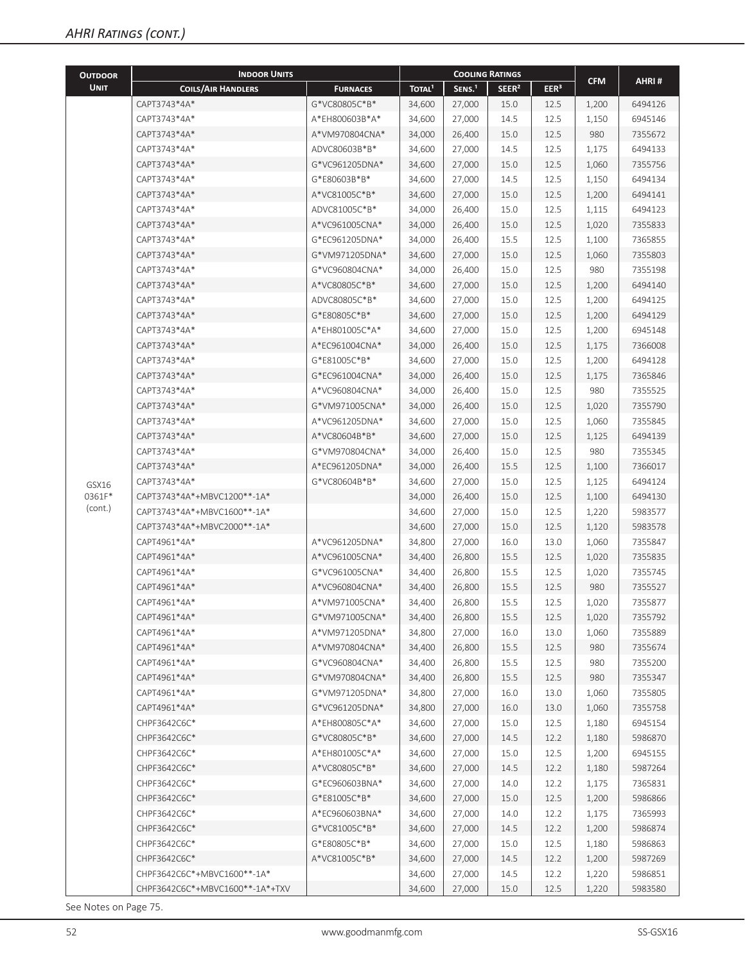| <b>OUTDOOR</b> | <b>INDOOR UNITS</b>             |                 | <b>COOLING RATINGS</b> |                    |                   |                  |            |         |
|----------------|---------------------------------|-----------------|------------------------|--------------------|-------------------|------------------|------------|---------|
| <b>UNIT</b>    | <b>COILS/AIR HANDLERS</b>       | <b>FURNACES</b> | TOTAL <sup>1</sup>     | SENS. <sup>1</sup> | SEER <sup>2</sup> | EER <sup>3</sup> | <b>CFM</b> | AHRI#   |
|                | CAPT3743*4A*                    | G*VC80805C*B*   | 34,600                 | 27,000             | 15.0              | 12.5             | 1,200      | 6494126 |
|                | CAPT3743*4A*                    | A*EH800603B*A*  | 34,600                 | 27,000             | 14.5              | 12.5             | 1,150      | 6945146 |
|                | CAPT3743*4A*                    | A*VM970804CNA*  | 34,000                 | 26,400             | 15.0              | 12.5             | 980        | 7355672 |
|                | CAPT3743*4A*                    | ADVC80603B*B*   | 34,600                 | 27,000             | 14.5              | 12.5             | 1,175      | 6494133 |
|                | CAPT3743*4A*                    | G*VC961205DNA*  | 34,600                 | 27,000             | 15.0              | 12.5             | 1,060      | 7355756 |
|                | CAPT3743*4A*                    | G*E80603B*B*    | 34,600                 | 27,000             | 14.5              | 12.5             | 1,150      | 6494134 |
|                | CAPT3743*4A*                    | A*VC81005C*B*   | 34,600                 | 27,000             | 15.0              | 12.5             | 1,200      | 6494141 |
|                | CAPT3743*4A*                    | ADVC81005C*B*   | 34,000                 | 26,400             | 15.0              | 12.5             | 1,115      | 6494123 |
|                | CAPT3743*4A*                    | A*VC961005CNA*  | 34,000                 | 26,400             | 15.0              | 12.5             | 1,020      | 7355833 |
|                | CAPT3743*4A*                    | G*EC961205DNA*  | 34,000                 | 26,400             | 15.5              | 12.5             | 1,100      | 7365855 |
|                | CAPT3743*4A*                    | G*VM971205DNA*  | 34,600                 | 27,000             | 15.0              | 12.5             | 1,060      | 7355803 |
|                | CAPT3743*4A*                    | G*VC960804CNA*  | 34,000                 | 26,400             | 15.0              | 12.5             | 980        | 7355198 |
|                | CAPT3743*4A*                    | A*VC80805C*B*   | 34,600                 | 27,000             | 15.0              | 12.5             | 1,200      | 6494140 |
|                | CAPT3743*4A*                    | ADVC80805C*B*   | 34,600                 | 27,000             | 15.0              | 12.5             | 1,200      | 6494125 |
|                | CAPT3743*4A*                    | G*E80805C*B*    | 34,600                 | 27,000             | 15.0              | 12.5             | 1,200      | 6494129 |
|                | CAPT3743*4A*                    | A*EH801005C*A*  | 34,600                 | 27,000             | 15.0              | 12.5             | 1,200      | 6945148 |
|                | CAPT3743*4A*                    | A*EC961004CNA*  | 34,000                 | 26,400             | 15.0              | 12.5             | 1,175      | 7366008 |
|                | CAPT3743*4A*                    | G*E81005C*B*    | 34,600                 | 27,000             | 15.0              | 12.5             | 1,200      | 6494128 |
|                | CAPT3743*4A*                    | G*EC961004CNA*  | 34,000                 | 26,400             | 15.0              | 12.5             | 1,175      | 7365846 |
|                | CAPT3743*4A*                    | A*VC960804CNA*  | 34,000                 | 26,400             | 15.0              | 12.5             | 980        | 7355525 |
|                | CAPT3743*4A*                    | G*VM971005CNA*  | 34,000                 | 26,400             | 15.0              | 12.5             | 1,020      | 7355790 |
|                | CAPT3743*4A*                    | A*VC961205DNA*  | 34,600                 | 27,000             | 15.0              | 12.5             | 1,060      | 7355845 |
|                | CAPT3743*4A*                    | A*VC80604B*B*   | 34,600                 | 27,000             | 15.0              | 12.5             | 1,125      | 6494139 |
|                | CAPT3743*4A*                    | G*VM970804CNA*  | 34,000                 | 26,400             | 15.0              | 12.5             | 980        | 7355345 |
|                | CAPT3743*4A*                    | A*EC961205DNA*  | 34,000                 | 26,400             | 15.5              | 12.5             | 1,100      | 7366017 |
| GSX16          | CAPT3743*4A*                    | G*VC80604B*B*   | 34,600                 | 27,000             | 15.0              | 12.5             | 1,125      | 6494124 |
| 0361F*         | CAPT3743*4A*+MBVC1200**-1A*     |                 | 34,000                 | 26,400             | 15.0              | 12.5             | 1,100      | 6494130 |
| (cont.)        | CAPT3743*4A*+MBVC1600**-1A*     |                 | 34,600                 | 27,000             | 15.0              | 12.5             | 1,220      | 5983577 |
|                | CAPT3743*4A*+MBVC2000**-1A*     |                 | 34,600                 | 27,000             | 15.0              | 12.5             | 1,120      | 5983578 |
|                | CAPT4961*4A*                    | A*VC961205DNA*  | 34,800                 | 27,000             | 16.0              | 13.0             | 1,060      | 7355847 |
|                | CAPT4961*4A*                    | A*VC961005CNA*  | 34,400                 | 26,800             | 15.5              | 12.5             | 1,020      | 7355835 |
|                | CAPT4961*4A*                    | G*VC961005CNA*  | 34,400                 | 26,800             | 15.5              | 12.5             | 1,020      | 7355745 |
|                | CAPT4961*4A*                    | A*VC960804CNA*  | 34,400                 | 26,800             | 15.5              | 12.5             | 980        | 7355527 |
|                | CAPT4961*4A*                    | A*VM971005CNA*  | 34,400                 | 26,800             | 15.5              | 12.5             | 1,020      | 7355877 |
|                | CAPT4961*4A*                    | G*VM971005CNA*  | 34,400                 | 26,800             | 15.5              | 12.5             | 1,020      | 7355792 |
|                | CAPT4961*4A*                    | A*VM971205DNA*  | 34,800                 | 27,000             | 16.0              | 13.0             | 1,060      | 7355889 |
|                | CAPT4961*4A*                    | A*VM970804CNA*  | 34,400                 | 26,800             | 15.5              | 12.5             | 980        | 7355674 |
|                | CAPT4961*4A*                    | G*VC960804CNA*  | 34,400                 | 26,800             | 15.5              | 12.5             | 980        | 7355200 |
|                | CAPT4961*4A*                    | G*VM970804CNA*  | 34,400                 | 26,800             | 15.5              | 12.5             | 980        | 7355347 |
|                | CAPT4961*4A*                    | G*VM971205DNA*  | 34,800                 | 27,000             | 16.0              | 13.0             | 1,060      | 7355805 |
|                | CAPT4961*4A*                    | G*VC961205DNA*  | 34,800                 | 27,000             | 16.0              | 13.0             | 1,060      | 7355758 |
|                | CHPF3642C6C*                    | A*EH800805C*A*  | 34,600                 | 27,000             | 15.0              | 12.5             | 1,180      | 6945154 |
|                | CHPF3642C6C*                    | G*VC80805C*B*   | 34,600                 | 27,000             | 14.5              | 12.2             | 1,180      | 5986870 |
|                | CHPF3642C6C*                    | A*EH801005C*A*  | 34,600                 | 27,000             | 15.0              | 12.5             | 1,200      | 6945155 |
|                | CHPF3642C6C*                    | A*VC80805C*B*   | 34,600                 | 27,000             | 14.5              | 12.2             | 1,180      | 5987264 |
|                | CHPF3642C6C*                    | G*EC960603BNA*  | 34,600                 | 27,000             | 14.0              | 12.2             | 1,175      | 7365831 |
|                | CHPF3642C6C*                    | G*E81005C*B*    | 34,600                 | 27,000             | 15.0              | 12.5             | 1,200      | 5986866 |
|                | CHPF3642C6C*                    | A*EC960603BNA*  | 34,600                 | 27,000             | 14.0              | 12.2             | 1,175      | 7365993 |
|                | CHPF3642C6C*                    | G*VC81005C*B*   | 34,600                 | 27,000             | 14.5              | 12.2             | 1,200      | 5986874 |
|                | CHPF3642C6C*                    | G*E80805C*B*    | 34,600                 | 27,000             | 15.0              | 12.5             | 1,180      | 5986863 |
|                | CHPF3642C6C*                    | A*VC81005C*B*   | 34,600                 | 27,000             | 14.5              | 12.2             | 1,200      | 5987269 |
|                | CHPF3642C6C*+MBVC1600**-1A*     |                 | 34,600                 | 27,000             | 14.5              | 12.2             | 1,220      | 5986851 |
|                | CHPF3642C6C*+MBVC1600**-1A*+TXV |                 | 34,600                 | 27,000             | 15.0              | 12.5             | 1,220      | 5983580 |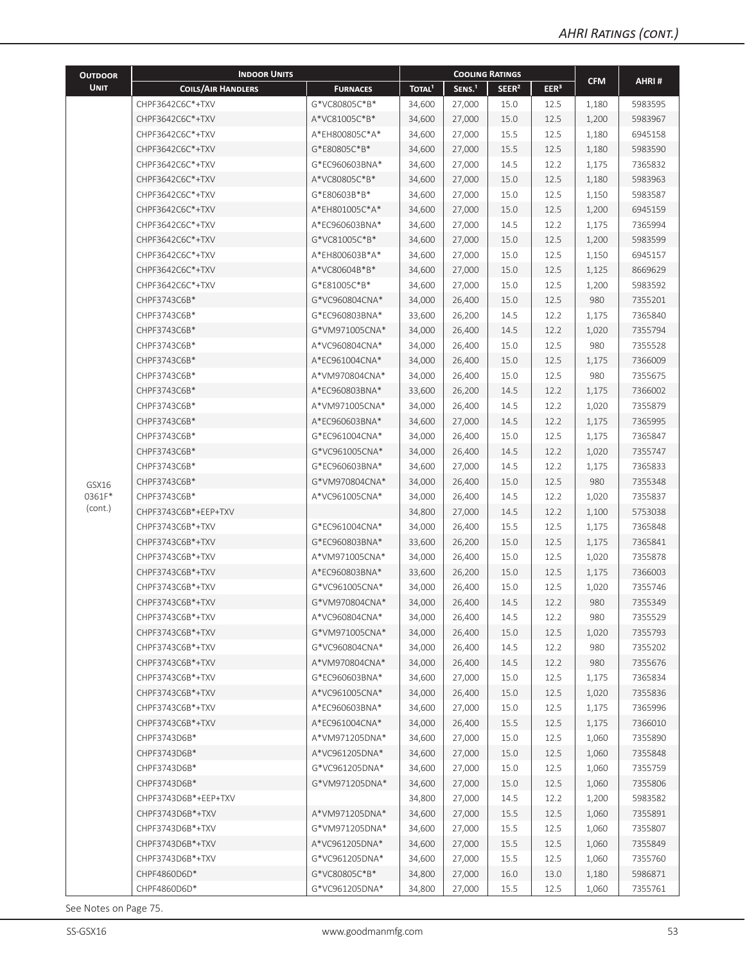| <b>UNIT</b><br>SENS. <sup>1</sup><br>SEER <sup>2</sup><br>EER <sup>3</sup><br>TOTAL <sup>1</sup><br><b>COILS/AIR HANDLERS</b><br><b>FURNACES</b><br>G*VC80805C*B*<br>CHPF3642C6C*+TXV<br>34,600<br>27,000<br>15.0<br>12.5<br>1,180<br>5983595<br>A*VC81005C*B*<br>34,600<br>27,000<br>12.5<br>CHPF3642C6C*+TXV<br>15.0<br>1,200<br>5983967<br>CHPF3642C6C*+TXV<br>A*EH800805C*A*<br>27,000<br>12.5<br>34,600<br>15.5<br>1,180<br>6945158<br>CHPF3642C6C*+TXV<br>G*E80805C*B*<br>34,600<br>27,000<br>15.5<br>12.5<br>1,180<br>5983590<br>CHPF3642C6C*+TXV<br>G*EC960603BNA*<br>34,600<br>27,000<br>14.5<br>12.2<br>7365832<br>1,175<br>12.5<br>CHPF3642C6C*+TXV<br>A*VC80805C*B*<br>34,600<br>27,000<br>15.0<br>1,180<br>5983963<br>12.5<br>5983587<br>CHPF3642C6C*+TXV<br>G*E80603B*B*<br>34,600<br>27,000<br>15.0<br>1,150<br>CHPF3642C6C*+TXV<br>A*EH801005C*A*<br>34,600<br>27,000<br>15.0<br>12.5<br>1,200<br>6945159<br>12.2<br>7365994<br>CHPF3642C6C*+TXV<br>A*EC960603BNA*<br>34,600<br>27,000<br>14.5<br>1,175<br>G*VC81005C*B*<br>12.5<br>5983599<br>CHPF3642C6C*+TXV<br>34,600<br>27,000<br>15.0<br>1,200<br>CHPF3642C6C*+TXV<br>A*EH800603B*A*<br>34,600<br>27,000<br>15.0<br>12.5<br>1,150<br>6945157<br>A*VC80604B*B*<br>12.5<br>8669629<br>CHPF3642C6C*+TXV<br>34,600<br>27,000<br>15.0<br>1,125<br>G*E81005C*B*<br>12.5<br>CHPF3642C6C*+TXV<br>34,600<br>27,000<br>15.0<br>1,200<br>5983592<br>12.5<br>980<br>CHPF3743C6B*<br>G*VC960804CNA*<br>34,000<br>26,400<br>15.0<br>7355201<br>12.2<br>CHPF3743C6B*<br>G*EC960803BNA*<br>33,600<br>26,200<br>14.5<br>1,175<br>7365840<br>CHPF3743C6B*<br>G*VM971005CNA*<br>34,000<br>26,400<br>14.5<br>12.2<br>7355794<br>1,020<br>12.5<br>980<br>CHPF3743C6B*<br>A*VC960804CNA*<br>34,000<br>26,400<br>15.0<br>7355528<br>A*EC961004CNA*<br>34,000<br>26,400<br>12.5<br>1,175<br>7366009<br>CHPF3743C6B*<br>15.0<br>12.5<br>CHPF3743C6B*<br>A*VM970804CNA*<br>34,000<br>26,400<br>15.0<br>980<br>7355675<br>CHPF3743C6B*<br>A*EC960803BNA*<br>33,600<br>26,200<br>14.5<br>12.2<br>1,175<br>7366002<br>12.2<br>7355879<br>CHPF3743C6B*<br>A*VM971005CNA*<br>34,000<br>26,400<br>14.5<br>1,020<br>CHPF3743C6B*<br>A*EC960603BNA*<br>34,600<br>27,000<br>14.5<br>12.2<br>1,175<br>7365995<br>12.5<br>7365847<br>CHPF3743C6B*<br>G*EC961004CNA*<br>34,000<br>26,400<br>15.0<br>1,175<br>7355747<br>CHPF3743C6B*<br>G*VC961005CNA*<br>34,000<br>26,400<br>14.5<br>12.2<br>1,020<br>7365833<br>CHPF3743C6B*<br>G*EC960603BNA*<br>34,600<br>27,000<br>14.5<br>12.2<br>1,175<br>12.5<br>980<br>CHPF3743C6B*<br>G*VM970804CNA*<br>34,000<br>26,400<br>15.0<br>7355348<br>GSX16<br>0361F*<br>CHPF3743C6B*<br>A*VC961005CNA*<br>34,000<br>26,400<br>14.5<br>12.2<br>1,020<br>7355837<br>(cont.)<br>CHPF3743C6B*+EEP+TXV<br>34,800<br>27,000<br>14.5<br>12.2<br>5753038<br>1,100<br>12.5<br>CHPF3743C6B*+TXV<br>G*EC961004CNA*<br>34,000<br>26,400<br>7365848<br>15.5<br>1,175<br>CHPF3743C6B*+TXV<br>G*EC960803BNA*<br>33,600<br>26,200<br>15.0<br>12.5<br>7365841<br>1,175<br>A*VM971005CNA*<br>26,400<br>15.0<br>12.5<br>7355878<br>CHPF3743C6B*+TXV<br>34,000<br>1,020<br>12.5<br>CHPF3743C6B*+TXV<br>A*EC960803BNA*<br>33,600<br>26,200<br>15.0<br>1,175<br>7366003<br>CHPF3743C6B*+TXV<br>G*VC961005CNA*<br>34,000<br>15.0<br>12.5<br>7355746<br>26,400<br>1,020<br>CHPF3743C6B*+TXV<br>G*VM970804CNA*<br>34.000<br>26,400<br>14.5<br>12.2<br>980<br>7355349<br>A*VC960804CNA*<br>34,000<br>26,400<br>14.5<br>12.2<br>980<br>7355529<br>CHPF3743C6B*+TXV<br>G*VM971005CNA*<br>34,000<br>26,400<br>12.5<br>1,020<br>7355793<br>CHPF3743C6B*+TXV<br>15.0<br>12.2<br>7355202<br>CHPF3743C6B*+TXV<br>G*VC960804CNA*<br>34,000<br>26,400<br>14.5<br>980<br>CHPF3743C6B*+TXV<br>A*VM970804CNA*<br>34,000<br>26,400<br>14.5<br>12.2<br>980<br>7355676<br>CHPF3743C6B*+TXV<br>G*EC960603BNA*<br>34,600<br>27,000<br>15.0<br>12.5<br>1,175<br>7365834<br>CHPF3743C6B*+TXV<br>A*VC961005CNA*<br>34,000<br>26,400<br>15.0<br>12.5<br>1,020<br>7355836<br>CHPF3743C6B*+TXV<br>A*EC960603BNA*<br>34,600<br>27,000<br>15.0<br>12.5<br>7365996<br>1,175<br>A*EC961004CNA*<br>34,000<br>26,400<br>15.5<br>12.5<br>7366010<br>CHPF3743C6B*+TXV<br>1,175<br>CHPF3743D6B*<br>A*VM971205DNA*<br>34,600<br>27,000<br>12.5<br>7355890<br>15.0<br>1,060<br>CHPF3743D6B*<br>A*VC961205DNA*<br>34,600<br>27,000<br>12.5<br>15.0<br>1,060<br>7355848<br>CHPF3743D6B*<br>G*VC961205DNA*<br>34,600<br>27,000<br>15.0<br>12.5<br>1,060<br>7355759<br>27,000<br>12.5<br>CHPF3743D6B*<br>G*VM971205DNA*<br>34,600<br>15.0<br>1,060<br>7355806<br>CHPF3743D6B*+EEP+TXV<br>34,800<br>27,000<br>14.5<br>12.2<br>1,200<br>5983582<br>CHPF3743D6B*+TXV<br>A*VM971205DNA*<br>34,600<br>27,000<br>15.5<br>12.5<br>7355891<br>1,060<br>CHPF3743D6B*+TXV<br>G*VM971205DNA*<br>34,600<br>27,000<br>15.5<br>12.5<br>1,060<br>7355807<br>27,000<br>12.5<br>7355849<br>CHPF3743D6B*+TXV<br>A*VC961205DNA*<br>34,600<br>15.5<br>1,060<br>CHPF3743D6B*+TXV<br>G*VC961205DNA*<br>34,600<br>27,000<br>15.5<br>12.5<br>7355760<br>1,060<br>CHPF4860D6D*<br>G*VC80805C*B*<br>34,800<br>27,000<br>16.0<br>13.0<br>1,180<br>5986871<br>CHPF4860D6D*<br>G*VC961205DNA*<br>34,800<br>27,000<br>15.5<br>12.5<br>7355761<br>1,060 | <b>OUTDOOR</b> | <b>INDOOR UNITS</b> |  | <b>COOLING RATINGS</b> |  |  |  |            |       |  |
|------------------------------------------------------------------------------------------------------------------------------------------------------------------------------------------------------------------------------------------------------------------------------------------------------------------------------------------------------------------------------------------------------------------------------------------------------------------------------------------------------------------------------------------------------------------------------------------------------------------------------------------------------------------------------------------------------------------------------------------------------------------------------------------------------------------------------------------------------------------------------------------------------------------------------------------------------------------------------------------------------------------------------------------------------------------------------------------------------------------------------------------------------------------------------------------------------------------------------------------------------------------------------------------------------------------------------------------------------------------------------------------------------------------------------------------------------------------------------------------------------------------------------------------------------------------------------------------------------------------------------------------------------------------------------------------------------------------------------------------------------------------------------------------------------------------------------------------------------------------------------------------------------------------------------------------------------------------------------------------------------------------------------------------------------------------------------------------------------------------------------------------------------------------------------------------------------------------------------------------------------------------------------------------------------------------------------------------------------------------------------------------------------------------------------------------------------------------------------------------------------------------------------------------------------------------------------------------------------------------------------------------------------------------------------------------------------------------------------------------------------------------------------------------------------------------------------------------------------------------------------------------------------------------------------------------------------------------------------------------------------------------------------------------------------------------------------------------------------------------------------------------------------------------------------------------------------------------------------------------------------------------------------------------------------------------------------------------------------------------------------------------------------------------------------------------------------------------------------------------------------------------------------------------------------------------------------------------------------------------------------------------------------------------------------------------------------------------------------------------------------------------------------------------------------------------------------------------------------------------------------------------------------------------------------------------------------------------------------------------------------------------------------------------------------------------------------------------------------------------------------------------------------------------------------------------------------------------------------------------------------------------------------------------------------------------------------------------------------------------------------------------------------------------------------------------------------------------------------------------------------------------------------------------------------------------------------------------------------------------------------------------------------------------------------------------------------------------------------------------------------------------------------------------------------------------------------------------------------------------------------------------------------------------------------------------------------------------------------------------------------------------------------------------------------------------------------------------------------------------------------------------------------------------------------------------------------------------------------|----------------|---------------------|--|------------------------|--|--|--|------------|-------|--|
|                                                                                                                                                                                                                                                                                                                                                                                                                                                                                                                                                                                                                                                                                                                                                                                                                                                                                                                                                                                                                                                                                                                                                                                                                                                                                                                                                                                                                                                                                                                                                                                                                                                                                                                                                                                                                                                                                                                                                                                                                                                                                                                                                                                                                                                                                                                                                                                                                                                                                                                                                                                                                                                                                                                                                                                                                                                                                                                                                                                                                                                                                                                                                                                                                                                                                                                                                                                                                                                                                                                                                                                                                                                                                                                                                                                                                                                                                                                                                                                                                                                                                                                                                                                                                                                                                                                                                                                                                                                                                                                                                                                                                                                                                                                                                                                                                                                                                                                                                                                                                                                                                                                                                                                                                              |                |                     |  |                        |  |  |  | <b>CFM</b> | AHRI# |  |
|                                                                                                                                                                                                                                                                                                                                                                                                                                                                                                                                                                                                                                                                                                                                                                                                                                                                                                                                                                                                                                                                                                                                                                                                                                                                                                                                                                                                                                                                                                                                                                                                                                                                                                                                                                                                                                                                                                                                                                                                                                                                                                                                                                                                                                                                                                                                                                                                                                                                                                                                                                                                                                                                                                                                                                                                                                                                                                                                                                                                                                                                                                                                                                                                                                                                                                                                                                                                                                                                                                                                                                                                                                                                                                                                                                                                                                                                                                                                                                                                                                                                                                                                                                                                                                                                                                                                                                                                                                                                                                                                                                                                                                                                                                                                                                                                                                                                                                                                                                                                                                                                                                                                                                                                                              |                |                     |  |                        |  |  |  |            |       |  |
|                                                                                                                                                                                                                                                                                                                                                                                                                                                                                                                                                                                                                                                                                                                                                                                                                                                                                                                                                                                                                                                                                                                                                                                                                                                                                                                                                                                                                                                                                                                                                                                                                                                                                                                                                                                                                                                                                                                                                                                                                                                                                                                                                                                                                                                                                                                                                                                                                                                                                                                                                                                                                                                                                                                                                                                                                                                                                                                                                                                                                                                                                                                                                                                                                                                                                                                                                                                                                                                                                                                                                                                                                                                                                                                                                                                                                                                                                                                                                                                                                                                                                                                                                                                                                                                                                                                                                                                                                                                                                                                                                                                                                                                                                                                                                                                                                                                                                                                                                                                                                                                                                                                                                                                                                              |                |                     |  |                        |  |  |  |            |       |  |
|                                                                                                                                                                                                                                                                                                                                                                                                                                                                                                                                                                                                                                                                                                                                                                                                                                                                                                                                                                                                                                                                                                                                                                                                                                                                                                                                                                                                                                                                                                                                                                                                                                                                                                                                                                                                                                                                                                                                                                                                                                                                                                                                                                                                                                                                                                                                                                                                                                                                                                                                                                                                                                                                                                                                                                                                                                                                                                                                                                                                                                                                                                                                                                                                                                                                                                                                                                                                                                                                                                                                                                                                                                                                                                                                                                                                                                                                                                                                                                                                                                                                                                                                                                                                                                                                                                                                                                                                                                                                                                                                                                                                                                                                                                                                                                                                                                                                                                                                                                                                                                                                                                                                                                                                                              |                |                     |  |                        |  |  |  |            |       |  |
|                                                                                                                                                                                                                                                                                                                                                                                                                                                                                                                                                                                                                                                                                                                                                                                                                                                                                                                                                                                                                                                                                                                                                                                                                                                                                                                                                                                                                                                                                                                                                                                                                                                                                                                                                                                                                                                                                                                                                                                                                                                                                                                                                                                                                                                                                                                                                                                                                                                                                                                                                                                                                                                                                                                                                                                                                                                                                                                                                                                                                                                                                                                                                                                                                                                                                                                                                                                                                                                                                                                                                                                                                                                                                                                                                                                                                                                                                                                                                                                                                                                                                                                                                                                                                                                                                                                                                                                                                                                                                                                                                                                                                                                                                                                                                                                                                                                                                                                                                                                                                                                                                                                                                                                                                              |                |                     |  |                        |  |  |  |            |       |  |
|                                                                                                                                                                                                                                                                                                                                                                                                                                                                                                                                                                                                                                                                                                                                                                                                                                                                                                                                                                                                                                                                                                                                                                                                                                                                                                                                                                                                                                                                                                                                                                                                                                                                                                                                                                                                                                                                                                                                                                                                                                                                                                                                                                                                                                                                                                                                                                                                                                                                                                                                                                                                                                                                                                                                                                                                                                                                                                                                                                                                                                                                                                                                                                                                                                                                                                                                                                                                                                                                                                                                                                                                                                                                                                                                                                                                                                                                                                                                                                                                                                                                                                                                                                                                                                                                                                                                                                                                                                                                                                                                                                                                                                                                                                                                                                                                                                                                                                                                                                                                                                                                                                                                                                                                                              |                |                     |  |                        |  |  |  |            |       |  |
|                                                                                                                                                                                                                                                                                                                                                                                                                                                                                                                                                                                                                                                                                                                                                                                                                                                                                                                                                                                                                                                                                                                                                                                                                                                                                                                                                                                                                                                                                                                                                                                                                                                                                                                                                                                                                                                                                                                                                                                                                                                                                                                                                                                                                                                                                                                                                                                                                                                                                                                                                                                                                                                                                                                                                                                                                                                                                                                                                                                                                                                                                                                                                                                                                                                                                                                                                                                                                                                                                                                                                                                                                                                                                                                                                                                                                                                                                                                                                                                                                                                                                                                                                                                                                                                                                                                                                                                                                                                                                                                                                                                                                                                                                                                                                                                                                                                                                                                                                                                                                                                                                                                                                                                                                              |                |                     |  |                        |  |  |  |            |       |  |
|                                                                                                                                                                                                                                                                                                                                                                                                                                                                                                                                                                                                                                                                                                                                                                                                                                                                                                                                                                                                                                                                                                                                                                                                                                                                                                                                                                                                                                                                                                                                                                                                                                                                                                                                                                                                                                                                                                                                                                                                                                                                                                                                                                                                                                                                                                                                                                                                                                                                                                                                                                                                                                                                                                                                                                                                                                                                                                                                                                                                                                                                                                                                                                                                                                                                                                                                                                                                                                                                                                                                                                                                                                                                                                                                                                                                                                                                                                                                                                                                                                                                                                                                                                                                                                                                                                                                                                                                                                                                                                                                                                                                                                                                                                                                                                                                                                                                                                                                                                                                                                                                                                                                                                                                                              |                |                     |  |                        |  |  |  |            |       |  |
|                                                                                                                                                                                                                                                                                                                                                                                                                                                                                                                                                                                                                                                                                                                                                                                                                                                                                                                                                                                                                                                                                                                                                                                                                                                                                                                                                                                                                                                                                                                                                                                                                                                                                                                                                                                                                                                                                                                                                                                                                                                                                                                                                                                                                                                                                                                                                                                                                                                                                                                                                                                                                                                                                                                                                                                                                                                                                                                                                                                                                                                                                                                                                                                                                                                                                                                                                                                                                                                                                                                                                                                                                                                                                                                                                                                                                                                                                                                                                                                                                                                                                                                                                                                                                                                                                                                                                                                                                                                                                                                                                                                                                                                                                                                                                                                                                                                                                                                                                                                                                                                                                                                                                                                                                              |                |                     |  |                        |  |  |  |            |       |  |
|                                                                                                                                                                                                                                                                                                                                                                                                                                                                                                                                                                                                                                                                                                                                                                                                                                                                                                                                                                                                                                                                                                                                                                                                                                                                                                                                                                                                                                                                                                                                                                                                                                                                                                                                                                                                                                                                                                                                                                                                                                                                                                                                                                                                                                                                                                                                                                                                                                                                                                                                                                                                                                                                                                                                                                                                                                                                                                                                                                                                                                                                                                                                                                                                                                                                                                                                                                                                                                                                                                                                                                                                                                                                                                                                                                                                                                                                                                                                                                                                                                                                                                                                                                                                                                                                                                                                                                                                                                                                                                                                                                                                                                                                                                                                                                                                                                                                                                                                                                                                                                                                                                                                                                                                                              |                |                     |  |                        |  |  |  |            |       |  |
|                                                                                                                                                                                                                                                                                                                                                                                                                                                                                                                                                                                                                                                                                                                                                                                                                                                                                                                                                                                                                                                                                                                                                                                                                                                                                                                                                                                                                                                                                                                                                                                                                                                                                                                                                                                                                                                                                                                                                                                                                                                                                                                                                                                                                                                                                                                                                                                                                                                                                                                                                                                                                                                                                                                                                                                                                                                                                                                                                                                                                                                                                                                                                                                                                                                                                                                                                                                                                                                                                                                                                                                                                                                                                                                                                                                                                                                                                                                                                                                                                                                                                                                                                                                                                                                                                                                                                                                                                                                                                                                                                                                                                                                                                                                                                                                                                                                                                                                                                                                                                                                                                                                                                                                                                              |                |                     |  |                        |  |  |  |            |       |  |
|                                                                                                                                                                                                                                                                                                                                                                                                                                                                                                                                                                                                                                                                                                                                                                                                                                                                                                                                                                                                                                                                                                                                                                                                                                                                                                                                                                                                                                                                                                                                                                                                                                                                                                                                                                                                                                                                                                                                                                                                                                                                                                                                                                                                                                                                                                                                                                                                                                                                                                                                                                                                                                                                                                                                                                                                                                                                                                                                                                                                                                                                                                                                                                                                                                                                                                                                                                                                                                                                                                                                                                                                                                                                                                                                                                                                                                                                                                                                                                                                                                                                                                                                                                                                                                                                                                                                                                                                                                                                                                                                                                                                                                                                                                                                                                                                                                                                                                                                                                                                                                                                                                                                                                                                                              |                |                     |  |                        |  |  |  |            |       |  |
|                                                                                                                                                                                                                                                                                                                                                                                                                                                                                                                                                                                                                                                                                                                                                                                                                                                                                                                                                                                                                                                                                                                                                                                                                                                                                                                                                                                                                                                                                                                                                                                                                                                                                                                                                                                                                                                                                                                                                                                                                                                                                                                                                                                                                                                                                                                                                                                                                                                                                                                                                                                                                                                                                                                                                                                                                                                                                                                                                                                                                                                                                                                                                                                                                                                                                                                                                                                                                                                                                                                                                                                                                                                                                                                                                                                                                                                                                                                                                                                                                                                                                                                                                                                                                                                                                                                                                                                                                                                                                                                                                                                                                                                                                                                                                                                                                                                                                                                                                                                                                                                                                                                                                                                                                              |                |                     |  |                        |  |  |  |            |       |  |
|                                                                                                                                                                                                                                                                                                                                                                                                                                                                                                                                                                                                                                                                                                                                                                                                                                                                                                                                                                                                                                                                                                                                                                                                                                                                                                                                                                                                                                                                                                                                                                                                                                                                                                                                                                                                                                                                                                                                                                                                                                                                                                                                                                                                                                                                                                                                                                                                                                                                                                                                                                                                                                                                                                                                                                                                                                                                                                                                                                                                                                                                                                                                                                                                                                                                                                                                                                                                                                                                                                                                                                                                                                                                                                                                                                                                                                                                                                                                                                                                                                                                                                                                                                                                                                                                                                                                                                                                                                                                                                                                                                                                                                                                                                                                                                                                                                                                                                                                                                                                                                                                                                                                                                                                                              |                |                     |  |                        |  |  |  |            |       |  |
|                                                                                                                                                                                                                                                                                                                                                                                                                                                                                                                                                                                                                                                                                                                                                                                                                                                                                                                                                                                                                                                                                                                                                                                                                                                                                                                                                                                                                                                                                                                                                                                                                                                                                                                                                                                                                                                                                                                                                                                                                                                                                                                                                                                                                                                                                                                                                                                                                                                                                                                                                                                                                                                                                                                                                                                                                                                                                                                                                                                                                                                                                                                                                                                                                                                                                                                                                                                                                                                                                                                                                                                                                                                                                                                                                                                                                                                                                                                                                                                                                                                                                                                                                                                                                                                                                                                                                                                                                                                                                                                                                                                                                                                                                                                                                                                                                                                                                                                                                                                                                                                                                                                                                                                                                              |                |                     |  |                        |  |  |  |            |       |  |
|                                                                                                                                                                                                                                                                                                                                                                                                                                                                                                                                                                                                                                                                                                                                                                                                                                                                                                                                                                                                                                                                                                                                                                                                                                                                                                                                                                                                                                                                                                                                                                                                                                                                                                                                                                                                                                                                                                                                                                                                                                                                                                                                                                                                                                                                                                                                                                                                                                                                                                                                                                                                                                                                                                                                                                                                                                                                                                                                                                                                                                                                                                                                                                                                                                                                                                                                                                                                                                                                                                                                                                                                                                                                                                                                                                                                                                                                                                                                                                                                                                                                                                                                                                                                                                                                                                                                                                                                                                                                                                                                                                                                                                                                                                                                                                                                                                                                                                                                                                                                                                                                                                                                                                                                                              |                |                     |  |                        |  |  |  |            |       |  |
|                                                                                                                                                                                                                                                                                                                                                                                                                                                                                                                                                                                                                                                                                                                                                                                                                                                                                                                                                                                                                                                                                                                                                                                                                                                                                                                                                                                                                                                                                                                                                                                                                                                                                                                                                                                                                                                                                                                                                                                                                                                                                                                                                                                                                                                                                                                                                                                                                                                                                                                                                                                                                                                                                                                                                                                                                                                                                                                                                                                                                                                                                                                                                                                                                                                                                                                                                                                                                                                                                                                                                                                                                                                                                                                                                                                                                                                                                                                                                                                                                                                                                                                                                                                                                                                                                                                                                                                                                                                                                                                                                                                                                                                                                                                                                                                                                                                                                                                                                                                                                                                                                                                                                                                                                              |                |                     |  |                        |  |  |  |            |       |  |
|                                                                                                                                                                                                                                                                                                                                                                                                                                                                                                                                                                                                                                                                                                                                                                                                                                                                                                                                                                                                                                                                                                                                                                                                                                                                                                                                                                                                                                                                                                                                                                                                                                                                                                                                                                                                                                                                                                                                                                                                                                                                                                                                                                                                                                                                                                                                                                                                                                                                                                                                                                                                                                                                                                                                                                                                                                                                                                                                                                                                                                                                                                                                                                                                                                                                                                                                                                                                                                                                                                                                                                                                                                                                                                                                                                                                                                                                                                                                                                                                                                                                                                                                                                                                                                                                                                                                                                                                                                                                                                                                                                                                                                                                                                                                                                                                                                                                                                                                                                                                                                                                                                                                                                                                                              |                |                     |  |                        |  |  |  |            |       |  |
|                                                                                                                                                                                                                                                                                                                                                                                                                                                                                                                                                                                                                                                                                                                                                                                                                                                                                                                                                                                                                                                                                                                                                                                                                                                                                                                                                                                                                                                                                                                                                                                                                                                                                                                                                                                                                                                                                                                                                                                                                                                                                                                                                                                                                                                                                                                                                                                                                                                                                                                                                                                                                                                                                                                                                                                                                                                                                                                                                                                                                                                                                                                                                                                                                                                                                                                                                                                                                                                                                                                                                                                                                                                                                                                                                                                                                                                                                                                                                                                                                                                                                                                                                                                                                                                                                                                                                                                                                                                                                                                                                                                                                                                                                                                                                                                                                                                                                                                                                                                                                                                                                                                                                                                                                              |                |                     |  |                        |  |  |  |            |       |  |
|                                                                                                                                                                                                                                                                                                                                                                                                                                                                                                                                                                                                                                                                                                                                                                                                                                                                                                                                                                                                                                                                                                                                                                                                                                                                                                                                                                                                                                                                                                                                                                                                                                                                                                                                                                                                                                                                                                                                                                                                                                                                                                                                                                                                                                                                                                                                                                                                                                                                                                                                                                                                                                                                                                                                                                                                                                                                                                                                                                                                                                                                                                                                                                                                                                                                                                                                                                                                                                                                                                                                                                                                                                                                                                                                                                                                                                                                                                                                                                                                                                                                                                                                                                                                                                                                                                                                                                                                                                                                                                                                                                                                                                                                                                                                                                                                                                                                                                                                                                                                                                                                                                                                                                                                                              |                |                     |  |                        |  |  |  |            |       |  |
|                                                                                                                                                                                                                                                                                                                                                                                                                                                                                                                                                                                                                                                                                                                                                                                                                                                                                                                                                                                                                                                                                                                                                                                                                                                                                                                                                                                                                                                                                                                                                                                                                                                                                                                                                                                                                                                                                                                                                                                                                                                                                                                                                                                                                                                                                                                                                                                                                                                                                                                                                                                                                                                                                                                                                                                                                                                                                                                                                                                                                                                                                                                                                                                                                                                                                                                                                                                                                                                                                                                                                                                                                                                                                                                                                                                                                                                                                                                                                                                                                                                                                                                                                                                                                                                                                                                                                                                                                                                                                                                                                                                                                                                                                                                                                                                                                                                                                                                                                                                                                                                                                                                                                                                                                              |                |                     |  |                        |  |  |  |            |       |  |
|                                                                                                                                                                                                                                                                                                                                                                                                                                                                                                                                                                                                                                                                                                                                                                                                                                                                                                                                                                                                                                                                                                                                                                                                                                                                                                                                                                                                                                                                                                                                                                                                                                                                                                                                                                                                                                                                                                                                                                                                                                                                                                                                                                                                                                                                                                                                                                                                                                                                                                                                                                                                                                                                                                                                                                                                                                                                                                                                                                                                                                                                                                                                                                                                                                                                                                                                                                                                                                                                                                                                                                                                                                                                                                                                                                                                                                                                                                                                                                                                                                                                                                                                                                                                                                                                                                                                                                                                                                                                                                                                                                                                                                                                                                                                                                                                                                                                                                                                                                                                                                                                                                                                                                                                                              |                |                     |  |                        |  |  |  |            |       |  |
|                                                                                                                                                                                                                                                                                                                                                                                                                                                                                                                                                                                                                                                                                                                                                                                                                                                                                                                                                                                                                                                                                                                                                                                                                                                                                                                                                                                                                                                                                                                                                                                                                                                                                                                                                                                                                                                                                                                                                                                                                                                                                                                                                                                                                                                                                                                                                                                                                                                                                                                                                                                                                                                                                                                                                                                                                                                                                                                                                                                                                                                                                                                                                                                                                                                                                                                                                                                                                                                                                                                                                                                                                                                                                                                                                                                                                                                                                                                                                                                                                                                                                                                                                                                                                                                                                                                                                                                                                                                                                                                                                                                                                                                                                                                                                                                                                                                                                                                                                                                                                                                                                                                                                                                                                              |                |                     |  |                        |  |  |  |            |       |  |
|                                                                                                                                                                                                                                                                                                                                                                                                                                                                                                                                                                                                                                                                                                                                                                                                                                                                                                                                                                                                                                                                                                                                                                                                                                                                                                                                                                                                                                                                                                                                                                                                                                                                                                                                                                                                                                                                                                                                                                                                                                                                                                                                                                                                                                                                                                                                                                                                                                                                                                                                                                                                                                                                                                                                                                                                                                                                                                                                                                                                                                                                                                                                                                                                                                                                                                                                                                                                                                                                                                                                                                                                                                                                                                                                                                                                                                                                                                                                                                                                                                                                                                                                                                                                                                                                                                                                                                                                                                                                                                                                                                                                                                                                                                                                                                                                                                                                                                                                                                                                                                                                                                                                                                                                                              |                |                     |  |                        |  |  |  |            |       |  |
|                                                                                                                                                                                                                                                                                                                                                                                                                                                                                                                                                                                                                                                                                                                                                                                                                                                                                                                                                                                                                                                                                                                                                                                                                                                                                                                                                                                                                                                                                                                                                                                                                                                                                                                                                                                                                                                                                                                                                                                                                                                                                                                                                                                                                                                                                                                                                                                                                                                                                                                                                                                                                                                                                                                                                                                                                                                                                                                                                                                                                                                                                                                                                                                                                                                                                                                                                                                                                                                                                                                                                                                                                                                                                                                                                                                                                                                                                                                                                                                                                                                                                                                                                                                                                                                                                                                                                                                                                                                                                                                                                                                                                                                                                                                                                                                                                                                                                                                                                                                                                                                                                                                                                                                                                              |                |                     |  |                        |  |  |  |            |       |  |
|                                                                                                                                                                                                                                                                                                                                                                                                                                                                                                                                                                                                                                                                                                                                                                                                                                                                                                                                                                                                                                                                                                                                                                                                                                                                                                                                                                                                                                                                                                                                                                                                                                                                                                                                                                                                                                                                                                                                                                                                                                                                                                                                                                                                                                                                                                                                                                                                                                                                                                                                                                                                                                                                                                                                                                                                                                                                                                                                                                                                                                                                                                                                                                                                                                                                                                                                                                                                                                                                                                                                                                                                                                                                                                                                                                                                                                                                                                                                                                                                                                                                                                                                                                                                                                                                                                                                                                                                                                                                                                                                                                                                                                                                                                                                                                                                                                                                                                                                                                                                                                                                                                                                                                                                                              |                |                     |  |                        |  |  |  |            |       |  |
|                                                                                                                                                                                                                                                                                                                                                                                                                                                                                                                                                                                                                                                                                                                                                                                                                                                                                                                                                                                                                                                                                                                                                                                                                                                                                                                                                                                                                                                                                                                                                                                                                                                                                                                                                                                                                                                                                                                                                                                                                                                                                                                                                                                                                                                                                                                                                                                                                                                                                                                                                                                                                                                                                                                                                                                                                                                                                                                                                                                                                                                                                                                                                                                                                                                                                                                                                                                                                                                                                                                                                                                                                                                                                                                                                                                                                                                                                                                                                                                                                                                                                                                                                                                                                                                                                                                                                                                                                                                                                                                                                                                                                                                                                                                                                                                                                                                                                                                                                                                                                                                                                                                                                                                                                              |                |                     |  |                        |  |  |  |            |       |  |
|                                                                                                                                                                                                                                                                                                                                                                                                                                                                                                                                                                                                                                                                                                                                                                                                                                                                                                                                                                                                                                                                                                                                                                                                                                                                                                                                                                                                                                                                                                                                                                                                                                                                                                                                                                                                                                                                                                                                                                                                                                                                                                                                                                                                                                                                                                                                                                                                                                                                                                                                                                                                                                                                                                                                                                                                                                                                                                                                                                                                                                                                                                                                                                                                                                                                                                                                                                                                                                                                                                                                                                                                                                                                                                                                                                                                                                                                                                                                                                                                                                                                                                                                                                                                                                                                                                                                                                                                                                                                                                                                                                                                                                                                                                                                                                                                                                                                                                                                                                                                                                                                                                                                                                                                                              |                |                     |  |                        |  |  |  |            |       |  |
|                                                                                                                                                                                                                                                                                                                                                                                                                                                                                                                                                                                                                                                                                                                                                                                                                                                                                                                                                                                                                                                                                                                                                                                                                                                                                                                                                                                                                                                                                                                                                                                                                                                                                                                                                                                                                                                                                                                                                                                                                                                                                                                                                                                                                                                                                                                                                                                                                                                                                                                                                                                                                                                                                                                                                                                                                                                                                                                                                                                                                                                                                                                                                                                                                                                                                                                                                                                                                                                                                                                                                                                                                                                                                                                                                                                                                                                                                                                                                                                                                                                                                                                                                                                                                                                                                                                                                                                                                                                                                                                                                                                                                                                                                                                                                                                                                                                                                                                                                                                                                                                                                                                                                                                                                              |                |                     |  |                        |  |  |  |            |       |  |
|                                                                                                                                                                                                                                                                                                                                                                                                                                                                                                                                                                                                                                                                                                                                                                                                                                                                                                                                                                                                                                                                                                                                                                                                                                                                                                                                                                                                                                                                                                                                                                                                                                                                                                                                                                                                                                                                                                                                                                                                                                                                                                                                                                                                                                                                                                                                                                                                                                                                                                                                                                                                                                                                                                                                                                                                                                                                                                                                                                                                                                                                                                                                                                                                                                                                                                                                                                                                                                                                                                                                                                                                                                                                                                                                                                                                                                                                                                                                                                                                                                                                                                                                                                                                                                                                                                                                                                                                                                                                                                                                                                                                                                                                                                                                                                                                                                                                                                                                                                                                                                                                                                                                                                                                                              |                |                     |  |                        |  |  |  |            |       |  |
|                                                                                                                                                                                                                                                                                                                                                                                                                                                                                                                                                                                                                                                                                                                                                                                                                                                                                                                                                                                                                                                                                                                                                                                                                                                                                                                                                                                                                                                                                                                                                                                                                                                                                                                                                                                                                                                                                                                                                                                                                                                                                                                                                                                                                                                                                                                                                                                                                                                                                                                                                                                                                                                                                                                                                                                                                                                                                                                                                                                                                                                                                                                                                                                                                                                                                                                                                                                                                                                                                                                                                                                                                                                                                                                                                                                                                                                                                                                                                                                                                                                                                                                                                                                                                                                                                                                                                                                                                                                                                                                                                                                                                                                                                                                                                                                                                                                                                                                                                                                                                                                                                                                                                                                                                              |                |                     |  |                        |  |  |  |            |       |  |
|                                                                                                                                                                                                                                                                                                                                                                                                                                                                                                                                                                                                                                                                                                                                                                                                                                                                                                                                                                                                                                                                                                                                                                                                                                                                                                                                                                                                                                                                                                                                                                                                                                                                                                                                                                                                                                                                                                                                                                                                                                                                                                                                                                                                                                                                                                                                                                                                                                                                                                                                                                                                                                                                                                                                                                                                                                                                                                                                                                                                                                                                                                                                                                                                                                                                                                                                                                                                                                                                                                                                                                                                                                                                                                                                                                                                                                                                                                                                                                                                                                                                                                                                                                                                                                                                                                                                                                                                                                                                                                                                                                                                                                                                                                                                                                                                                                                                                                                                                                                                                                                                                                                                                                                                                              |                |                     |  |                        |  |  |  |            |       |  |
|                                                                                                                                                                                                                                                                                                                                                                                                                                                                                                                                                                                                                                                                                                                                                                                                                                                                                                                                                                                                                                                                                                                                                                                                                                                                                                                                                                                                                                                                                                                                                                                                                                                                                                                                                                                                                                                                                                                                                                                                                                                                                                                                                                                                                                                                                                                                                                                                                                                                                                                                                                                                                                                                                                                                                                                                                                                                                                                                                                                                                                                                                                                                                                                                                                                                                                                                                                                                                                                                                                                                                                                                                                                                                                                                                                                                                                                                                                                                                                                                                                                                                                                                                                                                                                                                                                                                                                                                                                                                                                                                                                                                                                                                                                                                                                                                                                                                                                                                                                                                                                                                                                                                                                                                                              |                |                     |  |                        |  |  |  |            |       |  |
|                                                                                                                                                                                                                                                                                                                                                                                                                                                                                                                                                                                                                                                                                                                                                                                                                                                                                                                                                                                                                                                                                                                                                                                                                                                                                                                                                                                                                                                                                                                                                                                                                                                                                                                                                                                                                                                                                                                                                                                                                                                                                                                                                                                                                                                                                                                                                                                                                                                                                                                                                                                                                                                                                                                                                                                                                                                                                                                                                                                                                                                                                                                                                                                                                                                                                                                                                                                                                                                                                                                                                                                                                                                                                                                                                                                                                                                                                                                                                                                                                                                                                                                                                                                                                                                                                                                                                                                                                                                                                                                                                                                                                                                                                                                                                                                                                                                                                                                                                                                                                                                                                                                                                                                                                              |                |                     |  |                        |  |  |  |            |       |  |
|                                                                                                                                                                                                                                                                                                                                                                                                                                                                                                                                                                                                                                                                                                                                                                                                                                                                                                                                                                                                                                                                                                                                                                                                                                                                                                                                                                                                                                                                                                                                                                                                                                                                                                                                                                                                                                                                                                                                                                                                                                                                                                                                                                                                                                                                                                                                                                                                                                                                                                                                                                                                                                                                                                                                                                                                                                                                                                                                                                                                                                                                                                                                                                                                                                                                                                                                                                                                                                                                                                                                                                                                                                                                                                                                                                                                                                                                                                                                                                                                                                                                                                                                                                                                                                                                                                                                                                                                                                                                                                                                                                                                                                                                                                                                                                                                                                                                                                                                                                                                                                                                                                                                                                                                                              |                |                     |  |                        |  |  |  |            |       |  |
|                                                                                                                                                                                                                                                                                                                                                                                                                                                                                                                                                                                                                                                                                                                                                                                                                                                                                                                                                                                                                                                                                                                                                                                                                                                                                                                                                                                                                                                                                                                                                                                                                                                                                                                                                                                                                                                                                                                                                                                                                                                                                                                                                                                                                                                                                                                                                                                                                                                                                                                                                                                                                                                                                                                                                                                                                                                                                                                                                                                                                                                                                                                                                                                                                                                                                                                                                                                                                                                                                                                                                                                                                                                                                                                                                                                                                                                                                                                                                                                                                                                                                                                                                                                                                                                                                                                                                                                                                                                                                                                                                                                                                                                                                                                                                                                                                                                                                                                                                                                                                                                                                                                                                                                                                              |                |                     |  |                        |  |  |  |            |       |  |
|                                                                                                                                                                                                                                                                                                                                                                                                                                                                                                                                                                                                                                                                                                                                                                                                                                                                                                                                                                                                                                                                                                                                                                                                                                                                                                                                                                                                                                                                                                                                                                                                                                                                                                                                                                                                                                                                                                                                                                                                                                                                                                                                                                                                                                                                                                                                                                                                                                                                                                                                                                                                                                                                                                                                                                                                                                                                                                                                                                                                                                                                                                                                                                                                                                                                                                                                                                                                                                                                                                                                                                                                                                                                                                                                                                                                                                                                                                                                                                                                                                                                                                                                                                                                                                                                                                                                                                                                                                                                                                                                                                                                                                                                                                                                                                                                                                                                                                                                                                                                                                                                                                                                                                                                                              |                |                     |  |                        |  |  |  |            |       |  |
|                                                                                                                                                                                                                                                                                                                                                                                                                                                                                                                                                                                                                                                                                                                                                                                                                                                                                                                                                                                                                                                                                                                                                                                                                                                                                                                                                                                                                                                                                                                                                                                                                                                                                                                                                                                                                                                                                                                                                                                                                                                                                                                                                                                                                                                                                                                                                                                                                                                                                                                                                                                                                                                                                                                                                                                                                                                                                                                                                                                                                                                                                                                                                                                                                                                                                                                                                                                                                                                                                                                                                                                                                                                                                                                                                                                                                                                                                                                                                                                                                                                                                                                                                                                                                                                                                                                                                                                                                                                                                                                                                                                                                                                                                                                                                                                                                                                                                                                                                                                                                                                                                                                                                                                                                              |                |                     |  |                        |  |  |  |            |       |  |
|                                                                                                                                                                                                                                                                                                                                                                                                                                                                                                                                                                                                                                                                                                                                                                                                                                                                                                                                                                                                                                                                                                                                                                                                                                                                                                                                                                                                                                                                                                                                                                                                                                                                                                                                                                                                                                                                                                                                                                                                                                                                                                                                                                                                                                                                                                                                                                                                                                                                                                                                                                                                                                                                                                                                                                                                                                                                                                                                                                                                                                                                                                                                                                                                                                                                                                                                                                                                                                                                                                                                                                                                                                                                                                                                                                                                                                                                                                                                                                                                                                                                                                                                                                                                                                                                                                                                                                                                                                                                                                                                                                                                                                                                                                                                                                                                                                                                                                                                                                                                                                                                                                                                                                                                                              |                |                     |  |                        |  |  |  |            |       |  |
|                                                                                                                                                                                                                                                                                                                                                                                                                                                                                                                                                                                                                                                                                                                                                                                                                                                                                                                                                                                                                                                                                                                                                                                                                                                                                                                                                                                                                                                                                                                                                                                                                                                                                                                                                                                                                                                                                                                                                                                                                                                                                                                                                                                                                                                                                                                                                                                                                                                                                                                                                                                                                                                                                                                                                                                                                                                                                                                                                                                                                                                                                                                                                                                                                                                                                                                                                                                                                                                                                                                                                                                                                                                                                                                                                                                                                                                                                                                                                                                                                                                                                                                                                                                                                                                                                                                                                                                                                                                                                                                                                                                                                                                                                                                                                                                                                                                                                                                                                                                                                                                                                                                                                                                                                              |                |                     |  |                        |  |  |  |            |       |  |
|                                                                                                                                                                                                                                                                                                                                                                                                                                                                                                                                                                                                                                                                                                                                                                                                                                                                                                                                                                                                                                                                                                                                                                                                                                                                                                                                                                                                                                                                                                                                                                                                                                                                                                                                                                                                                                                                                                                                                                                                                                                                                                                                                                                                                                                                                                                                                                                                                                                                                                                                                                                                                                                                                                                                                                                                                                                                                                                                                                                                                                                                                                                                                                                                                                                                                                                                                                                                                                                                                                                                                                                                                                                                                                                                                                                                                                                                                                                                                                                                                                                                                                                                                                                                                                                                                                                                                                                                                                                                                                                                                                                                                                                                                                                                                                                                                                                                                                                                                                                                                                                                                                                                                                                                                              |                |                     |  |                        |  |  |  |            |       |  |
|                                                                                                                                                                                                                                                                                                                                                                                                                                                                                                                                                                                                                                                                                                                                                                                                                                                                                                                                                                                                                                                                                                                                                                                                                                                                                                                                                                                                                                                                                                                                                                                                                                                                                                                                                                                                                                                                                                                                                                                                                                                                                                                                                                                                                                                                                                                                                                                                                                                                                                                                                                                                                                                                                                                                                                                                                                                                                                                                                                                                                                                                                                                                                                                                                                                                                                                                                                                                                                                                                                                                                                                                                                                                                                                                                                                                                                                                                                                                                                                                                                                                                                                                                                                                                                                                                                                                                                                                                                                                                                                                                                                                                                                                                                                                                                                                                                                                                                                                                                                                                                                                                                                                                                                                                              |                |                     |  |                        |  |  |  |            |       |  |
|                                                                                                                                                                                                                                                                                                                                                                                                                                                                                                                                                                                                                                                                                                                                                                                                                                                                                                                                                                                                                                                                                                                                                                                                                                                                                                                                                                                                                                                                                                                                                                                                                                                                                                                                                                                                                                                                                                                                                                                                                                                                                                                                                                                                                                                                                                                                                                                                                                                                                                                                                                                                                                                                                                                                                                                                                                                                                                                                                                                                                                                                                                                                                                                                                                                                                                                                                                                                                                                                                                                                                                                                                                                                                                                                                                                                                                                                                                                                                                                                                                                                                                                                                                                                                                                                                                                                                                                                                                                                                                                                                                                                                                                                                                                                                                                                                                                                                                                                                                                                                                                                                                                                                                                                                              |                |                     |  |                        |  |  |  |            |       |  |
|                                                                                                                                                                                                                                                                                                                                                                                                                                                                                                                                                                                                                                                                                                                                                                                                                                                                                                                                                                                                                                                                                                                                                                                                                                                                                                                                                                                                                                                                                                                                                                                                                                                                                                                                                                                                                                                                                                                                                                                                                                                                                                                                                                                                                                                                                                                                                                                                                                                                                                                                                                                                                                                                                                                                                                                                                                                                                                                                                                                                                                                                                                                                                                                                                                                                                                                                                                                                                                                                                                                                                                                                                                                                                                                                                                                                                                                                                                                                                                                                                                                                                                                                                                                                                                                                                                                                                                                                                                                                                                                                                                                                                                                                                                                                                                                                                                                                                                                                                                                                                                                                                                                                                                                                                              |                |                     |  |                        |  |  |  |            |       |  |
|                                                                                                                                                                                                                                                                                                                                                                                                                                                                                                                                                                                                                                                                                                                                                                                                                                                                                                                                                                                                                                                                                                                                                                                                                                                                                                                                                                                                                                                                                                                                                                                                                                                                                                                                                                                                                                                                                                                                                                                                                                                                                                                                                                                                                                                                                                                                                                                                                                                                                                                                                                                                                                                                                                                                                                                                                                                                                                                                                                                                                                                                                                                                                                                                                                                                                                                                                                                                                                                                                                                                                                                                                                                                                                                                                                                                                                                                                                                                                                                                                                                                                                                                                                                                                                                                                                                                                                                                                                                                                                                                                                                                                                                                                                                                                                                                                                                                                                                                                                                                                                                                                                                                                                                                                              |                |                     |  |                        |  |  |  |            |       |  |
|                                                                                                                                                                                                                                                                                                                                                                                                                                                                                                                                                                                                                                                                                                                                                                                                                                                                                                                                                                                                                                                                                                                                                                                                                                                                                                                                                                                                                                                                                                                                                                                                                                                                                                                                                                                                                                                                                                                                                                                                                                                                                                                                                                                                                                                                                                                                                                                                                                                                                                                                                                                                                                                                                                                                                                                                                                                                                                                                                                                                                                                                                                                                                                                                                                                                                                                                                                                                                                                                                                                                                                                                                                                                                                                                                                                                                                                                                                                                                                                                                                                                                                                                                                                                                                                                                                                                                                                                                                                                                                                                                                                                                                                                                                                                                                                                                                                                                                                                                                                                                                                                                                                                                                                                                              |                |                     |  |                        |  |  |  |            |       |  |
|                                                                                                                                                                                                                                                                                                                                                                                                                                                                                                                                                                                                                                                                                                                                                                                                                                                                                                                                                                                                                                                                                                                                                                                                                                                                                                                                                                                                                                                                                                                                                                                                                                                                                                                                                                                                                                                                                                                                                                                                                                                                                                                                                                                                                                                                                                                                                                                                                                                                                                                                                                                                                                                                                                                                                                                                                                                                                                                                                                                                                                                                                                                                                                                                                                                                                                                                                                                                                                                                                                                                                                                                                                                                                                                                                                                                                                                                                                                                                                                                                                                                                                                                                                                                                                                                                                                                                                                                                                                                                                                                                                                                                                                                                                                                                                                                                                                                                                                                                                                                                                                                                                                                                                                                                              |                |                     |  |                        |  |  |  |            |       |  |
|                                                                                                                                                                                                                                                                                                                                                                                                                                                                                                                                                                                                                                                                                                                                                                                                                                                                                                                                                                                                                                                                                                                                                                                                                                                                                                                                                                                                                                                                                                                                                                                                                                                                                                                                                                                                                                                                                                                                                                                                                                                                                                                                                                                                                                                                                                                                                                                                                                                                                                                                                                                                                                                                                                                                                                                                                                                                                                                                                                                                                                                                                                                                                                                                                                                                                                                                                                                                                                                                                                                                                                                                                                                                                                                                                                                                                                                                                                                                                                                                                                                                                                                                                                                                                                                                                                                                                                                                                                                                                                                                                                                                                                                                                                                                                                                                                                                                                                                                                                                                                                                                                                                                                                                                                              |                |                     |  |                        |  |  |  |            |       |  |
|                                                                                                                                                                                                                                                                                                                                                                                                                                                                                                                                                                                                                                                                                                                                                                                                                                                                                                                                                                                                                                                                                                                                                                                                                                                                                                                                                                                                                                                                                                                                                                                                                                                                                                                                                                                                                                                                                                                                                                                                                                                                                                                                                                                                                                                                                                                                                                                                                                                                                                                                                                                                                                                                                                                                                                                                                                                                                                                                                                                                                                                                                                                                                                                                                                                                                                                                                                                                                                                                                                                                                                                                                                                                                                                                                                                                                                                                                                                                                                                                                                                                                                                                                                                                                                                                                                                                                                                                                                                                                                                                                                                                                                                                                                                                                                                                                                                                                                                                                                                                                                                                                                                                                                                                                              |                |                     |  |                        |  |  |  |            |       |  |
|                                                                                                                                                                                                                                                                                                                                                                                                                                                                                                                                                                                                                                                                                                                                                                                                                                                                                                                                                                                                                                                                                                                                                                                                                                                                                                                                                                                                                                                                                                                                                                                                                                                                                                                                                                                                                                                                                                                                                                                                                                                                                                                                                                                                                                                                                                                                                                                                                                                                                                                                                                                                                                                                                                                                                                                                                                                                                                                                                                                                                                                                                                                                                                                                                                                                                                                                                                                                                                                                                                                                                                                                                                                                                                                                                                                                                                                                                                                                                                                                                                                                                                                                                                                                                                                                                                                                                                                                                                                                                                                                                                                                                                                                                                                                                                                                                                                                                                                                                                                                                                                                                                                                                                                                                              |                |                     |  |                        |  |  |  |            |       |  |
|                                                                                                                                                                                                                                                                                                                                                                                                                                                                                                                                                                                                                                                                                                                                                                                                                                                                                                                                                                                                                                                                                                                                                                                                                                                                                                                                                                                                                                                                                                                                                                                                                                                                                                                                                                                                                                                                                                                                                                                                                                                                                                                                                                                                                                                                                                                                                                                                                                                                                                                                                                                                                                                                                                                                                                                                                                                                                                                                                                                                                                                                                                                                                                                                                                                                                                                                                                                                                                                                                                                                                                                                                                                                                                                                                                                                                                                                                                                                                                                                                                                                                                                                                                                                                                                                                                                                                                                                                                                                                                                                                                                                                                                                                                                                                                                                                                                                                                                                                                                                                                                                                                                                                                                                                              |                |                     |  |                        |  |  |  |            |       |  |
|                                                                                                                                                                                                                                                                                                                                                                                                                                                                                                                                                                                                                                                                                                                                                                                                                                                                                                                                                                                                                                                                                                                                                                                                                                                                                                                                                                                                                                                                                                                                                                                                                                                                                                                                                                                                                                                                                                                                                                                                                                                                                                                                                                                                                                                                                                                                                                                                                                                                                                                                                                                                                                                                                                                                                                                                                                                                                                                                                                                                                                                                                                                                                                                                                                                                                                                                                                                                                                                                                                                                                                                                                                                                                                                                                                                                                                                                                                                                                                                                                                                                                                                                                                                                                                                                                                                                                                                                                                                                                                                                                                                                                                                                                                                                                                                                                                                                                                                                                                                                                                                                                                                                                                                                                              |                |                     |  |                        |  |  |  |            |       |  |
|                                                                                                                                                                                                                                                                                                                                                                                                                                                                                                                                                                                                                                                                                                                                                                                                                                                                                                                                                                                                                                                                                                                                                                                                                                                                                                                                                                                                                                                                                                                                                                                                                                                                                                                                                                                                                                                                                                                                                                                                                                                                                                                                                                                                                                                                                                                                                                                                                                                                                                                                                                                                                                                                                                                                                                                                                                                                                                                                                                                                                                                                                                                                                                                                                                                                                                                                                                                                                                                                                                                                                                                                                                                                                                                                                                                                                                                                                                                                                                                                                                                                                                                                                                                                                                                                                                                                                                                                                                                                                                                                                                                                                                                                                                                                                                                                                                                                                                                                                                                                                                                                                                                                                                                                                              |                |                     |  |                        |  |  |  |            |       |  |
|                                                                                                                                                                                                                                                                                                                                                                                                                                                                                                                                                                                                                                                                                                                                                                                                                                                                                                                                                                                                                                                                                                                                                                                                                                                                                                                                                                                                                                                                                                                                                                                                                                                                                                                                                                                                                                                                                                                                                                                                                                                                                                                                                                                                                                                                                                                                                                                                                                                                                                                                                                                                                                                                                                                                                                                                                                                                                                                                                                                                                                                                                                                                                                                                                                                                                                                                                                                                                                                                                                                                                                                                                                                                                                                                                                                                                                                                                                                                                                                                                                                                                                                                                                                                                                                                                                                                                                                                                                                                                                                                                                                                                                                                                                                                                                                                                                                                                                                                                                                                                                                                                                                                                                                                                              |                |                     |  |                        |  |  |  |            |       |  |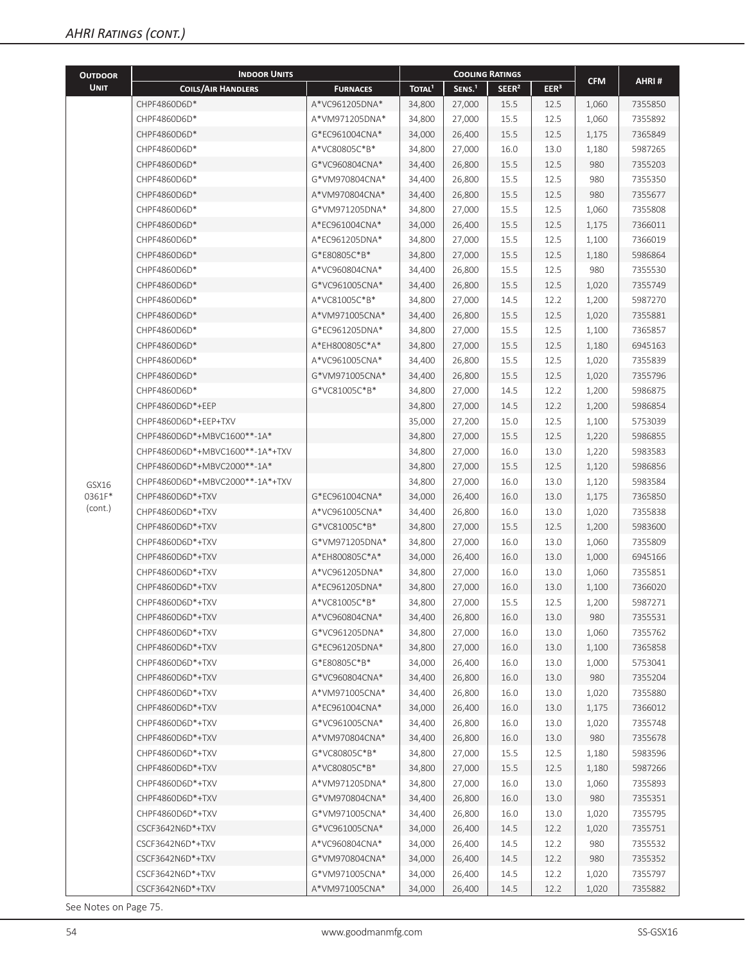| <b>OUTDOOR</b> | <b>INDOOR UNITS</b>             |                 | <b>COOLING RATINGS</b> |                    |                   |                  |            |         |
|----------------|---------------------------------|-----------------|------------------------|--------------------|-------------------|------------------|------------|---------|
| <b>UNIT</b>    | <b>COILS/AIR HANDLERS</b>       | <b>FURNACES</b> | TOTAL <sup>1</sup>     | SENS. <sup>1</sup> | SEER <sup>2</sup> | EER <sup>3</sup> | <b>CFM</b> | AHRI#   |
|                | CHPF4860D6D*                    | A*VC961205DNA*  | 34,800                 | 27,000             | 15.5              | 12.5             | 1,060      | 7355850 |
|                | CHPF4860D6D*                    | A*VM971205DNA*  | 34,800                 | 27,000             | 15.5              | 12.5             | 1,060      | 7355892 |
|                | CHPF4860D6D*                    | G*EC961004CNA*  | 34,000                 | 26,400             | 15.5              | 12.5             | 1,175      | 7365849 |
|                | CHPF4860D6D*                    | A*VC80805C*B*   | 34,800                 | 27,000             | 16.0              | 13.0             | 1,180      | 5987265 |
|                | CHPF4860D6D*                    | G*VC960804CNA*  | 34,400                 | 26,800             | 15.5              | 12.5             | 980        | 7355203 |
|                | CHPF4860D6D*                    | G*VM970804CNA*  | 34,400                 | 26,800             | 15.5              | 12.5             | 980        | 7355350 |
|                | CHPF4860D6D*                    | A*VM970804CNA*  | 34,400                 | 26,800             | 15.5              | 12.5             | 980        | 7355677 |
|                | CHPF4860D6D*                    | G*VM971205DNA*  | 34,800                 | 27,000             | 15.5              | 12.5             | 1,060      | 7355808 |
|                | CHPF4860D6D*                    | A*EC961004CNA*  | 34,000                 | 26,400             | 15.5              | 12.5             | 1,175      | 7366011 |
|                | CHPF4860D6D*                    | A*EC961205DNA*  | 34,800                 | 27,000             | 15.5              | 12.5             | 1,100      | 7366019 |
|                | CHPF4860D6D*                    | G*E80805C*B*    | 34,800                 | 27,000             | 15.5              | 12.5             | 1,180      | 5986864 |
|                | CHPF4860D6D*                    | A*VC960804CNA*  | 34,400                 | 26,800             | 15.5              | 12.5             | 980        | 7355530 |
|                | CHPF4860D6D*                    | G*VC961005CNA*  | 34,400                 | 26,800             | 15.5              | 12.5             | 1,020      | 7355749 |
|                | CHPF4860D6D*                    | A*VC81005C*B*   | 34,800                 | 27,000             | 14.5              | 12.2             | 1,200      | 5987270 |
|                | CHPF4860D6D*                    | A*VM971005CNA*  | 34,400                 | 26,800             | 15.5              | 12.5             | 1,020      | 7355881 |
|                | CHPF4860D6D*                    | G*EC961205DNA*  | 34,800                 | 27,000             | 15.5              | 12.5             | 1,100      | 7365857 |
|                | CHPF4860D6D*                    | A*EH800805C*A*  | 34,800                 | 27,000             | 15.5              | 12.5             | 1,180      | 6945163 |
|                | CHPF4860D6D*                    | A*VC961005CNA*  | 34,400                 | 26,800             | 15.5              | 12.5             | 1,020      | 7355839 |
|                | CHPF4860D6D*                    | G*VM971005CNA*  | 34,400                 | 26,800             | 15.5              | 12.5             | 1,020      | 7355796 |
|                | CHPF4860D6D*                    | G*VC81005C*B*   | 34,800                 | 27,000             | 14.5              | 12.2             | 1,200      | 5986875 |
|                | CHPF4860D6D*+EEP                |                 | 34,800                 | 27,000             | 14.5              | 12.2             | 1,200      | 5986854 |
|                | CHPF4860D6D*+EEP+TXV            |                 | 35,000                 | 27,200             | 15.0              | 12.5             | 1,100      | 5753039 |
|                | CHPF4860D6D*+MBVC1600**-1A*     |                 | 34,800                 | 27,000             | 15.5              | 12.5             | 1,220      | 5986855 |
|                | CHPF4860D6D*+MBVC1600**-1A*+TXV |                 | 34,800                 | 27,000             | 16.0              | 13.0             | 1,220      | 5983583 |
|                | CHPF4860D6D*+MBVC2000**-1A*     |                 | 34,800                 | 27,000             | 15.5              | 12.5             | 1,120      | 5986856 |
| GSX16          | CHPF4860D6D*+MBVC2000**-1A*+TXV |                 | 34,800                 | 27,000             | 16.0              | 13.0             | 1,120      | 5983584 |
| 0361F*         | CHPF4860D6D*+TXV                | G*EC961004CNA*  | 34,000                 | 26,400             | 16.0              | 13.0             | 1,175      | 7365850 |
| (cont.)        | CHPF4860D6D*+TXV                | A*VC961005CNA*  | 34,400                 | 26,800             | 16.0              | 13.0             | 1,020      | 7355838 |
|                | CHPF4860D6D*+TXV                | G*VC81005C*B*   | 34,800                 | 27,000             | 15.5              | 12.5             | 1,200      | 5983600 |
|                | CHPF4860D6D*+TXV                | G*VM971205DNA*  | 34,800                 | 27,000             | 16.0              | 13.0             | 1,060      | 7355809 |
|                | CHPF4860D6D*+TXV                | A*EH800805C*A*  | 34,000                 | 26,400             | 16.0              | 13.0             | 1,000      | 6945166 |
|                | CHPF4860D6D*+TXV                | A*VC961205DNA*  | 34,800                 | 27,000             | 16.0              | 13.0             | 1,060      | 7355851 |
|                | CHPF4860D6D*+TXV                | A*EC961205DNA*  | 34,800                 | 27,000             | 16.0              | 13.0             | 1,100      | 7366020 |
|                | CHPF4860D6D*+TXV                | A*VC81005C*B*   | 34,800                 | 27,000             | 15.5              | 12.5             | 1,200      | 5987271 |
|                | CHPF4860D6D*+TXV                | A*VC960804CNA*  | 34,400                 | 26,800             | 16.0              | 13.0             | 980        | 7355531 |
|                | CHPF4860D6D*+TXV                | G*VC961205DNA*  | 34,800                 | 27,000             | 16.0              | 13.0             | 1,060      | 7355762 |
|                | CHPF4860D6D*+TXV                | G*EC961205DNA*  | 34,800                 | 27,000             | 16.0              | 13.0             | 1,100      | 7365858 |
|                | CHPF4860D6D*+TXV                | G*E80805C*B*    | 34,000                 | 26,400             | 16.0              | 13.0             | 1,000      | 5753041 |
|                | CHPF4860D6D*+TXV                | G*VC960804CNA*  | 34,400                 | 26,800             | 16.0              | 13.0             | 980        | 7355204 |
|                | CHPF4860D6D*+TXV                | A*VM971005CNA*  | 34,400                 | 26,800             | 16.0              | 13.0             | 1,020      | 7355880 |
|                | CHPF4860D6D*+TXV                | A*EC961004CNA*  | 34,000                 | 26,400             | 16.0              | 13.0             | 1,175      | 7366012 |
|                | CHPF4860D6D*+TXV                | G*VC961005CNA*  | 34,400                 | 26,800             | 16.0              | 13.0             | 1,020      | 7355748 |
|                | CHPF4860D6D*+TXV                | A*VM970804CNA*  | 34,400                 | 26,800             | 16.0              | 13.0             | 980        | 7355678 |
|                | CHPF4860D6D*+TXV                | G*VC80805C*B*   | 34,800                 | 27,000             | 15.5              | 12.5             | 1,180      | 5983596 |
|                | CHPF4860D6D*+TXV                | A*VC80805C*B*   | 34,800                 | 27,000             | 15.5              | 12.5             | 1,180      | 5987266 |
|                | CHPF4860D6D*+TXV                | A*VM971205DNA*  | 34,800                 | 27,000             | 16.0              | 13.0             | 1,060      | 7355893 |
|                | CHPF4860D6D*+TXV                | G*VM970804CNA*  | 34,400                 | 26,800             | 16.0              | 13.0             | 980        | 7355351 |
|                | CHPF4860D6D*+TXV                | G*VM971005CNA*  | 34,400                 | 26,800             | 16.0              | 13.0             | 1,020      | 7355795 |
|                | CSCF3642N6D*+TXV                | G*VC961005CNA*  | 34,000                 | 26,400             | 14.5              | 12.2             | 1,020      | 7355751 |
|                | CSCF3642N6D*+TXV                | A*VC960804CNA*  | 34,000                 | 26,400             | 14.5              | 12.2             | 980        | 7355532 |
|                | CSCF3642N6D*+TXV                | G*VM970804CNA*  | 34,000                 | 26,400             | 14.5              | 12.2             | 980        | 7355352 |
|                | CSCF3642N6D*+TXV                | G*VM971005CNA*  | 34,000                 | 26,400             | 14.5              | 12.2             | 1,020      | 7355797 |
|                | CSCF3642N6D*+TXV                | A*VM971005CNA*  | 34,000                 | 26,400             | 14.5              | 12.2             | 1,020      | 7355882 |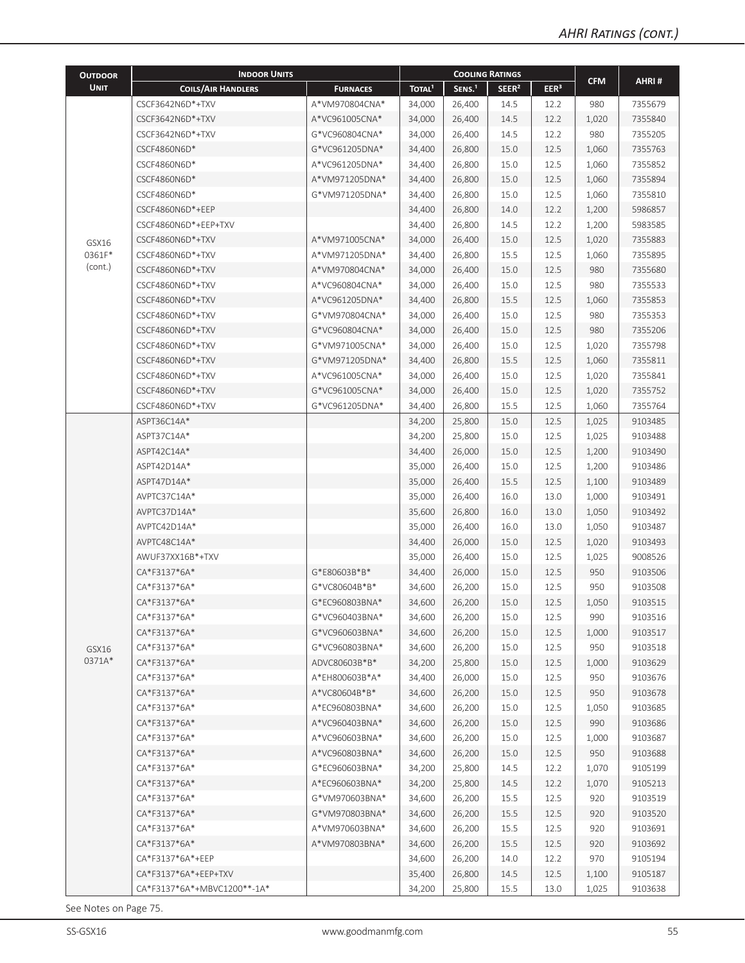| <b>OUTDOOR</b> | <b>INDOOR UNITS</b>         |                 | <b>COOLING RATINGS</b> |                    |                   |                  |            |         |  |
|----------------|-----------------------------|-----------------|------------------------|--------------------|-------------------|------------------|------------|---------|--|
| <b>UNIT</b>    | <b>COILS/AIR HANDLERS</b>   | <b>FURNACES</b> | TOTAL <sup>1</sup>     | SENS. <sup>1</sup> | SEER <sup>2</sup> | EER <sup>3</sup> | <b>CFM</b> | AHRI#   |  |
|                | CSCF3642N6D*+TXV            | A*VM970804CNA*  | 34,000                 | 26,400             | 14.5              | 12.2             | 980        | 7355679 |  |
|                | CSCF3642N6D*+TXV            | A*VC961005CNA*  | 34,000                 | 26,400             | 14.5              | 12.2             | 1,020      | 7355840 |  |
|                | CSCF3642N6D*+TXV            | G*VC960804CNA*  | 34,000                 | 26,400             | 14.5              | 12.2             | 980        | 7355205 |  |
|                | CSCF4860N6D*                | G*VC961205DNA*  | 34,400                 | 26,800             | 15.0              | 12.5             | 1,060      | 7355763 |  |
|                | CSCF4860N6D*                | A*VC961205DNA*  | 34,400                 | 26,800             | 15.0              | 12.5             | 1,060      | 7355852 |  |
|                | CSCF4860N6D*                | A*VM971205DNA*  | 34,400                 | 26,800             | 15.0              | 12.5             | 1,060      | 7355894 |  |
|                | CSCF4860N6D*                | G*VM971205DNA*  | 34,400                 | 26,800             | 15.0              | 12.5             | 1,060      | 7355810 |  |
|                | CSCF4860N6D*+EEP            |                 | 34,400                 | 26,800             | 14.0              | 12.2             | 1,200      | 5986857 |  |
|                | CSCF4860N6D*+EEP+TXV        |                 | 34,400                 | 26,800             | 14.5              | 12.2             | 1,200      | 5983585 |  |
| GSX16          | CSCF4860N6D*+TXV            | A*VM971005CNA*  | 34,000                 | 26,400             | 15.0              | 12.5             | 1,020      | 7355883 |  |
| 0361F*         | CSCF4860N6D*+TXV            | A*VM971205DNA*  | 34,400                 | 26,800             | 15.5              | 12.5             | 1,060      | 7355895 |  |
| (cont.)        | CSCF4860N6D*+TXV            | A*VM970804CNA*  | 34,000                 | 26,400             | 15.0              | 12.5             | 980        | 7355680 |  |
|                | CSCF4860N6D*+TXV            | A*VC960804CNA*  | 34,000                 | 26,400             | 15.0              | 12.5             | 980        | 7355533 |  |
|                | CSCF4860N6D*+TXV            | A*VC961205DNA*  | 34,400                 | 26,800             | 15.5              | 12.5             | 1,060      | 7355853 |  |
|                | CSCF4860N6D*+TXV            | G*VM970804CNA*  | 34,000                 | 26,400             | 15.0              | 12.5             | 980        | 7355353 |  |
|                | CSCF4860N6D*+TXV            | G*VC960804CNA*  | 34,000                 | 26,400             | 15.0              | 12.5             | 980        | 7355206 |  |
|                | CSCF4860N6D*+TXV            | G*VM971005CNA*  | 34,000                 | 26,400             | 15.0              | 12.5             | 1,020      | 7355798 |  |
|                | CSCF4860N6D*+TXV            | G*VM971205DNA*  | 34,400                 | 26,800             | 15.5              | 12.5             | 1,060      | 7355811 |  |
|                | CSCF4860N6D*+TXV            | A*VC961005CNA*  | 34,000                 | 26,400             | 15.0              | 12.5             | 1,020      | 7355841 |  |
|                | CSCF4860N6D*+TXV            | G*VC961005CNA*  | 34,000                 | 26,400             | 15.0              | 12.5             | 1,020      | 7355752 |  |
|                | CSCF4860N6D*+TXV            | G*VC961205DNA*  | 34,400                 | 26,800             | 15.5              | 12.5             | 1,060      | 7355764 |  |
|                | ASPT36C14A*                 |                 | 34,200                 | 25,800             | 15.0              | 12.5             | 1,025      | 9103485 |  |
|                | ASPT37C14A*                 |                 | 34,200                 | 25,800             | 15.0              | 12.5             | 1,025      | 9103488 |  |
|                | ASPT42C14A*                 |                 | 34,400                 | 26,000             | 15.0              | 12.5             | 1,200      | 9103490 |  |
|                | ASPT42D14A*                 |                 | 35,000                 | 26,400             | 15.0              | 12.5             | 1,200      | 9103486 |  |
|                | ASPT47D14A*                 |                 | 35,000                 | 26,400             | 15.5              | 12.5             | 1,100      | 9103489 |  |
|                | AVPTC37C14A*                |                 | 35,000                 | 26,400             | 16.0              | 13.0             | 1,000      | 9103491 |  |
|                | AVPTC37D14A*                |                 | 35,600                 | 26,800             | 16.0              | 13.0             | 1,050      | 9103492 |  |
|                | AVPTC42D14A*                |                 | 35,000                 | 26,400             | 16.0              | 13.0             | 1,050      | 9103487 |  |
|                | AVPTC48C14A*                |                 | 34,400                 | 26,000             | 15.0              | 12.5             | 1,020      | 9103493 |  |
|                | AWUF37XX16B*+TXV            |                 | 35,000                 | 26,400             | 15.0              | 12.5             | 1,025      | 9008526 |  |
|                | CA*F3137*6A*                | G*E80603B*B*    | 34,400                 | 26,000             | 15.0              | 12.5             | 950        | 9103506 |  |
|                | CA*F3137*6A*                | G*VC80604B*B*   | 34,600                 | 26,200             | 15.0              | 12.5             | 950        | 9103508 |  |
|                | CA*F3137*6A*                | G*EC960803BNA*  | 34,600                 | 26,200             | 15.0              | 12.5             | 1,050      | 9103515 |  |
|                | CA*F3137*6A*                | G*VC960403BNA*  | 34,600                 | 26,200             | 15.0              | 12.5             | 990        | 9103516 |  |
|                | CA*F3137*6A*                | G*VC960603BNA*  | 34,600                 | 26,200             | 15.0              | 12.5             | 1,000      | 9103517 |  |
| GSX16          | CA*F3137*6A*                | G*VC960803BNA*  | 34,600                 | 26,200             | 15.0              | 12.5             | 950        | 9103518 |  |
| 0371A*         | CA*F3137*6A*                | ADVC80603B*B*   | 34,200                 | 25,800             | 15.0              | 12.5             | 1,000      | 9103629 |  |
|                | CA*F3137*6A*                | A*EH800603B*A*  | 34,400                 | 26,000             | 15.0              | 12.5             | 950        | 9103676 |  |
|                | CA*F3137*6A*                | A*VC80604B*B*   | 34,600                 | 26,200             | 15.0              | 12.5             | 950        | 9103678 |  |
|                | CA*F3137*6A*                | A*EC960803BNA*  | 34,600                 | 26,200             | 15.0              | 12.5             | 1,050      | 9103685 |  |
|                | CA*F3137*6A*                | A*VC960403BNA*  | 34,600                 | 26,200             | 15.0              | 12.5             | 990        | 9103686 |  |
|                | CA*F3137*6A*                | A*VC960603BNA*  | 34,600                 | 26,200             | 15.0              | 12.5             | 1,000      | 9103687 |  |
|                | CA*F3137*6A*                | A*VC960803BNA*  | 34,600                 | 26,200             | 15.0              | 12.5             | 950        | 9103688 |  |
|                | CA*F3137*6A*                | G*EC960603BNA*  | 34,200                 | 25,800             | 14.5              | 12.2             | 1,070      | 9105199 |  |
|                | CA*F3137*6A*                | A*EC960603BNA*  | 34,200                 | 25,800             | 14.5              | 12.2             | 1,070      | 9105213 |  |
|                | CA*F3137*6A*                | G*VM970603BNA*  | 34,600                 | 26,200             | 15.5              | 12.5             | 920        | 9103519 |  |
|                | CA*F3137*6A*                | G*VM970803BNA*  | 34,600                 | 26,200             | 15.5              | 12.5             | 920        | 9103520 |  |
|                | CA*F3137*6A*                | A*VM970603BNA*  | 34,600                 | 26,200             | 15.5              | 12.5             | 920        | 9103691 |  |
|                | CA*F3137*6A*                | A*VM970803BNA*  | 34,600                 | 26,200             | 15.5              | 12.5             | 920        | 9103692 |  |
|                | CA*F3137*6A*+EEP            |                 | 34,600                 | 26,200             | 14.0              | 12.2             | 970        | 9105194 |  |
|                | CA*F3137*6A*+EEP+TXV        |                 | 35,400                 | 26,800             | 14.5              | 12.5             | 1,100      | 9105187 |  |
|                | CA*F3137*6A*+MBVC1200**-1A* |                 | 34,200                 | 25,800             | 15.5              | 13.0             | 1,025      | 9103638 |  |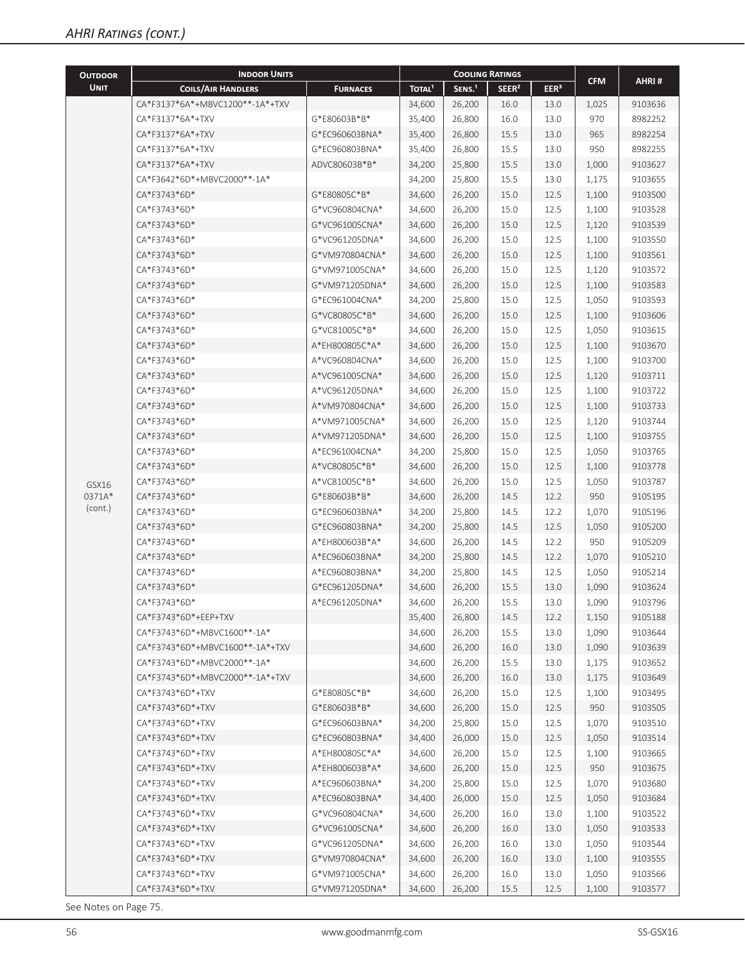| <b>OUTDOOR</b> | <b>INDOOR UNITS</b>             |                 |                    | <b>COOLING RATINGS</b> |                   |                  |            |         |
|----------------|---------------------------------|-----------------|--------------------|------------------------|-------------------|------------------|------------|---------|
| <b>UNIT</b>    | <b>COILS/AIR HANDLERS</b>       | <b>FURNACES</b> | TOTAL <sup>1</sup> | SENS. <sup>1</sup>     | SEER <sup>2</sup> | EER <sup>3</sup> | <b>CFM</b> | AHRI#   |
|                | CA*F3137*6A*+MBVC1200**-1A*+TXV |                 | 34,600             | 26,200                 | 16.0              | 13.0             | 1,025      | 9103636 |
|                | CA*F3137*6A*+TXV                | G*E80603B*B*    | 35,400             | 26,800                 | 16.0              | 13.0             | 970        | 8982252 |
|                | CA*F3137*6A*+TXV                | G*EC960603BNA*  | 35,400             | 26,800                 | 15.5              | 13.0             | 965        | 8982254 |
|                | CA*F3137*6A*+TXV                | G*EC960803BNA*  | 35,400             | 26,800                 | 15.5              | 13.0             | 950        | 8982255 |
|                | CA*F3137*6A*+TXV                | ADVC80603B*B*   | 34,200             | 25,800                 | 15.5              | 13.0             | 1,000      | 9103627 |
|                | CA*F3642*6D*+MBVC2000**-1A*     |                 | 34,200             | 25,800                 | 15.5              | 13.0             | 1,175      | 9103655 |
|                | CA*F3743*6D*                    | G*E80805C*B*    | 34,600             | 26,200                 | 15.0              | 12.5             | 1,100      | 9103500 |
|                | CA*F3743*6D*                    | G*VC960804CNA*  | 34,600             | 26,200                 | 15.0              | 12.5             | 1,100      | 9103528 |
|                | CA*F3743*6D*                    | G*VC961005CNA*  | 34,600             | 26,200                 | 15.0              | 12.5             | 1,120      | 9103539 |
|                | CA*F3743*6D*                    | G*VC961205DNA*  | 34,600             | 26,200                 | 15.0              | 12.5             | 1,100      | 9103550 |
|                | CA*F3743*6D*                    | G*VM970804CNA*  | 34,600             | 26,200                 | 15.0              | 12.5             | 1,100      | 9103561 |
|                | CA*F3743*6D*                    | G*VM971005CNA*  | 34,600             | 26,200                 | 15.0              | 12.5             | 1,120      | 9103572 |
|                | CA*F3743*6D*                    | G*VM971205DNA*  | 34,600             | 26,200                 | 15.0              | 12.5             | 1,100      | 9103583 |
|                | CA*F3743*6D*                    | G*EC961004CNA*  | 34,200             | 25,800                 | 15.0              | 12.5             | 1,050      | 9103593 |
|                | CA*F3743*6D*                    | G*VC80805C*B*   | 34,600             | 26,200                 | 15.0              | 12.5             | 1,100      | 9103606 |
|                | CA*F3743*6D*                    | G*VC81005C*B*   | 34,600             | 26,200                 | 15.0              | 12.5             | 1,050      | 9103615 |
|                | CA*F3743*6D*                    | A*EH800805C*A*  | 34,600             | 26,200                 | 15.0              | 12.5             | 1,100      | 9103670 |
|                | CA*F3743*6D*                    | A*VC960804CNA*  | 34,600             | 26,200                 | 15.0              | 12.5             | 1,100      | 9103700 |
|                | CA*F3743*6D*                    | A*VC961005CNA*  | 34,600             | 26,200                 | 15.0              | 12.5             | 1,120      | 9103711 |
|                | CA*F3743*6D*                    | A*VC961205DNA*  | 34,600             | 26,200                 | 15.0              | 12.5             | 1,100      | 9103722 |
|                | CA*F3743*6D*                    | A*VM970804CNA*  | 34,600             | 26,200                 | 15.0              | 12.5             | 1,100      | 9103733 |
|                | CA*F3743*6D*                    | A*VM971005CNA*  | 34,600             | 26,200                 | 15.0              | 12.5             | 1,120      | 9103744 |
|                | CA*F3743*6D*                    | A*VM971205DNA*  | 34,600             | 26,200                 | 15.0              | 12.5             | 1,100      | 9103755 |
|                | CA*F3743*6D*                    | A*EC961004CNA*  | 34,200             | 25,800                 | 15.0              | 12.5             | 1,050      | 9103765 |
|                | CA*F3743*6D*                    | A*VC80805C*B*   | 34,600             | 26,200                 | 15.0              | 12.5             | 1,100      | 9103778 |
| GSX16          | CA*F3743*6D*                    | A*VC81005C*B*   | 34,600             | 26,200                 | 15.0              | 12.5             | 1,050      | 9103787 |
| 0371A*         | CA*F3743*6D*                    | G*E80603B*B*    | 34,600             | 26,200                 | 14.5              | 12.2             | 950        | 9105195 |
| (cont.)        | CA*F3743*6D*                    | G*EC960603BNA*  | 34,200             | 25,800                 | 14.5              | 12.2             | 1,070      | 9105196 |
|                | CA*F3743*6D*                    | G*EC960803BNA*  | 34,200             | 25,800                 | 14.5              | 12.5             | 1,050      | 9105200 |
|                | CA*F3743*6D*                    | A*EH800603B*A*  | 34,600             | 26,200                 | 14.5              | 12.2             | 950        | 9105209 |
|                | CA*F3743*6D*                    | A*EC960603BNA*  | 34,200             | 25,800                 | 14.5              | 12.2             | 1,070      | 9105210 |
|                | CA*F3743*6D*                    | A*EC960803BNA*  | 34,200             | 25,800                 | 14.5              | 12.5             | 1,050      | 9105214 |
|                | CA*F3743*6D*                    | G*EC961205DNA*  | 34,600             | 26,200                 | 15.5              | 13.0             | 1,090      | 9103624 |
|                | CA*F3743*6D*                    | A*EC961205DNA*  | 34,600             | 26,200                 | 15.5              | 13.0             | 1,090      | 9103796 |
|                | CA*F3743*6D*+EEP+TXV            |                 | 35,400             | 26,800                 | 14.5              | 12.2             | 1,150      | 9105188 |
|                | CA*F3743*6D*+MBVC1600**-1A*     |                 | 34,600             | 26,200                 | 15.5              | 13.0             | 1,090      | 9103644 |
|                | CA*F3743*6D*+MBVC1600**-1A*+TXV |                 | 34,600             | 26,200                 | 16.0              | 13.0             | 1,090      | 9103639 |
|                | CA*F3743*6D*+MBVC2000**-1A*     |                 | 34,600             | 26,200                 | 15.5              | 13.0             | 1,175      | 9103652 |
|                | CA*F3743*6D*+MBVC2000**-1A*+TXV |                 | 34,600             | 26,200                 | 16.0              | 13.0             | 1,175      | 9103649 |
|                | CA*F3743*6D*+TXV                | G*E80805C*B*    | 34,600             | 26,200                 | 15.0              | 12.5             | 1,100      | 9103495 |
|                | CA*F3743*6D*+TXV                | G*E80603B*B*    | 34,600             | 26,200                 | 15.0              | 12.5             | 950        | 9103505 |
|                | CA*F3743*6D*+TXV                | G*EC960603BNA*  | 34,200             | 25,800                 | 15.0              | 12.5             | 1,070      | 9103510 |
|                | CA*F3743*6D*+TXV                | G*EC960803BNA*  | 34,400             | 26,000                 | 15.0              | 12.5             | 1,050      | 9103514 |
|                | CA*F3743*6D*+TXV                | A*EH800805C*A*  | 34,600             | 26,200                 | 15.0              | 12.5             | 1,100      | 9103665 |
|                | CA*F3743*6D*+TXV                | A*EH800603B*A*  | 34,600             | 26,200                 | 15.0              | 12.5             | 950        | 9103675 |
|                | CA*F3743*6D*+TXV                | A*EC960603BNA*  | 34,200             | 25,800                 | 15.0              | 12.5             | 1,070      | 9103680 |
|                | CA*F3743*6D*+TXV                | A*EC960803BNA*  | 34,400             | 26,000                 | 15.0              | 12.5             | 1,050      | 9103684 |
|                | CA*F3743*6D*+TXV                | G*VC960804CNA*  | 34,600             | 26,200                 | 16.0              | 13.0             | 1,100      | 9103522 |
|                | CA*F3743*6D*+TXV                | G*VC961005CNA*  | 34,600             | 26,200                 | 16.0              | 13.0             | 1,050      | 9103533 |
|                | CA*F3743*6D*+TXV                | G*VC961205DNA*  | 34,600             | 26,200                 | 16.0              | 13.0             | 1,050      | 9103544 |
|                | CA*F3743*6D*+TXV                | G*VM970804CNA*  | 34,600             | 26,200                 | 16.0              | 13.0             | 1,100      | 9103555 |
|                | CA*F3743*6D*+TXV                | G*VM971005CNA*  | 34,600             | 26,200                 | 16.0              | 13.0             | 1,050      | 9103566 |
|                | CA*F3743*6D*+TXV                | G*VM971205DNA*  | 34,600             | 26,200                 | 15.5              | 12.5             | 1,100      | 9103577 |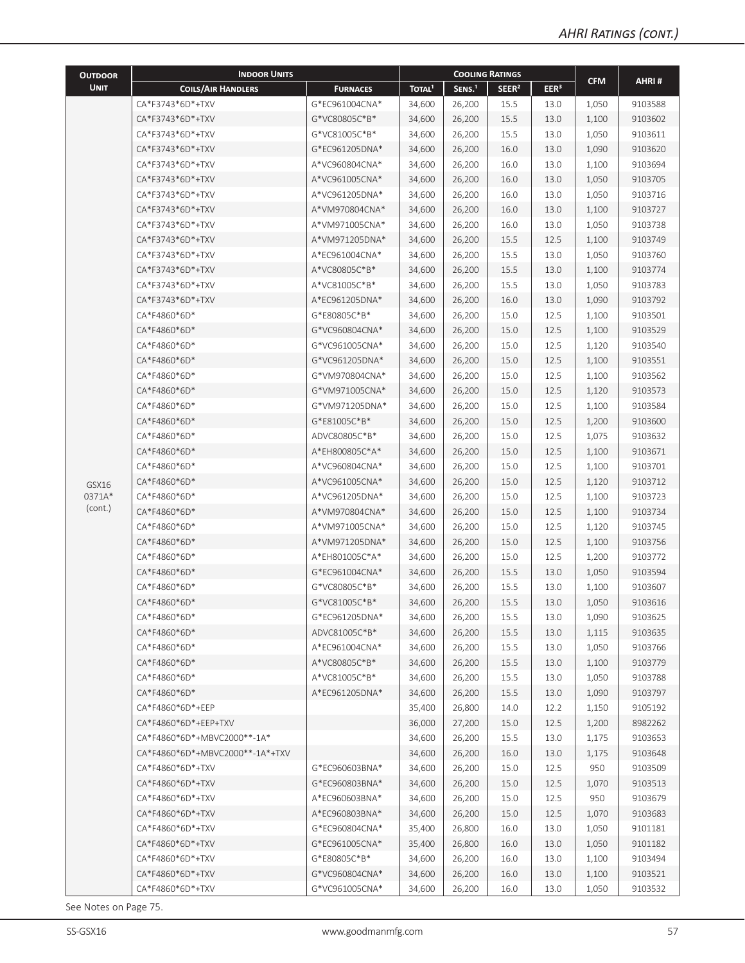| <b>OUTDOOR</b> | <b>INDOOR UNITS</b>             |                 | <b>COOLING RATINGS</b> |                    |                   |                  |            |         |  |
|----------------|---------------------------------|-----------------|------------------------|--------------------|-------------------|------------------|------------|---------|--|
| <b>UNIT</b>    | <b>COILS/AIR HANDLERS</b>       | <b>FURNACES</b> | TOTAL <sup>1</sup>     | SENS. <sup>1</sup> | SEER <sup>2</sup> | EER <sup>3</sup> | <b>CFM</b> | AHRI#   |  |
|                | CA*F3743*6D*+TXV                | G*EC961004CNA*  | 34,600                 | 26,200             | 15.5              | 13.0             | 1,050      | 9103588 |  |
|                | CA*F3743*6D*+TXV                | G*VC80805C*B*   | 34,600                 | 26,200             | 15.5              | 13.0             | 1,100      | 9103602 |  |
|                | CA*F3743*6D*+TXV                | G*VC81005C*B*   | 34,600                 | 26,200             | 15.5              | 13.0             | 1,050      | 9103611 |  |
|                | CA*F3743*6D*+TXV                | G*EC961205DNA*  | 34,600                 | 26,200             | 16.0              | 13.0             | 1,090      | 9103620 |  |
|                | CA*F3743*6D*+TXV                | A*VC960804CNA*  | 34,600                 | 26,200             | 16.0              | 13.0             | 1,100      | 9103694 |  |
|                | CA*F3743*6D*+TXV                | A*VC961005CNA*  | 34,600                 | 26,200             | 16.0              | 13.0             | 1,050      | 9103705 |  |
|                | CA*F3743*6D*+TXV                | A*VC961205DNA*  | 34,600                 | 26,200             | 16.0              | 13.0             | 1,050      | 9103716 |  |
|                | CA*F3743*6D*+TXV                | A*VM970804CNA*  | 34,600                 | 26,200             | 16.0              | 13.0             | 1,100      | 9103727 |  |
|                | CA*F3743*6D*+TXV                | A*VM971005CNA*  | 34,600                 | 26,200             | 16.0              | 13.0             | 1,050      | 9103738 |  |
|                | CA*F3743*6D*+TXV                | A*VM971205DNA*  | 34,600                 | 26,200             | 15.5              | 12.5             | 1,100      | 9103749 |  |
|                | CA*F3743*6D*+TXV                | A*EC961004CNA*  | 34,600                 | 26,200             | 15.5              | 13.0             | 1,050      | 9103760 |  |
|                | CA*F3743*6D*+TXV                | A*VC80805C*B*   | 34,600                 | 26,200             | 15.5              | 13.0             | 1,100      | 9103774 |  |
|                | CA*F3743*6D*+TXV                | A*VC81005C*B*   | 34,600                 | 26,200             | 15.5              | 13.0             | 1,050      | 9103783 |  |
|                | CA*F3743*6D*+TXV                | A*EC961205DNA*  | 34,600                 | 26,200             | 16.0              | 13.0             | 1,090      | 9103792 |  |
|                | CA*F4860*6D*                    | G*E80805C*B*    | 34,600                 | 26,200             | 15.0              | 12.5             | 1,100      | 9103501 |  |
|                | CA*F4860*6D*                    | G*VC960804CNA*  | 34,600                 | 26,200             | 15.0              | 12.5             | 1,100      | 9103529 |  |
|                | CA*F4860*6D*                    | G*VC961005CNA*  | 34,600                 | 26,200             | 15.0              | 12.5             | 1,120      | 9103540 |  |
|                | CA*F4860*6D*                    | G*VC961205DNA*  | 34,600                 | 26,200             | 15.0              | 12.5             | 1,100      | 9103551 |  |
|                | CA*F4860*6D*                    | G*VM970804CNA*  | 34,600                 | 26,200             | 15.0              | 12.5             | 1,100      | 9103562 |  |
|                | CA*F4860*6D*                    | G*VM971005CNA*  | 34,600                 | 26,200             | 15.0              | 12.5             | 1,120      | 9103573 |  |
|                | CA*F4860*6D*                    | G*VM971205DNA*  | 34,600                 | 26,200             | 15.0              | 12.5             | 1,100      | 9103584 |  |
|                | CA*F4860*6D*                    | G*E81005C*B*    | 34,600                 | 26,200             | 15.0              | 12.5             | 1,200      | 9103600 |  |
|                | CA*F4860*6D*                    | ADVC80805C*B*   | 34,600                 | 26,200             | 15.0              | 12.5             | 1,075      | 9103632 |  |
|                | CA*F4860*6D*                    | A*EH800805C*A*  | 34,600                 | 26,200             | 15.0              | 12.5             | 1,100      | 9103671 |  |
|                | CA*F4860*6D*                    | A*VC960804CNA*  | 34,600                 | 26,200             | 15.0              | 12.5             | 1,100      | 9103701 |  |
| GSX16          | CA*F4860*6D*                    | A*VC961005CNA*  | 34,600                 | 26,200             | 15.0              | 12.5             | 1,120      | 9103712 |  |
| 0371A*         | CA*F4860*6D*                    | A*VC961205DNA*  | 34,600                 | 26,200             | 15.0              | 12.5             | 1,100      | 9103723 |  |
| (cont.)        | CA*F4860*6D*                    | A*VM970804CNA*  | 34,600                 | 26,200             | 15.0              | 12.5             | 1,100      | 9103734 |  |
|                | CA*F4860*6D*                    | A*VM971005CNA*  | 34,600                 | 26,200             | 15.0              | 12.5             | 1,120      | 9103745 |  |
|                | CA*F4860*6D*                    | A*VM971205DNA*  | 34,600                 | 26,200             | 15.0              | 12.5             | 1,100      | 9103756 |  |
|                | CA*F4860*6D*                    | A*EH801005C*A*  | 34,600                 | 26,200             | 15.0              | 12.5             | 1,200      | 9103772 |  |
|                | CA*F4860*6D*                    | G*EC961004CNA*  | 34,600                 | 26,200             | 15.5              | 13.0             | 1,050      | 9103594 |  |
|                | CA*F4860*6D*                    | G*VC80805C*B*   | 34,600                 | 26,200             | 15.5              | 13.0             | 1,100      | 9103607 |  |
|                | CA*F4860*6D*                    | G*VC81005C*B*   | 34,600                 | 26,200             | 15.5              | 13.0             | 1,050      | 9103616 |  |
|                | CA*F4860*6D*                    | G*EC961205DNA*  | 34,600                 | 26,200             | 15.5              | 13.0             | 1,090      | 9103625 |  |
|                | CA*F4860*6D*                    | ADVC81005C*B*   | 34,600                 | 26,200             | 15.5              | 13.0             | 1,115      | 9103635 |  |
|                | CA*F4860*6D*                    | A*EC961004CNA*  | 34,600                 | 26,200             | 15.5              | 13.0             | 1,050      | 9103766 |  |
|                | CA*F4860*6D*                    | A*VC80805C*B*   | 34,600                 | 26,200             | 15.5              | 13.0             | 1,100      | 9103779 |  |
|                | CA*F4860*6D*                    | A*VC81005C*B*   | 34,600                 | 26,200             | 15.5              | 13.0             | 1,050      | 9103788 |  |
|                | CA*F4860*6D*                    | A*EC961205DNA*  | 34,600                 | 26,200             | 15.5              | 13.0             | 1,090      | 9103797 |  |
|                | CA*F4860*6D*+EEP                |                 | 35,400                 | 26,800             | 14.0              | 12.2             | 1,150      | 9105192 |  |
|                | CA*F4860*6D*+EEP+TXV            |                 | 36,000                 | 27,200             | 15.0              | 12.5             | 1,200      | 8982262 |  |
|                | CA*F4860*6D*+MBVC2000**-1A*     |                 | 34,600                 | 26,200             | 15.5              | 13.0             | 1,175      | 9103653 |  |
|                | CA*F4860*6D*+MBVC2000**-1A*+TXV |                 | 34,600                 | 26,200             | 16.0              | 13.0             | 1,175      | 9103648 |  |
|                | CA*F4860*6D*+TXV                | G*EC960603BNA*  | 34,600                 | 26,200             | 15.0              | 12.5             | 950        | 9103509 |  |
|                | CA*F4860*6D*+TXV                | G*EC960803BNA*  | 34,600                 | 26,200             | 15.0              | 12.5             | 1,070      | 9103513 |  |
|                | CA*F4860*6D*+TXV                | A*EC960603BNA*  | 34,600                 | 26,200             | 15.0              | 12.5             | 950        | 9103679 |  |
|                | CA*F4860*6D*+TXV                | A*EC960803BNA*  | 34,600                 | 26,200             | 15.0              | 12.5             | 1,070      | 9103683 |  |
|                | CA*F4860*6D*+TXV                | G*EC960804CNA*  | 35,400                 | 26,800             | 16.0              | 13.0             | 1,050      | 9101181 |  |
|                | CA*F4860*6D*+TXV                | G*EC961005CNA*  | 35,400                 | 26,800             | 16.0              | 13.0             | 1,050      | 9101182 |  |
|                | CA*F4860*6D*+TXV                | G*E80805C*B*    | 34,600                 | 26,200             | 16.0              | 13.0             | 1,100      | 9103494 |  |
|                | CA*F4860*6D*+TXV                | G*VC960804CNA*  | 34,600                 | 26,200             | 16.0              | 13.0             | 1,100      | 9103521 |  |
|                | CA*F4860*6D*+TXV                | G*VC961005CNA*  | 34,600                 | 26,200             | 16.0              | 13.0             | 1,050      | 9103532 |  |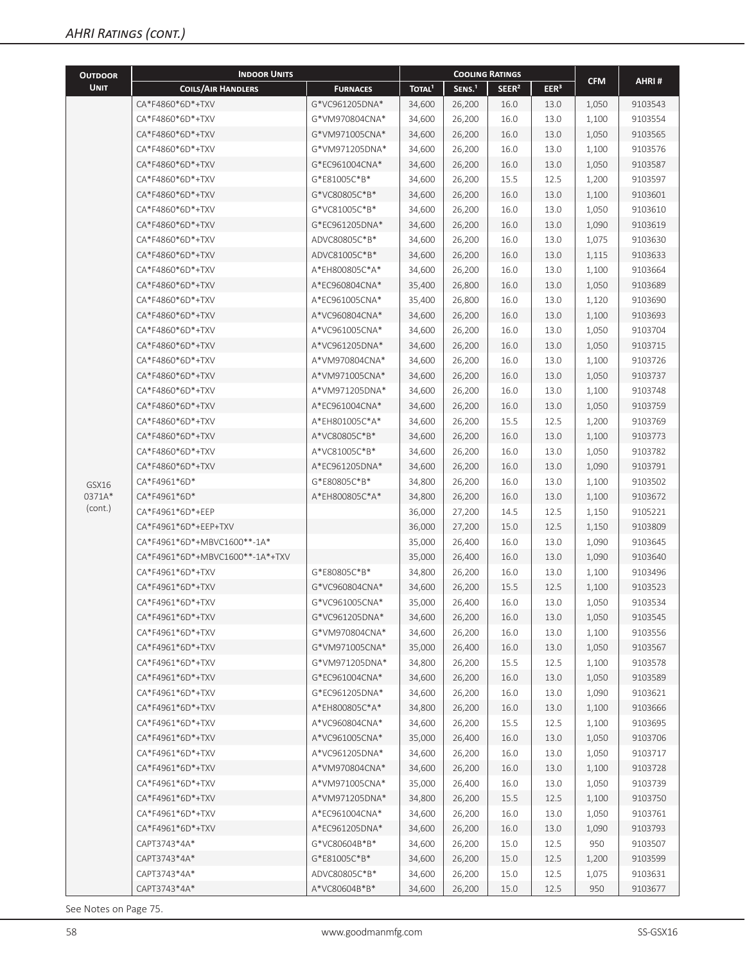| <b>OUTDOOR</b> | <b>INDOOR UNITS</b>             |                 | <b>COOLING RATINGS</b> |                    |                   |                  |            |         |  |
|----------------|---------------------------------|-----------------|------------------------|--------------------|-------------------|------------------|------------|---------|--|
| <b>UNIT</b>    | <b>COILS/AIR HANDLERS</b>       | <b>FURNACES</b> | TOTAL <sup>1</sup>     | SENS. <sup>1</sup> | SEER <sup>2</sup> | EER <sup>3</sup> | <b>CFM</b> | AHRI#   |  |
|                | CA*F4860*6D*+TXV                | G*VC961205DNA*  | 34,600                 | 26,200             | 16.0              | 13.0             | 1,050      | 9103543 |  |
|                | CA*F4860*6D*+TXV                | G*VM970804CNA*  | 34,600                 | 26,200             | 16.0              | 13.0             | 1,100      | 9103554 |  |
|                | CA*F4860*6D*+TXV                | G*VM971005CNA*  | 34,600                 | 26,200             | 16.0              | 13.0             | 1,050      | 9103565 |  |
|                | CA*F4860*6D*+TXV                | G*VM971205DNA*  | 34,600                 | 26,200             | 16.0              | 13.0             | 1,100      | 9103576 |  |
|                | CA*F4860*6D*+TXV                | G*EC961004CNA*  | 34,600                 | 26,200             | 16.0              | 13.0             | 1,050      | 9103587 |  |
|                | CA*F4860*6D*+TXV                | G*E81005C*B*    | 34,600                 | 26,200             | 15.5              | 12.5             | 1,200      | 9103597 |  |
|                | CA*F4860*6D*+TXV                | G*VC80805C*B*   | 34,600                 | 26,200             | 16.0              | 13.0             | 1,100      | 9103601 |  |
|                | CA*F4860*6D*+TXV                | G*VC81005C*B*   | 34,600                 | 26,200             | 16.0              | 13.0             | 1,050      | 9103610 |  |
|                | CA*F4860*6D*+TXV                | G*EC961205DNA*  | 34,600                 | 26,200             | 16.0              | 13.0             | 1,090      | 9103619 |  |
|                | CA*F4860*6D*+TXV                | ADVC80805C*B*   | 34,600                 | 26,200             | 16.0              | 13.0             | 1,075      | 9103630 |  |
|                | CA*F4860*6D*+TXV                | ADVC81005C*B*   | 34,600                 | 26,200             | 16.0              | 13.0             | 1,115      | 9103633 |  |
|                | CA*F4860*6D*+TXV                | A*EH800805C*A*  | 34,600                 | 26,200             | 16.0              | 13.0             | 1,100      | 9103664 |  |
|                | CA*F4860*6D*+TXV                | A*EC960804CNA*  | 35,400                 | 26,800             | 16.0              | 13.0             | 1,050      | 9103689 |  |
|                | CA*F4860*6D*+TXV                | A*EC961005CNA*  | 35,400                 | 26,800             | 16.0              | 13.0             | 1,120      | 9103690 |  |
|                | CA*F4860*6D*+TXV                | A*VC960804CNA*  | 34,600                 | 26,200             | 16.0              | 13.0             | 1,100      | 9103693 |  |
|                | CA*F4860*6D*+TXV                | A*VC961005CNA*  | 34,600                 | 26,200             | 16.0              | 13.0             | 1,050      | 9103704 |  |
|                | CA*F4860*6D*+TXV                | A*VC961205DNA*  | 34,600                 | 26,200             | 16.0              | 13.0             | 1,050      | 9103715 |  |
|                | CA*F4860*6D*+TXV                | A*VM970804CNA*  | 34,600                 | 26,200             | 16.0              | 13.0             | 1,100      | 9103726 |  |
|                | CA*F4860*6D*+TXV                | A*VM971005CNA*  | 34,600                 | 26,200             | 16.0              | 13.0             | 1,050      | 9103737 |  |
|                | CA*F4860*6D*+TXV                | A*VM971205DNA*  | 34,600                 | 26,200             | 16.0              | 13.0             | 1,100      | 9103748 |  |
|                | CA*F4860*6D*+TXV                | A*EC961004CNA*  | 34,600                 | 26,200             | 16.0              | 13.0             | 1,050      | 9103759 |  |
|                | CA*F4860*6D*+TXV                | A*EH801005C*A*  | 34,600                 | 26,200             | 15.5              | 12.5             | 1,200      | 9103769 |  |
|                | CA*F4860*6D*+TXV                | A*VC80805C*B*   | 34,600                 | 26,200             | 16.0              | 13.0             | 1,100      | 9103773 |  |
|                | CA*F4860*6D*+TXV                | A*VC81005C*B*   | 34,600                 | 26,200             | 16.0              | 13.0             | 1,050      | 9103782 |  |
|                | CA*F4860*6D*+TXV                | A*EC961205DNA*  | 34,600                 | 26,200             | 16.0              | 13.0             | 1,090      | 9103791 |  |
| GSX16          | CA*F4961*6D*                    | G*E80805C*B*    | 34,800                 | 26,200             | 16.0              | 13.0             | 1,100      | 9103502 |  |
| 0371A*         | CA*F4961*6D*                    | A*EH800805C*A*  | 34,800                 | 26,200             | 16.0              | 13.0             | 1,100      | 9103672 |  |
| (cont.)        | CA*F4961*6D*+EEP                |                 | 36,000                 | 27,200             | 14.5              | 12.5             | 1,150      | 9105221 |  |
|                | CA*F4961*6D*+EEP+TXV            |                 | 36,000                 | 27,200             | 15.0              | 12.5             | 1,150      | 9103809 |  |
|                | CA*F4961*6D*+MBVC1600**-1A*     |                 | 35,000                 | 26,400             | 16.0              | 13.0             | 1,090      | 9103645 |  |
|                | CA*F4961*6D*+MBVC1600**-1A*+TXV |                 | 35,000                 | 26,400             | 16.0              | 13.0             | 1,090      | 9103640 |  |
|                | CA*F4961*6D*+TXV                | G*E80805C*B*    | 34,800                 | 26,200             | 16.0              | 13.0             | 1,100      | 9103496 |  |
|                | CA*F4961*6D*+TXV                | G*VC960804CNA*  | 34,600                 | 26,200             | 15.5              | 12.5             | 1,100      | 9103523 |  |
|                | CA*F4961*6D*+TXV                | G*VC961005CNA*  | 35,000                 | 26,400             | 16.0              | 13.0             | 1,050      | 9103534 |  |
|                | CA*F4961*6D*+TXV                | G*VC961205DNA*  | 34,600                 | 26,200             | 16.0              | 13.0             | 1,050      | 9103545 |  |
|                | CA*F4961*6D*+TXV                | G*VM970804CNA*  | 34,600                 | 26,200             | 16.0              | 13.0             | 1,100      | 9103556 |  |
|                | CA*F4961*6D*+TXV                | G*VM971005CNA*  | 35,000                 | 26,400             | 16.0              | 13.0             | 1,050      | 9103567 |  |
|                | CA*F4961*6D*+TXV                | G*VM971205DNA*  | 34,800                 | 26,200             | 15.5              | 12.5             | 1,100      | 9103578 |  |
|                | CA*F4961*6D*+TXV                | G*EC961004CNA*  | 34,600                 | 26,200             | 16.0              | 13.0             | 1,050      | 9103589 |  |
|                | CA*F4961*6D*+TXV                | G*EC961205DNA*  | 34,600                 | 26,200             | 16.0              | 13.0             | 1,090      | 9103621 |  |
|                | CA*F4961*6D*+TXV                | A*EH800805C*A*  | 34,800                 | 26,200             | 16.0              | 13.0             | 1,100      | 9103666 |  |
|                | CA*F4961*6D*+TXV                | A*VC960804CNA*  | 34,600                 | 26,200             | 15.5              | 12.5             | 1,100      | 9103695 |  |
|                | CA*F4961*6D*+TXV                | A*VC961005CNA*  | 35,000                 | 26,400             | 16.0              | 13.0             | 1,050      | 9103706 |  |
|                | CA*F4961*6D*+TXV                | A*VC961205DNA*  | 34,600                 | 26,200             | 16.0              | 13.0             | 1,050      | 9103717 |  |
|                | CA*F4961*6D*+TXV                | A*VM970804CNA*  | 34,600                 | 26,200             | 16.0              | 13.0             | 1,100      | 9103728 |  |
|                | CA*F4961*6D*+TXV                | A*VM971005CNA*  | 35,000                 | 26,400             | 16.0              | 13.0             | 1,050      | 9103739 |  |
|                | CA*F4961*6D*+TXV                | A*VM971205DNA*  | 34,800                 | 26,200             | 15.5              | 12.5             | 1,100      | 9103750 |  |
|                | CA*F4961*6D*+TXV                | A*EC961004CNA*  | 34,600                 | 26,200             | 16.0              | 13.0             | 1,050      | 9103761 |  |
|                | CA*F4961*6D*+TXV                | A*EC961205DNA*  | 34,600                 | 26,200             | 16.0              | 13.0             | 1,090      | 9103793 |  |
|                | CAPT3743*4A*                    | G*VC80604B*B*   | 34,600                 | 26,200             | 15.0              | 12.5             | 950        | 9103507 |  |
|                | CAPT3743*4A*                    | G*E81005C*B*    | 34,600                 | 26,200             | 15.0              | 12.5             | 1,200      | 9103599 |  |
|                | CAPT3743*4A*                    | ADVC80805C*B*   | 34,600                 | 26,200             | 15.0              | 12.5             | 1,075      | 9103631 |  |
|                | CAPT3743*4A*                    | A*VC80604B*B*   | 34,600                 | 26,200             | 15.0              | 12.5             | 950        | 9103677 |  |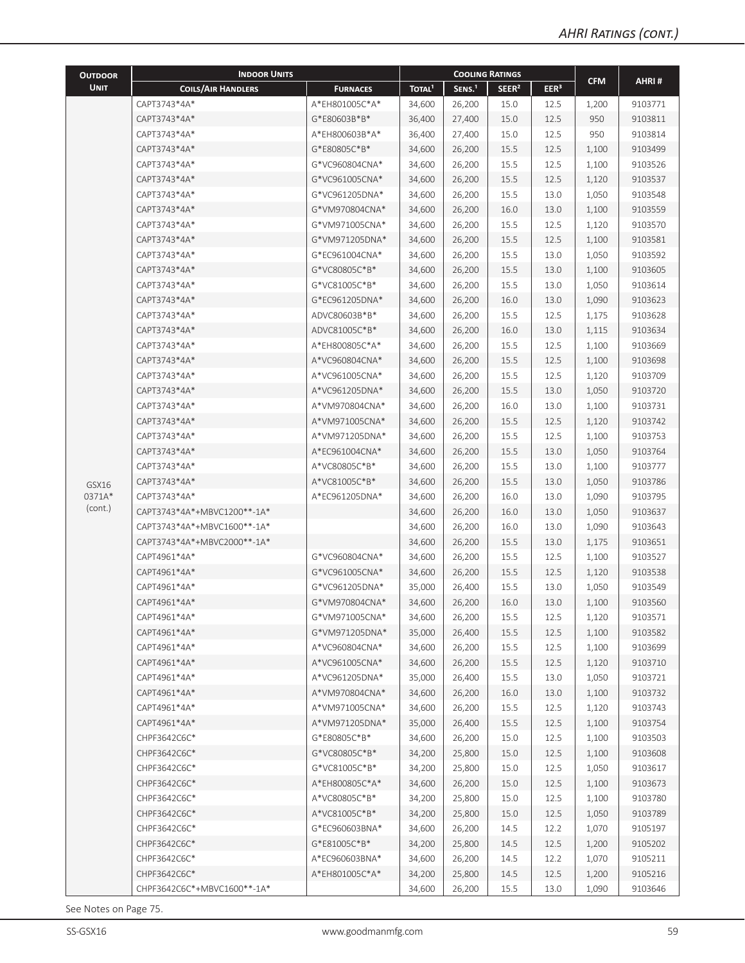| <b>OUTDOOR</b> | <b>INDOOR UNITS</b>         |                 |                    | <b>COOLING RATINGS</b> |                   |                  |            |         |
|----------------|-----------------------------|-----------------|--------------------|------------------------|-------------------|------------------|------------|---------|
| <b>UNIT</b>    | <b>COILS/AIR HANDLERS</b>   | <b>FURNACES</b> | TOTAL <sup>1</sup> | SENS. <sup>1</sup>     | SEER <sup>2</sup> | EER <sup>3</sup> | <b>CFM</b> | AHRI#   |
|                | CAPT3743*4A*                | A*EH801005C*A*  | 34,600             | 26,200                 | 15.0              | 12.5             | 1,200      | 9103771 |
|                | CAPT3743*4A*                | G*E80603B*B*    | 36,400             | 27,400                 | 15.0              | 12.5             | 950        | 9103811 |
|                | CAPT3743*4A*                | A*EH800603B*A*  | 36,400             | 27,400                 | 15.0              | 12.5             | 950        | 9103814 |
|                | CAPT3743*4A*                | G*E80805C*B*    | 34,600             | 26,200                 | 15.5              | 12.5             | 1,100      | 9103499 |
|                | CAPT3743*4A*                | G*VC960804CNA*  | 34,600             | 26,200                 | 15.5              | 12.5             | 1,100      | 9103526 |
|                | CAPT3743*4A*                | G*VC961005CNA*  | 34,600             | 26,200                 | 15.5              | 12.5             | 1,120      | 9103537 |
|                | CAPT3743*4A*                | G*VC961205DNA*  | 34,600             | 26,200                 | 15.5              | 13.0             | 1,050      | 9103548 |
|                | CAPT3743*4A*                | G*VM970804CNA*  | 34,600             | 26,200                 | 16.0              | 13.0             | 1,100      | 9103559 |
|                | CAPT3743*4A*                | G*VM971005CNA*  | 34,600             | 26,200                 | 15.5              | 12.5             | 1,120      | 9103570 |
|                | CAPT3743*4A*                | G*VM971205DNA*  | 34,600             | 26,200                 | 15.5              | 12.5             | 1,100      | 9103581 |
|                | CAPT3743*4A*                | G*EC961004CNA*  | 34,600             | 26,200                 | 15.5              | 13.0             | 1,050      | 9103592 |
|                | CAPT3743*4A*                | G*VC80805C*B*   | 34,600             | 26,200                 | 15.5              | 13.0             | 1,100      | 9103605 |
|                | CAPT3743*4A*                | G*VC81005C*B*   | 34,600             | 26,200                 | 15.5              | 13.0             | 1,050      | 9103614 |
|                | CAPT3743*4A*                | G*EC961205DNA*  | 34,600             | 26,200                 | 16.0              | 13.0             | 1,090      | 9103623 |
|                | CAPT3743*4A*                | ADVC80603B*B*   | 34,600             | 26,200                 | 15.5              | 12.5             | 1,175      | 9103628 |
|                | CAPT3743*4A*                | ADVC81005C*B*   | 34,600             | 26,200                 | 16.0              | 13.0             | 1,115      | 9103634 |
|                | CAPT3743*4A*                | A*EH800805C*A*  | 34,600             | 26,200                 | 15.5              | 12.5             | 1,100      | 9103669 |
|                | CAPT3743*4A*                | A*VC960804CNA*  | 34,600             | 26,200                 | 15.5              | 12.5             | 1,100      | 9103698 |
|                | CAPT3743*4A*                | A*VC961005CNA*  | 34,600             | 26,200                 | 15.5              | 12.5             | 1,120      | 9103709 |
|                | CAPT3743*4A*                | A*VC961205DNA*  | 34,600             | 26,200                 | 15.5              | 13.0             | 1,050      | 9103720 |
|                | CAPT3743*4A*                | A*VM970804CNA*  | 34,600             | 26,200                 | 16.0              | 13.0             | 1,100      | 9103731 |
|                | CAPT3743*4A*                | A*VM971005CNA*  | 34,600             | 26,200                 | 15.5              | 12.5             | 1,120      | 9103742 |
|                | CAPT3743*4A*                | A*VM971205DNA*  | 34,600             | 26,200                 | 15.5              | 12.5             | 1,100      | 9103753 |
|                | CAPT3743*4A*                | A*EC961004CNA*  | 34,600             | 26,200                 | 15.5              | 13.0             | 1,050      | 9103764 |
|                | CAPT3743*4A*                | A*VC80805C*B*   | 34,600             | 26,200                 | 15.5              | 13.0             | 1,100      | 9103777 |
| GSX16          | CAPT3743*4A*                | A*VC81005C*B*   | 34,600             | 26,200                 | 15.5              | 13.0             | 1,050      | 9103786 |
| 0371A*         | CAPT3743*4A*                | A*EC961205DNA*  | 34,600             | 26,200                 | 16.0              | 13.0             | 1,090      | 9103795 |
| (cont.)        | CAPT3743*4A*+MBVC1200**-1A* |                 | 34,600             | 26,200                 | 16.0              | 13.0             | 1,050      | 9103637 |
|                | CAPT3743*4A*+MBVC1600**-1A* |                 | 34,600             | 26,200                 | 16.0              | 13.0             | 1,090      | 9103643 |
|                | CAPT3743*4A*+MBVC2000**-1A* |                 | 34,600             | 26,200                 | 15.5              | 13.0             | 1,175      | 9103651 |
|                | CAPT4961*4A*                | G*VC960804CNA*  | 34,600             | 26,200                 | 15.5              | 12.5             | 1,100      | 9103527 |
|                | CAPT4961*4A*                | G*VC961005CNA*  | 34,600             | 26,200                 | 15.5              | 12.5             | 1,120      | 9103538 |
|                | CAPT4961*4A*                | G*VC961205DNA*  | 35,000             | 26,400                 | 15.5              | 13.0             | 1,050      | 9103549 |
|                | CAPT4961*4A*                | G*VM970804CNA*  | 34,600             | 26,200                 | 16.0              | 13.0             | 1,100      | 9103560 |
|                | CAPT4961*4A*                | G*VM971005CNA*  | 34,600             | 26,200                 | 15.5              | 12.5             | 1,120      | 9103571 |
|                | CAPT4961*4A*                | G*VM971205DNA*  | 35,000             | 26,400                 | 15.5              | 12.5             | 1,100      | 9103582 |
|                | CAPT4961*4A*                | A*VC960804CNA*  | 34,600             | 26,200                 | 15.5              | 12.5             | 1,100      | 9103699 |
|                | CAPT4961*4A*                | A*VC961005CNA*  | 34,600             | 26,200                 | 15.5              | 12.5             | 1,120      | 9103710 |
|                | CAPT4961*4A*                | A*VC961205DNA*  | 35,000             | 26,400                 | 15.5              | 13.0             | 1,050      | 9103721 |
|                | CAPT4961*4A*                | A*VM970804CNA*  | 34,600             | 26,200                 | 16.0              | 13.0             | 1,100      | 9103732 |
|                | CAPT4961*4A*                | A*VM971005CNA*  | 34,600             | 26,200                 | 15.5              | 12.5             | 1,120      | 9103743 |
|                | CAPT4961*4A*                | A*VM971205DNA*  | 35,000             | 26,400                 | 15.5              | 12.5             | 1,100      | 9103754 |
|                | CHPF3642C6C*                | G*E80805C*B*    | 34,600             | 26,200                 | 15.0              | 12.5             | 1,100      | 9103503 |
|                | CHPF3642C6C*                | G*VC80805C*B*   | 34,200             | 25,800                 | 15.0              | 12.5             | 1,100      | 9103608 |
|                | CHPF3642C6C*                | G*VC81005C*B*   | 34,200             | 25,800                 | 15.0              | 12.5             | 1,050      | 9103617 |
|                | CHPF3642C6C*                | A*EH800805C*A*  | 34,600             | 26,200                 | 15.0              | 12.5             | 1,100      | 9103673 |
|                | CHPF3642C6C*                | A*VC80805C*B*   | 34,200             | 25,800                 | 15.0              | 12.5             | 1,100      | 9103780 |
|                | CHPF3642C6C*                | A*VC81005C*B*   | 34,200             | 25,800                 | 15.0              | 12.5             | 1,050      | 9103789 |
|                | CHPF3642C6C*                | G*EC960603BNA*  | 34,600             | 26,200                 | 14.5              | 12.2             | 1,070      | 9105197 |
|                | CHPF3642C6C*                | G*E81005C*B*    | 34,200             | 25,800                 | 14.5              | 12.5             | 1,200      | 9105202 |
|                | CHPF3642C6C*                | A*EC960603BNA*  | 34,600             | 26,200                 | 14.5              | 12.2             | 1,070      | 9105211 |
|                | CHPF3642C6C*                | A*EH801005C*A*  | 34,200             | 25,800                 | 14.5              | 12.5             | 1,200      | 9105216 |
|                | CHPF3642C6C*+MBVC1600**-1A* |                 | 34,600             | 26,200                 | 15.5              | 13.0             | 1,090      | 9103646 |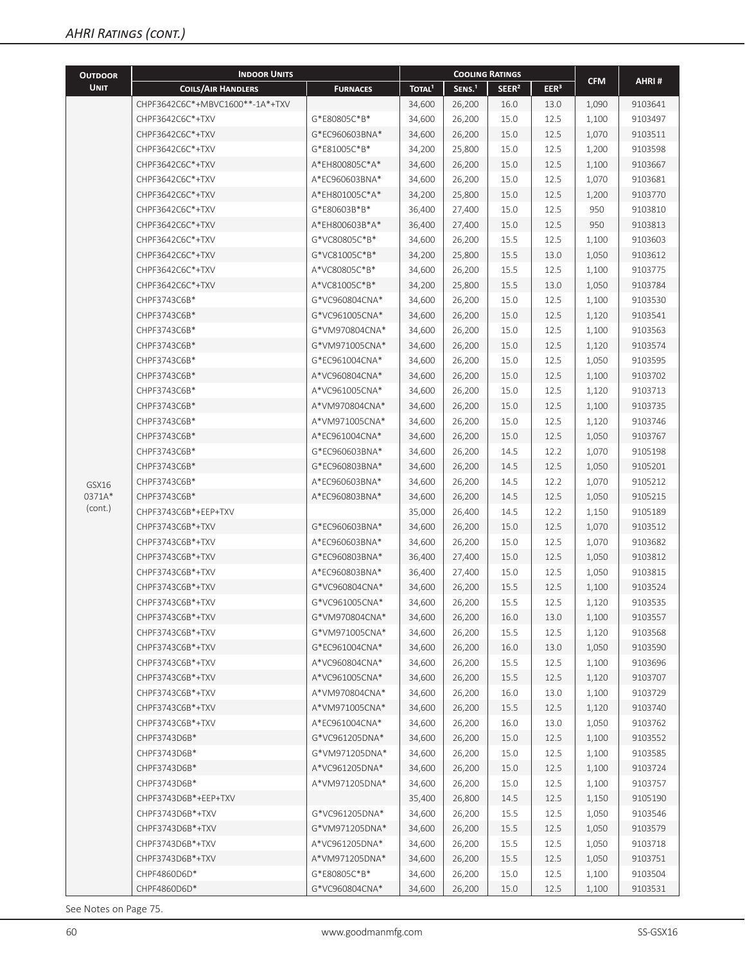| <b>OUTDOOR</b> | <b>INDOOR UNITS</b>             |                 |                    |                    | <b>COOLING RATINGS</b> |                  |            |         |
|----------------|---------------------------------|-----------------|--------------------|--------------------|------------------------|------------------|------------|---------|
| <b>UNIT</b>    | <b>COILS/AIR HANDLERS</b>       | <b>FURNACES</b> | TOTAL <sup>1</sup> | SENS. <sup>1</sup> | SEER <sup>2</sup>      | EER <sup>3</sup> | <b>CFM</b> | AHRI#   |
|                | CHPF3642C6C*+MBVC1600**-1A*+TXV |                 | 34,600             | 26,200             | 16.0                   | 13.0             | 1,090      | 9103641 |
|                | CHPF3642C6C*+TXV                | G*E80805C*B*    | 34,600             | 26,200             | 15.0                   | 12.5             | 1,100      | 9103497 |
|                | CHPF3642C6C*+TXV                | G*EC960603BNA*  | 34,600             | 26,200             | 15.0                   | 12.5             | 1,070      | 9103511 |
|                | CHPF3642C6C*+TXV                | G*E81005C*B*    | 34,200             | 25,800             | 15.0                   | 12.5             | 1,200      | 9103598 |
|                | CHPF3642C6C*+TXV                | A*EH800805C*A*  | 34,600             | 26,200             | 15.0                   | 12.5             | 1,100      | 9103667 |
|                | CHPF3642C6C*+TXV                | A*EC960603BNA*  | 34,600             | 26,200             | 15.0                   | 12.5             | 1,070      | 9103681 |
|                | CHPF3642C6C*+TXV                | A*EH801005C*A*  | 34,200             | 25,800             | 15.0                   | 12.5             | 1,200      | 9103770 |
|                | CHPF3642C6C*+TXV                | G*E80603B*B*    | 36,400             | 27,400             | 15.0                   | 12.5             | 950        | 9103810 |
|                | CHPF3642C6C*+TXV                | A*EH800603B*A*  | 36,400             | 27,400             | 15.0                   | 12.5             | 950        | 9103813 |
|                | CHPF3642C6C*+TXV                | G*VC80805C*B*   | 34,600             | 26,200             | 15.5                   | 12.5             | 1,100      | 9103603 |
|                | CHPF3642C6C*+TXV                | G*VC81005C*B*   | 34,200             | 25,800             | 15.5                   | 13.0             | 1,050      | 9103612 |
|                | CHPF3642C6C*+TXV                | A*VC80805C*B*   | 34,600             | 26,200             | 15.5                   | 12.5             | 1,100      | 9103775 |
|                | CHPF3642C6C*+TXV                | A*VC81005C*B*   | 34,200             | 25,800             | 15.5                   | 13.0             | 1,050      | 9103784 |
|                | CHPF3743C6B*                    | G*VC960804CNA*  | 34,600             | 26,200             | 15.0                   | 12.5             | 1,100      | 9103530 |
|                | CHPF3743C6B*                    | G*VC961005CNA*  | 34,600             | 26,200             | 15.0                   | 12.5             | 1,120      | 9103541 |
|                | CHPF3743C6B*                    | G*VM970804CNA*  | 34,600             | 26,200             | 15.0                   | 12.5             | 1,100      | 9103563 |
|                | CHPF3743C6B*                    | G*VM971005CNA*  | 34,600             | 26,200             | 15.0                   | 12.5             | 1,120      | 9103574 |
|                | CHPF3743C6B*                    | G*EC961004CNA*  | 34,600             | 26,200             | 15.0                   | 12.5             | 1,050      | 9103595 |
|                | CHPF3743C6B*                    | A*VC960804CNA*  | 34,600             | 26,200             | 15.0                   | 12.5             | 1,100      | 9103702 |
|                | CHPF3743C6B*                    | A*VC961005CNA*  | 34,600             | 26,200             | 15.0                   | 12.5             | 1,120      | 9103713 |
|                | CHPF3743C6B*                    | A*VM970804CNA*  | 34,600             | 26,200             | 15.0                   | 12.5             | 1,100      | 9103735 |
|                | CHPF3743C6B*                    | A*VM971005CNA*  | 34,600             | 26,200             | 15.0                   | 12.5             | 1,120      | 9103746 |
|                | CHPF3743C6B*                    | A*EC961004CNA*  | 34,600             | 26,200             | 15.0                   | 12.5             | 1,050      | 9103767 |
|                | CHPF3743C6B*                    | G*EC960603BNA*  | 34,600             | 26,200             | 14.5                   | 12.2             | 1,070      | 9105198 |
|                | CHPF3743C6B*                    | G*EC960803BNA*  | 34,600             | 26,200             | 14.5                   | 12.5             | 1,050      | 9105201 |
| GSX16          | CHPF3743C6B*                    | A*EC960603BNA*  | 34,600             | 26,200             | 14.5                   | 12.2             | 1,070      | 9105212 |
| 0371A*         | CHPF3743C6B*                    | A*EC960803BNA*  | 34,600             | 26,200             | 14.5                   | 12.5             | 1,050      | 9105215 |
| (cont.)        | CHPF3743C6B*+EEP+TXV            |                 | 35,000             | 26,400             | 14.5                   | 12.2             | 1,150      | 9105189 |
|                | CHPF3743C6B*+TXV                | G*EC960603BNA*  | 34,600             | 26,200             | 15.0                   | 12.5             | 1,070      | 9103512 |
|                | CHPF3743C6B*+TXV                | A*EC960603BNA*  | 34,600             | 26,200             | 15.0                   | 12.5             | 1,070      | 9103682 |
|                | CHPF3743C6B*+TXV                | G*EC960803BNA*  | 36,400             | 27,400             | 15.0                   | 12.5             | 1,050      | 9103812 |
|                | CHPF3743C6B*+TXV                | A*EC960803BNA*  | 36,400             | 27,400             | 15.0                   | 12.5             | 1,050      | 9103815 |
|                | CHPF3743C6B*+TXV                | G*VC960804CNA*  | 34,600             | 26,200             | 15.5                   | 12.5             | 1,100      | 9103524 |
|                | CHPF3743C6B*+TXV                | G*VC961005CNA*  | 34,600             | 26,200             | 15.5                   | 12.5             | 1,120      | 9103535 |
|                | CHPF3743C6B*+TXV                | G*VM970804CNA*  | 34,600             | 26,200             | 16.0                   | 13.0             | 1,100      | 9103557 |
|                | CHPF3743C6B*+TXV                | G*VM971005CNA*  | 34,600             | 26,200             | 15.5                   | 12.5             | 1,120      | 9103568 |
|                | CHPF3743C6B*+TXV                | G*EC961004CNA*  | 34,600             | 26,200             | 16.0                   | 13.0             | 1,050      | 9103590 |
|                | CHPF3743C6B*+TXV                | A*VC960804CNA*  | 34,600             | 26,200             | 15.5                   | 12.5             | 1,100      | 9103696 |
|                | CHPF3743C6B*+TXV                | A*VC961005CNA*  | 34,600             | 26,200             | 15.5                   | 12.5             | 1,120      | 9103707 |
|                | CHPF3743C6B*+TXV                | A*VM970804CNA*  | 34,600             | 26,200             | 16.0                   | 13.0             | 1,100      | 9103729 |
|                | CHPF3743C6B*+TXV                | A*VM971005CNA*  | 34,600             | 26,200             | 15.5                   | 12.5             | 1,120      | 9103740 |
|                | CHPF3743C6B*+TXV                | A*EC961004CNA*  | 34,600             | 26,200             | 16.0                   | 13.0             | 1,050      | 9103762 |
|                | CHPF3743D6B*                    | G*VC961205DNA*  | 34,600             | 26,200             | 15.0                   | 12.5             | 1,100      | 9103552 |
|                | CHPF3743D6B*                    | G*VM971205DNA*  | 34,600             | 26,200             | 15.0                   | 12.5             | 1,100      | 9103585 |
|                | CHPF3743D6B*                    | A*VC961205DNA*  | 34,600             | 26,200             | 15.0                   | 12.5             | 1,100      | 9103724 |
|                | CHPF3743D6B*                    | A*VM971205DNA*  | 34,600             | 26,200             | 15.0                   | 12.5             | 1,100      | 9103757 |
|                | CHPF3743D6B*+EEP+TXV            |                 | 35,400             | 26,800             | 14.5                   | 12.5             | 1,150      | 9105190 |
|                | CHPF3743D6B*+TXV                | G*VC961205DNA*  | 34,600             | 26,200             | 15.5                   | 12.5             | 1,050      | 9103546 |
|                | CHPF3743D6B*+TXV                | G*VM971205DNA*  | 34,600             | 26,200             | 15.5                   | 12.5             | 1,050      | 9103579 |
|                | CHPF3743D6B*+TXV                | A*VC961205DNA*  | 34,600             | 26,200             | 15.5                   | 12.5             | 1,050      | 9103718 |
|                | CHPF3743D6B*+TXV                | A*VM971205DNA*  | 34,600             | 26,200             | 15.5                   | 12.5             | 1,050      | 9103751 |
|                | CHPF4860D6D*                    | G*E80805C*B*    | 34,600             | 26,200             | 15.0                   | 12.5             | 1,100      | 9103504 |
|                | CHPF4860D6D*                    | G*VC960804CNA*  | 34,600             | 26,200             | 15.0                   | 12.5             | 1,100      | 9103531 |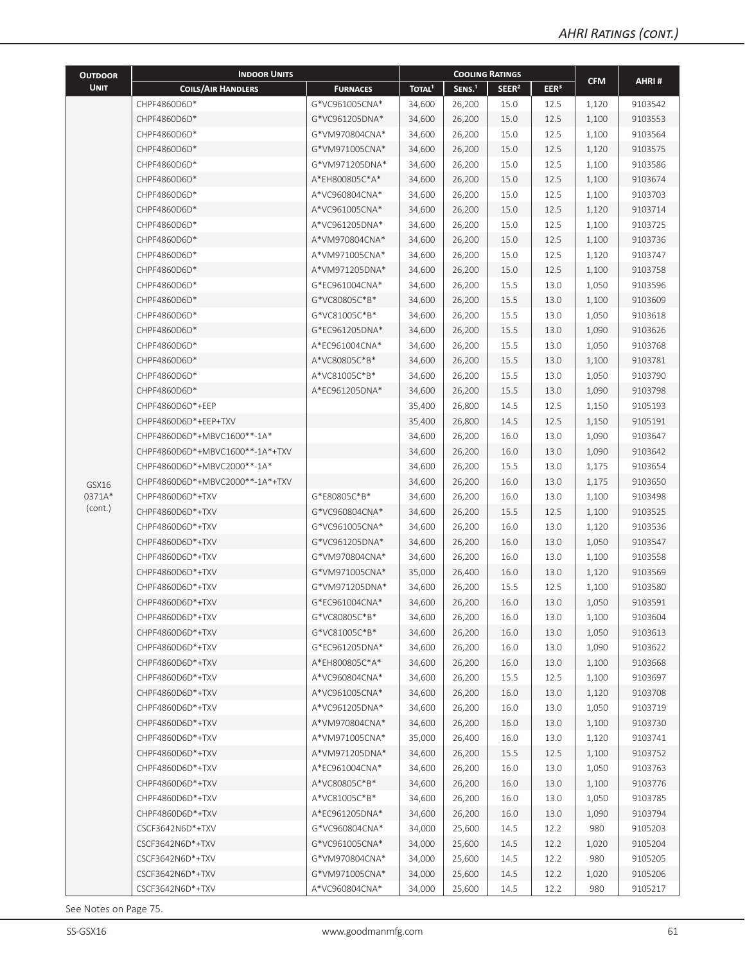| <b>OUTDOOR</b><br><b>CFM</b><br>AHRI#<br><b>UNIT</b><br>SENS. <sup>1</sup><br>EER <sup>3</sup><br>TOTAL <sup>1</sup><br>SEER <sup>2</sup><br><b>COILS/AIR HANDLERS</b><br><b>FURNACES</b><br>G*VC961005CNA*<br>CHPF4860D6D*<br>26,200<br>15.0<br>12.5<br>1,120<br>9103542<br>34,600<br>CHPF4860D6D*<br>G*VC961205DNA*<br>26,200<br>12.5<br>9103553<br>34,600<br>15.0<br>1,100<br>CHPF4860D6D*<br>G*VM970804CNA*<br>26,200<br>15.0<br>12.5<br>9103564<br>34,600<br>1,100<br>12.5<br>CHPF4860D6D*<br>G*VM971005CNA*<br>34,600<br>26,200<br>15.0<br>1,120<br>9103575<br>CHPF4860D6D*<br>G*VM971205DNA*<br>26,200<br>15.0<br>12.5<br>9103586<br>34,600<br>1,100<br>CHPF4860D6D*<br>A*EH800805C*A*<br>26,200<br>15.0<br>12.5<br>1,100<br>9103674<br>34,600<br>12.5<br>CHPF4860D6D*<br>A*VC960804CNA*<br>26,200<br>15.0<br>9103703<br>34,600<br>1,100<br>CHPF4860D6D*<br>12.5<br>9103714<br>A*VC961005CNA*<br>34,600<br>26,200<br>15.0<br>1,120<br>12.5<br>CHPF4860D6D*<br>A*VC961205DNA*<br>26,200<br>15.0<br>9103725<br>34,600<br>1,100<br>CHPF4860D6D*<br>A*VM970804CNA*<br>34,600<br>26,200<br>15.0<br>12.5<br>1,100<br>9103736<br>CHPF4860D6D*<br>A*VM971005CNA*<br>34,600<br>26,200<br>15.0<br>12.5<br>9103747<br>1,120<br>CHPF4860D6D*<br>A*VM971205DNA*<br>34,600<br>26,200<br>15.0<br>12.5<br>1,100<br>9103758<br>CHPF4860D6D*<br>G*EC961004CNA*<br>34,600<br>26,200<br>15.5<br>13.0<br>1,050<br>9103596<br>CHPF4860D6D*<br>G*VC80805C*B*<br>34,600<br>26,200<br>15.5<br>13.0<br>1,100<br>9103609<br>CHPF4860D6D*<br>G*VC81005C*B*<br>34,600<br>15.5<br>13.0<br>1,050<br>9103618<br>26,200<br>CHPF4860D6D*<br>G*EC961205DNA*<br>34,600<br>26,200<br>15.5<br>13.0<br>9103626<br>1,090<br>CHPF4860D6D*<br>A*EC961004CNA*<br>34,600<br>15.5<br>13.0<br>1,050<br>9103768<br>26,200<br>CHPF4860D6D*<br>A*VC80805C*B*<br>26,200<br>15.5<br>13.0<br>34,600<br>1,100<br>9103781<br>CHPF4860D6D*<br>A*VC81005C*B*<br>13.0<br>34,600<br>26,200<br>15.5<br>1,050<br>9103790<br>CHPF4860D6D*<br>A*EC961205DNA*<br>26,200<br>15.5<br>13.0<br>1,090<br>34,600<br>9103798<br>12.5<br>CHPF4860D6D*+EEP<br>35,400<br>26,800<br>14.5<br>1,150<br>9105193<br>12.5<br>CHPF4860D6D*+EEP+TXV<br>35,400<br>26,800<br>9105191<br>14.5<br>1,150<br>13.0<br>CHPF4860D6D*+MBVC1600**-1A*<br>34,600<br>26,200<br>16.0<br>1,090<br>9103647<br>CHPF4860D6D*+MBVC1600**-1A*+TXV<br>34,600<br>26,200<br>16.0<br>13.0<br>1,090<br>9103642<br>CHPF4860D6D*+MBVC2000**-1A*<br>34,600<br>26,200<br>15.5<br>13.0<br>9103654<br>1,175<br>CHPF4860D6D*+MBVC2000**-1A*+TXV<br>34,600<br>26,200<br>16.0<br>13.0<br>1,175<br>9103650<br>GSX16<br>0371A*<br>CHPF4860D6D*+TXV<br>G*E80805C*B*<br>26,200<br>13.0<br>9103498<br>34,600<br>16.0<br>1,100<br>(cont.)<br>CHPF4860D6D*+TXV<br>G*VC960804CNA*<br>34,600<br>26,200<br>15.5<br>12.5<br>9103525<br>1,100<br>CHPF4860D6D*+TXV<br>G*VC961005CNA*<br>13.0<br>9103536<br>34,600<br>26,200<br>16.0<br>1,120<br>CHPF4860D6D*+TXV<br>G*VC961205DNA*<br>16.0<br>13.0<br>9103547<br>34,600<br>26,200<br>1,050<br>CHPF4860D6D*+TXV<br>G*VM970804CNA*<br>16.0<br>13.0<br>9103558<br>34,600<br>26,200<br>1,100<br>13.0<br>CHPF4860D6D*+TXV<br>G*VM971005CNA*<br>35,000<br>26,400<br>16.0<br>1,120<br>9103569<br>12.5<br>CHPF4860D6D*+TXV<br>G*VM971205DNA*<br>34,600<br>26,200<br>15.5<br>1,100<br>9103580<br>G*EC961004CNA*<br>34,600<br>13.0<br>CHPF4860D6D*+TXV<br>26,200<br>16.0<br>1,050<br>9103591<br>G*VC80805C*B*<br>34,600<br>26,200<br>16.0<br>13.0<br>1,100<br>9103604<br>CHPF4860D6D*+TXV<br>G*VC81005C*B*<br>34,600<br>26,200<br>16.0<br>13.0<br>1,050<br>9103613<br>CHPF4860D6D*+TXV<br>CHPF4860D6D*+TXV<br>G*EC961205DNA*<br>34,600<br>26,200<br>16.0<br>13.0<br>1,090<br>9103622<br>A*EH800805C*A*<br>34,600<br>26,200<br>13.0<br>9103668<br>CHPF4860D6D*+TXV<br>16.0<br>1,100 |  |
|-------------------------------------------------------------------------------------------------------------------------------------------------------------------------------------------------------------------------------------------------------------------------------------------------------------------------------------------------------------------------------------------------------------------------------------------------------------------------------------------------------------------------------------------------------------------------------------------------------------------------------------------------------------------------------------------------------------------------------------------------------------------------------------------------------------------------------------------------------------------------------------------------------------------------------------------------------------------------------------------------------------------------------------------------------------------------------------------------------------------------------------------------------------------------------------------------------------------------------------------------------------------------------------------------------------------------------------------------------------------------------------------------------------------------------------------------------------------------------------------------------------------------------------------------------------------------------------------------------------------------------------------------------------------------------------------------------------------------------------------------------------------------------------------------------------------------------------------------------------------------------------------------------------------------------------------------------------------------------------------------------------------------------------------------------------------------------------------------------------------------------------------------------------------------------------------------------------------------------------------------------------------------------------------------------------------------------------------------------------------------------------------------------------------------------------------------------------------------------------------------------------------------------------------------------------------------------------------------------------------------------------------------------------------------------------------------------------------------------------------------------------------------------------------------------------------------------------------------------------------------------------------------------------------------------------------------------------------------------------------------------------------------------------------------------------------------------------------------------------------------------------------------------------------------------------------------------------------------------------------------------------------------------------------------------------------------------------------------------------------------------------------------------------------------------------------------------------------------------------------------------------------------------------------------------------------------------------------------------------------------------------------------------------------------------------------------------------------------------------------------------------------------------------------------|--|
|                                                                                                                                                                                                                                                                                                                                                                                                                                                                                                                                                                                                                                                                                                                                                                                                                                                                                                                                                                                                                                                                                                                                                                                                                                                                                                                                                                                                                                                                                                                                                                                                                                                                                                                                                                                                                                                                                                                                                                                                                                                                                                                                                                                                                                                                                                                                                                                                                                                                                                                                                                                                                                                                                                                                                                                                                                                                                                                                                                                                                                                                                                                                                                                                                                                                                                                                                                                                                                                                                                                                                                                                                                                                                                                                                                                                 |  |
|                                                                                                                                                                                                                                                                                                                                                                                                                                                                                                                                                                                                                                                                                                                                                                                                                                                                                                                                                                                                                                                                                                                                                                                                                                                                                                                                                                                                                                                                                                                                                                                                                                                                                                                                                                                                                                                                                                                                                                                                                                                                                                                                                                                                                                                                                                                                                                                                                                                                                                                                                                                                                                                                                                                                                                                                                                                                                                                                                                                                                                                                                                                                                                                                                                                                                                                                                                                                                                                                                                                                                                                                                                                                                                                                                                                                 |  |
|                                                                                                                                                                                                                                                                                                                                                                                                                                                                                                                                                                                                                                                                                                                                                                                                                                                                                                                                                                                                                                                                                                                                                                                                                                                                                                                                                                                                                                                                                                                                                                                                                                                                                                                                                                                                                                                                                                                                                                                                                                                                                                                                                                                                                                                                                                                                                                                                                                                                                                                                                                                                                                                                                                                                                                                                                                                                                                                                                                                                                                                                                                                                                                                                                                                                                                                                                                                                                                                                                                                                                                                                                                                                                                                                                                                                 |  |
|                                                                                                                                                                                                                                                                                                                                                                                                                                                                                                                                                                                                                                                                                                                                                                                                                                                                                                                                                                                                                                                                                                                                                                                                                                                                                                                                                                                                                                                                                                                                                                                                                                                                                                                                                                                                                                                                                                                                                                                                                                                                                                                                                                                                                                                                                                                                                                                                                                                                                                                                                                                                                                                                                                                                                                                                                                                                                                                                                                                                                                                                                                                                                                                                                                                                                                                                                                                                                                                                                                                                                                                                                                                                                                                                                                                                 |  |
|                                                                                                                                                                                                                                                                                                                                                                                                                                                                                                                                                                                                                                                                                                                                                                                                                                                                                                                                                                                                                                                                                                                                                                                                                                                                                                                                                                                                                                                                                                                                                                                                                                                                                                                                                                                                                                                                                                                                                                                                                                                                                                                                                                                                                                                                                                                                                                                                                                                                                                                                                                                                                                                                                                                                                                                                                                                                                                                                                                                                                                                                                                                                                                                                                                                                                                                                                                                                                                                                                                                                                                                                                                                                                                                                                                                                 |  |
|                                                                                                                                                                                                                                                                                                                                                                                                                                                                                                                                                                                                                                                                                                                                                                                                                                                                                                                                                                                                                                                                                                                                                                                                                                                                                                                                                                                                                                                                                                                                                                                                                                                                                                                                                                                                                                                                                                                                                                                                                                                                                                                                                                                                                                                                                                                                                                                                                                                                                                                                                                                                                                                                                                                                                                                                                                                                                                                                                                                                                                                                                                                                                                                                                                                                                                                                                                                                                                                                                                                                                                                                                                                                                                                                                                                                 |  |
|                                                                                                                                                                                                                                                                                                                                                                                                                                                                                                                                                                                                                                                                                                                                                                                                                                                                                                                                                                                                                                                                                                                                                                                                                                                                                                                                                                                                                                                                                                                                                                                                                                                                                                                                                                                                                                                                                                                                                                                                                                                                                                                                                                                                                                                                                                                                                                                                                                                                                                                                                                                                                                                                                                                                                                                                                                                                                                                                                                                                                                                                                                                                                                                                                                                                                                                                                                                                                                                                                                                                                                                                                                                                                                                                                                                                 |  |
|                                                                                                                                                                                                                                                                                                                                                                                                                                                                                                                                                                                                                                                                                                                                                                                                                                                                                                                                                                                                                                                                                                                                                                                                                                                                                                                                                                                                                                                                                                                                                                                                                                                                                                                                                                                                                                                                                                                                                                                                                                                                                                                                                                                                                                                                                                                                                                                                                                                                                                                                                                                                                                                                                                                                                                                                                                                                                                                                                                                                                                                                                                                                                                                                                                                                                                                                                                                                                                                                                                                                                                                                                                                                                                                                                                                                 |  |
|                                                                                                                                                                                                                                                                                                                                                                                                                                                                                                                                                                                                                                                                                                                                                                                                                                                                                                                                                                                                                                                                                                                                                                                                                                                                                                                                                                                                                                                                                                                                                                                                                                                                                                                                                                                                                                                                                                                                                                                                                                                                                                                                                                                                                                                                                                                                                                                                                                                                                                                                                                                                                                                                                                                                                                                                                                                                                                                                                                                                                                                                                                                                                                                                                                                                                                                                                                                                                                                                                                                                                                                                                                                                                                                                                                                                 |  |
|                                                                                                                                                                                                                                                                                                                                                                                                                                                                                                                                                                                                                                                                                                                                                                                                                                                                                                                                                                                                                                                                                                                                                                                                                                                                                                                                                                                                                                                                                                                                                                                                                                                                                                                                                                                                                                                                                                                                                                                                                                                                                                                                                                                                                                                                                                                                                                                                                                                                                                                                                                                                                                                                                                                                                                                                                                                                                                                                                                                                                                                                                                                                                                                                                                                                                                                                                                                                                                                                                                                                                                                                                                                                                                                                                                                                 |  |
|                                                                                                                                                                                                                                                                                                                                                                                                                                                                                                                                                                                                                                                                                                                                                                                                                                                                                                                                                                                                                                                                                                                                                                                                                                                                                                                                                                                                                                                                                                                                                                                                                                                                                                                                                                                                                                                                                                                                                                                                                                                                                                                                                                                                                                                                                                                                                                                                                                                                                                                                                                                                                                                                                                                                                                                                                                                                                                                                                                                                                                                                                                                                                                                                                                                                                                                                                                                                                                                                                                                                                                                                                                                                                                                                                                                                 |  |
|                                                                                                                                                                                                                                                                                                                                                                                                                                                                                                                                                                                                                                                                                                                                                                                                                                                                                                                                                                                                                                                                                                                                                                                                                                                                                                                                                                                                                                                                                                                                                                                                                                                                                                                                                                                                                                                                                                                                                                                                                                                                                                                                                                                                                                                                                                                                                                                                                                                                                                                                                                                                                                                                                                                                                                                                                                                                                                                                                                                                                                                                                                                                                                                                                                                                                                                                                                                                                                                                                                                                                                                                                                                                                                                                                                                                 |  |
|                                                                                                                                                                                                                                                                                                                                                                                                                                                                                                                                                                                                                                                                                                                                                                                                                                                                                                                                                                                                                                                                                                                                                                                                                                                                                                                                                                                                                                                                                                                                                                                                                                                                                                                                                                                                                                                                                                                                                                                                                                                                                                                                                                                                                                                                                                                                                                                                                                                                                                                                                                                                                                                                                                                                                                                                                                                                                                                                                                                                                                                                                                                                                                                                                                                                                                                                                                                                                                                                                                                                                                                                                                                                                                                                                                                                 |  |
|                                                                                                                                                                                                                                                                                                                                                                                                                                                                                                                                                                                                                                                                                                                                                                                                                                                                                                                                                                                                                                                                                                                                                                                                                                                                                                                                                                                                                                                                                                                                                                                                                                                                                                                                                                                                                                                                                                                                                                                                                                                                                                                                                                                                                                                                                                                                                                                                                                                                                                                                                                                                                                                                                                                                                                                                                                                                                                                                                                                                                                                                                                                                                                                                                                                                                                                                                                                                                                                                                                                                                                                                                                                                                                                                                                                                 |  |
|                                                                                                                                                                                                                                                                                                                                                                                                                                                                                                                                                                                                                                                                                                                                                                                                                                                                                                                                                                                                                                                                                                                                                                                                                                                                                                                                                                                                                                                                                                                                                                                                                                                                                                                                                                                                                                                                                                                                                                                                                                                                                                                                                                                                                                                                                                                                                                                                                                                                                                                                                                                                                                                                                                                                                                                                                                                                                                                                                                                                                                                                                                                                                                                                                                                                                                                                                                                                                                                                                                                                                                                                                                                                                                                                                                                                 |  |
|                                                                                                                                                                                                                                                                                                                                                                                                                                                                                                                                                                                                                                                                                                                                                                                                                                                                                                                                                                                                                                                                                                                                                                                                                                                                                                                                                                                                                                                                                                                                                                                                                                                                                                                                                                                                                                                                                                                                                                                                                                                                                                                                                                                                                                                                                                                                                                                                                                                                                                                                                                                                                                                                                                                                                                                                                                                                                                                                                                                                                                                                                                                                                                                                                                                                                                                                                                                                                                                                                                                                                                                                                                                                                                                                                                                                 |  |
|                                                                                                                                                                                                                                                                                                                                                                                                                                                                                                                                                                                                                                                                                                                                                                                                                                                                                                                                                                                                                                                                                                                                                                                                                                                                                                                                                                                                                                                                                                                                                                                                                                                                                                                                                                                                                                                                                                                                                                                                                                                                                                                                                                                                                                                                                                                                                                                                                                                                                                                                                                                                                                                                                                                                                                                                                                                                                                                                                                                                                                                                                                                                                                                                                                                                                                                                                                                                                                                                                                                                                                                                                                                                                                                                                                                                 |  |
|                                                                                                                                                                                                                                                                                                                                                                                                                                                                                                                                                                                                                                                                                                                                                                                                                                                                                                                                                                                                                                                                                                                                                                                                                                                                                                                                                                                                                                                                                                                                                                                                                                                                                                                                                                                                                                                                                                                                                                                                                                                                                                                                                                                                                                                                                                                                                                                                                                                                                                                                                                                                                                                                                                                                                                                                                                                                                                                                                                                                                                                                                                                                                                                                                                                                                                                                                                                                                                                                                                                                                                                                                                                                                                                                                                                                 |  |
|                                                                                                                                                                                                                                                                                                                                                                                                                                                                                                                                                                                                                                                                                                                                                                                                                                                                                                                                                                                                                                                                                                                                                                                                                                                                                                                                                                                                                                                                                                                                                                                                                                                                                                                                                                                                                                                                                                                                                                                                                                                                                                                                                                                                                                                                                                                                                                                                                                                                                                                                                                                                                                                                                                                                                                                                                                                                                                                                                                                                                                                                                                                                                                                                                                                                                                                                                                                                                                                                                                                                                                                                                                                                                                                                                                                                 |  |
|                                                                                                                                                                                                                                                                                                                                                                                                                                                                                                                                                                                                                                                                                                                                                                                                                                                                                                                                                                                                                                                                                                                                                                                                                                                                                                                                                                                                                                                                                                                                                                                                                                                                                                                                                                                                                                                                                                                                                                                                                                                                                                                                                                                                                                                                                                                                                                                                                                                                                                                                                                                                                                                                                                                                                                                                                                                                                                                                                                                                                                                                                                                                                                                                                                                                                                                                                                                                                                                                                                                                                                                                                                                                                                                                                                                                 |  |
|                                                                                                                                                                                                                                                                                                                                                                                                                                                                                                                                                                                                                                                                                                                                                                                                                                                                                                                                                                                                                                                                                                                                                                                                                                                                                                                                                                                                                                                                                                                                                                                                                                                                                                                                                                                                                                                                                                                                                                                                                                                                                                                                                                                                                                                                                                                                                                                                                                                                                                                                                                                                                                                                                                                                                                                                                                                                                                                                                                                                                                                                                                                                                                                                                                                                                                                                                                                                                                                                                                                                                                                                                                                                                                                                                                                                 |  |
|                                                                                                                                                                                                                                                                                                                                                                                                                                                                                                                                                                                                                                                                                                                                                                                                                                                                                                                                                                                                                                                                                                                                                                                                                                                                                                                                                                                                                                                                                                                                                                                                                                                                                                                                                                                                                                                                                                                                                                                                                                                                                                                                                                                                                                                                                                                                                                                                                                                                                                                                                                                                                                                                                                                                                                                                                                                                                                                                                                                                                                                                                                                                                                                                                                                                                                                                                                                                                                                                                                                                                                                                                                                                                                                                                                                                 |  |
|                                                                                                                                                                                                                                                                                                                                                                                                                                                                                                                                                                                                                                                                                                                                                                                                                                                                                                                                                                                                                                                                                                                                                                                                                                                                                                                                                                                                                                                                                                                                                                                                                                                                                                                                                                                                                                                                                                                                                                                                                                                                                                                                                                                                                                                                                                                                                                                                                                                                                                                                                                                                                                                                                                                                                                                                                                                                                                                                                                                                                                                                                                                                                                                                                                                                                                                                                                                                                                                                                                                                                                                                                                                                                                                                                                                                 |  |
|                                                                                                                                                                                                                                                                                                                                                                                                                                                                                                                                                                                                                                                                                                                                                                                                                                                                                                                                                                                                                                                                                                                                                                                                                                                                                                                                                                                                                                                                                                                                                                                                                                                                                                                                                                                                                                                                                                                                                                                                                                                                                                                                                                                                                                                                                                                                                                                                                                                                                                                                                                                                                                                                                                                                                                                                                                                                                                                                                                                                                                                                                                                                                                                                                                                                                                                                                                                                                                                                                                                                                                                                                                                                                                                                                                                                 |  |
|                                                                                                                                                                                                                                                                                                                                                                                                                                                                                                                                                                                                                                                                                                                                                                                                                                                                                                                                                                                                                                                                                                                                                                                                                                                                                                                                                                                                                                                                                                                                                                                                                                                                                                                                                                                                                                                                                                                                                                                                                                                                                                                                                                                                                                                                                                                                                                                                                                                                                                                                                                                                                                                                                                                                                                                                                                                                                                                                                                                                                                                                                                                                                                                                                                                                                                                                                                                                                                                                                                                                                                                                                                                                                                                                                                                                 |  |
|                                                                                                                                                                                                                                                                                                                                                                                                                                                                                                                                                                                                                                                                                                                                                                                                                                                                                                                                                                                                                                                                                                                                                                                                                                                                                                                                                                                                                                                                                                                                                                                                                                                                                                                                                                                                                                                                                                                                                                                                                                                                                                                                                                                                                                                                                                                                                                                                                                                                                                                                                                                                                                                                                                                                                                                                                                                                                                                                                                                                                                                                                                                                                                                                                                                                                                                                                                                                                                                                                                                                                                                                                                                                                                                                                                                                 |  |
|                                                                                                                                                                                                                                                                                                                                                                                                                                                                                                                                                                                                                                                                                                                                                                                                                                                                                                                                                                                                                                                                                                                                                                                                                                                                                                                                                                                                                                                                                                                                                                                                                                                                                                                                                                                                                                                                                                                                                                                                                                                                                                                                                                                                                                                                                                                                                                                                                                                                                                                                                                                                                                                                                                                                                                                                                                                                                                                                                                                                                                                                                                                                                                                                                                                                                                                                                                                                                                                                                                                                                                                                                                                                                                                                                                                                 |  |
|                                                                                                                                                                                                                                                                                                                                                                                                                                                                                                                                                                                                                                                                                                                                                                                                                                                                                                                                                                                                                                                                                                                                                                                                                                                                                                                                                                                                                                                                                                                                                                                                                                                                                                                                                                                                                                                                                                                                                                                                                                                                                                                                                                                                                                                                                                                                                                                                                                                                                                                                                                                                                                                                                                                                                                                                                                                                                                                                                                                                                                                                                                                                                                                                                                                                                                                                                                                                                                                                                                                                                                                                                                                                                                                                                                                                 |  |
|                                                                                                                                                                                                                                                                                                                                                                                                                                                                                                                                                                                                                                                                                                                                                                                                                                                                                                                                                                                                                                                                                                                                                                                                                                                                                                                                                                                                                                                                                                                                                                                                                                                                                                                                                                                                                                                                                                                                                                                                                                                                                                                                                                                                                                                                                                                                                                                                                                                                                                                                                                                                                                                                                                                                                                                                                                                                                                                                                                                                                                                                                                                                                                                                                                                                                                                                                                                                                                                                                                                                                                                                                                                                                                                                                                                                 |  |
|                                                                                                                                                                                                                                                                                                                                                                                                                                                                                                                                                                                                                                                                                                                                                                                                                                                                                                                                                                                                                                                                                                                                                                                                                                                                                                                                                                                                                                                                                                                                                                                                                                                                                                                                                                                                                                                                                                                                                                                                                                                                                                                                                                                                                                                                                                                                                                                                                                                                                                                                                                                                                                                                                                                                                                                                                                                                                                                                                                                                                                                                                                                                                                                                                                                                                                                                                                                                                                                                                                                                                                                                                                                                                                                                                                                                 |  |
|                                                                                                                                                                                                                                                                                                                                                                                                                                                                                                                                                                                                                                                                                                                                                                                                                                                                                                                                                                                                                                                                                                                                                                                                                                                                                                                                                                                                                                                                                                                                                                                                                                                                                                                                                                                                                                                                                                                                                                                                                                                                                                                                                                                                                                                                                                                                                                                                                                                                                                                                                                                                                                                                                                                                                                                                                                                                                                                                                                                                                                                                                                                                                                                                                                                                                                                                                                                                                                                                                                                                                                                                                                                                                                                                                                                                 |  |
|                                                                                                                                                                                                                                                                                                                                                                                                                                                                                                                                                                                                                                                                                                                                                                                                                                                                                                                                                                                                                                                                                                                                                                                                                                                                                                                                                                                                                                                                                                                                                                                                                                                                                                                                                                                                                                                                                                                                                                                                                                                                                                                                                                                                                                                                                                                                                                                                                                                                                                                                                                                                                                                                                                                                                                                                                                                                                                                                                                                                                                                                                                                                                                                                                                                                                                                                                                                                                                                                                                                                                                                                                                                                                                                                                                                                 |  |
|                                                                                                                                                                                                                                                                                                                                                                                                                                                                                                                                                                                                                                                                                                                                                                                                                                                                                                                                                                                                                                                                                                                                                                                                                                                                                                                                                                                                                                                                                                                                                                                                                                                                                                                                                                                                                                                                                                                                                                                                                                                                                                                                                                                                                                                                                                                                                                                                                                                                                                                                                                                                                                                                                                                                                                                                                                                                                                                                                                                                                                                                                                                                                                                                                                                                                                                                                                                                                                                                                                                                                                                                                                                                                                                                                                                                 |  |
|                                                                                                                                                                                                                                                                                                                                                                                                                                                                                                                                                                                                                                                                                                                                                                                                                                                                                                                                                                                                                                                                                                                                                                                                                                                                                                                                                                                                                                                                                                                                                                                                                                                                                                                                                                                                                                                                                                                                                                                                                                                                                                                                                                                                                                                                                                                                                                                                                                                                                                                                                                                                                                                                                                                                                                                                                                                                                                                                                                                                                                                                                                                                                                                                                                                                                                                                                                                                                                                                                                                                                                                                                                                                                                                                                                                                 |  |
|                                                                                                                                                                                                                                                                                                                                                                                                                                                                                                                                                                                                                                                                                                                                                                                                                                                                                                                                                                                                                                                                                                                                                                                                                                                                                                                                                                                                                                                                                                                                                                                                                                                                                                                                                                                                                                                                                                                                                                                                                                                                                                                                                                                                                                                                                                                                                                                                                                                                                                                                                                                                                                                                                                                                                                                                                                                                                                                                                                                                                                                                                                                                                                                                                                                                                                                                                                                                                                                                                                                                                                                                                                                                                                                                                                                                 |  |
|                                                                                                                                                                                                                                                                                                                                                                                                                                                                                                                                                                                                                                                                                                                                                                                                                                                                                                                                                                                                                                                                                                                                                                                                                                                                                                                                                                                                                                                                                                                                                                                                                                                                                                                                                                                                                                                                                                                                                                                                                                                                                                                                                                                                                                                                                                                                                                                                                                                                                                                                                                                                                                                                                                                                                                                                                                                                                                                                                                                                                                                                                                                                                                                                                                                                                                                                                                                                                                                                                                                                                                                                                                                                                                                                                                                                 |  |
|                                                                                                                                                                                                                                                                                                                                                                                                                                                                                                                                                                                                                                                                                                                                                                                                                                                                                                                                                                                                                                                                                                                                                                                                                                                                                                                                                                                                                                                                                                                                                                                                                                                                                                                                                                                                                                                                                                                                                                                                                                                                                                                                                                                                                                                                                                                                                                                                                                                                                                                                                                                                                                                                                                                                                                                                                                                                                                                                                                                                                                                                                                                                                                                                                                                                                                                                                                                                                                                                                                                                                                                                                                                                                                                                                                                                 |  |
|                                                                                                                                                                                                                                                                                                                                                                                                                                                                                                                                                                                                                                                                                                                                                                                                                                                                                                                                                                                                                                                                                                                                                                                                                                                                                                                                                                                                                                                                                                                                                                                                                                                                                                                                                                                                                                                                                                                                                                                                                                                                                                                                                                                                                                                                                                                                                                                                                                                                                                                                                                                                                                                                                                                                                                                                                                                                                                                                                                                                                                                                                                                                                                                                                                                                                                                                                                                                                                                                                                                                                                                                                                                                                                                                                                                                 |  |
|                                                                                                                                                                                                                                                                                                                                                                                                                                                                                                                                                                                                                                                                                                                                                                                                                                                                                                                                                                                                                                                                                                                                                                                                                                                                                                                                                                                                                                                                                                                                                                                                                                                                                                                                                                                                                                                                                                                                                                                                                                                                                                                                                                                                                                                                                                                                                                                                                                                                                                                                                                                                                                                                                                                                                                                                                                                                                                                                                                                                                                                                                                                                                                                                                                                                                                                                                                                                                                                                                                                                                                                                                                                                                                                                                                                                 |  |
| 9103697<br>CHPF4860D6D*+TXV<br>A*VC960804CNA*<br>34,600<br>26,200<br>15.5<br>12.5<br>1,100                                                                                                                                                                                                                                                                                                                                                                                                                                                                                                                                                                                                                                                                                                                                                                                                                                                                                                                                                                                                                                                                                                                                                                                                                                                                                                                                                                                                                                                                                                                                                                                                                                                                                                                                                                                                                                                                                                                                                                                                                                                                                                                                                                                                                                                                                                                                                                                                                                                                                                                                                                                                                                                                                                                                                                                                                                                                                                                                                                                                                                                                                                                                                                                                                                                                                                                                                                                                                                                                                                                                                                                                                                                                                                      |  |
| CHPF4860D6D*+TXV<br>A*VC961005CNA*<br>34,600<br>26,200<br>13.0<br>1,120<br>9103708<br>16.0                                                                                                                                                                                                                                                                                                                                                                                                                                                                                                                                                                                                                                                                                                                                                                                                                                                                                                                                                                                                                                                                                                                                                                                                                                                                                                                                                                                                                                                                                                                                                                                                                                                                                                                                                                                                                                                                                                                                                                                                                                                                                                                                                                                                                                                                                                                                                                                                                                                                                                                                                                                                                                                                                                                                                                                                                                                                                                                                                                                                                                                                                                                                                                                                                                                                                                                                                                                                                                                                                                                                                                                                                                                                                                      |  |
| CHPF4860D6D*+TXV<br>A*VC961205DNA*<br>34,600<br>26,200<br>16.0<br>13.0<br>9103719<br>1,050                                                                                                                                                                                                                                                                                                                                                                                                                                                                                                                                                                                                                                                                                                                                                                                                                                                                                                                                                                                                                                                                                                                                                                                                                                                                                                                                                                                                                                                                                                                                                                                                                                                                                                                                                                                                                                                                                                                                                                                                                                                                                                                                                                                                                                                                                                                                                                                                                                                                                                                                                                                                                                                                                                                                                                                                                                                                                                                                                                                                                                                                                                                                                                                                                                                                                                                                                                                                                                                                                                                                                                                                                                                                                                      |  |
| CHPF4860D6D*+TXV<br>A*VM970804CNA*<br>34,600<br>26,200<br>16.0<br>13.0<br>9103730<br>1,100                                                                                                                                                                                                                                                                                                                                                                                                                                                                                                                                                                                                                                                                                                                                                                                                                                                                                                                                                                                                                                                                                                                                                                                                                                                                                                                                                                                                                                                                                                                                                                                                                                                                                                                                                                                                                                                                                                                                                                                                                                                                                                                                                                                                                                                                                                                                                                                                                                                                                                                                                                                                                                                                                                                                                                                                                                                                                                                                                                                                                                                                                                                                                                                                                                                                                                                                                                                                                                                                                                                                                                                                                                                                                                      |  |
| CHPF4860D6D*+TXV<br>A*VM971005CNA*<br>35,000<br>26,400<br>16.0<br>13.0<br>9103741<br>1,120                                                                                                                                                                                                                                                                                                                                                                                                                                                                                                                                                                                                                                                                                                                                                                                                                                                                                                                                                                                                                                                                                                                                                                                                                                                                                                                                                                                                                                                                                                                                                                                                                                                                                                                                                                                                                                                                                                                                                                                                                                                                                                                                                                                                                                                                                                                                                                                                                                                                                                                                                                                                                                                                                                                                                                                                                                                                                                                                                                                                                                                                                                                                                                                                                                                                                                                                                                                                                                                                                                                                                                                                                                                                                                      |  |
| CHPF4860D6D*+TXV<br>A*VM971205DNA*<br>34,600<br>26,200<br>15.5<br>12.5<br>1,100<br>9103752                                                                                                                                                                                                                                                                                                                                                                                                                                                                                                                                                                                                                                                                                                                                                                                                                                                                                                                                                                                                                                                                                                                                                                                                                                                                                                                                                                                                                                                                                                                                                                                                                                                                                                                                                                                                                                                                                                                                                                                                                                                                                                                                                                                                                                                                                                                                                                                                                                                                                                                                                                                                                                                                                                                                                                                                                                                                                                                                                                                                                                                                                                                                                                                                                                                                                                                                                                                                                                                                                                                                                                                                                                                                                                      |  |
| CHPF4860D6D*+TXV<br>A*EC961004CNA*<br>13.0<br>34,600<br>26,200<br>16.0<br>1,050<br>9103763                                                                                                                                                                                                                                                                                                                                                                                                                                                                                                                                                                                                                                                                                                                                                                                                                                                                                                                                                                                                                                                                                                                                                                                                                                                                                                                                                                                                                                                                                                                                                                                                                                                                                                                                                                                                                                                                                                                                                                                                                                                                                                                                                                                                                                                                                                                                                                                                                                                                                                                                                                                                                                                                                                                                                                                                                                                                                                                                                                                                                                                                                                                                                                                                                                                                                                                                                                                                                                                                                                                                                                                                                                                                                                      |  |
| CHPF4860D6D*+TXV<br>A*VC80805C*B*<br>34,600<br>26,200<br>16.0<br>13.0<br>1,100<br>9103776                                                                                                                                                                                                                                                                                                                                                                                                                                                                                                                                                                                                                                                                                                                                                                                                                                                                                                                                                                                                                                                                                                                                                                                                                                                                                                                                                                                                                                                                                                                                                                                                                                                                                                                                                                                                                                                                                                                                                                                                                                                                                                                                                                                                                                                                                                                                                                                                                                                                                                                                                                                                                                                                                                                                                                                                                                                                                                                                                                                                                                                                                                                                                                                                                                                                                                                                                                                                                                                                                                                                                                                                                                                                                                       |  |
| A*VC81005C*B*<br>CHPF4860D6D*+TXV<br>34,600<br>26,200<br>16.0<br>13.0<br>1,050<br>9103785                                                                                                                                                                                                                                                                                                                                                                                                                                                                                                                                                                                                                                                                                                                                                                                                                                                                                                                                                                                                                                                                                                                                                                                                                                                                                                                                                                                                                                                                                                                                                                                                                                                                                                                                                                                                                                                                                                                                                                                                                                                                                                                                                                                                                                                                                                                                                                                                                                                                                                                                                                                                                                                                                                                                                                                                                                                                                                                                                                                                                                                                                                                                                                                                                                                                                                                                                                                                                                                                                                                                                                                                                                                                                                       |  |
| A*EC961205DNA*<br>26,200<br>CHPF4860D6D*+TXV<br>34,600<br>16.0<br>13.0<br>1,090<br>9103794                                                                                                                                                                                                                                                                                                                                                                                                                                                                                                                                                                                                                                                                                                                                                                                                                                                                                                                                                                                                                                                                                                                                                                                                                                                                                                                                                                                                                                                                                                                                                                                                                                                                                                                                                                                                                                                                                                                                                                                                                                                                                                                                                                                                                                                                                                                                                                                                                                                                                                                                                                                                                                                                                                                                                                                                                                                                                                                                                                                                                                                                                                                                                                                                                                                                                                                                                                                                                                                                                                                                                                                                                                                                                                      |  |
| CSCF3642N6D*+TXV<br>G*VC960804CNA*<br>34,000<br>25,600<br>14.5<br>12.2<br>980<br>9105203                                                                                                                                                                                                                                                                                                                                                                                                                                                                                                                                                                                                                                                                                                                                                                                                                                                                                                                                                                                                                                                                                                                                                                                                                                                                                                                                                                                                                                                                                                                                                                                                                                                                                                                                                                                                                                                                                                                                                                                                                                                                                                                                                                                                                                                                                                                                                                                                                                                                                                                                                                                                                                                                                                                                                                                                                                                                                                                                                                                                                                                                                                                                                                                                                                                                                                                                                                                                                                                                                                                                                                                                                                                                                                        |  |
| 25,600<br>12.2<br>9105204<br>CSCF3642N6D*+TXV<br>G*VC961005CNA*<br>34,000<br>14.5<br>1,020                                                                                                                                                                                                                                                                                                                                                                                                                                                                                                                                                                                                                                                                                                                                                                                                                                                                                                                                                                                                                                                                                                                                                                                                                                                                                                                                                                                                                                                                                                                                                                                                                                                                                                                                                                                                                                                                                                                                                                                                                                                                                                                                                                                                                                                                                                                                                                                                                                                                                                                                                                                                                                                                                                                                                                                                                                                                                                                                                                                                                                                                                                                                                                                                                                                                                                                                                                                                                                                                                                                                                                                                                                                                                                      |  |
| G*VM970804CNA*<br>25,600<br>12.2<br>980<br>9105205<br>CSCF3642N6D*+TXV<br>34,000<br>14.5                                                                                                                                                                                                                                                                                                                                                                                                                                                                                                                                                                                                                                                                                                                                                                                                                                                                                                                                                                                                                                                                                                                                                                                                                                                                                                                                                                                                                                                                                                                                                                                                                                                                                                                                                                                                                                                                                                                                                                                                                                                                                                                                                                                                                                                                                                                                                                                                                                                                                                                                                                                                                                                                                                                                                                                                                                                                                                                                                                                                                                                                                                                                                                                                                                                                                                                                                                                                                                                                                                                                                                                                                                                                                                        |  |
| CSCF3642N6D*+TXV<br>G*VM971005CNA*<br>34,000<br>25,600<br>14.5<br>12.2<br>9105206<br>1,020                                                                                                                                                                                                                                                                                                                                                                                                                                                                                                                                                                                                                                                                                                                                                                                                                                                                                                                                                                                                                                                                                                                                                                                                                                                                                                                                                                                                                                                                                                                                                                                                                                                                                                                                                                                                                                                                                                                                                                                                                                                                                                                                                                                                                                                                                                                                                                                                                                                                                                                                                                                                                                                                                                                                                                                                                                                                                                                                                                                                                                                                                                                                                                                                                                                                                                                                                                                                                                                                                                                                                                                                                                                                                                      |  |
| CSCF3642N6D*+TXV<br>A*VC960804CNA*<br>25,600<br>14.5<br>12.2<br>980<br>9105217<br>34,000                                                                                                                                                                                                                                                                                                                                                                                                                                                                                                                                                                                                                                                                                                                                                                                                                                                                                                                                                                                                                                                                                                                                                                                                                                                                                                                                                                                                                                                                                                                                                                                                                                                                                                                                                                                                                                                                                                                                                                                                                                                                                                                                                                                                                                                                                                                                                                                                                                                                                                                                                                                                                                                                                                                                                                                                                                                                                                                                                                                                                                                                                                                                                                                                                                                                                                                                                                                                                                                                                                                                                                                                                                                                                                        |  |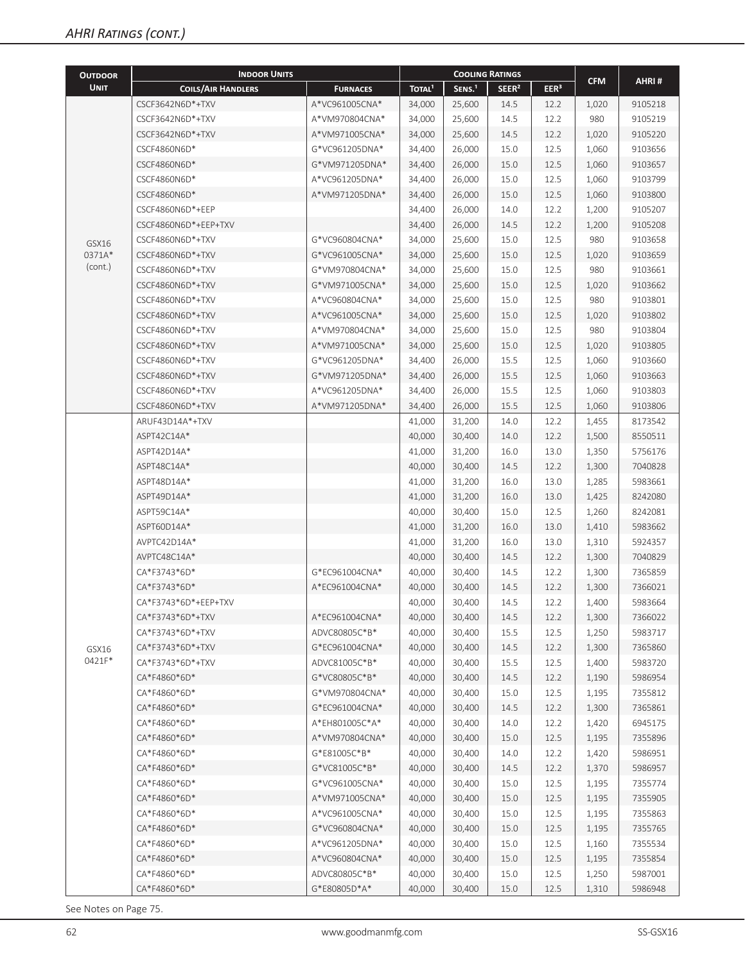| <b>OUTDOOR</b> | <b>INDOOR UNITS</b>       |                 |                    |                    | <b>COOLING RATINGS</b> |                  |            |         |
|----------------|---------------------------|-----------------|--------------------|--------------------|------------------------|------------------|------------|---------|
| <b>UNIT</b>    | <b>COILS/AIR HANDLERS</b> | <b>FURNACES</b> | TOTAL <sup>1</sup> | SENS. <sup>1</sup> | SEER <sup>2</sup>      | EER <sup>3</sup> | <b>CFM</b> | AHRI#   |
|                | CSCF3642N6D*+TXV          | A*VC961005CNA*  | 34.000             | 25,600             | 14.5                   | 12.2             | 1,020      | 9105218 |
|                | CSCF3642N6D*+TXV          | A*VM970804CNA*  | 34,000             | 25,600             | 14.5                   | 12.2             | 980        | 9105219 |
|                | CSCF3642N6D*+TXV          | A*VM971005CNA*  | 34,000             | 25,600             | 14.5                   | 12.2             | 1,020      | 9105220 |
|                | CSCF4860N6D*              | G*VC961205DNA*  | 34,400             | 26,000             | 15.0                   | 12.5             | 1,060      | 9103656 |
|                | CSCF4860N6D*              | G*VM971205DNA*  | 34,400             | 26,000             | 15.0                   | 12.5             | 1,060      | 9103657 |
|                | CSCF4860N6D*              | A*VC961205DNA*  | 34,400             | 26,000             | 15.0                   | 12.5             | 1,060      | 9103799 |
|                | CSCF4860N6D*              | A*VM971205DNA*  | 34,400             | 26,000             | 15.0                   | 12.5             | 1,060      | 9103800 |
|                | CSCF4860N6D*+EEP          |                 | 34,400             | 26,000             | 14.0                   | 12.2             | 1,200      | 9105207 |
|                | CSCF4860N6D*+EEP+TXV      |                 | 34,400             | 26,000             | 14.5                   | 12.2             | 1,200      | 9105208 |
| GSX16          | CSCF4860N6D*+TXV          | G*VC960804CNA*  | 34,000             | 25,600             | 15.0                   | 12.5             | 980        | 9103658 |
| 0371A*         | CSCF4860N6D*+TXV          | G*VC961005CNA*  | 34,000             | 25,600             | 15.0                   | 12.5             | 1,020      | 9103659 |
| (cont.)        | CSCF4860N6D*+TXV          | G*VM970804CNA*  | 34,000             | 25,600             | 15.0                   | 12.5             | 980        | 9103661 |
|                | CSCF4860N6D*+TXV          | G*VM971005CNA*  | 34,000             | 25,600             | 15.0                   | 12.5             | 1,020      | 9103662 |
|                | CSCF4860N6D*+TXV          | A*VC960804CNA*  | 34,000             | 25,600             | 15.0                   | 12.5             | 980        | 9103801 |
|                | CSCF4860N6D*+TXV          | A*VC961005CNA*  | 34,000             | 25,600             | 15.0                   | 12.5             | 1,020      | 9103802 |
|                | CSCF4860N6D*+TXV          | A*VM970804CNA*  | 34,000             | 25,600             | 15.0                   | 12.5             | 980        | 9103804 |
|                | CSCF4860N6D*+TXV          | A*VM971005CNA*  | 34,000             | 25,600             | 15.0                   | 12.5             | 1,020      | 9103805 |
|                | CSCF4860N6D*+TXV          | G*VC961205DNA*  | 34,400             | 26,000             | 15.5                   | 12.5             | 1,060      | 9103660 |
|                | CSCF4860N6D*+TXV          | G*VM971205DNA*  | 34,400             | 26,000             | 15.5                   | 12.5             | 1,060      | 9103663 |
|                | CSCF4860N6D*+TXV          | A*VC961205DNA*  | 34,400             | 26,000             | 15.5                   | 12.5             | 1,060      | 9103803 |
|                | CSCF4860N6D*+TXV          | A*VM971205DNA*  | 34,400             | 26,000             | 15.5                   | 12.5             | 1,060      | 9103806 |
|                | ARUF43D14A*+TXV           |                 | 41,000             | 31,200             | 14.0                   | 12.2             | 1,455      | 8173542 |
|                | ASPT42C14A*               |                 | 40,000             | 30,400             | 14.0                   | 12.2             | 1,500      | 8550511 |
|                | ASPT42D14A*               |                 | 41,000             | 31,200             | 16.0                   | 13.0             | 1,350      | 5756176 |
|                | ASPT48C14A*               |                 | 40,000             | 30,400             | 14.5                   | 12.2             | 1,300      | 7040828 |
|                | ASPT48D14A*               |                 | 41,000             | 31,200             | 16.0                   | 13.0             | 1,285      | 5983661 |
|                | ASPT49D14A*               |                 | 41,000             | 31,200             | 16.0                   | 13.0             | 1,425      | 8242080 |
|                | ASPT59C14A*               |                 | 40,000             | 30,400             | 15.0                   | 12.5             | 1,260      | 8242081 |
|                | ASPT60D14A*               |                 | 41,000             | 31,200             | 16.0                   | 13.0             | 1,410      | 5983662 |
|                | AVPTC42D14A*              |                 | 41,000             | 31,200             | 16.0                   | 13.0             | 1,310      | 5924357 |
|                | AVPTC48C14A*              |                 | 40,000             | 30,400             | 14.5                   | 12.2             | 1,300      | 7040829 |
|                | CA*F3743*6D*              | G*EC961004CNA*  | 40,000             | 30,400             | 14.5                   | 12.2             | 1,300      | 7365859 |
|                | CA*F3743*6D*              | A*EC961004CNA*  | 40,000             | 30,400             | 14.5                   | 12.2             | 1,300      | 7366021 |
|                | CA*F3743*6D*+EEP+TXV      |                 | 40,000             | 30,400             | 14.5                   | 12.2             | 1,400      | 5983664 |
|                | CA*F3743*6D*+TXV          | A*EC961004CNA*  | 40,000             | 30,400             | 14.5                   | 12.2             | 1,300      | 7366022 |
|                | CA*F3743*6D*+TXV          | ADVC80805C*B*   | 40,000             | 30,400             | 15.5                   | 12.5             | 1,250      | 5983717 |
| GSX16          | CA*F3743*6D*+TXV          | G*EC961004CNA*  | 40,000             | 30,400             | 14.5                   | 12.2             | 1,300      | 7365860 |
| 0421F*         | CA*F3743*6D*+TXV          | ADVC81005C*B*   | 40,000             | 30,400             | 15.5                   | 12.5             | 1,400      | 5983720 |
|                | CA*F4860*6D*              | G*VC80805C*B*   | 40,000             | 30,400             | 14.5                   | 12.2             | 1,190      | 5986954 |
|                | CA*F4860*6D*              | G*VM970804CNA*  | 40,000             | 30,400             | 15.0                   | 12.5             | 1,195      | 7355812 |
|                | CA*F4860*6D*              | G*EC961004CNA*  | 40,000             | 30,400             | 14.5                   | 12.2             | 1,300      | 7365861 |
|                | CA*F4860*6D*              | A*EH801005C*A*  | 40,000             | 30,400             | 14.0                   | 12.2             | 1,420      | 6945175 |
|                | CA*F4860*6D*              | A*VM970804CNA*  | 40,000             | 30,400             | 15.0                   | 12.5             | 1,195      | 7355896 |
|                | CA*F4860*6D*              | G*E81005C*B*    | 40,000             | 30,400             | 14.0                   | 12.2             | 1,420      | 5986951 |
|                | CA*F4860*6D*              | G*VC81005C*B*   | 40,000             | 30,400             | 14.5                   | 12.2             | 1,370      | 5986957 |
|                | CA*F4860*6D*              | G*VC961005CNA*  | 40,000             | 30,400             | 15.0                   | 12.5             | 1,195      | 7355774 |
|                | CA*F4860*6D*              | A*VM971005CNA*  | 40,000             | 30,400             | 15.0                   | 12.5             | 1,195      | 7355905 |
|                | CA*F4860*6D*              | A*VC961005CNA*  | 40,000             | 30,400             | 15.0                   | 12.5             | 1,195      | 7355863 |
|                | CA*F4860*6D*              | G*VC960804CNA*  | 40,000             | 30,400             | 15.0                   | 12.5             | 1,195      | 7355765 |
|                | CA*F4860*6D*              | A*VC961205DNA*  | 40,000             | 30,400             | 15.0                   | 12.5             | 1,160      | 7355534 |
|                | CA*F4860*6D*              | A*VC960804CNA*  | 40,000             | 30,400             | 15.0                   | 12.5             | 1,195      | 7355854 |
|                | CA*F4860*6D*              | ADVC80805C*B*   | 40,000             | 30,400             | 15.0                   | 12.5             | 1,250      | 5987001 |
|                | CA*F4860*6D*              | G*E80805D*A*    | 40,000             | 30,400             | 15.0                   | 12.5             | 1,310      | 5986948 |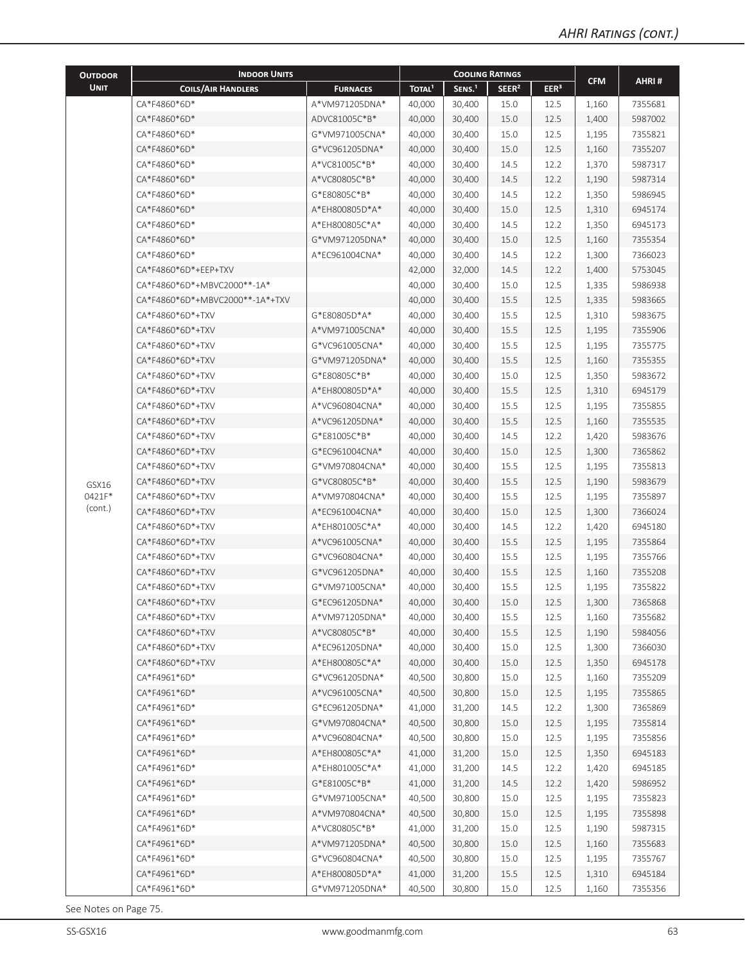| <b>OUTDOOR</b>             | <b>INDOOR UNITS</b>             |                 |                    |                    | <b>COOLING RATINGS</b> |                  |            |         |
|----------------------------|---------------------------------|-----------------|--------------------|--------------------|------------------------|------------------|------------|---------|
| <b>UNIT</b>                | <b>COILS/AIR HANDLERS</b>       | <b>FURNACES</b> | TOTAL <sup>1</sup> | SENS. <sup>1</sup> | SEER <sup>2</sup>      | EER <sup>3</sup> | <b>CFM</b> | AHRI#   |
|                            | CA*F4860*6D*                    | A*VM971205DNA*  | 40,000             | 30,400             | 15.0                   | 12.5             | 1,160      | 7355681 |
|                            | CA*F4860*6D*                    | ADVC81005C*B*   | 40,000             | 30,400             | 15.0                   | 12.5             | 1,400      | 5987002 |
|                            | CA*F4860*6D*                    | G*VM971005CNA*  | 40,000             | 30,400             | 15.0                   | 12.5             | 1,195      | 7355821 |
|                            | CA*F4860*6D*                    | G*VC961205DNA*  | 40,000             | 30,400             | 15.0                   | 12.5             | 1,160      | 7355207 |
|                            | CA*F4860*6D*                    | A*VC81005C*B*   | 40,000             | 30,400             | 14.5                   | 12.2             | 1,370      | 5987317 |
|                            | CA*F4860*6D*                    | A*VC80805C*B*   | 40,000             | 30,400             | 14.5                   | 12.2             | 1,190      | 5987314 |
|                            | CA*F4860*6D*                    | G*E80805C*B*    | 40,000             | 30,400             | 14.5                   | 12.2             | 1,350      | 5986945 |
|                            | CA*F4860*6D*                    | A*EH800805D*A*  | 40,000             | 30,400             | 15.0                   | 12.5             | 1,310      | 6945174 |
|                            | CA*F4860*6D*                    | A*EH800805C*A*  | 40,000             | 30,400             | 14.5                   | 12.2             | 1,350      | 6945173 |
|                            | CA*F4860*6D*                    | G*VM971205DNA*  | 40,000             | 30,400             | 15.0                   | 12.5             | 1,160      | 7355354 |
|                            | CA*F4860*6D*                    | A*EC961004CNA*  | 40,000             | 30,400             | 14.5                   | 12.2             | 1,300      | 7366023 |
|                            | CA*F4860*6D*+EEP+TXV            |                 | 42,000             | 32,000             | 14.5                   | 12.2             | 1,400      | 5753045 |
|                            | CA*F4860*6D*+MBVC2000**-1A*     |                 | 40,000             | 30,400             | 15.0                   | 12.5             | 1,335      | 5986938 |
|                            | CA*F4860*6D*+MBVC2000**-1A*+TXV |                 | 40,000             | 30,400             | 15.5                   | 12.5             | 1,335      | 5983665 |
|                            | CA*F4860*6D*+TXV                | G*E80805D*A*    | 40,000             | 30,400             | 15.5                   | 12.5             | 1,310      | 5983675 |
|                            | CA*F4860*6D*+TXV                | A*VM971005CNA*  | 40,000             | 30,400             | 15.5                   | 12.5             | 1,195      | 7355906 |
|                            | CA*F4860*6D*+TXV                | G*VC961005CNA*  | 40,000             | 30,400             | 15.5                   | 12.5             | 1,195      | 7355775 |
|                            | CA*F4860*6D*+TXV                | G*VM971205DNA*  | 40,000             | 30,400             | 15.5                   | 12.5             | 1,160      | 7355355 |
|                            | CA*F4860*6D*+TXV                | G*E80805C*B*    | 40,000             | 30,400             | 15.0                   | 12.5             | 1,350      | 5983672 |
|                            | CA*F4860*6D*+TXV                | A*EH800805D*A*  | 40,000             | 30,400             | 15.5                   | 12.5             | 1,310      | 6945179 |
|                            | CA*F4860*6D*+TXV                | A*VC960804CNA*  | 40,000             | 30,400             | 15.5                   | 12.5             | 1,195      | 7355855 |
|                            | CA*F4860*6D*+TXV                | A*VC961205DNA*  | 40,000             | 30,400             | 15.5                   | 12.5             | 1,160      | 7355535 |
|                            | CA*F4860*6D*+TXV                | G*E81005C*B*    | 40,000             | 30,400             | 14.5                   | 12.2             | 1,420      | 5983676 |
| GSX16<br>0421F*<br>(cont.) | CA*F4860*6D*+TXV                | G*EC961004CNA*  | 40,000             | 30,400             | 15.0                   | 12.5             | 1,300      | 7365862 |
|                            | CA*F4860*6D*+TXV                | G*VM970804CNA*  | 40,000             | 30,400             | 15.5                   | 12.5             | 1,195      | 7355813 |
|                            | CA*F4860*6D*+TXV                | G*VC80805C*B*   | 40,000             | 30,400             | 15.5                   | 12.5             | 1,190      | 5983679 |
|                            | CA*F4860*6D*+TXV                | A*VM970804CNA*  | 40,000             | 30,400             | 15.5                   | 12.5             | 1,195      | 7355897 |
|                            | CA*F4860*6D*+TXV                | A*EC961004CNA*  | 40,000             | 30,400             | 15.0                   | 12.5             | 1,300      | 7366024 |
|                            | CA*F4860*6D*+TXV                | A*EH801005C*A*  | 40,000             | 30,400             | 14.5                   | 12.2             | 1,420      | 6945180 |
|                            | CA*F4860*6D*+TXV                | A*VC961005CNA*  | 40,000             | 30,400             | 15.5                   | 12.5             | 1,195      | 7355864 |
|                            | CA*F4860*6D*+TXV                | G*VC960804CNA*  | 40,000             | 30,400             | 15.5                   | 12.5             | 1,195      | 7355766 |
|                            | CA*F4860*6D*+TXV                | G*VC961205DNA*  | 40,000             | 30,400             | 15.5                   | 12.5             | 1,160      | 7355208 |
|                            | CA*F4860*6D*+TXV                | G*VM971005CNA*  | 40,000             | 30,400             | 15.5                   | 12.5             | 1,195      | 7355822 |
|                            | CA*F4860*6D*+TXV                | G*EC961205DNA*  | 40,000             | 30,400             | 15.0                   | 12.5             | 1,300      | 7365868 |
|                            | CA*F4860*6D*+TXV                | A*VM971205DNA*  | 40,000             | 30,400             | 15.5                   | 12.5             | 1,160      | 7355682 |
|                            | CA*F4860*6D*+TXV                | A*VC80805C*B*   | 40,000             | 30,400             | 15.5                   | 12.5             | 1,190      | 5984056 |
|                            | CA*F4860*6D*+TXV                | A*EC961205DNA*  | 40,000             | 30,400             | 15.0                   | 12.5             | 1,300      | 7366030 |
|                            | CA*F4860*6D*+TXV                | A*EH800805C*A*  | 40,000             | 30,400             | 15.0                   | 12.5             | 1,350      | 6945178 |
|                            | CA*F4961*6D*                    | G*VC961205DNA*  | 40,500             | 30,800             | 15.0                   | 12.5             | 1,160      | 7355209 |
|                            | CA*F4961*6D*                    | A*VC961005CNA*  | 40,500             | 30,800             | 15.0                   | 12.5             | 1,195      | 7355865 |
|                            | CA*F4961*6D*                    | G*EC961205DNA*  | 41,000             | 31,200             | 14.5                   | 12.2             | 1,300      | 7365869 |
|                            | CA*F4961*6D*                    | G*VM970804CNA*  | 40,500             | 30,800             | 15.0                   | 12.5             | 1,195      | 7355814 |
|                            | CA*F4961*6D*                    | A*VC960804CNA*  | 40,500             | 30,800             | 15.0                   | 12.5             | 1,195      | 7355856 |
|                            | CA*F4961*6D*                    | A*EH800805C*A*  | 41,000             | 31,200             | 15.0                   | 12.5             | 1,350      | 6945183 |
|                            | CA*F4961*6D*                    | A*EH801005C*A*  | 41,000             | 31,200             | 14.5                   | 12.2             | 1,420      | 6945185 |
|                            | CA*F4961*6D*                    | G*E81005C*B*    | 41,000             | 31,200             | 14.5                   | 12.2             | 1,420      | 5986952 |
|                            | CA*F4961*6D*                    | G*VM971005CNA*  | 40,500             | 30,800             | 15.0                   | 12.5             | 1,195      | 7355823 |
|                            | CA*F4961*6D*                    | A*VM970804CNA*  | 40,500             | 30,800             | 15.0                   | 12.5             | 1,195      | 7355898 |
|                            | CA*F4961*6D*                    | A*VC80805C*B*   | 41,000             | 31,200             | 15.0                   | 12.5             | 1,190      | 5987315 |
|                            | CA*F4961*6D*                    | A*VM971205DNA*  | 40,500             | 30,800             | 15.0                   | 12.5             | 1,160      | 7355683 |
|                            | CA*F4961*6D*                    | G*VC960804CNA*  | 40,500             | 30,800             | 15.0                   | 12.5             | 1,195      | 7355767 |
|                            | CA*F4961*6D*                    | A*EH800805D*A*  | 41,000             | 31,200             | 15.5                   | 12.5             | 1,310      | 6945184 |
|                            | CA*F4961*6D*                    | G*VM971205DNA*  | 40,500             | 30,800             | 15.0                   | 12.5             | 1,160      | 7355356 |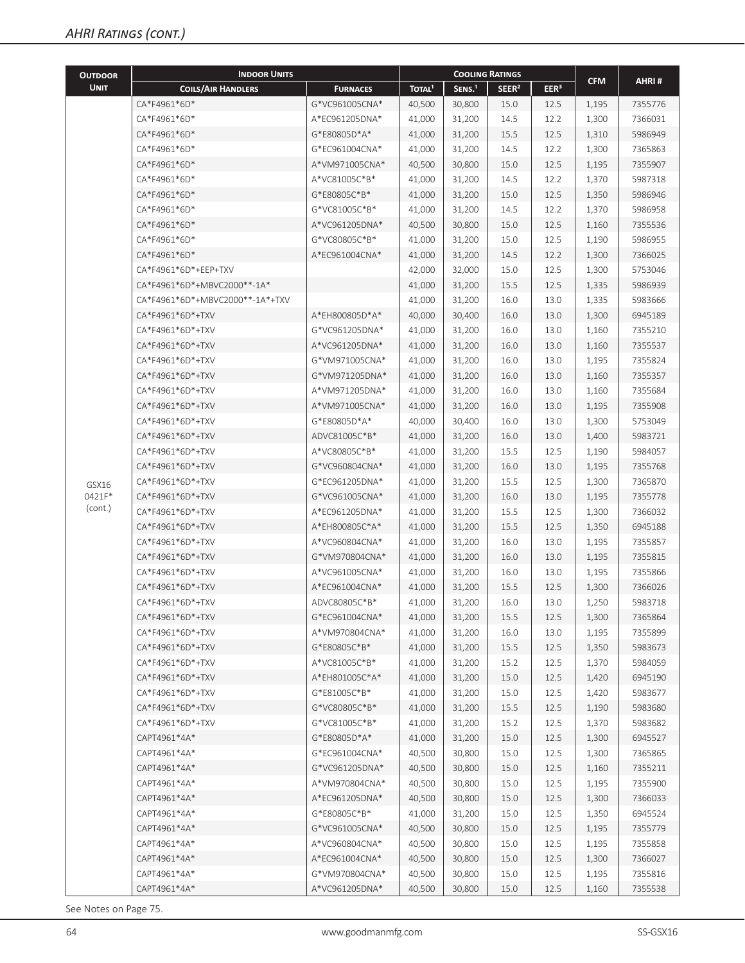| <b>OUTDOOR</b>             | <b>INDOOR UNITS</b>             |                 |                    |                    | <b>COOLING RATINGS</b> |                  |            |         |
|----------------------------|---------------------------------|-----------------|--------------------|--------------------|------------------------|------------------|------------|---------|
| <b>UNIT</b>                | <b>COILS/AIR HANDLERS</b>       | <b>FURNACES</b> | TOTAL <sup>1</sup> | SENS. <sup>1</sup> | SEER <sup>2</sup>      | EER <sup>3</sup> | <b>CFM</b> | AHRI#   |
|                            | CA*F4961*6D*                    | G*VC961005CNA*  | 40,500             | 30,800             | 15.0                   | 12.5             | 1,195      | 7355776 |
|                            | CA*F4961*6D*                    | A*EC961205DNA*  | 41,000             | 31,200             | 14.5                   | 12.2             | 1,300      | 7366031 |
|                            | CA*F4961*6D*                    | G*E80805D*A*    | 41,000             | 31,200             | 15.5                   | 12.5             | 1,310      | 5986949 |
|                            | CA*F4961*6D*                    | G*EC961004CNA*  | 41,000             | 31,200             | 14.5                   | 12.2             | 1,300      | 7365863 |
|                            | CA*F4961*6D*                    | A*VM971005CNA*  | 40,500             | 30,800             | 15.0                   | 12.5             | 1,195      | 7355907 |
|                            | CA*F4961*6D*                    | A*VC81005C*B*   | 41,000             | 31,200             | 14.5                   | 12.2             | 1,370      | 5987318 |
|                            | CA*F4961*6D*                    | G*E80805C*B*    | 41,000             | 31,200             | 15.0                   | 12.5             | 1,350      | 5986946 |
|                            | CA*F4961*6D*                    | G*VC81005C*B*   | 41,000             | 31,200             | 14.5                   | 12.2             | 1,370      | 5986958 |
|                            | CA*F4961*6D*                    | A*VC961205DNA*  | 40,500             | 30,800             | 15.0                   | 12.5             | 1,160      | 7355536 |
|                            | CA*F4961*6D*                    | G*VC80805C*B*   | 41,000             | 31,200             | 15.0                   | 12.5             | 1,190      | 5986955 |
|                            | CA*F4961*6D*                    | A*EC961004CNA*  | 41,000             | 31,200             | 14.5                   | 12.2             | 1,300      | 7366025 |
|                            | CA*F4961*6D*+EEP+TXV            |                 | 42,000             | 32,000             | 15.0                   | 12.5             | 1,300      | 5753046 |
|                            | CA*F4961*6D*+MBVC2000**-1A*     |                 | 41,000             | 31,200             | 15.5                   | 12.5             | 1,335      | 5986939 |
|                            | CA*F4961*6D*+MBVC2000**-1A*+TXV |                 | 41,000             | 31,200             | 16.0                   | 13.0             | 1,335      | 5983666 |
|                            | CA*F4961*6D*+TXV                | A*EH800805D*A*  | 40,000             | 30,400             | 16.0                   | 13.0             | 1,300      | 6945189 |
|                            | CA*F4961*6D*+TXV                | G*VC961205DNA*  | 41,000             | 31,200             | 16.0                   | 13.0             | 1,160      | 7355210 |
|                            | CA*F4961*6D*+TXV                | A*VC961205DNA*  | 41,000             | 31,200             | 16.0                   | 13.0             | 1,160      | 7355537 |
|                            | CA*F4961*6D*+TXV                | G*VM971005CNA*  | 41,000             | 31,200             | 16.0                   | 13.0             | 1,195      | 7355824 |
|                            | CA*F4961*6D*+TXV                | G*VM971205DNA*  | 41,000             | 31,200             | 16.0                   | 13.0             | 1,160      | 7355357 |
|                            | CA*F4961*6D*+TXV                | A*VM971205DNA*  | 41,000             | 31,200             | 16.0                   | 13.0             | 1,160      | 7355684 |
|                            | CA*F4961*6D*+TXV                | A*VM971005CNA*  | 41,000             | 31,200             | 16.0                   | 13.0             | 1,195      | 7355908 |
|                            | CA*F4961*6D*+TXV                | G*E80805D*A*    | 40,000             | 30,400             | 16.0                   | 13.0             | 1,300      | 5753049 |
|                            | CA*F4961*6D*+TXV                | ADVC81005C*B*   | 41,000             | 31,200             | 16.0                   | 13.0             | 1,400      | 5983721 |
| GSX16<br>0421F*<br>(cont.) | CA*F4961*6D*+TXV                | A*VC80805C*B*   | 41,000             | 31,200             | 15.5                   | 12.5             | 1,190      | 5984057 |
|                            | CA*F4961*6D*+TXV                | G*VC960804CNA*  | 41,000             | 31,200             | 16.0                   | 13.0             | 1,195      | 7355768 |
|                            | CA*F4961*6D*+TXV                | G*EC961205DNA*  | 41,000             | 31,200             | 15.5                   | 12.5             | 1,300      | 7365870 |
|                            | CA*F4961*6D*+TXV                | G*VC961005CNA*  | 41,000             | 31,200             | 16.0                   | 13.0             | 1,195      | 7355778 |
|                            | CA*F4961*6D*+TXV                | A*EC961205DNA*  | 41,000             | 31,200             | 15.5                   | 12.5             | 1,300      | 7366032 |
|                            | CA*F4961*6D*+TXV                | A*EH800805C*A*  | 41,000             | 31,200             | 15.5                   | 12.5             | 1,350      | 6945188 |
|                            | CA*F4961*6D*+TXV                | A*VC960804CNA*  | 41,000             | 31,200             | 16.0                   | 13.0             | 1,195      | 7355857 |
|                            | CA*F4961*6D*+TXV                | G*VM970804CNA*  | 41,000             | 31,200             | 16.0                   | 13.0             | 1,195      | 7355815 |
|                            | CA*F4961*6D*+TXV                | A*VC961005CNA*  | 41,000             | 31,200             | 16.0                   | 13.0             | 1,195      | 7355866 |
|                            | CA*F4961*6D*+TXV                | A*EC961004CNA*  | 41,000             | 31,200             | 15.5                   | 12.5             | 1,300      | 7366026 |
|                            | CA*F4961*6D*+TXV                | ADVC80805C*B*   | 41,000             | 31,200             | 16.0                   | 13.0             | 1,250      | 5983718 |
|                            | CA*F4961*6D*+TXV                | G*EC961004CNA*  | 41,000             | 31,200             | 15.5                   | 12.5             | 1,300      | 7365864 |
|                            | CA*F4961*6D*+TXV                | A*VM970804CNA*  | 41,000             | 31,200             | 16.0                   | 13.0             | 1,195      | 7355899 |
|                            | CA*F4961*6D*+TXV                | G*E80805C*B*    | 41,000             | 31,200             | 15.5                   | 12.5             | 1,350      | 5983673 |
|                            | CA*F4961*6D*+TXV                | A*VC81005C*B*   | 41,000             | 31,200             | 15.2                   | 12.5             | 1,370      | 5984059 |
|                            | CA*F4961*6D*+TXV                | A*EH801005C*A*  | 41,000             | 31,200             | 15.0                   | 12.5             | 1,420      | 6945190 |
|                            | CA*F4961*6D*+TXV                | G*E81005C*B*    | 41,000             | 31,200             | 15.0                   | 12.5             | 1,420      | 5983677 |
|                            | CA*F4961*6D*+TXV                | G*VC80805C*B*   | 41,000             | 31,200             | 15.5                   | 12.5             | 1,190      | 5983680 |
|                            | CA*F4961*6D*+TXV                | G*VC81005C*B*   | 41,000             | 31,200             | 15.2                   | 12.5             | 1,370      | 5983682 |
|                            | CAPT4961*4A*                    | G*E80805D*A*    | 41,000             | 31,200             | 15.0                   | 12.5             | 1,300      | 6945527 |
|                            | CAPT4961*4A*                    | G*EC961004CNA*  | 40,500             | 30,800             | 15.0                   | 12.5             | 1,300      | 7365865 |
|                            | CAPT4961*4A*                    | G*VC961205DNA*  | 40,500             | 30,800             | 15.0                   | 12.5             | 1,160      | 7355211 |
|                            | CAPT4961*4A*                    | A*VM970804CNA*  | 40,500             | 30,800             | 15.0                   | 12.5             | 1,195      | 7355900 |
|                            | CAPT4961*4A*                    | A*EC961205DNA*  | 40,500             | 30,800             | 15.0                   | 12.5             | 1,300      | 7366033 |
|                            | CAPT4961*4A*                    | G*E80805C*B*    | 41,000             | 31,200             | 15.0                   | 12.5             | 1,350      | 6945524 |
|                            | CAPT4961*4A*                    | G*VC961005CNA*  | 40,500             | 30,800             | 15.0                   | 12.5             | 1,195      | 7355779 |
|                            | CAPT4961*4A*                    | A*VC960804CNA*  | 40,500             | 30,800             | 15.0                   | 12.5             | 1,195      | 7355858 |
|                            | CAPT4961*4A*                    | A*EC961004CNA*  | 40,500             | 30,800             | 15.0                   | 12.5             | 1,300      | 7366027 |
|                            | CAPT4961*4A*                    | G*VM970804CNA*  | 40,500             | 30,800             | 15.0                   | 12.5             | 1,195      | 7355816 |
|                            | CAPT4961*4A*                    | A*VC961205DNA*  | 40,500             | 30,800             | 15.0                   | 12.5             | 1,160      | 7355538 |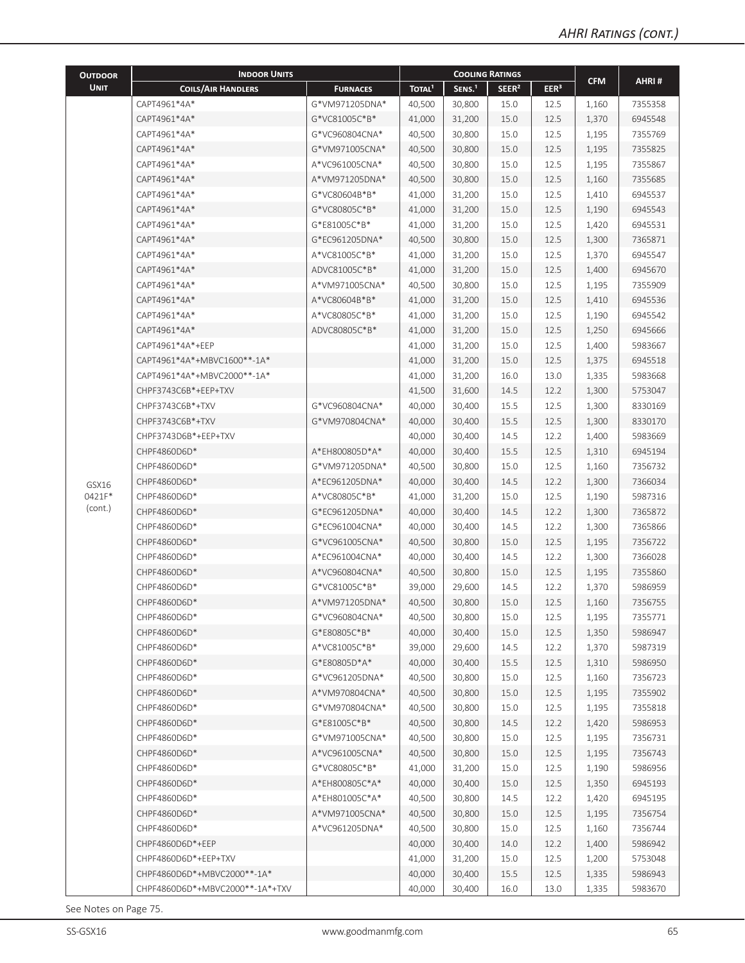| <b>OUTDOOR</b>             | <b>INDOOR UNITS</b>             |                 |                    |                   | <b>COOLING RATINGS</b> |                  |            |         |
|----------------------------|---------------------------------|-----------------|--------------------|-------------------|------------------------|------------------|------------|---------|
| <b>UNIT</b>                | <b>COILS/AIR HANDLERS</b>       | <b>FURNACES</b> | TOTAL <sup>1</sup> | SENS <sup>1</sup> | SEER <sup>2</sup>      | EER <sup>3</sup> | <b>CFM</b> | AHRI#   |
|                            | CAPT4961*4A*                    | G*VM971205DNA*  | 40,500             | 30,800            | 15.0                   | 12.5             | 1,160      | 7355358 |
|                            | CAPT4961*4A*                    | G*VC81005C*B*   | 41,000             | 31,200            | 15.0                   | 12.5             | 1,370      | 6945548 |
|                            | CAPT4961*4A*                    | G*VC960804CNA*  | 40,500             | 30,800            | 15.0                   | 12.5             | 1,195      | 7355769 |
|                            | CAPT4961*4A*                    | G*VM971005CNA*  | 40,500             | 30,800            | 15.0                   | 12.5             | 1,195      | 7355825 |
|                            | CAPT4961*4A*                    | A*VC961005CNA*  | 40,500             | 30,800            | 15.0                   | 12.5             | 1,195      | 7355867 |
|                            | CAPT4961*4A*                    | A*VM971205DNA*  | 40,500             | 30,800            | 15.0                   | 12.5             | 1,160      | 7355685 |
|                            | CAPT4961*4A*                    | G*VC80604B*B*   | 41,000             | 31,200            | 15.0                   | 12.5             | 1,410      | 6945537 |
|                            | CAPT4961*4A*                    | G*VC80805C*B*   | 41,000             | 31,200            | 15.0                   | 12.5             | 1,190      | 6945543 |
|                            | CAPT4961*4A*                    | G*E81005C*B*    | 41,000             | 31,200            | 15.0                   | 12.5             | 1,420      | 6945531 |
|                            | CAPT4961*4A*                    | G*EC961205DNA*  | 40,500             | 30,800            | 15.0                   | 12.5             | 1,300      | 7365871 |
|                            | CAPT4961*4A*                    | A*VC81005C*B*   | 41,000             | 31,200            | 15.0                   | 12.5             | 1,370      | 6945547 |
|                            | CAPT4961*4A*                    | ADVC81005C*B*   | 41,000             | 31,200            | 15.0                   | 12.5             | 1,400      | 6945670 |
|                            | CAPT4961*4A*                    | A*VM971005CNA*  | 40,500             | 30,800            | 15.0                   | 12.5             | 1,195      | 7355909 |
|                            | CAPT4961*4A*                    | A*VC80604B*B*   | 41,000             | 31,200            | 15.0                   | 12.5             | 1,410      | 6945536 |
|                            | CAPT4961*4A*                    | A*VC80805C*B*   | 41,000             | 31,200            | 15.0                   | 12.5             | 1,190      | 6945542 |
|                            | CAPT4961*4A*                    | ADVC80805C*B*   | 41,000             | 31,200            | 15.0                   | 12.5             | 1,250      | 6945666 |
|                            | CAPT4961*4A*+EEP                |                 | 41,000             | 31,200            | 15.0                   | 12.5             | 1,400      | 5983667 |
|                            | CAPT4961*4A*+MBVC1600**-1A*     |                 | 41,000             | 31,200            | 15.0                   | 12.5             | 1,375      | 6945518 |
|                            | CAPT4961*4A*+MBVC2000**-1A*     |                 | 41,000             | 31,200            | 16.0                   | 13.0             | 1,335      | 5983668 |
|                            | CHPF3743C6B*+EEP+TXV            |                 | 41,500             | 31,600            | 14.5                   | 12.2             | 1,300      | 5753047 |
|                            | CHPF3743C6B*+TXV                | G*VC960804CNA*  | 40,000             | 30,400            | 15.5                   | 12.5             | 1,300      | 8330169 |
|                            | CHPF3743C6B*+TXV                | G*VM970804CNA*  | 40,000             | 30,400            | 15.5                   | 12.5             | 1,300      | 8330170 |
|                            | CHPF3743D6B*+EEP+TXV            |                 | 40,000             | 30,400            | 14.5                   | 12.2             | 1,400      | 5983669 |
|                            | CHPF4860D6D*                    | A*EH800805D*A*  | 40,000             | 30,400            | 15.5                   | 12.5             | 1,310      | 6945194 |
| GSX16<br>0421F*<br>(cont.) | CHPF4860D6D*                    | G*VM971205DNA*  | 40,500             | 30,800            | 15.0                   | 12.5             | 1,160      | 7356732 |
|                            | CHPF4860D6D*                    | A*EC961205DNA*  | 40,000             | 30,400            | 14.5                   | 12.2             | 1,300      | 7366034 |
|                            | CHPF4860D6D*                    | A*VC80805C*B*   | 41,000             | 31,200            | 15.0                   | 12.5             | 1,190      | 5987316 |
|                            | CHPF4860D6D*                    | G*EC961205DNA*  | 40,000             | 30,400            | 14.5                   | 12.2             | 1,300      | 7365872 |
|                            | CHPF4860D6D*                    | G*EC961004CNA*  | 40,000             | 30,400            | 14.5                   | 12.2             | 1,300      | 7365866 |
|                            | CHPF4860D6D*                    | G*VC961005CNA*  | 40,500             | 30,800            | 15.0                   | 12.5             | 1,195      | 7356722 |
|                            | CHPF4860D6D*                    | A*EC961004CNA*  | 40,000             | 30,400            | 14.5                   | 12.2             | 1,300      | 7366028 |
|                            | CHPF4860D6D*                    | A*VC960804CNA*  | 40,500             | 30,800            | 15.0                   | 12.5             | 1,195      | 7355860 |
|                            | CHPF4860D6D*                    | G*VC81005C*B*   | 39,000             | 29,600            | 14.5                   | 12.2             | 1,370      | 5986959 |
|                            | CHPF4860D6D*                    | A*VM971205DNA*  | 40,500             | 30,800            | 15.0                   | 12.5             | 1,160      | 7356755 |
|                            | CHPF4860D6D*                    | G*VC960804CNA*  | 40,500             | 30,800            | 15.0                   | 12.5             | 1,195      | 7355771 |
|                            | CHPF4860D6D*                    | G*E80805C*B*    | 40,000             | 30,400            | 15.0                   | 12.5             | 1,350      | 5986947 |
|                            | CHPF4860D6D*                    | A*VC81005C*B*   | 39,000             | 29,600            | 14.5                   | 12.2             | 1,370      | 5987319 |
|                            | CHPF4860D6D*                    | G*E80805D*A*    | 40,000             | 30,400            | 15.5                   | 12.5             | 1,310      | 5986950 |
|                            | CHPF4860D6D*                    | G*VC961205DNA*  | 40,500             | 30,800            | 15.0                   | 12.5             | 1,160      | 7356723 |
|                            | CHPF4860D6D*                    | A*VM970804CNA*  | 40,500             | 30,800            | 15.0                   | 12.5             | 1,195      | 7355902 |
|                            | CHPF4860D6D*                    | G*VM970804CNA*  | 40,500             | 30,800            | 15.0                   | 12.5             | 1,195      | 7355818 |
|                            | CHPF4860D6D*                    | G*E81005C*B*    | 40,500             | 30,800            | 14.5                   | 12.2             | 1,420      | 5986953 |
|                            | CHPF4860D6D*                    | G*VM971005CNA*  | 40,500             | 30,800            | 15.0                   | 12.5             | 1,195      | 7356731 |
|                            | CHPF4860D6D*                    | A*VC961005CNA*  | 40,500             | 30,800            | 15.0                   | 12.5             | 1,195      | 7356743 |
|                            | CHPF4860D6D*                    | G*VC80805C*B*   | 41,000             | 31,200            | 15.0                   | 12.5             | 1,190      | 5986956 |
|                            | CHPF4860D6D*                    | A*EH800805C*A*  | 40,000             | 30,400            | 15.0                   | 12.5             | 1,350      | 6945193 |
|                            | CHPF4860D6D*                    | A*EH801005C*A*  | 40,500             | 30,800            | 14.5                   | 12.2             | 1,420      | 6945195 |
|                            | CHPF4860D6D*                    | A*VM971005CNA*  | 40,500             | 30,800            | 15.0                   | 12.5             | 1,195      | 7356754 |
|                            | CHPF4860D6D*                    | A*VC961205DNA*  | 40,500             | 30,800            | 15.0                   | 12.5             | 1,160      | 7356744 |
|                            | CHPF4860D6D*+EEP                |                 | 40,000             | 30,400            | 14.0                   | 12.2             | 1,400      | 5986942 |
|                            | CHPF4860D6D*+EEP+TXV            |                 | 41,000             | 31,200            | 15.0                   | 12.5             | 1,200      | 5753048 |
|                            | CHPF4860D6D*+MBVC2000**-1A*     |                 | 40,000             | 30,400            | 15.5                   | 12.5             | 1,335      | 5986943 |
|                            | CHPF4860D6D*+MBVC2000**-1A*+TXV |                 | 40,000             | 30,400            | 16.0                   | 13.0             | 1,335      | 5983670 |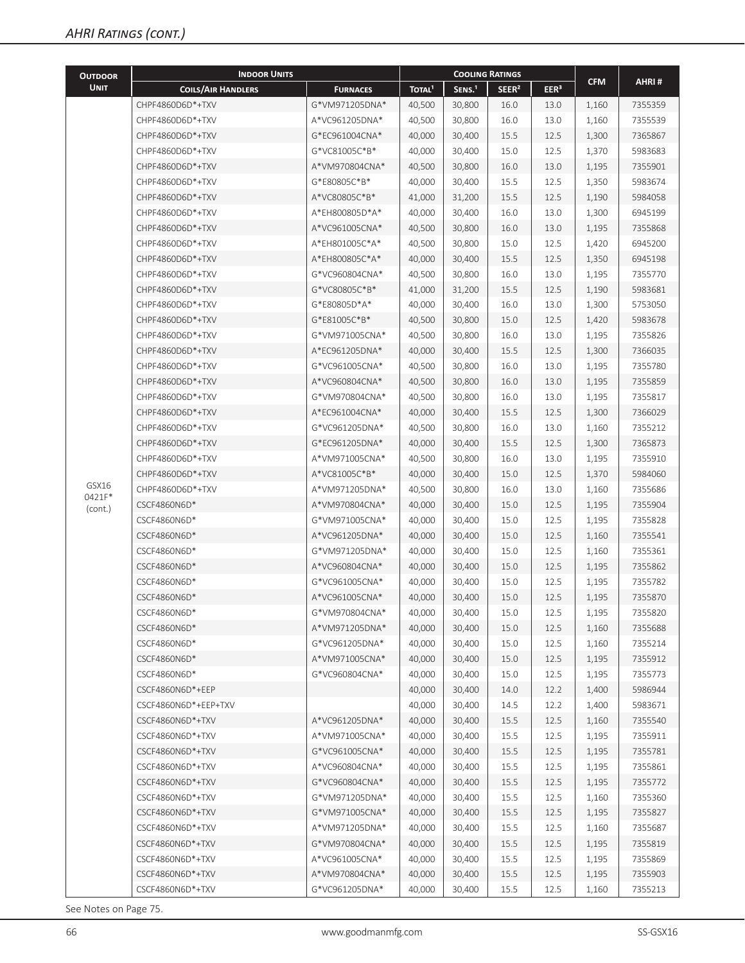| <b>OUTDOOR</b>             | <b>INDOOR UNITS</b>                  |                                  |                    |                    | <b>COOLING RATINGS</b> |                  |            |                    |
|----------------------------|--------------------------------------|----------------------------------|--------------------|--------------------|------------------------|------------------|------------|--------------------|
| <b>UNIT</b>                | <b>COILS/AIR HANDLERS</b>            | <b>FURNACES</b>                  | TOTAL <sup>1</sup> | SENS. <sup>1</sup> | SEER <sup>2</sup>      | EER <sup>3</sup> | <b>CFM</b> | AHRI#              |
|                            | CHPF4860D6D*+TXV                     | G*VM971205DNA*                   | 40,500             | 30,800             | 16.0                   | 13.0             | 1,160      | 7355359            |
|                            | CHPF4860D6D*+TXV                     | A*VC961205DNA*                   | 40,500             | 30,800             | 16.0                   | 13.0             | 1,160      | 7355539            |
|                            | CHPF4860D6D*+TXV                     | G*EC961004CNA*                   | 40,000             | 30,400             | 15.5                   | 12.5             | 1,300      | 7365867            |
|                            | CHPF4860D6D*+TXV                     | G*VC81005C*B*                    | 40,000             | 30,400             | 15.0                   | 12.5             | 1,370      | 5983683            |
|                            | CHPF4860D6D*+TXV                     | A*VM970804CNA*                   | 40,500             | 30,800             | 16.0                   | 13.0             | 1,195      | 7355901            |
|                            | CHPF4860D6D*+TXV                     | G*F80805C*B*                     | 40,000             | 30,400             | 15.5                   | 12.5             | 1,350      | 5983674            |
|                            | CHPF4860D6D*+TXV                     | A*VC80805C*B*                    | 41,000             | 31,200             | 15.5                   | 12.5             | 1,190      | 5984058            |
|                            | CHPF4860D6D*+TXV                     | A*EH800805D*A*                   | 40,000             | 30,400             | 16.0                   | 13.0             | 1,300      | 6945199            |
|                            | CHPF4860D6D*+TXV                     | A*VC961005CNA*                   | 40,500             | 30,800             | 16.0                   | 13.0             | 1,195      | 7355868            |
|                            | CHPF4860D6D*+TXV                     | A*EH801005C*A*                   | 40,500             | 30,800             | 15.0                   | 12.5             | 1,420      | 6945200            |
|                            | CHPF4860D6D*+TXV                     | A*EH800805C*A*                   | 40,000             | 30,400             | 15.5                   | 12.5             | 1,350      | 6945198            |
|                            | CHPF4860D6D*+TXV                     | G*VC960804CNA*                   | 40,500             | 30,800             | 16.0                   | 13.0             | 1,195      | 7355770            |
|                            | CHPF4860D6D*+TXV                     | G*VC80805C*B*                    | 41,000             | 31,200             | 15.5                   | 12.5             | 1,190      | 5983681            |
|                            | CHPF4860D6D*+TXV                     | G*E80805D*A*                     | 40,000             | 30,400             | 16.0                   | 13.0             | 1,300      | 5753050            |
|                            | CHPF4860D6D*+TXV                     | G*E81005C*B*                     | 40,500             | 30,800             | 15.0                   | 12.5             | 1,420      | 5983678            |
|                            | CHPF4860D6D*+TXV                     | G*VM971005CNA*                   | 40,500             | 30,800             | 16.0                   | 13.0             | 1,195      | 7355826            |
|                            | CHPF4860D6D*+TXV                     | A*EC961205DNA*                   | 40,000             | 30,400             | 15.5                   | 12.5             | 1,300      | 7366035            |
|                            | CHPF4860D6D*+TXV                     | G*VC961005CNA*                   | 40,500             | 30,800             | 16.0                   | 13.0             | 1,195      | 7355780            |
|                            | CHPF4860D6D*+TXV                     | A*VC960804CNA*                   | 40,500             | 30,800             | 16.0                   | 13.0             | 1,195      | 7355859            |
|                            | CHPF4860D6D*+TXV                     | G*VM970804CNA*                   | 40,500             | 30,800             | 16.0                   | 13.0             | 1,195      | 7355817            |
|                            | CHPF4860D6D*+TXV                     | A*EC961004CNA*                   | 40,000             | 30,400             | 15.5                   | 12.5             | 1,300      | 7366029            |
|                            | CHPF4860D6D*+TXV                     | G*VC961205DNA*                   | 40,500             | 30,800             | 16.0                   | 13.0             | 1,160      | 7355212            |
|                            | CHPF4860D6D*+TXV                     | G*EC961205DNA*                   | 40,000             | 30,400             | 15.5                   | 12.5             | 1,300      | 7365873            |
|                            | CHPF4860D6D*+TXV                     | A*VM971005CNA*                   | 40,500             | 30,800             | 16.0                   | 13.0             | 1,195      | 7355910            |
|                            | CHPF4860D6D*+TXV                     | A*VC81005C*B*                    | 40,000             | 30,400             | 15.0                   | 12.5             | 1,370      | 5984060            |
| GSX16<br>0421F*<br>(cont.) | CHPF4860D6D*+TXV                     | A*VM971205DNA*                   | 40,500             | 30,800             | 16.0                   | 13.0             | 1,160      | 7355686            |
|                            | CSCF4860N6D*                         | A*VM970804CNA*                   | 40,000             | 30,400             | 15.0                   | 12.5             | 1,195      | 7355904            |
|                            | CSCF4860N6D*                         | G*VM971005CNA*                   | 40,000             | 30,400             | 15.0                   | 12.5             | 1,195      | 7355828            |
|                            | CSCF4860N6D*                         | A*VC961205DNA*                   | 40,000             | 30,400             | 15.0                   | 12.5             | 1,160      | 7355541            |
|                            | CSCF4860N6D*                         | G*VM971205DNA*                   | 40,000             | 30,400             | 15.0                   | 12.5             | 1,160      | 7355361            |
|                            | CSCF4860N6D*                         | A*VC960804CNA*                   | 40,000             | 30,400             | 15.0                   | 12.5             | 1,195      | 7355862            |
|                            | CSCF4860N6D*                         | G*VC961005CNA*                   | 40,000             | 30,400             | 15.0                   | 12.5             | 1,195      | 7355782            |
|                            | CSCF4860N6D*                         | A*VC961005CNA*                   | 40,000             | 30,400             | 15.0                   | 12.5             | 1,195      | 7355870            |
|                            | CSCF4860N6D*                         | G*VM970804CNA*                   | 40,000             | 30,400             | 15.0                   | 12.5             | 1,195      | 7355820            |
|                            | CSCF4860N6D*                         | A*VM971205DNA*                   | 40,000             | 30,400             | 15.0                   | 12.5             | 1,160      | 7355688            |
|                            | CSCF4860N6D*                         | G*VC961205DNA*                   | 40,000             | 30,400             | 15.0                   | 12.5             | 1,160      | 7355214            |
|                            | CSCF4860N6D*                         | A*VM971005CNA*                   | 40,000             | 30,400             | 15.0                   | 12.5             | 1,195      | 7355912            |
|                            | CSCF4860N6D*                         | G*VC960804CNA*                   | 40,000             | 30,400             | 15.0                   | 12.5             | 1,195      | 7355773            |
|                            | CSCF4860N6D*+EEP                     |                                  | 40,000             | 30,400             | 14.0                   | 12.2             | 1,400      | 5986944            |
|                            | CSCF4860N6D*+EEP+TXV                 |                                  | 40,000             | 30,400             | 14.5                   | 12.2             | 1,400      | 5983671            |
|                            | CSCF4860N6D*+TXV                     | A*VC961205DNA*                   | 40,000             | 30,400             | 15.5                   | 12.5             | 1,160      | 7355540            |
|                            | CSCF4860N6D*+TXV                     | A*VM971005CNA*                   | 40,000             | 30,400             | 15.5                   | 12.5             | 1,195      | 7355911            |
|                            | CSCF4860N6D*+TXV                     | G*VC961005CNA*                   | 40,000             | 30,400             | 15.5                   | 12.5             | 1,195      | 7355781            |
|                            | CSCF4860N6D*+TXV                     | A*VC960804CNA*                   | 40,000             | 30,400             | 15.5                   | 12.5             | 1,195      | 7355861            |
|                            | CSCF4860N6D*+TXV                     | G*VC960804CNA*                   | 40,000             | 30,400             | 15.5                   | 12.5             | 1,195      | 7355772            |
|                            | CSCF4860N6D*+TXV                     | G*VM971205DNA*                   | 40,000             | 30,400             | 15.5                   | 12.5             | 1,160      | 7355360            |
|                            |                                      |                                  |                    |                    |                        |                  |            |                    |
|                            | CSCF4860N6D*+TXV<br>CSCF4860N6D*+TXV | G*VM971005CNA*<br>A*VM971205DNA* | 40,000<br>40,000   | 30,400<br>30,400   | 15.5<br>15.5           | 12.5<br>12.5     | 1,195      | 7355827<br>7355687 |
|                            |                                      |                                  |                    |                    |                        |                  | 1,160      |                    |
|                            | CSCF4860N6D*+TXV                     | G*VM970804CNA*                   | 40,000<br>40,000   | 30,400             | 15.5                   | 12.5             | 1,195      | 7355819            |
|                            | CSCF4860N6D*+TXV                     | A*VC961005CNA*                   |                    | 30,400             | 15.5                   | 12.5             | 1,195      | 7355869            |
|                            | CSCF4860N6D*+TXV                     | A*VM970804CNA*                   | 40,000             | 30,400             | 15.5                   | 12.5<br>12.5     | 1,195      | 7355903            |
|                            | CSCF4860N6D*+TXV                     | G*VC961205DNA*                   | 40,000             | 30,400             | 15.5                   |                  | 1,160      | 7355213            |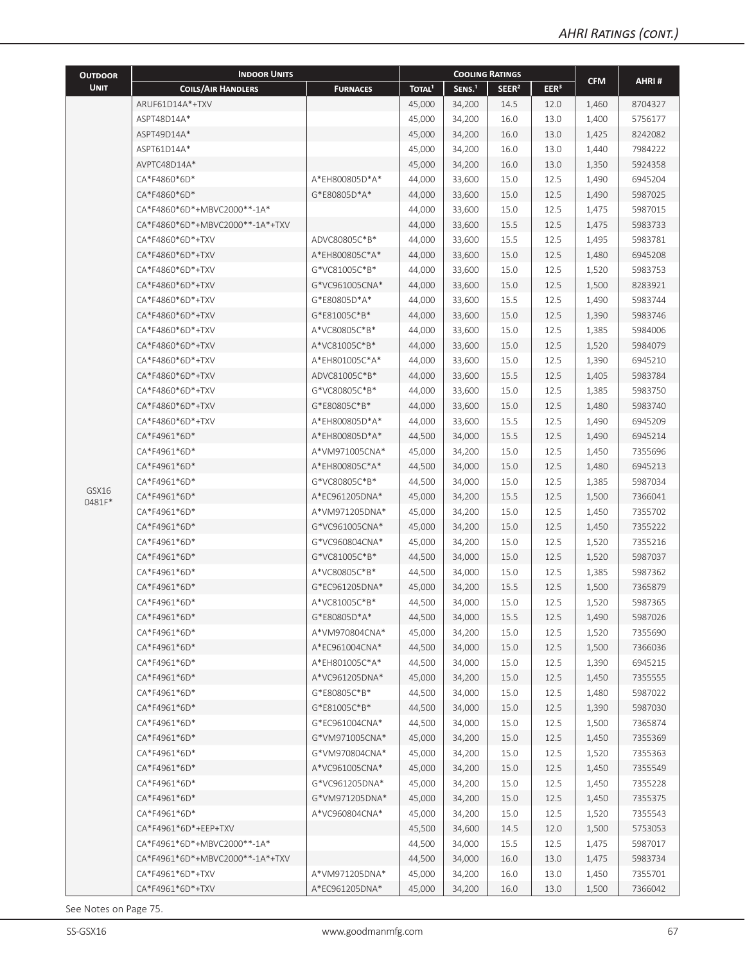| <b>OUTDOOR</b>  | <b>INDOOR UNITS</b>             |                 |                    | <b>COOLING RATINGS</b> |                   |                  |            |         |
|-----------------|---------------------------------|-----------------|--------------------|------------------------|-------------------|------------------|------------|---------|
| <b>UNIT</b>     | <b>COILS/AIR HANDLERS</b>       | <b>FURNACES</b> | TOTAL <sup>1</sup> | SENS. <sup>1</sup>     | SEER <sup>2</sup> | EER <sup>3</sup> | <b>CFM</b> | AHRI#   |
|                 | ARUF61D14A*+TXV                 |                 | 45,000             | 34,200                 | 14.5              | 12.0             | 1,460      | 8704327 |
|                 | ASPT48D14A*                     |                 | 45,000             | 34,200                 | 16.0              | 13.0             | 1,400      | 5756177 |
|                 | ASPT49D14A*                     |                 | 45,000             | 34,200                 | 16.0              | 13.0             | 1,425      | 8242082 |
|                 | ASPT61D14A*                     |                 | 45,000             | 34,200                 | 16.0              | 13.0             | 1,440      | 7984222 |
|                 | AVPTC48D14A*                    |                 | 45,000             | 34,200                 | 16.0              | 13.0             | 1,350      | 5924358 |
|                 | CA*F4860*6D*                    | A*EH800805D*A*  | 44,000             | 33,600                 | 15.0              | 12.5             | 1,490      | 6945204 |
|                 | CA*F4860*6D*                    | G*E80805D*A*    | 44,000             | 33,600                 | 15.0              | 12.5             | 1,490      | 5987025 |
|                 | CA*F4860*6D*+MBVC2000**-1A*     |                 | 44,000             | 33,600                 | 15.0              | 12.5             | 1,475      | 5987015 |
|                 | CA*F4860*6D*+MBVC2000**-1A*+TXV |                 | 44,000             | 33,600                 | 15.5              | 12.5             | 1,475      | 5983733 |
|                 | CA*F4860*6D*+TXV                | ADVC80805C*B*   | 44,000             | 33,600                 | 15.5              | 12.5             | 1,495      | 5983781 |
|                 | CA*F4860*6D*+TXV                | A*EH800805C*A*  | 44,000             | 33,600                 | 15.0              | 12.5             | 1,480      | 6945208 |
|                 | CA*F4860*6D*+TXV                | G*VC81005C*B*   | 44,000             | 33,600                 | 15.0              | 12.5             | 1,520      | 5983753 |
|                 | CA*F4860*6D*+TXV                | G*VC961005CNA*  | 44,000             | 33,600                 | 15.0              | 12.5             | 1,500      | 8283921 |
|                 | CA*F4860*6D*+TXV                | G*F80805D*A*    | 44,000             | 33,600                 | 15.5              | 12.5             | 1,490      | 5983744 |
|                 | CA*F4860*6D*+TXV                | G*E81005C*B*    | 44,000             | 33,600                 | 15.0              | 12.5             | 1,390      | 5983746 |
|                 | CA*F4860*6D*+TXV                | A*VC80805C*B*   | 44,000             | 33,600                 | 15.0              | 12.5             | 1,385      | 5984006 |
|                 | CA*F4860*6D*+TXV                | A*VC81005C*B*   | 44,000             | 33,600                 | 15.0              | 12.5             | 1,520      | 5984079 |
|                 | CA*F4860*6D*+TXV                | A*EH801005C*A*  | 44,000             | 33,600                 | 15.0              | 12.5             | 1,390      | 6945210 |
|                 | CA*F4860*6D*+TXV                | ADVC81005C*B*   | 44,000             | 33,600                 | 15.5              | 12.5             | 1,405      | 5983784 |
|                 | CA*F4860*6D*+TXV                | G*VC80805C*B*   | 44,000             | 33,600                 | 15.0              | 12.5             | 1,385      | 5983750 |
|                 | CA*F4860*6D*+TXV                | G*E80805C*B*    | 44,000             | 33,600                 | 15.0              | 12.5             | 1,480      | 5983740 |
|                 | CA*F4860*6D*+TXV                | A*EH800805D*A*  | 44,000             | 33,600                 | 15.5              | 12.5             | 1,490      | 6945209 |
| GSX16<br>0481F* | CA*F4961*6D*                    | A*EH800805D*A*  | 44,500             | 34,000                 | 15.5              | 12.5             | 1,490      | 6945214 |
|                 | CA*F4961*6D*                    | A*VM971005CNA*  | 45,000             | 34,200                 | 15.0              | 12.5             | 1,450      | 7355696 |
|                 | CA*F4961*6D*                    | A*EH800805C*A*  | 44,500             | 34,000                 | 15.0              | 12.5             | 1,480      | 6945213 |
|                 | CA*F4961*6D*                    | G*VC80805C*B*   | 44,500             | 34,000                 | 15.0              | 12.5             | 1,385      | 5987034 |
|                 | CA*F4961*6D*                    | A*EC961205DNA*  | 45,000             | 34,200                 | 15.5              | 12.5             | 1,500      | 7366041 |
|                 | CA*F4961*6D*                    | A*VM971205DNA*  | 45,000             | 34,200                 | 15.0              | 12.5             | 1,450      | 7355702 |
|                 | CA*F4961*6D*                    | G*VC961005CNA*  | 45,000             | 34,200                 | 15.0              | 12.5             | 1,450      | 7355222 |
|                 | CA*F4961*6D*                    | G*VC960804CNA*  | 45,000             | 34,200                 | 15.0              | 12.5             | 1,520      | 7355216 |
|                 | CA*F4961*6D*                    | G*VC81005C*B*   | 44,500             | 34,000                 | 15.0              | 12.5             | 1,520      | 5987037 |
|                 | CA*F4961*6D*                    | A*VC80805C*B*   | 44,500             | 34,000                 | 15.0              | 12.5             | 1,385      | 5987362 |
|                 | CA*F4961*6D*                    | G*EC961205DNA*  | 45,000             | 34,200                 | 15.5              | 12.5             | 1,500      | 7365879 |
|                 | CA*F4961*6D*                    | A*VC81005C*B*   | 44,500             | 34,000                 | 15.0              | 12.5             | 1,520      | 5987365 |
|                 | CA*F4961*6D*                    | G*E80805D*A*    | 44,500             | 34,000                 | 15.5              | 12.5             | 1,490      | 5987026 |
|                 | CA*F4961*6D*                    | A*VM970804CNA*  | 45,000             | 34,200                 | 15.0              | 12.5             | 1,520      | 7355690 |
|                 | CA*F4961*6D*                    | A*EC961004CNA*  | 44,500             | 34,000                 | 15.0              | 12.5             | 1,500      | 7366036 |
|                 | CA*F4961*6D*                    | A*EH801005C*A*  | 44,500             | 34,000                 | 15.0              | 12.5             | 1,390      | 6945215 |
|                 | CA*F4961*6D*                    | A*VC961205DNA*  | 45,000             | 34,200                 | 15.0              | 12.5             | 1,450      | 7355555 |
|                 | CA*F4961*6D*                    | G*E80805C*B*    | 44,500             | 34,000                 | 15.0              | 12.5             | 1,480      | 5987022 |
|                 | CA*F4961*6D*                    | G*E81005C*B*    | 44,500             | 34,000                 | 15.0              | 12.5             | 1,390      | 5987030 |
|                 | CA*F4961*6D*                    | G*EC961004CNA*  | 44,500             | 34,000                 | 15.0              | 12.5             | 1,500      | 7365874 |
|                 | CA*F4961*6D*                    | G*VM971005CNA*  | 45,000             | 34,200                 | 15.0              | 12.5             | 1,450      | 7355369 |
|                 | CA*F4961*6D*                    | G*VM970804CNA*  | 45,000             | 34,200                 | 15.0              | 12.5             | 1,520      | 7355363 |
|                 | CA*F4961*6D*                    | A*VC961005CNA*  | 45,000             | 34,200                 | 15.0              | 12.5             | 1,450      | 7355549 |
|                 | CA*F4961*6D*                    | G*VC961205DNA*  | 45,000             | 34,200                 | 15.0              | 12.5             | 1,450      | 7355228 |
|                 | CA*F4961*6D*                    | G*VM971205DNA*  | 45,000             | 34,200                 | 15.0              | 12.5             | 1,450      | 7355375 |
|                 | CA*F4961*6D*                    | A*VC960804CNA*  | 45,000             | 34,200                 | 15.0              | 12.5             | 1,520      | 7355543 |
|                 | CA*F4961*6D*+EEP+TXV            |                 | 45,500             | 34,600                 | 14.5              | 12.0             | 1,500      | 5753053 |
|                 | CA*F4961*6D*+MBVC2000**-1A*     |                 | 44,500             | 34,000                 | 15.5              | 12.5             | 1,475      | 5987017 |
|                 | CA*F4961*6D*+MBVC2000**-1A*+TXV |                 | 44,500             | 34,000                 | 16.0              | 13.0             | 1,475      | 5983734 |
|                 | CA*F4961*6D*+TXV                | A*VM971205DNA*  | 45,000             | 34,200                 | 16.0              | 13.0             | 1,450      | 7355701 |
|                 | CA*F4961*6D*+TXV                | A*EC961205DNA*  | 45,000             | 34,200                 | 16.0              | 13.0             | 1,500      | 7366042 |
|                 |                                 |                 |                    |                        |                   |                  |            |         |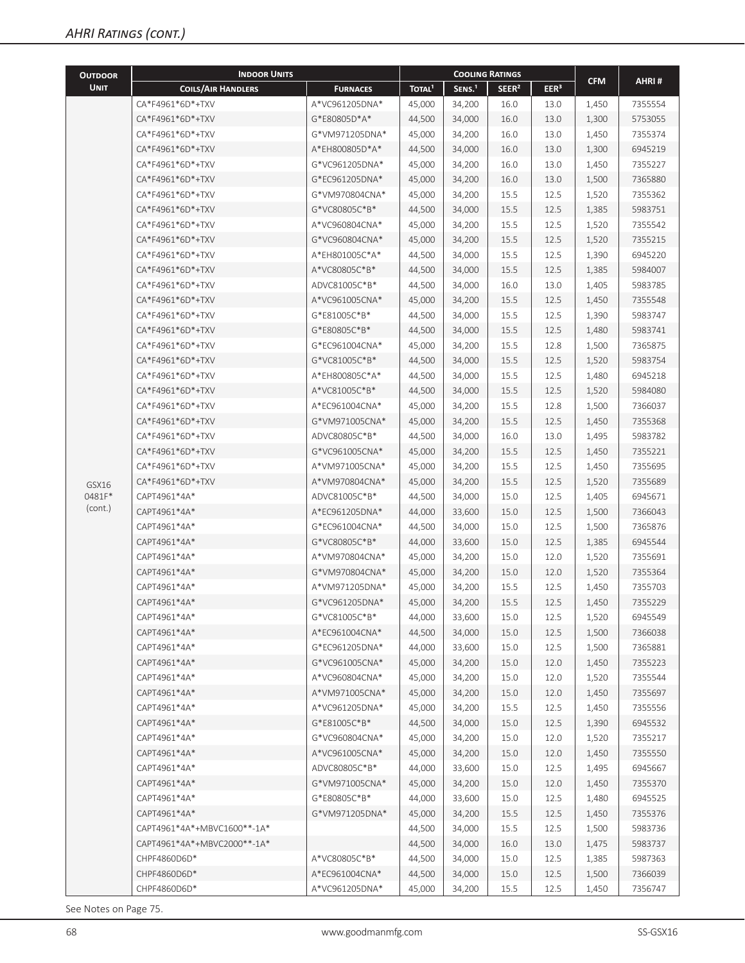| <b>OUTDOOR</b>             | <b>INDOOR UNITS</b>         |                 |                          | <b>COOLING RATINGS</b> |                   |                  |            |         |
|----------------------------|-----------------------------|-----------------|--------------------------|------------------------|-------------------|------------------|------------|---------|
| <b>UNIT</b>                | <b>COILS/AIR HANDLERS</b>   | <b>FURNACES</b> | <b>TOTAL<sup>1</sup></b> | SENS. <sup>1</sup>     | SEER <sup>2</sup> | EER <sup>3</sup> | <b>CFM</b> | AHRI#   |
|                            | CA*F4961*6D*+TXV            | A*VC961205DNA*  | 45,000                   | 34,200                 | 16.0              | 13.0             | 1,450      | 7355554 |
|                            | CA*F4961*6D*+TXV            | G*E80805D*A*    | 44,500                   | 34,000                 | 16.0              | 13.0             | 1,300      | 5753055 |
|                            | CA*F4961*6D*+TXV            | G*VM971205DNA*  | 45,000                   | 34,200                 | 16.0              | 13.0             | 1,450      | 7355374 |
|                            | CA*F4961*6D*+TXV            | A*EH800805D*A*  | 44,500                   | 34,000                 | 16.0              | 13.0             | 1,300      | 6945219 |
|                            | CA*F4961*6D*+TXV            | G*VC961205DNA*  | 45,000                   | 34,200                 | 16.0              | 13.0             | 1,450      | 7355227 |
|                            | CA*F4961*6D*+TXV            | G*EC961205DNA*  | 45,000                   | 34,200                 | 16.0              | 13.0             | 1,500      | 7365880 |
|                            | CA*F4961*6D*+TXV            | G*VM970804CNA*  | 45,000                   | 34,200                 | 15.5              | 12.5             | 1,520      | 7355362 |
|                            | CA*F4961*6D*+TXV            | G*VC80805C*B*   | 44,500                   | 34,000                 | 15.5              | 12.5             | 1,385      | 5983751 |
|                            | CA*F4961*6D*+TXV            | A*VC960804CNA*  | 45,000                   | 34,200                 | 15.5              | 12.5             | 1,520      | 7355542 |
|                            | CA*F4961*6D*+TXV            | G*VC960804CNA*  | 45,000                   | 34,200                 | 15.5              | 12.5             | 1,520      | 7355215 |
|                            | CA*F4961*6D*+TXV            | A*EH801005C*A*  | 44,500                   | 34,000                 | 15.5              | 12.5             | 1,390      | 6945220 |
|                            | CA*F4961*6D*+TXV            | A*VC80805C*B*   | 44,500                   | 34,000                 | 15.5              | 12.5             | 1,385      | 5984007 |
|                            | CA*F4961*6D*+TXV            | ADVC81005C*B*   | 44,500                   | 34,000                 | 16.0              | 13.0             | 1,405      | 5983785 |
|                            | CA*F4961*6D*+TXV            | A*VC961005CNA*  | 45,000                   | 34,200                 | 15.5              | 12.5             | 1,450      | 7355548 |
|                            | CA*F4961*6D*+TXV            | G*E81005C*B*    | 44,500                   | 34,000                 | 15.5              | 12.5             | 1,390      | 5983747 |
|                            | CA*F4961*6D*+TXV            | G*E80805C*B*    | 44,500                   | 34,000                 | 15.5              | 12.5             | 1,480      | 5983741 |
|                            | CA*F4961*6D*+TXV            | G*EC961004CNA*  | 45,000                   | 34,200                 | 15.5              | 12.8             | 1,500      | 7365875 |
|                            | CA*F4961*6D*+TXV            | G*VC81005C*B*   | 44,500                   | 34,000                 | 15.5              | 12.5             | 1,520      | 5983754 |
|                            | CA*F4961*6D*+TXV            | A*EH800805C*A*  | 44,500                   | 34,000                 | 15.5              | 12.5             | 1,480      | 6945218 |
|                            | CA*F4961*6D*+TXV            | A*VC81005C*B*   | 44,500                   | 34,000                 | 15.5              | 12.5             | 1,520      | 5984080 |
|                            | CA*F4961*6D*+TXV            | A*EC961004CNA*  | 45,000                   | 34,200                 | 15.5              | 12.8             | 1,500      | 7366037 |
|                            | CA*F4961*6D*+TXV            | G*VM971005CNA*  | 45,000                   | 34,200                 | 15.5              | 12.5             | 1,450      | 7355368 |
| GSX16<br>0481F*<br>(cont.) | CA*F4961*6D*+TXV            | ADVC80805C*B*   | 44,500                   | 34,000                 | 16.0              | 13.0             | 1,495      | 5983782 |
|                            | CA*F4961*6D*+TXV            | G*VC961005CNA*  | 45,000                   | 34,200                 | 15.5              | 12.5             | 1,450      | 7355221 |
|                            | CA*F4961*6D*+TXV            | A*VM971005CNA*  | 45,000                   | 34,200                 | 15.5              | 12.5             | 1,450      | 7355695 |
|                            | CA*F4961*6D*+TXV            | A*VM970804CNA*  | 45,000                   | 34,200                 | 15.5              | 12.5             | 1,520      | 7355689 |
|                            | CAPT4961*4A*                | ADVC81005C*B*   | 44,500                   | 34,000                 | 15.0              | 12.5             | 1,405      | 6945671 |
|                            | CAPT4961*4A*                | A*EC961205DNA*  | 44,000                   | 33,600                 | 15.0              | 12.5             | 1,500      | 7366043 |
|                            | CAPT4961*4A*                | G*EC961004CNA*  | 44,500                   | 34,000                 | 15.0              | 12.5             | 1,500      | 7365876 |
|                            | CAPT4961*4A*                | G*VC80805C*B*   | 44,000                   | 33,600                 | 15.0              | 12.5             | 1,385      | 6945544 |
|                            | CAPT4961*4A*                | A*VM970804CNA*  | 45,000                   | 34,200                 | 15.0              | 12.0             | 1,520      | 7355691 |
|                            | CAPT4961*4A*                | G*VM970804CNA*  | 45,000                   | 34,200                 | 15.0              | 12.0             | 1,520      | 7355364 |
|                            | CAPT4961*4A*                | A*VM971205DNA*  | 45,000                   | 34,200                 | 15.5              | 12.5             | 1,450      | 7355703 |
|                            | CAPT4961*4A*                | G*VC961205DNA*  | 45,000                   | 34,200                 | 15.5              | 12.5             | 1,450      | 7355229 |
|                            | CAPT4961*4A*                | G*VC81005C*B*   | 44,000                   | 33,600                 | 15.0              | 12.5             | 1,520      | 6945549 |
|                            | CAPT4961*4A*                | A*EC961004CNA*  | 44,500                   | 34,000                 | 15.0              | 12.5             | 1,500      | 7366038 |
|                            | CAPT4961*4A*                | G*EC961205DNA*  | 44,000                   | 33,600                 | 15.0              | 12.5             | 1,500      | 7365881 |
|                            | CAPT4961*4A*                | G*VC961005CNA*  | 45,000                   | 34,200                 | 15.0              | 12.0             | 1,450      | 7355223 |
|                            | CAPT4961*4A*                | A*VC960804CNA*  | 45,000                   | 34,200                 | 15.0              | 12.0             | 1,520      | 7355544 |
|                            | CAPT4961*4A*                | A*VM971005CNA*  | 45,000                   | 34,200                 | 15.0              | 12.0             | 1,450      | 7355697 |
|                            | CAPT4961*4A*                | A*VC961205DNA*  | 45,000                   | 34,200                 | 15.5              | 12.5             | 1,450      | 7355556 |
|                            | CAPT4961*4A*                | G*E81005C*B*    | 44,500                   | 34,000                 | 15.0              | 12.5             | 1,390      | 6945532 |
|                            | CAPT4961*4A*                | G*VC960804CNA*  | 45,000                   | 34,200                 | 15.0              | 12.0             | 1,520      | 7355217 |
|                            | CAPT4961*4A*                | A*VC961005CNA*  | 45,000                   | 34,200                 | 15.0              | 12.0             | 1,450      | 7355550 |
|                            | CAPT4961*4A*                | ADVC80805C*B*   | 44,000                   | 33,600                 | 15.0              | 12.5             | 1,495      | 6945667 |
|                            | CAPT4961*4A*                | G*VM971005CNA*  | 45,000                   | 34,200                 | 15.0              | 12.0             | 1,450      | 7355370 |
|                            | CAPT4961*4A*                | G*E80805C*B*    | 44,000                   | 33,600                 | 15.0              | 12.5             | 1,480      | 6945525 |
|                            | CAPT4961*4A*                | G*VM971205DNA*  | 45,000                   | 34,200                 | 15.5              | 12.5             | 1,450      | 7355376 |
|                            | CAPT4961*4A*+MBVC1600**-1A* |                 | 44,500                   | 34,000                 | 15.5              | 12.5             | 1,500      | 5983736 |
|                            | CAPT4961*4A*+MBVC2000**-1A* |                 | 44,500                   | 34,000                 | 16.0              | 13.0             | 1,475      | 5983737 |
|                            | CHPF4860D6D*                | A*VC80805C*B*   | 44,500                   | 34,000                 | 15.0              | 12.5             | 1,385      | 5987363 |
|                            | CHPF4860D6D*                | A*EC961004CNA*  | 44,500                   | 34,000                 | 15.0              | 12.5             | 1,500      | 7366039 |
|                            | CHPF4860D6D*                | A*VC961205DNA*  | 45,000                   | 34,200                 | 15.5              | 12.5             | 1,450      | 7356747 |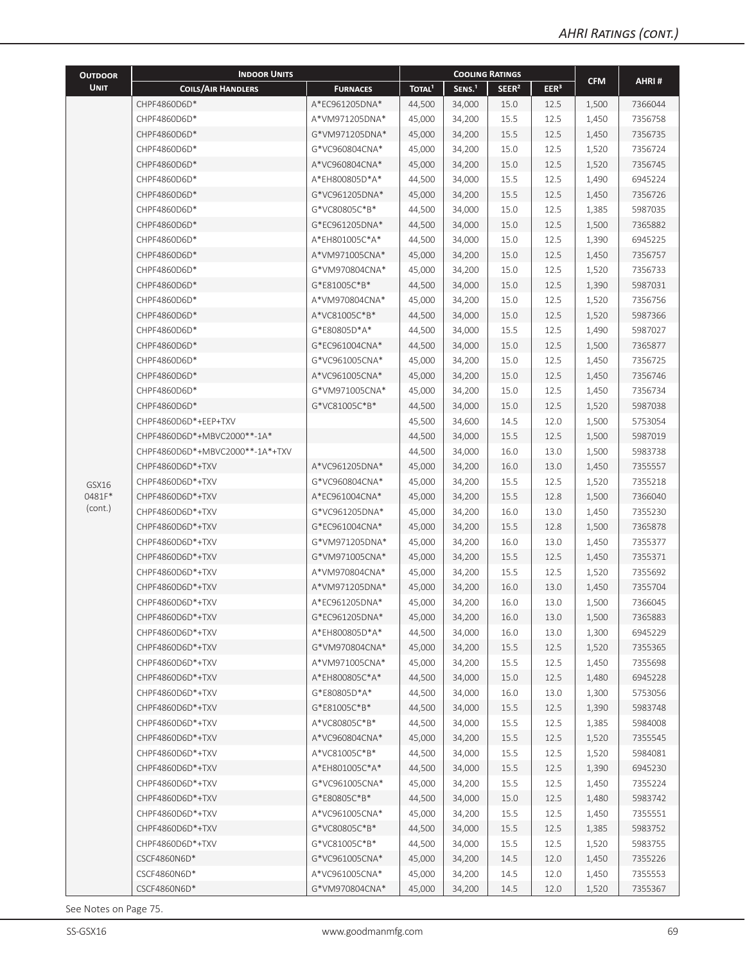| <b>OUTDOOR</b>             | <b>INDOOR UNITS</b>             |                 |                    |                    | <b>COOLING RATINGS</b> |                  |            |         |
|----------------------------|---------------------------------|-----------------|--------------------|--------------------|------------------------|------------------|------------|---------|
| <b>UNIT</b>                | <b>COILS/AIR HANDLERS</b>       | <b>FURNACES</b> | TOTAL <sup>1</sup> | SENS. <sup>1</sup> | SEER <sup>2</sup>      | EER <sup>3</sup> | <b>CFM</b> | AHRI#   |
|                            | CHPF4860D6D*                    | A*EC961205DNA*  | 44,500             | 34,000             | 15.0                   | 12.5             | 1,500      | 7366044 |
|                            | CHPF4860D6D*                    | A*VM971205DNA*  | 45,000             | 34,200             | 15.5                   | 12.5             | 1,450      | 7356758 |
|                            | CHPF4860D6D*                    | G*VM971205DNA*  | 45,000             | 34,200             | 15.5                   | 12.5             | 1,450      | 7356735 |
|                            | CHPF4860D6D*                    | G*VC960804CNA*  | 45,000             | 34,200             | 15.0                   | 12.5             | 1,520      | 7356724 |
|                            | CHPF4860D6D*                    | A*VC960804CNA*  | 45,000             | 34,200             | 15.0                   | 12.5             | 1,520      | 7356745 |
|                            | CHPF4860D6D*                    | A*EH800805D*A*  | 44,500             | 34,000             | 15.5                   | 12.5             | 1,490      | 6945224 |
|                            | CHPF4860D6D*                    | G*VC961205DNA*  | 45,000             | 34,200             | 15.5                   | 12.5             | 1,450      | 7356726 |
|                            | CHPF4860D6D*                    | G*VC80805C*B*   | 44,500             | 34,000             | 15.0                   | 12.5             | 1,385      | 5987035 |
|                            | CHPF4860D6D*                    | G*EC961205DNA*  | 44,500             | 34,000             | 15.0                   | 12.5             | 1,500      | 7365882 |
|                            | CHPF4860D6D*                    | A*EH801005C*A*  | 44,500             | 34,000             | 15.0                   | 12.5             | 1,390      | 6945225 |
|                            | CHPF4860D6D*                    | A*VM971005CNA*  | 45,000             | 34,200             | 15.0                   | 12.5             | 1,450      | 7356757 |
|                            | CHPF4860D6D*                    | G*VM970804CNA*  | 45,000             | 34,200             | 15.0                   | 12.5             | 1,520      | 7356733 |
|                            | CHPF4860D6D*                    | G*E81005C*B*    | 44,500             | 34,000             | 15.0                   | 12.5             | 1,390      | 5987031 |
|                            | CHPF4860D6D*                    | A*VM970804CNA*  | 45,000             | 34,200             | 15.0                   | 12.5             | 1,520      | 7356756 |
|                            | CHPF4860D6D*                    | A*VC81005C*B*   | 44,500             | 34,000             | 15.0                   | 12.5             | 1,520      | 5987366 |
|                            | CHPF4860D6D*                    | G*E80805D*A*    | 44,500             | 34,000             | 15.5                   | 12.5             | 1,490      | 5987027 |
|                            | CHPF4860D6D*                    | G*EC961004CNA*  | 44,500             | 34,000             | 15.0                   | 12.5             | 1,500      | 7365877 |
|                            | CHPF4860D6D*                    | G*VC961005CNA*  | 45,000             | 34,200             | 15.0                   | 12.5             | 1,450      | 7356725 |
|                            | CHPF4860D6D*                    | A*VC961005CNA*  | 45,000             | 34,200             | 15.0                   | 12.5             | 1,450      | 7356746 |
|                            | CHPF4860D6D*                    | G*VM971005CNA*  | 45,000             | 34,200             | 15.0                   | 12.5             | 1,450      | 7356734 |
|                            | CHPF4860D6D*                    | G*VC81005C*B*   | 44,500             | 34,000             | 15.0                   | 12.5             | 1,520      | 5987038 |
|                            | CHPF4860D6D*+EEP+TXV            |                 | 45,500             | 34,600             | 14.5                   | 12.0             | 1,500      | 5753054 |
| GSX16<br>0481F*<br>(cont.) | CHPF4860D6D*+MBVC2000**-1A*     |                 | 44,500             | 34,000             | 15.5                   | 12.5             | 1,500      | 5987019 |
|                            | CHPF4860D6D*+MBVC2000**-1A*+TXV |                 | 44,500             | 34,000             | 16.0                   | 13.0             | 1,500      | 5983738 |
|                            | CHPF4860D6D*+TXV                | A*VC961205DNA*  | 45,000             | 34,200             | 16.0                   | 13.0             | 1,450      | 7355557 |
|                            | CHPF4860D6D*+TXV                | G*VC960804CNA*  | 45,000             | 34,200             | 15.5                   | 12.5             | 1,520      | 7355218 |
|                            | CHPF4860D6D*+TXV                | A*EC961004CNA*  | 45,000             | 34,200             | 15.5                   | 12.8             | 1,500      | 7366040 |
|                            | CHPF4860D6D*+TXV                | G*VC961205DNA*  | 45,000             | 34,200             | 16.0                   | 13.0             | 1,450      | 7355230 |
|                            | CHPF4860D6D*+TXV                | G*EC961004CNA*  | 45,000             | 34,200             | 15.5                   | 12.8             | 1,500      | 7365878 |
|                            | CHPF4860D6D*+TXV                | G*VM971205DNA*  | 45,000             | 34,200             | 16.0                   | 13.0             | 1,450      | 7355377 |
|                            | CHPF4860D6D*+TXV                | G*VM971005CNA*  | 45,000             | 34,200             | 15.5                   | 12.5             | 1,450      | 7355371 |
|                            | CHPF4860D6D*+TXV                | A*VM970804CNA*  | 45,000             | 34,200             | 15.5                   | 12.5             | 1,520      | 7355692 |
|                            | CHPF4860D6D*+TXV                | A*VM971205DNA*  | 45,000             | 34,200             | 16.0                   | 13.0             | 1,450      | 7355704 |
|                            | CHPF4860D6D*+TXV                | A*EC961205DNA*  | 45,000             | 34,200             | 16.0                   | 13.0             | 1,500      | 7366045 |
|                            | CHPF4860D6D*+TXV                | G*EC961205DNA*  | 45,000             | 34,200             | 16.0                   | 13.0             | 1,500      | 7365883 |
|                            | CHPF4860D6D*+TXV                | A*EH800805D*A*  | 44,500             | 34,000             | 16.0                   | 13.0             | 1,300      | 6945229 |
|                            | CHPF4860D6D*+TXV                | G*VM970804CNA*  | 45,000             | 34,200             | 15.5                   | 12.5             | 1,520      | 7355365 |
|                            | CHPF4860D6D*+TXV                | A*VM971005CNA*  | 45,000             | 34,200             | 15.5                   | 12.5             | 1,450      | 7355698 |
|                            | CHPF4860D6D*+TXV                | A*EH800805C*A*  | 44,500             | 34,000             | 15.0                   | 12.5             | 1,480      | 6945228 |
|                            | CHPF4860D6D*+TXV                | G*E80805D*A*    | 44,500             | 34,000             | 16.0                   | 13.0             | 1,300      | 5753056 |
|                            | CHPF4860D6D*+TXV                | G*E81005C*B*    | 44,500             | 34,000             | 15.5                   | 12.5             | 1,390      | 5983748 |
|                            | CHPF4860D6D*+TXV                | A*VC80805C*B*   | 44,500             | 34,000             | 15.5                   | 12.5             | 1,385      | 5984008 |
|                            | CHPF4860D6D*+TXV                | A*VC960804CNA*  | 45,000             | 34,200             | 15.5                   | 12.5             | 1,520      | 7355545 |
|                            | CHPF4860D6D*+TXV                | A*VC81005C*B*   | 44,500             | 34,000             | 15.5                   | 12.5             | 1,520      | 5984081 |
|                            | CHPF4860D6D*+TXV                | A*EH801005C*A*  | 44,500             | 34,000             | 15.5                   | 12.5             | 1,390      | 6945230 |
|                            | CHPF4860D6D*+TXV                | G*VC961005CNA*  | 45,000             | 34,200             | 15.5                   | 12.5             | 1,450      | 7355224 |
|                            | CHPF4860D6D*+TXV                | G*E80805C*B*    | 44,500             | 34,000             | 15.0                   | 12.5             | 1,480      | 5983742 |
|                            | CHPF4860D6D*+TXV                | A*VC961005CNA*  | 45,000             | 34,200             | 15.5                   | 12.5             | 1,450      | 7355551 |
|                            | CHPF4860D6D*+TXV                | G*VC80805C*B*   | 44,500             | 34,000             | 15.5                   | 12.5             | 1,385      | 5983752 |
|                            | CHPF4860D6D*+TXV                | G*VC81005C*B*   | 44,500             | 34,000             | 15.5                   | 12.5             | 1,520      | 5983755 |
|                            | CSCF4860N6D*                    | G*VC961005CNA*  | 45,000             | 34,200             | 14.5                   | 12.0             | 1,450      | 7355226 |
|                            | CSCF4860N6D*                    | A*VC961005CNA*  | 45,000             | 34,200             | 14.5                   | 12.0             | 1,450      | 7355553 |
|                            | CSCF4860N6D*                    | G*VM970804CNA*  | 45,000             | 34,200             | 14.5                   | 12.0             | 1,520      | 7355367 |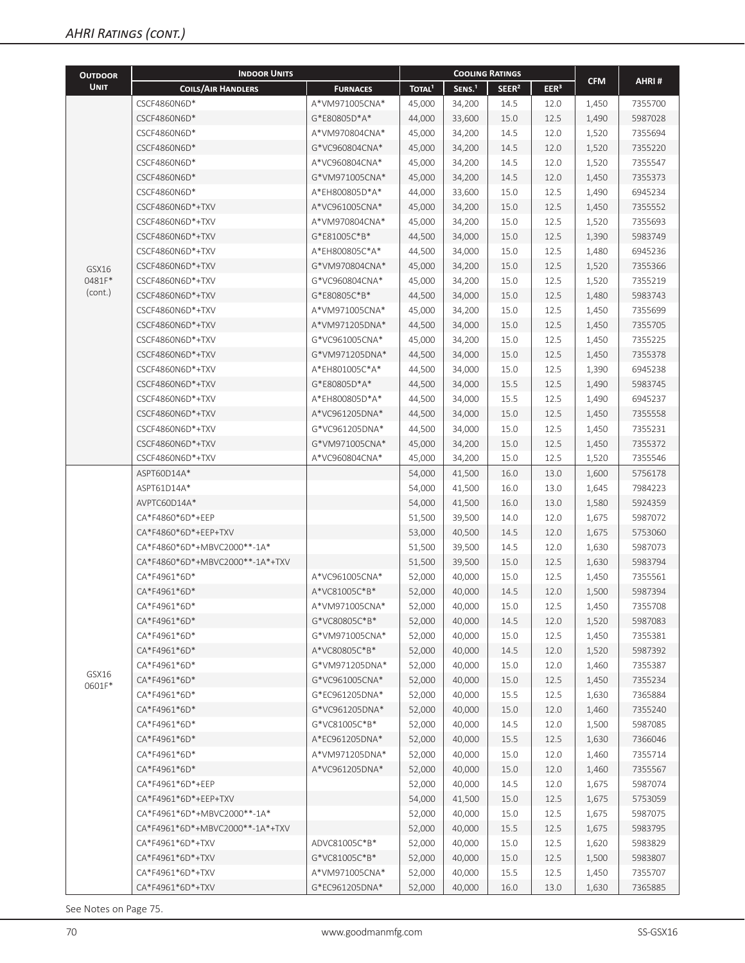| <b>OUTDOOR</b>  | <b>INDOOR UNITS</b>                  |                                  |                    |                    | <b>COOLING RATINGS</b> |                  |                |                    |
|-----------------|--------------------------------------|----------------------------------|--------------------|--------------------|------------------------|------------------|----------------|--------------------|
| <b>UNIT</b>     | <b>COILS/AIR HANDLERS</b>            | <b>FURNACES</b>                  | TOTAL <sup>1</sup> | SENS. <sup>1</sup> | SEER <sup>2</sup>      | EER <sup>3</sup> | <b>CFM</b>     | AHRI#              |
|                 | CSCF4860N6D*                         | A*VM971005CNA*                   | 45,000             | 34,200             | 14.5                   | 12.0             | 1,450          | 7355700            |
|                 | CSCF4860N6D*                         | G*E80805D*A*                     | 44,000             | 33,600             | 15.0                   | 12.5             | 1,490          | 5987028            |
|                 | CSCF4860N6D*                         | A*VM970804CNA*                   | 45,000             | 34,200             | 14.5                   | 12.0             | 1,520          | 7355694            |
|                 | CSCF4860N6D*                         | G*VC960804CNA*                   | 45,000             | 34,200             | 14.5                   | 12.0             | 1,520          | 7355220            |
|                 | CSCF4860N6D*                         | A*VC960804CNA*                   | 45,000             | 34,200             | 14.5                   | 12.0             | 1,520          | 7355547            |
|                 | CSCF4860N6D*                         | G*VM971005CNA*                   | 45,000             | 34,200             | 14.5                   | 12.0             | 1,450          | 7355373            |
|                 | CSCF4860N6D*                         | A*EH800805D*A*                   | 44,000             | 33,600             | 15.0                   | 12.5             | 1,490          | 6945234            |
|                 | CSCF4860N6D*+TXV                     | A*VC961005CNA*                   | 45,000             | 34,200             | 15.0                   | 12.5             | 1,450          | 7355552            |
|                 | CSCF4860N6D*+TXV                     | A*VM970804CNA*                   | 45,000             | 34,200             | 15.0                   | 12.5             | 1,520          | 7355693            |
|                 | CSCF4860N6D*+TXV                     | G*E81005C*B*                     | 44,500             | 34,000             | 15.0                   | 12.5             | 1,390          | 5983749            |
|                 | CSCF4860N6D*+TXV                     | A*EH800805C*A*                   | 44,500             | 34,000             | 15.0                   | 12.5             | 1,480          | 6945236            |
|                 | CSCF4860N6D*+TXV                     | G*VM970804CNA*                   | 45,000             | 34,200             | 15.0                   | 12.5             | 1,520          | 7355366            |
| GSX16<br>0481F* | CSCF4860N6D*+TXV                     | G*VC960804CNA*                   | 45,000             | 34,200             | 15.0                   | 12.5             | 1,520          | 7355219            |
| (cont.)         | CSCF4860N6D*+TXV                     | G*E80805C*B*                     | 44,500             | 34,000             | 15.0                   | 12.5             | 1,480          | 5983743            |
|                 | CSCF4860N6D*+TXV                     | A*VM971005CNA*                   | 45,000             | 34,200             | 15.0                   | 12.5             | 1,450          | 7355699            |
|                 | CSCF4860N6D*+TXV                     | A*VM971205DNA*                   | 44,500             | 34,000             | 15.0                   | 12.5             | 1,450          | 7355705            |
|                 | CSCF4860N6D*+TXV                     | G*VC961005CNA*                   | 45,000             | 34,200             | 15.0                   | 12.5             | 1,450          | 7355225            |
|                 | CSCF4860N6D*+TXV                     | G*VM971205DNA*                   | 44,500             | 34,000             | 15.0                   | 12.5             | 1,450          | 7355378            |
|                 | CSCF4860N6D*+TXV                     | A*EH801005C*A*                   | 44,500             | 34,000             | 15.0                   | 12.5             | 1,390          | 6945238            |
|                 | CSCF4860N6D*+TXV                     | G*E80805D*A*                     | 44,500             | 34,000             | 15.5                   | 12.5             | 1,490          | 5983745            |
|                 | CSCF4860N6D*+TXV                     | A*EH800805D*A*                   | 44,500             | 34,000             | 15.5                   | 12.5             | 1,490          | 6945237            |
|                 | CSCF4860N6D*+TXV                     | A*VC961205DNA*                   | 44,500             | 34,000             | 15.0                   | 12.5             | 1,450          | 7355558            |
|                 |                                      |                                  |                    |                    |                        |                  |                |                    |
|                 | CSCF4860N6D*+TXV                     | G*VC961205DNA*                   | 44,500             | 34,000             | 15.0                   | 12.5             | 1,450          | 7355231            |
|                 | CSCF4860N6D*+TXV<br>CSCF4860N6D*+TXV | G*VM971005CNA*<br>A*VC960804CNA* | 45,000             | 34,200             | 15.0                   | 12.5             | 1,450          | 7355372<br>7355546 |
|                 | ASPT60D14A*                          |                                  | 45,000<br>54,000   | 34,200<br>41,500   | 15.0<br>16.0           | 12.5<br>13.0     | 1,520<br>1,600 | 5756178            |
|                 | ASPT61D14A*                          |                                  | 54,000             | 41,500             | 16.0                   | 13.0             | 1,645          | 7984223            |
|                 | AVPTC60D14A*                         |                                  | 54,000             | 41,500             | 16.0                   | 13.0             | 1,580          | 5924359            |
|                 | CA*F4860*6D*+EEP                     |                                  | 51,500             | 39,500             | 14.0                   | 12.0             | 1,675          | 5987072            |
|                 | CA*F4860*6D*+EEP+TXV                 |                                  | 53,000             | 40,500             | 14.5                   | 12.0             | 1,675          | 5753060            |
|                 | CA*F4860*6D*+MBVC2000**-1A*          |                                  | 51,500             | 39,500             | 14.5                   | 12.0             |                | 5987073            |
|                 | CA*F4860*6D*+MBVC2000**-1A*+TXV      |                                  |                    |                    | 15.0                   | 12.5             | 1,630          | 5983794            |
|                 | CA*F4961*6D*                         | A*VC961005CNA*                   | 51,500<br>52,000   | 39,500<br>40,000   | 15.0                   | 12.5             | 1,630          | 7355561            |
|                 |                                      |                                  |                    |                    |                        |                  | 1,450          |                    |
|                 | CA*F4961*6D*<br>CA*F4961*6D*         | A*VC81005C*B*                    | 52,000             | 40,000             | 14.5                   | 12.0<br>12.5     | 1,500          | 5987394            |
|                 |                                      | A*VM971005CNA*<br>G*VC80805C*B*  | 52,000             | 40,000             | $15.0\,$               |                  | 1,450          | 7355708            |
|                 | CA*F4961*6D*                         | G*VM971005CNA*                   | 52,000             | 40,000             | 14.5                   | 12.0             | 1,520          | 5987083            |
|                 | CA*F4961*6D*                         |                                  | 52,000             | 40,000             | 15.0                   | 12.5             | 1,450          | 7355381            |
|                 | CA*F4961*6D*                         | A*VC80805C*B*                    | 52,000             | 40,000             | 14.5                   | 12.0             | 1,520          | 5987392            |
| GSX16           | CA*F4961*6D*                         | G*VM971205DNA*                   | 52,000             | 40,000             | 15.0                   | 12.0             | 1,460          | 7355387            |
| 0601F*          | CA*F4961*6D*                         | G*VC961005CNA*                   | 52,000             | 40,000             | 15.0                   | 12.5             | 1,450          | 7355234            |
|                 | CA*F4961*6D*                         | G*EC961205DNA*                   | 52,000             | 40,000             | 15.5                   | 12.5             | 1,630          | 7365884            |
|                 | CA*F4961*6D*                         | G*VC961205DNA*                   | 52,000             | 40,000             | 15.0                   | 12.0             | 1,460          | 7355240            |
|                 | CA*F4961*6D*                         | G*VC81005C*B*                    | 52,000             | 40,000             | 14.5                   | 12.0             | 1,500          | 5987085            |
|                 | CA*F4961*6D*                         | A*EC961205DNA*                   | 52,000             | 40,000             | 15.5                   | 12.5             | 1,630          | 7366046            |
|                 | CA*F4961*6D*                         | A*VM971205DNA*                   | 52,000             | 40,000             | 15.0                   | 12.0             | 1,460          | 7355714            |
|                 | CA*F4961*6D*                         | A*VC961205DNA*                   | 52,000             | 40,000             | 15.0                   | 12.0             | 1,460          | 7355567            |
|                 | CA*F4961*6D*+EEP                     |                                  | 52,000             | 40,000             | 14.5                   | 12.0             | 1,675          | 5987074            |
|                 | CA*F4961*6D*+EEP+TXV                 |                                  | 54,000             | 41,500             | 15.0                   | 12.5             | 1,675          | 5753059            |
|                 | CA*F4961*6D*+MBVC2000**-1A*          |                                  | 52,000             | 40,000             | 15.0                   | 12.5             | 1,675          | 5987075            |
|                 | CA*F4961*6D*+MBVC2000**-1A*+TXV      |                                  | 52,000             | 40,000             | 15.5                   | 12.5             | 1,675          | 5983795            |
|                 | CA*F4961*6D*+TXV                     | ADVC81005C*B*                    | 52,000             | 40,000             | 15.0                   | 12.5             | 1,620          | 5983829            |
|                 | CA*F4961*6D*+TXV                     | G*VC81005C*B*                    | 52,000             | 40,000             | 15.0                   | 12.5             | 1,500          | 5983807            |
|                 | CA*F4961*6D*+TXV                     | A*VM971005CNA*                   | 52,000             | 40,000             | 15.5                   | 12.5             | 1,450          | 7355707            |
|                 | CA*F4961*6D*+TXV                     | G*EC961205DNA*                   | 52,000             | 40,000             | 16.0                   | 13.0             | 1,630          | 7365885            |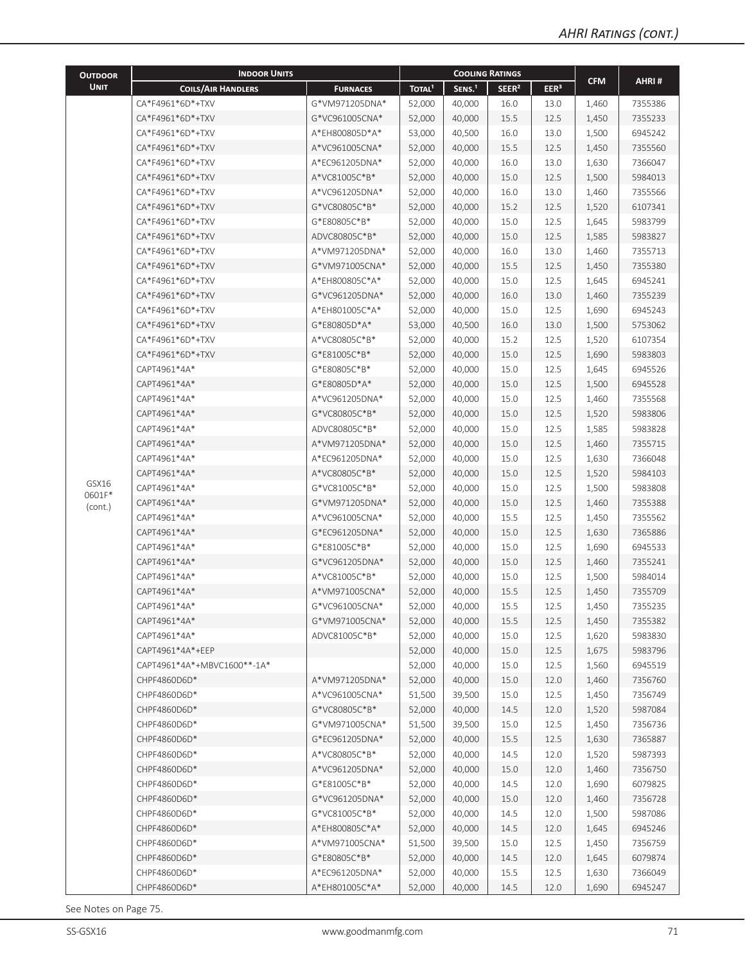| <b>INDOOR UNITS</b><br><b>COOLING RATINGS</b><br><b>OUTDOOR</b>                                                              |                  |            |         |
|------------------------------------------------------------------------------------------------------------------------------|------------------|------------|---------|
| <b>UNIT</b><br>TOTAL <sup>1</sup><br>SENS. <sup>1</sup><br>SEER <sup>2</sup><br><b>COILS/AIR HANDLERS</b><br><b>FURNACES</b> | EER <sup>3</sup> | <b>CFM</b> | AHRI#   |
| CA*F4961*6D*+TXV<br>G*VM971205DNA*<br>52,000<br>40,000<br>16.0                                                               | 13.0             | 1,460      | 7355386 |
| G*VC961005CNA*<br>40,000<br>15.5<br>CA*F4961*6D*+TXV<br>52,000                                                               | 12.5             | 1,450      | 7355233 |
| CA*F4961*6D*+TXV<br>A*EH800805D*A*<br>53,000<br>40,500<br>16.0                                                               | 13.0             | 1,500      | 6945242 |
| A*VC961005CNA*<br>52,000<br>CA*F4961*6D*+TXV<br>40,000<br>15.5                                                               | 12.5             | 1,450      | 7355560 |
| CA*F4961*6D*+TXV<br>A*EC961205DNA*<br>52,000<br>40,000<br>16.0                                                               | 13.0             | 1,630      | 7366047 |
| CA*F4961*6D*+TXV<br>A*VC81005C*B*<br>52,000<br>40,000<br>15.0                                                                | 12.5             | 1,500      | 5984013 |
| CA*F4961*6D*+TXV<br>A*VC961205DNA*<br>52,000<br>40,000<br>16.0                                                               | 13.0             | 1,460      | 7355566 |
| CA*F4961*6D*+TXV<br>G*VC80805C*B*<br>52,000<br>40,000<br>15.2                                                                | 12.5             | 1,520      | 6107341 |
| CA*F4961*6D*+TXV<br>G*E80805C*B*<br>52,000<br>40,000<br>15.0                                                                 | 12.5             | 1,645      | 5983799 |
| CA*F4961*6D*+TXV<br>ADVC80805C*B*<br>52,000<br>40,000<br>15.0                                                                | 12.5             | 1,585      | 5983827 |
| CA*F4961*6D*+TXV<br>A*VM971205DNA*<br>52,000<br>40,000<br>16.0                                                               | 13.0             | 1,460      | 7355713 |
| CA*F4961*6D*+TXV<br>G*VM971005CNA*<br>52,000<br>40,000<br>15.5                                                               | 12.5             | 1,450      | 7355380 |
| CA*F4961*6D*+TXV<br>A*EH800805C*A*<br>52,000<br>40,000<br>15.0                                                               | 12.5             | 1,645      | 6945241 |
| CA*F4961*6D*+TXV<br>G*VC961205DNA*<br>40,000<br>52,000<br>16.0                                                               | 13.0             | 1,460      | 7355239 |
| CA*F4961*6D*+TXV<br>A*EH801005C*A*<br>52,000<br>40,000<br>15.0                                                               | 12.5             | 1,690      | 6945243 |
| CA*F4961*6D*+TXV<br>G*E80805D*A*<br>40,500<br>53,000<br>16.0                                                                 | 13.0             | 1,500      | 5753062 |
| CA*F4961*6D*+TXV<br>A*VC80805C*B*<br>40,000<br>52,000<br>15.2                                                                | 12.5             | 1,520      | 6107354 |
| CA*F4961*6D*+TXV<br>G*E81005C*B*<br>52,000<br>40,000<br>15.0                                                                 | 12.5             | 1,690      | 5983803 |
| CAPT4961*4A*<br>G*E80805C*B*<br>52,000<br>40,000<br>15.0                                                                     | 12.5             | 1,645      | 6945526 |
| CAPT4961*4A*<br>G*E80805D*A*<br>52,000<br>40,000<br>15.0                                                                     | 12.5             | 1,500      | 6945528 |
| CAPT4961*4A*<br>A*VC961205DNA*<br>52,000<br>40,000<br>15.0                                                                   | 12.5             | 1,460      | 7355568 |
| CAPT4961*4A*<br>G*VC80805C*B*<br>52,000<br>40,000<br>15.0                                                                    | 12.5             | 1,520      | 5983806 |
| CAPT4961*4A*<br>ADVC80805C*B*<br>52,000<br>40,000<br>15.0                                                                    | 12.5             | 1,585      | 5983828 |
| CAPT4961*4A*<br>A*VM971205DNA*<br>40,000<br>15.0<br>52,000                                                                   | 12.5             | 1,460      | 7355715 |
| CAPT4961*4A*<br>A*EC961205DNA*<br>52,000<br>40,000<br>15.0                                                                   | 12.5             | 1,630      | 7366048 |
| CAPT4961*4A*<br>A*VC80805C*B*<br>52,000<br>40,000<br>15.0                                                                    | 12.5             | 1,520      | 5984103 |
| GSX16<br>CAPT4961*4A*<br>G*VC81005C*B*<br>52,000<br>40,000<br>15.0                                                           | 12.5             | 1,500      | 5983808 |
| 0601F*<br>CAPT4961*4A*<br>G*VM971205DNA*<br>52,000<br>40,000<br>15.0                                                         | 12.5             | 1,460      | 7355388 |
| (cont.)<br>CAPT4961*4A*<br>A*VC961005CNA*<br>52,000<br>40,000<br>15.5                                                        | 12.5             | 1,450      | 7355562 |
| CAPT4961*4A*<br>G*EC961205DNA*<br>52,000<br>40,000<br>15.0                                                                   | 12.5             | 1,630      | 7365886 |
| CAPT4961*4A*<br>G*E81005C*B*<br>52,000<br>40,000<br>15.0                                                                     | 12.5             | 1,690      | 6945533 |
| CAPT4961*4A*<br>G*VC961205DNA*<br>52,000<br>40,000<br>15.0                                                                   | 12.5             | 1,460      | 7355241 |
| CAPT4961*4A*<br>A*VC81005C*B*<br>52,000<br>40,000<br>15.0                                                                    | 12.5             | 1,500      | 5984014 |
| CAPT4961*4A*<br>A*VM971005CNA*<br>52,000<br>40,000<br>15.5                                                                   | 12.5             | 1,450      | 7355709 |
| 15.5<br>CAPT4961*4A*<br>G*VC961005CNA*<br>52,000<br>40,000                                                                   | 12.5             | 1,450      | 7355235 |
| CAPT4961*4A*<br>G*VM971005CNA*<br>52,000<br>40,000<br>15.5                                                                   | 12.5             | 1,450      | 7355382 |
| CAPT4961*4A*<br>ADVC81005C*B*<br>52,000<br>40,000<br>15.0                                                                    | 12.5             | 1,620      | 5983830 |
| CAPT4961*4A*+EEP<br>52,000<br>40,000<br>15.0                                                                                 | 12.5             | 1,675      | 5983796 |
| CAPT4961*4A*+MBVC1600**-1A*<br>52,000<br>40,000<br>15.0                                                                      | 12.5             | 1,560      | 6945519 |
| 52,000<br>40,000<br>CHPF4860D6D*<br>A*VM971205DNA*<br>15.0                                                                   | 12.0             | 1,460      | 7356760 |
| CHPF4860D6D*<br>A*VC961005CNA*<br>51,500<br>39,500<br>15.0                                                                   | 12.5             | 1,450      | 7356749 |
| CHPF4860D6D*<br>G*VC80805C*B*<br>52,000<br>40,000<br>14.5                                                                    | 12.0             | 1,520      | 5987084 |
| CHPF4860D6D*<br>G*VM971005CNA*<br>51,500<br>39,500<br>15.0                                                                   | 12.5             | 1,450      | 7356736 |
| CHPF4860D6D*<br>G*EC961205DNA*<br>52,000<br>40,000<br>15.5                                                                   | 12.5             | 1,630      | 7365887 |
| CHPF4860D6D*<br>A*VC80805C*B*<br>52,000<br>40,000<br>14.5                                                                    | 12.0             | 1,520      | 5987393 |
| CHPF4860D6D*<br>A*VC961205DNA*<br>52,000<br>40,000<br>15.0                                                                   | 12.0             | 1,460      | 7356750 |
| CHPF4860D6D*<br>G*E81005C*B*<br>52,000<br>40,000<br>14.5                                                                     | 12.0             | 1,690      | 6079825 |
| 40,000<br>CHPF4860D6D*<br>G*VC961205DNA*<br>52,000<br>15.0                                                                   | 12.0             | 1,460      | 7356728 |
| CHPF4860D6D*<br>G*VC81005C*B*<br>52,000<br>40,000<br>14.5                                                                    | 12.0             | 1,500      | 5987086 |
| CHPF4860D6D*<br>A*EH800805C*A*<br>52,000<br>40,000<br>14.5                                                                   | 12.0             | 1,645      | 6945246 |
| CHPF4860D6D*<br>A*VM971005CNA*<br>51,500<br>39,500<br>15.0                                                                   | 12.5             | 1,450      | 7356759 |
| CHPF4860D6D*<br>G*E80805C*B*<br>52,000<br>40,000<br>14.5                                                                     | 12.0             | 1,645      | 6079874 |
| CHPF4860D6D*<br>A*EC961205DNA*<br>52,000<br>40,000<br>15.5                                                                   | 12.5             | 1,630      | 7366049 |
| CHPF4860D6D*<br>A*EH801005C*A*<br>40,000<br>14.5<br>52,000                                                                   | 12.0             | 1,690      | 6945247 |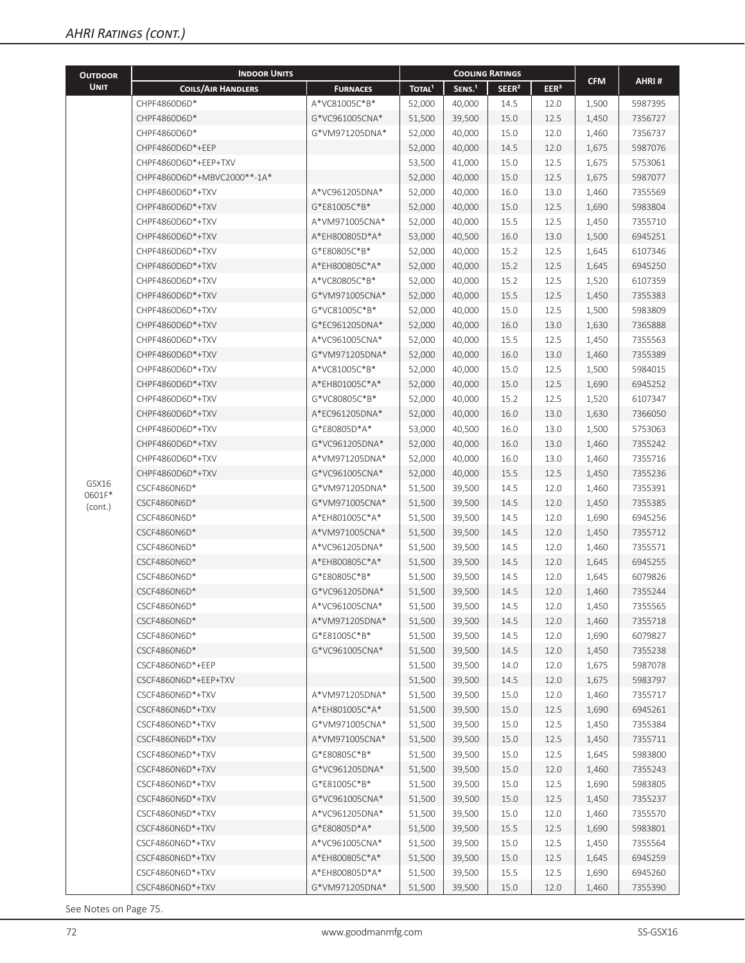| <b>OUTDOOR</b>  | <b>INDOOR UNITS</b>         |                 |                    |                    | <b>COOLING RATINGS</b> |                  |            |         |
|-----------------|-----------------------------|-----------------|--------------------|--------------------|------------------------|------------------|------------|---------|
| <b>UNIT</b>     | <b>COILS/AIR HANDLERS</b>   | <b>FURNACES</b> | TOTAL <sup>1</sup> | SENS. <sup>1</sup> | SEER <sup>2</sup>      | EER <sup>3</sup> | <b>CFM</b> | AHRI#   |
|                 | CHPF4860D6D*                | A*VC81005C*B*   | 52,000             | 40,000             | 14.5                   | 12.0             | 1,500      | 5987395 |
|                 | CHPF4860D6D*                | G*VC961005CNA*  | 51,500             | 39,500             | 15.0                   | 12.5             | 1,450      | 7356727 |
|                 | CHPF4860D6D*                | G*VM971205DNA*  | 52,000             | 40,000             | 15.0                   | 12.0             | 1,460      | 7356737 |
|                 | CHPF4860D6D*+EEP            |                 | 52,000             | 40,000             | 14.5                   | 12.0             | 1,675      | 5987076 |
|                 | CHPF4860D6D*+EEP+TXV        |                 | 53,500             | 41,000             | 15.0                   | 12.5             | 1,675      | 5753061 |
|                 | CHPF4860D6D*+MBVC2000**-1A* |                 | 52,000             | 40,000             | 15.0                   | 12.5             | 1,675      | 5987077 |
|                 | CHPF4860D6D*+TXV            | A*VC961205DNA*  | 52,000             | 40,000             | 16.0                   | 13.0             | 1,460      | 7355569 |
|                 | CHPF4860D6D*+TXV            | G*E81005C*B*    | 52,000             | 40,000             | 15.0                   | 12.5             | 1,690      | 5983804 |
|                 | CHPF4860D6D*+TXV            | A*VM971005CNA*  | 52,000             | 40,000             | 15.5                   | 12.5             | 1,450      | 7355710 |
|                 | CHPF4860D6D*+TXV            | A*EH800805D*A*  | 53,000             | 40,500             | 16.0                   | 13.0             | 1,500      | 6945251 |
|                 | CHPF4860D6D*+TXV            | G*E80805C*B*    | 52,000             | 40,000             | 15.2                   | 12.5             | 1,645      | 6107346 |
|                 | CHPF4860D6D*+TXV            | A*EH800805C*A*  | 52,000             | 40,000             | 15.2                   | 12.5             | 1,645      | 6945250 |
|                 | CHPF4860D6D*+TXV            | A*VC80805C*B*   | 52,000             | 40,000             | 15.2                   | 12.5             | 1,520      | 6107359 |
|                 | CHPF4860D6D*+TXV            | G*VM971005CNA*  | 52,000             | 40,000             | 15.5                   | 12.5             | 1,450      | 7355383 |
|                 | CHPF4860D6D*+TXV            | G*VC81005C*B*   | 52,000             | 40,000             | 15.0                   | 12.5             | 1,500      | 5983809 |
|                 | CHPF4860D6D*+TXV            | G*EC961205DNA*  | 52,000             | 40,000             | 16.0                   | 13.0             | 1,630      | 7365888 |
|                 | CHPF4860D6D*+TXV            | A*VC961005CNA*  | 52,000             | 40,000             | 15.5                   | 12.5             | 1,450      | 7355563 |
|                 | CHPF4860D6D*+TXV            | G*VM971205DNA*  | 52,000             | 40,000             | 16.0                   | 13.0             | 1,460      | 7355389 |
|                 | CHPF4860D6D*+TXV            | A*VC81005C*B*   | 52,000             | 40,000             | 15.0                   | 12.5             | 1,500      | 5984015 |
|                 | CHPF4860D6D*+TXV            | A*EH801005C*A*  | 52,000             | 40,000             | 15.0                   | 12.5             | 1,690      | 6945252 |
|                 | CHPF4860D6D*+TXV            | G*VC80805C*B*   | 52,000             | 40,000             | 15.2                   | 12.5             | 1,520      | 6107347 |
|                 | CHPF4860D6D*+TXV            | A*EC961205DNA*  | 52,000             | 40,000             | 16.0                   | 13.0             | 1,630      | 7366050 |
|                 | CHPF4860D6D*+TXV            | G*E80805D*A*    | 53,000             | 40,500             | 16.0                   | 13.0             | 1,500      | 5753063 |
|                 | CHPF4860D6D*+TXV            | G*VC961205DNA*  | 52,000             | 40,000             | 16.0                   | 13.0             | 1,460      | 7355242 |
|                 | CHPF4860D6D*+TXV            | A*VM971205DNA*  | 52,000             | 40,000             | 16.0                   | 13.0             | 1,460      | 7355716 |
|                 | CHPF4860D6D*+TXV            | G*VC961005CNA*  | 52,000             | 40,000             | 15.5                   | 12.5             | 1,450      | 7355236 |
| GSX16<br>0601F* | CSCF4860N6D*                | G*VM971205DNA*  | 51,500             | 39,500             | 14.5                   | 12.0             | 1,460      | 7355391 |
|                 | CSCF4860N6D*                | G*VM971005CNA*  | 51,500             | 39,500             | 14.5                   | 12.0             | 1,450      | 7355385 |
| (cont.)         | CSCF4860N6D*                | A*EH801005C*A*  | 51,500             | 39,500             | 14.5                   | 12.0             | 1,690      | 6945256 |
|                 | CSCF4860N6D*                | A*VM971005CNA*  | 51,500             | 39,500             | 14.5                   | 12.0             | 1,450      | 7355712 |
|                 | CSCF4860N6D*                | A*VC961205DNA*  | 51,500             | 39,500             | 14.5                   | 12.0             | 1,460      | 7355571 |
|                 | CSCF4860N6D*                | A*EH800805C*A*  | 51,500             | 39,500             | 14.5                   | 12.0             | 1,645      | 6945255 |
|                 | CSCF4860N6D*                | G*E80805C*B*    | 51,500             | 39,500             | 14.5                   | 12.0             | 1,645      | 6079826 |
|                 | CSCF4860N6D*                | G*VC961205DNA*  | 51,500             | 39,500             | 14.5                   | 12.0             | 1,460      | 7355244 |
|                 | CSCF4860N6D*                | A*VC961005CNA*  | 51,500             | 39,500             | 14.5                   | 12.0             | 1,450      | 7355565 |
|                 | CSCF4860N6D*                | A*VM971205DNA*  | 51,500             | 39,500             | 14.5                   | 12.0             | 1,460      | 7355718 |
|                 | CSCF4860N6D*                | G*E81005C*B*    | 51,500             | 39,500             | 14.5                   | 12.0             | 1,690      | 6079827 |
|                 | CSCF4860N6D*                | G*VC961005CNA*  | 51,500             | 39,500             | 14.5                   | 12.0             | 1,450      | 7355238 |
|                 | CSCF4860N6D*+EEP            |                 | 51,500             | 39,500             | 14.0                   | 12.0             | 1,675      | 5987078 |
|                 | CSCF4860N6D*+EEP+TXV        |                 | 51,500             | 39,500             | 14.5                   | 12.0             | 1,675      | 5983797 |
|                 | CSCF4860N6D*+TXV            | A*VM971205DNA*  | 51,500             | 39,500             | 15.0                   | 12.0             | 1,460      | 7355717 |
|                 | CSCF4860N6D*+TXV            | A*EH801005C*A*  | 51,500             | 39,500             | 15.0                   | 12.5             | 1,690      | 6945261 |
|                 | CSCF4860N6D*+TXV            | G*VM971005CNA*  | 51,500             | 39,500             | 15.0                   | 12.5             | 1,450      | 7355384 |
|                 | CSCF4860N6D*+TXV            | A*VM971005CNA*  | 51,500             | 39,500             | 15.0                   | 12.5             | 1,450      | 7355711 |
|                 | CSCF4860N6D*+TXV            | G*E80805C*B*    | 51,500             | 39,500             | 15.0                   | 12.5             | 1,645      | 5983800 |
|                 | CSCF4860N6D*+TXV            | G*VC961205DNA*  | 51,500             | 39,500             | 15.0                   | 12.0             | 1,460      | 7355243 |
|                 | CSCF4860N6D*+TXV            | G*E81005C*B*    | 51,500             | 39,500             | 15.0                   | 12.5             | 1,690      | 5983805 |
|                 | CSCF4860N6D*+TXV            | G*VC961005CNA*  | 51,500             | 39,500             | 15.0                   | 12.5             | 1,450      | 7355237 |
|                 | CSCF4860N6D*+TXV            | A*VC961205DNA*  | 51,500             | 39,500             | 15.0                   | 12.0             | 1,460      | 7355570 |
|                 | CSCF4860N6D*+TXV            | G*E80805D*A*    | 51,500             | 39,500             | 15.5                   | 12.5             | 1,690      | 5983801 |
|                 | CSCF4860N6D*+TXV            | A*VC961005CNA*  | 51,500             | 39,500             | 15.0                   | 12.5             | 1,450      | 7355564 |
|                 | CSCF4860N6D*+TXV            | A*EH800805C*A*  | 51,500             | 39,500             | 15.0                   | 12.5             | 1,645      | 6945259 |
|                 | CSCF4860N6D*+TXV            | A*EH800805D*A*  | 51,500             | 39,500             | 15.5                   | 12.5             | 1,690      | 6945260 |
|                 | CSCF4860N6D*+TXV            | G*VM971205DNA*  | 51,500             | 39,500             | 15.0                   | 12.0             | 1,460      | 7355390 |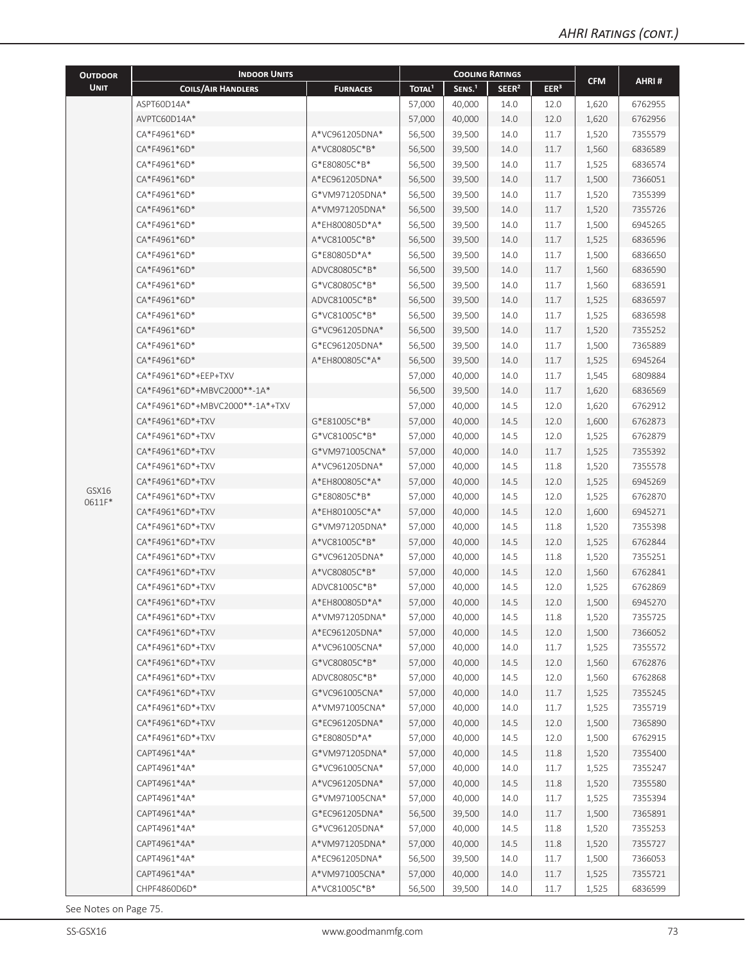| <b>OUTDOOR</b> | <b>INDOOR UNITS</b>             |                 | <b>COOLING RATINGS</b> |                    |                   |                  |            |         |  |
|----------------|---------------------------------|-----------------|------------------------|--------------------|-------------------|------------------|------------|---------|--|
| <b>UNIT</b>    | <b>COILS/AIR HANDLERS</b>       | <b>FURNACES</b> | TOTAL <sup>1</sup>     | SENS. <sup>1</sup> | SEER <sup>2</sup> | EER <sup>3</sup> | <b>CFM</b> | AHRI#   |  |
|                | ASPT60D14A*                     |                 | 57,000                 | 40,000             | 14.0              | 12.0             | 1,620      | 6762955 |  |
|                | AVPTC60D14A*                    |                 | 57,000                 | 40,000             | 14.0              | 12.0             | 1,620      | 6762956 |  |
|                | CA*F4961*6D*                    | A*VC961205DNA*  | 56,500                 | 39,500             | 14.0              | 11.7             | 1,520      | 7355579 |  |
|                | CA*F4961*6D*                    | A*VC80805C*B*   | 56,500                 | 39,500             | 14.0              | 11.7             | 1,560      | 6836589 |  |
|                | CA*F4961*6D*                    | G*E80805C*B*    | 56,500                 | 39,500             | 14.0              | 11.7             | 1,525      | 6836574 |  |
|                | CA*F4961*6D*                    | A*EC961205DNA*  | 56,500                 | 39,500             | 14.0              | 11.7             | 1,500      | 7366051 |  |
|                | CA*F4961*6D*                    | G*VM971205DNA*  | 56,500                 | 39,500             | 14.0              | 11.7             | 1,520      | 7355399 |  |
|                | CA*F4961*6D*                    | A*VM971205DNA*  | 56,500                 | 39,500             | 14.0              | 11.7             | 1,520      | 7355726 |  |
|                | CA*F4961*6D*                    | A*EH800805D*A*  | 56,500                 | 39,500             | 14.0              | 11.7             | 1,500      | 6945265 |  |
|                | CA*F4961*6D*                    | A*VC81005C*B*   | 56,500                 | 39,500             | 14.0              | 11.7             | 1,525      | 6836596 |  |
|                | CA*F4961*6D*                    | G*E80805D*A*    | 56,500                 | 39,500             | 14.0              | 11.7             | 1,500      | 6836650 |  |
|                | CA*F4961*6D*                    | ADVC80805C*B*   | 56,500                 | 39,500             | 14.0              | 11.7             | 1,560      | 6836590 |  |
|                | CA*F4961*6D*                    | G*VC80805C*B*   | 56,500                 | 39,500             | 14.0              | 11.7             | 1,560      | 6836591 |  |
|                | CA*F4961*6D*                    | ADVC81005C*B*   | 56,500                 | 39,500             | 14.0              | 11.7             | 1,525      | 6836597 |  |
|                | CA*F4961*6D*                    | G*VC81005C*B*   | 56,500                 | 39,500             | 14.0              | 11.7             | 1,525      | 6836598 |  |
|                | CA*F4961*6D*                    | G*VC961205DNA*  | 56,500                 | 39,500             | 14.0              | 11.7             | 1,520      | 7355252 |  |
|                | CA*F4961*6D*                    | G*EC961205DNA*  | 56,500                 | 39,500             | 14.0              | 11.7             | 1,500      | 7365889 |  |
|                | CA*F4961*6D*                    | A*EH800805C*A*  | 56,500                 | 39,500             | 14.0              | 11.7             | 1,525      | 6945264 |  |
|                | CA*F4961*6D*+EEP+TXV            |                 | 57,000                 | 40,000             | 14.0              | 11.7             | 1,545      | 6809884 |  |
|                | CA*F4961*6D*+MBVC2000**-1A*     |                 | 56,500                 | 39,500             | 14.0              | 11.7             | 1,620      | 6836569 |  |
|                | CA*F4961*6D*+MBVC2000**-1A*+TXV |                 | 57,000                 | 40,000             | 14.5              | 12.0             | 1,620      | 6762912 |  |
|                | CA*F4961*6D*+TXV                | G*E81005C*B*    | 57,000                 | 40,000             | 14.5              | 12.0             | 1,600      | 6762873 |  |
|                | CA*F4961*6D*+TXV                | G*VC81005C*B*   | 57,000                 | 40,000             | 14.5              | 12.0             | 1,525      | 6762879 |  |
|                | CA*F4961*6D*+TXV                | G*VM971005CNA*  | 57,000                 | 40,000             | 14.0              | 11.7             | 1,525      | 7355392 |  |
|                | CA*F4961*6D*+TXV                | A*VC961205DNA*  | 57,000                 | 40,000             | 14.5              | 11.8             | 1,520      | 7355578 |  |
|                | CA*F4961*6D*+TXV                | A*EH800805C*A*  | 57,000                 | 40,000             | 14.5              | 12.0             | 1,525      | 6945269 |  |
| GSX16          | CA*F4961*6D*+TXV                | G*E80805C*B*    | 57,000                 | 40,000             | 14.5              | 12.0             | 1,525      | 6762870 |  |
| 0611F*         | CA*F4961*6D*+TXV                | A*EH801005C*A*  | 57,000                 | 40,000             | 14.5              | 12.0             | 1,600      | 6945271 |  |
|                | CA*F4961*6D*+TXV                | G*VM971205DNA*  | 57,000                 | 40,000             | 14.5              | 11.8             | 1,520      | 7355398 |  |
|                | CA*F4961*6D*+TXV                | A*VC81005C*B*   | 57,000                 | 40,000             | 14.5              | 12.0             | 1,525      | 6762844 |  |
|                | CA*F4961*6D*+TXV                | G*VC961205DNA*  | 57,000                 | 40,000             | 14.5              | 11.8             | 1,520      | 7355251 |  |
|                | CA*F4961*6D*+TXV                | A*VC80805C*B*   | 57,000                 | 40,000             | 14.5              | 12.0             | 1,560      | 6762841 |  |
|                | CA*F4961*6D*+TXV                | ADVC81005C*B*   | 57,000                 | 40,000             | 14.5              | 12.0             | 1,525      | 6762869 |  |
|                | CA*F4961*6D*+TXV                | A*EH800805D*A*  | 57,000                 | 40,000             | 14.5              | 12.0             | 1,500      | 6945270 |  |
|                | CA*F4961*6D*+TXV                | A*VM971205DNA*  | 57,000                 | 40,000             | 14.5              | 11.8             | 1,520      | 7355725 |  |
|                | CA*F4961*6D*+TXV                | A*EC961205DNA*  | 57,000                 | 40,000             | 14.5              | 12.0             | 1,500      | 7366052 |  |
|                | CA*F4961*6D*+TXV                | A*VC961005CNA*  | 57,000                 | 40,000             | 14.0              | 11.7             | 1,525      | 7355572 |  |
|                | CA*F4961*6D*+TXV                | G*VC80805C*B*   | 57,000                 | 40,000             | 14.5              | 12.0             | 1,560      | 6762876 |  |
|                | CA*F4961*6D*+TXV                | ADVC80805C*B*   | 57,000                 | 40,000             | 14.5              | 12.0             | 1,560      | 6762868 |  |
|                | CA*F4961*6D*+TXV                | G*VC961005CNA*  | 57,000                 | 40,000             | 14.0              | 11.7             | 1,525      | 7355245 |  |
|                | CA*F4961*6D*+TXV                | A*VM971005CNA*  | 57,000                 | 40,000             | 14.0              | 11.7             | 1,525      | 7355719 |  |
|                | CA*F4961*6D*+TXV                | G*EC961205DNA*  | 57,000                 | 40,000             | 14.5              | 12.0             | 1,500      | 7365890 |  |
|                | CA*F4961*6D*+TXV                | G*E80805D*A*    | 57,000                 | 40,000             | 14.5              | 12.0             | 1,500      | 6762915 |  |
|                | CAPT4961*4A*<br>G*VM971205DNA*  |                 | 57,000                 | 40,000             | 14.5              | 11.8             | 1,520      | 7355400 |  |
|                | CAPT4961*4A*                    | G*VC961005CNA*  | 57,000                 | 40,000             | 14.0              | 11.7             | 1,525      | 7355247 |  |
|                | CAPT4961*4A*                    | A*VC961205DNA*  | 57,000                 | 40,000             | 14.5              | 11.8             | 1,520      | 7355580 |  |
|                | CAPT4961*4A*                    | G*VM971005CNA*  | 57,000                 | 40,000             | 14.0              | 11.7             | 1,525      | 7355394 |  |
|                | CAPT4961*4A*                    | G*EC961205DNA*  | 56,500                 | 39,500             | 14.0              | 11.7             | 1,500      | 7365891 |  |
|                | CAPT4961*4A*<br>G*VC961205DNA*  |                 | 57,000                 | 40,000             | 14.5              | 11.8             | 1,520      | 7355253 |  |
|                | CAPT4961*4A*                    | A*VM971205DNA*  | 57,000                 | 40,000             | 14.5              | 11.8             | 1,520      | 7355727 |  |
|                | CAPT4961*4A*                    | A*EC961205DNA*  | 56,500                 | 39,500             | 14.0              | 11.7             | 1,500      | 7366053 |  |
|                | CAPT4961*4A*                    | A*VM971005CNA*  | 57,000                 | 40,000             | 14.0              | 11.7             | 1,525      | 7355721 |  |
|                | CHPF4860D6D*                    | A*VC81005C*B*   | 56,500                 | 39,500             | 14.0              | 11.7             | 1,525      | 6836599 |  |

See Notes on Page 75.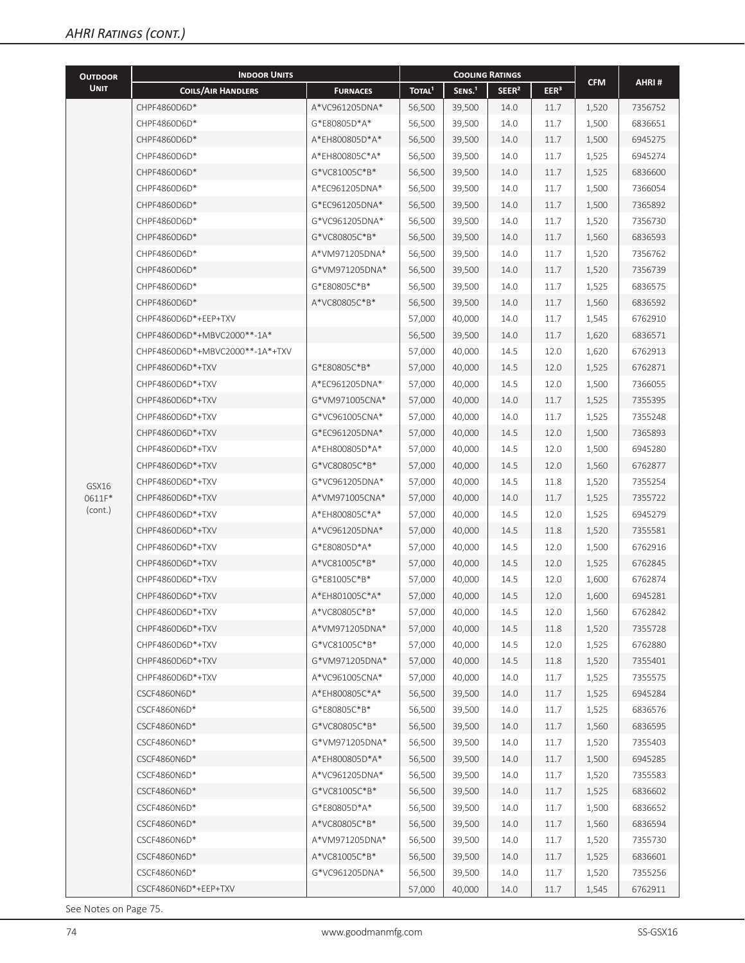| <b>OUTDOOR</b> | <b>INDOOR UNITS</b>             |                 | <b>COOLING RATINGS</b> |                    |                   |                  |            |         |  |
|----------------|---------------------------------|-----------------|------------------------|--------------------|-------------------|------------------|------------|---------|--|
| <b>UNIT</b>    | <b>COILS/AIR HANDLERS</b>       | <b>FURNACES</b> | TOTAL <sup>1</sup>     | SENS. <sup>1</sup> | SEER <sup>2</sup> | EER <sup>3</sup> | <b>CFM</b> | AHRI#   |  |
|                | CHPF4860D6D*                    | A*VC961205DNA*  | 56,500                 | 39,500             | 14.0              | 11.7             | 1,520      | 7356752 |  |
|                | CHPF4860D6D*                    | G*E80805D*A*    | 56,500                 | 39,500             | 14.0              | 11.7             | 1,500      | 6836651 |  |
|                | CHPF4860D6D*                    | A*EH800805D*A*  | 56,500                 | 39,500             | 14.0              | 11.7             | 1,500      | 6945275 |  |
|                | CHPF4860D6D*                    | A*EH800805C*A*  | 56,500                 | 39,500             | 14.0              | 11.7             | 1,525      | 6945274 |  |
|                | CHPF4860D6D*                    | G*VC81005C*B*   | 56,500                 | 39,500             | 14.0              | 11.7             | 1,525      | 6836600 |  |
|                | CHPF4860D6D*                    | A*EC961205DNA*  | 56,500                 | 39,500             | 14.0              | 11.7             | 1,500      | 7366054 |  |
|                | CHPF4860D6D*                    | G*EC961205DNA*  | 56,500                 | 39,500             | 14.0              | 11.7             | 1,500      | 7365892 |  |
|                | CHPF4860D6D*                    | G*VC961205DNA*  | 56,500                 | 39,500             | 14.0              | 11.7             | 1,520      | 7356730 |  |
|                | CHPF4860D6D*                    | G*VC80805C*B*   | 56,500                 | 39,500             | 14.0              | 11.7             | 1,560      | 6836593 |  |
|                | CHPF4860D6D*                    | A*VM971205DNA*  | 56,500                 | 39,500             | 14.0              | 11.7             | 1,520      | 7356762 |  |
|                | CHPF4860D6D*                    | G*VM971205DNA*  | 56,500                 | 39,500             | 14.0              | 11.7             | 1,520      | 7356739 |  |
|                | CHPF4860D6D*                    | G*E80805C*B*    | 56,500                 | 39,500             | 14.0              | 11.7             | 1,525      | 6836575 |  |
|                | CHPF4860D6D*                    | A*VC80805C*B*   | 56,500                 | 39,500             | 14.0              | 11.7             | 1,560      | 6836592 |  |
|                | CHPF4860D6D*+EEP+TXV            |                 | 57,000                 | 40,000             | 14.0              | 11.7             | 1,545      | 6762910 |  |
|                | CHPF4860D6D*+MBVC2000**-1A*     |                 | 56,500                 | 39,500             | 14.0              | 11.7             | 1,620      | 6836571 |  |
|                | CHPF4860D6D*+MBVC2000**-1A*+TXV |                 | 57,000                 | 40,000             | 14.5              | 12.0             | 1,620      | 6762913 |  |
|                | CHPF4860D6D*+TXV                | G*E80805C*B*    | 57,000                 | 40,000             | 14.5              | 12.0             | 1,525      | 6762871 |  |
|                | CHPF4860D6D*+TXV                | A*EC961205DNA*  | 57,000                 | 40,000             | 14.5              | 12.0             | 1,500      | 7366055 |  |
|                | CHPF4860D6D*+TXV                | G*VM971005CNA*  | 57,000                 | 40,000             | 14.0              | 11.7             | 1,525      | 7355395 |  |
|                | CHPF4860D6D*+TXV                | G*VC961005CNA*  | 57,000                 | 40,000             | 14.0              | 11.7             | 1,525      | 7355248 |  |
|                | CHPF4860D6D*+TXV                | G*EC961205DNA*  | 57,000                 | 40,000             | 14.5              | 12.0             | 1,500      | 7365893 |  |
|                | CHPF4860D6D*+TXV                | A*EH800805D*A*  | 57,000                 | 40,000             | 14.5              | 12.0             | 1,500      | 6945280 |  |
|                | CHPF4860D6D*+TXV                | G*VC80805C*B*   | 57,000                 | 40,000             | 14.5              | 12.0             | 1,560      | 6762877 |  |
| GSX16          | CHPF4860D6D*+TXV                | G*VC961205DNA*  | 57,000                 | 40,000             | 14.5              | 11.8             | 1,520      | 7355254 |  |
| 0611F*         | CHPF4860D6D*+TXV                | A*VM971005CNA*  | 57,000                 | 40,000             | 14.0              | 11.7             | 1,525      | 7355722 |  |
| (cont.)        | CHPF4860D6D*+TXV                | A*EH800805C*A*  | 57,000                 | 40,000             | 14.5              | 12.0             | 1,525      | 6945279 |  |
|                | CHPF4860D6D*+TXV                | A*VC961205DNA*  | 57,000                 | 40,000             | 14.5              | 11.8             | 1,520      | 7355581 |  |
|                | CHPF4860D6D*+TXV                | G*E80805D*A*    | 57,000                 | 40,000             | 14.5              | 12.0             | 1,500      | 6762916 |  |
|                | CHPF4860D6D*+TXV                | A*VC81005C*B*   | 57,000                 | 40,000             | 14.5              | 12.0             | 1,525      | 6762845 |  |
|                | CHPF4860D6D*+TXV                | G*E81005C*B*    | 57,000                 | 40,000             | 14.5              | 12.0             | 1,600      | 6762874 |  |
|                | CHPF4860D6D*+TXV                | A*EH801005C*A*  | 57,000                 | 40,000             | 14.5              | 12.0             | 1,600      | 6945281 |  |
|                | CHPF4860D6D*+TXV                | A*VC80805C*B*   | 57,000                 | 40,000             | 14.5              | 12.0             | 1,560      | 6762842 |  |
|                | CHPF4860D6D*+TXV                | A*VM971205DNA*  | 57,000                 | 40,000             | 14.5              | 11.8             | 1,520      | 7355728 |  |
|                | CHPF4860D6D*+TXV                | G*VC81005C*B*   | 57,000                 | 40,000             | 14.5              | 12.0             | 1,525      | 6762880 |  |
|                | CHPF4860D6D*+TXV                | G*VM971205DNA*  | 57,000                 | 40,000             | 14.5              | 11.8             | 1,520      | 7355401 |  |
|                | CHPF4860D6D*+TXV                | A*VC961005CNA*  | 57,000                 | 40,000             | 14.0              | 11.7             | 1,525      | 7355575 |  |
|                | CSCF4860N6D*                    | A*EH800805C*A*  | 56,500                 | 39,500             | 14.0              | 11.7             | 1,525      | 6945284 |  |
|                | CSCF4860N6D*                    | G*E80805C*B*    | 56,500                 | 39,500             | 14.0              | 11.7             | 1,525      | 6836576 |  |
|                | CSCF4860N6D*                    | G*VC80805C*B*   | 56,500                 | 39,500             | 14.0              | 11.7             | 1,560      | 6836595 |  |
|                | CSCF4860N6D*                    | G*VM971205DNA*  | 56,500                 | 39,500             | 14.0              | 11.7             | 1,520      | 7355403 |  |
|                | CSCF4860N6D*                    | A*EH800805D*A*  | 56,500                 | 39,500             | 14.0              | 11.7             | 1,500      | 6945285 |  |
|                | CSCF4860N6D*                    | A*VC961205DNA*  | 56,500                 | 39,500             | 14.0              | 11.7             | 1,520      | 7355583 |  |
|                | CSCF4860N6D*                    | G*VC81005C*B*   | 56,500                 | 39,500             | 14.0              | 11.7             | 1,525      | 6836602 |  |
|                | CSCF4860N6D*                    | G*E80805D*A*    | 56,500                 | 39,500             | 14.0              | 11.7             | 1,500      | 6836652 |  |
|                | CSCF4860N6D*                    | A*VC80805C*B*   | 56,500                 | 39,500             | 14.0              | 11.7             | 1,560      | 6836594 |  |
|                | CSCF4860N6D*                    | A*VM971205DNA*  | 56,500                 | 39,500             | 14.0              | 11.7             | 1,520      | 7355730 |  |
|                | CSCF4860N6D*                    | A*VC81005C*B*   | 56,500                 | 39,500             | 14.0              | 11.7             | 1,525      | 6836601 |  |
|                | CSCF4860N6D*                    | G*VC961205DNA*  | 56,500                 | 39,500             | 14.0              | 11.7             | 1,520      | 7355256 |  |
|                | CSCF4860N6D*+EEP+TXV            |                 | 57,000                 | 40,000             | 14.0              | 11.7             | 1,545      | 6762911 |  |

See Notes on Page 75.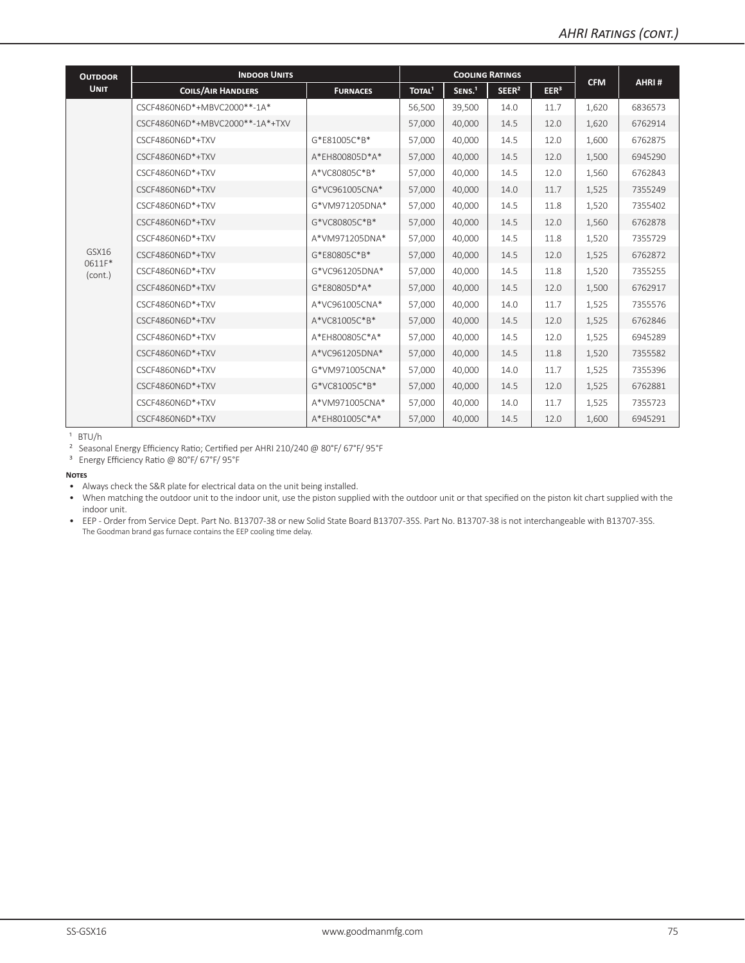| <b>OUTDOOR</b>  | <b>INDOOR UNITS</b>             |                 |                    | <b>COOLING RATINGS</b> |                   |                  |            |         |
|-----------------|---------------------------------|-----------------|--------------------|------------------------|-------------------|------------------|------------|---------|
| <b>UNIT</b>     | <b>COILS/AIR HANDLERS</b>       | <b>FURNACES</b> | TOTAL <sup>1</sup> | SENS. <sup>1</sup>     | SEER <sup>2</sup> | EER <sup>3</sup> | <b>CFM</b> | AHRI#   |
|                 | CSCF4860N6D*+MBVC2000**-1A*     |                 | 56,500             | 39,500                 | 14.0              | 11.7             | 1,620      | 6836573 |
|                 | CSCF4860N6D*+MBVC2000**-1A*+TXV |                 | 57,000             | 40,000                 | 14.5              | 12.0             | 1,620      | 6762914 |
|                 | CSCF4860N6D*+TXV                | G*E81005C*B*    | 57,000             | 40,000                 | 14.5              | 12.0             | 1,600      | 6762875 |
|                 | CSCF4860N6D*+TXV                | A*EH800805D*A*  | 57,000             | 40,000                 | 14.5              | 12.0             | 1,500      | 6945290 |
|                 | CSCF4860N6D*+TXV                | A*VC80805C*B*   | 57,000             | 40,000                 | 14.5              | 12.0             | 1,560      | 6762843 |
|                 | CSCF4860N6D*+TXV                | G*VC961005CNA*  | 57,000             | 40,000                 | 14.0              | 11.7             | 1,525      | 7355249 |
|                 | CSCF4860N6D*+TXV                | G*VM971205DNA*  | 57,000             | 40,000                 | 14.5              | 11.8             | 1,520      | 7355402 |
|                 | CSCF4860N6D*+TXV                | G*VC80805C*B*   | 57,000             | 40,000                 | 14.5              | 12.0             | 1,560      | 6762878 |
|                 | CSCF4860N6D*+TXV                | A*VM971205DNA*  | 57,000             | 40,000                 | 14.5              | 11.8             | 1,520      | 7355729 |
| GSX16<br>0611F* | CSCF4860N6D*+TXV                | G*E80805C*B*    | 57,000             | 40,000                 | 14.5              | 12.0             | 1,525      | 6762872 |
| (cont.)         | CSCF4860N6D*+TXV                | G*VC961205DNA*  | 57,000             | 40,000                 | 14.5              | 11.8             | 1,520      | 7355255 |
|                 | CSCF4860N6D*+TXV                | G*E80805D*A*    | 57,000             | 40,000                 | 14.5              | 12.0             | 1,500      | 6762917 |
|                 | CSCF4860N6D*+TXV                | A*VC961005CNA*  | 57,000             | 40,000                 | 14.0              | 11.7             | 1,525      | 7355576 |
|                 | CSCF4860N6D*+TXV                | A*VC81005C*B*   | 57,000             | 40,000                 | 14.5              | 12.0             | 1,525      | 6762846 |
|                 | CSCF4860N6D*+TXV                | A*EH800805C*A*  | 57,000             | 40,000                 | 14.5              | 12.0             | 1,525      | 6945289 |
|                 | CSCF4860N6D*+TXV                | A*VC961205DNA*  | 57,000             | 40,000                 | 14.5              | 11.8             | 1,520      | 7355582 |
|                 | CSCF4860N6D*+TXV                | G*VM971005CNA*  | 57,000             | 40,000                 | 14.0              | 11.7             | 1,525      | 7355396 |
|                 | CSCF4860N6D*+TXV                | G*VC81005C*B*   | 57,000             | 40,000                 | 14.5              | 12.0             | 1,525      | 6762881 |
|                 | CSCF4860N6D*+TXV                | A*VM971005CNA*  | 57,000             | 40,000                 | 14.0              | 11.7             | 1,525      | 7355723 |
|                 | CSCF4860N6D*+TXV                | A*EH801005C*A*  | 57,000             | 40,000                 | 14.5              | 12.0             | 1,600      | 6945291 |

 $1$  BTU/h

² Seasonal Energy Efficiency Ratio; Certified per AHRI 210/240 @ 80°F/ 67°F/ 95°F

³ Energy Efficiency Ratio @ 80°F/ 67°F/ 95°F

**Notes**

• When matching the outdoor unit to the indoor unit, use the piston supplied with the outdoor unit or that specified on the piston kit chart supplied with the indoor unit.

• EEP - Order from Service Dept. Part No. B13707-38 or new Solid State Board B13707-35S. Part No. B13707-38 is not interchangeable with B13707-35S. The Goodman brand gas furnace contains the EEP cooling time delay.

<sup>•</sup> Always check the S&R plate for electrical data on the unit being installed.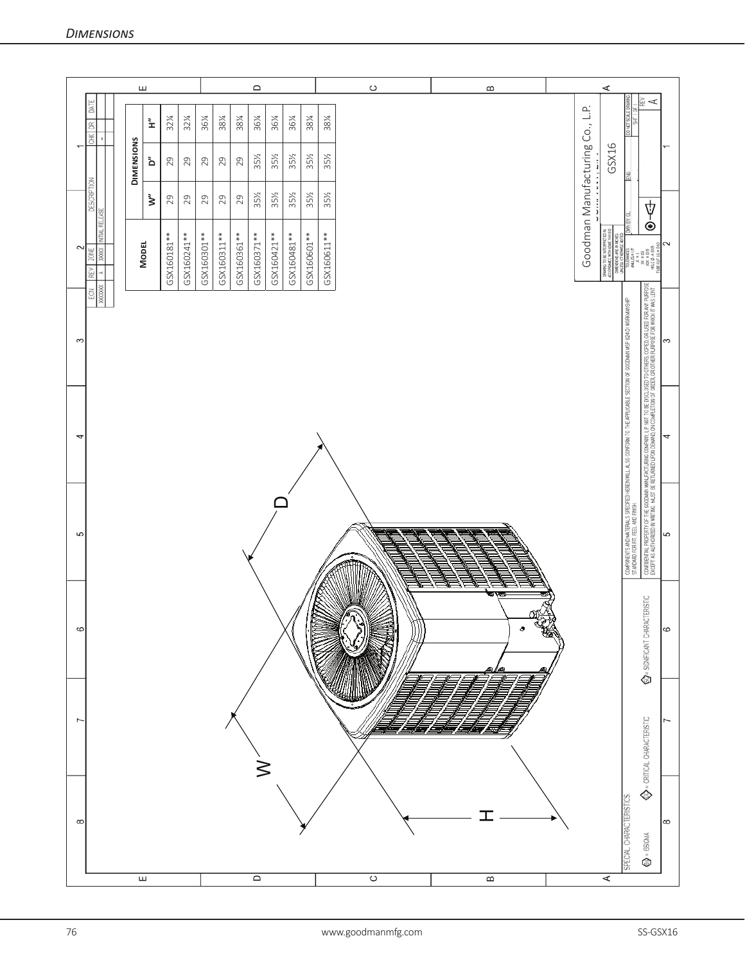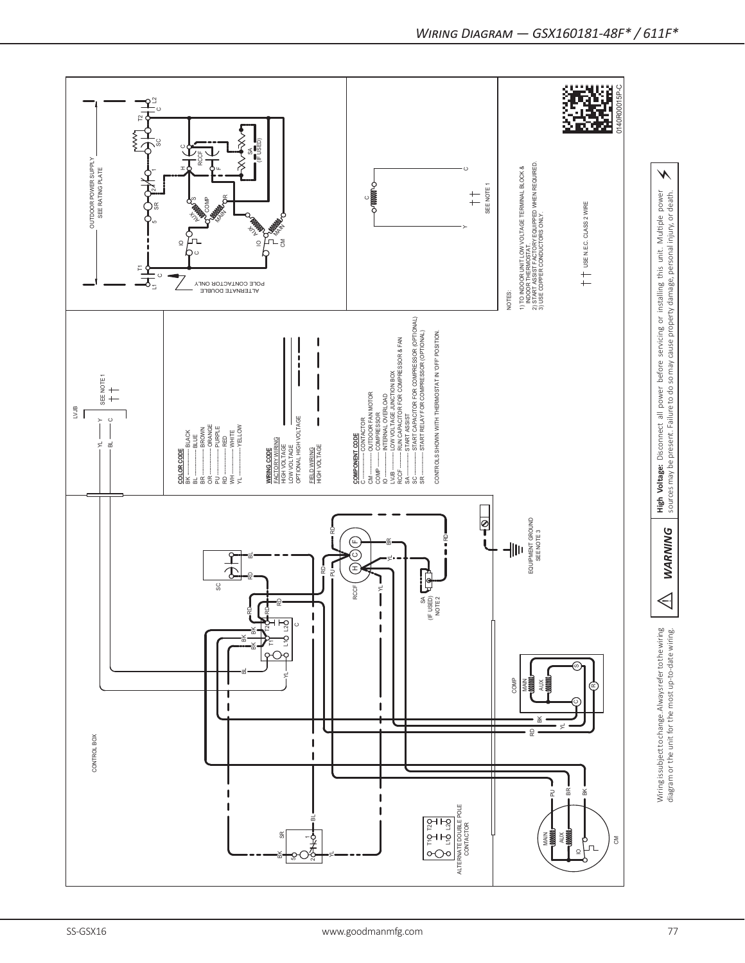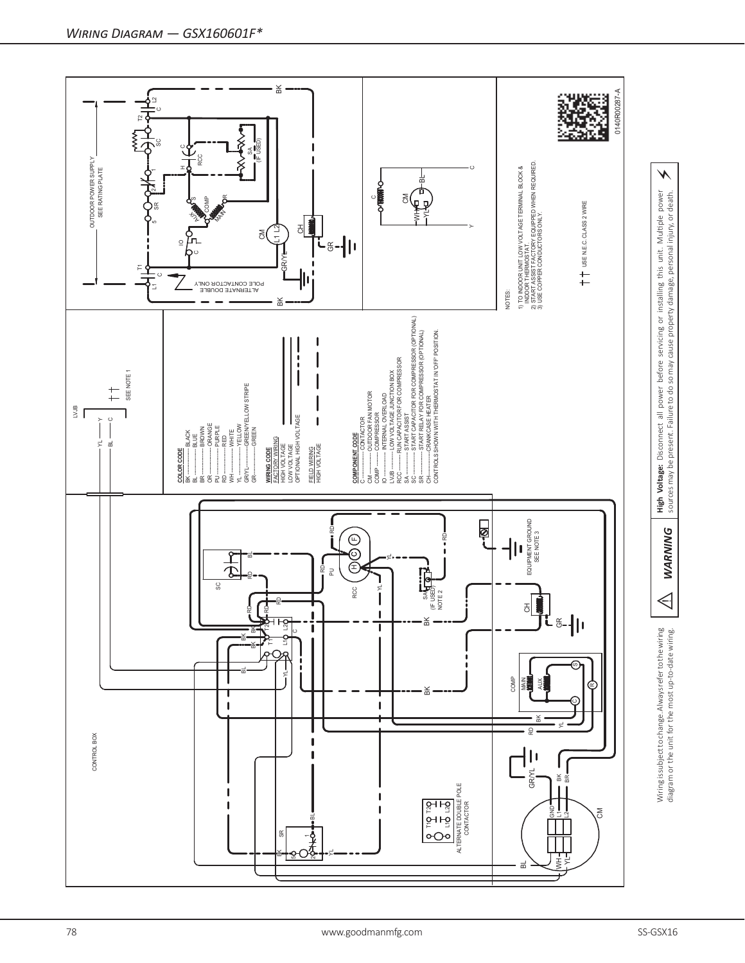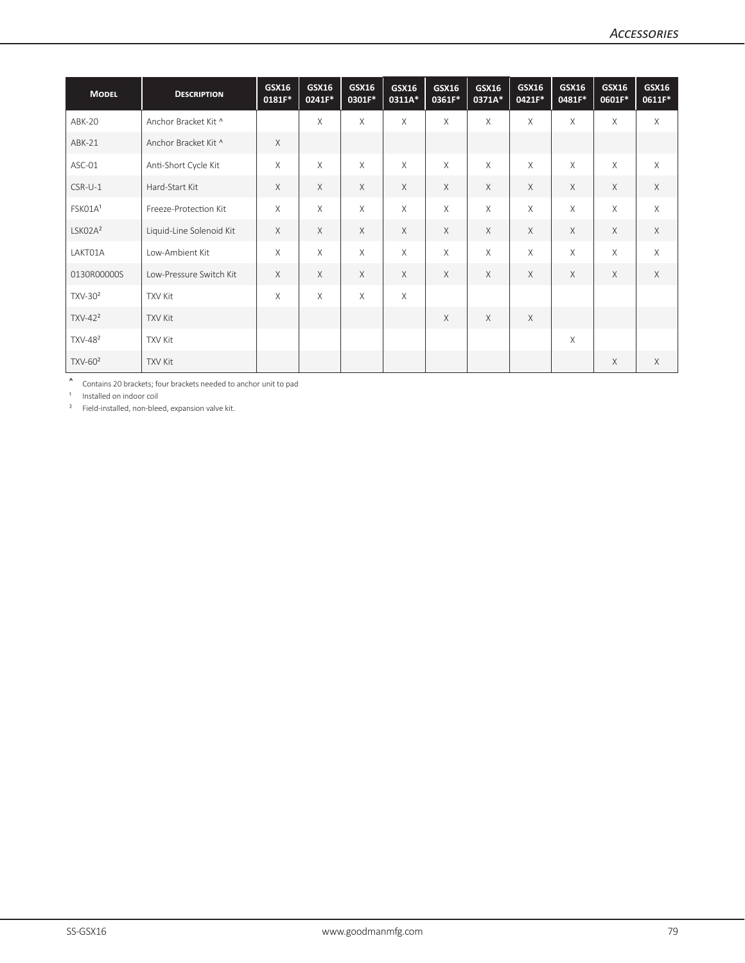| <b>MODEL</b>        | <b>DESCRIPTION</b>       | <b>GSX16</b><br>0181F* | <b>GSX16</b><br>0241F* | <b>GSX16</b><br>0301F* | GSX16<br>0311A* | <b>GSX16</b><br>0361F* | <b>GSX16</b><br>0371A* | <b>GSX16</b><br>0421F* | <b>GSX16</b><br>0481F* | <b>GSX16</b><br>0601F* | <b>GSX16</b><br>0611F* |
|---------------------|--------------------------|------------------------|------------------------|------------------------|-----------------|------------------------|------------------------|------------------------|------------------------|------------------------|------------------------|
| <b>ABK-20</b>       | Anchor Bracket Kit ^     |                        | $\times$               | X                      | $\times$        | $\times$               | $\times$               | $\times$               | $\times$               | X                      | $\times$               |
| ABK-21              | Anchor Bracket Kit ^     | $\times$               |                        |                        |                 |                        |                        |                        |                        |                        |                        |
| ASC-01              | Anti-Short Cycle Kit     | $\mathsf X$            | $\times$               | X                      | $\times$        | X                      | $\times$               | $\times$               | $\times$               | X                      | $\times$               |
| $CSR-U-1$           | Hard-Start Kit           | $\times$               | $\times$               | $\times$               | $\times$        | X                      | $\times$               | $\times$               | $\times$               | $\times$               | $\times$               |
| FSK01A <sup>1</sup> | Freeze-Protection Kit    | $\times$               | X                      | X                      | $\times$        | X                      | $\times$               | $\times$               | $\times$               | X                      | $\times$               |
| LSKO2A <sup>2</sup> | Liquid-Line Solenoid Kit | $\times$               | $\times$               | X                      | $\times$        | X                      | X                      | $\times$               | $\times$               | $\times$               | $\times$               |
| LAKT01A             | Low-Ambient Kit          | $\times$               | $\times$               | X                      | $\times$        | $\mathsf X$            | $\times$               | $\times$               | $\times$               | X                      | $\times$               |
| 0130R00000S         | Low-Pressure Switch Kit  | $\times$               | $\times$               | X                      | $\times$        | $\times$               | $\mathsf X$            | $\times$               | $\times$               | $\times$               | $\times$               |
| TXV-30 <sup>2</sup> | <b>TXV Kit</b>           | $\times$               | $\times$               | X                      | $\times$        |                        |                        |                        |                        |                        |                        |
| $TXV-42^2$          | <b>TXV Kit</b>           |                        |                        |                        |                 | $\mathsf X$            | $\times$               | $\times$               |                        |                        |                        |
| TXV-48 <sup>2</sup> | <b>TXV Kit</b>           |                        |                        |                        |                 |                        |                        |                        | X                      |                        |                        |
| TXV-60 <sup>2</sup> | <b>TXV Kit</b>           |                        |                        |                        |                 |                        |                        |                        |                        | $\times$               | $\times$               |

**^** Contains 20 brackets; four brackets needed to anchor unit to pad

 $1$  Installed on indoor coil

² Field-installed, non-bleed, expansion valve kit.